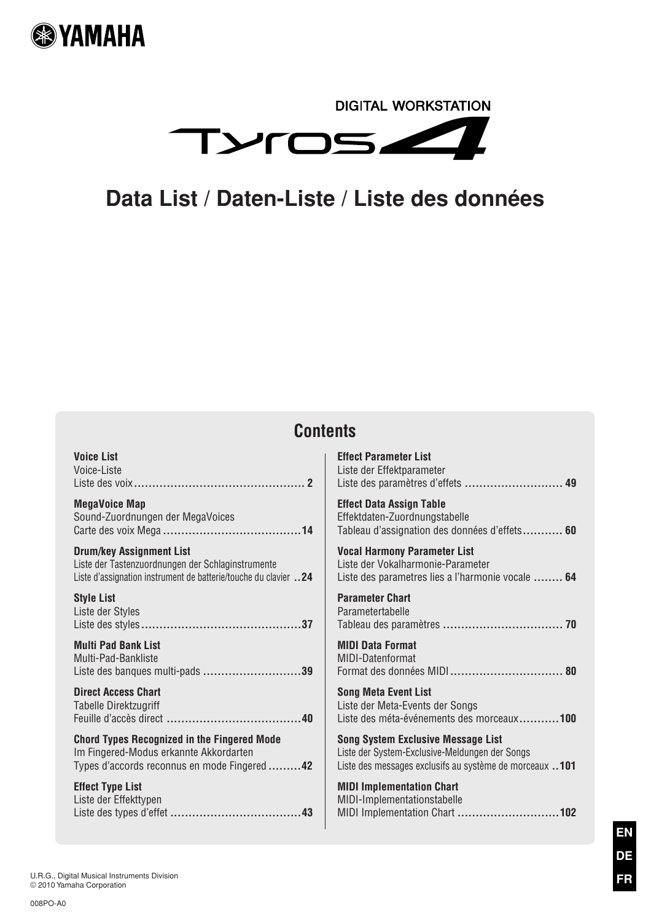

# **DIGITAL WORKSTATION** TYROSZ Z

# **Data List / Daten-Liste / Liste des données**

# **Contents**

| <b>Voice List</b>                                                | <b>Effect Parameter List</b>                             |
|------------------------------------------------------------------|----------------------------------------------------------|
| Voice-Liste                                                      | Liste der Effektparameter                                |
|                                                                  | Liste des paramètres d'effets  49                        |
| <b>MegaVoice Map</b>                                             | <b>Effect Data Assign Table</b>                          |
| Sound-Zuordnungen der MegaVoices                                 | Effektdaten-Zuordnungstabelle                            |
|                                                                  | Tableau d'assignation des données d'effets 60            |
| <b>Drum/key Assignment List</b>                                  | <b>Vocal Harmony Parameter List</b>                      |
| Liste der Tastenzuordnungen der Schlaginstrumente                | Liste der Vokalharmonie-Parameter                        |
| Liste d'assignation instrument de batterie/touche du clavier  24 | Liste des parametres lies a l'harmonie vocale  64        |
| <b>Style List</b>                                                | <b>Parameter Chart</b>                                   |
| Liste der Styles                                                 | Parametertabelle                                         |
|                                                                  |                                                          |
| <b>Multi Pad Bank List</b>                                       | <b>MIDI Data Format</b>                                  |
| Multi-Pad-Bankliste                                              | MIDI-Datenformat                                         |
| Liste des banques multi-pads 39                                  |                                                          |
| <b>Direct Access Chart</b>                                       | <b>Song Meta Event List</b>                              |
| Tabelle Direktzugriff                                            | Liste der Meta-Events der Songs                          |
|                                                                  | Liste des méta-événements des morceaux100                |
| <b>Chord Types Recognized in the Fingered Mode</b>               | <b>Song System Exclusive Message List</b>                |
| Im Fingered-Modus erkannte Akkordarten                           | Liste der System-Exclusive-Meldungen der Songs           |
| Types d'accords reconnus en mode Fingered  42                    | Liste des messages exclusifs au système de morceaux  101 |
| <b>Effect Type List</b>                                          | <b>MIDI Implementation Chart</b>                         |
| Liste der Effekttypen                                            | MIDI-Implementationstabelle                              |
|                                                                  | MIDI Implementation Chart 102                            |
|                                                                  |                                                          |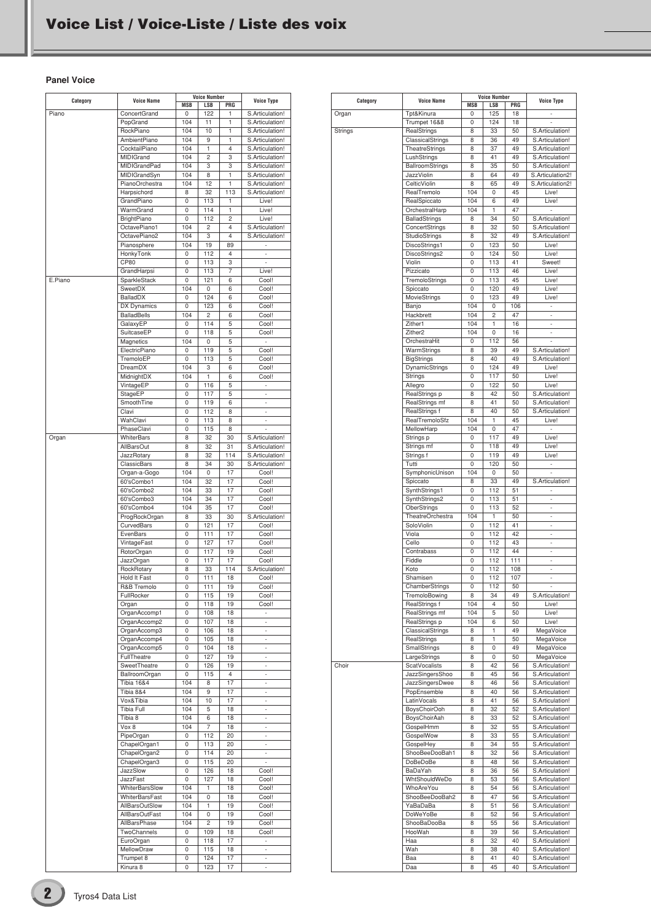#### <span id="page-1-0"></span>**Panel Voice**

| Category | <b>Voice Name</b>           |            | <b>Voice Number</b><br><b>LSB</b> |                | <b>Voice Type</b>              |
|----------|-----------------------------|------------|-----------------------------------|----------------|--------------------------------|
| Piano    | ConcertGrand                | MSB<br>0   | 122                               | PRG<br>1       | S.Articulation!                |
|          | PopGrand                    | 104        | 11                                | 1              | S.Articulation!                |
|          | RockPiano                   | 104        | 10                                | 1              | S.Articulation!                |
|          | <b>AmbientPiano</b>         | 104        | 9                                 | 1              | S.Articulation!                |
|          | CocktailPiano               | 104        | 1                                 | $\overline{4}$ | S.Articulation!                |
|          | MIDIGrand                   | 104        | 2                                 | 3              | S.Articulation!                |
|          | MIDIGrandPad                | 104        | 3                                 | 3              | S.Articulation!                |
|          | MIDIGrandSyn                | 104        | 8                                 | 1              | S.Articulation!                |
|          | PianoOrchestra              | 104        | 12                                | 1              | S.Articulation!                |
|          | Harpsichord                 | 8          | 32                                | 113            | S.Articulation!                |
|          | GrandPiano                  | 0          | 113                               | 1              | Live!                          |
|          | WarmGrand                   | 0          | 114                               | 1              | Live!                          |
|          | BrightPiano                 | 0          | 112                               | 2              | Live!                          |
|          | OctavePiano1                | 104        | $\overline{c}$                    | 4              | S.Articulation!                |
|          | OctavePiano2                | 104        | 3                                 | 4              | S.Articulation!                |
|          | Pianosphere                 | 104        | 19                                | 89             |                                |
|          | HonkyTonk                   | 0          | 112                               | 4              | L,                             |
|          | CP80                        | 0<br>0     | 113<br>113                        | 3<br>7         | ×,<br>Live!                    |
| E.Piano  | GrandHarpsi<br>SparkleStack | 0          | 121                               | 6              | Cool!                          |
|          | SweetDX                     | 104        | 0                                 | 6              | Cool!                          |
|          | <b>BalladDX</b>             | 0          | 124                               | 6              | Cool!                          |
|          | <b>DX Dynamics</b>          | 0          | 123                               | 6              | Cool!                          |
|          | <b>BalladBells</b>          | 104        | 2                                 | 6              | Cool!                          |
|          | GalaxyEP                    | 0          | 114                               | 5              | Cool!                          |
|          | SuitcaseEP                  | 0          | 118                               | 5              | Cool!                          |
|          | Magnetics                   | 104        | 0                                 | 5              | ä,                             |
|          | ElectricPiano               | 0          | 119                               | 5              | Cool!                          |
|          | TremoloEP                   | 0          | 113                               | 5              | Cool!                          |
|          | DreamDX                     | 104        | 3                                 | 6              | Cool!                          |
|          | MidnightDX                  | 104        | 1                                 | 6              | Cool!                          |
|          | VintageEP                   | 0          | 116                               | 5              | ä,                             |
|          | StageEP                     | 0          | 117                               | 5              | ×,                             |
|          | SmoothTine                  | 0          | 119                               | 6              |                                |
|          | Clavi                       | 0          | 112                               | 8              | ä,                             |
|          | WahClavi                    | 0          | 113                               | 8              | ÷,                             |
|          | PhaseClavi                  | 0          | 115                               | 8              |                                |
| Organ    | WhiterBars                  | 8          | 32                                | 30             | S.Articulation!                |
|          | AllBarsOut                  | 8          | 32                                | 31             | S.Articulation!                |
|          | JazzRotary                  | 8          | 32                                | 114            | S.Articulation!                |
|          | ClassicBars                 | 8          | 34                                | 30             | S.Articulation!                |
|          | Organ-a-Gogo                | 104        | 0                                 | 17             | Cool!                          |
|          | 60'sCombo1                  | 104        | 32                                | 17             | Cool!                          |
|          | 60'sCombo2<br>60'sCombo3    | 104<br>104 | 33<br>34                          | 17<br>17       | Cool!<br>Cool!                 |
|          | 60'sCombo4                  | 104        | 35                                | 17             | Cool!                          |
|          | ProgRockOrgan               | 8          | 33                                | 30             | S.Articulation!                |
|          | CurvedBars                  | 0          | 121                               | 17             | Cool!                          |
|          | EvenBars                    | 0          | 111                               | 17             | Cool!                          |
|          | VintageFast                 | 0          | 127                               | 17             | Cool!                          |
|          | RotorOrgan                  | 0          | 117                               | 19             | Cool!                          |
|          | JazzOrgan                   | 0          | 117                               | 17             | Cool!                          |
|          | RockRotary                  | 8          | 33                                | 114            | S.Articulation!                |
|          | Hold It Fast                | 0          | 111                               | 18             | Cool!                          |
|          | R&B Tremolo                 | υ          | 111                               | 19             | COOI!                          |
|          | FullRocker                  | 0          | 115                               | 19             | Cool!                          |
|          | Organ                       | 0          | 118                               | 19             | Cool!                          |
|          | OrganAccomp1                | 0          | 108                               | 18             | ÷.                             |
|          | OrganAccomp2                | 0          | 107                               | 18             | L,                             |
|          | OrganAccomp3                | 0          | 106                               | 18             | $\overline{\phantom{a}}$       |
|          | OrganAccomp4                | 0          | 105                               | 18             | $\overline{\phantom{a}}$       |
|          | OrganAccomp5                | 0          | 104                               | 18             | ä,                             |
|          | FullTheatre                 | 0          | 127                               | 19             | $\overline{\phantom{a}}$       |
|          | SweetTheatre                | 0          | 126                               | 19             | $\overline{\phantom{a}}$       |
|          | BallroomOrgan               | 0          | 115                               | $\overline{4}$ | ä,                             |
|          | <b>Tibia 16&amp;4</b>       | 104        | 8                                 | 17             | $\overline{\phantom{a}}$       |
|          | Tibia 8&4                   | 104        | 9                                 | 17             | $\overline{\phantom{a}}$       |
|          | Vox&Tibia                   | 104        | 10                                | 17             | ä,                             |
|          | Tibia Full                  | 104        | 5                                 | 18             | $\overline{\phantom{a}}$       |
|          | Tibia 8<br>Vox 8            | 104<br>104 | 6<br>7                            | 18<br>18       | $\overline{\phantom{a}}$<br>ä, |
|          | PipeOrgan                   | 0          | 112                               | 20             | $\overline{\phantom{a}}$       |
|          | ChapelOrgan1                | 0          | 113                               | 20             | $\overline{\phantom{a}}$       |
|          | ChapelOrgan2                | 0          | 114                               | 20             | ä,                             |
|          | ChapelOrgan3                | 0          | 115                               | 20             | ÷.                             |
|          | JazzSlow                    | 0          | 126                               | 18             | Cool!                          |
|          | JazzFast                    | 0          | 127                               | 18             | Cool!                          |
|          | WhiterBarsSlow              | 104        | 1                                 | 18             | Cool!                          |
|          | WhiterBarsFast              | 104        | 0                                 | 18             | Cool!                          |
|          | AllBarsOutSlow              | 104        | 1                                 | 19             | Cool!                          |
|          | AllBarsOutFast              | 104        | 0                                 | 19             | Cool!                          |
|          | AllBarsPhase                | 104        | 2                                 | 19             | Cool!                          |
|          | TwoChannels                 | 0          | 109                               | 18             | Cool!                          |
|          | EuroOrgan                   | 0          | 118                               | 17             | $\overline{\phantom{a}}$       |
|          | MellowDraw                  | 0          | 115                               | 18             | ÷.                             |
|          | Trumpet 8                   | 0          | 124                               | 17             | ä,                             |
|          | Kinura 8                    | 0          | 123                               | 17             | $\overline{\phantom{a}}$       |

|          |                                           | <b>Voice Number</b> |                     |           |                                    |
|----------|-------------------------------------------|---------------------|---------------------|-----------|------------------------------------|
| Category | <b>Voice Name</b>                         | <b>MSB</b>          | LSB                 | PRG       | <b>Voice Type</b>                  |
| Organ    | Tpt&Kinura                                | 0                   | 125                 | 18        | ä,                                 |
|          | Trumpet 16&8                              | 0                   | 124                 | 18        |                                    |
| Strings  | RealStrings                               | 8                   | 33                  | 50        | S.Articulation!                    |
|          | ClassicalStrings<br><b>TheatreStrings</b> | 8<br>8              | 36<br>37            | 49<br>49  | S.Articulation!<br>S.Articulation! |
|          | LushStrings                               | 8                   | 41                  | 49        | S.Articulation!                    |
|          | BallroomStrings                           | 8                   | 35                  | 50        | S.Articulation!                    |
|          | <b>JazzViolin</b>                         | 8                   | 64                  | 49        | S.Articulation2!                   |
|          | CelticViolin                              | 8                   | 65                  | 49        | S.Articulation2!                   |
|          | RealTremolo                               | 104                 | 0                   | 45        | Live!                              |
|          | RealSpiccato                              | 104                 | 6                   | 49        | Live!                              |
|          | OrchestralHarp                            | 104                 | 1                   | 47        | i.                                 |
|          | BalladStrings                             | 8                   | 34                  | 50        | S.Articulation!                    |
|          | ConcertStrings                            | 8                   | 32                  | 50        | S.Articulation!                    |
|          | <b>StudioStrings</b>                      | 8                   | 32                  | 49        | S.Articulation!                    |
|          | DiscoStrings1                             | 0                   | 123                 | 50        | Live!                              |
|          | DiscoStrings2                             | 0                   | 124                 | 50        | Live!                              |
|          | Violin                                    | 0                   | 113                 | 41        | Sweet!                             |
|          | Pizzicato                                 | 0                   | 113                 | 46        | Live!                              |
|          | TremoloStrings                            | 0                   | 113                 | 45        | Live!                              |
|          | Spiccato                                  | 0                   | 120                 | 49        | Live!                              |
|          | MovieStrings                              | 0                   | 123                 | 49        | Live!                              |
|          | Banjo<br>Hackbrett                        | 104<br>104          | 0<br>$\overline{c}$ | 106<br>47 | ٠                                  |
|          | Zither1                                   | 104                 | 1                   | 16        | ÷<br>÷.                            |
|          | Zither <sub>2</sub>                       | 104                 | 0                   | 16        | $\overline{\phantom{a}}$           |
|          | OrchestraHit                              | 0                   | 112                 | 56        |                                    |
|          | WarmStrings                               | 8                   | 39                  | 49        | S.Articulation!                    |
|          | <b>BigStrings</b>                         | 8                   | 40                  | 49        | S.Articulation!                    |
|          | DynamicStrings                            | 0                   | 124                 | 49        | Live!                              |
|          | Strings                                   | 0                   | 117                 | 50        | Live!                              |
|          | Allegro                                   | 0                   | 122                 | 50        | Live!                              |
|          | RealStrings p                             | 8                   | 42                  | 50        | S.Articulation!                    |
|          | RealStrings mf                            | 8                   | 41                  | 50        | S.Articulation!                    |
|          | RealStrings f                             | 8                   | 40                  | 50        | S.Articulation!                    |
|          | RealTremoloSfz                            | 104                 | 1                   | 45        | Live!                              |
|          | MellowHarp                                | 104                 | 0                   | 47        | à.                                 |
|          | Strings p                                 | 0                   | 117                 | 49        | Live!                              |
|          | Strings mf                                | 0                   | 118                 | 49        | Live!                              |
|          | Strings f                                 | 0                   | 119                 | 49        | Live!                              |
|          | Tutti                                     | 0                   | 120                 | 50        | $\overline{\phantom{a}}$           |
|          | SymphonicUnison                           | 104                 | 0                   | 50<br>49  | ä,                                 |
|          | Spiccato<br>SynthStrings1                 | 8<br>0              | 33<br>112           | 51        | S.Articulation!<br>ä,              |
|          | SynthStrings2                             | 0                   | 113                 | 51        | ÷                                  |
|          | OberStrings                               | 0                   | 113                 | 52        | ÷.                                 |
|          | <b>TheatreOrchestra</b>                   | 104                 | 1                   | 50        | ٠                                  |
|          | SoloViolin                                | 0                   | 112                 | 41        | ÷                                  |
|          | Viola                                     | 0                   | 112                 | 42        | ÷.                                 |
|          | Cello                                     | 0                   | 112                 | 43        | ٠                                  |
|          | Contrabass                                | 0                   | 112                 | 44        | ÷                                  |
|          | Fiddle                                    | 0                   | 112                 | 111       | ÷.                                 |
|          | Koto                                      | 0                   | 112                 | 108       | ٠                                  |
|          | Shamisen                                  | 0                   | 112                 | 107       | i.                                 |
|          | ChamberStrings                            | 0                   | 112                 | 50        | $\sim$                             |
|          | TremoloBowing                             | 8                   | 34                  | 49        | S.Articulation!                    |
|          | RealStrings f                             | 104                 | 4                   | 50        | Live!                              |
|          | RealStrings mf                            | 104                 | 5                   | 50        | Live!                              |
|          | RealStrings p                             | 104                 | 6                   | 50        | Live!                              |
|          | ClassicalStrings                          | 8                   | 1                   | 49        | <b>MegaVoice</b>                   |
|          | RealStrings                               | 8                   | 1                   | 50        | MegaVoice                          |
|          | SmallStrings<br>LargeStrings              | 8<br>8              | 0<br>0              | 49<br>50  | MegaVoice<br>MegaVoice             |
| Choir    | <b>ScatVocalists</b>                      | 8                   | 42                  | 56        | S.Articulation!                    |
|          | <b>JazzSingersShoo</b>                    | 8                   | 45                  | 56        | S.Articulation!                    |
|          | JazzSingersDwee                           | 8                   | 46                  | 56        | S.Articulation!                    |
|          | PopEnsemble                               | 8                   | 40                  | 56        | S.Articulation!                    |
|          | LatinVocals                               | 8                   | 41                  | 56        | S.Articulation!                    |
|          | <b>BoysChoirOoh</b>                       | 8                   | 32                  | 52        | S.Articulation!                    |
|          | BoysChoirAah                              | 8                   | 33                  | 52        | S.Articulation!                    |
|          | GospelHmm                                 | 8                   | 32                  | 55        | S.Articulation!                    |
|          | GospelWow                                 | 8                   | 33                  | 55        | S.Articulation!                    |
|          | GospelHey                                 | 8                   | 34                  | 55        | S.Articulation!                    |
|          | ShooBeeDooBah1                            | 8                   | 32                  | 56        | S.Articulation!                    |
|          | DoBeDoBe                                  | 8                   | 48                  | 56        | S.Articulation!                    |
|          | BaDaYah                                   | 8                   | 36                  | 56        | S.Articulation!                    |
|          | WhtShouldWeDo                             | 8                   | 53                  | 56        | S.Articulation!                    |
|          | WhoAreYou                                 | 8                   | 54                  | 56        | S.Articulation!                    |
|          | ShooBeeDooBah2                            | 8                   | 47                  | 56        | S.Articulation!                    |
|          | YaBaDaBa                                  | 8                   | 51                  | 56        | S.Articulation!                    |
|          | DoWeYoBe                                  | 8                   | 52                  | 56        | S.Articulation!                    |
|          | ShooBaDooBa                               | 8                   | 55                  | 56        | S.Articulation!                    |
|          | HooWah<br>Haa                             | 8<br>8              | 39<br>32            | 56<br>40  | S.Articulation!<br>S.Articulation! |
|          | Wah                                       | 8                   | 38                  | 40        | S.Articulation!                    |
|          | Baa                                       | 8                   | 41                  | 40        | S.Articulation!                    |
|          | Daa                                       | 8                   | 45                  | 40        | S.Articulation!                    |
|          |                                           |                     |                     |           |                                    |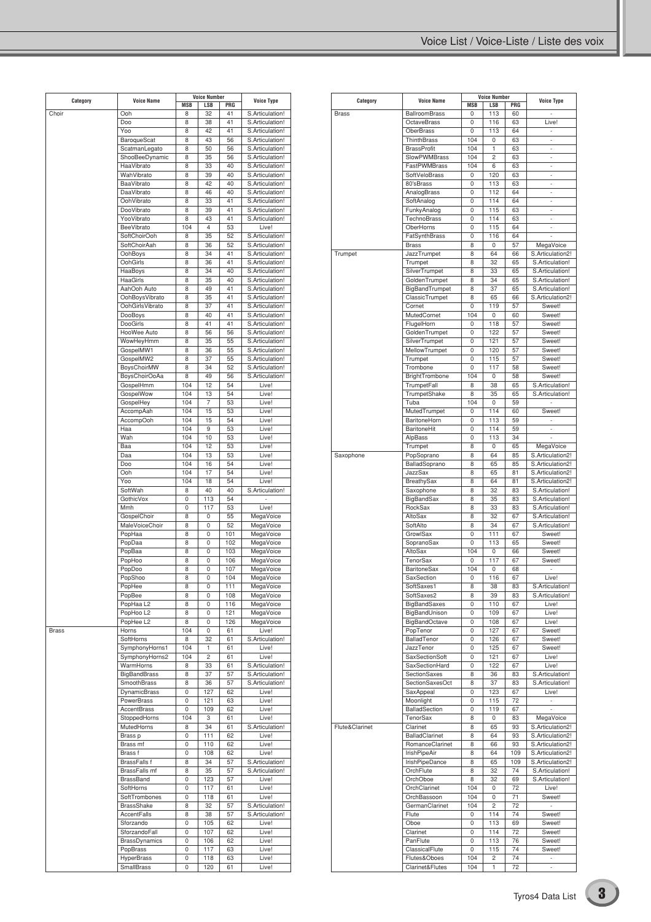| Category     | <b>Voice Name</b>                |                 | <b>Voice Number</b> |           | <b>Voice Type</b>                  |
|--------------|----------------------------------|-----------------|---------------------|-----------|------------------------------------|
| Choir        | Ooh                              | <b>MSB</b><br>8 | LSB<br>32           | PRG<br>41 | S.Articulation!                    |
|              | Doo                              | 8               | 38                  | 41        | S.Articulation!                    |
|              | Yoo                              | 8               | 42                  | 41        | S.Articulation!                    |
|              | <b>BaroqueScat</b>               | 8               | 43                  | 56        | S.Articulation!                    |
|              | ScatmanLegato                    | 8               | 50                  | 56        | S.Articulation!                    |
|              | ShooBeeDynamic                   | 8               | 35                  | 56        | S.Articulation!                    |
|              | HaaVibrato                       | 8               | 33                  | 40        | S.Articulation!                    |
|              | WahVibrato                       | 8               | 39                  | 40        | S.Articulation!                    |
|              | BaaVibrato                       | 8               | 42                  | 40        | S.Articulation!                    |
|              | DaaVibrato                       | 8               | 46                  | 40        | S.Articulation!                    |
|              | OohVibrato                       | 8               | 33                  | 41        | S.Articulation!                    |
|              | DooVibrato                       | 8               | 39                  | 41        | S.Articulation!                    |
|              | YooVibrato                       | 8               | 43                  | 41        | S.Articulation!                    |
|              | BeeVibrato                       | 104             | $\overline{4}$      | 53        | Live!                              |
|              | SoftChoirOoh                     | 8               | 35                  | 52        | S.Articulation!                    |
|              | SoftChoirAah                     | 8               | 36                  | 52        | S.Articulation!                    |
|              | OohBoys                          | 8               | 34                  | 41        | S.Articulation!                    |
|              | OohGirls<br>HaaBoys              | 8<br>8          | 36<br>34            | 41<br>40  | S.Articulation!<br>S.Articulation! |
|              | HaaGirls                         | 8               | 35                  | 40        | S.Articulation!                    |
|              | AahOoh Auto                      | 8               | 49                  | 41        | S.Articulation!                    |
|              | OohBoysVibrato                   | 8               | 35                  | 41        | S.Articulation!                    |
|              | OohGirlsVibrato                  | 8               | 37                  | 41        | S.Articulation!                    |
|              | DooBoys                          | 8               | 40                  | 41        | S.Articulation!                    |
|              | DooGirls                         | 8               | 41                  | 41        | S.Articulation!                    |
|              | HooWee Auto                      | 8               | 56                  | 56        | S.Articulation!                    |
|              | WowHeyHmm                        | 8               | 35                  | 55        | S.Articulation!                    |
|              | GospelMW1                        | 8               | 36                  | 55        | S.Articulation!                    |
|              | GospelMW2                        | 8               | 37                  | 55        | S.Articulation!                    |
|              | BoysChoirMW                      | 8               | 34                  | 52        | S.Articulation!                    |
|              | <b>BoysChoirOoAa</b>             | 8               | 49                  | 56        | S.Articulation!                    |
|              | GospelHmm                        | 104             | 12                  | 54        | Live!                              |
|              | GospelWow                        | 104             | 13                  | 54        | Live!                              |
|              | GospelHey                        | 104             | 7                   | 53        | Live!                              |
|              | AccompAah                        | 104             | 15                  | 53        | Live!                              |
|              | AccompOoh                        | 104             | 15                  | 54        | Live!                              |
|              | Haa                              | 104             | 9                   | 53        | Live!                              |
|              | Wah                              | 104             | 10                  | 53        | Live!                              |
|              | Baa                              | 104             | 12                  | 53        | Live!                              |
|              | Daa<br>Doo                       | 104<br>104      | 13<br>16            | 53<br>54  | Live!<br>Live!                     |
|              | Ooh                              | 104             | 17                  | 54        | Live!                              |
|              | Yoo                              | 104             | 18                  | 54        | Live!                              |
|              | SoftWah                          | 8               | 40                  | 40        | S.Articulation!                    |
|              | GothicVox                        | 0               | 113                 | 54        | ×,                                 |
|              | Mmh                              | 0               | 117                 | 53        | Live!                              |
|              | GospelChoir                      | 8               | 0                   | 55        | MegaVoice                          |
|              | MaleVoiceChoir                   | 8               | 0                   | 52        | MegaVoice                          |
|              | PopHaa                           | 8               | 0                   | 101       | MegaVoice                          |
|              | PopDaa                           | 8               | 0                   | 102       | MegaVoice                          |
|              | PopBaa                           | 8               | 0                   | 103       | MegaVoice                          |
|              | PopHoo                           | 8               | 0                   | 106       | MegaVoice                          |
|              | PopDoo                           | 8               | 0                   | 107       | MegaVoice                          |
|              | PopShoo                          | 8               | 0                   | 104       | MegaVoice                          |
|              | PopHee                           | 8               | 0                   | 111       | MegaVoice                          |
|              | PopBee                           | 8               | 0                   | 108       | MegaVoice                          |
|              | PopHaa L2                        | 8               | 0                   | 116       | MegaVoice                          |
|              | PopHoo L2                        | 8               | 0                   | 121       | MegaVoice                          |
|              | PopHee L2                        | 8               | 0                   | 126       | MegaVoice                          |
| <b>Brass</b> | Horns                            | 104             | 0                   | 61        | Live!                              |
|              | SoftHorns                        | 8               | 32                  | 61        | S.Articulation!<br>Live!           |
|              | SymphonyHorns1<br>SymphonyHorns2 | 104<br>104      | 1<br>$\overline{c}$ | 61<br>61  | Live!                              |
|              | WarmHorns                        | 8               | 33                  | 61        | S.Articulation!                    |
|              | <b>BigBandBrass</b>              | 8               | 37                  | 57        | S.Articulation!                    |
|              | SmoothBrass                      | 8               | 36                  | 57        | S.Articulation!                    |
|              | DynamicBrass                     | 0               | 127                 | 62        | Live!                              |
|              | PowerBrass                       | 0               | 121                 | 63        | Live!                              |
|              | AccentBrass                      | 0               | 109                 | 62        | Live!                              |
|              | StoppedHorns                     | 104             | 3                   | 61        | Live!                              |
|              | MutedHorns                       | 8               | 34                  | 61        | S.Articulation!                    |
|              | Brass p                          | 0               | 111                 | 62        | Live!                              |
|              | Brass mf                         | 0               | 110                 | 62        | Live!                              |
|              | Brass f                          | 0               | 108                 | 62        | Live!                              |
|              | BrassFalls f                     | 8               | 34                  | 57        | S.Articulation!                    |
|              | BrassFalls mf                    | 8               | 35                  | 57        | S.Articulation!                    |
|              | BrassBand                        | 0               | 123                 | 57        | Live!                              |
|              | SoftHorns                        | 0               | 117                 | 61        | Live!                              |
|              | SoftTrombones                    | 0               | 118                 | 61        | Live!                              |
|              | <b>BrassShake</b>                | 8               | 32                  | 57        | S.Articulation!                    |
|              | AccentFalls                      | 8               | 38                  | 57        | S.Articulation!                    |
|              | Sforzando                        | 0               | 105                 | 62        | Live!                              |
|              | SforzandoFall                    | 0               | 107                 | 62        | Live!                              |
|              | <b>BrassDynamics</b>             | 0               | 106                 | 62        | Live!                              |
|              | PopBrass                         | 0               | 117                 | 63        | Live!                              |
|              | <b>HyperBrass</b>                | 0               | 118                 | 63        | Live!                              |
|              | SmallBrass                       | 0               | 120                 | 61        | Live!                              |

|                |                       |            | <b>Voice Number</b> |     |                   |
|----------------|-----------------------|------------|---------------------|-----|-------------------|
| Category       | <b>Voice Name</b>     | <b>MSB</b> | <b>LSB</b>          | PRG | <b>Voice Type</b> |
| <b>Brass</b>   | <b>BallroomBrass</b>  | 0          | 113                 | 60  |                   |
|                |                       |            |                     |     |                   |
|                | <b>OctaveBrass</b>    | 0          | 116                 | 63  | Live!             |
|                | <b>OberBrass</b>      | 0          | 113                 | 64  | ä,                |
|                | ThinthBrass           | 104        | 0                   | 63  | ä,                |
|                | <b>BrassProfit</b>    | 104        | 1                   | 63  | ä,                |
|                | SlowPWMBrass          | 104        | $\overline{c}$      | 63  | ä,                |
|                |                       |            |                     |     |                   |
|                | <b>FastPWMBrass</b>   | 104        | 6                   | 63  | ä,                |
|                | SoftVeloBrass         | 0          | 120                 | 63  |                   |
|                | 80'sBrass             | 0          | 113                 | 63  | ä,                |
|                |                       | 0          | 112                 | 64  | ä,                |
|                | AnalogBrass           |            |                     |     |                   |
|                | SoftAnalog            | 0          | 114                 | 64  |                   |
|                | FunkyAnalog           | 0          | 115                 | 63  | ä,                |
|                | TechnoBrass           | 0          | 114                 | 63  | ä,                |
|                |                       |            |                     |     |                   |
|                | OberHorns             | 0          | 115                 | 64  |                   |
|                | FatSynthBrass         | 0          | 116                 | 64  |                   |
|                | <b>Brass</b>          | 8          | 0                   | 57  | MegaVoice         |
| Trumpet        | JazzTrumpet           | 8          | 64                  | 66  | S.Articulation2!  |
|                |                       | 8          | 32                  | 65  | S.Articulation!   |
|                | Trumpet               |            |                     |     |                   |
|                | SilverTrumpet         | 8          | 33                  | 65  | S.Articulation!   |
|                | GoldenTrumpet         | 8          | 34                  | 65  | S.Articulation!   |
|                | BigBandTrumpet        | 8          | 37                  | 65  | S.Articulation!   |
|                |                       |            |                     |     |                   |
|                | ClassicTrumpet        | 8          | 65                  | 66  | S.Articulation2!  |
|                | Cornet                | 0          | 119                 | 57  | Sweet!            |
|                | MutedCornet           | 104        | 0                   | 60  | Sweet!            |
|                | FlugelHorn            | 0          | 118                 | 57  | Sweet!            |
|                |                       |            |                     |     |                   |
|                | GoldenTrumpet         | 0          | 122                 | 57  | Sweet!            |
|                | SilverTrumpet         | 0          | 121                 | 57  | Sweet!            |
|                | MellowTrumpet         | 0          | 120                 | 57  | Sweet!            |
|                |                       |            |                     |     |                   |
|                | Trumpet               | 0          | 115                 | 57  | Sweet!            |
|                | Trombone              | 0          | 117                 | 58  | Sweet!            |
|                | BrightTrombone        | 104        | 0                   | 58  | Sweet!            |
|                | TrumpetFall           | 8          | 38                  | 65  | S.Articulation!   |
|                |                       |            |                     |     |                   |
|                | TrumpetShake          | 8          | 35                  | 65  | S.Articulation!   |
|                | Tuba                  | 104        | 0                   | 59  |                   |
|                | MutedTrumpet          | 0          | 114                 | 60  | Sweet!            |
|                | BaritoneHorn          | 0          | 113                 | 59  | ä,                |
|                |                       |            |                     |     |                   |
|                | <b>BaritoneHit</b>    | 0          | 114                 | 59  | ä,                |
|                | AlpBass               | 0          | 113                 | 34  |                   |
|                | Trumpet               | 8          | 0                   | 65  | MegaVoice         |
| Saxophone      | PopSoprano            | 8          | 64                  | 85  | S.Articulation2!  |
|                |                       |            |                     |     |                   |
|                | BalladSoprano         | 8          | 65                  | 85  | S.Articulation2!  |
|                | <b>JazzSax</b>        | 8          | 65                  | 81  | S.Articulation2!  |
|                | BreathySax            | 8          | 64                  | 81  | S.Articulation2!  |
|                |                       |            |                     |     |                   |
|                | Saxophone             | 8          | 32                  | 83  | S.Articulation!   |
|                | BigBandSax            | 8          | 35                  | 83  | S.Articulation!   |
|                | RockSax               | 8          | 33                  | 83  | S.Articulation!   |
|                | AltoSax               | 8          | 32                  | 67  | S.Articulation!   |
|                |                       |            |                     |     |                   |
|                | SoftAlto              | 8          | 34                  | 67  | S.Articulation!   |
|                | GrowlSax              | 0          | 111                 | 67  | Sweet!            |
|                | SopranoSax            | 0          | 113                 | 65  | Sweet!            |
|                | AltoSax               | 104        | 0                   | 66  | Sweet!            |
|                | TenorSax              |            |                     |     |                   |
|                |                       | 0          | 117                 | 67  | Sweet!            |
|                | <b>BaritoneSax</b>    | 104        | 0                   | 68  |                   |
|                | SaxSection            | 0          | 116                 | 67  | Live!             |
|                | SoftSaxes1            | 8          | 38                  | 83  | S.Articulation!   |
|                |                       |            |                     |     |                   |
|                | SoftSaxes2            | 8          | 39                  | 83  | S.Articulation!   |
|                | BigBandSaxes          | 0          | 110                 | 67  | Live!             |
|                | BigBandUnison         | 0          | 109                 | 67  | Live!             |
|                | <b>BigBandOctave</b>  | 0          | 108                 | 67  | Live!             |
|                |                       |            |                     |     |                   |
|                | PopTenor              | 0          | 127                 | 67  | Sweet!            |
|                | BalladTenor           | 0          | 126                 | 67  | Sweet!            |
|                | JazzTenor             | 0          | 125                 | 67  | Sweet!            |
|                | <b>SaxSectionSoft</b> | 0          | 121                 | 67  | Live!             |
|                |                       |            |                     |     |                   |
|                | SaxSectionHard        | 0          | 122                 | 67  | Live!             |
|                | SectionSaxes          | 8          | 36                  | 83  | S.Articulation!   |
|                | SectionSaxesOct       | 8          | 37                  | 83  | S.Articulation!   |
|                | SaxAppeal             | 0          | 123                 | 67  | Live!             |
|                |                       |            |                     |     |                   |
|                | Moonlight             | 0          | 115                 | 72  |                   |
|                | BalladSection         | 0          | 119                 | 67  | ä,                |
|                | TenorSax              | 8          | 0                   | 83  | MegaVoice         |
| Flute&Clarinet | Clarinet              | 8          | 65                  | 93  | S.Articulation2!  |
|                |                       |            |                     |     |                   |
|                | BalladClarinet        | 8          | 64                  | 93  | S.Articulation2!  |
|                | RomanceClarinet       | 8          | 66                  | 93  | S.Articulation2!  |
|                | IrishPipeAir          | 8          | 64                  | 109 | S.Articulation2!  |
|                | IrishPipeDance        | 8          | 65                  | 109 | S.Articulation2!  |
|                |                       |            |                     |     |                   |
|                | OrchFlute             | 8          | 32                  | 74  | S.Articulation!   |
|                | OrchOboe              | 8          | 32                  | 69  | S.Articulation!   |
|                | OrchClarinet          | 104        | 0                   | 72  | Live!             |
|                |                       |            |                     |     |                   |
|                | OrchBassoon           | 104        | 0                   | 71  | Sweet!            |
|                | GermanClarinet        | 104        | $\overline{c}$      | 72  |                   |
|                | Flute                 | 0          | 114                 | 74  | Sweet!            |
|                | Oboe                  | 0          | 113                 | 69  | Sweet!            |
|                | Clarinet              | 0          | 114                 | 72  | Sweet!            |
|                | PanFlute              | 0          | 113                 | 76  | Sweet!            |
|                |                       |            |                     |     |                   |
|                | ClassicalFlute        | 0          | 115                 | 74  | Sweet!            |
|                | Flutes&Oboes          | 104        | 2                   | 74  |                   |
|                | Clarinet&Flutes       | 104        | 1                   | 72  | à.                |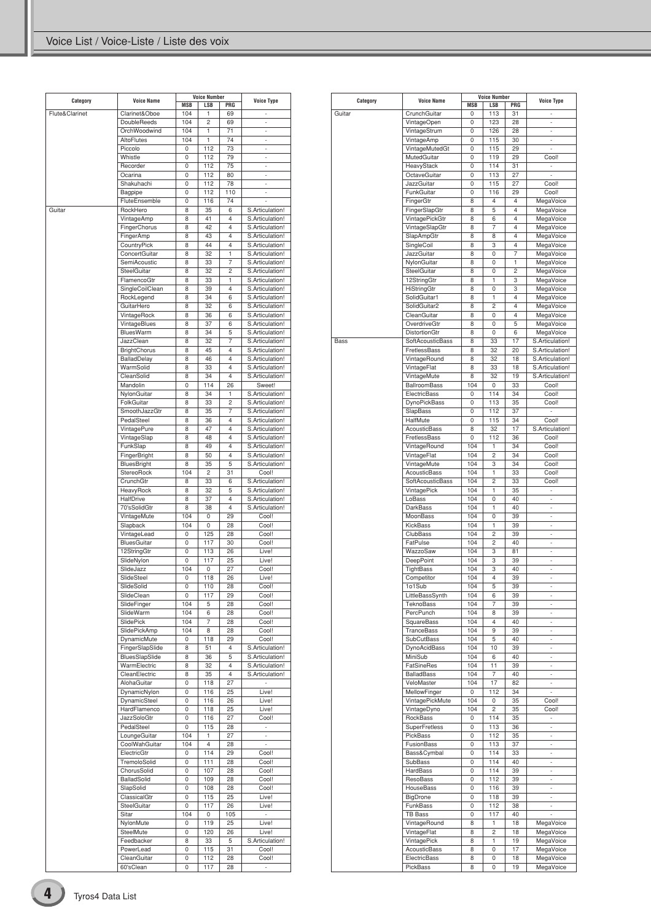| Category       | <b>Voice Name</b>          |            | <b>Voice Number</b> |                         | <b>Voice Type</b>              |
|----------------|----------------------------|------------|---------------------|-------------------------|--------------------------------|
|                |                            | <b>MSB</b> | <b>LSB</b>          | PRG                     |                                |
| Flute&Clarinet | Clarinet&Oboe              | 104        | 1<br>$\overline{c}$ | 69                      |                                |
|                | <b>DoubleReeds</b>         | 104        |                     | 69                      | $\overline{\phantom{a}}$<br>ä, |
|                | OrchWoodwind<br>AltoFlutes | 104<br>104 | 1<br>1              | 71<br>74                | ×,                             |
|                | Piccolo                    | 0          | 112                 | 73                      | $\overline{\phantom{a}}$       |
|                |                            |            |                     |                         |                                |
|                | Whistle                    | 0          | 112                 | 79                      | ä,                             |
|                | Recorder                   | 0          | 112                 | 75                      | ä,                             |
|                | Ocarina                    | 0          | 112                 | 80                      | ÷,                             |
|                | Shakuhachi                 | 0          | 112                 | 78                      | ä,                             |
|                | Bagpipe                    | 0          | 112                 | 110                     | ÷.                             |
|                | FluteEnsemble              | 0          | 116                 | 74                      |                                |
| Guitar         | RockHero                   | 8          | 35                  | 6                       | S.Articulation!                |
|                | VintageAmp                 | 8          | 41                  | 4                       | S.Articulation!                |
|                | FingerChorus               | 8          | 42                  | $\overline{4}$          | S.Articulation!                |
|                | FingerAmp                  | 8          | 43                  | 4                       | S.Articulation!                |
|                | CountryPick                | 8          | 44                  | 4                       | S.Articulation!                |
|                | ConcertGuitar              | 8          | 32                  | 1                       | S.Articulation!                |
|                | SemiAcoustic               | 8          | 33                  | 7                       | S.Articulation!                |
|                | SteelGuitar                | 8          | 32                  | $\overline{c}$          |                                |
|                |                            |            |                     |                         | S.Articulation!                |
|                | FlamencoGtr                | 8          | 33                  | 1                       | S.Articulation!                |
|                | SingleCoilClean            | 8          | 39                  | 4                       | S.Articulation!                |
|                | RockLegend                 | 8          | 34                  | 6                       | S.Articulation!                |
|                | GuitarHero                 | 8          | 32                  | 6                       | S.Articulation!                |
|                | VintageRock                | 8          | 36                  | 6                       | S.Articulation!                |
|                | VintageBlues               | 8          | 37                  | 6                       | S.Articulation!                |
|                | BluesWarm                  | 8          | 34                  | 5                       | S.Articulation!                |
|                | JazzClean                  | 8          | 32                  | 7                       | S.Articulation!                |
|                | <b>BrightChorus</b>        | 8          | 45                  | 4                       | S.Articulation!                |
|                | <b>BalladDelay</b>         | 8          | 46                  | $\overline{4}$          | S.Articulation!                |
|                | WarmSolid                  |            |                     |                         | S.Articulation!                |
|                |                            | 8          | 33                  | 4                       |                                |
|                | CleanSolid                 | 8          | 34                  | 4                       | S.Articulation!                |
|                | Mandolin                   | 0          | 114                 | 26                      | Sweet!                         |
|                | NylonGuitar                | 8          | 34                  | 1                       | S.Articulation!                |
|                | FolkGuitar                 | 8          | 33                  | $\overline{c}$          | S.Articulation!                |
|                | SmoothJazzGtr              | 8          | 35                  | $\overline{7}$          | S.Articulation!                |
|                | PedalSteel                 | 8          | 36                  | 4                       | S.Articulation!                |
|                | VintagePure                | 8          | 47                  | $\overline{\mathbf{4}}$ | S.Articulation!                |
|                | VintageSlap                | 8          | 48                  | $\overline{4}$          | S.Articulation!                |
|                | FunkSlap                   | 8          | 49                  | 4                       | S.Articulation!                |
|                | FingerBright               | 8          | 50                  | $\overline{\mathbf{4}}$ | S.Articulation!                |
|                | BluesBright                | 8          | 35                  | 5                       | S.Articulation!                |
|                | StereoRock                 | 104        | $\overline{c}$      | 31                      | Cool!                          |
|                |                            |            |                     |                         |                                |
|                | CrunchGtr                  | 8          | 33                  | 6                       | S.Articulation!                |
|                | HeavyRock                  | 8          | 32                  | 5                       | S.Articulation!                |
|                | HalfDrive                  | 8          | 37                  | 4                       | S.Articulation!                |
|                | 70'sSolidGtr               | 8          | 38                  | 4                       | S.Articulation!                |
|                | VintageMute                | 104        | 0                   | 29                      | Cool!                          |
|                | Slapback                   | 104        | 0                   | 28                      | Cool!                          |
|                | VintageLead                | 0          | 125                 | 28                      | Cool!                          |
|                | <b>BluesGuitar</b>         | 0          | 117                 | 30                      | Cool!                          |
|                | 12StringGtr                | 0          | 113                 | 26                      | Live!                          |
|                | SlideNylon                 | 0          | 117                 | 25                      | Live!                          |
|                | SlideJazz                  | 104        | 0                   | 27                      | Cool!                          |
|                | SlideSteel                 | 0          | 118                 | 26                      | Live!                          |
|                |                            |            |                     |                         |                                |
|                | SlideSolid                 | 0          | 110                 | 28                      | COOI!                          |
|                | SlideClean                 | 0          | 117                 | 29                      | Cool!                          |
|                | SlideFinger                | 104        | 5                   | 28                      | Cool!                          |
|                | SlideWarm                  | 104        | 6                   | 28                      | Cool!                          |
|                | SlidePick                  | 104        | 7                   | 28                      | Cool!                          |
|                | SlidePickAmp               | 104        | 8                   | 28                      | Cool!                          |
|                | DynamicMute                | 0          | 118                 | 29                      | Cool!                          |
|                | FingerSlapSlide            | 8          | 51                  | 4                       | S.Articulation!                |
|                | BluesSlapSlide             | 8          | 36                  | 5                       | S.Articulation!                |
|                | WarmElectric               | 8          | 32                  | 4                       | S.Articulation!                |
|                | CleanElectric              | 8          | 35                  | 4                       | S.Articulation!                |
|                | AlohaGuitar                | 0          | 118                 | 27                      | $\overline{\phantom{a}}$       |
|                |                            |            |                     |                         |                                |
|                | DynamicNylon               | 0          | 116                 | 25                      | Live!                          |
|                | DynamicSteel               | 0          | 116                 | 26                      | Live!                          |
|                | HardFlamenco               | 0          | 118                 | 25                      | Live!                          |
|                | JazzSoloGtr                | 0          | 116                 | 27                      | Cool!                          |
|                | PedalSteel                 | 0          | 115                 | 28                      | ÷,                             |
|                | LoungeGuitar               | 104        | 1                   | 27                      | ä,                             |
|                | CoolWahGuitar              | 104        | 4                   | 28                      | ÷,                             |
|                | ElectricGtr                | 0          | 114                 | 29                      | Cool!                          |
|                | TremoloSolid               | 0          | 111                 | 28                      | Cool!                          |
|                | ChorusSolid                | 0          | 107                 | 28                      | Cool!                          |
|                | BalladSolid                | 0          | 109                 | 28                      | Cool!                          |
|                | SlapSolid                  | 0          | 108                 | 28                      | Cool!                          |
|                | ClassicalGtr               | 0          | 115                 |                         | Live!                          |
|                |                            |            |                     | 25                      |                                |
|                | SteelGuitar                | 0          | 117                 | 26                      | Live!                          |
|                | Sitar                      | 104        | 0                   | 105                     | $\overline{\phantom{a}}$       |
|                | NylonMute                  | 0          | 119                 | 25                      | Live!                          |
|                | SteelMute                  | 0          | 120                 | 26                      | Live!                          |
|                | Feedbacker                 | 8          | 33                  | 5                       | S.Articulation!                |
|                | PowerLead                  | 0          | 115                 | 31                      | Cool!                          |
|                | CleanGuitar                | 0          | 112                 | 28                      | Cool!                          |
|                | 60'sClean                  | 0          | 117                 | 28                      | ä,                             |
|                |                            |            |                     |                         |                                |

| Category | <b>Voice Name</b>    |                                                                                                                                                                                                                                                                                                                                                                                                                                                                                                                                                                                                                                                                                                                                                                                                                                                                                                                                                                                                                                                                                                                                                                                                                                                                                                                                                                                                                                                                                                                                         | <b>Voice Number</b>     |                | <b>Voice Type</b>        |
|----------|----------------------|-----------------------------------------------------------------------------------------------------------------------------------------------------------------------------------------------------------------------------------------------------------------------------------------------------------------------------------------------------------------------------------------------------------------------------------------------------------------------------------------------------------------------------------------------------------------------------------------------------------------------------------------------------------------------------------------------------------------------------------------------------------------------------------------------------------------------------------------------------------------------------------------------------------------------------------------------------------------------------------------------------------------------------------------------------------------------------------------------------------------------------------------------------------------------------------------------------------------------------------------------------------------------------------------------------------------------------------------------------------------------------------------------------------------------------------------------------------------------------------------------------------------------------------------|-------------------------|----------------|--------------------------|
|          |                      | <b>MSB</b>                                                                                                                                                                                                                                                                                                                                                                                                                                                                                                                                                                                                                                                                                                                                                                                                                                                                                                                                                                                                                                                                                                                                                                                                                                                                                                                                                                                                                                                                                                                              | <b>LSB</b>              | PRG            |                          |
| Guitar   | CrunchGuitar         | 0                                                                                                                                                                                                                                                                                                                                                                                                                                                                                                                                                                                                                                                                                                                                                                                                                                                                                                                                                                                                                                                                                                                                                                                                                                                                                                                                                                                                                                                                                                                                       | 113                     | 31             | ä,                       |
|          | VintageOpen          | 0                                                                                                                                                                                                                                                                                                                                                                                                                                                                                                                                                                                                                                                                                                                                                                                                                                                                                                                                                                                                                                                                                                                                                                                                                                                                                                                                                                                                                                                                                                                                       | 123                     | 28             | ÷                        |
|          | VintageStrum         | 0                                                                                                                                                                                                                                                                                                                                                                                                                                                                                                                                                                                                                                                                                                                                                                                                                                                                                                                                                                                                                                                                                                                                                                                                                                                                                                                                                                                                                                                                                                                                       | 126                     | 28             | ÷,                       |
|          | VintageAmp           | 0                                                                                                                                                                                                                                                                                                                                                                                                                                                                                                                                                                                                                                                                                                                                                                                                                                                                                                                                                                                                                                                                                                                                                                                                                                                                                                                                                                                                                                                                                                                                       | 115                     | 30             | ÷                        |
|          | VintageMutedGt       | 0                                                                                                                                                                                                                                                                                                                                                                                                                                                                                                                                                                                                                                                                                                                                                                                                                                                                                                                                                                                                                                                                                                                                                                                                                                                                                                                                                                                                                                                                                                                                       | 115                     | 29             | ÷                        |
|          | MutedGuitar          | 0                                                                                                                                                                                                                                                                                                                                                                                                                                                                                                                                                                                                                                                                                                                                                                                                                                                                                                                                                                                                                                                                                                                                                                                                                                                                                                                                                                                                                                                                                                                                       | 119                     | 29             | Cool!                    |
|          | HeavyStack           | 0                                                                                                                                                                                                                                                                                                                                                                                                                                                                                                                                                                                                                                                                                                                                                                                                                                                                                                                                                                                                                                                                                                                                                                                                                                                                                                                                                                                                                                                                                                                                       | 114                     | 31             | ÷,                       |
|          | OctaveGuitar         | 0                                                                                                                                                                                                                                                                                                                                                                                                                                                                                                                                                                                                                                                                                                                                                                                                                                                                                                                                                                                                                                                                                                                                                                                                                                                                                                                                                                                                                                                                                                                                       | 113                     | 27             |                          |
|          | <b>JazzGuitar</b>    | 0                                                                                                                                                                                                                                                                                                                                                                                                                                                                                                                                                                                                                                                                                                                                                                                                                                                                                                                                                                                                                                                                                                                                                                                                                                                                                                                                                                                                                                                                                                                                       | 115                     | 27             | Cool!                    |
|          | FunkGuitar           | 0                                                                                                                                                                                                                                                                                                                                                                                                                                                                                                                                                                                                                                                                                                                                                                                                                                                                                                                                                                                                                                                                                                                                                                                                                                                                                                                                                                                                                                                                                                                                       | 116                     | 29             | Cool!                    |
|          | FingerGtr            |                                                                                                                                                                                                                                                                                                                                                                                                                                                                                                                                                                                                                                                                                                                                                                                                                                                                                                                                                                                                                                                                                                                                                                                                                                                                                                                                                                                                                                                                                                                                         | 4                       | $\overline{4}$ |                          |
|          | FingerSlapGtr        |                                                                                                                                                                                                                                                                                                                                                                                                                                                                                                                                                                                                                                                                                                                                                                                                                                                                                                                                                                                                                                                                                                                                                                                                                                                                                                                                                                                                                                                                                                                                         |                         |                |                          |
|          | VintagePickGtr       |                                                                                                                                                                                                                                                                                                                                                                                                                                                                                                                                                                                                                                                                                                                                                                                                                                                                                                                                                                                                                                                                                                                                                                                                                                                                                                                                                                                                                                                                                                                                         |                         |                |                          |
|          | VintageSlapGtr       |                                                                                                                                                                                                                                                                                                                                                                                                                                                                                                                                                                                                                                                                                                                                                                                                                                                                                                                                                                                                                                                                                                                                                                                                                                                                                                                                                                                                                                                                                                                                         |                         |                |                          |
|          | SlapAmpGtr           |                                                                                                                                                                                                                                                                                                                                                                                                                                                                                                                                                                                                                                                                                                                                                                                                                                                                                                                                                                                                                                                                                                                                                                                                                                                                                                                                                                                                                                                                                                                                         |                         |                |                          |
|          | SingleCoil           |                                                                                                                                                                                                                                                                                                                                                                                                                                                                                                                                                                                                                                                                                                                                                                                                                                                                                                                                                                                                                                                                                                                                                                                                                                                                                                                                                                                                                                                                                                                                         |                         |                |                          |
|          | JazzGuitar           |                                                                                                                                                                                                                                                                                                                                                                                                                                                                                                                                                                                                                                                                                                                                                                                                                                                                                                                                                                                                                                                                                                                                                                                                                                                                                                                                                                                                                                                                                                                                         |                         |                |                          |
|          |                      |                                                                                                                                                                                                                                                                                                                                                                                                                                                                                                                                                                                                                                                                                                                                                                                                                                                                                                                                                                                                                                                                                                                                                                                                                                                                                                                                                                                                                                                                                                                                         |                         |                |                          |
|          | NylonGuitar          |                                                                                                                                                                                                                                                                                                                                                                                                                                                                                                                                                                                                                                                                                                                                                                                                                                                                                                                                                                                                                                                                                                                                                                                                                                                                                                                                                                                                                                                                                                                                         |                         |                |                          |
|          | SteelGuitar          |                                                                                                                                                                                                                                                                                                                                                                                                                                                                                                                                                                                                                                                                                                                                                                                                                                                                                                                                                                                                                                                                                                                                                                                                                                                                                                                                                                                                                                                                                                                                         |                         |                |                          |
|          | 12StringGtr          |                                                                                                                                                                                                                                                                                                                                                                                                                                                                                                                                                                                                                                                                                                                                                                                                                                                                                                                                                                                                                                                                                                                                                                                                                                                                                                                                                                                                                                                                                                                                         |                         |                |                          |
|          | HiStringGtr          |                                                                                                                                                                                                                                                                                                                                                                                                                                                                                                                                                                                                                                                                                                                                                                                                                                                                                                                                                                                                                                                                                                                                                                                                                                                                                                                                                                                                                                                                                                                                         |                         |                |                          |
|          | SolidGuitar1         |                                                                                                                                                                                                                                                                                                                                                                                                                                                                                                                                                                                                                                                                                                                                                                                                                                                                                                                                                                                                                                                                                                                                                                                                                                                                                                                                                                                                                                                                                                                                         |                         |                |                          |
|          | SolidGuitar2         |                                                                                                                                                                                                                                                                                                                                                                                                                                                                                                                                                                                                                                                                                                                                                                                                                                                                                                                                                                                                                                                                                                                                                                                                                                                                                                                                                                                                                                                                                                                                         |                         |                |                          |
|          | CleanGuitar          | 8                                                                                                                                                                                                                                                                                                                                                                                                                                                                                                                                                                                                                                                                                                                                                                                                                                                                                                                                                                                                                                                                                                                                                                                                                                                                                                                                                                                                                                                                                                                                       | 0                       | $\overline{4}$ |                          |
|          | OverdriveGtr         | 8                                                                                                                                                                                                                                                                                                                                                                                                                                                                                                                                                                                                                                                                                                                                                                                                                                                                                                                                                                                                                                                                                                                                                                                                                                                                                                                                                                                                                                                                                                                                       | 0                       | 5              | MegaVoice                |
|          | <b>DistortionGtr</b> | 8                                                                                                                                                                                                                                                                                                                                                                                                                                                                                                                                                                                                                                                                                                                                                                                                                                                                                                                                                                                                                                                                                                                                                                                                                                                                                                                                                                                                                                                                                                                                       | 0                       | 6              | MegaVoice                |
| Bass     | SoftAcousticBass     | 8                                                                                                                                                                                                                                                                                                                                                                                                                                                                                                                                                                                                                                                                                                                                                                                                                                                                                                                                                                                                                                                                                                                                                                                                                                                                                                                                                                                                                                                                                                                                       | 33                      | 17             | S.Articulation!          |
|          | FretlessBass         | 8                                                                                                                                                                                                                                                                                                                                                                                                                                                                                                                                                                                                                                                                                                                                                                                                                                                                                                                                                                                                                                                                                                                                                                                                                                                                                                                                                                                                                                                                                                                                       | 32                      | 20             | S.Articulation!          |
|          | VintageRound         | 8                                                                                                                                                                                                                                                                                                                                                                                                                                                                                                                                                                                                                                                                                                                                                                                                                                                                                                                                                                                                                                                                                                                                                                                                                                                                                                                                                                                                                                                                                                                                       | 32                      | 18             | S.Articulation!          |
|          | VintageFlat          | 8                                                                                                                                                                                                                                                                                                                                                                                                                                                                                                                                                                                                                                                                                                                                                                                                                                                                                                                                                                                                                                                                                                                                                                                                                                                                                                                                                                                                                                                                                                                                       | 33                      | 18             | S.Articulation!          |
|          | VintageMute          | 8                                                                                                                                                                                                                                                                                                                                                                                                                                                                                                                                                                                                                                                                                                                                                                                                                                                                                                                                                                                                                                                                                                                                                                                                                                                                                                                                                                                                                                                                                                                                       | 32                      | 19             | S.Articulation!          |
|          | <b>BallroomBass</b>  |                                                                                                                                                                                                                                                                                                                                                                                                                                                                                                                                                                                                                                                                                                                                                                                                                                                                                                                                                                                                                                                                                                                                                                                                                                                                                                                                                                                                                                                                                                                                         |                         |                |                          |
|          | ElectricBass         |                                                                                                                                                                                                                                                                                                                                                                                                                                                                                                                                                                                                                                                                                                                                                                                                                                                                                                                                                                                                                                                                                                                                                                                                                                                                                                                                                                                                                                                                                                                                         |                         |                |                          |
|          | <b>DynoPickBass</b>  |                                                                                                                                                                                                                                                                                                                                                                                                                                                                                                                                                                                                                                                                                                                                                                                                                                                                                                                                                                                                                                                                                                                                                                                                                                                                                                                                                                                                                                                                                                                                         |                         |                |                          |
|          |                      |                                                                                                                                                                                                                                                                                                                                                                                                                                                                                                                                                                                                                                                                                                                                                                                                                                                                                                                                                                                                                                                                                                                                                                                                                                                                                                                                                                                                                                                                                                                                         |                         |                |                          |
|          | SlapBass             |                                                                                                                                                                                                                                                                                                                                                                                                                                                                                                                                                                                                                                                                                                                                                                                                                                                                                                                                                                                                                                                                                                                                                                                                                                                                                                                                                                                                                                                                                                                                         |                         |                |                          |
|          | HalfMute             |                                                                                                                                                                                                                                                                                                                                                                                                                                                                                                                                                                                                                                                                                                                                                                                                                                                                                                                                                                                                                                                                                                                                                                                                                                                                                                                                                                                                                                                                                                                                         |                         |                |                          |
|          | <b>AcousticBass</b>  |                                                                                                                                                                                                                                                                                                                                                                                                                                                                                                                                                                                                                                                                                                                                                                                                                                                                                                                                                                                                                                                                                                                                                                                                                                                                                                                                                                                                                                                                                                                                         |                         |                |                          |
|          | FretlessBass         |                                                                                                                                                                                                                                                                                                                                                                                                                                                                                                                                                                                                                                                                                                                                                                                                                                                                                                                                                                                                                                                                                                                                                                                                                                                                                                                                                                                                                                                                                                                                         |                         |                |                          |
|          | VintageRound         |                                                                                                                                                                                                                                                                                                                                                                                                                                                                                                                                                                                                                                                                                                                                                                                                                                                                                                                                                                                                                                                                                                                                                                                                                                                                                                                                                                                                                                                                                                                                         |                         |                |                          |
|          | VintageFlat          |                                                                                                                                                                                                                                                                                                                                                                                                                                                                                                                                                                                                                                                                                                                                                                                                                                                                                                                                                                                                                                                                                                                                                                                                                                                                                                                                                                                                                                                                                                                                         |                         |                |                          |
|          | VintageMute          |                                                                                                                                                                                                                                                                                                                                                                                                                                                                                                                                                                                                                                                                                                                                                                                                                                                                                                                                                                                                                                                                                                                                                                                                                                                                                                                                                                                                                                                                                                                                         |                         |                |                          |
|          | <b>AcousticBass</b>  |                                                                                                                                                                                                                                                                                                                                                                                                                                                                                                                                                                                                                                                                                                                                                                                                                                                                                                                                                                                                                                                                                                                                                                                                                                                                                                                                                                                                                                                                                                                                         |                         |                |                          |
|          | SoftAcousticBass     | 104                                                                                                                                                                                                                                                                                                                                                                                                                                                                                                                                                                                                                                                                                                                                                                                                                                                                                                                                                                                                                                                                                                                                                                                                                                                                                                                                                                                                                                                                                                                                     | $\overline{c}$          | 33             | Cool!                    |
|          | VintagePick          | 104                                                                                                                                                                                                                                                                                                                                                                                                                                                                                                                                                                                                                                                                                                                                                                                                                                                                                                                                                                                                                                                                                                                                                                                                                                                                                                                                                                                                                                                                                                                                     | 1                       | 35             | ÷                        |
|          | LoBass               | 104                                                                                                                                                                                                                                                                                                                                                                                                                                                                                                                                                                                                                                                                                                                                                                                                                                                                                                                                                                                                                                                                                                                                                                                                                                                                                                                                                                                                                                                                                                                                     | 0                       | 40             | ä,                       |
|          | <b>DarkBass</b>      | 104                                                                                                                                                                                                                                                                                                                                                                                                                                                                                                                                                                                                                                                                                                                                                                                                                                                                                                                                                                                                                                                                                                                                                                                                                                                                                                                                                                                                                                                                                                                                     | 1                       | 40             | ÷                        |
|          | MoonBass             | 104                                                                                                                                                                                                                                                                                                                                                                                                                                                                                                                                                                                                                                                                                                                                                                                                                                                                                                                                                                                                                                                                                                                                                                                                                                                                                                                                                                                                                                                                                                                                     | 0                       | 39             | ÷,                       |
|          | KickBass             | 104                                                                                                                                                                                                                                                                                                                                                                                                                                                                                                                                                                                                                                                                                                                                                                                                                                                                                                                                                                                                                                                                                                                                                                                                                                                                                                                                                                                                                                                                                                                                     | 1                       | 39             | ä,                       |
|          | ClubBass             |                                                                                                                                                                                                                                                                                                                                                                                                                                                                                                                                                                                                                                                                                                                                                                                                                                                                                                                                                                                                                                                                                                                                                                                                                                                                                                                                                                                                                                                                                                                                         |                         |                | ÷,                       |
|          | FatPulse             |                                                                                                                                                                                                                                                                                                                                                                                                                                                                                                                                                                                                                                                                                                                                                                                                                                                                                                                                                                                                                                                                                                                                                                                                                                                                                                                                                                                                                                                                                                                                         |                         |                |                          |
|          | WazzoSaw             |                                                                                                                                                                                                                                                                                                                                                                                                                                                                                                                                                                                                                                                                                                                                                                                                                                                                                                                                                                                                                                                                                                                                                                                                                                                                                                                                                                                                                                                                                                                                         |                         |                |                          |
|          | DeepPoint            |                                                                                                                                                                                                                                                                                                                                                                                                                                                                                                                                                                                                                                                                                                                                                                                                                                                                                                                                                                                                                                                                                                                                                                                                                                                                                                                                                                                                                                                                                                                                         |                         |                |                          |
|          | TightBass            |                                                                                                                                                                                                                                                                                                                                                                                                                                                                                                                                                                                                                                                                                                                                                                                                                                                                                                                                                                                                                                                                                                                                                                                                                                                                                                                                                                                                                                                                                                                                         |                         |                |                          |
|          | Competitor           |                                                                                                                                                                                                                                                                                                                                                                                                                                                                                                                                                                                                                                                                                                                                                                                                                                                                                                                                                                                                                                                                                                                                                                                                                                                                                                                                                                                                                                                                                                                                         |                         |                |                          |
|          |                      |                                                                                                                                                                                                                                                                                                                                                                                                                                                                                                                                                                                                                                                                                                                                                                                                                                                                                                                                                                                                                                                                                                                                                                                                                                                                                                                                                                                                                                                                                                                                         |                         |                |                          |
|          | 1o1Sub               |                                                                                                                                                                                                                                                                                                                                                                                                                                                                                                                                                                                                                                                                                                                                                                                                                                                                                                                                                                                                                                                                                                                                                                                                                                                                                                                                                                                                                                                                                                                                         |                         |                |                          |
|          | LittleBassSynth      |                                                                                                                                                                                                                                                                                                                                                                                                                                                                                                                                                                                                                                                                                                                                                                                                                                                                                                                                                                                                                                                                                                                                                                                                                                                                                                                                                                                                                                                                                                                                         |                         |                |                          |
|          | <b>TeknoBass</b>     |                                                                                                                                                                                                                                                                                                                                                                                                                                                                                                                                                                                                                                                                                                                                                                                                                                                                                                                                                                                                                                                                                                                                                                                                                                                                                                                                                                                                                                                                                                                                         |                         |                |                          |
|          | PercPunch            |                                                                                                                                                                                                                                                                                                                                                                                                                                                                                                                                                                                                                                                                                                                                                                                                                                                                                                                                                                                                                                                                                                                                                                                                                                                                                                                                                                                                                                                                                                                                         |                         |                |                          |
|          | <b>SquareBass</b>    |                                                                                                                                                                                                                                                                                                                                                                                                                                                                                                                                                                                                                                                                                                                                                                                                                                                                                                                                                                                                                                                                                                                                                                                                                                                                                                                                                                                                                                                                                                                                         |                         |                | $\overline{\phantom{a}}$ |
|          | TranceBass           |                                                                                                                                                                                                                                                                                                                                                                                                                                                                                                                                                                                                                                                                                                                                                                                                                                                                                                                                                                                                                                                                                                                                                                                                                                                                                                                                                                                                                                                                                                                                         |                         |                | ÷,                       |
|          | SubCutBass           |                                                                                                                                                                                                                                                                                                                                                                                                                                                                                                                                                                                                                                                                                                                                                                                                                                                                                                                                                                                                                                                                                                                                                                                                                                                                                                                                                                                                                                                                                                                                         |                         |                | ÷,                       |
|          | DynoAcidBass         | 104                                                                                                                                                                                                                                                                                                                                                                                                                                                                                                                                                                                                                                                                                                                                                                                                                                                                                                                                                                                                                                                                                                                                                                                                                                                                                                                                                                                                                                                                                                                                     | 10                      | 39             | $\overline{\phantom{a}}$ |
|          | MiniSub              | 104                                                                                                                                                                                                                                                                                                                                                                                                                                                                                                                                                                                                                                                                                                                                                                                                                                                                                                                                                                                                                                                                                                                                                                                                                                                                                                                                                                                                                                                                                                                                     | 6                       | 40             | ÷,                       |
|          | FatSineRes           | 104                                                                                                                                                                                                                                                                                                                                                                                                                                                                                                                                                                                                                                                                                                                                                                                                                                                                                                                                                                                                                                                                                                                                                                                                                                                                                                                                                                                                                                                                                                                                     | 11                      | 39             | ÷,                       |
|          | BalladBass           | 104                                                                                                                                                                                                                                                                                                                                                                                                                                                                                                                                                                                                                                                                                                                                                                                                                                                                                                                                                                                                                                                                                                                                                                                                                                                                                                                                                                                                                                                                                                                                     | 7                       | 40             | ۰                        |
|          | VeloMaster           | 104                                                                                                                                                                                                                                                                                                                                                                                                                                                                                                                                                                                                                                                                                                                                                                                                                                                                                                                                                                                                                                                                                                                                                                                                                                                                                                                                                                                                                                                                                                                                     | 17                      | 82             | ä,                       |
|          | MellowFinger         | 0                                                                                                                                                                                                                                                                                                                                                                                                                                                                                                                                                                                                                                                                                                                                                                                                                                                                                                                                                                                                                                                                                                                                                                                                                                                                                                                                                                                                                                                                                                                                       | 112                     | 34             | í,                       |
|          | VintagePickMute      | 104                                                                                                                                                                                                                                                                                                                                                                                                                                                                                                                                                                                                                                                                                                                                                                                                                                                                                                                                                                                                                                                                                                                                                                                                                                                                                                                                                                                                                                                                                                                                     | 0                       | 35             | Cool!                    |
|          | VintageDyno          | 104                                                                                                                                                                                                                                                                                                                                                                                                                                                                                                                                                                                                                                                                                                                                                                                                                                                                                                                                                                                                                                                                                                                                                                                                                                                                                                                                                                                                                                                                                                                                     | $\overline{\mathbf{c}}$ | 35             | Cool!                    |
|          | RockBass             | 0                                                                                                                                                                                                                                                                                                                                                                                                                                                                                                                                                                                                                                                                                                                                                                                                                                                                                                                                                                                                                                                                                                                                                                                                                                                                                                                                                                                                                                                                                                                                       | 114                     |                | ä,                       |
|          | SuperFretless        | 0                                                                                                                                                                                                                                                                                                                                                                                                                                                                                                                                                                                                                                                                                                                                                                                                                                                                                                                                                                                                                                                                                                                                                                                                                                                                                                                                                                                                                                                                                                                                       | 113                     | 36             | ÷,                       |
|          | PickBass             |                                                                                                                                                                                                                                                                                                                                                                                                                                                                                                                                                                                                                                                                                                                                                                                                                                                                                                                                                                                                                                                                                                                                                                                                                                                                                                                                                                                                                                                                                                                                         |                         |                |                          |
|          | FusionBass           |                                                                                                                                                                                                                                                                                                                                                                                                                                                                                                                                                                                                                                                                                                                                                                                                                                                                                                                                                                                                                                                                                                                                                                                                                                                                                                                                                                                                                                                                                                                                         |                         |                | ä,                       |
|          | Bass&Cymbal          |                                                                                                                                                                                                                                                                                                                                                                                                                                                                                                                                                                                                                                                                                                                                                                                                                                                                                                                                                                                                                                                                                                                                                                                                                                                                                                                                                                                                                                                                                                                                         |                         |                |                          |
|          | SubBass              |                                                                                                                                                                                                                                                                                                                                                                                                                                                                                                                                                                                                                                                                                                                                                                                                                                                                                                                                                                                                                                                                                                                                                                                                                                                                                                                                                                                                                                                                                                                                         |                         |                | ÷,                       |
|          | HardBass             | 8<br>MegaVoice<br>8<br>5<br>$\overline{4}$<br>MegaVoice<br>8<br>6<br>4<br>MegaVoice<br>7<br>8<br>$\overline{4}$<br>MegaVoice<br>8<br>$\overline{4}$<br>MegaVoice<br>8<br>8<br>3<br>4<br>MegaVoice<br>7<br>8<br>0<br>MegaVoice<br>8<br>0<br>1<br>MegaVoice<br>$\overline{c}$<br>8<br>0<br>MegaVoice<br>8<br>1<br>3<br>MegaVoice<br>8<br>3<br>MegaVoice<br>0<br>8<br>1<br>4<br>MegaVoice<br>$\overline{4}$<br>8<br>2<br>MegaVoice<br>MegaVoice<br>104<br>0<br>33<br>Cool!<br>114<br>Cool!<br>34<br>0<br>113<br>35<br>Cool!<br>0<br>0<br>112<br>37<br>ä,<br>0<br>115<br>34<br>Cool!<br>8<br>32<br>17<br>S.Articulation!<br>0<br>112<br>36<br>Cool!<br>1<br>Cool!<br>104<br>34<br>104<br>2<br>Cool!<br>34<br>Cool!<br>104<br>3<br>34<br>1<br>Cool!<br>104<br>33<br>104<br>2<br>39<br>104<br>2<br>40<br>÷,<br>3<br>104<br>81<br>ä,<br>104<br>3<br>39<br>÷,<br>104<br>3<br>40<br>÷,<br>104<br>39<br>4<br>5<br>104<br>39<br>÷,<br>104<br>39<br>6<br>$\overline{\phantom{a}}$<br>7<br>104<br>39<br>÷,<br>104<br>8<br>39<br>÷,<br>104<br>4<br>40<br>9<br>104<br>39<br>104<br>5<br>40<br>35<br>0<br>112<br>35<br>÷,<br>0<br>113<br>37<br>114<br>0<br>33<br>$\overline{\phantom{a}}$<br>0<br>114<br>40<br>0<br>114<br>39<br>ä,<br>112<br>0<br>39<br>$\overline{\phantom{a}}$<br>0<br>116<br>39<br>÷<br>0<br>118<br>39<br>÷<br>112<br>0<br>38<br>÷,<br>0<br>117<br>40<br>8<br>1<br>18<br>MegaVoice<br>8<br>2<br>18<br>MegaVoice<br>1<br>19<br>8<br>MegaVoice<br>MegaVoice<br>0<br>17<br>8<br>18<br>MegaVoice<br>8<br>0<br>19<br>8<br>0<br>MegaVoice |                         |                |                          |
|          | ResoBass             |                                                                                                                                                                                                                                                                                                                                                                                                                                                                                                                                                                                                                                                                                                                                                                                                                                                                                                                                                                                                                                                                                                                                                                                                                                                                                                                                                                                                                                                                                                                                         |                         |                |                          |
|          |                      |                                                                                                                                                                                                                                                                                                                                                                                                                                                                                                                                                                                                                                                                                                                                                                                                                                                                                                                                                                                                                                                                                                                                                                                                                                                                                                                                                                                                                                                                                                                                         |                         |                |                          |
|          | HouseBass            |                                                                                                                                                                                                                                                                                                                                                                                                                                                                                                                                                                                                                                                                                                                                                                                                                                                                                                                                                                                                                                                                                                                                                                                                                                                                                                                                                                                                                                                                                                                                         |                         |                |                          |
|          | <b>BigDrone</b>      |                                                                                                                                                                                                                                                                                                                                                                                                                                                                                                                                                                                                                                                                                                                                                                                                                                                                                                                                                                                                                                                                                                                                                                                                                                                                                                                                                                                                                                                                                                                                         |                         |                |                          |
|          | FunkBass             |                                                                                                                                                                                                                                                                                                                                                                                                                                                                                                                                                                                                                                                                                                                                                                                                                                                                                                                                                                                                                                                                                                                                                                                                                                                                                                                                                                                                                                                                                                                                         |                         |                |                          |
|          | <b>TB Bass</b>       |                                                                                                                                                                                                                                                                                                                                                                                                                                                                                                                                                                                                                                                                                                                                                                                                                                                                                                                                                                                                                                                                                                                                                                                                                                                                                                                                                                                                                                                                                                                                         |                         |                |                          |
|          | VintageRound         |                                                                                                                                                                                                                                                                                                                                                                                                                                                                                                                                                                                                                                                                                                                                                                                                                                                                                                                                                                                                                                                                                                                                                                                                                                                                                                                                                                                                                                                                                                                                         |                         |                |                          |
|          | VintageFlat          |                                                                                                                                                                                                                                                                                                                                                                                                                                                                                                                                                                                                                                                                                                                                                                                                                                                                                                                                                                                                                                                                                                                                                                                                                                                                                                                                                                                                                                                                                                                                         |                         |                |                          |
|          | VintagePick          |                                                                                                                                                                                                                                                                                                                                                                                                                                                                                                                                                                                                                                                                                                                                                                                                                                                                                                                                                                                                                                                                                                                                                                                                                                                                                                                                                                                                                                                                                                                                         |                         |                |                          |
|          | AcousticBass         |                                                                                                                                                                                                                                                                                                                                                                                                                                                                                                                                                                                                                                                                                                                                                                                                                                                                                                                                                                                                                                                                                                                                                                                                                                                                                                                                                                                                                                                                                                                                         |                         |                |                          |
|          | ElectricBass         |                                                                                                                                                                                                                                                                                                                                                                                                                                                                                                                                                                                                                                                                                                                                                                                                                                                                                                                                                                                                                                                                                                                                                                                                                                                                                                                                                                                                                                                                                                                                         |                         |                |                          |
|          | PickBass             |                                                                                                                                                                                                                                                                                                                                                                                                                                                                                                                                                                                                                                                                                                                                                                                                                                                                                                                                                                                                                                                                                                                                                                                                                                                                                                                                                                                                                                                                                                                                         |                         |                |                          |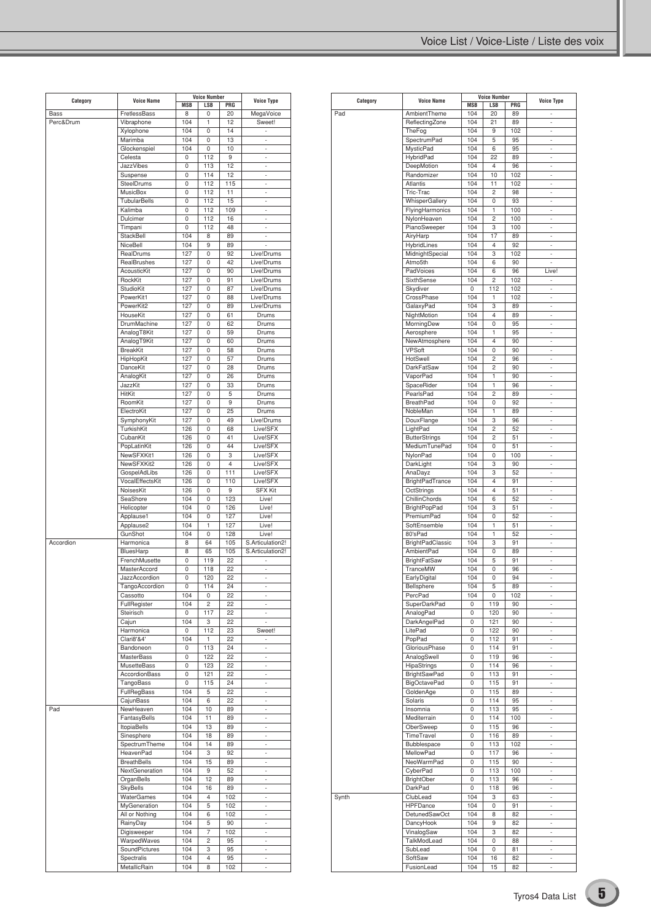|             |                            |            | <b>Voice Number</b> |                |                                |
|-------------|----------------------------|------------|---------------------|----------------|--------------------------------|
| Category    | <b>Voice Name</b>          | MSB        | LSB                 | PRG            | <b>Voice Type</b>              |
| <b>Bass</b> | FretlessBass               | 8          | 0                   | 20             | MegaVoice                      |
| Perc&Drum   | Vibraphone                 | 104        | 1                   | 12             | Sweet!                         |
|             | Xylophone                  | 104        | 0                   | 14             | ÷.                             |
|             | Marimba                    | 104        | 0                   | 13             | ÷,                             |
|             | Glockenspiel               | 104        | 0                   | 10             | ä,                             |
|             | Celesta                    | 0          | 112                 | 9              | ÷.                             |
|             | <b>JazzVibes</b>           | 0          | 113                 | 12             | ÷,                             |
|             | Suspense                   | 0          | 114                 | 12             | ä,                             |
|             | SteelDrums                 | 0          | 112                 | 115            | ÷.                             |
|             | <b>MusicBox</b>            | 0          | 112                 | 11             | ÷,                             |
|             | <b>TubularBells</b>        | 0          | 112                 | 15             | ä,                             |
|             | Kalimba                    | 0          | 112                 | 109            | ×,                             |
|             | Dulcimer                   | 0          | 112                 | 16             | ÷.                             |
|             | Timpani                    | 0          | 112                 | 48             |                                |
|             | StackBell                  | 104        | 8                   | 89             | ×,                             |
|             | NiceBell                   | 104        | 9                   | 89             |                                |
|             | RealDrums                  | 127        | 0                   | 92             | Live!Drums                     |
|             | RealBrushes                | 127        | 0                   | 42             | Live!Drums                     |
|             | AcousticKit                | 127        | 0                   | 90             | Live!Drums                     |
|             | RockKit                    | 127        | 0                   | 91             | Live!Drums                     |
|             | StudioKit                  | 127        | 0                   | 87             | Live!Drums                     |
|             | PowerKit1                  | 127        | 0                   | 88             | Live!Drums                     |
|             | PowerKit2                  | 127        | 0                   | 89             | Live!Drums                     |
|             | HouseKit                   | 127        | 0                   | 61             | Drums                          |
|             | <b>DrumMachine</b>         | 127        | 0                   | 62             | Drums                          |
|             | AnalogT8Kit                | 127        | 0                   | 59             | Drums                          |
|             | AnalogT9Kit                | 127        | 0                   | 60             | <b>Drums</b>                   |
|             | <b>BreakKit</b>            | 127        | 0                   | 58             | Drums                          |
|             | HipHopKit                  | 127        | 0                   | 57             | Drums                          |
|             | DanceKit                   | 127        | 0                   | 28             | <b>Drums</b>                   |
|             | AnalogKit                  | 127        | 0                   | 26             | Drums                          |
|             | JazzKit                    | 127        | 0                   | 33             | Drums                          |
|             | HitKit                     | 127        | 0                   | 5              | <b>Drums</b>                   |
|             | RoomKit                    | 127        |                     | 9              |                                |
|             |                            |            | 0                   |                | Drums                          |
|             | ElectroKit                 | 127        | 0                   | 25             | Drums                          |
|             | SymphonyKit                | 127        | 0                   | 49             | Live!Drums                     |
|             | TurkishKit                 | 126        | 0                   | 68             | Live!SFX                       |
|             | CubanKit                   | 126        | 0                   | 41             | Live!SFX                       |
|             | PopLatinKit                | 126        | 0                   | 44             | Live!SFX                       |
|             | NewSFXKit1                 | 126        | 0                   | 3              | Live!SFX                       |
|             | NewSFXKit2                 | 126        | 0                   | $\overline{4}$ | Live!SFX                       |
|             | GospelAdLibs               | 126        | 0                   | 111            | Live!SFX                       |
|             | VocalEffectsKit            | 126        | 0                   | 110            | Live!SFX                       |
|             | NoisesKit                  | 126        | 0                   | 9              | <b>SFX Kit</b>                 |
|             | SeaShore                   | 104        | 0                   | 123            | Live!                          |
|             | Helicopter                 | 104        | 0                   | 126            | Live!                          |
|             | Applause1                  | 104        | 0                   | 127            | Live!                          |
|             | Applause2                  | 104        | 1                   | 127            | Live!                          |
|             | GunShot                    | 104        | 0                   | 128            | Live!                          |
| Accordion   | Harmonica                  | 8          | 64                  | 105            | S.Articulation2!               |
|             | BluesHarp                  | 8          | 65                  | 105            | S.Articulation2!               |
|             | FrenchMusette              | 0          | 119                 | 22             | ×,                             |
|             | MasterAccord               | 0          | 118                 | 22             |                                |
|             | JazzAccordion              | 0          | 120                 | 22             | ÷,                             |
|             | <b>TangoAccordion</b>      | 0          | 114                 | 24             | ×,                             |
|             | Cassotto                   | 104        | 0                   | 22             | $\overline{\phantom{a}}$       |
|             | FullRegister               | 104        | 2                   | 22             | $\overline{\phantom{a}}$       |
|             | Steirisch                  | 0          | 117                 | 22             | ÷.                             |
|             | Cajun                      | 104        | 3                   | 22             |                                |
|             | Harmonica                  | 0          | 112                 | 23             | Sweet!                         |
|             | Clari8'&4'                 | 104        | 1                   | 22             | ÷.                             |
|             | Bandoneon                  | 0          | 113                 | 24             | $\overline{\phantom{a}}$       |
|             | <b>MasterBass</b>          | 0          | 122                 | 22             | ÷,                             |
|             | MusetteBass                | 0          | 123                 | 22             | ÷.                             |
|             | AccordionBass              | 0          | 121                 | 22             | $\overline{\phantom{a}}$       |
|             | TangoBass                  | 0          | 115                 | 24             | ×,                             |
|             | FullRegBass                | 104        | 5                   | 22             | ÷.                             |
|             | CajunBass                  | 104        | 6                   | 22             | $\overline{\phantom{a}}$       |
| Pad         | NewHeaven                  | 104        | 10                  | 89             | ×,                             |
|             | FantasyBells               | 104        | 11                  | 89             | ÷.                             |
|             | ItopiaBells                | 104        | 13                  | 89             | $\overline{\phantom{a}}$       |
|             | Sinesphere                 | 104        | 18                  | 89             | ×,                             |
|             | SpectrumTheme              | 104        | 14                  | 89             | ÷.                             |
|             | HeavenPad                  | 104        | 3                   | 92             | $\overline{\phantom{a}}$       |
|             | <b>BreathBells</b>         | 104        | 15                  | 89             | ×,                             |
|             | NextGeneration             | 104        | 9                   | 52             | ÷.                             |
|             | OrganBells                 | 104        | 12                  | 89             | $\overline{\phantom{a}}$       |
|             | <b>SkyBells</b>            | 104        | 16                  | 89             | ×,                             |
|             | WaterGames                 | 104        | 4                   | 102            | ÷.                             |
|             | MyGeneration               | 104        | 5                   | 102            | $\overline{\phantom{a}}$       |
|             | All or Nothing             | 104        | 6                   | 102            | $\overline{\phantom{a}}$       |
|             | RainyDay                   | 104        | 5                   | 90             | ÷.                             |
|             |                            | 104        | 7                   | 102            |                                |
|             | Digisweeper                |            | 2                   | 95             | $\overline{\phantom{a}}$       |
|             |                            |            |                     |                | $\overline{\phantom{a}}$       |
|             | WarpedWaves                | 104        |                     |                |                                |
|             | SoundPictures              | 104        | 3                   | 95             | $\overline{\phantom{a}}$       |
|             | Spectralis<br>MetallicRain | 104<br>104 | 4<br>8              | 95<br>102      | $\overline{\phantom{a}}$<br>÷. |

| Category | <b>Voice Name</b>       | <b>Voice Number</b> |                |     | <b>Voice Type</b> |
|----------|-------------------------|---------------------|----------------|-----|-------------------|
|          |                         | <b>MSB</b>          | LSB            | PRG |                   |
| Pad      | AmbientTheme            | 104                 | 20             | 89  |                   |
|          | ReflectingZone          | 104                 | 21             | 89  | ä,                |
|          | TheFog                  | 104                 | 9              | 102 | ٠                 |
|          | SpectrumPad             | 104                 | 5              | 95  | ÷                 |
|          | <b>MysticPad</b>        | 104                 | 6              | 95  | ÷                 |
|          |                         |                     |                |     |                   |
|          | <b>HybridPad</b>        | 104                 | 22             | 89  | ٠                 |
|          | DeepMotion              | 104                 | 4              | 96  | ÷                 |
|          | Randomizer              | 104                 | 10             | 102 | ÷                 |
|          | Atlantis                | 104                 | 11             | 102 | ٠                 |
|          | Tric-Trac               | 104                 | $\overline{c}$ | 98  | ÷                 |
|          | WhisperGallery          | 104                 | 0              | 93  | ä,                |
|          | FlyingHarmonics         | 104                 | 1              | 100 |                   |
|          |                         |                     |                |     | ٠                 |
|          | NylonHeaven             | 104                 | $\overline{c}$ | 100 | ÷                 |
|          | PianoSweeper            | 104                 | 3              | 100 | ä,                |
|          | AiryHarp                | 104                 | 17             | 89  | ٠                 |
|          | HybridLines             | 104                 | 4              | 92  | ÷                 |
|          | MidnightSpecial         | 104                 | 3              | 102 | ä,                |
|          | Atmo5th                 | 104                 | 6              | 90  | ٠                 |
|          |                         | 104                 | 6              | 96  | Live!             |
|          | PadVoices               |                     |                |     |                   |
|          | SixthSense              | 104                 | $\overline{c}$ | 102 | ä,                |
|          | Skydiver                | 0                   | 112            | 102 | ٠                 |
|          | CrossPhase              | 104                 | 1              | 102 | ÷,                |
|          | GalaxyPad               | 104                 | 3              | 89  | ä,                |
|          | NightMotion             | 104                 | $\overline{4}$ | 89  | ٠                 |
|          | MorningDew              | 104                 | 0              | 95  | ÷                 |
|          |                         |                     |                |     |                   |
|          | Aerosphere              | 104                 | 1              | 95  | ä,                |
|          | NewAtmosphere           | 104                 | $\overline{4}$ | 90  | ٠                 |
|          | <b>VPSoft</b>           | 104                 | 0              | 90  | ÷                 |
|          | HotSwell                | 104                 | $\overline{c}$ | 96  | ä,                |
|          | DarkFatSaw              | 104                 | $\overline{c}$ | 90  | ٠                 |
|          | VaporPad                | 104                 | 1              | 90  | ÷                 |
|          |                         |                     | 1              | 96  | ä,                |
|          | SpaceRider              | 104                 |                |     |                   |
|          | PearlsPad               | 104                 | $\overline{c}$ | 89  | ٠                 |
|          | <b>BreathPad</b>        | 104                 | 0              | 92  | ÷                 |
|          | NobleMan                | 104                 | 1              | 89  | ä,                |
|          | DouxFlange              | 104                 | 3              | 96  | ٠                 |
|          | LightPad                | 104                 | $\overline{c}$ | 52  | ÷                 |
|          | <b>ButterStrings</b>    | 104                 | $\overline{c}$ | 51  | ä,                |
|          |                         |                     |                |     |                   |
|          | MediumTunePad           | 104                 | 0              | 51  | ٠                 |
|          | NylonPad                | 104                 | 0              | 100 | ÷                 |
|          | DarkLight               | 104                 | 3              | 90  | ä,                |
|          | AnaDayz                 | 104                 | 3              | 52  | ٠                 |
|          | BrightPadTrance         | 104                 | 4              | 91  | ÷,                |
|          | OctStrings              | 104                 | $\overline{4}$ | 51  | ä,                |
|          | ChillinChords           | 104                 | 6              | 52  | ٠                 |
|          |                         |                     |                |     |                   |
|          | <b>BrightPopPad</b>     | 104                 | 3              | 51  | ÷,                |
|          | PremiumPad              | 104                 | 0              | 52  | ä,                |
|          | SoftEnsemble            | 104                 | 1              | 51  | ٠                 |
|          | 80'sPad                 | 104                 | 1              | 52  | ÷                 |
|          | <b>BrightPadClassic</b> | 104                 | 3              | 91  | ä,                |
|          | AmbientPad              | 104                 | 0              | 89  | ٠                 |
|          | <b>BrightFatSaw</b>     | 104                 | 5              | 91  | i,                |
|          |                         |                     |                |     |                   |
|          | TranceMW                | 104                 | 0              | 96  | ä,                |
|          | EarlyDigital            | 104                 | 0              | 94  | ٠                 |
|          | Bellsphere              | 104                 | 5              | 89  |                   |
|          | PercPad                 | 104                 | 0              | 102 | ä,                |
|          | SuperDarkPad            | 0                   | 119            | 90  | ٠                 |
|          | AnalogPad               | 0                   | 120            | 90  | ÷,                |
|          | DarkAngelPad            | 0                   | 121            | 90  | ÷                 |
|          |                         |                     |                |     |                   |
|          | LitePad                 | 0                   | 122            | 90  | ٠                 |
|          | PopPad                  | 0                   | 112            | 91  | ÷                 |
|          | GloriousPhase           | 0                   | 114            | 91  | ÷                 |
|          | AnalogSwell             | 0                   | 119            | 96  | ٠                 |
|          | HipaStrings             | 0                   | 114            | 96  | ÷                 |
|          | <b>BrightSawPad</b>     | 0                   | 113            | 91  | ÷                 |
|          | <b>BigOctavePad</b>     | 0                   | 115            | 91  | ٠                 |
|          |                         |                     |                |     |                   |
|          | GoldenAge               | 0                   | 115            | 89  | ÷,                |
|          | Solaris                 | 0                   | 114            | 95  | ÷,                |
|          | Insomnia                | 0                   | 113            | 95  | ٠                 |
|          | Mediterrain             | 0                   | 114            | 100 | ÷,                |
|          | OberSweep               | 0                   | 115            | 96  | ä,                |
|          | TimeTravel              | 0                   | 116            | 89  | ٠                 |
|          |                         | 0                   | 113            | 102 | ÷,                |
|          | Bubblespace             |                     |                |     |                   |
|          | MellowPad               | 0                   | 117            | 96  | ä,                |
|          | NeoWarmPad              | 0                   | 115            | 90  | ٠                 |
|          | CyberPad                | 0                   | 113            | 100 | ÷,                |
|          | BrightOber              | 0                   | 113            | 96  | ä,                |
|          | DarkPad                 | 0                   | 118            | 96  | ٠                 |
| Synth    | ClubLead                | 104                 | 3              | 63  | ÷,                |
|          |                         |                     |                |     |                   |
|          | HPFDance                | 104                 | 0              | 91  | ä,                |
|          | DetunedSawOct           | 104                 | 8              | 82  | ٠                 |
|          | DancyHook               | 104                 | 9              | 82  | ÷,                |
|          | VinalogSaw              | 104                 | 3              | 82  | ä,                |
|          | TalkModLead             | 104                 | 0              | 88  | ٠                 |
|          | SubLead                 | 104                 | 0              | 81  | ÷.                |
|          | SoftSaw                 | 104                 | 16             | 82  | ä,                |
|          |                         |                     |                |     |                   |
|          | FusionLead              | 104                 | 15             | 82  | ٠                 |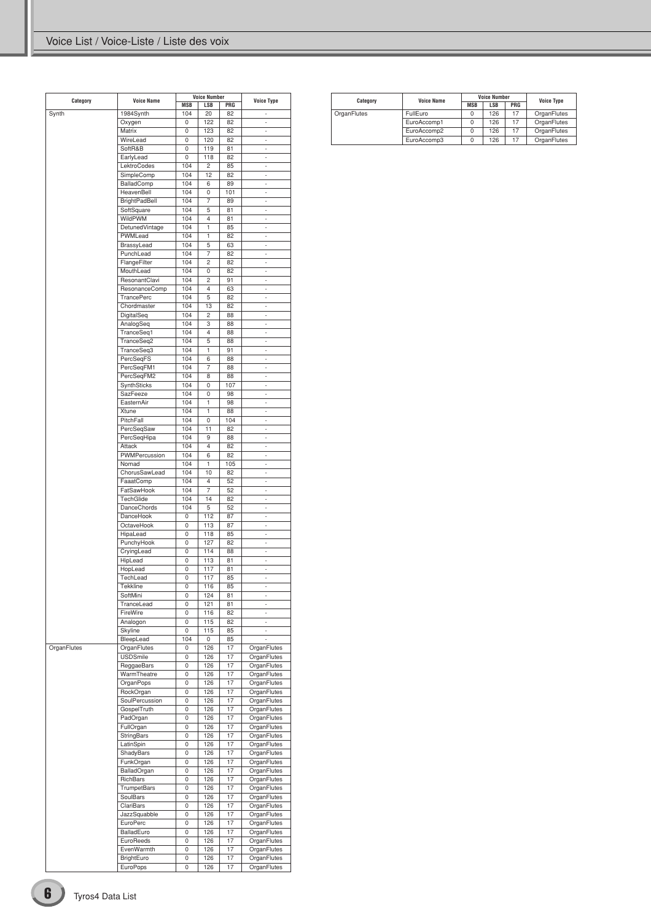| Category    | <b>Voice Name</b>           | MSB        | <b>Voice Number</b><br>LSB | PRG      | <b>Voice Type</b>          |
|-------------|-----------------------------|------------|----------------------------|----------|----------------------------|
| Synth       | 1984Synth                   | 104        | 20                         | 82       | i.                         |
|             | Oxygen                      | 0          | 122                        | 82       | L,                         |
|             | Matrix                      | 0          | 123                        | 82       | ÷,                         |
|             | WireLead                    | 0          | 120                        | 82       | ٠                          |
|             | SoftR&B                     | 0          | 119                        | 81       | L,                         |
|             | EarlyLead                   | 0          | 118                        | 82       | ÷,                         |
|             | LektroCodes                 | 104        | $\overline{c}$             | 85       | i.                         |
|             | SimpleComp                  | 104        | 12                         | 82       | L,                         |
|             | BalladComp                  | 104        | 6                          | 89       | ÷,                         |
|             | HeavenBell                  | 104        | 0                          | 101      | i.                         |
|             | <b>BrightPadBell</b>        | 104        | 7                          | 89       | i,                         |
|             | SoftSquare                  | 104        | 5                          | 81       | ÷,                         |
|             | WildPWM                     | 104        | 4                          | 81       | i.                         |
|             | DetunedVintage<br>PWMLead   | 104<br>104 | 1<br>1                     | 85       | i,<br>÷,                   |
|             | BrassyLead                  | 104        | 5                          | 82<br>63 | i.                         |
|             | PunchLead                   | 104        | 7                          | 82       | i,                         |
|             | FlangeFilter                | 104        | $\overline{c}$             | 82       | ÷,                         |
|             | MouthLead                   | 104        | 0                          | 82       | i.                         |
|             | ResonantClavi               | 104        | $\overline{c}$             | 91       | i,                         |
|             | ResonanceComp               | 104        | 4                          | 63       | ÷,                         |
|             | TrancePerc                  | 104        | 5                          | 82       | i.                         |
|             | Chordmaster                 | 104        | 13                         | 82       | i,                         |
|             | DigitalSeq                  | 104        | $\overline{c}$             | 88       | ÷,                         |
|             | AnalogSeq                   | 104        | 3                          | 88       | i.                         |
|             | TranceSeq1                  | 104        | $\overline{4}$             | 88       | i,                         |
|             | TranceSeq2                  | 104        | 5                          | 88       | ÷,                         |
|             | TranceSeq3                  | 104        | 1                          | 91       | ÷,                         |
|             | PercSeqFS                   | 104        | 6                          | 88       | i,                         |
|             | PercSeqFM1                  | 104        | $\overline{7}$             | 88       | ÷,                         |
|             | PercSeqFM2                  | 104        | 8                          | 88       | ÷,                         |
|             | SynthSticks                 | 104        | 0                          | 107      | i,                         |
|             | SazFeeze                    | 104        | 0                          | 98       | ÷,                         |
|             | EasternAir                  | 104        | 1                          | 98       | ÷,                         |
|             | Xtune                       | 104        | 1                          | 88       | i,                         |
|             | PitchFall                   | 104        | 0                          | 104      | ÷,                         |
|             | PercSeqSaw                  | 104        | 11                         | 82       | ÷,                         |
|             | PercSeqHipa                 | 104        | 9                          | 88       | i,                         |
|             | Attack                      | 104        | 4                          | 82       | ÷,                         |
|             | PWMPercussion               | 104        | 6                          | 82       | ÷,                         |
|             | Nomad                       | 104        | 1<br>10                    | 105      | ä,                         |
|             | ChorusSawLead<br>FaaatComp  | 104<br>104 | 4                          | 82<br>52 | ÷,<br>×,                   |
|             | FatSawHook                  | 104        | 7                          | 52       | ä,                         |
|             | TechGlide                   | 104        | 14                         | 82       | ÷,                         |
|             | <b>DanceChords</b>          | 104        | 5                          | 52       | ×,                         |
|             | DanceHook                   | 0          | 112                        | 87       | ä,                         |
|             | OctaveHook                  | 0          | 113                        | 87       | ÷,                         |
|             | HipaLead                    | 0          | 118                        | 85       | ×,                         |
|             | PunchyHook                  | 0          | 127                        | 82       | ä,                         |
|             | CryingLead                  | 0          | 114                        | 88       | ÷,                         |
|             | HipLead                     | 0          | 113                        | 81       | ×,                         |
|             | HopLead                     | 0          | 117                        | 81       | ÷,                         |
|             | TechLead                    | 0          | 117                        | 85       | ÷,                         |
|             | I ekkline                   | U          | 116                        | 85       | ٠                          |
|             | SoftMini                    | 0          | 124                        | 81       | ÷                          |
|             | TranceLead                  | 0          | 121                        | 81       | ÷.                         |
|             | FireWire                    | 0          | 116                        | 82       | $\overline{\phantom{a}}$   |
|             | Analogon                    | 0          | 115                        | 82       | ł,                         |
|             | Skyline                     | 0          | 115                        | 85       | ÷,                         |
|             | BleepLead                   | 104        | 0                          | 85       | ×,                         |
| OrganFlutes | OrganFlutes                 | 0          | 126                        | 17       | OrganFlutes                |
|             | <b>USDSmile</b>             | 0          | 126                        | 17       | OrganFlutes                |
|             | ReggaeBars                  | 0          | 126                        | 17       | OrganFlutes                |
|             | WarmTheatre                 | 0          | 126                        | 17       | OrganFlutes                |
|             | OrganPops                   | 0          | 126                        | 17<br>17 | OrganFlutes                |
|             | RockOrgan<br>SoulPercussion | 0<br>0     | 126<br>126                 | 17       | OrganFlutes<br>OrganFlutes |
|             | GospelTruth                 | 0          | 126                        | 17       | OrganFlutes                |
|             | PadOrgan                    | 0          | 126                        | 17       | OrganFlutes                |
|             | FullOrgan                   | 0          | 126                        | 17       | OrganFlutes                |
|             | StringBars                  | 0          | 126                        | 17       | OrganFlutes                |
|             | LatinSpin                   | 0          | 126                        | 17       | OrganFlutes                |
|             | ShadyBars                   | 0          | 126                        | 17       | OrganFlutes                |
|             | FunkOrgan                   | 0          | 126                        | 17       | OrganFlutes                |
|             | BalladOrgan                 | 0          | 126                        | 17       | OrganFlutes                |
|             | RichBars                    | 0          | 126                        | 17       | OrganFlutes                |
|             | TrumpetBars                 | 0          | 126                        | 17       | OrganFlutes                |
|             | SoulBars                    | 0          | 126                        | 17       | OrganFlutes                |
|             | ClariBars                   | 0          | 126                        | 17       | OrganFlutes                |
|             | JazzSquabble                | 0          | 126                        | 17       | OrganFlutes                |
|             | EuroPerc                    | 0          | 126                        | 17       | OrganFlutes                |
|             | BalladEuro                  | 0          | 126                        | 17       | OrganFlutes                |
|             | EuroReeds                   | 0          | 126                        | 17       | OrganFlutes                |
|             | EvenWarmth                  | 0          | 126                        | 17       | OrganFlutes                |
|             | BrightEuro                  | 0          | 126                        | 17       | OrganFlutes                |
|             | EuroPops                    | 0          | 126                        | 17       | OrganFlutes                |
|             |                             |            |                            |          |                            |

| Category    | <b>Voice Name</b> |            | <b>Voice Number</b> | <b>Voice Type</b> |             |
|-------------|-------------------|------------|---------------------|-------------------|-------------|
|             |                   | <b>MSB</b> | <b>LSB</b>          | PRG               |             |
| OrganFlutes | FullEuro          |            | 126                 | 17                | OrganFlutes |
|             | EuroAccomp1       |            | 126                 | 17                | OrganFlutes |
|             | EuroAccomp2       |            | 126                 | 17                | OrganFlutes |
|             | EuroAccomp3       |            | 126                 | 17                | OrganFlutes |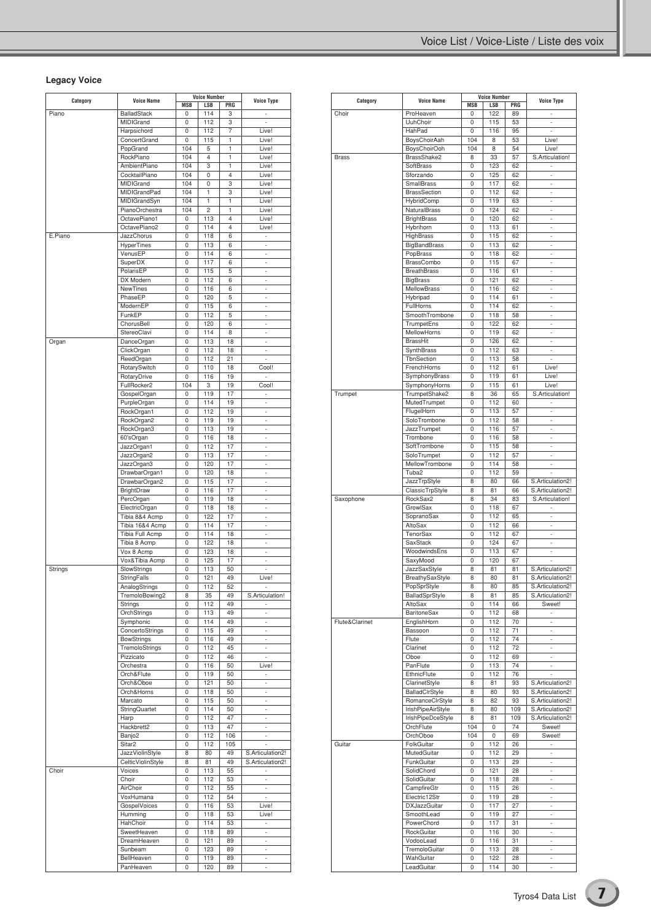### **Legacy Voice**

| Category       | <b>Voice Name</b>                  | <b>MSB</b> | <b>Voice Number</b><br><b>LSB</b> | PRG                     | <b>Voice Type</b>              |
|----------------|------------------------------------|------------|-----------------------------------|-------------------------|--------------------------------|
| Piano          | <b>BalladStack</b>                 | 0          | 114                               | 3                       | ×,                             |
|                | <b>MIDIGrand</b>                   | 0          | 112                               | 3                       | i,                             |
|                | Harpsichord                        | 0          | 112                               | 7                       | Live!                          |
|                | ConcertGrand                       | 0          | 115                               | 1                       | Live!                          |
|                | PopGrand                           | 104        | 5                                 | 1                       | Live!                          |
|                | RockPiano                          | 104        | 4                                 | 1                       | Live!                          |
|                | <b>AmbientPiano</b>                | 104        | 3                                 | 1                       | Live!                          |
|                | CocktailPiano                      | 104        | 0                                 | $\overline{4}$          | Live!                          |
|                | MIDIGrand                          | 104        | 0                                 | 3                       | Live!                          |
|                | <b>MIDIGrandPad</b>                | 104        | 1                                 | 3                       | Live!                          |
|                | MIDIGrandSyn                       | 104        | 1                                 | 1                       | Live!                          |
|                | PianoOrchestra                     | 104        | $\overline{c}$                    | 1                       | Live!                          |
|                | OctavePiano1                       | 0          | 113                               | $\overline{\mathbf{4}}$ | Live!                          |
|                | OctavePiano2                       | 0          | 114                               | 4                       | Live!                          |
| E.Piano        | JazzChorus                         | 0          | 118                               | 6                       | ä,                             |
|                | HyperTines                         | 0          | 113                               | 6                       | ×,                             |
|                | VenusEP                            | 0          | 114                               | 6                       | ÷.<br>J.                       |
|                | SuperDX<br>PolarisEP               | 0<br>0     | 117<br>115                        | 6<br>5                  | ×,                             |
|                | DX Modern                          | 0          | 112                               | 6                       | ÷.                             |
|                | <b>NewTines</b>                    | 0          | 116                               | 6                       | J.                             |
|                | PhaseEP                            | 0          | 120                               | 5                       | ×,                             |
|                | ModernEP                           | 0          | 115                               | 6                       | ÷.                             |
|                | FunkEP                             | 0          | 112                               | 5                       | J.                             |
|                | ChorusBell                         | 0          | 120                               | 6                       | ×,                             |
|                | StereoClavi                        | 0          | 114                               | 8                       | ÷.                             |
| Organ          | DanceOrgan                         | 0          | 113                               | 18                      | ä,                             |
|                | ClickOrgan                         | 0          | 112                               | 18                      | ×,                             |
|                | ReedOrgan                          | 0          | 112                               | 21                      | ÷,                             |
|                | RotarySwitch                       | 0          | 110                               | 18                      | Cool!                          |
|                | RotaryDrive                        | 0          | 116                               | 19                      | ÷.                             |
|                | FullRocker2                        | 104        | 3                                 | 19                      | Cool!                          |
|                | GospelOrgan                        | 0          | 119                               | 17                      | J.                             |
|                | PurpleOrgan                        | 0          | 114                               | 19                      | ×,                             |
|                | RockOrgan1                         | 0          | 112                               | 19                      | ÷.                             |
|                | RockOrgan2                         | 0          | 119                               | 19                      | J.                             |
|                | RockOrgan3                         | 0          | 113                               | 19                      | ×,                             |
|                | 60'sOrgan                          | 0          | 116                               | 18                      | ÷.                             |
|                | JazzOrgan1                         | 0          | 112                               | 17                      | J.                             |
|                | JazzOrgan2                         | 0          | 113                               | 17                      | ×,                             |
|                | JazzOrgan3                         | 0          | 120                               | 17                      | ÷.<br>J.                       |
|                | DrawbarOrgan1                      | 0<br>0     | 120<br>115                        | 18<br>17                | ×,                             |
|                | DrawbarOrgan2<br><b>BrightDraw</b> | 0          | 116                               | 17                      | $\overline{\phantom{a}}$       |
|                | PercOrgan                          | 0          | 119                               | 18                      | J.                             |
|                | ElectricOrgan                      | 0          | 118                               | 18                      | ×,                             |
|                | Tibia 8&4 Acmp                     | 0          | 122                               | 17                      | $\overline{\phantom{a}}$       |
|                | Tibia 16&4 Acmp                    | 0          | 114                               | 17                      | J.                             |
|                | <b>Tibia Full Acmp</b>             | 0          | 114                               | 18                      | ×,                             |
|                | Tibia 8 Acmp                       | 0          | 122                               | 18                      | $\overline{\phantom{a}}$       |
|                | Vox 8 Acmp                         | 0          | 123                               | 18                      | J.                             |
|                | Vox&Tibia Acmp                     | 0          | 125                               | 17                      | ×,                             |
| <b>Strings</b> | SlowStrings                        | 0          | 113                               | 50                      | $\overline{\phantom{a}}$       |
|                | <b>StringFalls</b>                 | 0          | 121                               | 49                      | Live!                          |
|                | AnalogStrings                      | 0          | 112                               | 52                      |                                |
|                | TremoloBowing2                     | 8          | 35                                | 49                      | S.Articulation!                |
|                | Strings                            | 0          | 112                               | 49                      |                                |
|                | OrchStrings                        | 0          | 113                               | 49                      | ä,                             |
|                | Symphonic                          | 0          | 114                               | 49                      | $\overline{\phantom{a}}$       |
|                | ConcertoStrings                    | 0          | 115                               | 49                      | ä,                             |
|                | <b>BowStrings</b>                  | 0          | 116                               | 49                      | ×,                             |
|                | TremoloStrings                     | 0          | 112                               | 45                      | $\overline{\phantom{a}}$       |
|                | Pizzicato                          | 0          | 112                               | 46                      | ä,                             |
|                | Orchestra                          | 0          | 116                               | 50                      | Live!                          |
|                | Orch&Flute                         | 0          | 119                               | 50                      | $\overline{\phantom{a}}$<br>ä, |
|                | Orch&Oboe                          | 0          | 121                               | 50                      |                                |
|                | Orch&Horns<br>Marcato              | 0<br>0     | 118<br>115                        | 50<br>50                | ÷.                             |
|                | StringQuartet                      | 0          | 114                               | 50                      | $\overline{\phantom{a}}$<br>ä, |
|                | Harp                               | 0          | 112                               | 47                      | ÷.                             |
|                | Hackbrett2                         | 0          | 113                               | 47                      | ٠                              |
|                | Banjo <sub>2</sub>                 | 0          | 112                               | 106                     | ä,                             |
|                | Sitar <sub>2</sub>                 | 0          | 112                               | 105                     | ä,                             |
|                | <b>JazzViolinStyle</b>             | 8          | 80                                | 49                      | S.Articulation2!               |
|                | CelticViolinStyle                  | 8          | 81                                | 49                      | S.Articulation2!               |
| Choir          | Voices                             | 0          | 113                               | 55                      | ÷.                             |
|                | Choir                              | 0          | 112                               | 53                      | $\overline{\phantom{a}}$       |
|                | AirChoir                           | 0          | 112                               | 55                      | ä,                             |
|                | VoxHumana                          | 0          | 112                               | 54                      | ÷.                             |
|                | GospelVoices                       | 0          | 116                               | 53                      | Live!                          |
|                | Humming                            | 0          | 118                               | 53                      | Live!                          |
|                | HahChoir                           | 0          | 114                               | 53                      | $\overline{\phantom{a}}$       |
|                | SweetHeaven                        | 0          | 118                               | 89                      | ÷.                             |
|                | DreamHeaven                        | 0          | 121                               | 89                      | ä,                             |
|                | Sunbeam                            | 0          | 123                               | 89                      | $\overline{\phantom{a}}$       |
|                | BellHeaven                         | 0          | 119                               | 89                      | ۰                              |
|                | PanHeaven                          | 0          | 120                               | 89                      |                                |

|                |                     | <b>Voice Number</b> |            |     |                   |
|----------------|---------------------|---------------------|------------|-----|-------------------|
| Category       | <b>Voice Name</b>   | <b>MSB</b>          | <b>LSB</b> | PRG | <b>Voice Type</b> |
| Choir          | ProHeaven           | 0                   | 122        | 89  |                   |
|                | UuhChoir            | 0                   | 115        | 53  | ä,                |
|                | HahPad              | 0                   | 116        | 95  | ä,                |
|                |                     |                     |            |     |                   |
|                | BoysChoirAah        | 104                 | 8          | 53  | Live!             |
|                | <b>BoysChoirOoh</b> | 104                 | 8          | 54  | Live!             |
| <b>Brass</b>   | BrassShake2         | 8                   | 33         | 57  | S.Articulation!   |
|                | SoftBrass           | 0                   | 123        | 62  | i,                |
|                | Sforzando           | 0                   | 125        | 62  |                   |
|                | <b>SmallBrass</b>   | 0                   | 117        | 62  | ä,                |
|                | <b>BrassSection</b> | 0                   | 112        | 62  | ä,                |
|                |                     | 0                   |            |     |                   |
|                | HybridComp          |                     | 119        | 63  |                   |
|                | <b>NaturalBrass</b> | 0                   | 124        | 62  | ä,                |
|                | <b>BrightBrass</b>  | 0                   | 120        | 62  | ä,                |
|                | Hybrihorn           | 0                   | 113        | 61  |                   |
|                | HighBrass           | 0                   | 115        | 62  | ä,                |
|                | BigBandBrass        | 0                   | 113        | 62  | ä,                |
|                | PopBrass            | 0                   | 118        | 62  |                   |
|                | <b>BrassCombo</b>   | 0                   | 115        | 67  | ä,                |
|                |                     | 0                   |            | 61  | ä,                |
|                | <b>BreathBrass</b>  |                     | 116        |     |                   |
|                | <b>BigBrass</b>     | 0                   | 121        | 62  |                   |
|                | MellowBrass         | 0                   | 116        | 62  | ä,                |
|                | Hybripad            | 0                   | 114        | 61  | ä,                |
|                | FullHorns           | 0                   | 114        | 62  |                   |
|                | SmoothTrombone      | 0                   | 118        | 58  | ä,                |
|                | TrumpetEns          | 0                   | 122        | 62  | ä,                |
|                |                     |                     |            |     |                   |
|                | MellowHorns         | 0                   | 119        | 62  |                   |
|                | <b>BrassHit</b>     | 0                   | 126        | 62  | ä,                |
|                | SynthBrass          | 0                   | 112        | 63  | ÷                 |
|                | TbnSection          | 0                   | 113        | 58  |                   |
|                | FrenchHorns         | 0                   | 112        | 61  | Live!             |
|                | SymphonyBrass       | 0                   | 119        | 61  | Live!             |
|                |                     | 0                   | 115        | 61  | Live!             |
|                | SymphonyHorns       |                     |            |     |                   |
| Trumpet        | TrumpetShake2       | 8                   | 36         | 65  | S.Articulation!   |
|                | MutedTrumpet        | 0                   | 112        | 60  | ÷                 |
|                | FlugelHorn          | 0                   | 113        | 57  |                   |
|                | SoloTrombone        | 0                   | 112        | 58  | ä,                |
|                | JazzTrumpet         | 0                   | 116        | 57  | ä,                |
|                | Trombone            | 0                   | 116        | 58  |                   |
|                | SoftTrombone        | 0                   | 115        | 58  | ä,                |
|                |                     |                     |            |     |                   |
|                | SoloTrumpet         | 0                   | 112        | 57  | ä,                |
|                | MellowTrombone      | 0                   | 114        | 58  |                   |
|                | Tuba <sub>2</sub>   | 0                   | 112        | 59  |                   |
|                | JazzTrpStyle        | 8                   | 80         | 66  | S.Articulation2!  |
|                | ClassicTrpStyle     | 8                   | 81         | 66  | S.Articulation2!  |
| Saxophone      | RockSax2            | 8                   | 34         | 83  | S.Articulation!   |
|                |                     |                     |            |     |                   |
|                | GrowlSax            | 0                   | 118        | 67  | i,                |
|                | SopranoSax          | 0                   | 112        | 65  |                   |
|                | AltoSax             | 0                   | 112        | 66  | ä,                |
|                | TenorSax            | 0                   | 112        | 67  | ä,                |
|                | <b>SaxStack</b>     | 0                   | 124        | 67  |                   |
|                | WoodwindsEns        | 0                   | 113        | 67  | ä,                |
|                | SaxyMood            | 0                   | 120        | 67  |                   |
|                |                     |                     |            |     |                   |
|                | <b>JazzSaxStyle</b> | 8                   | 81         | 81  | S.Articulation2!  |
|                | BreathySaxStyle     | 8                   | 80         | 81  | S.Articulation2!  |
|                | PopSprStyle         | 8                   | 80         | 85  | S.Articulation2!  |
|                | BalladSprStyle      | 8                   | 81         | 85  | S.Articulation2!  |
|                | AltoSax             | 0                   | 114        | 66  | Sweet!            |
|                | BaritoneSax         | 0                   | 112        | 68  | ÷,                |
| Flute&Clarinet | EnglishHorn         | 0                   | 112        | 70  |                   |
|                |                     |                     |            |     |                   |
|                | Bassoon             | 0                   | 112        | 71  | ä,                |
|                | Flute               | 0                   | 112        | 74  | ÷                 |
|                | Clarinet            | 0                   | 112        | 72  |                   |
|                | Oboe                | 0                   | 112        | 69  | à.                |
|                | PanFlute            | 0                   | 113        | 74  | ä,                |
|                | EthnicFlute         | 0                   | 112        | 76  |                   |
|                | ClarinetStyle       | 8                   | 81         | 93  |                   |
|                |                     |                     |            |     | S.Articulation2!  |
|                | BalladClrStyle      | 8                   | 80         | 93  | S.Articulation2!  |
|                | RomanceClrStyle     | 8                   | 82         | 93  | S.Articulation2!  |
|                | IrishPipeAirStyle   | 8                   | 80         | 109 | S.Articulation2!  |
|                | IrishPipeDceStyle   | 8                   | 81         | 109 | S.Articulation2!  |
|                | OrchFlute           | 104                 | 0          | 74  | Sweet!            |
|                | OrchOboe            | 104                 | 0          | 69  | Sweet!            |
|                | FolkGuitar          | 0                   | 112        | 26  | ÷,                |
| Guitar         |                     |                     |            |     |                   |
|                | MutedGuitar         | 0                   | 112        | 29  |                   |
|                | FunkGuitar          | 0                   | 113        | 29  | à.                |
|                | SolidChord          | 0                   | 121        | 28  | ä,                |
|                | SolidGuitar         | 0                   | 118        | 28  |                   |
|                | CampfireGtr         | 0                   | 115        | 26  | ä,                |
|                | Electric12Str       | 0                   | 119        | 28  | ÷.                |
|                | <b>DXJazzGuitar</b> | 0                   | 117        | 27  |                   |
|                |                     |                     |            |     |                   |
|                | SmoothLead          | 0                   | 119        | 27  | ä,                |
|                | PowerChord          | 0                   | 117        | 31  | ÷.                |
|                | RockGuitar          | 0                   | 116        | 30  |                   |
|                | VodooLead           | 0                   | 116        | 31  | ä,                |
|                | TremoloGuitar       | 0                   | 113        | 28  | ÷.                |
|                | WahGuitar           | 0                   | 122        | 28  |                   |
|                | LeadGuitar          | 0                   | 114        | 30  | ä,                |
|                |                     |                     |            |     |                   |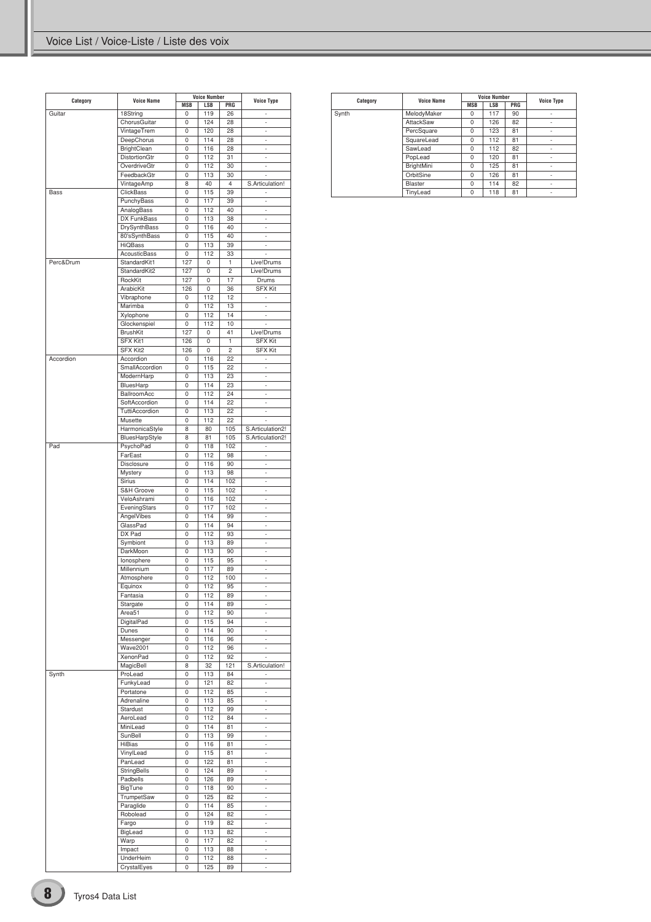| Category  | <b>Voice Name</b>           | <b>MSB</b> | <b>Voice Number</b><br>LSB | PRG            | <b>Voice Type</b>              |
|-----------|-----------------------------|------------|----------------------------|----------------|--------------------------------|
| Guitar    | 18String                    | 0          | 119                        | 26             | i.                             |
|           | ChorusGuitar                | 0          | 124                        | 28             | $\overline{\phantom{m}}$       |
|           | VintageTrem                 | 0          | 120<br>114                 | 28<br>28       | L,                             |
|           | DeepChorus<br>BrightClean   | 0<br>0     | 116                        | 28             | ÷,<br>$\overline{\phantom{m}}$ |
|           | DistortionGtr               | 0          | 112                        | 31             | L,                             |
|           | OverdriveGtr                | 0          | 112                        | 30             | ×,                             |
|           | FeedbackGtr                 | 0          | 113                        | 30             |                                |
|           | VintageAmp                  | 8          | 40                         | 4              | S.Articulation!                |
| Bass      | ClickBass                   | 0          | 115                        | 39             | ä,                             |
|           | PunchyBass                  | 0          | 117                        | 39             | ÷,                             |
|           | AnalogBass                  | 0          | 112                        | 40             | L,                             |
|           | DX FunkBass<br>DrySynthBass | 0<br>0     | 113<br>116                 | 38<br>40       | ÷,<br>÷.                       |
|           | 80'sSynthBass               | 0          | 115                        | 40             | L,                             |
|           | <b>HiQBass</b>              | 0          | 113                        | 39             | ×,                             |
|           | <b>AcousticBass</b>         | 0          | 112                        | 33             | ä,                             |
| Perc&Drum | StandardKit1                | 127        | 0                          | $\mathbf{1}$   | Live!Drums                     |
|           | StandardKit2                | 127        | 0                          | $\overline{c}$ | Live!Drums                     |
|           | RockKit                     | 127        | 0                          | 17             | Drums                          |
|           | ArabicKit<br>Vibraphone     | 126<br>0   | 0<br>112                   | 36<br>12       | <b>SFX Kit</b><br>÷.           |
|           | Marimba                     | 0          | 112                        | 13             | ÷.                             |
|           | Xylophone                   | 0          | 112                        | 14             | L,                             |
|           | Glockenspiel                | 0          | 112                        | 10             | ×,                             |
|           | <b>BrushKit</b>             | 127        | 0                          | 41             | Live!Drums                     |
|           | <b>SFX Kit1</b>             | 126        | 0                          | $\mathbf{1}$   | <b>SFX Kit</b>                 |
|           | SFX Kit2                    | 126        | 0                          | $\overline{c}$ | <b>SFX Kit</b>                 |
| Accordion | Accordion                   | 0          | 116                        | 22             | ÷,                             |
|           | SmallAccordion              | 0<br>0     | 115<br>113                 | 22<br>23       | ä,<br>×,                       |
|           | ModernHarp<br>BluesHarp     | 0          | 114                        | 23             | ÷.                             |
|           | BallroomAcc                 | 0          | 112                        | 24             | ä,                             |
|           | SoftAccordion               | 0          | 114                        | 22             | ×,                             |
|           | TuttiAccordion              | 0          | 113                        | 22             | $\overline{\phantom{a}}$       |
|           | Musette                     | 0          | 112                        | 22             |                                |
|           | HarmonicaStyle              | 8          | 80                         | 105            | S.Articulation2!               |
|           | BluesHarpStyle              | 8          | 81                         | 105            | S.Articulation2!               |
| Pad       | PsychoPad                   | 0          | 118                        | 102            | l,                             |
|           | FarEast<br>Disclosure       | 0<br>0     | 112                        | 98<br>90       | ä,                             |
|           | Mystery                     | 0          | 116<br>113                 | 98             | ÷.<br>L,                       |
|           | Sirius                      | 0          | 114                        | 102            | ÷,                             |
|           | S&H Groove                  | 0          | 115                        | 102            | ÷.                             |
|           | VeloAshrami                 | 0          | 116                        | 102            | L,                             |
|           | EveningStars                | 0          | 117                        | 102            | ÷,                             |
|           | AngelVibes                  | 0          | 114                        | 99             | ÷.                             |
|           | GlassPad                    | 0          | 114                        | 94             | ä,                             |
|           | DX Pad                      | 0<br>0     | 112                        | 93<br>89       | ÷,                             |
|           | Symbiont<br>DarkMoon        | 0          | 113<br>113                 | 90             | ÷.<br>ä,                       |
|           | lonosphere                  | 0          | 115                        | 95             | ä,                             |
|           | Millennium                  | 0          | 117                        | 89             | ÷,                             |
|           | Atmosphere                  | 0          | 112                        | 100            | L,                             |
|           | Equinox                     | 0          | 112                        | 95             | i.                             |
|           | Fantasia                    | 0          | 112                        | 89             | ÷,                             |
|           | Stargate                    | 0          | 114                        | 89             | L,                             |
|           | Area51                      | 0          | 112                        | 90             | ÷,                             |
|           | DigitalPad<br>Dunes         | 0<br>0     | 115<br>114                 | 94<br>90       | ä,<br>L,                       |
|           | Messenger                   | 0          | 116                        | 96             | ÷,                             |
|           | <b>Wave2001</b>             | 0          | 112                        | 96             | $\overline{\phantom{m}}$       |
|           | XenonPad                    | 0          | 112                        | 92             | l,                             |
|           | MagicBell                   | 8          | 32                         | 121            | S.Articulation!                |
| Synth     | ProLead                     | 0          | 113                        | 84             | ÷,                             |
|           | FunkyLead                   | 0          | 121                        | 82             | L,                             |
|           | Portatone                   | 0          | 112                        | 85             | ä,                             |
|           | Adrenaline                  | 0          | 113                        | 85             | ä,<br>L,                       |
|           | Stardust<br>AeroLead        | 0<br>0     | 112<br>112                 | 99<br>84       | ä,                             |
|           | MiniLead                    | 0          | 114                        | 81             | $\overline{\phantom{m}}$       |
|           | SunBell                     | 0          | 113                        | 99             | L,                             |
|           | HiBias                      | 0          | 116                        | 81             | L,                             |
|           | VinylLead                   | 0          | 115                        | 81             | $\overline{\phantom{m}}$       |
|           | PanLead                     | 0          | 122                        | 81             | L,                             |
|           | StringBells                 | 0          | 124                        | 89             | L,                             |
|           | Padbells                    | 0          | 126                        | 89             | $\overline{\phantom{m}}$       |
|           | BigTune                     | 0<br>0     | 118                        | 90<br>82       | L,<br>L,                       |
|           | TrumpetSaw<br>Paraglide     | 0          | 125<br>114                 | 85             | $\overline{\phantom{m}}$       |
|           | Robolead                    | 0          | 124                        | 82             | L,                             |
|           | Fargo                       | 0          | 119                        | 82             | ä,                             |
|           | BigLead                     | 0          | 113                        | 82             | $\overline{\phantom{m}}$       |
|           | Warp                        | 0          | 117                        | 82             | L,                             |
|           | Impact                      | 0          | 113                        | 88             | ä,                             |
|           | UnderHeim                   | 0          | 112                        | 88             | $\overline{\phantom{m}}$       |
|           | CrystalEyes                 | 0          | 125                        | 89             | L,                             |

| Category | <b>Voice Name</b> |            | <b>Voice Number</b> |     | <b>Voice Type</b> |
|----------|-------------------|------------|---------------------|-----|-------------------|
|          |                   | <b>MSB</b> | <b>LSB</b>          | PRG |                   |
| Synth    | MelodyMaker       | $\Omega$   | 117                 | 90  | ۰                 |
|          | AttackSaw         | 0          | 126                 | 82  | ٠                 |
|          | PercSquare        | $\Omega$   | 123                 | 81  | ٠                 |
|          | SquareLead        | $\Omega$   | 112                 | 81  | ٠                 |
|          | SawLead           | $\Omega$   | 112                 | 82  | ٠                 |
|          | PopLead           | $\Omega$   | 120                 | 81  | ٠                 |
|          | BrightMini        | $\Omega$   | 125                 | 81  | ٠                 |
|          | OrbitSine         | $\Omega$   | 126                 | 81  | ٠                 |
|          | <b>Blaster</b>    | $\Omega$   | 114                 | 82  | ٠                 |
|          | TinyLead          | 0          | 118                 | 81  | ٠                 |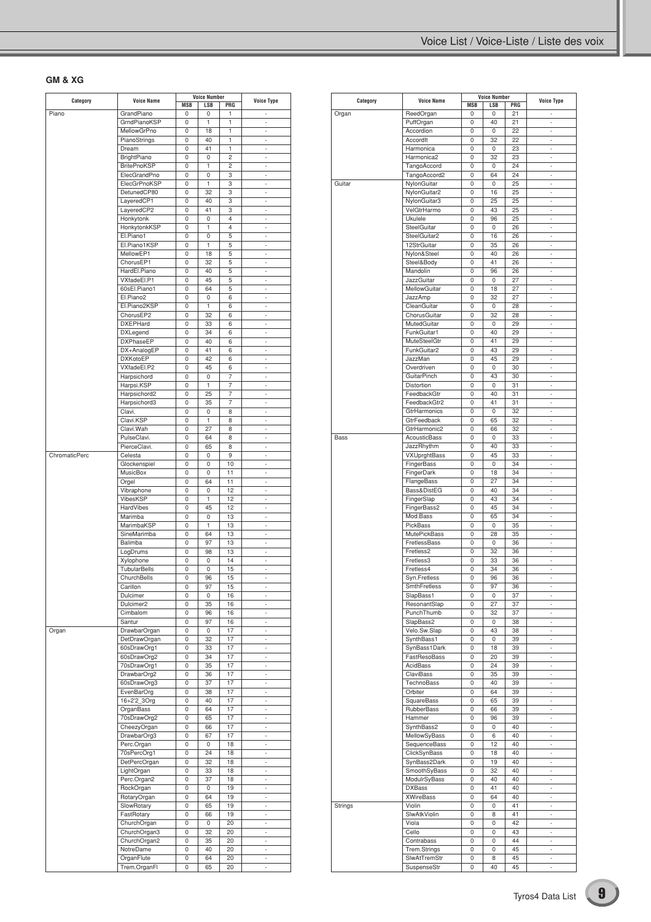### **GM & XG**

| Category      | <b>Voice Name</b>       | <b>Voice Number</b> |     |                | <b>Voice Type</b>        |
|---------------|-------------------------|---------------------|-----|----------------|--------------------------|
|               |                         | <b>MSB</b>          | LSB | PRG            |                          |
| Piano         | GrandPiano              | 0                   | 0   | 1              |                          |
|               | GrndPianoKSP            | 0                   | 1   | 1              | $\sim$                   |
|               | MellowGrPno             | 0                   | 18  | 1              | ä,                       |
|               | PianoStrings            | 0                   | 40  | 1              | ÷,                       |
|               | Dream                   | 0                   | 41  | 1              | $\overline{\phantom{a}}$ |
|               | BrightPiano             | 0                   | 0   | 2              | i.                       |
|               | <b>BritePnoKSP</b>      | 0                   | 1   | $\overline{c}$ | i.                       |
|               | ElecGrandPno            | 0                   | 0   | 3              | $\overline{\phantom{a}}$ |
|               | ElecGrPnoKSP            | 0                   | 1   | 3              | i.                       |
|               | DetunedCP80             | 0                   | 32  | 3              | i.                       |
|               | LayeredCP1              | 0                   | 40  | 3              | $\overline{\phantom{a}}$ |
|               | LayeredCP2              | 0                   | 41  | 3              | i.                       |
|               |                         |                     |     | $\overline{4}$ |                          |
|               | Honkytonk               | 0                   | 0   |                | i.                       |
|               | HonkytonkKSP            | 0                   | 1   | $\overline{4}$ | $\overline{\phantom{a}}$ |
|               | El.Piano1               | 0                   | 0   | 5              | i.                       |
|               | El.Piano1KSP            | 0                   | 1   | 5              | i.                       |
|               | MellowEP1               | 0                   | 18  | 5              | $\overline{\phantom{a}}$ |
|               | ChorusEP1               | 0                   | 32  | 5              | i.                       |
|               | HardEl.Piano            | 0                   | 40  | 5              | i.                       |
|               | VXfadeEl.P1             | 0                   | 45  | 5              | $\overline{\phantom{a}}$ |
|               | 60sEl.Piano1            | 0                   | 64  | 5              | i.                       |
|               |                         |                     |     |                |                          |
|               | El.Piano2               | 0                   | 0   | 6              | i.                       |
|               | El.Piano2KSP            | 0                   | 1   | 6              | $\overline{\phantom{a}}$ |
|               | ChorusEP2               | 0                   | 32  | 6              | i.                       |
|               | <b>DXEPHard</b>         | 0                   | 33  | 6              | i.                       |
|               | <b>DXLegend</b>         | 0                   | 34  | 6              | ×,                       |
|               | <b>DXPhaseEP</b>        | 0                   | 40  | 6              | í.                       |
|               | DX+AnalogEP             | 0                   | 41  | 6              | i.                       |
|               |                         |                     |     |                |                          |
|               | <b>DXKotoEP</b>         | 0                   | 42  | 6              | ×,                       |
|               | VXfadeEl.P2             | 0                   | 45  | 6              | ä,                       |
|               | Harpsichord             | 0                   | 0   | 7              | i.                       |
|               | Harpsi.KSP              | 0                   | 1   | 7              | ×,                       |
|               | Harpsichord2            | 0                   | 25  | 7              | ä,                       |
|               | Harpsichord3            | 0                   | 35  | 7              | i.                       |
|               | Clavi.                  | 0                   | 0   | 8              | ×,                       |
|               | Clavi.KSP               | 0                   | 1   | 8              | ä,                       |
|               | Clavi.Wah               |                     | 27  | 8              | i.                       |
|               |                         | 0                   |     |                |                          |
|               | PulseClavi.             | 0                   | 64  | 8              | ÷,                       |
|               | PierceClavi.            | 0                   | 65  | 8              | ä,                       |
| ChromaticPerc | Celesta                 | 0                   | 0   | 9              | i.                       |
|               | Glockenspiel            | 0                   | 0   | 10             | ٠                        |
|               | MusicBox                | 0                   | 0   | 11             | ä,                       |
|               | Orgel                   | 0                   | 64  | 11             | i.                       |
|               | Vibraphone              | 0                   | 0   | 12             | ٠                        |
|               | VibesKSP                |                     | 1   | 12             | ä,                       |
|               |                         | 0                   |     |                |                          |
|               | HardVibes               | 0                   | 45  | 12             | i.                       |
|               | Marimba                 | 0                   | 0   | 13             | ٠                        |
|               | MarimbaKSP              | 0                   | 1   | 13             | ä,                       |
|               | SineMarimba             | 0                   | 64  | 13             | i.                       |
|               | Balimba                 | 0                   | 97  | 13             | ٠                        |
|               | LogDrums                | 0                   | 98  | 13             | ä,                       |
|               | Xylophone               | 0                   | 0   | 14             | i.                       |
|               |                         |                     |     |                |                          |
|               | TubularBells            | 0                   | 0   | 15             | ٠                        |
|               | ChurchBells             | 0                   | 96  | 15             | ä,                       |
|               | Carillon                | 0                   | 97  | 15             | Ĭ.                       |
|               | Dulcimer                | 0                   | 0   | 16             | $\overline{\phantom{a}}$ |
|               | Dulcimer2               | 0                   | 35  | 16             | ×,                       |
|               | Cimbalom                | 0                   | 96  | 16             | $\overline{\phantom{a}}$ |
|               | Santur                  | 0                   | 97  | 16             | $\overline{\phantom{a}}$ |
| Organ         | <b>DrawbarOrgan</b>     | 0                   | 0   | 17             | i.                       |
|               | DetDrawOrgan            | 0                   |     | 17             | $\overline{\phantom{a}}$ |
|               |                         |                     | 32  |                |                          |
|               | 60sDrawOrg1             | 0                   | 33  | 17             | $\overline{\phantom{a}}$ |
|               | 60sDrawOrg2             | 0                   | 34  | 17             | i.                       |
|               | 70sDrawOrg1             | 0                   | 35  | 17             | $\overline{\phantom{a}}$ |
|               | DrawbarOrg2             | 0                   | 36  | 17             | $\overline{\phantom{a}}$ |
|               | 60sDrawOrg3             | 0                   | 37  | 17             | ×,                       |
|               | EvenBarOrg              | 0                   | 38  | 17             | $\overline{\phantom{a}}$ |
|               | 16+2'2 3Org             | 0                   | 40  | 17             | $\overline{\phantom{a}}$ |
|               | OrganBass               | 0                   | 64  | 17             | ×,                       |
|               |                         | 0                   | 65  | 17             | $\overline{\phantom{a}}$ |
|               | 70sDrawOrg2             |                     |     |                |                          |
|               | CheezyOrgan             | 0                   | 66  | 17             | $\overline{\phantom{a}}$ |
|               | DrawbarOrg3             | 0                   | 67  | 17             | i.                       |
|               | Perc.Organ              | 0                   | 0   | 18             | $\overline{\phantom{a}}$ |
|               | 70sPercOrg1             | 0                   | 24  | 18             | $\overline{\phantom{a}}$ |
|               | DetPercOrgan            | 0                   | 32  | 18             | i.                       |
|               | LightOrgan              | 0                   | 33  | 18             | $\overline{\phantom{a}}$ |
|               | Perc.Organ2             | 0                   | 37  | 18             | $\overline{\phantom{a}}$ |
|               |                         | 0                   |     | 19             |                          |
|               | RockOrgan               |                     | 0   |                | i.                       |
|               | RotaryOrgan             | 0                   | 64  | 19             | $\overline{\phantom{a}}$ |
|               | SlowRotary              | 0                   | 65  | 19             | $\overline{\phantom{a}}$ |
|               | FastRotary              | 0                   | 66  | 19             | ä,                       |
|               | ChurchOrgan             | 0                   | 0   | 20             | $\overline{\phantom{a}}$ |
|               | ChurchOrgan3            | 0                   | 32  | 20             | $\overline{\phantom{a}}$ |
|               |                         |                     |     | 20             | ä,                       |
|               | ChurchOrgan2            | 0                   | 35  |                |                          |
|               |                         | 0                   | 40  | 20             | ÷,                       |
|               | NotreDame<br>OrganFlute | 0                   | 64  | 20             | $\overline{\phantom{a}}$ |

|          | <b>Voice Name</b>   | <b>Voice Number</b> |             |     |                          |
|----------|---------------------|---------------------|-------------|-----|--------------------------|
| Category |                     | <b>MSB</b>          | LSB         | PRG | <b>Voice Type</b>        |
| Organ    | ReedOrgan           | 0                   | 0           | 21  |                          |
|          | PuffOrgan           | 0                   | 40          | 21  | ÷,                       |
|          | Accordion           | 0                   | 0           | 22  |                          |
|          | AccordIt            | 0                   | 32          | 22  | ä,                       |
|          | Harmonica           | 0                   | 0           | 23  | $\overline{\phantom{a}}$ |
|          |                     |                     |             |     |                          |
|          | Harmonica2          | 0                   | 32          | 23  | ٠                        |
|          | <b>TangoAccord</b>  | 0                   | 0           | 24  | ä,                       |
|          | TangoAccord2        | 0                   | 64          | 24  | ÷,                       |
| Guitar   | NylonGuitar         | 0                   | 0           | 25  |                          |
|          | NylonGuitar2        | 0                   | 16          | 25  | ä,                       |
|          | NylonGuitar3        | 0                   | 25          | 25  | ÷                        |
|          | VelGtrHarmo         | 0                   | 43          | 25  | ٠                        |
|          | Ukulele             | 0                   | 96          | 25  | ä,                       |
|          | SteelGuitar         | 0                   | 0           | 26  | ÷                        |
|          | SteelGuitar2        |                     |             |     |                          |
|          |                     | 0                   | 16          | 26  | ٠                        |
|          | 12StrGuitar         | 0                   | 35          | 26  | ä,                       |
|          | Nylon&Steel         | 0                   | 40          | 26  | ÷                        |
|          | Steel&Body          | 0                   | 41          | 26  | ٠                        |
|          | Mandolin            | 0                   | 96          | 26  | ä,                       |
|          | <b>JazzGuitar</b>   | 0                   | 0           | 27  | ÷                        |
|          | MellowGuitar        | 0                   | 18          | 27  |                          |
|          | JazzAmp             | 0                   | 32          | 27  | ä,                       |
|          | CleanGuitar         | 0                   | 0           | 28  | ÷.                       |
|          |                     |                     | 32          | 28  |                          |
|          | ChorusGuitar        | 0                   |             |     |                          |
|          | MutedGuitar         | 0                   | 0           | 29  | ä,                       |
|          | FunkGuitar1         | 0                   | 40          | 29  | ÷.                       |
|          | <b>MuteSteelGtr</b> | 0                   | 41          | 29  |                          |
|          | FunkGuitar2         | 0                   | 43          | 29  | ä,                       |
|          | JazzMan             | 0                   | 45          | 29  | ÷.                       |
|          | Overdriven          | 0                   | 0           | 30  |                          |
|          | <b>GuitarPinch</b>  | 0                   | 43          | 30  | ä,                       |
|          | Distortion          | 0                   | 0           | 31  | ÷.                       |
|          | FeedbackGtr         | 0                   | 40          | 31  |                          |
|          | FeedbackGtr2        | 0                   |             |     | ä,                       |
|          |                     |                     | 41          | 31  |                          |
|          | GtrHarmonics        | 0                   | 0           | 32  | ÷.                       |
|          | GtrFeedback         | 0                   | 65          | 32  |                          |
|          | GtrHarmonic2        | 0                   | 66          | 32  | ä,                       |
| Bass     | <b>AcousticBass</b> | 0                   | 0           | 33  | ÷.                       |
|          | JazzRhythm          | 0                   | 40          | 33  |                          |
|          | VXUprghtBass        | 0                   | 45          | 33  | ä,                       |
|          | FingerBass          | 0                   | 0           | 34  | ÷.                       |
|          | FingerDark          | 0                   | 18          | 34  |                          |
|          | FlangeBass          | 0                   | 27          | 34  | ä,                       |
|          |                     |                     |             |     |                          |
|          | Bass&DistEG         | 0                   | 40          | 34  | ÷.                       |
|          | FingerSlap          | 0                   | 43          | 34  |                          |
|          | FingerBass2         | 0                   | 45          | 34  | ä,                       |
|          | Mod.Bass            | 0                   | 65          | 34  | ÷.                       |
|          | <b>PickBass</b>     | 0                   | 0           | 35  |                          |
|          | <b>MutePickBass</b> | 0                   | 28          | 35  | ä,                       |
|          | FretlessBass        | 0                   | 0           | 36  | ÷.                       |
|          | Fretless2           | 0                   | 32          | 36  |                          |
|          | Fretless3           | 0                   | 33          | 36  | ä,                       |
|          | Fretless4           | 0                   | 34          | 36  | ÷.                       |
|          |                     |                     |             |     |                          |
|          | Syn.Fretless        | 0                   | 96          | 36  |                          |
|          | SmthFretless        | 0                   | 97          | 36  | ٠                        |
|          | SlapBass1           | 0                   | 0           | 37  | ÷                        |
|          | ResonantSlap        | 0                   | 27          | 37  | ÷,                       |
|          | PunchThumb          | 0                   | 32          | 37  | ä,                       |
|          | SlapBass2           | 0                   | 0           | 38  | ÷.                       |
|          | Velo.Sw.Slap        | 0                   | 43          | 38  | ÷,                       |
|          | SynthBass1          | 0                   | 0           | 39  | ä,                       |
|          | SynBass1Dark        | 0                   | 18          | 39  | ÷.                       |
|          | FastResoBass        | 0                   | 20          | 39  | ÷,                       |
|          | AcidBass            | 0                   | 24          | 39  | ä,                       |
|          |                     |                     |             |     |                          |
|          | ClaviBass           | 0                   | 35          | 39  | ÷.                       |
|          | <b>TechnoBass</b>   | 0                   | 40          | 39  | ÷,                       |
|          | Orbiter             | 0                   | 64          | 39  | í,                       |
|          | SquareBass          | 0                   | 65          | 39  | ÷.                       |
|          | RubberBass          | 0                   | 66          | 39  | ÷,                       |
|          | Hammer              | 0                   | 96          | 39  | ÷,                       |
|          | SynthBass2          | 0                   | 0           | 40  | ÷.                       |
|          | MellowSyBass        | 0                   | $6^{\circ}$ | 40  | ÷,                       |
|          | SequenceBass        | 0                   | 12          | 40  | ÷,                       |
|          | ClickSynBass        | 0                   | 18          | 40  | ÷.                       |
|          | SynBass2Dark        | 0                   | 19          | 40  | ÷,                       |
|          |                     |                     |             |     |                          |
|          | SmoothSyBass        | 0                   | 32          | 40  | ÷,                       |
|          | ModulrSyBass        | 0                   | 40          | 40  | ÷.                       |
|          | <b>DXBass</b>       | 0                   | 41          | 40  | ÷,                       |
|          | <b>XWireBass</b>    | 0                   | 64          | 40  | ÷,                       |
| Strings  | Violin              | 0                   | 0           | 41  | ÷.                       |
|          | SlwAtkViolin        | 0                   | 8           | 41  | ÷,                       |
|          | Viola               | 0                   | 0           | 42  | ÷,                       |
|          | Cello               | 0                   | 0           | 43  | ÷.                       |
|          | Contrabass          | 0                   | 0           | 44  | ÷,                       |
|          | Trem.Strings        | 0                   | 0           | 45  | ÷,                       |
|          |                     |                     |             |     |                          |
|          | SlwAtTremStr        | 0                   | 8           | 45  | ÷.                       |
|          | SuspenseStr         | 0                   | 40          | 45  |                          |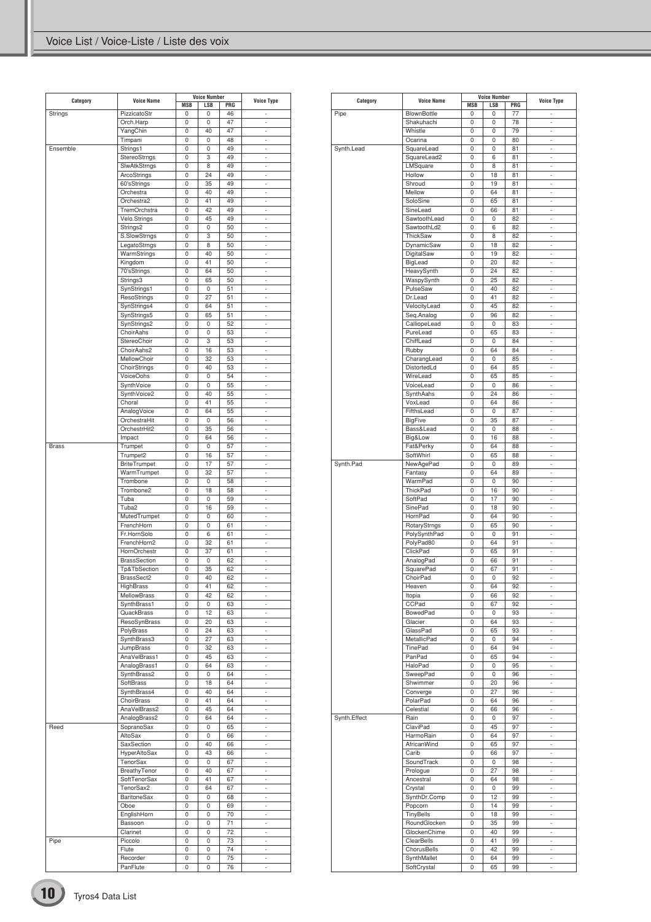| Category     | <b>Voice Number</b><br><b>Voice Name</b> |                 | <b>Voice Type</b> |           |                               |
|--------------|------------------------------------------|-----------------|-------------------|-----------|-------------------------------|
| Strings      | PizzicatoStr                             | <b>MSB</b><br>0 | LSB<br>0          | PRG<br>46 | i.                            |
|              | Orch.Harp                                | 0               | 0                 | 47        | J.                            |
|              | YangChin                                 | 0               | 40                | 47        | ×,                            |
|              | Timpani                                  | 0               | 0                 | 48        | ٠                             |
| Ensemble     | Strings1                                 | 0               | 0                 | 49        | ä,                            |
|              | StereoStrngs                             | 0               | 3                 | 49        | ×,                            |
|              | SlwAtkStrngs                             | 0               | 8                 | 49        | ٠                             |
|              | ArcoStrings                              | 0               | 24                | 49        | ä,                            |
|              | 60'sStrings                              | 0               | 35                | 49        | ×,                            |
|              | Orchestra                                | 0               | 40                | 49        | ٠                             |
|              | Orchestra2                               | 0               | 41                | 49        | Ĭ.                            |
|              | TremOrchstra                             | 0               | 42                | 49        | ×,                            |
|              | Velo.Strings                             | 0               | 45                | 49        | $\overline{\phantom{a}}$      |
|              | Strings2                                 | 0               | 0                 | 50        | Ĭ.                            |
|              | S.SlowStrngs                             | 0               | 3                 | 50        | ×,                            |
|              | LegatoStrngs                             | 0               | 8                 | 50        | $\overline{\phantom{a}}$      |
|              | WarmStrings                              | 0               | 40                | 50        | Ĭ.                            |
|              | Kingdom                                  | 0               | 41                | 50        | ×,                            |
|              | 70'sStrings                              | 0               | 64                | 50        | $\overline{\phantom{a}}$      |
|              | Strings3                                 | 0               | 65                | 50        | Ĭ.                            |
|              | SynStrings1                              | 0               | 0                 | 51        | ×,                            |
|              | ResoStrings                              | 0               | 27                | 51        | $\overline{\phantom{a}}$      |
|              | SynStrings4                              | 0               | 64                | 51        | Ĭ.                            |
|              | SynStrings5                              | 0               | 65                | 51        | ×,                            |
|              | SynStrings2                              | 0               | 0                 | 52        | $\overline{\phantom{a}}$      |
|              | ChoirAahs                                | 0               | 0                 | 53        | Ĭ.                            |
|              | StereoChoir<br>ChoirAahs2                | 0               | 3                 | 53        | ×,                            |
|              |                                          | 0               | 16                | 53        | $\overline{\phantom{a}}$      |
|              | MellowChoir                              | 0               | 32                | 53        | Ĭ.                            |
|              | ChoirStrings                             | 0               | 40                | 53        | ×,                            |
|              | VoiceOohs                                | 0               | 0                 | 54        | $\overline{\phantom{a}}$      |
|              | SynthVoice                               | 0               | 0                 | 55        | Ĭ.                            |
|              | SynthVoice2                              | 0               | 40                | 55        | ×,                            |
|              | Choral                                   | 0               | 41                | 55        | ×,                            |
|              | AnalogVoice                              | 0               | 64                | 55        | Ĭ.                            |
|              | OrchestraHit                             | 0<br>0          | 0<br>35           | 56        | ×,                            |
|              | OrchestrHit2                             |                 |                   | 56        | ×,                            |
|              | Impact                                   | 0               | 64                | 56<br>57  | í.<br>×,                      |
| <b>Brass</b> | Trumpet                                  | 0<br>0          | 0<br>16           | 57        | ×,                            |
|              | Trumpet2                                 |                 | 17                |           |                               |
|              | <b>BriteTrumpet</b>                      | 0               |                   | 57        | i,                            |
|              | WarmTrumpet<br>Trombone                  | 0<br>0          | 32<br>0           | 57<br>58  | ×,<br>×,                      |
|              | Trombone2                                | 0               | 18                | 58        | i,                            |
|              | Tuba                                     | 0               | 0                 | 59        | ×,                            |
|              | Tuba2                                    | 0               | 16                | 59        | ×,                            |
|              | MutedTrumpet                             | 0               | 0                 | 60        | ×,                            |
|              | FrenchHorn                               | 0               | 0                 | 61        | ×,                            |
|              | Fr.HornSolo                              | 0               | 6                 | 61        | ×,                            |
|              | FrenchHorn2                              | 0               | 32                | 61        | ×,                            |
|              | HornOrchestr                             | 0               | 37                | 61        | ×,                            |
|              | <b>BrassSection</b>                      | 0               | 0                 | 62        | ×,                            |
|              | Tp&TbSection                             | 0               | 35                | 62        | i.                            |
|              | BrassSect2                               | 0               | 40                | 62        | $\overline{\phantom{a}}$      |
|              | HighBrass                                | υ               | 41                | 62        | ٠                             |
|              | MellowBrass                              | 0               | 42                | 62        |                               |
|              | SynthBrass1                              | 0               | 0                 | 63        | ×,                            |
|              | QuackBrass                               | 0               | 12                | 63        | ×,                            |
|              | ResoSynBrass                             | 0               | 20                | 63        | ÷                             |
|              | PolyBrass                                | 0               | 24                | 63        | ×,                            |
|              | SynthBrass3                              | 0               | 27                | 63        | ×,                            |
|              | JumpBrass                                | 0               | 32                | 63        | ÷                             |
|              | AnaVelBrass1                             | 0               | 45                | 63        | ×,                            |
|              | AnalogBrass1                             | 0               | 64                | 63        | ×,                            |
|              | SynthBrass2                              | 0               | 0                 | 64        | ÷                             |
|              | SoftBrass                                | 0               | 18                | 64        | ×,                            |
|              | SynthBrass4                              | 0               | 40                | 64        | ٠                             |
|              | ChoirBrass                               | 0               | 41                | 64        | ÷                             |
|              | AnaVelBrass2                             | 0               | 45                | 64        | ×,                            |
|              | AnalogBrass2                             | 0               | 64                | 64        | ٠                             |
| Reed         | SopranoSax                               | 0               | 0                 | 65        | ÷                             |
|              | AltoSax                                  | 0               | 0                 | 66        | ×,                            |
|              | SaxSection                               | 0               | 40                | 66        | ٠                             |
|              | HyperAltoSax                             | 0               | 43                | 66        | ÷                             |
|              | TenorSax                                 | 0               | 0                 | 67        | ×,                            |
|              | BreathyTenor                             | 0               | 40                | 67        | ٠                             |
|              | SoftTenorSax                             | 0               | 41                | 67        | ÷                             |
|              | TenorSax2                                | 0               | 64                | 67        | $\overline{\phantom{a}}$      |
|              |                                          |                 | 0                 |           | ٠                             |
|              | BaritoneSax                              | 0               |                   | 68        |                               |
|              | Oboe                                     | 0               | 0                 | 69<br>70  | ÷<br>$\overline{\phantom{a}}$ |
|              | EnglishHorn                              | 0               | 0                 |           |                               |
|              | Bassoon                                  | 0               | 0                 | 71        | ٠                             |
|              | Clarinet                                 | 0               | 0                 | 72        | ÷                             |
| Pipe         | Piccolo                                  | 0               | 0                 | 73        | $\overline{\phantom{a}}$      |
|              | Flute                                    | 0               | 0                 | 74        | ٠                             |
|              | Recorder                                 | 0               | 0                 | 75        | ٠                             |
|              | PanFlute                                 | 0               | 0                 | 76        | ×,                            |

| Category     | <b>Voice Name</b>          | <b>Voice Number</b> |          |           | <b>Voice Type</b>        |
|--------------|----------------------------|---------------------|----------|-----------|--------------------------|
| Pipe         | BlownBottle                | <b>MSB</b><br>0     | LSB<br>0 | PRG<br>77 | ä,                       |
|              | Shakuhachi                 | 0                   | 0        | 78        | ÷                        |
|              | Whistle                    | 0                   | 0        | 79        |                          |
|              | Ocarina                    | 0                   | 0        | 80        | ä,                       |
| Synth.Lead   | SquareLead                 | 0                   | 0        | 81        | í,                       |
|              | SquareLead2                | 0                   | 6        | 81        |                          |
|              | LMSquare                   | 0                   | 8        | 81        | ÷                        |
|              | Hollow                     | 0                   | 18       | 81        | í,                       |
|              | Shroud                     | 0                   | 19       | 81        |                          |
|              | Mellow                     | 0                   | 64       | 81        | ÷                        |
|              | SoloSine                   | 0                   | 65       | 81        | ä,                       |
|              | SineLead                   | 0                   | 66       | 81        |                          |
|              | SawtoothLead               | 0                   | 0        | 82        | ÷                        |
|              | SawtoothLd2                | 0                   | 6        | 82        | ä,                       |
|              | ThickSaw                   | 0                   | 8        | 82        |                          |
|              | DynamicSaw                 | 0                   | 18       | 82        | ÷                        |
|              | DigitalSaw                 | 0<br>0              | 19<br>20 | 82<br>82  | ä,                       |
|              | BigLead<br>HeavySynth      | 0                   | 24       | 82        | ÷                        |
|              | WaspySynth                 | 0                   | 25       | 82        | ä,                       |
|              | PulseSaw                   | 0                   | 40       | 82        |                          |
|              | Dr.Lead                    | 0                   | 41       | 82        | ÷                        |
|              | VelocityLead               | 0                   | 45       | 82        | ä,                       |
|              | Seq.Analog                 | 0                   | 96       | 82        |                          |
|              | CalliopeLead               | 0                   | 0        | 83        | ÷                        |
|              | PureLead                   | 0                   | 65       | 83        | ä,                       |
|              | ChiffLead                  | 0                   | 0        | 84        |                          |
|              | Rubby                      | 0                   | 64       | 84        | ÷                        |
|              | CharangLead                | 0                   | 0        | 85        | ä,                       |
|              | DistortedLd                | 0                   | 64       | 85        |                          |
|              | WireLead                   | 0                   | 65       | 85        | ÷                        |
|              | VoiceLead                  | 0                   | 0        | 86        | ä,                       |
|              | SynthAahs                  | 0                   | 24       | 86        |                          |
|              | VoxLead                    | 0                   | 64       | 86        | ÷                        |
|              | FifthsLead                 | 0                   | 0        | 87        | ä,                       |
|              | <b>BigFive</b>             | 0                   | 35       | 87        |                          |
|              | Bass&Lead                  | 0                   | 0        | 88        | ÷                        |
|              | Big&Low                    | 0                   | 16       | 88        | ÷.                       |
|              | Fat&Perky                  | 0<br>0              | 64       | 88        |                          |
|              | SoftWhirl<br>NewAgePad     | 0                   | 65<br>0  | 88        | ÷                        |
| Synth.Pad    | Fantasy                    | 0                   | 64       | 89<br>89  | ÷.                       |
|              | WarmPad                    | 0                   | 0        | 90        | ÷                        |
|              | <b>ThickPad</b>            | 0                   | 16       | 90        | ÷.                       |
|              | SoftPad                    | 0                   | 17       | 90        |                          |
|              | SinePad                    | 0                   | 18       | 90        | ÷                        |
|              | HornPad                    | 0                   | 64       | 90        | $\overline{\phantom{a}}$ |
|              | RotaryStrngs               | 0                   | 65       | 90        |                          |
|              | PolySynthPad               | 0                   | 0        | 91        | ÷                        |
|              | PolyPad80                  | 0                   | 64       | 91        | $\overline{\phantom{a}}$ |
|              | ClickPad                   | 0                   | 65       | 91        |                          |
|              | AnalogPad                  | 0                   | 66       | 91        | ÷                        |
|              | SquarePad                  | 0                   | 67       | 91        | $\overline{\phantom{a}}$ |
|              | ChoirPad                   | 0                   | 0        | 92        |                          |
|              | Heaven                     | 0                   | 64       | 92        | ä,                       |
|              | Itopia                     | 0                   | 66       | 92        | $\overline{\phantom{m}}$ |
|              | $\overline{CC}$ Pad        | 0                   | 67       | 92        |                          |
|              | <b>BowedPad</b>            | 0                   | 0        | 93        | ÷.                       |
|              | Glacier<br>GlassPad        | 0<br>0              | 64<br>65 | 93<br>93  | $\overline{\phantom{a}}$ |
|              | MetallicPad                | 0                   | 0        | 94        | ÷                        |
|              | TinePad                    | 0                   | 64       | 94        | $\overline{\phantom{a}}$ |
|              | PanPad                     | 0                   | 65       | 94        |                          |
|              | HaloPad                    | 0                   | 0        | 95        | ÷                        |
|              | SweepPad                   | 0                   | 0        | 96        | $\overline{\phantom{a}}$ |
|              | Shwimmer                   | 0                   | 20       | 96        |                          |
|              | Converge                   | 0                   | 27       | 96        | ä,                       |
|              | PolarPad                   | 0                   | 64       | 96        | $\overline{\phantom{a}}$ |
|              | Celestial                  | 0                   | 66       | 96        |                          |
| Synth.Effect | Rain                       | 0                   | 0        | 97        | ä,                       |
|              | ClaviPad                   | 0                   | 45       | 97        | $\overline{\phantom{a}}$ |
|              | HarmoRain                  | 0                   | 64       | 97        |                          |
|              | AfricanWind                | 0                   | 65       | 97        | ä,                       |
|              | Carib                      | 0                   | 66       | 97        | $\overline{\phantom{a}}$ |
|              | SoundTrack                 | 0                   | 0        | 98        |                          |
|              | Prologue                   | 0                   | 27       | 98        | ä,                       |
|              | Ancestral                  | 0                   | 64       | 98        | $\overline{\phantom{a}}$ |
|              | Crystal                    | 0                   | 0        | 99        |                          |
|              | SynthDr.Comp               | 0                   | 12       | 99        | ä,                       |
|              | Popcorn                    | 0                   | 14       | 99        | $\overline{\phantom{m}}$ |
|              | <b>TinyBells</b>           | 0                   | 18       | 99        |                          |
|              | RoundGlocken               | 0                   | 35       | 99        | ä,                       |
|              | GlockenChime<br>ClearBells | 0                   | 40       | 99        | $\overline{\phantom{a}}$ |
|              |                            | 0                   | 41<br>42 | 99        | ä,                       |
|              | ChorusBells<br>SynthMallet | 0<br>0              | 64       | 99<br>99  | $\overline{\phantom{a}}$ |
|              | SoftCrystal                | 0                   | 65       | 99        |                          |
|              |                            |                     |          |           |                          |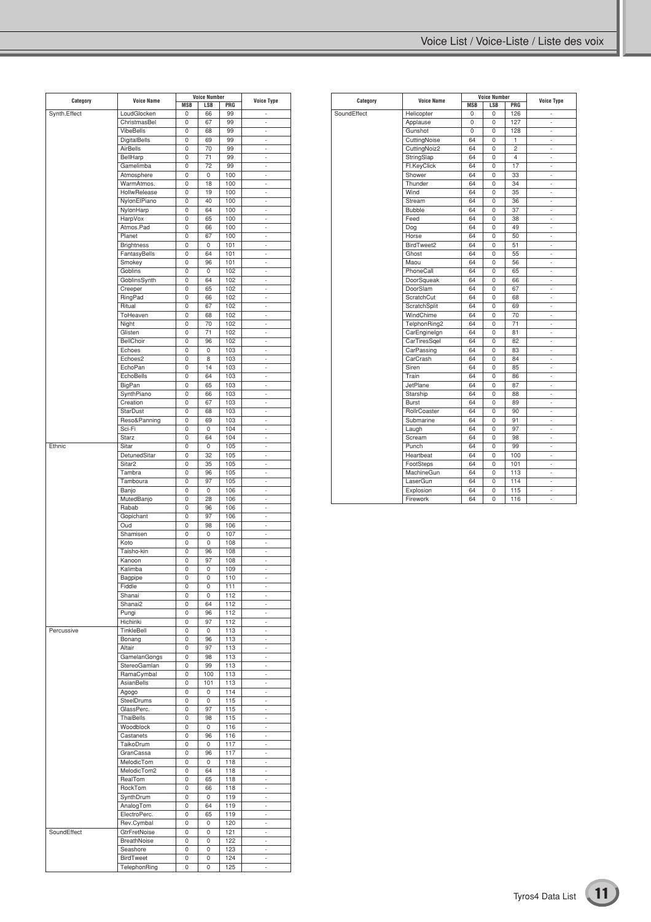|              | <b>Voice Name</b>   |            | <b>Voice Number</b> | <b>Voice Type</b> |                          |
|--------------|---------------------|------------|---------------------|-------------------|--------------------------|
| Category     |                     | <b>MSB</b> | LSB                 | PRG               |                          |
| Synth.Effect | LoudGlocken         | 0          | 66                  | 99                |                          |
|              | ChristmasBel        | 0          | 67                  | 99                | ä,                       |
|              | VibeBells           | 0          | 68                  | 99                | ×,                       |
|              | <b>DigitalBells</b> | 0          | 69                  | 99                | ٠                        |
|              | AirBells            | 0          | 70                  | 99                | ÷.                       |
|              | BellHarp            | 0          | 71                  | 99                | ×,                       |
|              | Gamelimba           | 0          | 72                  | 99                | $\overline{\phantom{a}}$ |
|              | Atmosphere          | 0          | 0                   | 100               | ÷.                       |
|              | WarmAtmos.          | 0          | 18                  | 100               | ×,                       |
|              |                     |            |                     |                   |                          |
|              | HollwRelease        | 0          | 19                  | 100               | ٠                        |
|              | NylonElPiano        | 0          | 40                  | 100               | ä,                       |
|              | NylonHarp           | 0          | 64                  | 100               | ×,                       |
|              | HarpVox             | 0          | 65                  | 100               | ٠                        |
|              | Atmos.Pad           | 0          | 66                  | 100               | ä,                       |
|              | Planet              | 0          | 67                  | 100               | ×,                       |
|              | <b>Brightness</b>   | 0          | 0                   | 101               | ۰                        |
|              | FantasyBells        | 0          | 64                  | 101               | ä,                       |
|              | Smokey              | 0          | 96                  | 101               | ×,                       |
|              | Goblins             | 0          | 0                   | 102               | ۰                        |
|              | GoblinsSynth        | 0          | 64                  | 102               | ä,                       |
|              |                     |            |                     |                   |                          |
|              | Creeper             | 0          | 65                  | 102               | ×,                       |
|              | RingPad             | 0          | 66                  | 102               | ۰                        |
|              | Ritual              | 0          | 67                  | 102               | ä,                       |
|              | ToHeaven            | 0          | 68                  | 102               | ×,                       |
|              | Night               | 0          | 70                  | 102               | ۰                        |
|              | Glisten             | 0          | 71                  | 102               | ä,                       |
|              | BellChoir           | 0          | 96                  | 102               | ×,                       |
|              | Echoes              | 0          | 0                   | 103               | ۰                        |
|              | Echoes2             | 0          | 8                   | 103               | ä,                       |
|              | EchoPan             | 0          | 14                  | 103               | ×,                       |
|              |                     |            |                     |                   |                          |
|              | EchoBells           | 0          | 64                  | 103               | ۰                        |
|              | BigPan              | 0          | 65                  | 103               | ä,                       |
|              | SynthPiano          | 0          | 66                  | 103               | ×,                       |
|              | Creation            | 0          | 67                  | 103               | ۰                        |
|              | <b>StarDust</b>     | 0          | 68                  | 103               | ä,                       |
|              | Reso&Panning        | 0          | 69                  | 103               | ×,                       |
|              | Sci-Fi              | 0          | 0                   | 104               | ٠                        |
|              | <b>Starz</b>        | 0          | 64                  | 104               | ä,                       |
| Ethnic       | Sitar               | 0          | 0                   | 105               | ×,                       |
|              | DetunedSitar        | 0          | 32                  | 105               |                          |
|              |                     |            |                     |                   | ٠                        |
|              | Sitar <sub>2</sub>  | 0          | 35                  | 105               | ä,                       |
|              | Tambra              | 0          | 96                  | 105               | ×,                       |
|              | Tamboura            | 0          | 97                  | 105               | ٠                        |
|              | Banjo               | 0          | 0                   | 106               | ä,                       |
|              | MutedBanjo          | 0          | 28                  | 106               | ×,                       |
|              | Rabab               | 0          | 96                  | 106               | ٠                        |
|              | Gopichant           | 0          | 97                  | 106               | ä,                       |
|              | Oud                 | 0          | 98                  | 106               | ×,                       |
|              | Shamisen            | 0          | 0                   | 107               | ٠                        |
|              |                     |            |                     |                   | ä,                       |
|              | Koto                | 0          | 0                   | 108               |                          |
|              | Taisho-kin          | 0          | 96                  | 108               | ×,                       |
|              | Kanoon              | 0          | 97                  | 108               | $\overline{\phantom{a}}$ |
|              | Kalimba             | 0          | 0                   | 109               | ä,                       |
|              | Bagpipe             | 0          | 0                   | 110               | ×,                       |
|              | Fiddle              | 0          | 0                   | 111               | $\overline{\phantom{a}}$ |
|              | Shanai              | 0          | 0                   | 112               | ä,                       |
|              | Shanai2             | 0          | 64                  | 112               | ×,                       |
|              | Pungi               | 0          | 96                  | 112               | ÷.                       |
|              |                     |            |                     |                   |                          |
|              | Hichiriki           | 0          | 97                  | 112               | ä,                       |
| Percussive   | TinkleBell          | 0          | 0                   | 113               | ×,                       |
|              | Bonang              | 0          | 96                  | 113               | ÷.                       |
|              | Altair              | 0          | 97                  | 113               | ä,                       |
|              | <b>GamelanGongs</b> | 0          | 98                  | 113               | ×,                       |
|              | StereoGamlan        | 0          | 99                  | 113               | ÷.                       |
|              | RamaCymbal          | 0          | 100                 | 113               | ä,                       |
|              | <b>AsianBells</b>   | 0          | 101                 | 113               | ×,                       |
|              | Agogo               | 0          | 0                   | 114               | ÷.                       |
|              | SteelDrums          | 0          | 0                   | 115               | ä,                       |
|              | GlassPerc.          | 0          | 97                  | 115               | ×,                       |
|              |                     |            |                     |                   |                          |
|              | ThaiBells           | 0          | 98                  | 115               | ÷.                       |
|              | Woodblock           | 0          | 0                   | 116               | ä,                       |
|              | Castanets           | 0          | 96                  | 116               | ×,                       |
|              | TaikoDrum           | 0          | 0                   | 117               | ÷.                       |
|              | GranCassa           | 0          | 96                  | 117               | ä,                       |
|              | MelodicTom          | 0          | 0                   | 118               | ×,                       |
|              | MelodicTom2         | 0          | 64                  | 118               | ÷.                       |
|              | RealTom             | 0          | 65                  | 118               | ä,                       |
|              | RockTom             | 0          | 66                  | 118               | ×,                       |
|              | SynthDrum           | 0          | 0                   | 119               | ä,                       |
|              | AnalogTom           | 0          | 64                  | 119               | ä,                       |
|              | ElectroPerc.        | 0          | 65                  | 119               | ×,                       |
|              |                     |            |                     |                   |                          |
|              | Rev.Cymbal          | 0          | 0                   | 120               | ä,                       |
| SoundEffect  | GtrFretNoise        | 0          | 0                   | 121               | ä,                       |
|              | <b>BreathNoise</b>  | 0          | 0                   | 122               | ×,                       |
|              | Seashore            | 0          | 0                   | 123               | ÷.                       |
|              | BirdTweet           | 0          | 0                   | 124               | ä,                       |
|              | TelephonRing        | 0          | 0                   | 125               | ×,                       |

|             |                   |            | <b>Voice Number</b> |                |                          |
|-------------|-------------------|------------|---------------------|----------------|--------------------------|
| Category    | <b>Voice Name</b> | <b>MSB</b> | <b>LSB</b>          | PRG            | <b>Voice Type</b>        |
| SoundEffect | Helicopter        | 0          | 0                   | 126            | i,                       |
|             | Applause          | 0          | 0                   | 127            | ÷,                       |
|             | Gunshot           | 0          | 0                   | 128            | ÷                        |
|             | CuttingNoise      | 64         | 0                   | 1              | ÷,                       |
|             | CuttingNoiz2      | 64         | 0                   | $\overline{c}$ | ÷,                       |
|             | StringSlap        | 64         | 0                   | $\overline{4}$ | ä,                       |
|             | Fl.KeyClick       | 64         | $\Omega$            | 17             | ä,                       |
|             | Shower            | 64         | 0                   | 33             | $\frac{1}{2}$            |
|             | Thunder           | 64         | 0                   | 34             | ٠                        |
|             | Wind              | 64         | $\mathbf 0$         | 35             | ä,                       |
|             | Stream            | 64         | 0                   | 36             | ä,                       |
|             | <b>Bubble</b>     | 64         | $\Omega$            | 37             | ä,                       |
|             | Feed              | 64         | 0                   | 38             | ÷                        |
|             | Dog               | 64         | 0                   | 49             | ٠                        |
|             | Horse             | 64         | 0                   | 50             | ÷,                       |
|             | BirdTweet2        | 64         | 0                   | 51             | ٠                        |
|             | Ghost             | 64         | 0                   | 55             | ÷,                       |
|             | Maou              | 64         | $\Omega$            | 56             | ä,                       |
|             | PhoneCall         | 64         | 0                   | 65             | ä,                       |
|             | DoorSqueak        | 64         | 0                   | 66             | ÷                        |
|             | DoorSlam          | 64         | 0                   | 67             | ÷,                       |
|             | ScratchCut        | 64         | 0                   | 68             | ä,                       |
|             | ScratchSplit      | 64         | 0                   | 69             | ÷,                       |
|             | WindChime         | 64         | 0                   | 70             | ÷,                       |
|             | TelphonRing2      | 64         | 0                   | 71             | ä,                       |
|             | CarEnginelgn      | 64         | 0                   | 81             | ä,                       |
|             | CarTiresSqel      | 64         | 0                   | 82             | ÷                        |
|             | CarPassing        | 64         | 0                   | 83             | ä,                       |
|             | CarCrash          | 64         | 0                   | 84             | ä,                       |
|             | Siren             | 64         | $\mathbf 0$         | 85             | ÷,                       |
|             | Train             | 64         | $\Omega$            | 86             | ä,                       |
|             | JetPlane          | 64         | 0                   | 87             | ÷,                       |
|             | Starship          | 64         | $\Omega$            | 88             | ÷,                       |
|             | <b>Burst</b>      | 64         | 0                   | 89             | ÷                        |
|             | RollrCoaster      | 64         | 0                   | 90             | ä,                       |
|             | Submarine         | 64         | 0                   | 91             | $\frac{1}{2}$            |
|             | Laugh             | 64         | 0                   | 97             | ÷,                       |
|             | Scream            | 64         | 0                   | 98             | ÷,                       |
|             | Punch             | 64         | 0                   | 99             | $\overline{\phantom{m}}$ |
|             | Heartbeat         | 64         | 0                   | 100            | ÷,                       |
|             | FootSteps         | 64         | 0                   | 101            | ä,                       |
|             | MachineGun        | 64         | 0                   | 113            | ÷,<br>÷,<br>÷,<br>ä,     |
|             | LaserGun          | 64         | 0                   | 114            |                          |
|             | Explosion         | 64         | 0                   | 115            |                          |
|             | Firework          | 64         | $\Omega$            | 116            |                          |
|             |                   |            |                     |                |                          |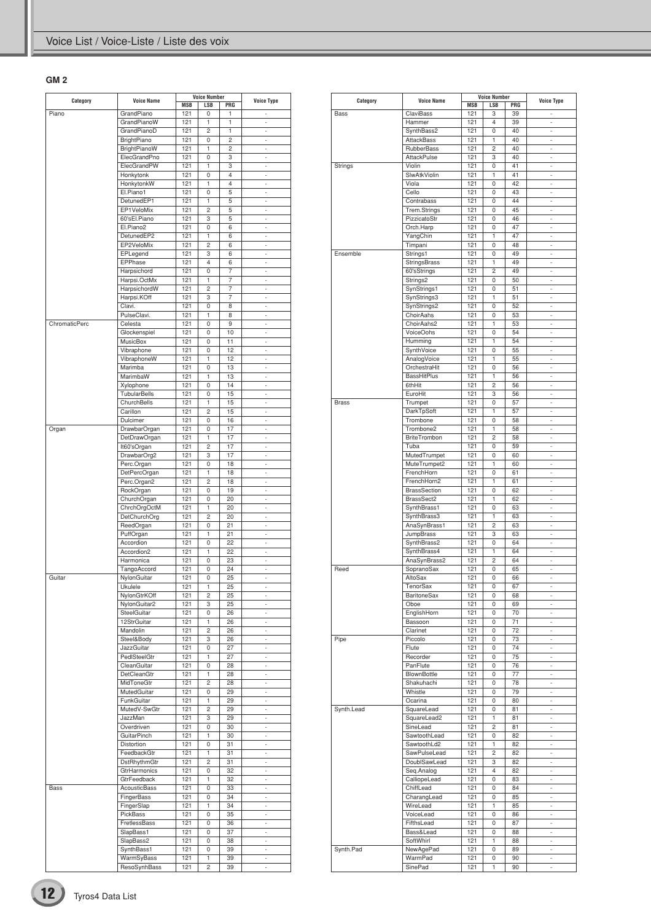### **GM 2**

| Category      | <b>Voice Name</b>   |            | <b>Voice Number</b> | <b>Voice Type</b> |                          |
|---------------|---------------------|------------|---------------------|-------------------|--------------------------|
|               |                     | <b>MSB</b> | LSB                 | PRG               |                          |
| Piano         | GrandPiano          | 121        | 0                   | 1                 |                          |
|               | GrandPianoW         | 121        | 1                   | 1                 |                          |
|               | GrandPianoD         | 121        | $\overline{c}$      | 1                 | ä,                       |
|               | BrightPiano         | 121        | 0                   | $\overline{c}$    | ×,                       |
|               | BrightPianoW        | 121        | 1                   | $\overline{c}$    |                          |
|               | ElecGrandPno        | 121        | 0                   | 3                 | ä,                       |
|               | ElecGrandPW         | 121        | 1                   | 3                 | ×,                       |
|               | Honkytonk           | 121        | 0                   | 4                 |                          |
|               |                     | 121        | 1                   | $\overline{4}$    | ä,                       |
|               | HonkytonkW          |            |                     |                   |                          |
|               | El.Piano1           | 121        | 0                   | 5                 | ×,                       |
|               | DetunedEP1          | 121        | 1                   | 5                 |                          |
|               | EP1VeloMix          | 121        | $\overline{c}$      | 5                 | ä,                       |
|               | 60'sEl.Piano        | 121        | 3                   | 5                 | ×,                       |
|               | El.Piano2           | 121        | 0                   | 6                 |                          |
|               | DetunedEP2          | 121        | 1                   | 6                 | ä,                       |
|               | EP2VeloMix          | 121        | $\overline{c}$      | 6                 | ×,                       |
|               | EPLegend            | 121        | 3                   | 6                 |                          |
|               |                     | 121        | 4                   | 6                 | ä,                       |
|               | EPPhase             |            |                     |                   |                          |
|               | Harpsichord         | 121        | 0                   | 7                 | ×,                       |
|               | Harpsi.OctMx        | 121        | 1                   | $\overline{7}$    |                          |
|               | HarpsichordW        | 121        | $\overline{c}$      | 7                 | ä,                       |
|               | Harpsi.KOff         | 121        | 3                   | 7                 | ×,                       |
|               | Clavi.              | 121        | 0                   | 8                 |                          |
|               | PulseClavi.         | 121        | 1                   | 8                 | ä,                       |
|               |                     |            |                     |                   |                          |
| ChromaticPerc | Celesta             | 121        | 0                   | 9                 | ×,                       |
|               | Glockenspiel        | 121        | 0                   | 10                |                          |
|               | MusicBox            | 121        | 0                   | 11                | ä,                       |
|               | Vibraphone          | 121        | 0                   | 12                | ä,                       |
|               | VibraphoneW         | 121        | 1                   | 12                |                          |
|               | Marimba             | 121        | 0                   | 13                | ä,                       |
|               | MarimbaW            | 121        | 1                   | 13                | ä,                       |
|               |                     |            |                     |                   |                          |
|               | Xylophone           | 121        | 0                   | 14                |                          |
|               | <b>TubularBells</b> | 121        | 0                   | 15                | ä,                       |
|               | ChurchBells         | 121        | 1                   | 15                | ä,                       |
|               | Carillon            | 121        | $\overline{c}$      | 15                |                          |
|               | Dulcimer            | 121        | 0                   | 16                | ä,                       |
| Organ         | DrawbarOrgan        | 121        | 0                   | 17                | ä,                       |
|               | DetDrawOrgan        | 121        | 1                   | 17                |                          |
|               |                     |            |                     |                   |                          |
|               | It60'sOrgan         | 121        | $\overline{c}$      | 17                | ä,                       |
|               | DrawbarOrg2         | 121        | 3                   | 17                | ä,                       |
|               | Perc.Organ          | 121        | 0                   | 18                |                          |
|               | DetPercOrgan        | 121        | 1                   | 18                | ä,                       |
|               | Perc.Organ2         | 121        | $\overline{c}$      | 18                | ä,                       |
|               | RockOrgan           | 121        | 0                   | 19                |                          |
|               |                     | 121        | 0                   | 20                | ä,                       |
|               | ChurchOrgan         |            |                     |                   |                          |
|               | ChrchOrgOctM        | 121        | 1                   | 20                | ä,                       |
|               | <b>DetChurchOrg</b> | 121        | $\overline{c}$      | 20                |                          |
|               | ReedOrgan           | 121        | 0                   | 21                | ä,                       |
|               | PuffOrgan           | 121        | 1                   | 21                | ä,                       |
|               | Accordion           | 121        | 0                   | 22                |                          |
|               | Accordion2          | 121        | 1                   | 22                | ä,                       |
|               | Harmonica           | 121        | 0                   | 23                | i.                       |
|               |                     |            |                     |                   |                          |
|               | TangoAccord         | 121        | 0                   | 24                |                          |
| Guitar        | NylonGuitar         | 121        | 0                   | 25                | ä,                       |
|               | Ukulele             | 121        | 1                   | 25                | ٠                        |
|               | NylonGtrKOff        | 121        | 2                   | 25                | ÷                        |
|               | NylonGuitar2        | 121        | 3                   | 25                | $\overline{\phantom{a}}$ |
|               | SteelGuitar         | 121        | 0                   | 26                | ×,                       |
|               |                     |            |                     |                   |                          |
|               | 12StrGuitar         | 121        | 1                   | 26                | ÷,                       |
|               | Mandolin            | 121        | $\overline{c}$      | 26                | ÷,                       |
|               | Steel&Body          | 121        | 3                   | 26                | i.                       |
|               | JazzGuitar          | 121        | 0                   | 27                | ٠                        |
|               | PedlSteelGtr        | 121        | 1                   | 27                | ÷,                       |
|               | CleanGuitar         | 121        | 0                   | 28                | i.                       |
|               | DetCleanGtr         | 121        | 1                   | 28                | ٠                        |
|               | MidToneGtr          | 121        | $\overline{c}$      | 28                | ÷,                       |
|               |                     |            |                     |                   |                          |
|               | MutedGuitar         | 121        | 0                   | 29                | ×,                       |
|               | FunkGuitar          | 121        | 1                   | 29                | ٠                        |
|               | MutedV-SwGtr        | 121        | $\overline{c}$      | 29                | ÷,                       |
|               | JazzMan             | 121        | 3                   | 29                | ×,                       |
|               | Overdriven          | 121        | 0                   | 30                | ٠                        |
|               | GuitarPinch         | 121        | 1                   | 30                | ÷,                       |
|               | Distortion          | 121        | 0                   | 31                | i.                       |
|               |                     |            |                     |                   |                          |
|               | FeedbackGtr         | 121        | 1                   | 31                | ٠                        |
|               | DstRhythmGtr        | 121        | $\overline{c}$      | 31                | ÷,                       |
|               | GtrHarmonics        | 121        | 0                   | 32                | i.                       |
|               | GtrFeedback         | 121        | 1                   | 32                | ٠                        |
| Bass          | AcousticBass        | 121        | 0                   | 33                | ÷,                       |
|               | FingerBass          | 121        | 0                   | 34                | i.                       |
|               | FingerSlap          | 121        | 1                   | 34                |                          |
|               |                     |            |                     |                   | -                        |
|               | PickBass            | 121        | 0                   | 35                | ÷,                       |
|               | FretlessBass        | 121        | 0                   | 36                | i.                       |
|               | SlapBass1           | 121        | 0                   | 37                | -                        |
|               | SlapBass2           | 121        | 0                   | 38                | ÷,                       |
|               | SynthBass1          | 121        | 0                   | 39                | ٠                        |
|               | WarmSyBass          | 121        | 1                   | 39                | -                        |
|               | ResoSynhBass        | 121        | $\overline{c}$      | 39                | ä,                       |
|               |                     |            |                     |                   |                          |

|              | <b>Voice Name</b>                 | <b>Voice Number</b> |                     |          | <b>Voice Type</b>              |
|--------------|-----------------------------------|---------------------|---------------------|----------|--------------------------------|
| Category     |                                   | MSB                 | LSB                 | PRG      |                                |
| <b>Bass</b>  | ClaviBass                         | 121                 | 3                   | 39       |                                |
|              | Hammer                            | 121                 | $\overline{4}$      | 39       | ä,                             |
|              | SynthBass2<br><b>AttackBass</b>   | 121                 | 0                   | 40       | ×,                             |
|              | <b>RubberBass</b>                 | 121<br>121          | 1<br>$\overline{c}$ | 40<br>40 | à.                             |
|              | <b>AttackPulse</b>                | 121                 | 3                   | 40       | ×,                             |
| Strings      | Violin                            | 121                 | 0                   | 41       | ÷,                             |
|              | SlwAtkViolin                      | 121                 | 1                   | 41       | à.                             |
|              | Viola                             | 121                 | 0                   | 42       | ×,                             |
|              | Cello                             | 121                 | 0                   | 43       | ÷,                             |
|              | Contrabass                        | 121                 | 0                   | 44       | t,                             |
|              | Trem.Strings                      | 121                 | 0                   | 45       | ×,                             |
|              | PizzicatoStr                      | 121                 | 0                   | 46       | ÷,                             |
|              | Orch.Harp                         | 121                 | 0                   | 47       | t,                             |
|              | YangChin                          | 121                 | 1                   | 47       | ×,                             |
|              | Timpani                           | 121                 | 0                   | 48       | ÷,                             |
| Ensemble     | Strings1                          | 121                 | 0                   | 49       | t.                             |
|              | <b>StringsBrass</b>               | 121                 | 1                   | 49       | ×,                             |
|              | 60'sStrings                       | 121                 | $\overline{c}$      | 49       | ÷,                             |
|              | Strings2                          | 121                 | 0                   | 50       | t.                             |
|              | SynStrings1                       | 121                 | 0                   | 51       | ×,                             |
|              | SynStrings3                       | 121                 | 1                   | 51       | ÷,                             |
|              | SynStrings2                       | 121                 | 0                   | 52       | t.                             |
|              | ChoirAahs<br>ChoirAahs2           | 121<br>121          | 0<br>1              | 53<br>53 | ×,<br>÷,                       |
|              | <b>VoiceOohs</b>                  | 121                 | 0                   | 54       | ÷.                             |
|              | Humming                           | 121                 | 1                   | 54       | ×,                             |
|              | SynthVoice                        | 121                 | 0                   | 55       | ÷,                             |
|              | AnalogVoice                       | 121                 | 1                   | 55       | ÷.                             |
|              | OrchestraHit                      | 121                 | 0                   | 56       | ×,                             |
|              | <b>BassHitPlus</b>                | 121                 | 1                   | 56       | ÷,                             |
|              | 6thHit                            | 121                 | $\overline{c}$      | 56       | ÷.                             |
|              | EuroHit                           | 121                 | 3                   | 56       | ×,                             |
| <b>Brass</b> | Trumpet                           | 121                 | 0                   | 57       | ÷,                             |
|              | DarkTpSoft                        | 121                 | 1                   | 57       | ÷.                             |
|              | Trombone                          | 121                 | 0                   | 58       | ×,                             |
|              | Trombone2                         | 121                 | 1                   | 58       | ÷,                             |
|              | <b>BriteTrombon</b>               | 121                 | $\overline{c}$      | 58       | ÷.                             |
|              | Tuba                              | 121                 | 0                   | 59       | ×,                             |
|              | MutedTrumpet                      | 121                 | 0                   | 60       | ÷,                             |
|              | MuteTrumpet2                      | 121                 | 1                   | 60       | ÷.                             |
|              | FrenchHorn                        | 121                 | 0                   | 61       | ×,                             |
|              | FrenchHorn2                       | 121                 | 1                   | 61       | $\overline{\phantom{m}}$<br>ä, |
|              | <b>BrassSection</b><br>BrassSect2 | 121<br>121          | 0<br>1              | 62<br>62 | ×,                             |
|              | SynthBrass1                       | 121                 | 0                   | 63       | $\overline{\phantom{m}}$       |
|              | SynthBrass3                       | 121                 | 1                   | 63       | ä,                             |
|              | AnaSynBrass1                      | 121                 | $\overline{c}$      | 63       | ×,                             |
|              | JumpBrass                         | 121                 | 3                   | 63       | $\overline{\phantom{m}}$       |
|              | SynthBrass2                       | 121                 | 0                   | 64       | ä,                             |
|              | SynthBrass4                       | 121                 | 1                   | 64       | ×,                             |
|              | AnaSynBrass2                      | 121                 | $\overline{c}$      | 64       | $\overline{\phantom{m}}$       |
| Reed         | SopranoSax                        | 121                 | 0                   | 65       | ä,                             |
|              | AltoSax                           | 121                 | 0                   | 66       | i,                             |
|              | TenorSax                          | 121                 | 0                   | 67       |                                |
|              | BaritoneSax                       | 121                 | 0                   | 68       | ä,                             |
|              | Oboe                              | 121                 | 0                   | 69       | ×,                             |
|              | EnglishHorn                       | 121                 | 0                   | 70       | $\overline{\phantom{m}}$       |
|              | Bassoon                           | 121                 | 0                   | 71       | ä,                             |
|              | Clarinet                          | 121                 | 0                   | 72       | ×,                             |
| Pipe         | Piccolo                           | 121                 | 0                   | 73       | $\overline{\phantom{m}}$<br>ä, |
|              | Flute<br>Recorder                 | 121<br>121          | 0<br>0              | 74<br>75 | ×,                             |
|              | PanFlute                          | 121                 | 0                   | 76       | $\overline{\phantom{m}}$       |
|              | BlownBottle                       | 121                 | 0                   | 77       | ä,                             |
|              | Shakuhachi                        | 121                 | 0                   | 78       | ×,                             |
|              | Whistle                           | 121                 | 0                   | 79       | ÷.                             |
|              | Ocarina                           | 121                 | 0                   | 80       | ä,                             |
| Synth.Lead   | SquareLead                        | 121                 | 0                   | 81       | ×,                             |
|              | SquareLead2                       | 121                 | 1                   | 81       | ÷.                             |
|              | SineLead                          | 121                 | $\overline{c}$      | 81       | ä,                             |
|              | SawtoothLead                      | 121                 | 0                   | 82       | ×,                             |
|              | SawtoothLd2                       | 121                 | 1                   | 82       | ÷.                             |
|              | SawPulseLead                      | 121                 | $\overline{c}$      | 82       | ä,                             |
|              | DoublSawLead                      | 121                 | 3                   | 82       | ×,                             |
|              | Seq.Analog                        | 121                 | $\overline{4}$      | 82       | ÷.                             |
|              | CalliopeLead                      | 121                 | 0                   | 83       | ä,                             |
|              | ChiffLead                         | 121                 | 0                   | 84       | ×,                             |
|              | CharangLead                       | 121                 | 0                   | 85       | ÷.                             |
|              | WireLead                          | 121                 | 1                   | 85       | ä,                             |
|              | VoiceLead                         | 121                 | 0                   | 86       | ×,                             |
|              | FifthsLead                        | 121                 | 0                   | 87       | ÷.                             |
|              | Bass&Lead                         | 121                 | 0                   | 88       | ä,                             |
|              | SoftWhirl                         | 121                 | 1                   | 88       | $\overline{\phantom{a}}$       |
| Synth.Pad    | NewAgePad<br>WarmPad              | 121<br>121          | 0<br>0              | 89<br>90 | ÷.<br>ä,                       |
|              | SinePad                           | 121                 | 1                   | 90       | ÷,                             |
|              |                                   |                     |                     |          |                                |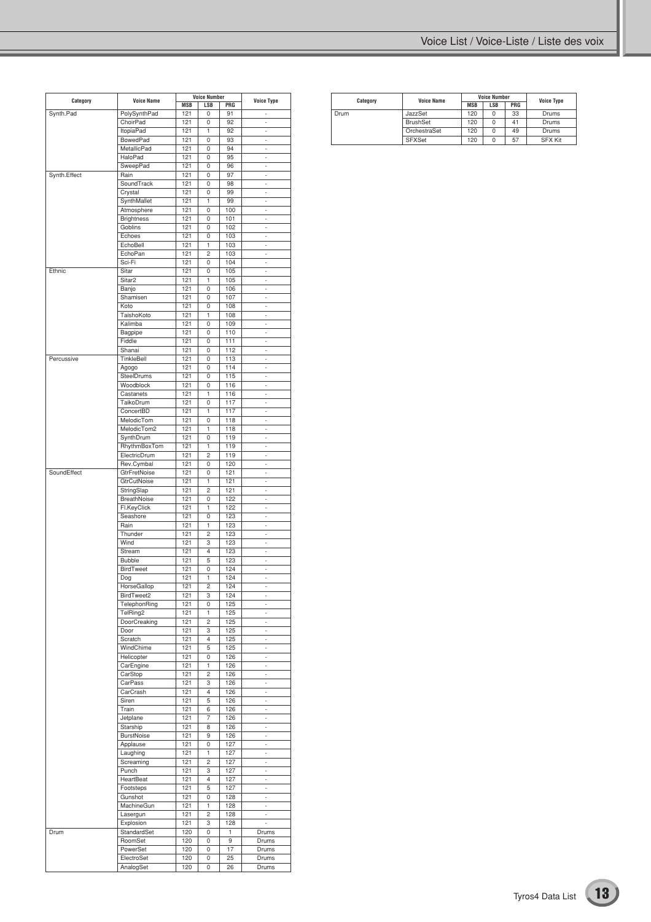| Category     |                                |            | <b>Voice Number</b> |            |                          |
|--------------|--------------------------------|------------|---------------------|------------|--------------------------|
|              | <b>Voice Name</b>              | MSB        | LSB                 | PRG        | <b>Voice Type</b>        |
| Synth.Pad    | PolySynthPad                   | 121        | 0                   | 91         |                          |
|              | ChoirPad                       | 121        | 0                   | 92         | ä,                       |
|              | <b>ItopiaPad</b>               | 121        | 1                   | 92<br>93   | í.<br>ä,                 |
|              | <b>BowedPad</b><br>MetallicPad | 121<br>121 | 0<br>0              | 94         | ٠                        |
|              | <b>HaloPad</b>                 | 121        | 0                   | 95         | í.                       |
|              | SweepPad                       | 121        | 0                   | 96         | ä,                       |
| Synth.Effect | Rain                           | 121        | 0                   | 97         | ×,                       |
|              | SoundTrack                     | 121        | 0                   | 98         | í.                       |
|              | Crystal                        | 121        | 0                   | 99         | ÷,                       |
|              | SynthMallet                    | 121        | 1                   | 99         | ×,                       |
|              | Atmosphere                     | 121        | 0                   | 100        | i.                       |
|              | <b>Brightness</b>              | 121        | 0                   | 101        | ÷,                       |
|              | Goblins                        | 121        | 0                   | 102        | ×,                       |
|              | Echoes                         | 121        | 0                   | 103        | i.                       |
|              | EchoBell                       | 121        | 1                   | 103        | ÷,                       |
|              | EchoPan                        | 121        | 2                   | 103        | ×,                       |
|              | Sci-Fi                         | 121        | 0                   | 104        | i.                       |
| Ethnic       | Sitar                          | 121        | 0                   | 105        | ÷,                       |
|              | Sitar <sub>2</sub>             | 121        | 1                   | 105        | ×,                       |
|              | Banjo                          | 121        | 0                   | 106        | i.                       |
|              | Shamisen                       | 121        | 0                   | 107        | ÷,                       |
|              | Koto                           | 121        | 0                   | 108        | ×,                       |
|              | TaishoKoto                     | 121        | 1                   | 108        | i.                       |
|              | Kalimba                        | 121        | 0                   | 109        | ÷,                       |
|              | Bagpipe                        | 121        | 0                   | 110        | ×,                       |
|              | Fiddle                         | 121        | 0                   | 111        | i.                       |
|              | Shanai                         | 121        | 0                   | 112        | ÷,                       |
| Percussive   | TinkleBell                     | 121        | 0                   | 113        | ×,                       |
|              | Agogo                          | 121        | 0                   | 114        | i.                       |
|              | SteelDrums<br>Woodblock        | 121        | 0                   | 115        | ÷,                       |
|              | Castanets                      | 121        | 0                   | 116<br>116 | ×,                       |
|              | TaikoDrum                      | 121<br>121 | 1<br>0              | 117        | i.<br>÷,                 |
|              |                                |            |                     |            |                          |
|              | ConcertBD                      | 121        | 1                   | 117        | ×,                       |
|              | MelodicTom<br>MelodicTom2      | 121<br>121 | 0<br>1              | 118<br>118 | i.<br>×,                 |
|              |                                | 121        |                     | 119        | ×,                       |
|              | SynthDrum<br>RhythmBoxTom      | 121        | 0<br>1              | 119        | í.                       |
|              | ElectricDrum                   | 121        | $\overline{c}$      | 119        | ×,                       |
|              | Rev.Cymbal                     | 121        | 0                   | 120        | ×,                       |
| SoundEffect  | GtrFretNoise                   | 121        | 0                   | 121        | í.                       |
|              | GtrCutNoise                    | 121        | 1                   | 121        | ×,                       |
|              | StringSlap                     | 121        | 2                   | 121        | ×,                       |
|              | BreathNoise                    | 121        | 0                   | 122        | í.                       |
|              |                                | 121        | 1                   | 122        | ×,                       |
|              | Fl.KeyClick<br>Seashore        | 121        | 0                   | 123        | ×,                       |
|              | Rain                           | 121        | 1                   | 123        | í.                       |
|              | Thunder                        | 121        | $\overline{c}$      | 123        | ×,                       |
|              | Wind                           | 121        | 3                   | 123        | ×,                       |
|              | Stream                         | 121        | 4                   | 123        | í.                       |
|              | <b>Bubble</b>                  | 121        | 5                   | 123        | ÷,                       |
|              | <b>BirdTweet</b>               | 121        | 0                   | 124        | ×,                       |
|              | Dog                            | 121        | 1                   | 124        |                          |
|              | HorseGallop                    | 121        | 2                   | 124        | ×,                       |
|              | BirdTweet2                     | 121        | 3                   | 124        | ×,                       |
|              | TelephonRing                   | 121        | 0                   | 125        | ÷,                       |
|              | TelRing2                       | 121        | 1                   | 125        | ÷,                       |
|              | DoorCreaking                   | 121        | 2                   | 125        | ٠                        |
|              | Door                           | 121        | 3                   | 125        | ÷,                       |
|              | Scratch                        | 121        | 4                   | 125        | ÷,                       |
|              | WindChime                      | 121        | 5                   | 125        | ×,                       |
|              | Helicopter                     | 121        | 0                   | 126        | ÷,                       |
|              | CarEngine                      | 121        | 1                   | 126        | ÷,                       |
|              | CarStop                        | 121        | 2                   | 126        | ×,                       |
|              | CarPass                        | 121        | 3                   | 126        | ×,                       |
|              | CarCrash                       | 121        | 4                   | 126        | ä,                       |
|              | Siren                          | 121        | 5                   | 126        | ×,                       |
|              | Train                          | 121        | 6                   | 126        | ×,                       |
|              | Jetplane                       | 121        | 7                   | 126        | ä,                       |
|              | Starship                       | 121        | 8                   | 126        | ٠                        |
|              | <b>BurstNoise</b>              | 121        | 9                   | 126        | ×,                       |
|              | Applause                       | 121        | 0                   | 127        | ä,                       |
|              | Laughing                       | 121        | 1                   | 127        | $\overline{\phantom{a}}$ |
|              | Screaming                      | 121        | $\overline{c}$      | 127        | $\overline{\phantom{a}}$ |
|              | Punch                          | 121        | 3                   | 127        | ä,                       |
|              | HeartBeat                      | 121        | 4                   | 127        | $\overline{\phantom{a}}$ |
|              | Footsteps                      | 121        | 5                   | 127        | $\overline{\phantom{a}}$ |
|              | Gunshot                        | 121        | 0                   | 128        | ä,                       |
|              | MachineGun                     | 121        | 1                   | 128        | $\overline{\phantom{a}}$ |
|              | Lasergun                       | 121        | $\overline{c}$      | 128        | ä,                       |
|              | Explosion                      | 121        | 3                   | 128        | ä,                       |
| Drum         | StandardSet                    | 120        | 0                   | 1          | Drums                    |
|              | RoomSet                        | 120        | 0                   | 9          | Drums                    |
|              | PowerSet                       | 120        | 0                   | 17         | Drums                    |
|              | ElectroSet                     | 120        | 0                   | 25         | Drums                    |
|              | AnalogSet                      | 120        | 0                   | 26         | Drums                    |

| Category | <b>Voice Name</b> |            | <b>Voice Number</b> |     | <b>Voice Type</b> |
|----------|-------------------|------------|---------------------|-----|-------------------|
|          |                   | <b>MSB</b> | LSB                 | PRG |                   |
| Drum     | JazzSet           | 120        | 0                   | 33  | Drums             |
|          | <b>BrushSet</b>   | 120        | 0                   | 41  | Drums             |
|          | OrchestraSet      | 120        | $\Omega$            | 49  | Drums             |
|          | <b>SFXSet</b>     | 120        | 0                   | 57  | <b>SFX Kit</b>    |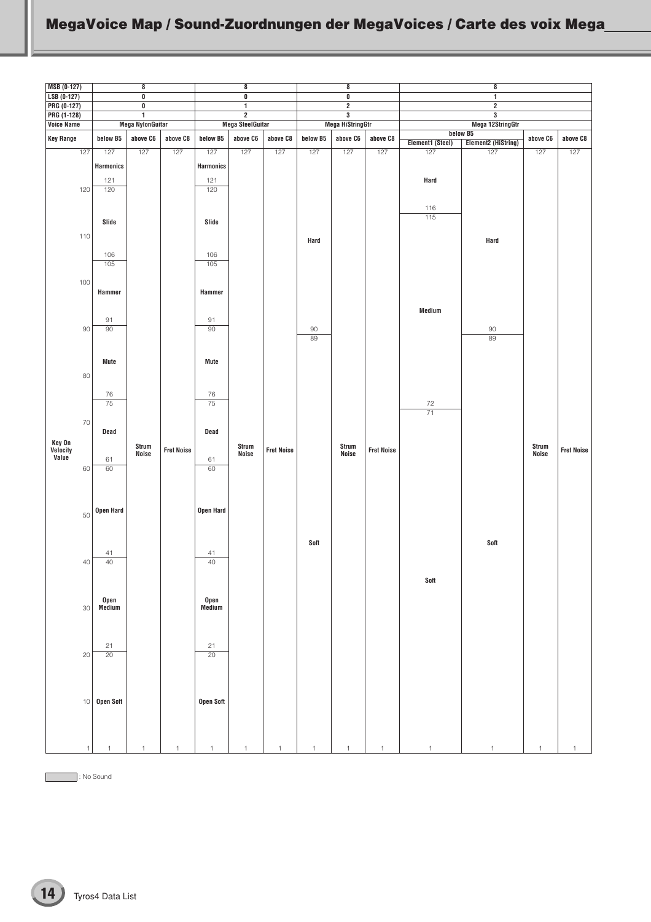<span id="page-13-0"></span>

| <b>MSB (0-127)</b>           |        |                  | $\bf8$                                             |                   |                  | 8                                                    |                   |          | $\bf8$                                    |                   |                  | 8                                      |                |                   |
|------------------------------|--------|------------------|----------------------------------------------------|-------------------|------------------|------------------------------------------------------|-------------------|----------|-------------------------------------------|-------------------|------------------|----------------------------------------|----------------|-------------------|
| $LSB (0-127)$<br>PRG (0-127) |        |                  | $\overline{\mathbf{0}}$<br>$\overline{\mathbf{0}}$ |                   |                  | $\overline{\mathfrak{o}}$<br>$\overline{\mathbf{1}}$ |                   |          | $\overline{\mathbf{0}}$<br>$\overline{2}$ |                   |                  | $\overline{1}$<br>$\overline{2}$       |                |                   |
| PRG (1-128)                  |        |                  | $\overline{1}$                                     |                   |                  | $\overline{2}$                                       |                   |          | $\overline{\mathbf{3}}$                   |                   |                  | $\overline{\mathbf{3}}$                |                |                   |
| Voice Name                   |        |                  | <b>Mega NylonGuitar</b>                            |                   |                  | <b>Mega SteelGuitar</b>                              |                   |          | <b>Mega HiStringGtr</b>                   |                   |                  | Mega 12StringGtr                       |                |                   |
| <b>Key Range</b>             |        | below B5         | above C6                                           | above C8          | below B5         | above C6                                             | above C8          | below B5 | above C6                                  | above C8          | Element1 (Steel) | below B5<br><b>Element2 (HiString)</b> | above $C6$     | above C8          |
| 127                          |        | 127              | 127                                                | 127               | 127              | 127                                                  | 127               | 127      | 127                                       | 127               | 127              | 127                                    | 127            | 127               |
|                              |        | <b>Harmonics</b> |                                                    |                   | <b>Harmonics</b> |                                                      |                   |          |                                           |                   |                  |                                        |                |                   |
|                              |        | 121              |                                                    |                   | 121              |                                                      |                   |          |                                           |                   | Hard             |                                        |                |                   |
| 120                          |        | 120              |                                                    |                   | 120              |                                                      |                   |          |                                           |                   |                  |                                        |                |                   |
|                              |        |                  |                                                    |                   |                  |                                                      |                   |          |                                           |                   | 116              |                                        |                |                   |
|                              |        | Slide            |                                                    |                   | Slide            |                                                      |                   |          |                                           |                   | 115              |                                        |                |                   |
| 110                          |        |                  |                                                    |                   |                  |                                                      |                   |          |                                           |                   |                  |                                        |                |                   |
|                              |        |                  |                                                    |                   |                  |                                                      |                   | Hard     |                                           |                   |                  | Hard                                   |                |                   |
|                              |        | 106              |                                                    |                   | 106              |                                                      |                   |          |                                           |                   |                  |                                        |                |                   |
|                              |        | 105              |                                                    |                   | 105              |                                                      |                   |          |                                           |                   |                  |                                        |                |                   |
| 100                          |        |                  |                                                    |                   |                  |                                                      |                   |          |                                           |                   |                  |                                        |                |                   |
|                              |        | Hammer           |                                                    |                   | Hammer           |                                                      |                   |          |                                           |                   |                  |                                        |                |                   |
|                              |        |                  |                                                    |                   |                  |                                                      |                   |          |                                           |                   | Medium           |                                        |                |                   |
|                              |        | 91               |                                                    |                   | 91               |                                                      |                   |          |                                           |                   |                  |                                        |                |                   |
|                              | 90     | 90               |                                                    |                   | $\overline{90}$  |                                                      |                   | 90<br>89 |                                           |                   |                  | $90\,$<br>89                           |                |                   |
|                              |        |                  |                                                    |                   |                  |                                                      |                   |          |                                           |                   |                  |                                        |                |                   |
|                              |        | <b>Mute</b>      |                                                    |                   | <b>Mute</b>      |                                                      |                   |          |                                           |                   |                  |                                        |                |                   |
|                              | 80     |                  |                                                    |                   |                  |                                                      |                   |          |                                           |                   |                  |                                        |                |                   |
|                              |        |                  |                                                    |                   |                  |                                                      |                   |          |                                           |                   |                  |                                        |                |                   |
|                              |        | 76<br>75         |                                                    |                   | 76<br>75         |                                                      |                   |          |                                           |                   | 72               |                                        |                |                   |
|                              |        |                  |                                                    |                   |                  |                                                      |                   |          |                                           |                   | $\overline{71}$  |                                        |                |                   |
|                              | 70     | Dead             |                                                    |                   | Dead             |                                                      |                   |          |                                           |                   |                  |                                        |                |                   |
|                              |        |                  |                                                    |                   |                  |                                                      |                   |          |                                           |                   |                  |                                        |                |                   |
| Key On<br>Velocity<br>Value  |        |                  | Strum<br>Noise                                     | <b>Fret Noise</b> |                  | Strum<br>Noise                                       | <b>Fret Noise</b> |          | Strum<br>Noise                            | <b>Fret Noise</b> |                  |                                        | Strum<br>Noise | <b>Fret Noise</b> |
|                              | 60     | 61<br>60         |                                                    |                   | 61<br>60         |                                                      |                   |          |                                           |                   |                  |                                        |                |                   |
|                              |        |                  |                                                    |                   |                  |                                                      |                   |          |                                           |                   |                  |                                        |                |                   |
|                              |        |                  |                                                    |                   |                  |                                                      |                   |          |                                           |                   |                  |                                        |                |                   |
|                              |        | Open Hard        |                                                    |                   | Open Hard        |                                                      |                   |          |                                           |                   |                  |                                        |                |                   |
|                              | 50     |                  |                                                    |                   |                  |                                                      |                   |          |                                           |                   |                  |                                        |                |                   |
|                              |        |                  |                                                    |                   |                  |                                                      |                   |          |                                           |                   |                  |                                        |                |                   |
|                              |        |                  |                                                    |                   |                  |                                                      |                   | Soft     |                                           |                   |                  | Soft                                   |                |                   |
|                              | $40\,$ | 41<br>40         |                                                    |                   | 41<br>40         |                                                      |                   |          |                                           |                   |                  |                                        |                |                   |
|                              |        |                  |                                                    |                   |                  |                                                      |                   |          |                                           |                   |                  |                                        |                |                   |
|                              |        |                  |                                                    |                   |                  |                                                      |                   |          |                                           |                   | Soft             |                                        |                |                   |
|                              |        | Open             |                                                    |                   |                  |                                                      |                   |          |                                           |                   |                  |                                        |                |                   |
|                              | 30     | Medium           |                                                    |                   | Open<br>Medium   |                                                      |                   |          |                                           |                   |                  |                                        |                |                   |
|                              |        |                  |                                                    |                   |                  |                                                      |                   |          |                                           |                   |                  |                                        |                |                   |
|                              |        |                  |                                                    |                   |                  |                                                      |                   |          |                                           |                   |                  |                                        |                |                   |
|                              |        | 21               |                                                    |                   | 21               |                                                      |                   |          |                                           |                   |                  |                                        |                |                   |
|                              | 20     | 20               |                                                    |                   | 20               |                                                      |                   |          |                                           |                   |                  |                                        |                |                   |
|                              |        |                  |                                                    |                   |                  |                                                      |                   |          |                                           |                   |                  |                                        |                |                   |
|                              |        |                  |                                                    |                   |                  |                                                      |                   |          |                                           |                   |                  |                                        |                |                   |
|                              | 10     | Open Soft        |                                                    |                   | Open Soft        |                                                      |                   |          |                                           |                   |                  |                                        |                |                   |
|                              |        |                  |                                                    |                   |                  |                                                      |                   |          |                                           |                   |                  |                                        |                |                   |
|                              |        |                  |                                                    |                   |                  |                                                      |                   |          |                                           |                   |                  |                                        |                |                   |
|                              |        |                  |                                                    |                   |                  |                                                      |                   |          |                                           |                   |                  |                                        |                |                   |
|                              |        |                  |                                                    |                   |                  |                                                      |                   |          |                                           |                   |                  |                                        |                |                   |

: No Sound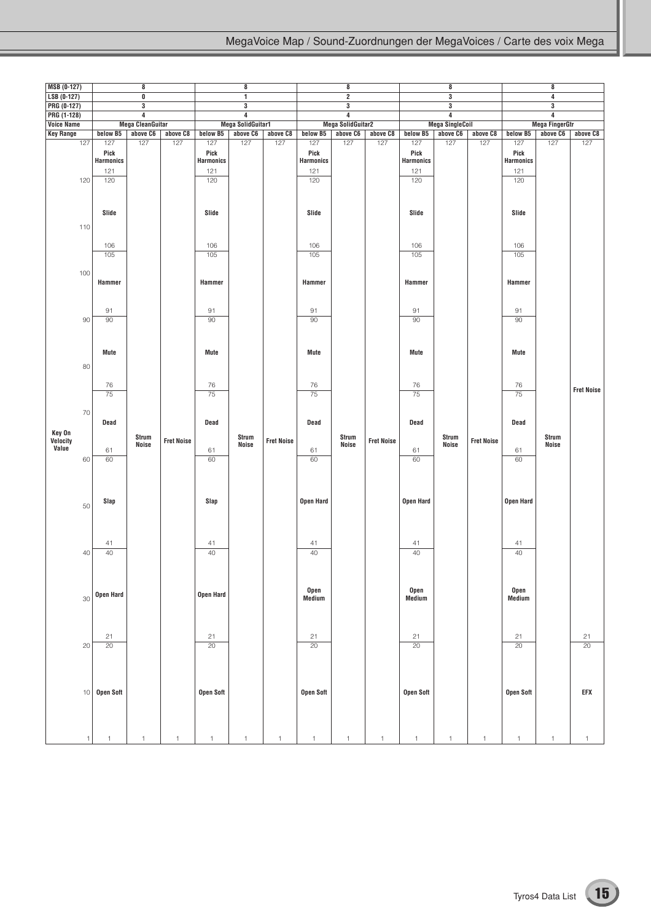| $MSB (0-127)$              |            |                                               | 8                       |                   |                                               | 8                                         |                   |                                               | 8                            |                   |                                               | 8                                                  |                   |                                               | 8                     |                       |
|----------------------------|------------|-----------------------------------------------|-------------------------|-------------------|-----------------------------------------------|-------------------------------------------|-------------------|-----------------------------------------------|------------------------------|-------------------|-----------------------------------------------|----------------------------------------------------|-------------------|-----------------------------------------------|-----------------------|-----------------------|
| $LSB (0-127)$              |            |                                               | 0                       |                   |                                               | 1                                         |                   |                                               | $\overline{2}$               |                   |                                               | $\overline{\mathbf{3}}$                            |                   |                                               | 4                     |                       |
| PRG (0-127)<br>PRG (1-128) |            |                                               | $\overline{3}$<br>4     |                   |                                               | $\overline{\mathbf{3}}$<br>$\overline{4}$ |                   |                                               | 3<br>$\overline{\mathbf{4}}$ |                   |                                               | $\overline{\mathbf{3}}$<br>$\overline{\mathbf{4}}$ |                   |                                               | 3<br>4                |                       |
| <b>Voice Name</b>          |            |                                               | <b>Mega CleanGuitar</b> |                   |                                               | <b>Mega SolidGuitar1</b>                  |                   |                                               | <b>Mega SolidGuitar2</b>     |                   |                                               | <b>Mega SingleCoil</b>                             |                   |                                               | <b>Mega FingerGtr</b> |                       |
| <b>Key Range</b>           |            | below B5                                      | above C6                | above C8          | below B5                                      | above C6                                  | above C8          | below B5                                      | above C6                     | above C8          | below B5                                      | above C6                                           | above C8          | below B5                                      | above C6              | above C8              |
|                            | 127<br>120 | 127<br>Pick<br><b>Harmonics</b><br>121<br>120 | 127                     | 127               | 127<br>Pick<br><b>Harmonics</b><br>121<br>120 | 127                                       | 127               | 127<br>Pick<br><b>Harmonics</b><br>121<br>120 | 127                          | 127               | 127<br>Pick<br><b>Harmonics</b><br>121<br>120 | 127                                                | 127               | 127<br>Pick<br><b>Harmonics</b><br>121<br>120 | 127                   | 127                   |
|                            | 110        | Slide                                         |                         |                   | Slide                                         |                                           |                   | Slide                                         |                              |                   | Slide                                         |                                                    |                   | Slide                                         |                       |                       |
|                            | 100        | 106<br>105                                    |                         |                   | 106<br>105                                    |                                           |                   | 106<br>105                                    |                              |                   | 106<br>105                                    |                                                    |                   | 106<br>105                                    |                       |                       |
|                            |            | Hammer<br>91                                  |                         |                   | Hammer<br>91                                  |                                           |                   | Hammer<br>91                                  |                              |                   | Hammer<br>91                                  |                                                    |                   | Hammer<br>91                                  |                       |                       |
|                            | 90         | 90<br>Mute                                    |                         |                   | 90<br>Mute                                    |                                           |                   | 90<br>Mute                                    |                              |                   | 90<br>Mute                                    |                                                    |                   | 90<br>Mute                                    |                       |                       |
|                            | 80         | 76                                            |                         |                   | 76                                            |                                           |                   | 76                                            |                              |                   | 76                                            |                                                    |                   | 76                                            |                       | <b>Fret Noise</b>     |
|                            |            | 75                                            |                         |                   | 75                                            |                                           |                   | 75                                            |                              |                   | 75                                            |                                                    |                   | 75                                            |                       |                       |
| Key On                     | 70         | Dead                                          | Strum                   |                   | Dead                                          | Strum                                     |                   | Dead                                          | Strum                        |                   | Dead                                          | Strum                                              |                   | Dead                                          | Strum                 |                       |
| Velocity<br>Value          | 60         | 61<br>60                                      | Noise                   | <b>Fret Noise</b> | 61<br>60                                      | <b>Noise</b>                              | <b>Fret Noise</b> | 61<br>60                                      | <b>Noise</b>                 | <b>Fret Noise</b> | 61<br>60                                      | Noise                                              | <b>Fret Noise</b> | 61<br>60                                      | <b>Noise</b>          |                       |
|                            | 50         | Slap                                          |                         |                   | Slap                                          |                                           |                   | <b>Open Hard</b>                              |                              |                   | Open Hard                                     |                                                    |                   | Open Hard                                     |                       |                       |
|                            |            | 41                                            |                         |                   | 41                                            |                                           |                   | 41                                            |                              |                   | 41                                            |                                                    |                   | 41                                            |                       |                       |
|                            | 40         | 40                                            |                         |                   | 40                                            |                                           |                   | 40                                            |                              |                   | 40                                            |                                                    |                   | 40                                            |                       |                       |
|                            | 30         | Open Hard                                     |                         |                   | Open Hard                                     |                                           |                   | Open<br>Medium                                |                              |                   | Open<br>Medium                                |                                                    |                   | Open<br>Medium                                |                       |                       |
|                            | 20         | 21<br>$\overline{20}$                         |                         |                   | 21<br>$\overline{20}$                         |                                           |                   | 21<br>20                                      |                              |                   | 21<br>$\overline{20}$                         |                                                    |                   | 21<br>$\overline{20}$                         |                       | 21<br>$\overline{20}$ |
|                            | $10$       | Open Soft                                     |                         |                   | Open Soft                                     |                                           |                   | <b>Open Soft</b>                              |                              |                   | Open Soft                                     |                                                    |                   | <b>Open Soft</b>                              |                       | EFX                   |
|                            |            |                                               |                         |                   | 1                                             |                                           |                   | 1                                             | $\overline{1}$               |                   |                                               |                                                    |                   |                                               |                       | 1                     |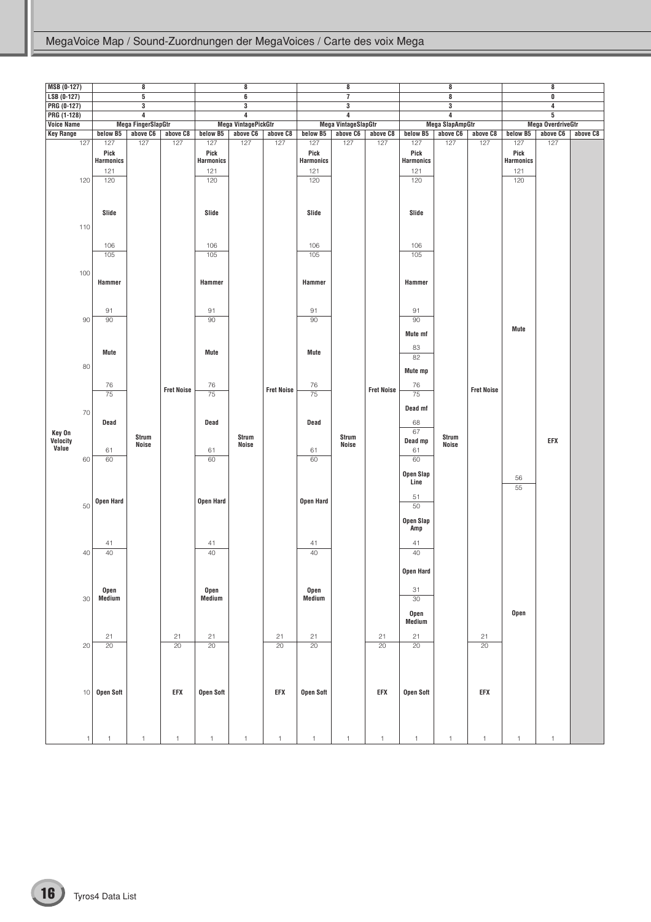| <b>MSB (0-127)</b>          |            |                                               | 8                         |                       |                                               | 8                          |                   |                                               | 8                          |                   |                                               | $\bf 8$                 |                       |                                               | 8                        |          |
|-----------------------------|------------|-----------------------------------------------|---------------------------|-----------------------|-----------------------------------------------|----------------------------|-------------------|-----------------------------------------------|----------------------------|-------------------|-----------------------------------------------|-------------------------|-----------------------|-----------------------------------------------|--------------------------|----------|
| $LSB (0-127)$               |            |                                               | $\overline{5}$            |                       |                                               | 6                          |                   |                                               | $\overline{7}$             |                   |                                               | $\overline{\mathbf{8}}$ |                       |                                               | $\overline{\mathbf{0}}$  |          |
| PRG (0-127)                 |            |                                               | $\overline{\mathbf{3}}$   |                       |                                               | 3                          |                   |                                               | $\overline{\mathbf{3}}$    |                   |                                               | $\overline{\mathbf{3}}$ |                       |                                               | 4                        |          |
| PRG (1-128)                 |            |                                               | $\overline{4}$            |                       |                                               | 4                          |                   |                                               | 4                          |                   |                                               | 4                       |                       |                                               | 5                        |          |
| <b>Voice Name</b>           |            |                                               | <b>Mega FingerSlapGtr</b> |                       |                                               | <b>Mega VintagePickGtr</b> |                   |                                               | <b>Mega VintageSlapGtr</b> |                   |                                               | <b>Mega SlapAmpGtr</b>  |                       |                                               | <b>Mega OverdriveGtr</b> |          |
| <b>Key Range</b>            |            | below B5                                      | above C6                  | above C8              | below B5                                      | above C6                   | above C8          | below B5                                      | above C6                   | above C8          | below B5                                      | above C6                | above C8              | below B5                                      | above C6                 | above C8 |
|                             | 127<br>120 | 127<br>Pick<br><b>Harmonics</b><br>121<br>120 | 127                       | 127                   | 127<br>Pick<br><b>Harmonics</b><br>121<br>120 | 127                        | 127               | 127<br>Pick<br><b>Harmonics</b><br>121<br>120 | 127                        | 127               | 127<br>Pick<br><b>Harmonics</b><br>121<br>120 | 127                     | 127                   | 127<br>Pick<br><b>Harmonics</b><br>121<br>120 | 127                      |          |
|                             | 110        | Slide                                         |                           |                       | Slide                                         |                            |                   | Slide                                         |                            |                   | Slide                                         |                         |                       |                                               |                          |          |
|                             |            | 106<br>105                                    |                           |                       | 106<br>105                                    |                            |                   | 106<br>105                                    |                            |                   | 106<br>105                                    |                         |                       |                                               |                          |          |
|                             | 100        | Hammer                                        |                           |                       | Hammer                                        |                            |                   | Hammer                                        |                            |                   | Hammer                                        |                         |                       |                                               |                          |          |
|                             | 90         | 91<br>90                                      |                           |                       | 91<br>90                                      |                            |                   | 91<br>90                                      |                            |                   | 91<br>90<br>Mute mf                           |                         |                       | Mute                                          |                          |          |
|                             | 80         | Mute                                          |                           |                       | <b>Mute</b>                                   |                            |                   | Mute                                          |                            |                   | 83<br>82                                      |                         |                       |                                               |                          |          |
|                             |            | 76<br>75                                      |                           | <b>Fret Noise</b>     | 76<br>75                                      |                            | <b>Fret Noise</b> | 76<br>75                                      |                            | <b>Fret Noise</b> | Mute mp<br>76<br>75                           |                         | <b>Fret Noise</b>     |                                               |                          |          |
|                             | 70         | Dead                                          |                           |                       | Dead                                          |                            |                   | Dead                                          |                            |                   | Dead mf<br>68<br>67                           |                         |                       |                                               |                          |          |
| Key On<br>Velocity<br>Value | 60         | 61<br>60                                      | Strum<br>Noise            |                       | 61<br>60                                      | Strum<br><b>Noise</b>      |                   | 61<br>60                                      | Strum<br><b>Noise</b>      |                   | Dead mp<br>61<br>60                           | Strum<br><b>Noise</b>   |                       |                                               | EFX                      |          |
|                             |            |                                               |                           |                       |                                               |                            |                   |                                               |                            |                   | Open Slap<br>Line<br>51                       |                         |                       | 56<br>55                                      |                          |          |
|                             | 50         | <b>Open Hard</b>                              |                           |                       | Open Hard                                     |                            |                   | <b>Open Hard</b>                              |                            |                   | 50<br>Open Slap<br>Amp                        |                         |                       |                                               |                          |          |
|                             |            | 41                                            |                           |                       | 41                                            |                            |                   | 41                                            |                            |                   | 41                                            |                         |                       |                                               |                          |          |
|                             | 40         | 40                                            |                           |                       | 40                                            |                            |                   | 40                                            |                            |                   | 40                                            |                         |                       |                                               |                          |          |
|                             | 30         | Open<br>Medium                                |                           |                       | Open<br>Medium                                |                            |                   | Open<br>Medium                                |                            |                   | Open Hard<br>31<br>$30\,$                     |                         |                       |                                               |                          |          |
|                             |            |                                               |                           |                       |                                               |                            |                   |                                               |                            |                   | Open<br>Medium                                |                         |                       | Open                                          |                          |          |
|                             | 20         | 21<br>20                                      |                           | 21<br>$\overline{20}$ | 21<br>20                                      |                            | 21<br>20          | 21<br>20                                      |                            | 21<br>20          | 21<br>$\overline{20}$                         |                         | 21<br>$\overline{20}$ |                                               |                          |          |
|                             | 10         | <b>Open Soft</b>                              |                           | EFX                   | <b>Open Soft</b>                              |                            | EFX               | Open Soft                                     |                            | EFX               | Open Soft                                     |                         | EFX                   |                                               |                          |          |
|                             |            |                                               |                           |                       | $\overline{1}$                                |                            |                   |                                               |                            |                   |                                               |                         | $\overline{1}$        |                                               |                          |          |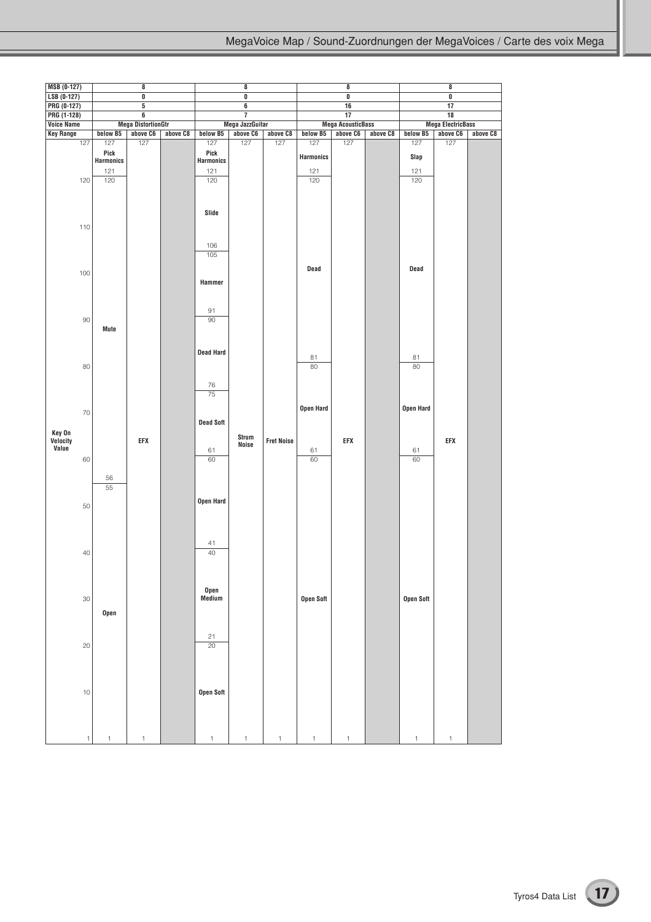| <b>MSB (0-127)</b>               |                                 | 8                              |          |                                 | 8                       |                   |                         | 8                        |          |                  | 8                              |          |
|----------------------------------|---------------------------------|--------------------------------|----------|---------------------------------|-------------------------|-------------------|-------------------------|--------------------------|----------|------------------|--------------------------------|----------|
| $LSB (0-127)$                    |                                 | $\overline{\textbf{0}}$        |          |                                 | $\overline{\mathbf{0}}$ |                   |                         | $\overline{\mathbf{0}}$  |          |                  | $\overline{\mathbf{0}}$        |          |
| PRG (0-127)                      |                                 | $\overline{5}$                 |          |                                 | $\overline{\mathbf{6}}$ |                   |                         | 16                       |          |                  | $\overline{17}$                |          |
|                                  |                                 |                                |          |                                 | $\overline{7}$          |                   |                         | 17                       |          |                  |                                |          |
| PRG (1-128)<br><b>Voice Name</b> |                                 | 6<br><b>Mega DistortionGtr</b> |          |                                 | Mega JazzGuitar         |                   |                         | <b>Mega AcousticBass</b> |          |                  | 18<br><b>Mega ElectricBass</b> |          |
|                                  |                                 |                                |          |                                 |                         |                   |                         |                          |          |                  |                                |          |
| <b>Key Range</b><br>127          | below B5                        | above C6<br>127                | above C8 | below B5                        | above C6<br>127         | above C8<br>127   | below B5                | above C6<br>127          | above C8 | below B5         | above C6<br>127                | above C8 |
|                                  | 127<br>Pick<br><b>Harmonics</b> |                                |          | 127<br>Pick<br><b>Harmonics</b> |                         |                   | 127<br><b>Harmonics</b> |                          |          | 127<br>Slap      |                                |          |
|                                  | 121                             |                                |          | 121                             |                         |                   | 121                     |                          |          | $121$            |                                |          |
| 120                              | 120                             |                                |          | 120                             |                         |                   | 120                     |                          |          | 120              |                                |          |
| 110                              |                                 |                                |          | Slide                           |                         |                   |                         |                          |          |                  |                                |          |
|                                  |                                 |                                |          |                                 |                         |                   |                         |                          |          |                  |                                |          |
|                                  |                                 |                                |          | 106                             |                         |                   |                         |                          |          |                  |                                |          |
|                                  |                                 |                                |          | 105                             |                         |                   |                         |                          |          |                  |                                |          |
|                                  |                                 |                                |          |                                 |                         |                   |                         |                          |          |                  |                                |          |
| 100                              |                                 |                                |          |                                 |                         |                   | Dead                    |                          |          | Dead             |                                |          |
|                                  |                                 |                                |          | Hammer                          |                         |                   |                         |                          |          |                  |                                |          |
|                                  |                                 |                                |          | 91                              |                         |                   |                         |                          |          |                  |                                |          |
| 90                               |                                 |                                |          | 90                              |                         |                   |                         |                          |          |                  |                                |          |
| 80                               | Mute                            |                                |          | <b>Dead Hard</b>                |                         |                   | 81<br>80                |                          |          | 81<br>80         |                                |          |
|                                  |                                 |                                |          |                                 |                         |                   |                         |                          |          |                  |                                |          |
|                                  |                                 |                                |          |                                 |                         |                   |                         |                          |          |                  |                                |          |
|                                  |                                 |                                |          | 76                              |                         |                   |                         |                          |          |                  |                                |          |
|                                  |                                 |                                |          | $\overline{75}$                 |                         |                   |                         |                          |          |                  |                                |          |
|                                  |                                 |                                |          |                                 |                         |                   | Open Hard               |                          |          | Open Hard        |                                |          |
| 70                               |                                 |                                |          |                                 |                         |                   |                         |                          |          |                  |                                |          |
|                                  |                                 |                                |          | <b>Dead Soft</b>                |                         |                   |                         |                          |          |                  |                                |          |
| Key On                           |                                 |                                |          |                                 | Strum                   |                   |                         |                          |          |                  |                                |          |
| Velocity<br>Value                |                                 | EFX                            |          |                                 | <b>Noise</b>            | <b>Fret Noise</b> |                         | EFX                      |          |                  | EFX                            |          |
|                                  |                                 |                                |          | 61                              |                         |                   | 61                      |                          |          | 61               |                                |          |
| 60                               |                                 |                                |          | 60                              |                         |                   | 60                      |                          |          | 60               |                                |          |
|                                  | 56<br>55                        |                                |          |                                 |                         |                   |                         |                          |          |                  |                                |          |
| 50                               |                                 |                                |          | Open Hard                       |                         |                   |                         |                          |          |                  |                                |          |
|                                  |                                 |                                |          |                                 |                         |                   |                         |                          |          |                  |                                |          |
|                                  |                                 |                                |          | 41                              |                         |                   |                         |                          |          |                  |                                |          |
| 40                               |                                 |                                |          | 40                              |                         |                   |                         |                          |          |                  |                                |          |
|                                  |                                 |                                |          |                                 |                         |                   |                         |                          |          |                  |                                |          |
|                                  |                                 |                                |          |                                 |                         |                   |                         |                          |          |                  |                                |          |
|                                  |                                 |                                |          |                                 |                         |                   |                         |                          |          |                  |                                |          |
|                                  |                                 |                                |          | Open                            |                         |                   |                         |                          |          |                  |                                |          |
| 30                               |                                 |                                |          | Medium                          |                         |                   | <b>Open Soft</b>        |                          |          | <b>Open Soft</b> |                                |          |
|                                  | Open                            |                                |          |                                 |                         |                   |                         |                          |          |                  |                                |          |
|                                  |                                 |                                |          |                                 |                         |                   |                         |                          |          |                  |                                |          |
|                                  |                                 |                                |          |                                 |                         |                   |                         |                          |          |                  |                                |          |
|                                  |                                 |                                |          | 21                              |                         |                   |                         |                          |          |                  |                                |          |
| 20                               |                                 |                                |          | 20                              |                         |                   |                         |                          |          |                  |                                |          |
|                                  |                                 |                                |          |                                 |                         |                   |                         |                          |          |                  |                                |          |
|                                  |                                 |                                |          |                                 |                         |                   |                         |                          |          |                  |                                |          |
|                                  |                                 |                                |          |                                 |                         |                   |                         |                          |          |                  |                                |          |
|                                  |                                 |                                |          |                                 |                         |                   |                         |                          |          |                  |                                |          |
| 10                               |                                 |                                |          | <b>Open Soft</b>                |                         |                   |                         |                          |          |                  |                                |          |
|                                  |                                 |                                |          |                                 |                         |                   |                         |                          |          |                  |                                |          |
|                                  |                                 |                                |          |                                 |                         |                   |                         |                          |          |                  |                                |          |
|                                  |                                 |                                |          |                                 |                         |                   |                         |                          |          |                  |                                |          |
| $\mathbf{1}$                     | $\mathbf{1}$                    | $\mathbf{1}$                   |          | $\mathbf{1}$                    | $\mathbf{1}$            | $\mathbf{1}$      | $\mathbf{1}$            | $\mathbf{1}$             |          | $\mathbf{1}$     | $\mathbf{1}$                   |          |
|                                  |                                 |                                |          |                                 |                         |                   |                         |                          |          |                  |                                |          |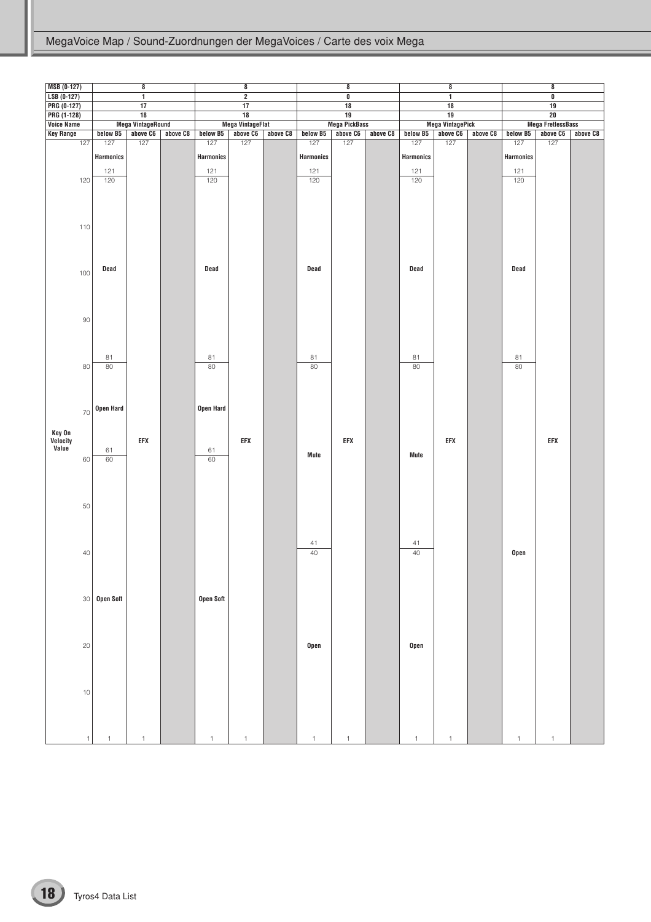| <b>MSB (0-127)</b> |                  | 8                        |          |                  | $\bf{8}$                |          |                  | $\bf{8}$                |          |                  | 8                       |          |                  | $\bf{8}$                 |          |
|--------------------|------------------|--------------------------|----------|------------------|-------------------------|----------|------------------|-------------------------|----------|------------------|-------------------------|----------|------------------|--------------------------|----------|
| $LSB (0-127)$      |                  | $\overline{1}$           |          |                  | $\overline{2}$          |          |                  | $\overline{\mathbf{0}}$ |          |                  | $\overline{1}$          |          |                  | $\overline{\mathbf{0}}$  |          |
| PRG (0-127)        |                  | 17                       |          |                  | 17                      |          |                  | $\overline{18}$         |          |                  | $\overline{18}$         |          |                  | 19                       |          |
| PRG (1-128)        |                  | 18                       |          |                  | 18                      |          |                  | 19                      |          |                  | 19                      |          |                  | 20                       |          |
| <b>Voice Name</b>  |                  | <b>Mega VintageRound</b> |          |                  | <b>Mega VintageFlat</b> |          |                  | <b>Mega PickBass</b>    |          |                  | <b>Mega VintagePick</b> |          |                  | <b>Mega FretlessBass</b> |          |
| <b>Key Range</b>   | below B5         | above C6                 | above C8 | below B5         | above C6                | above C8 | below B5         | above C6                | above C8 | below B5         | above C6                | above C8 | below B5         | above C6                 | above C8 |
| 127                | 127              | 127                      |          | 127              | 127                     |          | 127              | 127                     |          | 127              | 127                     |          | 127              | 127                      |          |
|                    | <b>Harmonics</b> |                          |          | <b>Harmonics</b> |                         |          | <b>Harmonics</b> |                         |          | <b>Harmonics</b> |                         |          | <b>Harmonics</b> |                          |          |
|                    |                  |                          |          |                  |                         |          |                  |                         |          |                  |                         |          |                  |                          |          |
|                    | 121              |                          |          | 121              |                         |          | 121              |                         |          | 121              |                         |          | 121              |                          |          |
| 120                | 120              |                          |          | 120              |                         |          | 120              |                         |          | 120              |                         |          | 120              |                          |          |
|                    |                  |                          |          |                  |                         |          |                  |                         |          |                  |                         |          |                  |                          |          |
|                    |                  |                          |          |                  |                         |          |                  |                         |          |                  |                         |          |                  |                          |          |
|                    |                  |                          |          |                  |                         |          |                  |                         |          |                  |                         |          |                  |                          |          |
| 110                |                  |                          |          |                  |                         |          |                  |                         |          |                  |                         |          |                  |                          |          |
|                    |                  |                          |          |                  |                         |          |                  |                         |          |                  |                         |          |                  |                          |          |
|                    |                  |                          |          |                  |                         |          |                  |                         |          |                  |                         |          |                  |                          |          |
|                    |                  |                          |          |                  |                         |          |                  |                         |          |                  |                         |          |                  |                          |          |
|                    | Dead             |                          |          | Dead             |                         |          | Dead             |                         |          | Dead             |                         |          | Dead             |                          |          |
| 100                |                  |                          |          |                  |                         |          |                  |                         |          |                  |                         |          |                  |                          |          |
|                    |                  |                          |          |                  |                         |          |                  |                         |          |                  |                         |          |                  |                          |          |
|                    |                  |                          |          |                  |                         |          |                  |                         |          |                  |                         |          |                  |                          |          |
|                    |                  |                          |          |                  |                         |          |                  |                         |          |                  |                         |          |                  |                          |          |
| $90\,$             |                  |                          |          |                  |                         |          |                  |                         |          |                  |                         |          |                  |                          |          |
|                    |                  |                          |          |                  |                         |          |                  |                         |          |                  |                         |          |                  |                          |          |
|                    |                  |                          |          |                  |                         |          |                  |                         |          |                  |                         |          |                  |                          |          |
|                    |                  |                          |          |                  |                         |          |                  |                         |          |                  |                         |          |                  |                          |          |
|                    | 81               |                          |          | 81               |                         |          | 81               |                         |          | 81               |                         |          | 81               |                          |          |
| 80                 | 80               |                          |          | 80               |                         |          | 80               |                         |          | 80               |                         |          | 80               |                          |          |
|                    |                  |                          |          |                  |                         |          |                  |                         |          |                  |                         |          |                  |                          |          |
|                    |                  |                          |          |                  |                         |          |                  |                         |          |                  |                         |          |                  |                          |          |
|                    |                  |                          |          |                  |                         |          |                  |                         |          |                  |                         |          |                  |                          |          |
|                    | Open Hard        |                          |          | Open Hard        |                         |          |                  |                         |          |                  |                         |          |                  |                          |          |
| 70                 |                  |                          |          |                  |                         |          |                  |                         |          |                  |                         |          |                  |                          |          |
|                    |                  |                          |          |                  |                         |          |                  |                         |          |                  |                         |          |                  |                          |          |
| Key On<br>Velocity |                  | EFX                      |          |                  | EFX                     |          |                  | EFX                     |          |                  | EFX                     |          |                  | EFX                      |          |
| Value              | 61               |                          |          | 61               |                         |          |                  |                         |          |                  |                         |          |                  |                          |          |
| 60                 | 60               |                          |          | 60               |                         |          | Mute             |                         |          | Mute             |                         |          |                  |                          |          |
|                    |                  |                          |          |                  |                         |          |                  |                         |          |                  |                         |          |                  |                          |          |
|                    |                  |                          |          |                  |                         |          |                  |                         |          |                  |                         |          |                  |                          |          |
|                    |                  |                          |          |                  |                         |          |                  |                         |          |                  |                         |          |                  |                          |          |
|                    |                  |                          |          |                  |                         |          |                  |                         |          |                  |                         |          |                  |                          |          |
| 50                 |                  |                          |          |                  |                         |          |                  |                         |          |                  |                         |          |                  |                          |          |
|                    |                  |                          |          |                  |                         |          |                  |                         |          |                  |                         |          |                  |                          |          |
|                    |                  |                          |          |                  |                         |          |                  |                         |          |                  |                         |          |                  |                          |          |
|                    |                  |                          |          |                  |                         |          |                  |                         |          |                  |                         |          |                  |                          |          |
|                    |                  |                          |          |                  |                         |          | 41               |                         |          | 41               |                         |          |                  |                          |          |
| $40\,$             |                  |                          |          |                  |                         |          | 40               |                         |          | 40               |                         |          | Open             |                          |          |
|                    |                  |                          |          |                  |                         |          |                  |                         |          |                  |                         |          |                  |                          |          |
|                    |                  |                          |          |                  |                         |          |                  |                         |          |                  |                         |          |                  |                          |          |
|                    |                  |                          |          |                  |                         |          |                  |                         |          |                  |                         |          |                  |                          |          |
| $30\,$             | Open Soft        |                          |          | Open Soft        |                         |          |                  |                         |          |                  |                         |          |                  |                          |          |
|                    |                  |                          |          |                  |                         |          |                  |                         |          |                  |                         |          |                  |                          |          |
|                    |                  |                          |          |                  |                         |          |                  |                         |          |                  |                         |          |                  |                          |          |
|                    |                  |                          |          |                  |                         |          |                  |                         |          |                  |                         |          |                  |                          |          |
|                    |                  |                          |          |                  |                         |          |                  |                         |          |                  |                         |          |                  |                          |          |
| 20                 |                  |                          |          |                  |                         |          | <b>Open</b>      |                         |          | Open             |                         |          |                  |                          |          |
|                    |                  |                          |          |                  |                         |          |                  |                         |          |                  |                         |          |                  |                          |          |
|                    |                  |                          |          |                  |                         |          |                  |                         |          |                  |                         |          |                  |                          |          |
|                    |                  |                          |          |                  |                         |          |                  |                         |          |                  |                         |          |                  |                          |          |
| $10$               |                  |                          |          |                  |                         |          |                  |                         |          |                  |                         |          |                  |                          |          |
|                    |                  |                          |          |                  |                         |          |                  |                         |          |                  |                         |          |                  |                          |          |
|                    |                  |                          |          |                  |                         |          |                  |                         |          |                  |                         |          |                  |                          |          |
|                    |                  |                          |          |                  |                         |          |                  |                         |          |                  |                         |          |                  |                          |          |
|                    |                  |                          |          |                  |                         |          |                  |                         |          |                  |                         |          |                  |                          |          |
| $\mathbf{1}$       | $\mathbf{1}$     | $\mathbf{1}$             |          | $\mathbf{1}$     | $\mathbf{1}$            |          | $\mathbf{1}$     | $\overline{1}$          |          | $\mathbf{1}$     | $\mathbf{1}$            |          | $\mathbf{1}$     | $\overline{1}$           |          |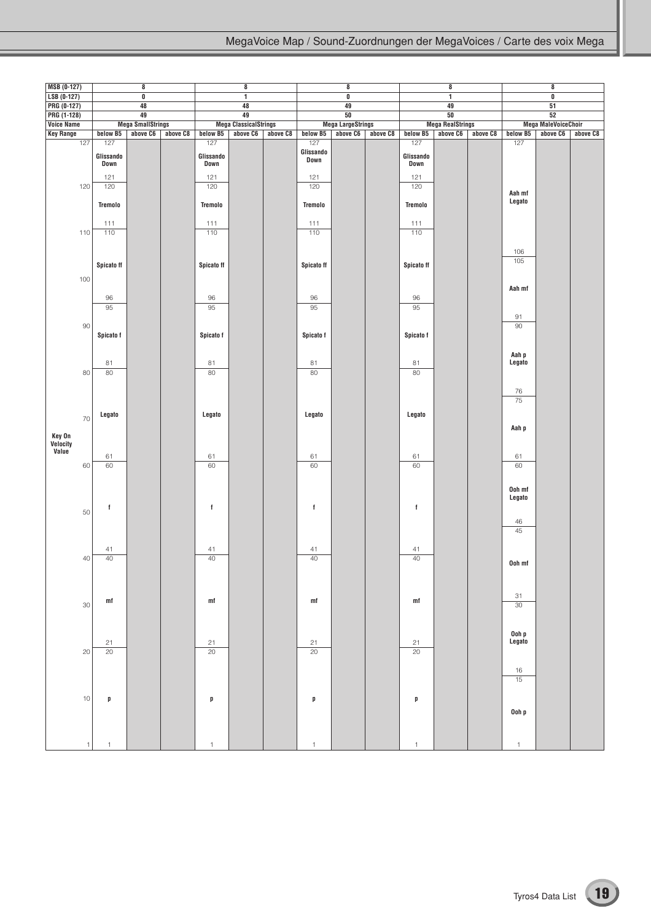| MSB (0-127)        |              |                          | 8                        |          |                          | $\bf 8$                      |          |                          | $\pmb{8}$                |          |                          | $\pmb{8}$               |          |                            | 8                          |          |
|--------------------|--------------|--------------------------|--------------------------|----------|--------------------------|------------------------------|----------|--------------------------|--------------------------|----------|--------------------------|-------------------------|----------|----------------------------|----------------------------|----------|
| LSB (0-127)        |              |                          | 0                        |          |                          | 1                            |          |                          | $\overline{\mathbf{0}}$  |          |                          | $\overline{1}$          |          |                            | $\overline{\mathbf{0}}$    |          |
| PRG (0-127)        |              |                          | 48                       |          |                          | 48                           |          |                          | 49                       |          |                          | 49                      |          |                            | 51                         |          |
| PRG (1-128)        |              |                          | 49                       |          |                          | 49                           |          |                          | 50                       |          |                          | 50                      |          |                            | 52                         |          |
| <b>Voice Name</b>  |              |                          | <b>Mega SmallStrings</b> |          |                          | <b>Mega ClassicalStrings</b> |          |                          | <b>Mega LargeStrings</b> |          |                          | <b>Mega RealStrings</b> |          |                            | <b>Mega MaleVoiceChoir</b> |          |
| <b>Key Range</b>   |              | below B5                 | above C6                 | above C8 | below B5                 | above C6                     | above C8 | below B5                 | above C6                 | above C8 | below B5                 | above C6                | above C8 | below B5                   | above C6                   | above C8 |
|                    | 127          | 127<br>Glissando<br>Down |                          |          | 127<br>Glissando<br>Down |                              |          | 127<br>Glissando<br>Down |                          |          | 127<br>Glissando<br>Down |                         |          | 127                        |                            |          |
|                    | 120          | 121<br>120               |                          |          | 121<br>120               |                              |          | 121<br>120               |                          |          | 121<br>120               |                         |          | Aah mf<br>Legato           |                            |          |
|                    | 110          | Tremolo<br>111<br>110    |                          |          | Tremolo<br>111<br>110    |                              |          | Tremolo<br>111<br>110    |                          |          | Tremolo<br>111<br>110    |                         |          |                            |                            |          |
|                    |              | Spicato ff               |                          |          | Spicato ff               |                              |          | Spicato ff               |                          |          | <b>Spicato ff</b>        |                         |          | 106<br>105                 |                            |          |
|                    | 100          | 96                       |                          |          | 96                       |                              |          | 96                       |                          |          | 96                       |                         |          | Aah mf                     |                            |          |
|                    | $90\,$       | 95                       |                          |          | 95                       |                              |          | 95                       |                          |          | 95                       |                         |          | 91<br>90                   |                            |          |
|                    |              | Spicato f<br>81          |                          |          | Spicato f<br>81          |                              |          | Spicato f<br>81          |                          |          | Spicato f<br>81          |                         |          | Aah p<br>Legato            |                            |          |
|                    | 80           | 80                       |                          |          | 80                       |                              |          | 80                       |                          |          | 80                       |                         |          | $76\,$<br>75               |                            |          |
| Key On<br>Velocity | 70           | Legato                   |                          |          | Legato                   |                              |          | Legato                   |                          |          | Legato                   |                         |          | Aah p                      |                            |          |
| Value              | 60           | 61<br>60                 |                          |          | 61<br>60                 |                              |          | 61<br>60                 |                          |          | 61<br>60                 |                         |          | 61<br>60                   |                            |          |
|                    | 50           | f                        |                          |          | $\mathbf f$              |                              |          | f                        |                          |          | $\mathbf f$              |                         |          | Ooh mf<br>Legato<br>$46\,$ |                            |          |
|                    | 40           | 41<br>40                 |                          |          | 41<br>40                 |                              |          | 41<br>40                 |                          |          | 41<br>40                 |                         |          | 45                         |                            |          |
|                    |              |                          |                          |          |                          |                              |          |                          |                          |          |                          |                         |          | Ooh mf                     |                            |          |
|                    | 30           | mf                       |                          |          | m f                      |                              |          | mf                       |                          |          | mf                       |                         |          | 31<br>$\overline{30}$      |                            |          |
|                    | 20           | 21<br>20                 |                          |          | 21<br>20                 |                              |          | 21<br>$\overline{20}$    |                          |          | 21<br>20                 |                         |          | Ooh p<br>Legato            |                            |          |
|                    | $10$         |                          |                          |          |                          |                              |          |                          |                          |          |                          |                         |          | $16$<br>15                 |                            |          |
|                    |              | p                        |                          |          | p                        |                              |          | p                        |                          |          | p                        |                         |          | Ooh p                      |                            |          |
|                    | $\mathbf{1}$ | $\mathbf{1}$             |                          |          | $\mathbf{1}$             |                              |          | $\mathbf{1}$             |                          |          | $\mathbf{1}$             |                         |          | $\mathbf{1}$               |                            |          |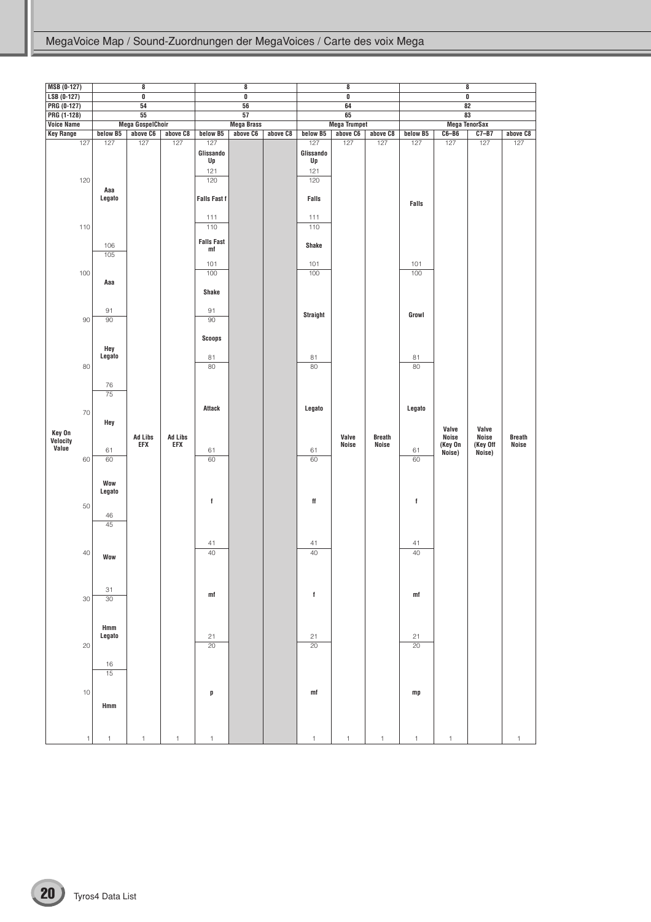| <b>MSB (0-127)</b>         |        |                           | 8                       |                |                                   | 8                       |          |                               | 8                       |               |             |                       | $\pmb{8}$               |               |
|----------------------------|--------|---------------------------|-------------------------|----------------|-----------------------------------|-------------------------|----------|-------------------------------|-------------------------|---------------|-------------|-----------------------|-------------------------|---------------|
| $LSB (0-127)$              |        |                           | $\overline{\mathbf{0}}$ |                |                                   | $\overline{\mathbf{0}}$ |          |                               | $\overline{\mathbf{0}}$ |               |             |                       | $\overline{\mathbf{0}}$ |               |
| PRG (0-127)<br>PRG (1-128) |        |                           | 54<br>55                |                |                                   | 56<br>57                |          |                               | 64<br>65                |               |             |                       | $\overline{82}$<br>83   |               |
| <b>Voice Name</b>          |        |                           | <b>Mega GospelChoir</b> |                |                                   | <b>Mega Brass</b>       |          |                               | <b>Mega Trumpet</b>     |               |             |                       | <b>Mega TenorSax</b>    |               |
| <b>Key Range</b>           |        | below B5                  | above C6                | above C8       | below B5                          | above C6                | above C8 | below B5                      | above C6                | above C8      | below B5    | $C6 - B6$             | $C7 - B7$               | above C8      |
|                            | 127    | 127                       | 127                     | 127            | 127<br>Glissando<br>Up<br>121     |                         |          | 127<br>Glissando<br>Up<br>121 | 127                     | 127           | 127         | 127                   | 127                     | 127           |
|                            | 120    | Aaa<br>Legato             |                         |                | 120<br><b>Falls Fast f</b><br>111 |                         |          | 120<br>Falls<br>111           |                         |               | Falls       |                       |                         |               |
|                            | 110    | 106<br>105                |                         |                | 110<br><b>Falls Fast</b><br>mf    |                         |          | 110<br><b>Shake</b>           |                         |               |             |                       |                         |               |
|                            | 100    |                           |                         |                | 101<br>100                        |                         |          | 101<br>100                    |                         |               | 101<br>100  |                       |                         |               |
|                            |        | Aaa<br>91                 |                         |                | <b>Shake</b><br>91                |                         |          |                               |                         |               |             |                       |                         |               |
|                            | 90     | 90                        |                         |                | 90                                |                         |          | <b>Straight</b>               |                         |               | Growl       |                       |                         |               |
|                            | 80     | Hey<br>Legato             |                         |                | <b>Scoops</b><br>81<br>80         |                         |          | 81<br>80                      |                         |               | 81<br>80    |                       |                         |               |
|                            |        | 76<br>$\overline{75}$     |                         |                |                                   |                         |          |                               |                         |               |             |                       |                         |               |
| Key On                     | 70     | Hey                       | <b>Ad Libs</b>          | <b>Ad Libs</b> | <b>Attack</b>                     |                         |          | Legato                        | Valve                   | <b>Breath</b> | Legato      | Valve<br><b>Noise</b> | Valve<br><b>Noise</b>   | <b>Breath</b> |
| Velocity<br>Value          | 60     | 61<br>60                  | EFX                     | <b>EFX</b>     | 61<br>60                          |                         |          | 61<br>60                      | Noise                   | Noise         | 61<br>60    | (Key On<br>Noise)     | (Key Off<br>Noise)      | <b>Noise</b>  |
|                            | 50     | Wow<br>Legato<br>46<br>45 |                         |                | $^\mathrm{f}$                     |                         |          | ff                            |                         |               | $\mathsf f$ |                       |                         |               |
|                            | 40     | <b>Wow</b>                |                         |                | 41<br>40                          |                         |          | 41<br>40                      |                         |               | 41<br>40    |                       |                         |               |
|                            | $30\,$ | 31<br>30                  |                         |                | m f                               |                         |          | f                             |                         |               | mf          |                       |                         |               |
|                            | 20     | Hmm<br>Legato             |                         |                | 21<br>20                          |                         |          | 21<br>20                      |                         |               | 21<br>20    |                       |                         |               |
|                            | $10$   | 16<br>15<br>Hmm           |                         |                | p                                 |                         |          | mf                            |                         |               | mp          |                       |                         |               |
|                            | 1      |                           |                         |                |                                   |                         |          |                               |                         |               | 1           | 1                     |                         |               |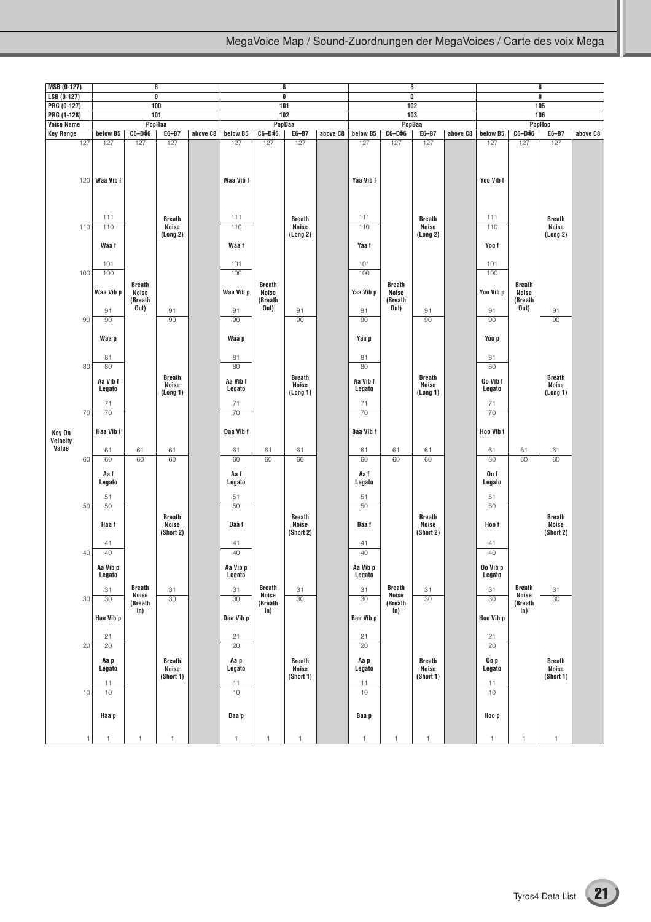| <b>MSB (0-127)</b>         |     |                            |                                   | 8                                   |          |                            |                                   | 8                                   |          |                            |                                   | 8                                   |          |                            |                                   | 8                                   |          |
|----------------------------|-----|----------------------------|-----------------------------------|-------------------------------------|----------|----------------------------|-----------------------------------|-------------------------------------|----------|----------------------------|-----------------------------------|-------------------------------------|----------|----------------------------|-----------------------------------|-------------------------------------|----------|
| $LSB (0-127)$              |     |                            |                                   | $\overline{\mathbf{0}}$             |          |                            |                                   | $\overline{\mathbf{0}}$             |          |                            |                                   | 0                                   |          |                            |                                   | $\overline{\mathbf{0}}$             |          |
| PRG (0-127)<br>PRG (1-128) |     |                            | 101                               | 100                                 |          |                            |                                   | 101<br>102                          |          |                            |                                   | 102<br>103                          |          |                            |                                   | 105<br>106                          |          |
| <b>Voice Name</b>          |     |                            |                                   | PopHaa                              |          |                            |                                   | PopDaa                              |          |                            |                                   | PopBaa                              |          |                            |                                   | <b>PopHoo</b>                       |          |
| <b>Key Range</b>           |     | below B5                   | $C6-D#6$                          | E6-B7                               | above C8 | below B5                   | $C6-D#6$                          | E6-B7                               | above C8 | below B5                   | $C6-D#6$                          | E6-B7                               | above C8 | below B5                   | C6-D#6                            | E6-B7                               | above C8 |
|                            | 127 | 127<br>$120$ Waa Vib f     | 127                               | 127                                 |          | 127<br>Waa Vib f           | 127                               | 127                                 |          | 127<br>Yaa Vib f           | 127                               | 127                                 |          | 127<br>Yoo Vib f           | 127                               | 127                                 |          |
|                            | 110 | 111<br>110<br>Waa f        |                                   | <b>Breath</b><br>Noise<br>(Long 2)  |          | 111<br>110<br>Waa f        |                                   | <b>Breath</b><br>Noise<br>(Long 2)  |          | 111<br>110<br>Yaa f        |                                   | <b>Breath</b><br>Noise<br>(Long 2)  |          | 111<br>110<br>Yoo f        |                                   | <b>Breath</b><br>Noise<br>(Long 2)  |          |
|                            |     | 101                        |                                   |                                     |          | 101                        |                                   |                                     |          | 101                        |                                   |                                     |          | 101                        |                                   |                                     |          |
|                            | 100 | 100<br>Waa Vib p           | <b>Breath</b><br>Noise<br>(Breath |                                     |          | 100<br>Waa Vib p           | <b>Breath</b><br>Noise<br>(Breath |                                     |          | 100<br>Yaa Vib p           | <b>Breath</b><br>Noise<br>(Breath |                                     |          | 100<br>Yoo Vib p           | <b>Breath</b><br>Noise<br>(Breath |                                     |          |
|                            |     | 91                         | Out)                              | 91                                  |          | 91                         | Out)                              | 91                                  |          | 91                         | Out)                              | 91                                  |          | 91                         | Out)                              | 91                                  |          |
|                            | 90  | 90                         |                                   | 90                                  |          | 90                         |                                   | 90                                  |          | 90                         |                                   | 90                                  |          | 90                         |                                   | 90                                  |          |
|                            |     | Waa p                      |                                   |                                     |          | Waa p                      |                                   |                                     |          | Yaa p                      |                                   |                                     |          | Yoo p                      |                                   |                                     |          |
|                            | 80  | 81<br>80                   |                                   |                                     |          | 81<br>80                   |                                   |                                     |          | 81<br>80                   |                                   |                                     |          | 81<br>80                   |                                   |                                     |          |
|                            |     | Aa Vib f<br>Legato         |                                   | <b>Breath</b><br>Noise<br>(Long 1)  |          | Aa Vib f<br>Legato         |                                   | <b>Breath</b><br>Noise<br>(Long 1)  |          | Aa Vib f<br>Legato         |                                   | <b>Breath</b><br>Noise<br>(Long 1)  |          | Oo Vib f<br>Legato         |                                   | <b>Breath</b><br>Noise<br>(Long 1)  |          |
|                            |     | 71                         |                                   |                                     |          | 71                         |                                   |                                     |          | 71                         |                                   |                                     |          | 71                         |                                   |                                     |          |
| Key On<br>Velocity         | 70  | 70<br>Haa Vib f            |                                   |                                     |          | 70<br>Daa Vib f            |                                   |                                     |          | 70<br><b>Baa Vibf</b>      |                                   |                                     |          | 70<br>Hoo Vib f            |                                   |                                     |          |
| Value                      |     | 61                         | 61                                | 61                                  |          | 61                         | 61                                | 61                                  |          | 61                         | 61                                | 61                                  |          | 61                         | 61                                | 61                                  |          |
|                            | 60  | 60                         | 60                                | 60                                  |          | 60                         | 60                                | 60                                  |          | 60                         | 60                                | 60                                  |          | 60                         | 60                                | 60                                  |          |
|                            |     | Aa f<br>Legato<br>51       |                                   |                                     |          | Aa f<br>Legato<br>51       |                                   |                                     |          | Aa f<br>Legato<br>51       |                                   |                                     |          | Oo f<br>Legato<br>51       |                                   |                                     |          |
|                            | 50  | 50                         |                                   |                                     |          | 50                         |                                   |                                     |          | 50                         |                                   |                                     |          | 50                         |                                   |                                     |          |
|                            |     | Haa f<br>41                |                                   | <b>Breath</b><br>Noise<br>(Short 2) |          | Daa f<br>41                |                                   | <b>Breath</b><br>Noise<br>(Short 2) |          | Baa f<br>41                |                                   | <b>Breath</b><br>Noise<br>(Short 2) |          | Hoo f<br>41                |                                   | <b>Breath</b><br>Noise<br>(Short 2) |          |
|                            | 40  | 40                         |                                   |                                     |          | 40                         |                                   |                                     |          | 40                         |                                   |                                     |          | 40                         |                                   |                                     |          |
|                            |     | Aa Vib p<br>Legato         |                                   |                                     |          | Aa Vib p<br>Legato         |                                   |                                     |          | Aa Vib p<br>Legato         |                                   |                                     |          | Oo Vib p<br>Legato         |                                   |                                     |          |
|                            |     | 31                         | <b>Breath</b><br>Noise            | 31                                  |          | 31                         | <b>Breath</b><br>Noise            | 31                                  |          | 31                         | <b>Breath</b><br>Noise            | 31                                  |          | 31                         | <b>Breath</b><br>Noise            | 31                                  |          |
|                            | 30  | 30                         | (Breath                           | 30                                  |          | 30                         | (Breath                           | 30                                  |          | 30                         | (Breath                           | 30                                  |          | 30                         | (Breath                           | 30                                  |          |
|                            |     | Haa Vib p                  | ln)                               |                                     |          | Daa Vib p                  | In)                               |                                     |          | Baa Vib p                  | ln)                               |                                     |          | Hoo Vib p                  | In)                               |                                     |          |
|                            |     | 21<br>20                   |                                   |                                     |          | 21<br>20                   |                                   |                                     |          | 21<br>20                   |                                   |                                     |          | 21<br>20                   |                                   |                                     |          |
|                            | 20  |                            |                                   |                                     |          |                            |                                   |                                     |          |                            |                                   |                                     |          |                            |                                   |                                     |          |
|                            | 10  | Aa p<br>Legato<br>11<br>10 |                                   | <b>Breath</b><br>Noise<br>(Short 1) |          | Aa p<br>Legato<br>11<br>10 |                                   | <b>Breath</b><br>Noise<br>(Short 1) |          | Aa p<br>Legato<br>11<br>10 |                                   | <b>Breath</b><br>Noise<br>(Short 1) |          | Oo p<br>Legato<br>11<br>10 |                                   | <b>Breath</b><br>Noise<br>(Short 1) |          |
|                            |     | Haa p                      |                                   |                                     |          | Daa p                      |                                   |                                     |          | Baa p                      |                                   |                                     |          | Hoo p                      |                                   |                                     |          |
|                            | 1   | $\mathbf{1}$               | $\mathbf{1}$                      | $\mathbf{1}$                        |          | $\mathbf{1}$               | 1                                 | $\mathbf{1}$                        |          | $\mathbf{1}$               | 1                                 | $\mathbf{1}$                        |          | $\uparrow$                 | 1                                 | $\mathbf{1}$                        |          |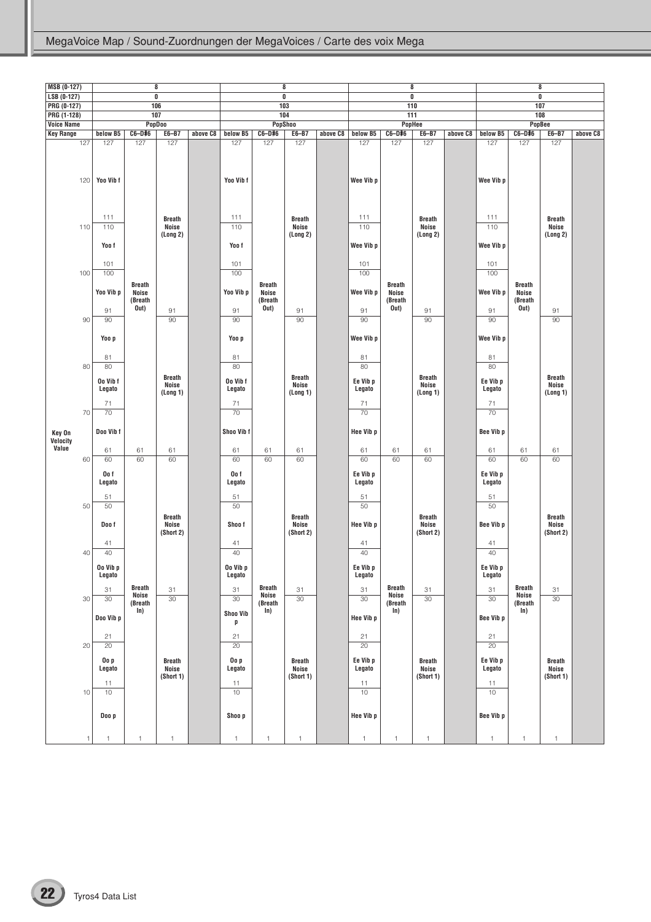| MSB (0-127)        |              |                                |                                           | 8                                          |          |                                |                                           | 8                                          |          |                                | 8                                         |                                            |          |                                |                                           | $\pmb{8}$                                  |          |
|--------------------|--------------|--------------------------------|-------------------------------------------|--------------------------------------------|----------|--------------------------------|-------------------------------------------|--------------------------------------------|----------|--------------------------------|-------------------------------------------|--------------------------------------------|----------|--------------------------------|-------------------------------------------|--------------------------------------------|----------|
| $LSB (0-127)$      |              |                                |                                           | $\overline{\mathbf{0}}$                    |          |                                |                                           | $\overline{\mathbf{0}}$                    |          |                                | $\pmb{0}$                                 |                                            |          |                                |                                           | $\overline{\mathbf{0}}$                    |          |
| PRG (0-127)        |              |                                |                                           | 106                                        |          |                                | 103                                       |                                            |          |                                | 110                                       |                                            |          |                                | 107                                       |                                            |          |
| PRG (1-128)        |              |                                | 107                                       |                                            |          |                                | 104                                       |                                            |          |                                | 111                                       |                                            |          |                                |                                           | 108                                        |          |
| <b>Voice Name</b>  |              |                                |                                           | <b>PopDoo</b>                              |          |                                |                                           | <b>PopShoo</b>                             |          |                                |                                           | PopHee                                     |          |                                | PopBee                                    |                                            |          |
| <b>Key Range</b>   |              | below B5                       | C6-D#6                                    | E6-B7                                      | above C8 | below B5                       | C6-D#6                                    | E6-B7                                      | above C8 | below B5                       | C6-D#6                                    | E6-B7                                      | above C8 | below B5                       | C6-D#6                                    | E6-B7                                      | above C8 |
|                    | 127<br>120   | 127<br>Yoo Vib f               | 127                                       | 127                                        |          | 127<br>Yoo Vib f               | 127                                       | 127                                        |          | 127<br>Wee Vib p               | 127                                       | 127                                        |          | 127<br>Wee Vib p               | 127                                       | 127                                        |          |
|                    | 110          | 111<br>110<br>Yoo f            |                                           | <b>Breath</b><br>Noise<br>(Long 2)         |          | 111<br>110<br>Yoo f            |                                           | <b>Breath</b><br><b>Noise</b><br>(Long 2)  |          | 111<br>110<br>Wee Vib p        |                                           | <b>Breath</b><br>Noise<br>(Long 2)         |          | 111<br>110<br>Wee Vib p        |                                           | <b>Breath</b><br><b>Noise</b><br>(Long 2)  |          |
|                    |              | 101                            |                                           |                                            |          | 101                            |                                           |                                            |          | 101                            |                                           |                                            |          | 101                            |                                           |                                            |          |
|                    | 100          | 100                            |                                           |                                            |          | 100                            |                                           |                                            |          | 100                            |                                           |                                            |          | 100                            |                                           |                                            |          |
|                    |              | Yoo Vib p<br>91                | <b>Breath</b><br>Noise<br>(Breath<br>Out) | 91                                         |          | Yoo Vib p<br>91                | <b>Breath</b><br>Noise<br>(Breath<br>Out) | 91                                         |          | Wee Vib p<br>91                | <b>Breath</b><br>Noise<br>(Breath<br>Out) | 91                                         |          | Wee Vib p<br>91                | <b>Breath</b><br>Noise<br>(Breath<br>Out) | 91                                         |          |
|                    | 90           | 90                             |                                           | 90                                         |          | 90                             |                                           | 90                                         |          | 90                             |                                           | 90                                         |          | 90                             |                                           | 90                                         |          |
|                    |              | Yoo p                          |                                           |                                            |          | Yoo p                          |                                           |                                            |          | Wee Vib p<br>81                |                                           |                                            |          | Wee Vib p                      |                                           |                                            |          |
|                    |              | 81                             |                                           |                                            |          | 81                             |                                           |                                            |          |                                |                                           |                                            |          | 81                             |                                           |                                            |          |
|                    | 80           | 80<br>Oo Vib f<br>Legato<br>71 |                                           | <b>Breath</b><br><b>Noise</b><br>(Long 1)  |          | 80<br>Oo Vib f<br>Legato<br>71 |                                           | <b>Breath</b><br><b>Noise</b><br>(Long 1)  |          | 80<br>Ee Vib p<br>Legato<br>71 |                                           | <b>Breath</b><br><b>Noise</b><br>(Long 1)  |          | 80<br>Ee Vib p<br>Legato<br>71 |                                           | <b>Breath</b><br>Noise<br>(Long 1)         |          |
|                    | 70           | 70                             |                                           |                                            |          | 70                             |                                           |                                            |          | 70                             |                                           |                                            |          | 70                             |                                           |                                            |          |
| Key On<br>Velocity |              | Doo Vib f                      |                                           |                                            |          | Shoo Vib f                     |                                           |                                            |          | Hee Vib p                      |                                           |                                            |          | Bee Vib p                      |                                           |                                            |          |
| Value              |              | 61                             | 61                                        | 61                                         |          | 61                             | 61                                        | 61                                         |          | 61                             | 61                                        | 61                                         |          | 61                             | 61                                        | 61                                         |          |
|                    | 60           | 60                             | 60                                        | 60                                         |          | 60                             | 60                                        | 60                                         |          | 60                             | 60                                        | 60                                         |          | 60                             | 60                                        | 60                                         |          |
|                    | 50           | Oo f<br>Legato<br>51<br>50     |                                           |                                            |          | Oo f<br>Legato<br>51<br>50     |                                           |                                            |          | Ee Vib p<br>Legato<br>51<br>50 |                                           |                                            |          | Ee Vib p<br>Legato<br>51<br>50 |                                           |                                            |          |
|                    |              | Doo f<br>41                    |                                           | <b>Breath</b><br><b>Noise</b><br>(Short 2) |          | Shoo f<br>41                   |                                           | <b>Breath</b><br><b>Noise</b><br>(Short 2) |          | <b>Hee Vib p</b><br>41         |                                           | <b>Breath</b><br><b>Noise</b><br>(Short 2) |          | Bee Vib p<br>41                |                                           | <b>Breath</b><br><b>Noise</b><br>(Short 2) |          |
|                    | 40           | 40                             |                                           |                                            |          | 40                             |                                           |                                            |          | 40                             |                                           |                                            |          | 40                             |                                           |                                            |          |
|                    |              | Oo Vib p<br>Legato<br>31       | <b>Breath</b>                             | 31                                         |          | Oo Vib p<br>Legato<br>31       | <b>Breath</b>                             | 31                                         |          | Ee Vib p<br>Legato<br>31       | <b>Breath</b>                             | 31                                         |          | Ee Vib p<br>Legato<br>31       | <b>Breath</b>                             | 31                                         |          |
|                    | 30           | $30\,$                         | <b>Noise</b>                              | 30                                         |          | 30                             | Noise                                     | 30                                         |          | 30                             | <b>Noise</b>                              | 30                                         |          | 30                             | <b>Noise</b>                              | 30                                         |          |
|                    |              | Doo Vib p                      | (Breath<br>In)                            |                                            |          | <b>Shoo Vib</b><br>p           | (Breath<br>In)                            |                                            |          | Hee Vib p                      | (Breath<br>ln)                            |                                            |          | Bee Vib p                      | (Breath<br>ln)                            |                                            |          |
|                    |              | 21                             |                                           |                                            |          | 21                             |                                           |                                            |          | 21                             |                                           |                                            |          | 21                             |                                           |                                            |          |
|                    | 20           | 20                             |                                           |                                            |          | 20                             |                                           |                                            |          | 20                             |                                           |                                            |          | 20                             |                                           |                                            |          |
|                    |              | Oo p<br>Legato<br>11           |                                           | <b>Breath</b><br>Noise<br>(Short 1)        |          | Oo p<br>Legato<br>11           |                                           | <b>Breath</b><br>Noise<br>(Short 1)        |          | Ee Vib p<br>Legato<br>11       |                                           | <b>Breath</b><br>Noise<br>(Short 1)        |          | Ee Vib p<br>Legato<br>11       |                                           | <b>Breath</b><br>Noise<br>(Short 1)        |          |
|                    | 10           | 10                             |                                           |                                            |          | $10$                           |                                           |                                            |          | 10                             |                                           |                                            |          | 10                             |                                           |                                            |          |
|                    |              | Doo p                          |                                           |                                            |          | Shoo p                         |                                           |                                            |          | Hee Vib p                      |                                           |                                            |          | Bee Vib p                      |                                           |                                            |          |
|                    | $\mathbf{1}$ | $\overline{1}$                 | $\mathbf{1}$                              | $\mathbf{1}$                               |          | $\mathbf{1}$                   | $\mathbf{1}$                              | $\mathbf{1}$                               |          | $\mathbf{1}$                   | $\mathbf{1}$                              | $\mathbf{1}$                               |          | $\mathbf{1}$                   | $\mathbf{1}$                              | $\mathbf{1}$                               |          |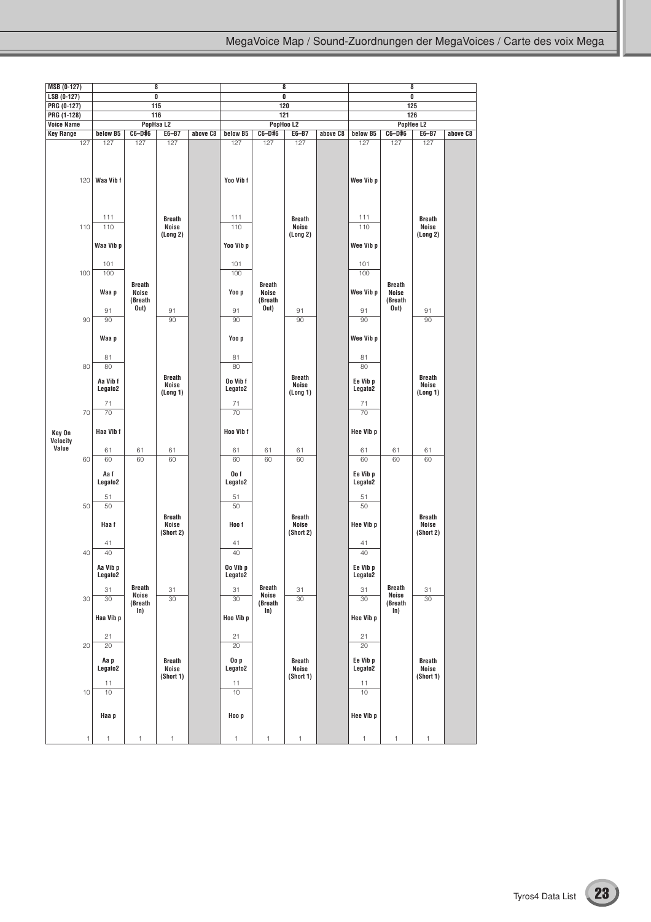| <b>MSB (0-127)</b> |              |                                         |                         | 8                                         |          |                                         |                               | 8                                         |          |                                             |                         | 8                                         |          |
|--------------------|--------------|-----------------------------------------|-------------------------|-------------------------------------------|----------|-----------------------------------------|-------------------------------|-------------------------------------------|----------|---------------------------------------------|-------------------------|-------------------------------------------|----------|
| LSB (0-127)        |              |                                         |                         | $\overline{\mathbf{0}}$                   |          |                                         |                               | $\overline{0}$                            |          |                                             |                         | $\overline{0}$                            |          |
| PRG (0-127)        |              |                                         |                         | 115                                       |          |                                         |                               | 120                                       |          |                                             |                         | 125                                       |          |
| PRG (1-128)        |              |                                         |                         | 116                                       |          |                                         |                               | 121                                       |          |                                             |                         | 126                                       |          |
| <b>Voice Name</b>  |              |                                         |                         | PopHaa L2                                 |          |                                         |                               | PopHoo L2                                 |          |                                             |                         | PopHee L2                                 |          |
| <b>Key Range</b>   |              | below B5                                | C6-D#6                  | E6-B7                                     | above C8 | below B5                                | C6-D#6                        | E6-B7                                     | above C8 | below B5                                    | C6-D#6                  | E6-B7                                     | above C8 |
|                    | 127          | 127                                     | 127                     | 127                                       |          | 127                                     | 127                           | 127                                       |          | 127                                         | 127                     | 127                                       |          |
|                    | 120          | Waa Vib f                               |                         |                                           |          | Yoo Vib f                               |                               |                                           |          | Wee Vib p                                   |                         |                                           |          |
|                    | 110          | 111<br>110<br>Waa Vib p                 |                         | <b>Breath</b><br><b>Noise</b><br>(Long 2) |          | 111<br>110<br>Yoo Vib p                 |                               | <b>Breath</b><br><b>Noise</b><br>(Long 2) |          | 111<br>110<br>Wee Vib p                     |                         | <b>Breath</b><br><b>Noise</b><br>(Long 2) |          |
|                    | 100          | 101<br>100<br>Waa p                     | <b>Breath</b><br>Noise  |                                           |          | 101<br>100<br>Yoo p                     | <b>Breath</b><br><b>Noise</b> |                                           |          | 101<br>100<br>Wee Vib p                     | <b>Breath</b><br>Noise  |                                           |          |
|                    |              | 91                                      | (Breath<br>Out)         | 91                                        |          | 91                                      | (Breath<br>Out)               | 91                                        |          | 91                                          | (Breath<br>Out)         | 91                                        |          |
|                    | 90           | 90                                      |                         | 90                                        |          | 90                                      |                               | 90                                        |          | 90                                          |                         | 90                                        |          |
|                    |              | Waa p                                   |                         |                                           |          | Yoo p                                   |                               |                                           |          | Wee Vib p                                   |                         |                                           |          |
|                    |              | 81                                      |                         |                                           |          | 81                                      |                               |                                           |          | 81                                          |                         |                                           |          |
|                    | 80           | 80                                      |                         |                                           |          | 80                                      |                               |                                           |          | 80                                          |                         |                                           |          |
|                    |              | Aa Vib f<br>Legato <sub>2</sub>         |                         | <b>Breath</b><br><b>Noise</b><br>(Long 1) |          | Oo Vib f<br>Legato <sub>2</sub>         |                               | <b>Breath</b><br><b>Noise</b><br>(Long 1) |          | Ee Vib p<br>Legato2                         |                         | <b>Breath</b><br><b>Noise</b><br>(Long 1) |          |
|                    |              | 71                                      |                         |                                           |          | 71                                      |                               |                                           |          | 71                                          |                         |                                           |          |
| Key On<br>Velocity | 70           | 70<br>Haa Vib f                         |                         |                                           |          | 70<br>Hoo Vib f                         |                               |                                           |          | 70<br>Hee Vib p                             |                         |                                           |          |
| Value              | 60           | 61<br>60                                | 61<br>60                | 61<br>60                                  |          | 61<br>60                                | 61<br>60                      | 61<br>60                                  |          | 61<br>60                                    | 61<br>60                | 61<br>60                                  |          |
|                    |              | Aa f<br>Legato <sub>2</sub><br>51       |                         |                                           |          | Oo f<br>Legato <sub>2</sub><br>51       |                               |                                           |          | Ee Vib p<br>Legato <sub>2</sub><br>51       |                         |                                           |          |
|                    | 50           | 50<br>Haa f                             |                         | <b>Breath</b><br>Noise<br>(Short 2)       |          | 50<br>Hoo f                             |                               | <b>Breath</b><br>Noise<br>(Short 2)       |          | 50<br>Hee Vib p                             |                         | <b>Breath</b><br>Noise<br>(Short 2)       |          |
|                    |              | 41                                      |                         |                                           |          | 41                                      |                               |                                           |          | 41                                          |                         |                                           |          |
|                    | 40           | 40<br>Aa Vib p<br>Legato <sub>2</sub>   |                         |                                           |          | 40<br>Oo Vib p<br>Legato2               |                               |                                           |          | 40<br>Ee Vib p<br>Legato2                   |                         |                                           |          |
|                    |              | 31                                      | <b>Breath</b>           | 31                                        |          | 31                                      | <b>Breath</b>                 | 31                                        |          | 31                                          | <b>Breath</b>           | 31                                        |          |
|                    | 30           | 30                                      | Noise<br>(Breath<br>ln) | 30                                        |          | 30                                      | Noise<br>(Breath<br>ln)       | 30                                        |          | 30                                          | Noise<br>(Breath<br>ln) | 30                                        |          |
|                    | 20           | Haa Vib p<br>21<br>20                   |                         |                                           |          | Hoo Vib p<br>21<br>20                   |                               |                                           |          | Hee Vib p<br>21<br>20                       |                         |                                           |          |
|                    | 10           | Aa p<br>Legato <sub>2</sub><br>11<br>10 |                         | <b>Breath</b><br>Noise<br>(Short 1)       |          | Oo p<br>Legato <sub>2</sub><br>11<br>10 |                               | <b>Breath</b><br>Noise<br>(Short 1)       |          | Ee Vib p<br>Legato <sub>2</sub><br>11<br>10 |                         | <b>Breath</b><br>Noise<br>(Short 1)       |          |
|                    |              | Haa p                                   |                         |                                           |          | Hoo p                                   |                               |                                           |          | Hee Vib p                                   |                         |                                           |          |
|                    | $\mathbf{1}$ | $\mathbf{1}$                            | $\mathbf{1}$            | $\mathbf{1}$                              |          | $\mathbf{1}$                            | $\mathbbm{1}$                 | $\mathbf{1}$                              |          | $\mathbf 1$                                 | $\mathbf{1}$            | $\mathbf 1$                               |          |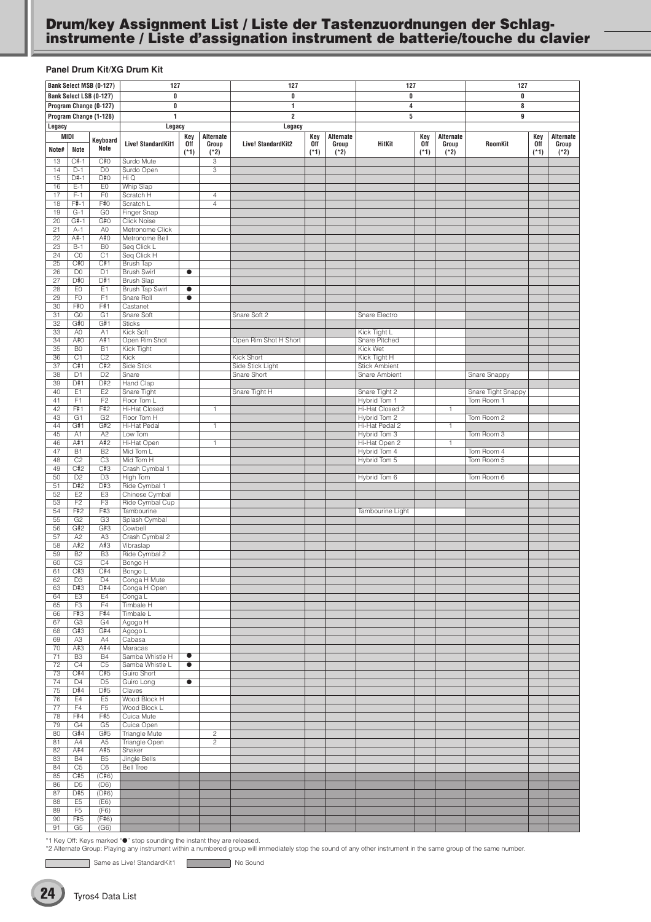## <span id="page-23-0"></span>**Drum/key Assignment List / Liste der Tastenzuordnungen der Schlaginstrumente / Liste d'assignation instrument de batterie/touche du clavier**

#### **Panel Drum Kit/XG Drum Kit**

|                 |                                  | Bank Select MSB (0-127)          | 127                                  |                      |                                  | 127                     |               |                 | 127                                          |               |                 | 127                |               |                 |
|-----------------|----------------------------------|----------------------------------|--------------------------------------|----------------------|----------------------------------|-------------------------|---------------|-----------------|----------------------------------------------|---------------|-----------------|--------------------|---------------|-----------------|
|                 |                                  | Bank Select LSB (0-127)          | 0                                    |                      |                                  | 0                       |               |                 | 0                                            |               |                 | 0                  |               |                 |
|                 |                                  | Program Change (0-127)           | 0                                    |                      |                                  | 1                       |               |                 | 4                                            |               |                 | 8                  |               |                 |
|                 |                                  | Program Change (1-128)           | $\mathbf{1}$                         |                      |                                  | $\overline{\mathbf{2}}$ |               |                 | 5                                            |               |                 | 9                  |               |                 |
| Legacy          |                                  |                                  | Legacy                               |                      |                                  | Legacy                  |               |                 |                                              |               |                 |                    |               |                 |
| MIDI            |                                  | Keyboard                         |                                      | Key                  | Alternate                        |                         | Key           | Alternate       |                                              | Key           | Alternate       |                    | Key           | Alternate       |
| Note#           | Note                             | Note                             | Live! StandardKit1                   | <b>Off</b><br>$(*1)$ | Group<br>$(*2)$                  | Live! StandardKit2      | 0ff<br>$(*1)$ | Group<br>$(*2)$ | HitKit                                       | 0ff<br>$(*1)$ | Group<br>$(*2)$ | <b>RoomKit</b>     | 0ff<br>$(*1)$ | Group<br>$(*2)$ |
| 13              | $C#-1$                           | C#O                              | Surdo Mute                           |                      | 3                                |                         |               |                 |                                              |               |                 |                    |               |                 |
| 14              | $D-1$                            | D <sub>0</sub>                   | Surdo Open                           |                      | 3                                |                         |               |                 |                                              |               |                 |                    |               |                 |
| 15              | $D#-1$                           | D#O                              | Hi Q                                 |                      |                                  |                         |               |                 |                                              |               |                 |                    |               |                 |
| 16<br>17        | $E-1$<br>$F-1$                   | E <sub>0</sub><br>F <sub>0</sub> | <b>Whip Slap</b><br>Scratch H        |                      | $\overline{4}$                   |                         |               |                 |                                              |               |                 |                    |               |                 |
| 18              | $F# - 1$                         | F#0                              | Scratch L                            |                      | $\overline{4}$                   |                         |               |                 |                                              |               |                 |                    |               |                 |
| 19              | $G-1$                            | G <sub>0</sub>                   | Finger Snap                          |                      |                                  |                         |               |                 |                                              |               |                 |                    |               |                 |
| $\overline{20}$ | $G#-1$                           | G#O                              | <b>Click Noise</b>                   |                      |                                  |                         |               |                 |                                              |               |                 |                    |               |                 |
| 21              | $A-1$<br>$A#-1$                  | A <sub>0</sub><br>A#0            | Metronome Click<br>Metronome Bell    |                      |                                  |                         |               |                 |                                              |               |                 |                    |               |                 |
| 22<br>23        | $B-1$                            | B <sub>0</sub>                   | Seq Click L                          |                      |                                  |                         |               |                 |                                              |               |                 |                    |               |                 |
| 24              | CO                               | C <sub>1</sub>                   | Seq Click H                          |                      |                                  |                         |               |                 |                                              |               |                 |                    |               |                 |
| 25              | C#0                              | C#1                              | <b>Brush Tap</b>                     |                      |                                  |                         |               |                 |                                              |               |                 |                    |               |                 |
| 26              | D <sub>0</sub><br>D#O            | D1                               | <b>Brush Swirl</b>                   | $\bullet$            |                                  |                         |               |                 |                                              |               |                 |                    |               |                 |
| 27<br>28        | EO                               | D#1<br>E <sub>1</sub>            | <b>Brush Slap</b><br>Brush Tap Swirl | $\bullet$            |                                  |                         |               |                 |                                              |               |                 |                    |               |                 |
| 29              | F <sub>0</sub>                   | F1                               | <b>Snare Roll</b>                    | $\bullet$            |                                  |                         |               |                 |                                              |               |                 |                    |               |                 |
| 30              | F#0                              | F#1                              | Castanet                             |                      |                                  |                         |               |                 |                                              |               |                 |                    |               |                 |
| 31              | G <sub>0</sub>                   | G1                               | Snare Soft                           |                      |                                  | Snare Soft 2            |               |                 | Snare Electro                                |               |                 |                    |               |                 |
| 32<br>33        | G#O<br>A <sub>0</sub>            | G#1<br>A <sub>1</sub>            | <b>Sticks</b><br>Kick Soft           |                      |                                  |                         |               |                 | Kick Tight L                                 |               |                 |                    |               |                 |
| 34              | A#O                              | A#1                              | Open Rim Shot                        |                      |                                  | Open Rim Shot H Short   |               |                 | Snare Pitched                                |               |                 |                    |               |                 |
| 35              | B <sub>0</sub>                   | B1                               | Kick Tight                           |                      |                                  |                         |               |                 | Kick Wet                                     |               |                 |                    |               |                 |
| 36              | C1                               | $\overline{C2}$                  | Kick                                 |                      |                                  | Kick Short              |               |                 | Kick Tight H                                 |               |                 |                    |               |                 |
| 37              | C#1                              | C#2                              | Side Stick                           |                      |                                  | Side Stick Light        |               |                 | <b>Stick Ambient</b><br><b>Snare Ambient</b> |               |                 |                    |               |                 |
| 38<br>39        | D <sub>1</sub><br>D#1            | D <sub>2</sub><br>D#2            | Snare<br>Hand Clap                   |                      |                                  | Snare Short             |               |                 |                                              |               |                 | Snare Snappy       |               |                 |
| 40              | E1                               | E <sub>2</sub>                   | Snare Tight                          |                      |                                  | Snare Tight H           |               |                 | Snare Tight 2                                |               |                 | Snare Tight Snappy |               |                 |
| 41              | F1                               | $\overline{F2}$                  | Floor Tom L                          |                      |                                  |                         |               |                 | Hybrid Tom 1                                 |               |                 | Tom Room 1         |               |                 |
| 42              | F#1                              | F#2                              | <b>Hi-Hat Closed</b>                 |                      | $\mathbf{1}$                     |                         |               |                 | Hi-Hat Closed 2                              |               | 1               |                    |               |                 |
| 43<br>44        | G <sub>1</sub><br>G#1            | G <sub>2</sub><br>G#2            | Floor Tom H<br>Hi-Hat Pedal          |                      | $\mathbf{1}$                     |                         |               |                 | Hybrid Tom 2<br>Hi-Hat Pedal 2               |               | $\mathbf{1}$    | Tom Room 2         |               |                 |
| 45              | A1                               | A2                               | Low Tom                              |                      |                                  |                         |               |                 | Hybrid Tom 3                                 |               |                 | Tom Room 3         |               |                 |
| 46              | A#1                              | A#2                              | Hi-Hat Open                          |                      | $\mathbf{1}$                     |                         |               |                 | Hi-Hat Open 2                                |               | 1               |                    |               |                 |
| 47              | B1                               | B2                               | Mid Tom L                            |                      |                                  |                         |               |                 | Hybrid Tom 4                                 |               |                 | Tom Room 4         |               |                 |
| 48<br>49        | C <sub>2</sub><br>C#2            | C3<br>C#3                        | Mid Tom H<br>Crash Cymbal 1          |                      |                                  |                         |               |                 | Hybrid Tom 5                                 |               |                 | Tom Room 5         |               |                 |
| 50              | D <sub>2</sub>                   | D <sub>3</sub>                   | High Tom                             |                      |                                  |                         |               |                 | Hybrid Tom 6                                 |               |                 | Tom Room 6         |               |                 |
| 51              | D#2                              | D#3                              | Ride Cymbal 1                        |                      |                                  |                         |               |                 |                                              |               |                 |                    |               |                 |
| 52              | E2                               | E <sub>3</sub>                   | Chinese Cymbal                       |                      |                                  |                         |               |                 |                                              |               |                 |                    |               |                 |
| 53              | F <sub>2</sub>                   | F <sub>3</sub>                   | Ride Cymbal Cup                      |                      |                                  |                         |               |                 |                                              |               |                 |                    |               |                 |
| 54<br>55        | F#2<br>G2                        | F#3<br>G3                        | Tambourine<br>Splash Cymbal          |                      |                                  |                         |               |                 | Tambourine Light                             |               |                 |                    |               |                 |
| 56              | G#2                              | G#3                              | Cowbell                              |                      |                                  |                         |               |                 |                                              |               |                 |                    |               |                 |
| 57              | A <sub>2</sub>                   | A <sub>3</sub>                   | Crash Cymbal 2                       |                      |                                  |                         |               |                 |                                              |               |                 |                    |               |                 |
| 58              | A#2                              | A#3                              | Vibraslap                            |                      |                                  |                         |               |                 |                                              |               |                 |                    |               |                 |
| 59<br>60        | B <sub>2</sub><br>C3             | B <sub>3</sub><br>C4             | Ride Cymbal 2<br>Bongo H             |                      |                                  |                         |               |                 |                                              |               |                 |                    |               |                 |
| 61              | C#3                              | C#4                              | Bongo L                              |                      |                                  |                         |               |                 |                                              |               |                 |                    |               |                 |
| 62              | D <sub>3</sub>                   | D <sub>4</sub>                   | Conga H Mute                         |                      |                                  |                         |               |                 |                                              |               |                 |                    |               |                 |
| 63              | D#3                              | D#4                              | Conga H Open                         |                      |                                  |                         |               |                 |                                              |               |                 |                    |               |                 |
| 64<br>65        | E <sub>3</sub><br>F <sub>3</sub> | E4<br>F4                         | Conga L<br>Timbale H                 |                      |                                  |                         |               |                 |                                              |               |                 |                    |               |                 |
| 66              | F#3                              | F#4                              | Timbale L                            |                      |                                  |                         |               |                 |                                              |               |                 |                    |               |                 |
| 67              | G3                               | G4                               | Agogo H                              |                      |                                  |                         |               |                 |                                              |               |                 |                    |               |                 |
| 68              | G#3                              | G#4                              | Agogo L                              |                      |                                  |                         |               |                 |                                              |               |                 |                    |               |                 |
| 69<br>70        | A <sub>3</sub><br>A#3            | A4<br>A#4                        | Cabasa<br>Maracas                    |                      |                                  |                         |               |                 |                                              |               |                 |                    |               |                 |
| 71              | B <sub>3</sub>                   | <b>B4</b>                        | Samba Whistle H                      | $\bullet$            |                                  |                         |               |                 |                                              |               |                 |                    |               |                 |
| 72              | C4                               | C <sub>5</sub>                   | Samba Whistle L                      | $\bullet$            |                                  |                         |               |                 |                                              |               |                 |                    |               |                 |
| 73              | C#4                              | C#5                              | Guiro Short                          |                      |                                  |                         |               |                 |                                              |               |                 |                    |               |                 |
| 74              | D <sub>4</sub>                   | D <sub>5</sub>                   | Guiro Long                           | $\bullet$            |                                  |                         |               |                 |                                              |               |                 |                    |               |                 |
| 75<br>76        | D#4<br>E4                        | D#5<br>E <sub>5</sub>            | Claves<br>Wood Block H               |                      |                                  |                         |               |                 |                                              |               |                 |                    |               |                 |
| 77              | F4                               | F <sub>5</sub>                   | Wood Block L                         |                      |                                  |                         |               |                 |                                              |               |                 |                    |               |                 |
| 78              | F#4                              | F#5                              | Cuica Mute                           |                      |                                  |                         |               |                 |                                              |               |                 |                    |               |                 |
| 79              | G4                               | G <sub>5</sub>                   | Cuica Open                           |                      |                                  |                         |               |                 |                                              |               |                 |                    |               |                 |
| 80<br>81        | G#4<br>A4                        | G#5<br>A <sub>5</sub>            | Triangle Mute<br>Triangle Open       |                      | $\overline{c}$<br>$\overline{2}$ |                         |               |                 |                                              |               |                 |                    |               |                 |
| 82              | A#4                              | A#5                              | Shaker                               |                      |                                  |                         |               |                 |                                              |               |                 |                    |               |                 |
| 83              | <b>B4</b>                        | B <sub>5</sub>                   | Jingle Bells                         |                      |                                  |                         |               |                 |                                              |               |                 |                    |               |                 |
| 84              | C5                               | C6                               | <b>Bell Tree</b>                     |                      |                                  |                         |               |                 |                                              |               |                 |                    |               |                 |
| 85              | C#5                              | (C#6)                            |                                      |                      |                                  |                         |               |                 |                                              |               |                 |                    |               |                 |
| 86<br>87        | D <sub>5</sub><br>D#5            | (D6)<br>(D#6)                    |                                      |                      |                                  |                         |               |                 |                                              |               |                 |                    |               |                 |
| 88              | E <sub>5</sub>                   | (E6)                             |                                      |                      |                                  |                         |               |                 |                                              |               |                 |                    |               |                 |
| 89              | F <sub>5</sub>                   | (F6)                             |                                      |                      |                                  |                         |               |                 |                                              |               |                 |                    |               |                 |
| 90              | F#5                              | (F#6)                            |                                      |                      |                                  |                         |               |                 |                                              |               |                 |                    |               |                 |
| 91              | G5                               | (G6)                             |                                      |                      |                                  |                         |               |                 |                                              |               |                 |                    |               |                 |

\*1 Key Off: Keys marked "●" stop sounding the instant they are released.<br>\*2 Alternate Group: Playing any instrument within a numbered group will immediately stop the sound of any other instrument in the same group of the s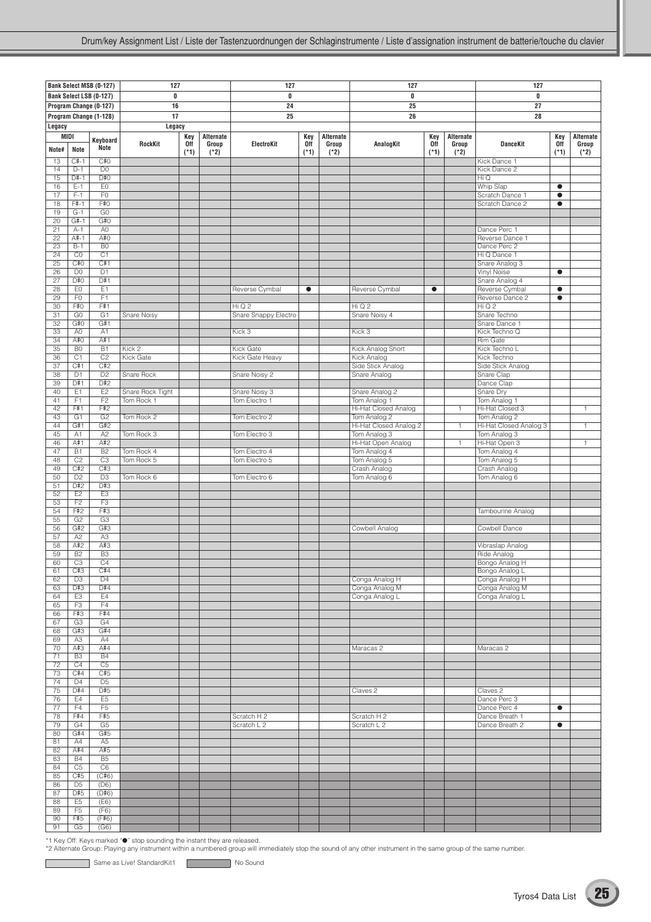|          |                             | Bank Select MSB (0-127)          | 127                      |            |                    | 127                            |            |                    | 127                                    |                   |                    | 127                              |                   |                    |
|----------|-----------------------------|----------------------------------|--------------------------|------------|--------------------|--------------------------------|------------|--------------------|----------------------------------------|-------------------|--------------------|----------------------------------|-------------------|--------------------|
|          |                             | Bank Select LSB (0-127)          | 0                        |            |                    | 0                              |            |                    | 0                                      |                   |                    | 0                                |                   |                    |
|          |                             | Program Change (0-127)           | 16                       |            |                    | 24                             |            |                    | 25                                     |                   |                    | 27                               |                   |                    |
|          |                             | Program Change (1-128)           | 17                       |            |                    | 25                             |            |                    | 26                                     |                   |                    | 28                               |                   |                    |
| Legacy   |                             |                                  | Legacy                   |            |                    |                                |            |                    |                                        |                   |                    |                                  |                   |                    |
| MIDI     |                             | Keyboard                         | RockKit                  | Key<br>0ff | Alternate<br>Group | ElectroKit                     | Key<br>0ff | Alternate<br>Group | AnalogKit                              | Key<br><b>Off</b> | Alternate<br>Group | <b>DanceKit</b>                  | Key<br><b>Off</b> | Alternate<br>Group |
| Note#    | Note                        | Note                             |                          | $(*1)$     | $(*2)$             |                                | $(*1)$     | $(*2)$             |                                        | $(*1)$            | $(*2)$             |                                  | $(*1)$            | $(*2)$             |
| 13       | $C#-1$                      | C#0                              |                          |            |                    |                                |            |                    |                                        |                   |                    | Kick Dance 1                     |                   |                    |
| 14<br>15 | $D-1$<br>$D#-1$             | D <sub>0</sub><br>D#O            |                          |            |                    |                                |            |                    |                                        |                   |                    | Kick Dance 2<br>Hi Q             |                   |                    |
| 16       | $E-1$                       | EO                               |                          |            |                    |                                |            |                    |                                        |                   |                    | Whip Slap                        | $\bullet$         |                    |
| 17       | $F-1$                       | F <sub>0</sub>                   |                          |            |                    |                                |            |                    |                                        |                   |                    | Scratch Dance 1                  | $\bullet$         |                    |
| 18<br>19 | $F#-1$<br>$G-1$             | F#0<br>G <sub>0</sub>            |                          |            |                    |                                |            |                    |                                        |                   |                    | Scratch Dance 2                  | $\bullet$         |                    |
| 20       | $G#-1$                      | G#O                              |                          |            |                    |                                |            |                    |                                        |                   |                    |                                  |                   |                    |
| 21       | $A-1$                       | A <sub>0</sub>                   |                          |            |                    |                                |            |                    |                                        |                   |                    | Dance Perc 1                     |                   |                    |
| 22<br>23 | A#-1<br>$B-1$               | A#0<br>B <sub>0</sub>            |                          |            |                    |                                |            |                    |                                        |                   |                    | Reverse Dance 1<br>Dance Perc 2  |                   |                    |
| 24       | CO                          | $\overline{C1}$                  |                          |            |                    |                                |            |                    |                                        |                   |                    | Hi Q Dance 1                     |                   |                    |
| 25       | C#O                         | C#1                              |                          |            |                    |                                |            |                    |                                        |                   |                    | Snare Analog 3                   |                   |                    |
| 26<br>27 | D <sub>0</sub><br>D#0       | D <sub>1</sub><br>D#1            |                          |            |                    |                                |            |                    |                                        |                   |                    | Vinyl Noise<br>Snare Analog 4    | $\bullet$         |                    |
| 28       | E <sub>0</sub>              | E <sub>1</sub>                   |                          |            |                    | Reverse Cymbal<br>$\bullet$    |            |                    | Reverse Cymbal                         | $\bullet$         |                    | Reverse Cymbal                   | $\bullet$         |                    |
| 29       | F <sub>0</sub>              | F1                               |                          |            |                    |                                |            |                    |                                        |                   |                    | Reverse Dance 2                  | $\bullet$         |                    |
| 30<br>31 | F#0<br>G <sub>0</sub>       | F#1<br>G1                        | Snare Noisy              |            |                    | HiQ2<br>Snare Snappy Electro   |            |                    | HiQ2<br>Snare Noisy 4                  |                   |                    | Hi Q 2<br>Snare Techno           |                   |                    |
| 32       | G#O                         | G#1                              |                          |            |                    |                                |            |                    |                                        |                   |                    | Snare Dance 1                    |                   |                    |
| 33       | A0                          | A1                               |                          |            |                    | Kick 3                         |            |                    | Kick 3                                 |                   |                    | Kick Techno Q                    |                   |                    |
| 34<br>35 | A#0<br>B <sub>0</sub>       | A#1<br>$\overline{B1}$           | Kick 2                   |            |                    | Kick Gate                      |            |                    | Kick Analog Short                      |                   |                    | <b>Rim Gate</b><br>Kick Techno L |                   |                    |
| 36       | C <sub>1</sub>              | C <sub>2</sub>                   | <b>Kick Gate</b>         |            |                    | Kick Gate Heavy                |            |                    | Kick Analog                            |                   |                    | Kick Techno                      |                   |                    |
| 37       | C#1                         | C#2                              |                          |            |                    |                                |            |                    | Side Stick Analog                      |                   |                    | Side Stick Analog                |                   |                    |
| 38<br>39 | D1<br>D#1                   | D <sub>2</sub><br>D#2            | Snare Rock               |            |                    | Snare Noisy 2                  |            |                    | Snare Analog                           |                   |                    | Snare Clap<br>Dance Clap         |                   |                    |
| 40       | E1                          | E <sub>2</sub>                   | Snare Rock Tight         |            |                    | Snare Noisy 3                  |            |                    | Snare Analog 2                         |                   |                    | Snare Dry                        |                   |                    |
| 41       | F1                          | F2                               | Tom Rock 1               |            |                    | Tom Electro 1                  |            |                    | Tom Analog 1                           |                   |                    | Tom Analog 1                     |                   |                    |
| 42       | F#1<br>G <sub>1</sub>       | F#2<br>G2                        |                          |            |                    |                                |            |                    | Hi-Hat Closed Analog                   |                   | $\mathbf{1}$       | Hi-Hat Closed 3<br>Tom Analog 2  |                   | $\mathbf{1}$       |
| 43<br>44 | G#1                         | G#2                              | Tom Rock 2               |            |                    | Tom Electro 2                  |            |                    | Tom Analog 2<br>Hi-Hat Closed Analog 2 |                   | $\mathbf{1}$       | Hi-Hat Closed Analog 3           |                   | 1                  |
| 45       | A1                          | A2                               | Tom Rock 3               |            |                    | Tom Electro 3                  |            |                    | Tom Analog 3                           |                   |                    | Tom Analog 3                     |                   |                    |
| 46       | A#1                         | A#2                              |                          |            |                    |                                |            |                    | Hi-Hat Open Analog                     |                   | $\mathbf{1}$       | Hi-Hat Open 3                    |                   | $\mathbf{1}$       |
| 47<br>48 | <b>B1</b><br>C <sub>2</sub> | B <sub>2</sub><br>C <sub>3</sub> | Tom Rock 4<br>Tom Rock 5 |            |                    | Tom Electro 4<br>Tom Electro 5 |            |                    | Tom Analog 4<br>Tom Analog 5           |                   |                    | Tom Analog 4<br>Tom Analog 5     |                   |                    |
| 49       | C#2                         | C#3                              |                          |            |                    |                                |            |                    | Crash Analog                           |                   |                    | Crash Analog                     |                   |                    |
| 50       | D <sub>2</sub>              | D <sub>3</sub>                   | Tom Rock 6               |            |                    | Tom Electro 6                  |            |                    | Tom Analog 6                           |                   |                    | Tom Analog 6                     |                   |                    |
| 51<br>52 | D#2<br>E <sub>2</sub>       | D#3<br>E <sub>3</sub>            |                          |            |                    |                                |            |                    |                                        |                   |                    |                                  |                   |                    |
| 53       | F <sub>2</sub>              | F3                               |                          |            |                    |                                |            |                    |                                        |                   |                    |                                  |                   |                    |
| 54<br>55 | F#2<br>G2                   | F#3<br>G3                        |                          |            |                    |                                |            |                    |                                        |                   |                    | Tambourine Analog                |                   |                    |
| 56       | G#2                         | G#3                              |                          |            |                    |                                |            |                    | Cowbell Analog                         |                   |                    | Cowbell Dance                    |                   |                    |
| 57       | A2                          | A3                               |                          |            |                    |                                |            |                    |                                        |                   |                    |                                  |                   |                    |
| 58<br>59 | A#2<br>B <sub>2</sub>       | A#3<br>B <sub>3</sub>            |                          |            |                    |                                |            |                    |                                        |                   |                    | Vibraslap Analog<br>Ride Analog  |                   |                    |
| 60       | C <sub>3</sub>              | C4                               |                          |            |                    |                                |            |                    |                                        |                   |                    | Bongo Analog H                   |                   |                    |
| 61       | C#3                         | C#4                              |                          |            |                    |                                |            |                    |                                        |                   |                    | Bongo Analog L                   |                   |                    |
| 62       | D <sub>3</sub><br>D#3       | D <sub>4</sub><br>D#4            |                          |            |                    |                                |            |                    | Conga Analog H                         |                   |                    | Conga Analog H<br>Conga Analog M |                   |                    |
| 63<br>64 | E <sub>3</sub>              | E4                               |                          |            |                    |                                |            |                    | Conga Analog M<br>Conga Analog L       |                   |                    | Conga Analog L                   |                   |                    |
| 65       | F3                          | F4                               |                          |            |                    |                                |            |                    |                                        |                   |                    |                                  |                   |                    |
| 66<br>67 | F#3<br>G3                   | F#4<br>G4                        |                          |            |                    |                                |            |                    |                                        |                   |                    |                                  |                   |                    |
| 68       | G#3                         | G#4                              |                          |            |                    |                                |            |                    |                                        |                   |                    |                                  |                   |                    |
| 69       | A3                          | A4                               |                          |            |                    |                                |            |                    |                                        |                   |                    |                                  |                   |                    |
| 70<br>71 | A#3<br>B <sub>3</sub>       | A#4<br><b>B4</b>                 |                          |            |                    |                                |            |                    | Maracas 2                              |                   |                    | Maracas <sub>2</sub>             |                   |                    |
| 72       | C4                          | C <sub>5</sub>                   |                          |            |                    |                                |            |                    |                                        |                   |                    |                                  |                   |                    |
| 73       | C#4                         | C#5                              |                          |            |                    |                                |            |                    |                                        |                   |                    |                                  |                   |                    |
| 74<br>75 | D <sub>4</sub><br>D#4       | D <sub>5</sub><br>D#5            |                          |            |                    |                                |            |                    | Claves <sub>2</sub>                    |                   |                    | Claves <sub>2</sub>              |                   |                    |
| 76       | E4                          | E5                               |                          |            |                    |                                |            |                    |                                        |                   |                    | Dance Perc 3                     |                   |                    |
| 77       | F4                          | F5                               |                          |            |                    |                                |            |                    |                                        |                   |                    | Dance Perc 4                     | $\bullet$         |                    |
| 78<br>79 | F#4<br>G4                   | F#5<br>G <sub>5</sub>            |                          |            |                    | Scratch H 2<br>Scratch L 2     |            |                    | Scratch H 2<br>Scratch L 2             |                   |                    | Dance Breath 1<br>Dance Breath 2 | $\bullet$         |                    |
| 80       | G#4                         | G#5                              |                          |            |                    |                                |            |                    |                                        |                   |                    |                                  |                   |                    |
| 81       | A4                          | A5                               |                          |            |                    |                                |            |                    |                                        |                   |                    |                                  |                   |                    |
| 82<br>83 | A#4<br><b>B4</b>            | A#5<br>B <sub>5</sub>            |                          |            |                    |                                |            |                    |                                        |                   |                    |                                  |                   |                    |
| 84       | C <sub>5</sub>              | C6                               |                          |            |                    |                                |            |                    |                                        |                   |                    |                                  |                   |                    |
| 85       | C#5                         | (C#6)                            |                          |            |                    |                                |            |                    |                                        |                   |                    |                                  |                   |                    |
| 86<br>87 | D <sub>5</sub><br>D#5       | (D6)<br>(D#6)                    |                          |            |                    |                                |            |                    |                                        |                   |                    |                                  |                   |                    |
| 88       | E <sub>5</sub>              | (E6)                             |                          |            |                    |                                |            |                    |                                        |                   |                    |                                  |                   |                    |
| 89       | F <sub>5</sub>              | (F6)                             |                          |            |                    |                                |            |                    |                                        |                   |                    |                                  |                   |                    |
| 90<br>91 | F#5<br>G5                   | (F#6)<br>$\overline{(G6)}$       |                          |            |                    |                                |            |                    |                                        |                   |                    |                                  |                   |                    |
|          |                             |                                  |                          |            |                    |                                |            |                    |                                        |                   |                    |                                  |                   |                    |

C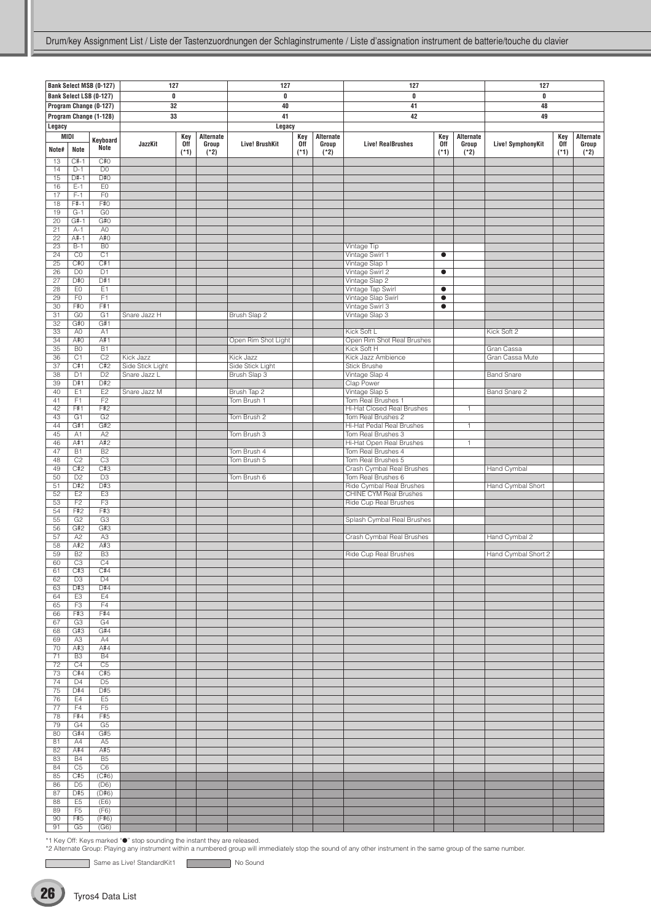|                       |                                  | Bank Select MSB (0-127)           | 127              |                   |                    | 127                   |                   | 127                |                                                |            |                    | 127                 |            |                    |
|-----------------------|----------------------------------|-----------------------------------|------------------|-------------------|--------------------|-----------------------|-------------------|--------------------|------------------------------------------------|------------|--------------------|---------------------|------------|--------------------|
|                       |                                  | Bank Select LSB (0-127)           | 0                |                   |                    | 0                     |                   |                    | $\bf{0}$                                       |            |                    | 0                   |            |                    |
|                       |                                  | Program Change (0-127)            | 32               |                   |                    | 40                    |                   |                    | 41                                             |            |                    | 48                  |            |                    |
|                       |                                  | Program Change (1-128)            | 33               |                   |                    | 41                    |                   |                    | 42                                             |            |                    | 49                  |            |                    |
|                       |                                  |                                   |                  |                   |                    |                       |                   |                    |                                                |            |                    |                     |            |                    |
| Legacy                |                                  |                                   |                  |                   |                    | Legacy                |                   |                    |                                                |            |                    |                     |            |                    |
|                       | MIDI                             | Keyboard                          | JazzKit          | Key<br><b>Off</b> | Alternate<br>Group | <b>Live! BrushKit</b> | Key<br><b>Off</b> | Alternate<br>Group | <b>Live! RealBrushes</b>                       | Key<br>0ff | Alternate<br>Group | Live! SymphonyKit   | Key<br>0ff | Alternate<br>Group |
| Note#                 | Note                             | Note                              |                  | $(*1)$            | $(*2)$             |                       | $(*1)$            | $(*2)$             |                                                | $(*1)$     | $(*2)$             |                     | $(*1)$     | $(*2)$             |
| 13                    | $C#-1$                           | C#O                               |                  |                   |                    |                       |                   |                    |                                                |            |                    |                     |            |                    |
| 14                    | $D-1$                            | D <sub>0</sub>                    |                  |                   |                    |                       |                   |                    |                                                |            |                    |                     |            |                    |
| 15                    | $D#-1$                           | D#O                               |                  |                   |                    |                       |                   |                    |                                                |            |                    |                     |            |                    |
| 16<br>17              | $E-1$<br>$F-1$                   | E <sub>0</sub><br>F <sub>0</sub>  |                  |                   |                    |                       |                   |                    |                                                |            |                    |                     |            |                    |
| 18                    | $F#-1$                           | F#0                               |                  |                   |                    |                       |                   |                    |                                                |            |                    |                     |            |                    |
| 19                    | $G-1$                            | G <sub>0</sub>                    |                  |                   |                    |                       |                   |                    |                                                |            |                    |                     |            |                    |
| 20                    | $G#-1$                           | G#0                               |                  |                   |                    |                       |                   |                    |                                                |            |                    |                     |            |                    |
| 21                    | $A-1$                            | A <sub>0</sub>                    |                  |                   |                    |                       |                   |                    |                                                |            |                    |                     |            |                    |
| 22                    | $A#-1$                           | A#0                               |                  |                   |                    |                       |                   |                    |                                                |            |                    |                     |            |                    |
| 23<br>$\overline{24}$ | $B-1$<br>CO                      | B <sub>0</sub><br>$\overline{C1}$ |                  |                   |                    |                       |                   |                    | Vintage Tip                                    | $\bullet$  |                    |                     |            |                    |
| 25                    | C#O                              | C#1                               |                  |                   |                    |                       |                   |                    | Vintage Swirl 1<br>Vintage Slap 1              |            |                    |                     |            |                    |
| 26                    | D <sub>0</sub>                   | D1                                |                  |                   |                    |                       |                   |                    | Vintage Swirl 2                                | $\bullet$  |                    |                     |            |                    |
| 27                    | D#0                              | D#1                               |                  |                   |                    |                       |                   |                    | Vintage Slap 2                                 |            |                    |                     |            |                    |
| 28                    | E <sub>0</sub>                   | E1                                |                  |                   |                    |                       |                   |                    | Vintage Tap Swirl                              | $\bullet$  |                    |                     |            |                    |
| 29                    | F <sub>0</sub>                   | F1                                |                  |                   |                    |                       |                   |                    | Vintage Slap Swirl                             | $\bullet$  |                    |                     |            |                    |
| 30                    | F#0<br>G <sub>0</sub>            | F#1                               |                  |                   |                    |                       |                   |                    | Vintage Swirl 3<br>$\bullet$<br>Vintage Slap 3 |            |                    |                     |            |                    |
| 31<br>32              | G#O                              | G1<br>G#1                         | Snare Jazz H     |                   |                    | Brush Slap 2          |                   |                    |                                                |            |                    |                     |            |                    |
| 33                    | A <sub>0</sub>                   | A <sub>1</sub>                    |                  |                   |                    |                       |                   |                    | Kick Soft L                                    |            |                    | Kick Soft 2         |            |                    |
| 34                    | A#O                              | A#1                               |                  |                   |                    | Open Rim Shot Light   |                   |                    | Open Rim Shot Real Brushes                     |            |                    |                     |            |                    |
| 35                    | B <sub>0</sub>                   | B1                                |                  |                   |                    |                       |                   |                    | Kick Soft H                                    |            |                    | Gran Cassa          |            |                    |
| 36                    | C1                               | C <sub>2</sub>                    | Kick Jazz        |                   |                    | Kick Jazz             |                   |                    | Kick Jazz Ambience                             |            |                    | Gran Cassa Mute     |            |                    |
| 37                    | C#1                              | C#2                               | Side Stick Light |                   |                    | Side Stick Light      |                   |                    | <b>Stick Brushe</b>                            |            |                    |                     |            |                    |
| 38<br>39              | D <sub>1</sub><br>D#1            | D <sub>2</sub><br>D#2             | Snare Jazz L     |                   |                    | Brush Slap 3          |                   |                    | Vintage Slap 4<br>Clap Power                   |            |                    | <b>Band Snare</b>   |            |                    |
| 40                    | E1                               | E <sub>2</sub>                    | Snare Jazz M     |                   |                    | Brush Tap 2           |                   |                    | Vintage Slap 5                                 |            |                    | <b>Band Snare 2</b> |            |                    |
| 41                    | F1                               | F2                                |                  |                   |                    | Tom Brush 1           |                   |                    | Tom Real Brushes 1                             |            |                    |                     |            |                    |
| 42                    | F#1                              | F#2                               |                  |                   |                    |                       |                   |                    | Hi-Hat Closed Real Brushes                     |            | 1                  |                     |            |                    |
| 43                    | G1                               | G2                                |                  |                   |                    | Tom Brush 2           |                   |                    | Tom Real Brushes 2                             |            |                    |                     |            |                    |
| 44                    | G#1                              | G#2                               |                  |                   |                    |                       |                   |                    | Hi-Hat Pedal Real Brushes                      |            | 1                  |                     |            |                    |
| 45                    | A <sub>1</sub>                   | A2                                |                  |                   |                    | Tom Brush 3           |                   |                    | Tom Real Brushes 3                             |            |                    |                     |            |                    |
| 46<br>47              | A#1<br><b>B1</b>                 | A#2<br>B2                         |                  |                   |                    | Tom Brush 4           |                   |                    | Hi-Hat Open Real Brushes<br>Tom Real Brushes 4 |            | $\mathbf{1}$       |                     |            |                    |
| 48                    | C <sub>2</sub>                   | C3                                |                  |                   |                    | Tom Brush 5           |                   |                    | Tom Real Brushes 5                             |            |                    |                     |            |                    |
| 49                    | C#2                              | C#3                               |                  |                   |                    |                       |                   |                    | Crash Cymbal Real Brushes                      |            |                    | Hand Cymbal         |            |                    |
| 50                    | D <sub>2</sub>                   | D3                                |                  |                   |                    | Tom Brush 6           |                   |                    | Tom Real Brushes 6                             |            |                    |                     |            |                    |
| 51                    | D#2                              | D#3                               |                  |                   |                    |                       |                   |                    | Ride Cymbal Real Brushes                       |            |                    | Hand Cymbal Short   |            |                    |
| 52                    | E <sub>2</sub>                   | E <sub>3</sub>                    |                  |                   |                    |                       |                   |                    | CHINE CYM Real Brushes                         |            |                    |                     |            |                    |
| 53<br>54              | F <sub>2</sub><br>F#2            | F <sub>3</sub><br>F#3             |                  |                   |                    |                       |                   |                    | Ride Cup Real Brushes                          |            |                    |                     |            |                    |
| 55                    | G2                               | $\overline{G3}$                   |                  |                   |                    |                       |                   |                    | Splash Cymbal Real Brushes                     |            |                    |                     |            |                    |
| 56                    | G#2                              | G#3                               |                  |                   |                    |                       |                   |                    |                                                |            |                    |                     |            |                    |
| 57                    | A2                               | A3                                |                  |                   |                    |                       |                   |                    | Crash Cymbal Real Brushes                      |            |                    | Hand Cymbal 2       |            |                    |
| 58                    | A#2                              | A#3                               |                  |                   |                    |                       |                   |                    |                                                |            |                    |                     |            |                    |
| 59                    | B <sub>2</sub>                   | B <sub>3</sub>                    |                  |                   |                    |                       |                   |                    | Ride Cup Real Brushes                          |            |                    | Hand Cymbal Short 2 |            |                    |
| 60<br>61              | C <sub>3</sub><br>C#3            | $\overline{C4}$<br>C#4            |                  |                   |                    |                       |                   |                    |                                                |            |                    |                     |            |                    |
| 62                    | D <sub>3</sub>                   | D <sub>4</sub>                    |                  |                   |                    |                       |                   |                    |                                                |            |                    |                     |            |                    |
| 63                    | D#3                              | D#4                               |                  |                   |                    |                       |                   |                    |                                                |            |                    |                     |            |                    |
| 64                    | E <sub>3</sub>                   | E4                                |                  |                   |                    |                       |                   |                    |                                                |            |                    |                     |            |                    |
| 65                    | F <sub>3</sub>                   | F4                                |                  |                   |                    |                       |                   |                    |                                                |            |                    |                     |            |                    |
| 66                    | F#3                              | F#4                               |                  |                   |                    |                       |                   |                    |                                                |            |                    |                     |            |                    |
| 67<br>68              | G <sub>3</sub><br>G#3            | G4<br>G#4                         |                  |                   |                    |                       |                   |                    |                                                |            |                    |                     |            |                    |
| 69                    | A <sub>3</sub>                   | A4                                |                  |                   |                    |                       |                   |                    |                                                |            |                    |                     |            |                    |
| 70                    | A#3                              | A#4                               |                  |                   |                    |                       |                   |                    |                                                |            |                    |                     |            |                    |
| 71                    | B <sub>3</sub>                   | <b>B4</b>                         |                  |                   |                    |                       |                   |                    |                                                |            |                    |                     |            |                    |
| 72                    | C4                               | C <sub>5</sub>                    |                  |                   |                    |                       |                   |                    |                                                |            |                    |                     |            |                    |
| 73                    | C#4                              | C#5                               |                  |                   |                    |                       |                   |                    |                                                |            |                    |                     |            |                    |
| 74<br>75              | D <sub>4</sub><br>D#4            | D <sub>5</sub><br>D#5             |                  |                   |                    |                       |                   |                    |                                                |            |                    |                     |            |                    |
| 76                    | E4                               | E <sub>5</sub>                    |                  |                   |                    |                       |                   |                    |                                                |            |                    |                     |            |                    |
| 77                    | F4                               | F <sub>5</sub>                    |                  |                   |                    |                       |                   |                    |                                                |            |                    |                     |            |                    |
| 78                    | F#4                              | F#5                               |                  |                   |                    |                       |                   |                    |                                                |            |                    |                     |            |                    |
| 79                    | G4                               | G <sub>5</sub>                    |                  |                   |                    |                       |                   |                    |                                                |            |                    |                     |            |                    |
| 80                    | G#4                              | G#5                               |                  |                   |                    |                       |                   |                    |                                                |            |                    |                     |            |                    |
| 81<br>82              | A4<br>A#4                        | A <sub>5</sub><br>A#5             |                  |                   |                    |                       |                   |                    |                                                |            |                    |                     |            |                    |
| 83                    | <b>B4</b>                        | B <sub>5</sub>                    |                  |                   |                    |                       |                   |                    |                                                |            |                    |                     |            |                    |
| 84                    | C <sub>5</sub>                   | C <sub>6</sub>                    |                  |                   |                    |                       |                   |                    |                                                |            |                    |                     |            |                    |
| 85                    | C#5                              | (C#6)                             |                  |                   |                    |                       |                   |                    |                                                |            |                    |                     |            |                    |
| 86                    | D <sub>5</sub>                   | (D6)                              |                  |                   |                    |                       |                   |                    |                                                |            |                    |                     |            |                    |
| 87                    | D#5                              | (D#6)                             |                  |                   |                    |                       |                   |                    |                                                |            |                    |                     |            |                    |
| 88                    | E <sub>5</sub><br>F <sub>5</sub> | (E6)<br>(F6)                      |                  |                   |                    |                       |                   |                    |                                                |            |                    |                     |            |                    |
| 89<br>90              | F#5                              | (F#6)                             |                  |                   |                    |                       |                   |                    |                                                |            |                    |                     |            |                    |
| 91                    | G <sub>5</sub>                   | (G6)                              |                  |                   |                    |                       |                   |                    |                                                |            |                    |                     |            |                    |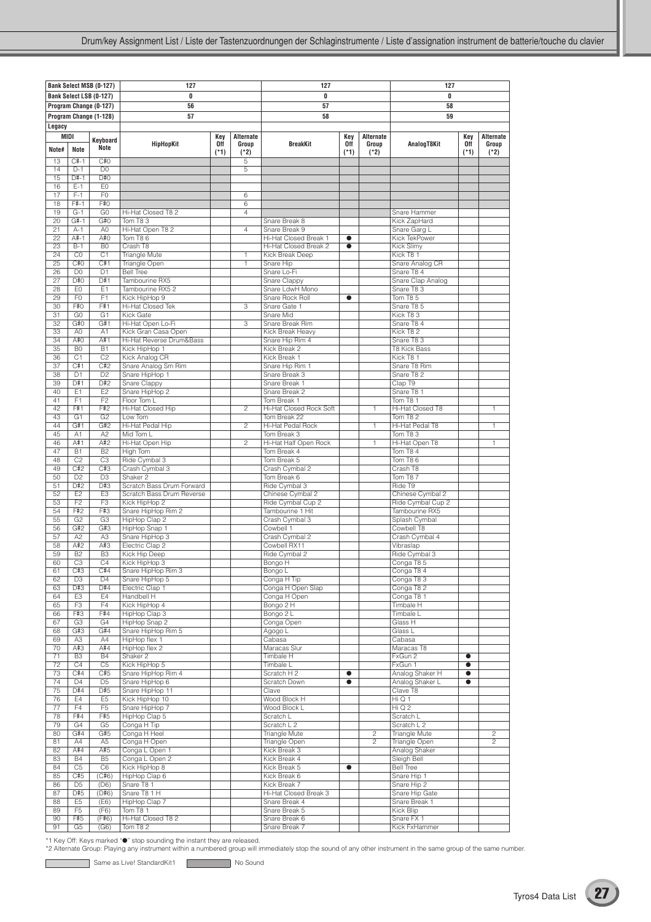|                 |                                  | <b>Bank Select MSB (0-127)</b> | 127                                        |        |                | 127                                   |           |                | 127                                   |           |                |
|-----------------|----------------------------------|--------------------------------|--------------------------------------------|--------|----------------|---------------------------------------|-----------|----------------|---------------------------------------|-----------|----------------|
|                 |                                  | Bank Select LSB (0-127)        | 0<br>0                                     |        |                |                                       |           |                | 0                                     |           |                |
|                 |                                  | Program Change (0-127)         | 56                                         |        |                | 57                                    |           |                | 58                                    |           |                |
|                 |                                  | Program Change (1-128)         | 57                                         |        |                | 58                                    |           |                | 59                                    |           |                |
| Legacy          |                                  |                                |                                            |        |                |                                       |           |                |                                       |           |                |
|                 | MIDI                             |                                |                                            | Key    | Alternate      |                                       | Key       | Alternate      |                                       | Key       | Alternate      |
|                 |                                  | Keyboard                       | HipHopKit                                  | 0ff    | Group          | <b>BreakKit</b>                       | 0ff       | Group          | AnalogT8Kit                           | 0ff       | Group          |
| Note#           | Note                             | Note                           |                                            | $(*1)$ | $(*2)$         |                                       | $(*1)$    | $(*2)$         |                                       | $(*1)$    | $(*2)$         |
| 13              | $C#-1$                           | C#O                            |                                            |        | 5              |                                       |           |                |                                       |           |                |
| 14              | $D-1$                            | D <sub>0</sub>                 |                                            |        | $\overline{5}$ |                                       |           |                |                                       |           |                |
| 15              | $D#-1$                           | D#O                            |                                            |        |                |                                       |           |                |                                       |           |                |
| 16              | $E-1$<br>$F-1$                   | E <sub>0</sub>                 |                                            |        |                |                                       |           |                |                                       |           |                |
| 17<br>18        | $F# - 1$                         | F <sub>0</sub><br>F#0          |                                            |        | 6<br>6         |                                       |           |                |                                       |           |                |
| 19              | $G-1$                            | G <sub>0</sub>                 | Hi-Hat Closed T8 2                         |        | $\overline{4}$ |                                       |           |                | Snare Hammer                          |           |                |
| 20              | $G#-1$                           | G#O                            | Tom T83                                    |        |                | Snare Break 8                         |           |                | Kick ZapHard                          |           |                |
| 21              | $A-1$                            | A <sub>0</sub>                 | Hi-Hat Open T8 2                           |        | $\overline{4}$ | Snare Break 9                         |           |                | Snare Garg L                          |           |                |
| 22              | A#-1                             | A#0                            | Tom T86                                    |        |                | Hi-Hat Closed Break 1                 | $\bullet$ |                | Kick TekPower                         |           |                |
| 23              | $B-1$                            | B <sub>0</sub>                 | Crash T8                                   |        |                | Hi-Hat Closed Break 2                 | $\bullet$ |                | Kick Slimy                            |           |                |
| 24              | CO                               | C1                             | Triangle Mute                              |        | $\mathbf{1}$   | Kick Break Deep                       |           |                | Kick T8 1                             |           |                |
| 25<br>26        | C#0<br>D <sub>0</sub>            | C#1<br>D <sub>1</sub>          | Triangle Open<br><b>Bell Tree</b>          |        | 1              | Snare Hip<br>Snare Lo-Fi              |           |                | Snare Analog CR<br>Snare T8 4         |           |                |
| 27              | D#0                              | D#1                            | Tambourine RX5                             |        |                | Snare Clappy                          |           |                | Snare Clap Analog                     |           |                |
| 28              | EO                               | E1                             | Tambourine RX5 2                           |        |                | Snare LdwH Mono                       |           |                | Snare T83                             |           |                |
| 29              | F <sub>0</sub>                   | F1                             | Kick HipHop 9                              |        |                | Snare Rock Roll                       | $\bullet$ |                | Tom T8 5                              |           |                |
| 30              | F#O                              | F#1                            | Hi-Hat Closed Tek                          |        | 3              | Snare Gate 1                          |           |                | Snare T8 5                            |           |                |
| 31              | G <sub>0</sub>                   | G1                             | Kick Gate                                  |        |                | Snare Mid                             |           |                | Kick T83                              |           |                |
| 32              | G#O                              | G#1                            | Hi-Hat Open Lo-Fi                          |        | 3              | Snare Break Rim                       |           |                | Snare T8 4                            |           |                |
| 33              | A <sub>0</sub>                   | A1                             | Kick Gran Casa Open                        |        |                | Kick Break Heavy                      |           |                | Kick T82                              |           |                |
| 34<br>35        | A#0<br>B <sub>0</sub>            | A#1<br>B1                      | Hi-Hat Reverse Drum&Bass                   |        |                | Snare Hip Rim 4<br>Kick Break 2       |           |                | Snare T8 3<br><b>T8 Kick Bass</b>     |           |                |
| 36              | C1                               | C <sub>2</sub>                 | Kick HipHop 1<br>Kick Analog CR            |        |                | Kick Break 1                          |           |                | Kick T8 1                             |           |                |
| 37              | C#1                              | C#2                            | Snare Analog Sm Rim                        |        |                | Snare Hip Rim 1                       |           |                | Snare T8 Rim                          |           |                |
| 38              | D <sub>1</sub>                   | D <sub>2</sub>                 | Snare HipHop 1                             |        |                | Snare Break 3                         |           |                | Snare T8 2                            |           |                |
| 39              | D#1                              | D#2                            | <b>Snare Clappy</b>                        |        |                | Snare Break 1                         |           |                | Clap T9                               |           |                |
| 40              | E1                               | E2                             | Snare HipHop 2                             |        |                | Snare Break 2                         |           |                | Snare T8 1                            |           |                |
| 41              | F <sub>1</sub>                   | F2                             | Floor Tom L                                |        |                | Tom Break 1                           |           |                | Tom T8 1                              |           |                |
| 42              | F#1                              | F#2                            | Hi-Hat Closed Hip                          |        | $\overline{c}$ | Hi-Hat Closed Rock Soft               |           | 1              | Hi-Hat Closed T8                      |           | 1              |
| 43<br>44        | G <sub>1</sub><br>G#1            | G <sub>2</sub><br>G#2          | Low Tom<br>Hi-Hat Pedal Hip                |        | $\overline{2}$ | Tom Break 22<br>Hi-Hat Pedal Rock     |           | $\mathbf{1}$   | Tom T8 2<br>Hi-Hat Pedal T8           |           | $\mathbf{1}$   |
| 45              | A <sub>1</sub>                   | A2                             | Mid Tom L                                  |        |                | Tom Break 3                           |           |                | Tom T83                               |           |                |
| 46              | A#1                              | A#2                            | Hi-Hat Open Hip                            |        | $\overline{2}$ | Hi-Hat Half Open Rock                 |           | $\mathbf{1}$   | Hi-Hat Open T8                        |           | $\mathbf{1}$   |
| 47              | B1                               | B <sub>2</sub>                 | High Tom                                   |        |                | Tom Break 4                           |           |                | Tom T8 4                              |           |                |
| 48              | C <sub>2</sub>                   | C <sub>3</sub>                 | Ride Cymbal 3                              |        |                | Tom Break 5                           |           |                | Tom T86                               |           |                |
| 49              | C#2                              | C#3                            | Crash Cymbal 3                             |        |                | Crash Cymbal 2                        |           |                | Crash T8                              |           |                |
| 50              | D2                               | $\overline{D3}$                | Shaker <sub>2</sub>                        |        |                | Tom Break 6                           |           |                | Tom T87                               |           |                |
| 51              | D#2                              | D#3                            | Scratch Bass Drum Forward                  |        |                | Ride Cymbal 3                         |           |                | Ride T9                               |           |                |
| 52<br>53        | E <sub>2</sub><br>F <sub>2</sub> | E <sub>3</sub><br>F3           | Scratch Bass Drum Reverse<br>Kick HipHop 2 |        |                | Chinese Cymbal 2<br>Ride Cymbal Cup 2 |           |                | Chinese Cymbal 2<br>Ride Cymbal Cup 2 |           |                |
| 54              | F#2                              | F#3                            | Snare HipHop Rim 2                         |        |                | Tambourine 1 Hit                      |           |                | Tambourine RX5                        |           |                |
| 55              | G2                               | G3                             | HipHop Clap 2                              |        |                | Crash Cymbal 3                        |           |                | Splash Cymbal                         |           |                |
| 56              | G#2                              | G#3                            | HipHop Snap 1                              |        |                | Cowbell 1                             |           |                | Cowbell T8                            |           |                |
| 57              | A2                               | A <sub>3</sub>                 | Snare HipHop 3                             |        |                | Crash Cymbal 2                        |           |                | Crash Cymbal 4                        |           |                |
| 58              | A#2                              | A#3                            | Electric Clap 2                            |        |                | Cowbell RX11                          |           |                | Vibraslap                             |           |                |
| 59              | B2                               | B <sub>3</sub>                 | Kick Hip Deep                              |        |                | Ride Cymbal 2                         |           |                | Ride Cymbal 3                         |           |                |
| 60              | C <sub>3</sub>                   | C4<br>C#4                      | Kick HipHop 3                              |        |                | Bongo H                               |           |                | Conga T85                             |           |                |
| 61<br>62        | C#3<br>D <sub>3</sub>            | D <sub>4</sub>                 | Snare HipHop Rim 3<br>Snare HipHop 5       |        |                | Bongo L<br>Conga H Tip                |           |                | Conga 184<br>Conga T83                |           |                |
| 63              | D#3                              | D#4                            | Electric Clap 1                            |        |                | Conga H Open Slap                     |           |                | Conga T8 2                            |           |                |
| 64              | E <sub>3</sub>                   | E4                             | Handbell H                                 |        |                | Conga H Open                          |           |                | Conga T8 1                            |           |                |
| 65              | F <sub>3</sub>                   | F4                             | Kick HipHop 4                              |        |                | Bongo 2 H                             |           |                | Timbale H                             |           |                |
| 66              | F#3                              | F#4                            | HipHop Clap 3                              |        |                | Bongo 2 L                             |           |                | Timbale L                             |           |                |
| 67              | G <sub>3</sub>                   | G4                             | HipHop Snap 2                              |        |                | Conga Open                            |           |                | Glass H                               |           |                |
| 68              | G#3                              | G#4                            | Snare HipHop Rim 5<br>HipHop flex 1        |        |                | Agogo L<br>Cabasa                     |           |                | Glass L<br>Cabasa                     |           |                |
| 69<br>70        | A <sub>3</sub><br>A#3            | A4<br>A#4                      | HipHop flex 2                              |        |                | Maracas Slur                          |           |                | Maracas T8                            |           |                |
| 71              | B <sub>3</sub>                   | <b>B4</b>                      | Shaker <sub>2</sub>                        |        |                | Timbale H                             |           |                | FxGun 2                               | $\bullet$ |                |
| $\overline{72}$ | C4                               | C <sub>5</sub>                 | Kick HipHop 5                              |        |                | Timbale L                             |           |                | FxGun 1                               | $\bullet$ |                |
| 73              | C#4                              | C#5                            | Snare HipHop Rim 4                         |        |                | Scratch H 2                           | $\bullet$ |                | Analog Shaker H                       | $\bullet$ |                |
| 74              | D <sub>4</sub>                   | D <sub>5</sub>                 | Snare HipHop 6                             |        |                | Scratch Down                          | $\bullet$ |                | Analog Shaker L                       | $\bullet$ |                |
| 75              | D#4                              | D#5                            | Snare HipHop 11                            |        |                | Clave                                 |           |                | Clave T8                              |           |                |
| 76              | E4                               | E <sub>5</sub>                 | Kick HipHop 10                             |        |                | Wood Block H                          |           |                | HiQ1                                  |           |                |
| 77              | F4<br>F#4                        | F <sub>5</sub><br>F#5          | Snare HipHop 7<br>HipHop Clap 5            |        |                | Wood Block L                          |           |                | Hi Q 2<br>Scratch L                   |           |                |
| 78<br>79        | G <sub>4</sub>                   | G <sub>5</sub>                 | Conga H Tip                                |        |                | Scratch L<br>Scratch L 2              |           |                | Scratch L 2                           |           |                |
| 80              | G#4                              | G#5                            | Conga H Heel                               |        |                | Triangle Mute                         |           | $\overline{c}$ | Triangle Mute                         |           | $\overline{c}$ |
| 81              | A4                               | A <sub>5</sub>                 | Conga H Open                               |        |                | Triangle Open                         |           | $\mathbf{2}$   | Triangle Open                         |           | $\overline{c}$ |
| 82              | A#4                              | A#5                            | Conga L Open 1                             |        |                | Kick Break 3                          |           |                | Analog Shaker                         |           |                |
| 83              | <b>B4</b>                        | B <sub>5</sub>                 | Conga L Open 2                             |        |                | Kick Break 4                          |           |                | Sleigh Bell                           |           |                |
| 84              | C <sub>5</sub>                   | C <sub>6</sub>                 | Kick HipHop 8                              |        |                | Kick Break 5                          | $\bullet$ |                | <b>Bell Tree</b>                      |           |                |
| 85              | C#5                              | (C#6)                          | HipHop Clap 6                              |        |                | Kick Break 6                          |           |                | Snare Hip 1                           |           |                |
| 86<br>87        | D <sub>5</sub><br>D#5            | (D6)<br>(D#6)                  | Snare T8 1<br>Snare T8 1 H                 |        |                | Kick Break 7<br>Hi-Hat Closed Break 3 |           |                | Snare Hip 2<br>Snare Hip Gate         |           |                |
| 88              | E <sub>5</sub>                   | (E6)                           | HipHop Clap 7                              |        |                | Snare Break 4                         |           |                | Snare Break 1                         |           |                |
| 89              | F <sub>5</sub>                   | (F6)                           | Tom T8 1                                   |        |                | Snare Break 5                         |           |                | Kick Blip                             |           |                |
| 90              | F#5                              | (F#6)                          | Hi-Hat Closed T8 2                         |        |                | Snare Break 6                         |           |                | Snare FX 1                            |           |                |
| 91              | G <sub>5</sub>                   | (G6)                           | Tom T8 2                                   |        |                | Snare Break 7                         |           |                | Kick FxHammer                         |           |                |

C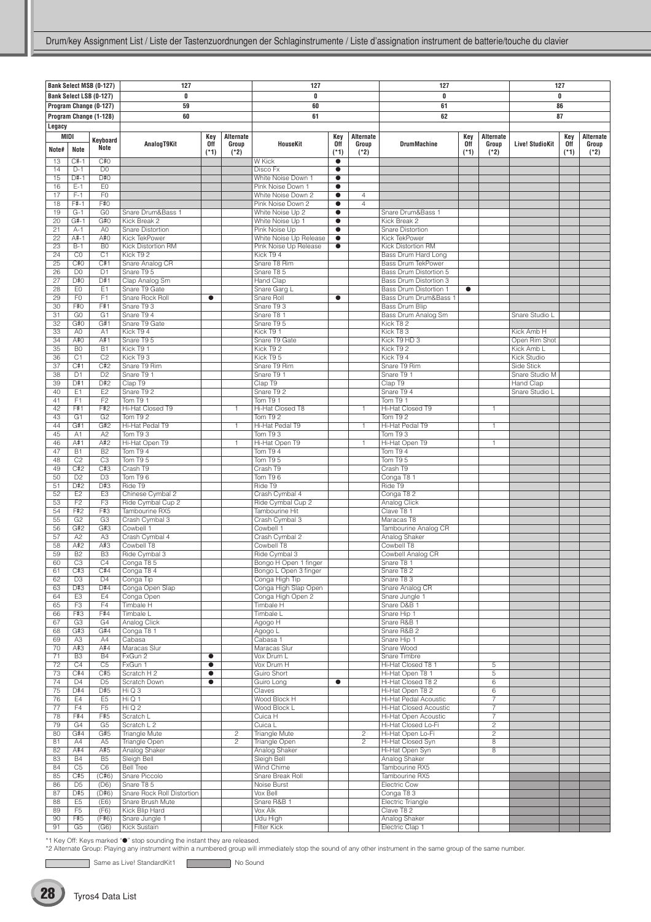|                 |                       | Bank Select MSB (0-127) | 127                               |           |                  | 127                                             |                        |                | 127                                      |            |                | 127                    |        |           |
|-----------------|-----------------------|-------------------------|-----------------------------------|-----------|------------------|-------------------------------------------------|------------------------|----------------|------------------------------------------|------------|----------------|------------------------|--------|-----------|
|                 |                       |                         |                                   |           |                  |                                                 |                        |                |                                          |            |                |                        | 0      |           |
|                 |                       | Bank Select LSB (0-127) | 0                                 |           |                  | 0                                               |                        |                | 0                                        |            |                |                        |        |           |
|                 |                       | Program Change (0-127)  | 59                                |           |                  | 60                                              |                        |                | 61                                       |            |                |                        | 86     |           |
|                 |                       | Program Change (1-128)  | 60                                |           |                  | 61                                              |                        |                | 62                                       |            |                |                        | 87     |           |
| Legacy          |                       |                         |                                   |           |                  |                                                 |                        |                |                                          |            |                |                        |        |           |
| MIDI            |                       |                         |                                   | Key       | <b>Alternate</b> |                                                 | Key                    | Alternate      |                                          | Key        | Alternate      |                        | Key    | Alternate |
|                 |                       | Keyboard<br>Note        | AnalogT9Kit                       | 0ff       | Group            | <b>HouseKit</b>                                 | 0ff                    | Group          | <b>DrumMachine</b>                       | <b>Off</b> | Group          | <b>Live! StudioKit</b> | 0ff    | Group     |
| Note#           | Note                  |                         |                                   | $(*1)$    | $(*2)$           |                                                 | $(*1)$                 | $(*2)$         |                                          | $(*1)$     | $(*2)$         |                        | $(*1)$ | (*2)      |
| 13              | $C#-1$                | C#0                     |                                   |           |                  | <b>W</b> Kick                                   | $\bullet$              |                |                                          |            |                |                        |        |           |
| 14              | $D-1$                 | D <sub>0</sub>          |                                   |           |                  | Disco Fx                                        | $\bullet$              |                |                                          |            |                |                        |        |           |
| 15              | $D#-1$                | D#O                     |                                   |           |                  | White Noise Down 1                              | $\bullet$              |                |                                          |            |                |                        |        |           |
| 16              | $E-1$                 | E <sub>0</sub>          |                                   |           |                  | Pink Noise Down 1                               | $\bullet$              |                |                                          |            |                |                        |        |           |
| 17              | $F-1$                 | F <sub>0</sub>          |                                   |           |                  | White Noise Down 2                              | $\bullet$              | $\overline{4}$ |                                          |            |                |                        |        |           |
| 18              | $F#-1$                | F#0                     |                                   |           |                  | Pink Noise Down 2                               | $\bullet$              | 4              |                                          |            |                |                        |        |           |
| 19              | $G-1$                 | G <sub>0</sub>          | Snare Drum&Bass 1                 |           |                  | White Noise Up 2                                | $\bullet$              |                | Snare Drum&Bass 1                        |            |                |                        |        |           |
| 20              | $G#-1$                | G#0                     | Kick Break 2                      |           |                  | White Noise Up 1                                | $\bullet$              |                | Kick Break 2                             |            |                |                        |        |           |
| 21              | $A-1$<br>A#-1         | A <sub>0</sub><br>A#0   | Snare Distortion<br>Kick TekPower |           |                  | Pink Noise Up                                   | $\bullet$              |                | <b>Snare Distortion</b><br>Kick TekPower |            |                |                        |        |           |
| 22<br>23        | $B-1$                 | B <sub>0</sub>          | Kick Distortion RM                |           |                  | White Noise Up Release<br>Pink Noise Up Release | $\bullet$<br>$\bullet$ |                | Kick Distortion RM                       |            |                |                        |        |           |
| 24              | CO                    | C <sub>1</sub>          | Kick T92                          |           |                  | Kick T9 4                                       |                        |                | Bass Drum Hard Long                      |            |                |                        |        |           |
| $\overline{25}$ | C#0                   | C#1                     | Snare Analog CR                   |           |                  | Snare T8 Rim                                    |                        |                | <b>Bass Drum TekPower</b>                |            |                |                        |        |           |
| 26              | D <sub>0</sub>        | D <sub>1</sub>          | Snare T9 5                        |           |                  | Snare T8 5                                      |                        |                | Bass Drum Distortion 5                   |            |                |                        |        |           |
| 27              | D#0                   | D#1                     | Clap Analog Sm                    |           |                  | Hand Clap                                       |                        |                | <b>Bass Drum Distortion 3</b>            |            |                |                        |        |           |
| 28              | EO                    | E <sub>1</sub>          | Snare T9 Gate                     |           |                  | Snare Garg L                                    |                        |                | Bass Drum Distortion 1                   | $\bullet$  |                |                        |        |           |
| 29              | F <sub>0</sub>        | F <sub>1</sub>          | Snare Rock Roll                   | $\bullet$ |                  | Snare Roll                                      | $\bullet$              |                | Bass Drum Drum&Bass 1                    |            |                |                        |        |           |
| 30              | F#0                   | F#1                     | Snare T9 3                        |           |                  | Snare T9 3                                      |                        |                | <b>Bass Drum Blip</b>                    |            |                |                        |        |           |
| 31              | G <sub>0</sub>        | G1                      | Snare T9 4                        |           |                  | Snare T8 1                                      |                        |                | Bass Drum Analog Sm                      |            |                | Snare Studio L         |        |           |
| 32              | G#O                   | G#1                     | Snare T9 Gate                     |           |                  | Snare T9 5                                      |                        |                | Kick T82                                 |            |                |                        |        |           |
| 33              | A <sub>0</sub>        | A1                      | Kick T9 4                         |           |                  | Kick T9 1                                       |                        |                | Kick T83                                 |            |                | Kick Amb H             |        |           |
| 34              | A#0                   | A#1                     | Snare T9 5                        |           |                  | Snare T9 Gate                                   |                        |                | Kick T9 HD 3                             |            |                | Open Rim Shot          |        |           |
| 35              | B <sub>0</sub>        | B1                      | Kick T9 1                         |           |                  | Kick T9 2                                       |                        |                | Kick T92                                 |            |                | Kick Amb L             |        |           |
| 36              | C1                    | C <sub>2</sub>          | Kick T93                          |           |                  | Kick T9 5                                       |                        |                | Kick T9 4                                |            |                | Kick Studio            |        |           |
| 37              | C#1                   | C#2                     | Snare T9 Rim                      |           |                  | Snare T9 Rim                                    |                        |                | Snare T9 Rim                             |            |                | Side Stick             |        |           |
| 38              | D <sub>1</sub>        | D <sub>2</sub>          | Snare T9 1                        |           |                  | Snare T9 1                                      |                        |                | Snare T9 1                               |            |                | Snare Studio M         |        |           |
| 39              | D#1                   | D#2                     | Clap T9                           |           |                  | Clap T9                                         |                        |                | Clap T9                                  |            |                | Hand Clap              |        |           |
| 40              | E1                    | E2                      | Snare T9 2                        |           |                  | Snare T9 2                                      |                        |                | Snare T9 4                               |            |                | Snare Studio L         |        |           |
| 41              | F1                    | F2                      | Tom T9 1                          |           |                  | Tom T9 1                                        |                        |                | Tom T9 1                                 |            |                |                        |        |           |
| 42              | F#1                   | F#2                     | Hi-Hat Closed T9                  |           | $\mathbf{1}$     | Hi-Hat Closed T8                                |                        | $\mathbf{1}$   | Hi-Hat Closed T9                         |            | $\mathbf{1}$   |                        |        |           |
| 43              | G <sub>1</sub>        | G <sub>2</sub>          | Tom T9 2                          |           |                  | Tom T9 2                                        |                        |                | Tom T9 2                                 |            |                |                        |        |           |
| 44              | G#1                   | G#2                     | Hi-Hat Pedal T9                   |           | 1                | Hi-Hat Pedal T9                                 |                        | $\mathbf{1}$   | Hi-Hat Pedal T9                          |            | 1.             |                        |        |           |
| 45              | A1                    | A <sub>2</sub>          | Tom T93                           |           |                  | Tom T93                                         |                        |                | Tom T93                                  |            |                |                        |        |           |
| 46              | A#1                   | A#2                     | Hi-Hat Open T9                    |           | $\mathbf{1}$     | Hi-Hat Open T9                                  |                        | $\mathbf{1}$   | Hi-Hat Open T9                           |            | $\mathbf{1}$   |                        |        |           |
| 47              | <b>B1</b>             | B <sub>2</sub>          | Tom T9 4                          |           |                  | Tom T9 4                                        |                        |                | Tom T9 4                                 |            |                |                        |        |           |
| 48              | C <sub>2</sub>        | C <sub>3</sub>          | Tom T9 5                          |           |                  | Tom T9 5                                        |                        |                | Tom T95                                  |            |                |                        |        |           |
| 49              | C#2                   | C#3                     | Crash T9                          |           |                  | Crash T9                                        |                        |                | Crash T9                                 |            |                |                        |        |           |
| 50              | D2                    | D3                      | Tom T <sub>9</sub> 6              |           |                  | Tom T96                                         |                        |                | Conga T8 1                               |            |                |                        |        |           |
| 51              | D#2                   | D#3                     | Ride T9                           |           |                  | Ride T9                                         |                        |                | Ride T9                                  |            |                |                        |        |           |
| 52              | E <sub>2</sub>        | E <sub>3</sub>          | Chinese Cymbal 2                  |           |                  | Crash Cymbal 4                                  |                        |                | Conga T8 2                               |            |                |                        |        |           |
| 53              | F <sub>2</sub>        | F3                      | Ride Cymbal Cup 2                 |           |                  | Ride Cymbal Cup 2                               |                        |                | Analog Click                             |            |                |                        |        |           |
| 54              | F#2                   | F#3                     | Tambourine RX5                    |           |                  | Tambourine Hit                                  |                        |                | Clave T8 1                               |            |                |                        |        |           |
| 55              | G2                    | G3                      | Crash Cymbal 3                    |           |                  | Crash Cymbal 3                                  |                        |                | Maracas T8                               |            |                |                        |        |           |
| 56              | G#2                   | G#3                     | Cowbell 1                         |           |                  | Cowbell 1                                       |                        |                | Tambourine Analog CR                     |            |                |                        |        |           |
| 57              | A <sub>2</sub>        | A <sub>3</sub>          | Crash Cymbal 4                    |           |                  | Crash Cymbal 2                                  |                        |                | Analog Shaker                            |            |                |                        |        |           |
| 58              | A#2                   | A#3                     | Cowbell T8                        |           |                  | Cowbell T8                                      |                        |                | Cowbell T8                               |            |                |                        |        |           |
| 59              | B <sub>2</sub>        | B <sub>3</sub>          | Ride Cymbal 3                     |           |                  | Ride Cymbal 3                                   |                        |                | Cowbell Analog CR                        |            |                |                        |        |           |
| 60              | C <sub>3</sub>        | C <sub>4</sub>          | Conga T85                         |           |                  | Bongo H Open 1 finger                           |                        |                | Snare T8 1                               |            |                |                        |        |           |
| 61              | C#3<br>D <sub>3</sub> | C#4<br>D <sub>4</sub>   | Conga T84                         |           |                  | Bongo L Open 3 finger                           |                        |                | Snare T8 2                               |            |                |                        |        |           |
| 62<br>63        | D#3                   | D#4                     | Conga Tip<br>Conga Open Slap      |           |                  | Conga High Tip<br>Conga High Slap Open          |                        |                | Snare T8 3<br>Snare Analog CR            |            |                |                        |        |           |
| 64              | E <sub>3</sub>        | E4                      | Conga Open                        |           |                  | Conga High Open 2                               |                        |                | Snare Jungle 1                           |            |                |                        |        |           |
| 65              | F <sub>3</sub>        | F4                      | Timbale H                         |           |                  | Timbale H                                       |                        |                | Snare D&B 1                              |            |                |                        |        |           |
| 66              | F#3                   | F#4                     | Timbale L                         |           |                  | Timbale L                                       |                        |                | Snare Hip 1                              |            |                |                        |        |           |
| 67              | G <sub>3</sub>        | G4                      | Analog Click                      |           |                  | Agogo H                                         |                        |                | Snare R&B 1                              |            |                |                        |        |           |
| 68              | G#3                   | G#4                     | Conga T8 1                        |           |                  | Agogo L                                         |                        |                | Snare R&B 2                              |            |                |                        |        |           |
| 69              | A <sub>3</sub>        | A4                      | Cabasa                            |           |                  | Cabasa 1                                        |                        |                | Snare Hip 1                              |            |                |                        |        |           |
| 70              | A#3                   | A#4                     | Maracas Slur                      |           |                  | Maracas Slur                                    |                        |                | Snare Wood                               |            |                |                        |        |           |
| 71              | B <sub>3</sub>        | <b>B4</b>               | FxGun 2                           | $\bullet$ |                  | Vox Drum L                                      |                        |                | Snare Timbre                             |            |                |                        |        |           |
| 72              | C4                    | C <sub>5</sub>          | FxGun 1                           | $\bullet$ |                  | Vox Drum H                                      |                        |                | Hi-Hat Closed T8 1                       |            | 5              |                        |        |           |
| 73              | C#4                   | C#5                     | Scratch H 2                       | $\bullet$ |                  | Guiro Short                                     |                        |                | Hi-Hat Open T8 1                         |            | 5              |                        |        |           |
| 74              | D <sub>4</sub>        | D <sub>5</sub>          | Scratch Down                      | $\bullet$ |                  | Guiro Long                                      | $\bullet$              |                | Hi-Hat Closed T8 2                       |            | 6              |                        |        |           |
| 75              | D#4                   | D#5                     | HiQ3                              |           |                  | Claves                                          |                        |                | Hi-Hat Open T8 2                         |            | 6              |                        |        |           |
| 76              | E4                    | E <sub>5</sub>          | HiQ1                              |           |                  | Wood Block H                                    |                        |                | Hi-Hat Pedal Acoustic                    |            | $\overline{7}$ |                        |        |           |
| 77              | F4                    | F <sub>5</sub>          | $Hi$ Q 2                          |           |                  | Wood Block L                                    |                        |                | <b>Hi-Hat Closed Acoustic</b>            |            | $\overline{7}$ |                        |        |           |
| 78              | F#4                   | F#5                     | Scratch L                         |           |                  | Cuica H                                         |                        |                | Hi-Hat Open Acoustic                     |            | $\overline{7}$ |                        |        |           |
| 79              | G4                    | G <sub>5</sub>          | Scratch L 2                       |           |                  | Cuica L                                         |                        |                | Hi-Hat Closed Lo-Fi                      |            | $\overline{c}$ |                        |        |           |
| 80              | G#4                   | G#5                     | <b>Triangle Mute</b>              |           | $\overline{2}$   | <b>Triangle Mute</b>                            |                        | $\overline{2}$ | Hi-Hat Open Lo-Fi                        |            | $\overline{2}$ |                        |        |           |
| 81              | A4                    | A <sub>5</sub>          | Triangle Open                     |           | $\mathbf{2}$     | Triangle Open                                   |                        | $\overline{c}$ | Hi-Hat Closed Syn                        |            | 8              |                        |        |           |
| 82              | A#4                   | A#5                     | Analog Shaker                     |           |                  | Analog Shaker                                   |                        |                | Hi-Hat Open Syn                          |            | 8              |                        |        |           |
| 83              | <b>B4</b>             | B <sub>5</sub>          | Sleigh Bell                       |           |                  | Sleigh Bell                                     |                        |                | Analog Shaker                            |            |                |                        |        |           |
| 84              | C <sub>5</sub>        | C <sub>6</sub>          | <b>Bell Tree</b>                  |           |                  | Wind Chime                                      |                        |                | Tambourine RX5                           |            |                |                        |        |           |
| 85              | C#5                   | (C#6)                   | Snare Piccolo                     |           |                  | Snare Break Roll                                |                        |                | Tambourine RX5                           |            |                |                        |        |           |
| 86              | D <sub>5</sub>        | (D6)                    | Snare T85                         |           |                  | Noise Burst                                     |                        |                | Electric Cow                             |            |                |                        |        |           |
| 87              | D#5                   | (D#6)                   | Snare Rock Roll Distortion        |           |                  | Vox Bell                                        |                        |                | Conga T83                                |            |                |                        |        |           |
| 88              | E <sub>5</sub>        | (E6)                    | Snare Brush Mute                  |           |                  | Snare R&B 1                                     |                        |                | Electric Triangle                        |            |                |                        |        |           |
| 89              | F <sub>5</sub>        | (F6)                    | Kick Blip Hard                    |           |                  | Vox Alk                                         |                        |                | Clave T8 2                               |            |                |                        |        |           |
| 90              | F#5                   | (F#6)                   | Snare Jungle 1                    |           |                  | Udu High                                        |                        |                | Analog Shaker                            |            |                |                        |        |           |
| 91              | G5                    | (G6)                    | Kick Sustain                      |           |                  | <b>Filter Kick</b>                              |                        |                | Electric Clap 1                          |            |                |                        |        |           |

Same as Live! StandardKit1 No Sound

ſ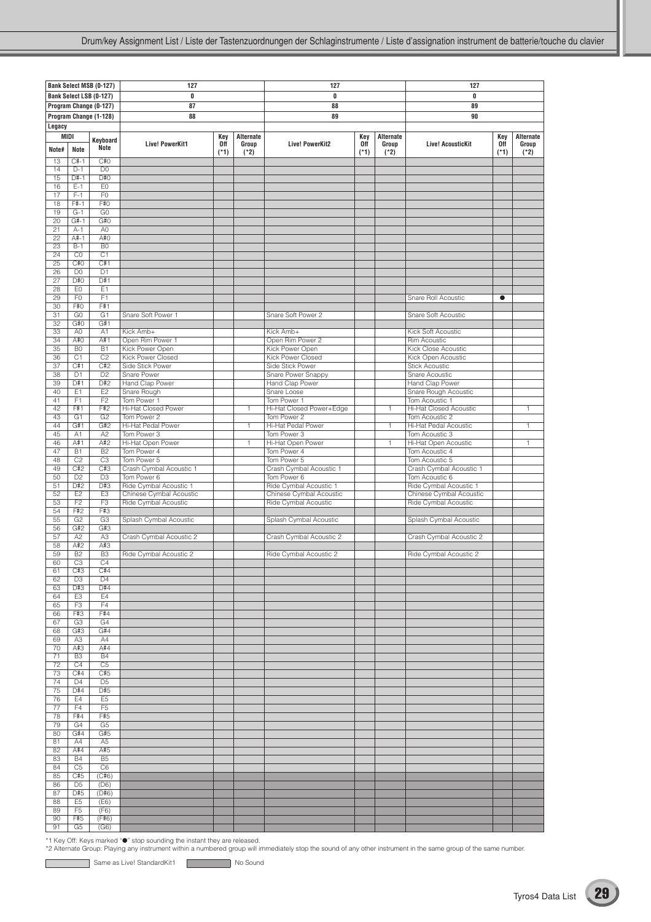|                 |                                  | Bank Select MSB (0-127) | 127                                    |        |              | 127                                    |        |                  | 127                                                   |           |           |
|-----------------|----------------------------------|-------------------------|----------------------------------------|--------|--------------|----------------------------------------|--------|------------------|-------------------------------------------------------|-----------|-----------|
|                 |                                  | Bank Select LSB (0-127) | 0                                      |        |              | 0                                      |        |                  | $\mathbf 0$                                           |           |           |
|                 |                                  | Program Change (0-127)  | 87                                     |        |              | 88                                     |        |                  | 89                                                    |           |           |
|                 |                                  | Program Change (1-128)  | 88                                     |        |              | 89                                     |        |                  | 90                                                    |           |           |
| Legacy          |                                  |                         |                                        |        |              |                                        |        |                  |                                                       |           |           |
| MIDI            |                                  | Keyboard                |                                        | Key    | Alternate    |                                        | Key    | <b>Alternate</b> |                                                       | Key       | Alternate |
| Note#           | <b>Note</b>                      | Note                    | <b>Live! PowerKit1</b>                 | 0ff    | Group        | <b>Live! PowerKit2</b>                 | 0ff    | Group            | <b>Live! AcousticKit</b>                              | 0ff       | Group     |
| 13              | $C#-1$                           | C#O                     |                                        | $(*1)$ | $(*2)$       |                                        | $(*1)$ | $(*2)$           |                                                       | $(*1)$    | $(*2)$    |
| 14              | $D-1$                            | D <sub>0</sub>          |                                        |        |              |                                        |        |                  |                                                       |           |           |
| 15              | $D#-1$                           | D#O                     |                                        |        |              |                                        |        |                  |                                                       |           |           |
| 16              | $E-1$                            | EO                      |                                        |        |              |                                        |        |                  |                                                       |           |           |
| 17              | $F-1$                            | F <sub>0</sub><br>F#0   |                                        |        |              |                                        |        |                  |                                                       |           |           |
| 18<br>19        | $F#-1$<br>$G-1$                  | G <sub>0</sub>          |                                        |        |              |                                        |        |                  |                                                       |           |           |
| $\overline{20}$ | $G#-1$                           | G#O                     |                                        |        |              |                                        |        |                  |                                                       |           |           |
| 21              | $A-1$                            | A <sub>0</sub>          |                                        |        |              |                                        |        |                  |                                                       |           |           |
| 22              | $A#-1$                           | A#O<br>B <sub>0</sub>   |                                        |        |              |                                        |        |                  |                                                       |           |           |
| 23<br>24        | $B-1$<br>C0                      | C1                      |                                        |        |              |                                        |        |                  |                                                       |           |           |
| 25              | C#0                              | C#1                     |                                        |        |              |                                        |        |                  |                                                       |           |           |
| 26              | D <sub>0</sub>                   | D1                      |                                        |        |              |                                        |        |                  |                                                       |           |           |
| 27              | D#0                              | D#1                     |                                        |        |              |                                        |        |                  |                                                       |           |           |
| 28<br>29        | E <sub>0</sub><br>F <sub>0</sub> | E1<br>F1                |                                        |        |              |                                        |        |                  | Snare Roll Acoustic                                   | $\bullet$ |           |
| 30              | F#O                              | F#1                     |                                        |        |              |                                        |        |                  |                                                       |           |           |
| 31              | G <sub>0</sub>                   | G1                      | Snare Soft Power 1                     |        |              | Snare Soft Power 2                     |        |                  | Snare Soft Acoustic                                   |           |           |
| 32              | G#O                              | G#1                     |                                        |        |              |                                        |        |                  |                                                       |           |           |
| 33              | A0<br>A#O                        | A1                      | Kick Amb+<br>Open Rim Power 1          |        |              | Kick Amb+<br>Open Rim Power 2          |        |                  | Kick Soft Acoustic<br><b>Rim Acoustic</b>             |           |           |
| 34<br>35        | B <sub>0</sub>                   | A#1<br>B1               | Kick Power Open                        |        |              | Kick Power Open                        |        |                  | <b>Kick Close Acoustic</b>                            |           |           |
| 36              | C <sub>1</sub>                   | C <sub>2</sub>          | <b>Kick Power Closed</b>               |        |              | <b>Kick Power Closed</b>               |        |                  | Kick Open Acoustic                                    |           |           |
| 37              | C#1                              | C#2                     | Side Stick Power                       |        |              | Side Stick Power                       |        |                  | <b>Stick Acoustic</b>                                 |           |           |
| 38              | D <sub>1</sub>                   | D <sub>2</sub>          | Snare Power                            |        |              | Snare Power Snappy                     |        |                  | Snare Acoustic                                        |           |           |
| 39<br>40        | D#1<br>E1                        | D#2<br>E2               | Hand Clap Power<br>Snare Rough         |        |              | <b>Hand Clap Power</b><br>Snare Loose  |        |                  | <b>Hand Clap Power</b><br><b>Snare Rough Acoustic</b> |           |           |
| 41              | F1                               | F2                      | Tom Power 1                            |        |              | Tom Power 1                            |        |                  | Tom Acoustic 1                                        |           |           |
| 42              | F#1                              | F#2                     | Hi-Hat Closed Power                    |        | $\mathbf{1}$ | Hi-Hat Closed Power+Edge               |        | 1                | Hi-Hat Closed Acoustic                                |           | 1         |
| 43              | G1                               | G2                      | Tom Power 2                            |        |              | Tom Power 2                            |        |                  | Tom Acoustic 2                                        |           |           |
| 44<br>45        | G#1<br>A1                        | G#2<br>A <sub>2</sub>   | Hi-Hat Pedal Power<br>Tom Power 3      |        | 1            | Hi-Hat Pedal Power<br>Tom Power 3      |        | 1                | Hi-Hat Pedal Acoustic<br>Tom Acoustic 3               |           | 1         |
| 46              | A#1                              | A#2                     | Hi-Hat Open Power                      |        | $\mathbf{1}$ | Hi-Hat Open Power                      |        | $\mathbf{1}$     | Hi-Hat Open Acoustic                                  |           | 1         |
| 47              | <b>B1</b>                        | B <sub>2</sub>          | Tom Power 4                            |        |              | Tom Power 4                            |        |                  | Tom Acoustic 4                                        |           |           |
| 48              | C <sub>2</sub>                   | C <sub>3</sub>          | Tom Power 5                            |        |              | Tom Power 5                            |        |                  | Tom Acoustic 5                                        |           |           |
| 49<br>50        | C#2<br>D <sub>2</sub>            | C#3<br>D <sub>3</sub>   | Crash Cymbal Acoustic 1<br>Tom Power 6 |        |              | Crash Cymbal Acoustic 1<br>Tom Power 6 |        |                  | Crash Cymbal Acoustic 1<br>Tom Acoustic 6             |           |           |
| 51              | D#2                              | D#3                     | Ride Cymbal Acoustic 1                 |        |              | Ride Cymbal Acoustic 1                 |        |                  | Ride Cymbal Acoustic 1                                |           |           |
| 52              | E <sub>2</sub>                   | E <sub>3</sub>          | Chinese Cymbal Acoustic                |        |              | Chinese Cymbal Acoustic                |        |                  | Chinese Cymbal Acoustic                               |           |           |
| 53              | F <sub>2</sub>                   | F3                      | Ride Cymbal Acoustic                   |        |              | Ride Cymbal Acoustic                   |        |                  | Ride Cymbal Acoustic                                  |           |           |
| 54<br>55        | F#2<br>G2                        | F#3<br>G <sub>3</sub>   |                                        |        |              | Splash Cymbal Acoustic                 |        |                  |                                                       |           |           |
| 56              | G#2                              | G#3                     | Splash Cymbal Acoustic                 |        |              |                                        |        |                  | Splash Cymbal Acoustic                                |           |           |
| 57              | A <sub>2</sub>                   | A3                      | Crash Cymbal Acoustic 2                |        |              | Crash Cymbal Acoustic 2                |        |                  | Crash Cymbal Acoustic 2                               |           |           |
| 58              | A#2                              | A#3                     |                                        |        |              |                                        |        |                  |                                                       |           |           |
| 59<br>60        | B <sub>2</sub><br>C <sub>3</sub> | B <sub>3</sub><br>C4    | Ride Cymbal Acoustic 2                 |        |              | Ride Cymbal Acoustic 2                 |        |                  | Ride Cymbal Acoustic 2                                |           |           |
| 61              | C#3                              | C#4                     |                                        |        |              |                                        |        |                  |                                                       |           |           |
| 62              | D <sub>3</sub>                   | D <sub>4</sub>          |                                        |        |              |                                        |        |                  |                                                       |           |           |
| 63              | D#3                              | D#4                     |                                        |        |              |                                        |        |                  |                                                       |           |           |
| 64              | E <sub>3</sub>                   | E4                      |                                        |        |              |                                        |        |                  |                                                       |           |           |
| 65<br>66        | F3<br>F#3                        | F4<br>F#4               |                                        |        |              |                                        |        |                  |                                                       |           |           |
| 67              | G3                               | G4                      |                                        |        |              |                                        |        |                  |                                                       |           |           |
| 68              | G#3                              | G#4                     |                                        |        |              |                                        |        |                  |                                                       |           |           |
| 69<br>70        | A3<br>A#3                        | A4<br>A#4               |                                        |        |              |                                        |        |                  |                                                       |           |           |
| 71              | B <sub>3</sub>                   | <b>B4</b>               |                                        |        |              |                                        |        |                  |                                                       |           |           |
| $\overline{72}$ | C4                               | C <sub>5</sub>          |                                        |        |              |                                        |        |                  |                                                       |           |           |
| 73              | C#4                              | C#5                     |                                        |        |              |                                        |        |                  |                                                       |           |           |
| 74              | D <sub>4</sub><br>D#4            | D <sub>5</sub><br>D#5   |                                        |        |              |                                        |        |                  |                                                       |           |           |
| 75<br>76        | E4                               | E <sub>5</sub>          |                                        |        |              |                                        |        |                  |                                                       |           |           |
| 77              | F4                               | F <sub>5</sub>          |                                        |        |              |                                        |        |                  |                                                       |           |           |
| 78              | F#4                              | F#5                     |                                        |        |              |                                        |        |                  |                                                       |           |           |
| 79              | G4<br>G#4                        | G <sub>5</sub><br>G#5   |                                        |        |              |                                        |        |                  |                                                       |           |           |
| 80<br>81        | A4                               | A <sub>5</sub>          |                                        |        |              |                                        |        |                  |                                                       |           |           |
| 82              | A#4                              | A#5                     |                                        |        |              |                                        |        |                  |                                                       |           |           |
| 83              | <b>B4</b>                        | B5                      |                                        |        |              |                                        |        |                  |                                                       |           |           |
| 84              | C <sub>5</sub>                   | C <sub>6</sub>          |                                        |        |              |                                        |        |                  |                                                       |           |           |
| 85<br>86        | C#5<br>$\overline{D5}$           | (C#6)<br>(D6)           |                                        |        |              |                                        |        |                  |                                                       |           |           |
| 87              | D#5                              | (D#6)                   |                                        |        |              |                                        |        |                  |                                                       |           |           |
| 88              | E <sub>5</sub>                   | (E6)                    |                                        |        |              |                                        |        |                  |                                                       |           |           |
| 89              | F <sub>5</sub>                   | (F6)                    |                                        |        |              |                                        |        |                  |                                                       |           |           |
| 90<br>91        | F#5<br>G5                        | (F#6)<br>(G6)           |                                        |        |              |                                        |        |                  |                                                       |           |           |

Г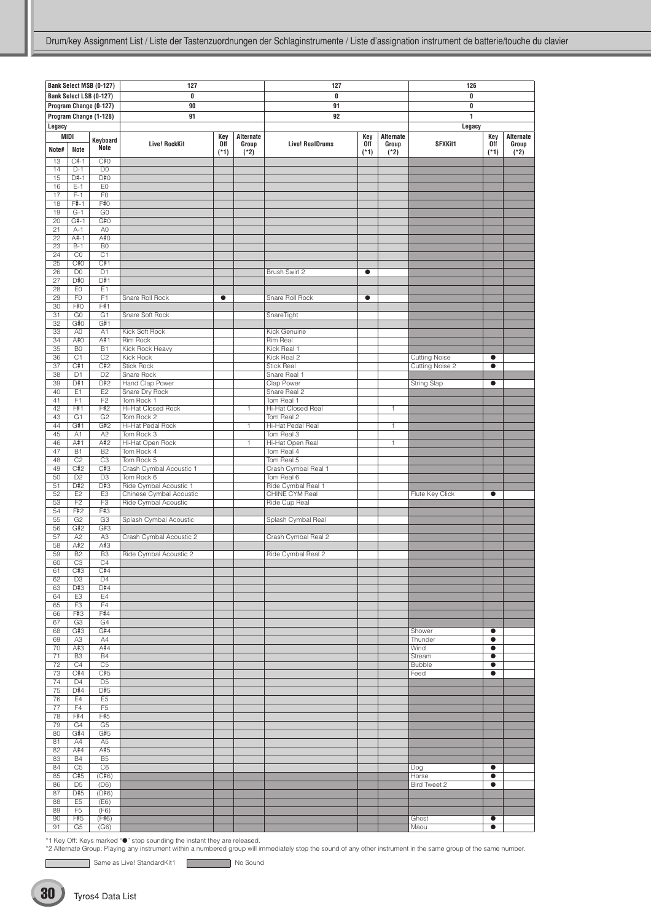|                 |                | Bank Select MSB (0-127) | 127                       |           |              | 127                    |           |              | 126                  |           |           |
|-----------------|----------------|-------------------------|---------------------------|-----------|--------------|------------------------|-----------|--------------|----------------------|-----------|-----------|
|                 |                | Bank Select LSB (0-127) | 0                         |           |              | 0                      |           |              | 0                    |           |           |
|                 |                | Program Change (0-127)  | 90                        |           |              | 91                     |           |              | 0                    |           |           |
|                 |                |                         |                           |           |              |                        |           |              | 1                    |           |           |
|                 |                | Program Change (1-128)  | 91                        |           |              | 92                     |           |              |                      |           |           |
| Legacy          |                |                         |                           |           |              |                        |           |              | Legacy               |           |           |
| MIDI            |                |                         |                           | Key       | Alternate    |                        | Key       | Alternate    |                      | Key       | Alternate |
|                 |                | Keyboard                | <b>Live! RockKit</b>      | 0ff       | Group        | <b>Live! RealDrums</b> | 0ff       | Group        | <b>SFXKit1</b>       | 0ff       | Group     |
| Note#           | Note           | Note                    |                           |           | $(*2)$       |                        | $(*1)$    | $(*2)$       |                      | $(*1)$    | (*2)      |
|                 |                |                         |                           | (*1)      |              |                        |           |              |                      |           |           |
| 13              | $C#-1$         | C#O                     |                           |           |              |                        |           |              |                      |           |           |
| 14              | $D-1$          | D <sub>0</sub>          |                           |           |              |                        |           |              |                      |           |           |
| 15              | $D#-1$         | D#O                     |                           |           |              |                        |           |              |                      |           |           |
| 16              | $E-1$          | EO                      |                           |           |              |                        |           |              |                      |           |           |
| 17              | $F-1$          | F <sub>0</sub>          |                           |           |              |                        |           |              |                      |           |           |
| 18              | $F# - 1$       | F#0                     |                           |           |              |                        |           |              |                      |           |           |
| 19              | $G-1$          | G <sub>0</sub>          |                           |           |              |                        |           |              |                      |           |           |
|                 |                |                         |                           |           |              |                        |           |              |                      |           |           |
| $\overline{20}$ | $G#-1$         | G#O                     |                           |           |              |                        |           |              |                      |           |           |
| 21              | $A-1$          | A <sub>0</sub>          |                           |           |              |                        |           |              |                      |           |           |
| 22              | A#-1           | A#0                     |                           |           |              |                        |           |              |                      |           |           |
| 23              | $B-1$          | B <sub>0</sub>          |                           |           |              |                        |           |              |                      |           |           |
| 24              | CO             | C <sub>1</sub>          |                           |           |              |                        |           |              |                      |           |           |
| 25              | C#0            | C#1                     |                           |           |              |                        |           |              |                      |           |           |
| 26              | D <sub>0</sub> | D <sub>1</sub>          |                           |           |              | Brush Swirl 2          | $\bullet$ |              |                      |           |           |
| 27              | D#0            | D#1                     |                           |           |              |                        |           |              |                      |           |           |
| 28              |                |                         |                           |           |              |                        |           |              |                      |           |           |
|                 | EO             | E <sub>1</sub>          |                           |           |              |                        |           |              |                      |           |           |
| 29              | F <sub>0</sub> | F <sub>1</sub>          | Snare Roll Rock           | $\bullet$ |              | Snare Roll Rock        | $\bullet$ |              |                      |           |           |
| 30              | F#0            | F#1                     |                           |           |              |                        |           |              |                      |           |           |
| $\overline{31}$ | G <sub>0</sub> | G1                      | Snare Soft Rock           |           |              | SnareTight             |           |              |                      |           |           |
| 32              | G#0            | G#1                     |                           |           |              |                        |           |              |                      |           |           |
| 33              | A <sub>0</sub> | A1                      | Kick Soft Rock            |           |              | Kick Genuine           |           |              |                      |           |           |
| 34              | A#0            | A#1                     | Rim Rock                  |           |              | Rim Real               |           |              |                      |           |           |
| 35              | B <sub>0</sub> | <b>B1</b>               | Kick Rock Heavy           |           |              | Kick Real 1            |           |              |                      |           |           |
|                 |                |                         |                           |           |              |                        |           |              |                      |           |           |
| $\overline{36}$ | C1             | C <sub>2</sub>          | <b>Kick Rock</b>          |           |              | Kick Real 2            |           |              | <b>Cutting Noise</b> | $\bullet$ |           |
| 37              | C#1            | C#2                     | <b>Stick Rock</b>         |           |              | <b>Stick Real</b>      |           |              | Cutting Noise 2      | $\bullet$ |           |
| 38              | D <sub>1</sub> | D <sub>2</sub>          | Snare Rock                |           |              | Snare Real 1           |           |              |                      |           |           |
| 39              | D#1            | D#2                     | Hand Clap Power           |           |              | Clap Power             |           |              | <b>String Slap</b>   | $\bullet$ |           |
| 40              | E1             | E2                      | Snare Dry Rock            |           |              | Snare Real 2           |           |              |                      |           |           |
| 41              | F1             | F <sub>2</sub>          | Tom Rock 1                |           |              | Tom Real 1             |           |              |                      |           |           |
| 42              | F#1            | F#2                     | <b>Hi-Hat Closed Rock</b> |           | 1            | Hi-Hat Closed Real     |           | $\mathbf{1}$ |                      |           |           |
|                 |                |                         |                           |           |              |                        |           |              |                      |           |           |
| 43              | G <sub>1</sub> | G <sub>2</sub>          | Tom Rock 2                |           |              | Tom Real 2             |           |              |                      |           |           |
| 44              | G#1            | G#2                     | Hi-Hat Pedal Rock         |           | $\mathbf{1}$ | Hi-Hat Pedal Real      |           | 1            |                      |           |           |
| 45              | A1             | A <sub>2</sub>          | Tom Rock 3                |           |              | Tom Real 3             |           |              |                      |           |           |
| 46              | A#1            | A#2                     | Hi-Hat Open Rock          |           | $\mathbf{1}$ | Hi-Hat Open Real       |           | $\mathbf{1}$ |                      |           |           |
| 47              | <b>B1</b>      | B <sub>2</sub>          | Tom Rock 4                |           |              | Tom Real 4             |           |              |                      |           |           |
| 48              | C <sub>2</sub> | C <sub>3</sub>          | Tom Rock 5                |           |              | Tom Real 5             |           |              |                      |           |           |
| 49              | C#2            | C#3                     | Crash Cymbal Acoustic 1   |           |              | Crash Cymbal Real 1    |           |              |                      |           |           |
| 50              | D <sub>2</sub> | D <sub>3</sub>          | Tom Rock 6                |           |              | Tom Real 6             |           |              |                      |           |           |
|                 |                |                         |                           |           |              |                        |           |              |                      |           |           |
| 51              | D#2            | D#3                     | Ride Cymbal Acoustic 1    |           |              | Ride Cymbal Real 1     |           |              |                      |           |           |
| 52              | E <sub>2</sub> | E3                      | Chinese Cymbal Acoustic   |           |              | CHINE CYM Real         |           |              | Flute Key Click      | $\bullet$ |           |
| 53              | F <sub>2</sub> | F <sub>3</sub>          | Ride Cymbal Acoustic      |           |              | Ride Cup Real          |           |              |                      |           |           |
| 54              | F#2            | F#3                     |                           |           |              |                        |           |              |                      |           |           |
| 55              | G2             | G3                      | Splash Cymbal Acoustic    |           |              | Splash Cymbal Real     |           |              |                      |           |           |
| 56              | G#2            | G#3                     |                           |           |              |                        |           |              |                      |           |           |
|                 | A <sub>2</sub> |                         |                           |           |              | Crash Cymbal Real 2    |           |              |                      |           |           |
| 57              |                | A <sub>3</sub>          | Crash Cymbal Acoustic 2   |           |              |                        |           |              |                      |           |           |
| 58              | A#2            | A#3                     |                           |           |              |                        |           |              |                      |           |           |
| 59              | <b>B2</b>      | B <sub>3</sub>          | Ride Cymbal Acoustic 2    |           |              | Ride Cymbal Real 2     |           |              |                      |           |           |
| 60              | C3             | C4                      |                           |           |              |                        |           |              |                      |           |           |
| 61              | C#3            | C#4                     |                           |           |              |                        |           |              |                      |           |           |
| 62              | D <sub>3</sub> | D <sub>4</sub>          |                           |           |              |                        |           |              |                      |           |           |
| 63              | D#3            | D#4                     |                           |           |              |                        |           |              |                      |           |           |
| 64              | E3             | E4                      |                           |           |              |                        |           |              |                      |           |           |
| 65              | F3             | F4                      |                           |           |              |                        |           |              |                      |           |           |
|                 |                |                         |                           |           |              |                        |           |              |                      |           |           |
| 66              | F#3            | F#4                     |                           |           |              |                        |           |              |                      |           |           |
| 67              | G <sub>3</sub> | G <sub>4</sub>          |                           |           |              |                        |           |              |                      |           |           |
| 68              | G#3            | G#4                     |                           |           |              |                        |           |              | Shower               | $\bullet$ |           |
| 69              | A <sub>3</sub> | A4                      |                           |           |              |                        |           |              | Thunder              | $\bullet$ |           |
| 70              | A#3            | A#4                     |                           |           |              |                        |           |              | Wind                 | $\bullet$ |           |
| 71              | B <sub>3</sub> | <b>B4</b>               |                           |           |              |                        |           |              | Stream               | $\bullet$ |           |
| 72              | C4             | C <sub>5</sub>          |                           |           |              |                        |           |              | <b>Bubble</b>        | $\bullet$ |           |
| 73              | C#4            | C#5                     |                           |           |              |                        |           |              | Feed                 | $\bullet$ |           |
| 74              | D <sub>4</sub> | D <sub>5</sub>          |                           |           |              |                        |           |              |                      |           |           |
|                 |                |                         |                           |           |              |                        |           |              |                      |           |           |
| 75              | D#4            | D#5                     |                           |           |              |                        |           |              |                      |           |           |
| 76              | E4             | E <sub>5</sub>          |                           |           |              |                        |           |              |                      |           |           |
| 77              | F <sub>4</sub> | F <sub>5</sub>          |                           |           |              |                        |           |              |                      |           |           |
| 78              | F#4            | F#5                     |                           |           |              |                        |           |              |                      |           |           |
| 79              | G4             | G <sub>5</sub>          |                           |           |              |                        |           |              |                      |           |           |
| 80              | G#4            | G#5                     |                           |           |              |                        |           |              |                      |           |           |
|                 | A4             |                         |                           |           |              |                        |           |              |                      |           |           |
| 81              |                | A <sub>5</sub>          |                           |           |              |                        |           |              |                      |           |           |
| 82              | A#4            | A#5                     |                           |           |              |                        |           |              |                      |           |           |
| 83              | <b>B4</b>      | B <sub>5</sub>          |                           |           |              |                        |           |              |                      |           |           |
| 84              | C <sub>5</sub> | C <sub>6</sub>          |                           |           |              |                        |           |              | Dog                  | $\bullet$ |           |
| 85              | C#5            | (C#6)                   |                           |           |              |                        |           |              | Horse                | $\bullet$ |           |
| 86              | D <sub>5</sub> | (D6)                    |                           |           |              |                        |           |              | Bird Tweet 2         | $\bullet$ |           |
| 87              | D#5            | (D#6)                   |                           |           |              |                        |           |              |                      |           |           |
| 88              | E <sub>5</sub> | (E6)                    |                           |           |              |                        |           |              |                      |           |           |
| 89              | F <sub>5</sub> | (F6)                    |                           |           |              |                        |           |              |                      |           |           |
|                 | F#5            |                         |                           |           |              |                        |           |              |                      |           |           |
| 90              |                | (F#6)                   |                           |           |              |                        |           |              | Ghost                | $\bullet$ |           |
| 91              | G5             | (G6)                    |                           |           |              |                        |           |              | Maou                 | $\bullet$ |           |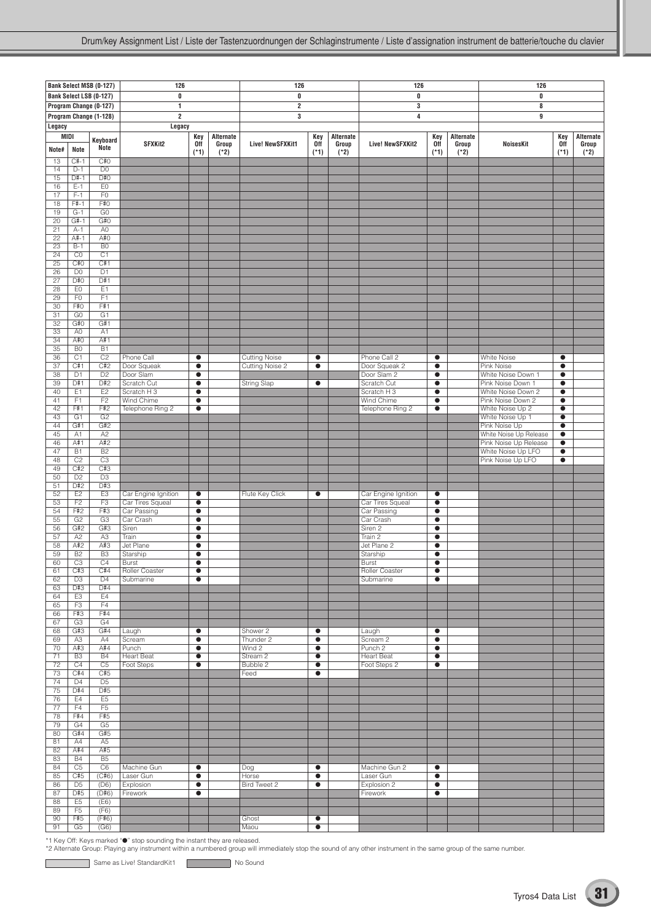|                 |                        | Bank Select MSB (0-127) | 126                      |                        |                    | 126                          |                        |                    | 126                            |                        |                    | 126                                         |                        |                    |
|-----------------|------------------------|-------------------------|--------------------------|------------------------|--------------------|------------------------------|------------------------|--------------------|--------------------------------|------------------------|--------------------|---------------------------------------------|------------------------|--------------------|
|                 |                        | Bank Select LSB (0-127) | 0                        |                        |                    | 0                            |                        |                    | 0                              |                        |                    | 0                                           |                        |                    |
|                 |                        | Program Change (0-127)  | $\mathbf{1}$             |                        |                    | $\overline{\mathbf{2}}$      |                        |                    | 3                              |                        |                    | 8                                           |                        |                    |
|                 |                        | Program Change (1-128)  | $\overline{\mathbf{2}}$  |                        |                    | 3                            |                        |                    | $\overline{\mathbf{4}}$        |                        |                    | 9                                           |                        |                    |
| Legacy          |                        |                         | Legacy                   |                        |                    |                              |                        |                    |                                |                        |                    |                                             |                        |                    |
| <b>MIDI</b>     |                        | Keyboard                | SFXKit2                  | Key<br><b>Off</b>      | Alternate<br>Group | Live! NewSFXKit1             | Key<br><b>Off</b>      | Alternate<br>Group | <b>Live! NewSFXKit2</b>        | Key<br>0ff             | Alternate<br>Group | <b>NoisesKit</b>                            | Key<br><b>Off</b>      | Alternate<br>Group |
| Note#           | Note                   | Note                    |                          | $(*1)$                 | $(*2)$             |                              | $(*1)$                 | $(*2)$             |                                | $(*1)$                 | $(*2)$             |                                             | $(*1)$                 | $(*2)$             |
| 13              | $C# - 1$               | C#O                     |                          |                        |                    |                              |                        |                    |                                |                        |                    |                                             |                        |                    |
| 14<br>15        | $D-1$<br>$D#-1$        | D <sub>0</sub><br>D#O   |                          |                        |                    |                              |                        |                    |                                |                        |                    |                                             |                        |                    |
| 16              | $E-1$                  | E <sub>0</sub>          |                          |                        |                    |                              |                        |                    |                                |                        |                    |                                             |                        |                    |
| 17              | $F-1$                  | F <sub>0</sub>          |                          |                        |                    |                              |                        |                    |                                |                        |                    |                                             |                        |                    |
| 18<br>19        | F#-1<br>$G-1$          | F#0<br>$\overline{G}0$  |                          |                        |                    |                              |                        |                    |                                |                        |                    |                                             |                        |                    |
| $\overline{20}$ | $G#-1$                 | G#O                     |                          |                        |                    |                              |                        |                    |                                |                        |                    |                                             |                        |                    |
| 21              | $A-1$                  | A <sub>0</sub>          |                          |                        |                    |                              |                        |                    |                                |                        |                    |                                             |                        |                    |
| 22<br>23        | $A#-1$<br>$B-1$        | A#0<br>B <sub>0</sub>   |                          |                        |                    |                              |                        |                    |                                |                        |                    |                                             |                        |                    |
| $\overline{24}$ | CO                     | $\overline{C1}$         |                          |                        |                    |                              |                        |                    |                                |                        |                    |                                             |                        |                    |
| 25              | C#0                    | C#1                     |                          |                        |                    |                              |                        |                    |                                |                        |                    |                                             |                        |                    |
| 26<br>27        | D <sub>0</sub><br>D#O  | D <sub>1</sub><br>D#1   |                          |                        |                    |                              |                        |                    |                                |                        |                    |                                             |                        |                    |
| 28              | E <sub>0</sub>         | E1                      |                          |                        |                    |                              |                        |                    |                                |                        |                    |                                             |                        |                    |
| 29              | F <sub>0</sub>         | F1                      |                          |                        |                    |                              |                        |                    |                                |                        |                    |                                             |                        |                    |
| 30<br>31        | F#0<br>G <sub>0</sub>  | F#1<br>G <sub>1</sub>   |                          |                        |                    |                              |                        |                    |                                |                        |                    |                                             |                        |                    |
| 32              | G#O                    | G#1                     |                          |                        |                    |                              |                        |                    |                                |                        |                    |                                             |                        |                    |
| 33              | A <sub>0</sub>         | A <sub>1</sub>          |                          |                        |                    |                              |                        |                    |                                |                        |                    |                                             |                        |                    |
| 34<br>35        | A#0<br>B <sub>0</sub>  | A#1<br>B1               |                          |                        |                    |                              |                        |                    |                                |                        |                    |                                             |                        |                    |
| 36              | C1                     | C <sub>2</sub>          | Phone Call               | $\bullet$              |                    | <b>Cutting Noise</b>         | $\bullet$              |                    | Phone Call 2                   | $\bullet$              |                    | <b>White Noise</b>                          | $\bullet$              |                    |
| 37              | C#1                    | C#2                     | Door Squeak              | $\bullet$              |                    | <b>Cutting Noise 2</b>       | $\bullet$              |                    | Door Squeak 2                  | $\bullet$              |                    | Pink Noise                                  | $\bullet$              |                    |
| 38<br>39        | D <sub>1</sub><br>D#1  | D <sub>2</sub><br>D#2   | Door Slam<br>Scratch Cut | $\bullet$<br>$\bullet$ |                    | <b>String Slap</b>           | $\bullet$              |                    | Door Slam 2<br>Scratch Cut     | $\bullet$<br>$\bullet$ |                    | White Noise Down 1<br>Pink Noise Down 1     | $\bullet$<br>$\bullet$ |                    |
| 40              | E1                     | E <sub>2</sub>          | Scratch H 3              | $\bullet$              |                    |                              |                        |                    | Scratch H 3                    | $\bullet$              |                    | White Noise Down 2                          | $\bullet$              |                    |
| 41              | F1                     | F2                      | <b>Wind Chime</b>        | $\bullet$              |                    |                              |                        |                    | Wind Chime                     | $\bullet$              |                    | Pink Noise Down 2                           | $\bullet$              |                    |
| 42<br>43        | F#1<br>G1              | F#2<br>G <sub>2</sub>   | Telephone Ring 2         | $\bullet$              |                    |                              |                        |                    | Telephone Ring 2               | $\bullet$              |                    | White Noise Up 2<br>White Noise Up 1        | $\bullet$<br>$\bullet$ |                    |
| 44              | G#1                    | G#2                     |                          |                        |                    |                              |                        |                    |                                |                        |                    | Pink Noise Up                               | $\bullet$              |                    |
| 45              | A <sub>1</sub>         | A2                      |                          |                        |                    |                              |                        |                    |                                |                        |                    | White Noise Up Release                      | $\bullet$              |                    |
| 46<br>47        | A#1<br>$\overline{B1}$ | A#2<br>B2               |                          |                        |                    |                              |                        |                    |                                |                        |                    | Pink Noise Up Release<br>White Noise Up LFO | $\bullet$<br>$\bullet$ |                    |
| 48              | C <sub>2</sub>         | C3                      |                          |                        |                    |                              |                        |                    |                                |                        |                    | Pink Noise Up LFO                           | $\bullet$              |                    |
| 49              | C#2                    | C#3                     |                          |                        |                    |                              |                        |                    |                                |                        |                    |                                             |                        |                    |
| 50<br>51        | D2<br>D#2              | D3<br>D#3               |                          |                        |                    |                              |                        |                    |                                |                        |                    |                                             |                        |                    |
| 52              | E2                     | E <sub>3</sub>          | Car Engine Ignition      | $\bullet$              |                    | Flute Key Click              | $\bullet$              |                    | Car Engine Ignition            | $\bullet$              |                    |                                             |                        |                    |
| 53              | F <sub>2</sub>         | F <sub>3</sub>          | Car Tires Squeal         | $\bullet$              |                    |                              |                        |                    | Car Tires Squeal               | $\bullet$              |                    |                                             |                        |                    |
| 54<br>55        | F#2<br>G2              | F#3<br>G3               | Car Passing<br>Car Crash | $\bullet$<br>$\bullet$ |                    |                              |                        |                    | Car Passing<br>Car Crash       | $\bullet$<br>$\bullet$ |                    |                                             |                        |                    |
| 56              | G#2                    | G#3                     | Siren                    | $\bullet$              |                    |                              |                        |                    | Siren <sub>2</sub>             | $\bullet$              |                    |                                             |                        |                    |
| 57              | A2                     | A3                      | Train                    | $\bullet$              |                    |                              |                        |                    | Train 2                        | $\bullet$              |                    |                                             |                        |                    |
| 58<br>59        | A#2<br><b>B2</b>       | A#3<br>B <sub>3</sub>   | Jet Plane<br>Starship    | $\bullet$<br>$\bullet$ |                    |                              |                        |                    | Jet Plane 2<br>Starship        | $\bullet$<br>$\bullet$ |                    |                                             |                        |                    |
| 60              | C3                     | C4                      | <b>Burst</b>             | $\bullet$              |                    |                              |                        |                    | <b>Burst</b>                   | $\bullet$              |                    |                                             |                        |                    |
| 61              | C#3                    | C#4<br>D <sub>4</sub>   | Roller Coaster           | $\bullet$<br>$\bullet$ |                    |                              |                        |                    | Roller Coaster<br>Submarine    | $\bullet$              |                    |                                             |                        |                    |
| 62<br>63        | D <sub>3</sub><br>D#3  | D#4                     | Submarine                |                        |                    |                              |                        |                    |                                | $\bullet$              |                    |                                             |                        |                    |
| 64              | E <sub>3</sub>         | E4                      |                          |                        |                    |                              |                        |                    |                                |                        |                    |                                             |                        |                    |
| 65<br>66        | F3<br>F#3              | F4<br>F#4               |                          |                        |                    |                              |                        |                    |                                |                        |                    |                                             |                        |                    |
| 67              | G3                     | G4                      |                          |                        |                    |                              |                        |                    |                                |                        |                    |                                             |                        |                    |
| 68              | G#3                    | G#4                     | Laugh                    | $\bullet$              |                    | Shower 2                     | $\bullet$              |                    | Laugh                          | $\bullet$              |                    |                                             |                        |                    |
| 69<br>70        | A <sub>3</sub><br>A#3  | A4<br>A#4               | Scream<br>Punch          | $\bullet$<br>$\bullet$ |                    | Thunder 2<br>Wind 2          | $\bullet$<br>$\bullet$ |                    | Scream 2<br>Punch <sub>2</sub> | $\bullet$<br>$\bullet$ |                    |                                             |                        |                    |
| 71              | B <sub>3</sub>         | <b>B4</b>               | <b>Heart Beat</b>        | $\bullet$              |                    | Stream <sub>2</sub>          | $\bullet$              |                    | <b>Heart Beat</b>              | $\bullet$              |                    |                                             |                        |                    |
| 72              | C4                     | C <sub>5</sub>          | Foot Steps               | $\bullet$              |                    | Bubble 2                     | $\bullet$              |                    | Foot Steps 2                   | $\bullet$              |                    |                                             |                        |                    |
| 73<br>74        | C#4<br>$\overline{D4}$ | C#5<br>D <sub>5</sub>   |                          |                        |                    | Feed                         | $\bullet$              |                    |                                |                        |                    |                                             |                        |                    |
| 75              | D#4                    | D#5                     |                          |                        |                    |                              |                        |                    |                                |                        |                    |                                             |                        |                    |
| 76              | E4                     | E <sub>5</sub>          |                          |                        |                    |                              |                        |                    |                                |                        |                    |                                             |                        |                    |
| 77<br>78        | F4<br>F#4              | F5<br>F#5               |                          |                        |                    |                              |                        |                    |                                |                        |                    |                                             |                        |                    |
| 79              | G4                     | G <sub>5</sub>          |                          |                        |                    |                              |                        |                    |                                |                        |                    |                                             |                        |                    |
| 80              | G#4                    | G#5                     |                          |                        |                    |                              |                        |                    |                                |                        |                    |                                             |                        |                    |
| 81<br>82        | A4<br>A#4              | A5<br>A#5               |                          |                        |                    |                              |                        |                    |                                |                        |                    |                                             |                        |                    |
| 83              | <b>B4</b>              | B5                      |                          |                        |                    |                              |                        |                    |                                |                        |                    |                                             |                        |                    |
| 84              | C <sub>5</sub>         | C <sub>6</sub>          | Machine Gun              | $\bullet$              |                    | Dog                          | $\bullet$              |                    | Machine Gun 2                  | $\bullet$              |                    |                                             |                        |                    |
| 85<br>86        | C#5<br>$\overline{D5}$ | (C#6)<br>(D6)           | Laser Gun<br>Explosion   | $\bullet$<br>$\bullet$ |                    | Horse<br><b>Bird Tweet 2</b> | $\bullet$<br>$\bullet$ |                    | Laser Gun<br>Explosion 2       | $\bullet$<br>$\bullet$ |                    |                                             |                        |                    |
| 87              | D#5                    | (D#6)                   | Firework                 | $\bullet$              |                    |                              |                        |                    | Firework                       | $\bullet$              |                    |                                             |                        |                    |
| 88              | E <sub>5</sub>         | (E6)                    |                          |                        |                    |                              |                        |                    |                                |                        |                    |                                             |                        |                    |
| 89<br>90        | F <sub>5</sub><br>F#5  | (F6)<br>(F#6)           |                          |                        |                    | Ghost                        | $\bullet$              |                    |                                |                        |                    |                                             |                        |                    |
| 91              | G5                     | (G6)                    |                          |                        |                    | Maou                         | $\bullet$              |                    |                                |                        |                    |                                             |                        |                    |

C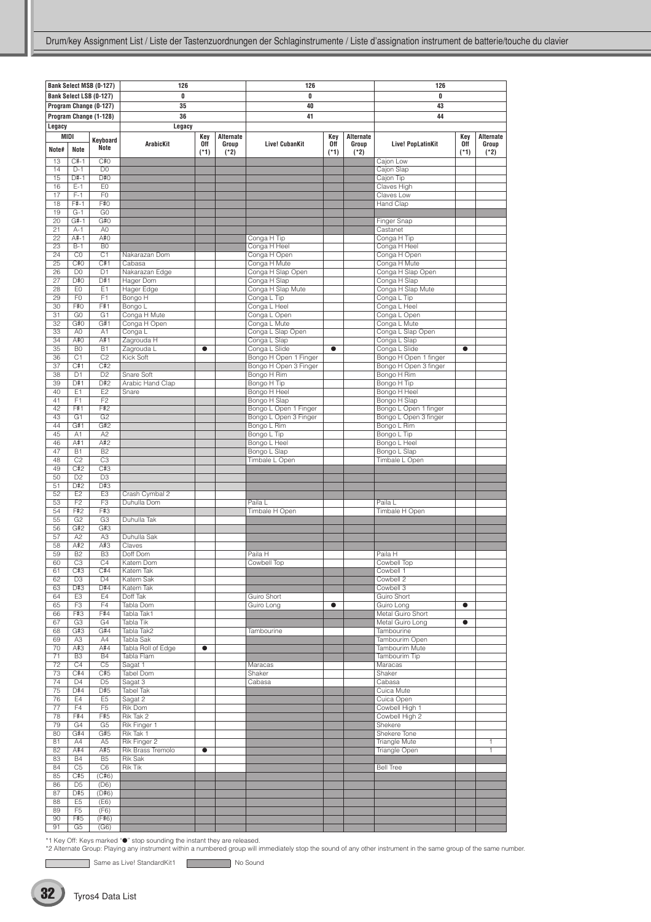|                       |                                  | Bank Select MSB (0-127) | 126                           |                      |                              | 126                          |                      |                              |                              |                      |                              |
|-----------------------|----------------------------------|-------------------------|-------------------------------|----------------------|------------------------------|------------------------------|----------------------|------------------------------|------------------------------|----------------------|------------------------------|
|                       |                                  | Bank Select LSB (0-127) | 0                             |                      |                              | 0                            |                      |                              | 126<br>0                     |                      |                              |
|                       |                                  | Program Change (0-127)  | 35                            |                      |                              | 40                           |                      |                              | 43                           |                      |                              |
|                       |                                  | Program Change (1-128)  | 36                            |                      |                              | 41                           |                      |                              | 44                           |                      |                              |
|                       |                                  |                         |                               |                      |                              |                              |                      |                              |                              |                      |                              |
| Legacy                |                                  |                         | Legacy                        |                      |                              |                              |                      |                              |                              |                      |                              |
| MIDI<br>Note#         | Note                             | Keyboard<br>Note        | <b>ArabicKit</b>              | Key<br>Off<br>$(*1)$ | Alternate<br>Group<br>$(*2)$ | <b>Live! CubanKit</b>        | Key<br>0ff<br>$(*1)$ | Alternate<br>Group<br>$(*2)$ | <b>Live! PopLatinKit</b>     | Key<br>0ff<br>$(*1)$ | Alternate<br>Group<br>$(*2)$ |
| 13                    | $C#-1$                           | C#O                     |                               |                      |                              |                              |                      |                              | Cajon Low                    |                      |                              |
| 14                    | $D-1$                            | D <sub>0</sub>          |                               |                      |                              |                              |                      |                              | Cajon Slap                   |                      |                              |
| 15                    | $D#-1$                           | D#O                     |                               |                      |                              |                              |                      |                              | Cajon Tip                    |                      |                              |
| 16                    | $E-1$                            | EO                      |                               |                      |                              |                              |                      |                              | Claves High                  |                      |                              |
| 17                    | $F-1$                            | F <sub>0</sub>          |                               |                      |                              |                              |                      |                              | Claves Low                   |                      |                              |
| 18                    | $F# - 1$                         | F#0                     |                               |                      |                              |                              |                      |                              | Hand Clap                    |                      |                              |
| 19                    | $G-1$                            | G0                      |                               |                      |                              |                              |                      |                              |                              |                      |                              |
| $\overline{20}$       | $G#-1$                           | G#0                     |                               |                      |                              |                              |                      |                              | Finger Snap                  |                      |                              |
| 21                    | $A-1$                            | A <sub>0</sub>          |                               |                      |                              |                              |                      |                              | Castanet                     |                      |                              |
| 22                    | $A#-1$                           | A#O                     |                               |                      |                              | Conga H Tip                  |                      |                              | Conga H Tip                  |                      |                              |
| 23                    | $B-1$<br>CO                      | B <sub>0</sub><br>C1    |                               |                      |                              | Conga H Heel                 |                      |                              | Conga H Heel                 |                      |                              |
| 24<br>$\overline{25}$ | C#0                              | C#1                     | Nakarazan Dom<br>Cabasa       |                      |                              | Conga H Open<br>Conga H Mute |                      |                              | Conga H Open<br>Conga H Mute |                      |                              |
| 26                    | D <sub>0</sub>                   | D1                      | Nakarazan Edge                |                      |                              | Conga H Slap Open            |                      |                              | Conga H Slap Open            |                      |                              |
| 27                    | D#0                              | D#1                     | Hager Dom                     |                      |                              | Conga H Slap                 |                      |                              | Conga H Slap                 |                      |                              |
| 28                    | E <sub>0</sub>                   | E1                      | Hager Edge                    |                      |                              | Conga H Slap Mute            |                      |                              | Conga H Slap Mute            |                      |                              |
| 29                    | F <sub>0</sub>                   | F <sub>1</sub>          | Bongo H                       |                      |                              | Conga L Tip                  |                      |                              | Conga L Tip                  |                      |                              |
| 30                    | F#0                              | F#1                     | Bongo L                       |                      |                              | Conga L Heel                 |                      |                              | Conga L Heel                 |                      |                              |
| 31                    | G <sub>0</sub>                   | G1                      | Conga H Mute                  |                      |                              | Conga L Open                 |                      |                              | Conga L Open                 |                      |                              |
| 32                    | G#O                              | G#1                     | Conga H Open                  |                      |                              | Conga L Mute                 |                      |                              | Conga L Mute                 |                      |                              |
| 33                    | A <sub>0</sub>                   | A <sub>1</sub>          | Conga L                       |                      |                              | Conga L Slap Open            |                      |                              | Conga L Slap Open            |                      |                              |
| 34                    | A#O                              | A#1                     | Zagrouda H                    |                      |                              | Conga L Slap                 |                      |                              | Conga L Slap                 |                      |                              |
| $\overline{35}$       | B <sub>0</sub>                   | B1                      | Zagrouda L                    | $\bullet$            |                              | Conga L Slide                | $\bullet$            |                              | Conga L Slide                | $\bullet$            |                              |
| 36                    | C <sub>1</sub>                   | C <sub>2</sub>          | <b>Kick Soft</b>              |                      |                              | Bongo H Open 1 Finger        |                      |                              | Bongo H Open 1 finger        |                      |                              |
| 37<br>38              | C#1<br>D <sub>1</sub>            | C#2<br>D <sub>2</sub>   | Snare Soft                    |                      |                              | Bongo H Open 3 Finger        |                      |                              | Bongo H Open 3 finger        |                      |                              |
| 39                    | D#1                              | D#2                     | Arabic Hand Clap              |                      |                              | Bongo H Rim<br>Bongo H Tip   |                      |                              | Bongo H Rim<br>Bongo H Tip   |                      |                              |
| 40                    | E1                               | E <sub>2</sub>          | Snare                         |                      |                              | Bongo H Heel                 |                      |                              | Bongo H Heel                 |                      |                              |
| 41                    | F1                               | F2                      |                               |                      |                              | Bongo H Slap                 |                      |                              | Bongo H Slap                 |                      |                              |
| 42                    | F#1                              | F#2                     |                               |                      |                              | Bongo L Open 1 Finger        |                      |                              | Bongo L Open 1 finger        |                      |                              |
| 43                    | G1                               | G2                      |                               |                      |                              | Bongo L Open 3 Finger        |                      |                              | Bongo L Open 3 finger        |                      |                              |
| 44                    | G#1                              | G#2                     |                               |                      |                              | Bongo L Rim                  |                      |                              | Bongo L Rim                  |                      |                              |
| 45                    | A1                               | A2                      |                               |                      |                              | Bongo L Tip                  |                      |                              | Bongo L Tip                  |                      |                              |
| 46                    | A#1                              | A#2                     |                               |                      |                              | Bongo L Heel                 |                      |                              | Bongo L Heel                 |                      |                              |
| 47                    | <b>B1</b>                        | B2                      |                               |                      |                              | Bongo L Slap                 |                      |                              | Bongo L Slap                 |                      |                              |
| 48                    | C <sub>2</sub>                   | C <sub>3</sub>          |                               |                      |                              | Timbale L Open               |                      |                              | Timbale L Open               |                      |                              |
| 49                    | C#2                              | C#3                     |                               |                      |                              |                              |                      |                              |                              |                      |                              |
| 50                    | D <sub>2</sub>                   | D3                      |                               |                      |                              |                              |                      |                              |                              |                      |                              |
| 51<br>52              | D#2<br>E2                        | D#3<br>E3               |                               |                      |                              |                              |                      |                              |                              |                      |                              |
| 53                    | F <sub>2</sub>                   | F3                      | Crash Cymbal 2<br>Duhulla Dom |                      |                              | Paila L                      |                      |                              | Paila L                      |                      |                              |
| 54                    | F#2                              | F#3                     |                               |                      |                              | Timbale H Open               |                      |                              | Timbale H Open               |                      |                              |
| 55                    | G2                               | G3                      | Duhulla Tak                   |                      |                              |                              |                      |                              |                              |                      |                              |
| 56                    | G#2                              | G#3                     |                               |                      |                              |                              |                      |                              |                              |                      |                              |
| 57                    | A2                               | $\overline{A3}$         | Duhulla Sak                   |                      |                              |                              |                      |                              |                              |                      |                              |
| 58                    | A#2                              | A#3                     | Claves                        |                      |                              |                              |                      |                              |                              |                      |                              |
| 59                    | B2                               | B <sub>3</sub>          | Doff Dom                      |                      |                              | Paila H                      |                      |                              | Paila H                      |                      |                              |
| 60                    | C3                               | C4                      | Katem Dom                     |                      |                              | Cowbell Top                  |                      |                              | Cowbell Top                  |                      |                              |
| 61                    | C#3                              | C#4                     | Katem Tak                     |                      |                              |                              |                      |                              | Cowbell 1                    |                      |                              |
| 62                    | D <sub>3</sub>                   | D <sub>4</sub>          | Katem Sak                     |                      |                              |                              |                      |                              | Cowbell 2                    |                      |                              |
| 63<br>64              | D#3<br>E <sub>3</sub>            | D#4<br>E4               | Katem Tak<br>Doff Tak         |                      |                              | Guiro Short                  |                      |                              | Cowbell 3<br>Guiro Short     |                      |                              |
| 65                    | F <sub>3</sub>                   | F4                      | Tabla Dom                     |                      |                              | Guiro Long                   | $\bullet$            |                              | Guiro Long                   | $\bullet$            |                              |
| 66                    | F#3                              | F#4                     | Tabla Tak1                    |                      |                              |                              |                      |                              | Metal Guiro Short            |                      |                              |
| 67                    | G <sub>3</sub>                   | G4                      | Tabla Tik                     |                      |                              |                              |                      |                              | Metal Guiro Long             | $\bullet$            |                              |
| 68                    | G#3                              | G#4                     | Tabla Tak2                    |                      |                              | Tambourine                   |                      |                              | Tambourine                   |                      |                              |
| 69                    | A <sub>3</sub>                   | A4                      | Tabla Sak                     |                      |                              |                              |                      |                              | Tambourim Open               |                      |                              |
| 70                    | A#3                              | A#4                     | Tabla Roll of Edge            | $\bullet$            |                              |                              |                      |                              | Tambourim Mute               |                      |                              |
| $\overline{71}$       | B <sub>3</sub>                   | <b>B4</b>               | Tabla Flam                    |                      |                              |                              |                      |                              | Tambourim Tip                |                      |                              |
| $\overline{72}$       | C4                               | C <sub>5</sub>          | Sagat 1                       |                      |                              | Maracas                      |                      |                              | Maracas                      |                      |                              |
| 73                    | C#4                              | C#5                     | Tabel Dom                     |                      |                              | Shaker                       |                      |                              | Shaker                       |                      |                              |
| 74<br>75              | D4<br>D#4                        | D <sub>5</sub><br>D#5   | Sagat 3<br><b>Tabel Tak</b>   |                      |                              | Cabasa                       |                      |                              | Cabasa<br>Cuica Mute         |                      |                              |
| 76                    | E <sub>4</sub>                   | E <sub>5</sub>          | Sagat 2                       |                      |                              |                              |                      |                              | Cuica Open                   |                      |                              |
| 77                    | F <sub>4</sub>                   | F <sub>5</sub>          | Rik Dom                       |                      |                              |                              |                      |                              | Cowbell High 1               |                      |                              |
| 78                    | F#4                              | F#5                     | Rik Tak 2                     |                      |                              |                              |                      |                              | Cowbell High 2               |                      |                              |
| 79                    | G4                               | G <sub>5</sub>          | Rik Finger 1                  |                      |                              |                              |                      |                              | Shekere                      |                      |                              |
| 80                    | G#4                              | G#5                     | Rik Tak 1                     |                      |                              |                              |                      |                              | Shekere Tone                 |                      |                              |
| 81                    | A4                               | A <sub>5</sub>          | Rik Finger 2                  |                      |                              |                              |                      |                              | <b>Triangle Mute</b>         |                      | 1                            |
| 82                    | A#4                              | A#5                     | <b>Rik Brass Tremolo</b>      | $\bullet$            |                              |                              |                      |                              | Triangle Open                |                      | $\mathbf{1}$                 |
| 83                    | <b>B4</b>                        | B <sub>5</sub>          | <b>Rik Sak</b>                |                      |                              |                              |                      |                              |                              |                      |                              |
| 84                    | C <sub>5</sub>                   | C6                      | <b>Rik Tik</b>                |                      |                              |                              |                      |                              | <b>Bell Tree</b>             |                      |                              |
| 85                    | C#5                              | (C#6)                   |                               |                      |                              |                              |                      |                              |                              |                      |                              |
| 86                    | D <sub>5</sub>                   | (D6)                    |                               |                      |                              |                              |                      |                              |                              |                      |                              |
| 87                    | D#5                              | (D#6)                   |                               |                      |                              |                              |                      |                              |                              |                      |                              |
| 88<br>89              | E <sub>5</sub><br>F <sub>5</sub> | (E6)<br>(F6)            |                               |                      |                              |                              |                      |                              |                              |                      |                              |
| 90                    | F#5                              | (F#6)                   |                               |                      |                              |                              |                      |                              |                              |                      |                              |
| 91                    | G <sub>5</sub>                   | (G6)                    |                               |                      |                              |                              |                      |                              |                              |                      |                              |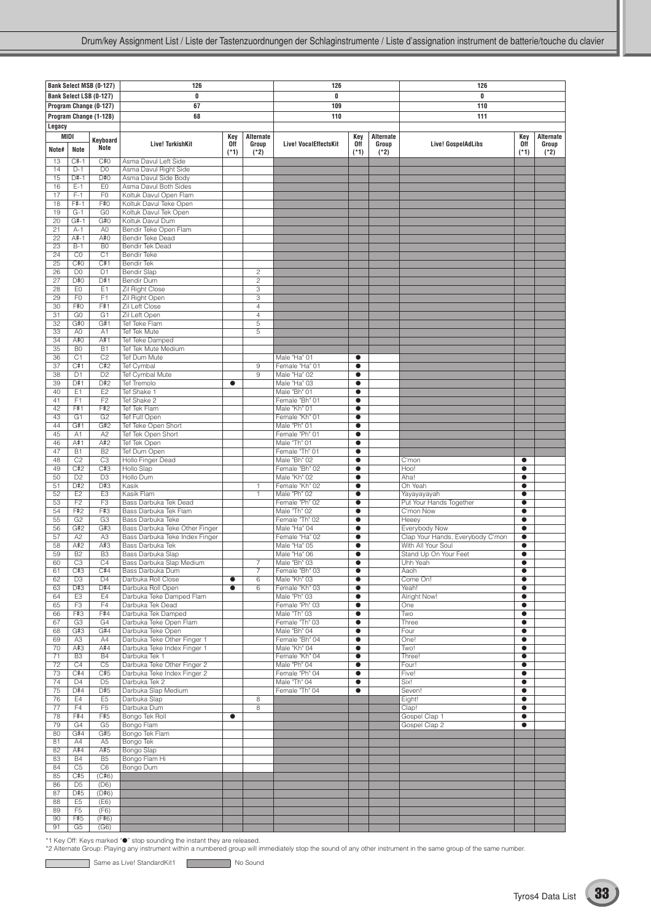|                       |                                  | Bank Select MSB (0-127)          | 126                                                              |               |                                  | 126                            |                        |                 | 126                                               |                        |                 |
|-----------------------|----------------------------------|----------------------------------|------------------------------------------------------------------|---------------|----------------------------------|--------------------------------|------------------------|-----------------|---------------------------------------------------|------------------------|-----------------|
|                       |                                  | Bank Select LSB (0-127)          | 0                                                                |               |                                  | 0                              |                        |                 | 0                                                 |                        |                 |
|                       |                                  | Program Change (0-127)           | 67                                                               |               |                                  | 109                            |                        |                 | 110                                               |                        |                 |
|                       |                                  | Program Change (1-128)           | 68                                                               |               |                                  | 110                            |                        |                 | 111                                               |                        |                 |
| Legacy<br><b>MIDI</b> |                                  |                                  |                                                                  | Key           | Alternate                        |                                | Key                    | Alternate       |                                                   | Key                    | Alternate       |
| Note#                 | <b>Note</b>                      | Kevboard<br>Note                 | <b>Live! TurkishKit</b>                                          | 0ff<br>$(*1)$ | Group<br>$(*2)$                  | <b>Live! VocalEffectsKit</b>   | 0ff<br>$(*1)$          | Group<br>$(*2)$ | Live! GospelAdLibs                                | 0ff<br>$(*1)$          | Group<br>$(*2)$ |
| 13                    | $C#-1$                           | C#O                              | Asma Davul Left Side                                             |               |                                  |                                |                        |                 |                                                   |                        |                 |
| 14<br>15              | $D-1$<br>$D#-1$                  | D <sub>0</sub><br>D#O            | Asma Davul Right Side<br>Asma Davul Side Body                    |               |                                  |                                |                        |                 |                                                   |                        |                 |
| 16                    | $E-1$                            | EO                               | Asma Davul Both Sides                                            |               |                                  |                                |                        |                 |                                                   |                        |                 |
| 17                    | $F-1$                            | F <sub>0</sub>                   | Koltuk Davul Open Flam                                           |               |                                  |                                |                        |                 |                                                   |                        |                 |
| 18<br>19              | $F# - 1$<br>$G-1$                | F#0<br>G <sub>0</sub>            | Koltuk Davul Teke Open<br>Koltuk Davul Tek Open                  |               |                                  |                                |                        |                 |                                                   |                        |                 |
| 20                    | $G#-1$                           | G#O                              | Koltuk Davul Dum                                                 |               |                                  |                                |                        |                 |                                                   |                        |                 |
| 21                    | $A-1$                            | A <sub>0</sub>                   | Bendir Teke Open Flam                                            |               |                                  |                                |                        |                 |                                                   |                        |                 |
| 22<br>23              | A#-1<br>$B-1$                    | A#0<br>B <sub>0</sub>            | <b>Bendir Teke Dead</b><br>Bendir Tek Dead                       |               |                                  |                                |                        |                 |                                                   |                        |                 |
| 24                    | CO                               | C1                               | <b>Bendir Teke</b>                                               |               |                                  |                                |                        |                 |                                                   |                        |                 |
| 25                    | C#O                              | C#1                              | <b>Bendir Tek</b>                                                |               |                                  |                                |                        |                 |                                                   |                        |                 |
| 26<br>27              | D <sub>0</sub><br>D#O            | D <sub>1</sub><br>D#1            | <b>Bendir Slap</b><br>Bendir Dum                                 |               | $\overline{c}$<br>$\overline{c}$ |                                |                        |                 |                                                   |                        |                 |
| 28                    | EO                               | E1                               | Zil Right Close                                                  |               | 3                                |                                |                        |                 |                                                   |                        |                 |
| 29                    | F <sub>0</sub>                   | F1                               | Zil Right Open                                                   |               | 3                                |                                |                        |                 |                                                   |                        |                 |
| 30<br>31              | F#O<br>G <sub>0</sub>            | F#1<br>G1                        | Zil Left Close<br>Zil Left Open                                  |               | $\overline{4}$<br>$\overline{4}$ |                                |                        |                 |                                                   |                        |                 |
| 32                    | G#O                              | G#1                              | Tef Teke Flam                                                    |               | 5                                |                                |                        |                 |                                                   |                        |                 |
| 33                    | A <sub>0</sub>                   | A <sub>1</sub>                   | Tef Tek Mute                                                     |               | 5                                |                                |                        |                 |                                                   |                        |                 |
| 34                    | A#0                              | A#1                              | Tef Teke Damped                                                  |               |                                  |                                |                        |                 |                                                   |                        |                 |
| 35<br>36              | B <sub>0</sub><br>C1             | B1<br>C <sub>2</sub>             | Tef Tek Mute Medium<br>Tef Dum Mute                              |               |                                  | Male "Ha" 01                   | $\bullet$              |                 |                                                   |                        |                 |
| 37                    | C#1                              | C#2                              | Tef Cymbal                                                       |               | 9                                | Female "Ha" 01                 | $\bullet$              |                 |                                                   |                        |                 |
| 38                    | D <sub>1</sub>                   | D <sub>2</sub>                   | Tef Cymbal Mute                                                  |               | 9                                | Male "Ha" 02                   | $\bullet$              |                 |                                                   |                        |                 |
| 39<br>40              | D#1<br>E1                        | D#2<br>E2                        | <b>Tef Tremolo</b><br>Tef Shake 1                                | $\bullet$     |                                  | Male "Ha" 03<br>Male "Bh" 01   | $\bullet$<br>$\bullet$ |                 |                                                   |                        |                 |
| 41                    | F1                               | F2                               | Tef Shake 2                                                      |               |                                  | Female "Bh" 01                 | $\bullet$              |                 |                                                   |                        |                 |
| 42                    | F#1                              | F#2                              | Tef Tek Flam                                                     |               |                                  | Male "Kh" 01                   | $\bullet$              |                 |                                                   |                        |                 |
| 43<br>44              | G <sub>1</sub><br>G#1            | G <sub>2</sub><br>G#2            | Tef Full Open<br>Tef Teke Open Short                             |               |                                  | Female "Kh" 01<br>Male "Ph" 01 | $\bullet$<br>$\bullet$ |                 |                                                   |                        |                 |
| 45                    | A1                               | A2                               | Tef Tek Open Short                                               |               |                                  | Female "Ph" 01                 | $\bullet$              |                 |                                                   |                        |                 |
| 46                    | A#1                              | A#2                              | Tef Tek Open                                                     |               |                                  | Male "Th" 01                   | $\bullet$              |                 |                                                   |                        |                 |
| 47                    | <b>B1</b>                        | B <sub>2</sub>                   | Tef Dum Open                                                     |               |                                  | Female "Th" 01                 | $\bullet$              |                 |                                                   |                        |                 |
| 48<br>49              | C <sub>2</sub><br>C#2            | C <sub>3</sub><br>C#3            | Hollo Finger Dead<br>Hollo Slap                                  |               |                                  | Male "Bh" 02<br>Female "Bh" 02 | $\bullet$<br>$\bullet$ |                 | C'mon<br>Hoo!                                     | $\bullet$<br>$\bullet$ |                 |
| 50                    | D2                               | D3                               | Hollo Dum                                                        |               |                                  | Male "Kh" 02                   | $\bullet$              |                 | Aha!                                              | $\bullet$              |                 |
| 51                    | D#2                              | D#3                              | Kasik                                                            |               | 1                                | Female "Kh" 02                 | $\bullet$              |                 | Oh Yeah                                           | $\bullet$              |                 |
| 52<br>53              | E <sub>2</sub><br>F <sub>2</sub> | E <sub>3</sub><br>F <sub>3</sub> | Kasik Flam<br>Bass Darbuka Tek Dead                              |               | 1                                | Male "Ph" 02<br>Female "Ph" 02 | $\bullet$<br>$\bullet$ |                 | Yayayayayah<br>Put Your Hands Together            | $\bullet$<br>$\bullet$ |                 |
| 54                    | F#2                              | F#3                              | Bass Darbuka Tek Flam                                            |               |                                  | Male "Th" 02                   | $\bullet$              |                 | C'mon Now                                         | $\bullet$              |                 |
| 55                    | G2                               | G3                               | Bass Darbuka Teke                                                |               |                                  | Female "Th" 02                 | $\bullet$              |                 | Heeey                                             | $\bullet$              |                 |
| 56<br>57              | G#2<br>A <sub>2</sub>            | G#3<br>A <sub>3</sub>            | Bass Darbuka Teke Other Finger<br>Bass Darbuka Teke Index Finger |               |                                  | Male "Ha" 04<br>Female "Ha" 02 | $\bullet$<br>$\bullet$ |                 | Everybody Now<br>Clap Your Hands, Everybody C'mon | $\bullet$<br>$\bullet$ |                 |
| 58                    | A#2                              | A#3                              | Bass Darbuka Tek                                                 |               |                                  | Male "Ha" 05                   | $\bullet$              |                 | With All Your Soul                                | $\bullet$              |                 |
| 59                    | <b>B2</b>                        | B <sub>3</sub>                   | Bass Darbuka Slap                                                |               |                                  | Male "Ha" 06                   | $\bullet$              |                 | Stand Up On Your Feet                             | $\bullet$              |                 |
| 60<br>61              | C3<br>C#3                        | C4<br>C#4                        | Bass Darbuka Slap Medium<br>Bass Darbuka Dum                     |               | $\overline{7}$<br>7              | Male "Bh" 03<br>Female "Bh" 03 | $\bullet$<br>$\bullet$ |                 | Uhh Yeah<br>Aaoh                                  | $\bullet$<br>$\bullet$ |                 |
| 62                    | D <sub>3</sub>                   | D <sub>4</sub>                   | Darbuka Roll Close                                               | $\bullet$     | 6                                | Male "Kh" 03                   | $\bullet$              |                 | Come On!                                          | $\bullet$              |                 |
| 63                    | D#3                              | D#4                              | Darbuka Roll Open                                                | $\bullet$     | 6                                | Female "Kh" 03                 | $\bullet$              |                 | Yeah!                                             | $\bullet$              |                 |
| 64                    | E <sub>3</sub>                   | E4<br>F4                         | Darbuka Teke Damped Flam<br>Darbuka Tek Dead                     |               |                                  | Male "Ph" 03                   | $\bullet$              |                 | Alright Now!                                      | $\bullet$              |                 |
| 65<br>66              | F <sub>3</sub><br>F#3            | F#4                              | Darbuka Tek Damped                                               |               |                                  | Female "Ph" 03<br>Male "Th" 03 | $\bullet$<br>$\bullet$ |                 | One<br>Two                                        | $\bullet$<br>$\bullet$ |                 |
| 67                    | G <sub>3</sub>                   | G4                               | Darbuka Teke Open Flam                                           |               |                                  | Female "Th" 03                 | $\bullet$              |                 | Three                                             | $\bullet$              |                 |
| 68                    | G#3                              | G#4                              | Darbuka Teke Open                                                |               |                                  | Male "Bh" 04                   | $\bullet$              |                 | Four                                              | $\bullet$              |                 |
| 69<br>70              | A3<br>A#3                        | A4<br>A#4                        | Darbuka Teke Other Finger 1<br>Darbuka Teke Index Finger 1       |               |                                  | Female "Bh" 04<br>Male "Kh" 04 | $\bullet$<br>$\bullet$ |                 | One!<br>Two!                                      | $\bullet$<br>$\bullet$ |                 |
| 71                    | B <sub>3</sub>                   | B4                               | Darbuka Tek 1                                                    |               |                                  | Female "Kh" 04                 | $\bullet$              |                 | Three!                                            | $\bullet$              |                 |
| 72                    | C4                               | C5                               | Darbuka Teke Other Finger 2                                      |               |                                  | Male "Ph" 04                   | $\bullet$              |                 | Four!                                             | $\bullet$              |                 |
| 73<br>74              | C#4<br>D <sub>4</sub>            | C#5<br>D <sub>5</sub>            | Darbuka Teke Index Finger 2                                      |               |                                  | Female "Ph" 04<br>Male "Th" 04 | $\bullet$<br>$\bullet$ |                 | Five!<br>Six!                                     | $\bullet$<br>$\bullet$ |                 |
| 75                    | D#4                              | D#5                              | Darbuka Tek 2<br>Darbuka Slap Medium                             |               |                                  | Female "Th" 04                 | $\bullet$              |                 | Seven!                                            | $\bullet$              |                 |
| 76                    | E <sub>4</sub>                   | E <sub>5</sub>                   | Darbuka Slap                                                     |               | 8                                |                                |                        |                 | Eight!                                            | $\bullet$              |                 |
| 77                    | F4                               | F <sub>5</sub>                   | Darbuka Dum                                                      |               | $\bf 8$                          |                                |                        |                 | Clap!                                             | $\bullet$              |                 |
| 78<br>79              | F#4<br>G4                        | F#5<br>G <sub>5</sub>            | Bongo Tek Roll<br>Bongo Flam                                     | $\bullet$     |                                  |                                |                        |                 | Gospel Clap 1<br>Gospel Clap 2                    | $\bullet$<br>$\bullet$ |                 |
| 80                    | G#4                              | G#5                              | Bongo Tek Flam                                                   |               |                                  |                                |                        |                 |                                                   |                        |                 |
| 81                    | A4                               | A5                               | Bongo Tek                                                        |               |                                  |                                |                        |                 |                                                   |                        |                 |
| 82<br>83              | A#4<br><b>B4</b>                 | A#5<br><b>B5</b>                 | Bongo Slap<br>Bongo Flam Hi                                      |               |                                  |                                |                        |                 |                                                   |                        |                 |
| 84                    | C <sub>5</sub>                   | C <sub>6</sub>                   | Bongo Dum                                                        |               |                                  |                                |                        |                 |                                                   |                        |                 |
| 85                    | C#5                              | (C#6)                            |                                                                  |               |                                  |                                |                        |                 |                                                   |                        |                 |
| 86<br>87              | D <sub>5</sub><br>D#5            | (D6)<br>(D#6)                    |                                                                  |               |                                  |                                |                        |                 |                                                   |                        |                 |
| 88                    | E <sub>5</sub>                   | (E6)                             |                                                                  |               |                                  |                                |                        |                 |                                                   |                        |                 |
| 89                    | F <sub>5</sub>                   | (F6)                             |                                                                  |               |                                  |                                |                        |                 |                                                   |                        |                 |
| 90                    | F#5                              | (F#6)                            |                                                                  |               |                                  |                                |                        |                 |                                                   |                        |                 |
| 91                    | G5                               | (G6)                             |                                                                  |               |                                  |                                |                        |                 |                                                   |                        |                 |

Same as Live! StandardKit1 No Sound

C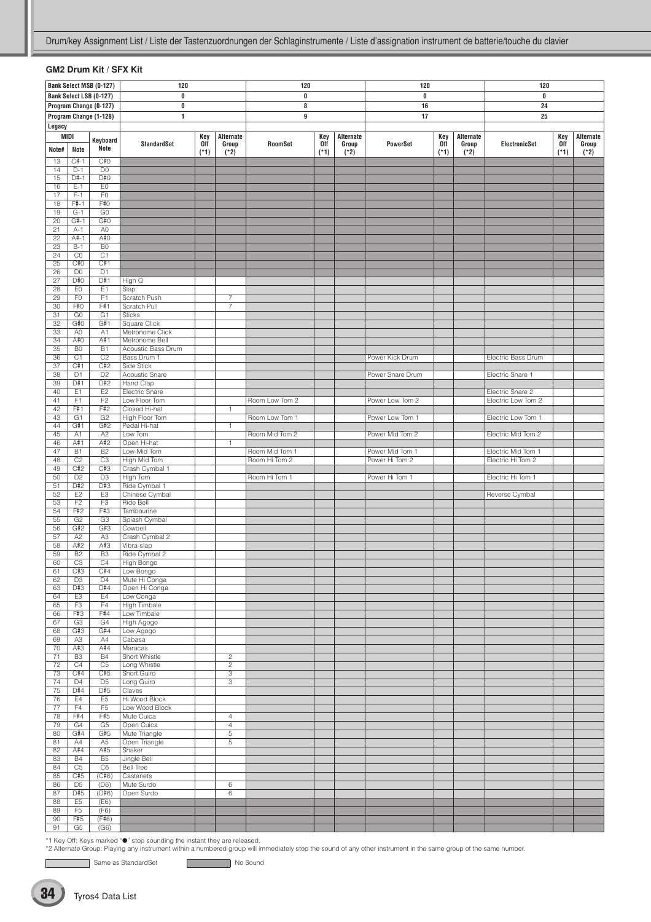### **GM2 Drum Kit / SFX Kit**

|                 |                       | Bank Select MSB (0-127)          | 120                                |                      |                  | 120            |               |                 | 120              |               |                 | 120                |                      |                 |
|-----------------|-----------------------|----------------------------------|------------------------------------|----------------------|------------------|----------------|---------------|-----------------|------------------|---------------|-----------------|--------------------|----------------------|-----------------|
|                 |                       | Bank Select LSB (0-127)          | 0                                  |                      |                  | $\pmb{0}$      |               |                 | 0                |               |                 | 0                  |                      |                 |
|                 |                       | Program Change (0-127)           | 0                                  |                      |                  | 8              |               |                 | 16               |               |                 | 24                 |                      |                 |
|                 |                       | Program Change (1-128)           | 1                                  |                      |                  | 9              |               |                 | 17               |               |                 | 25                 |                      |                 |
| Legacy          |                       |                                  |                                    |                      |                  |                |               |                 |                  |               |                 |                    |                      |                 |
| MIDI            |                       | Keyboard                         |                                    | Key                  | Alternate        |                | Key           | Alternate       |                  | Key           | Alternate       |                    | Key                  | Alternate       |
| Note#           | Note                  | Note                             | <b>StandardSet</b>                 | <b>Off</b><br>$(*1)$ | Group<br>$(*2)$  | RoomSet        | 0ff<br>$(*1)$ | Group<br>$(*2)$ | <b>PowerSet</b>  | 0ff<br>$(*1)$ | Group<br>$(*2)$ | ElectronicSet      | <b>Off</b><br>$(*1)$ | Group<br>$(*2)$ |
| 13              | $C#-1$                | C#O                              |                                    |                      |                  |                |               |                 |                  |               |                 |                    |                      |                 |
| 14              | $D-1$                 | D <sub>0</sub>                   |                                    |                      |                  |                |               |                 |                  |               |                 |                    |                      |                 |
| 15              | D#-1                  | D#0                              |                                    |                      |                  |                |               |                 |                  |               |                 |                    |                      |                 |
| 16              | $E-1$                 | EO                               |                                    |                      |                  |                |               |                 |                  |               |                 |                    |                      |                 |
| 17<br>18        | $F-1$<br>$F# - 1$     | F <sub>0</sub><br>F#0            |                                    |                      |                  |                |               |                 |                  |               |                 |                    |                      |                 |
| 19              | $G-1$                 | G <sub>0</sub>                   |                                    |                      |                  |                |               |                 |                  |               |                 |                    |                      |                 |
| $\overline{20}$ | $G#-1$                | G#0                              |                                    |                      |                  |                |               |                 |                  |               |                 |                    |                      |                 |
| 21              | $A-1$                 | A <sub>0</sub>                   |                                    |                      |                  |                |               |                 |                  |               |                 |                    |                      |                 |
| 22<br>23        | $A#-1$<br>$B-1$       | A#0<br>B <sub>0</sub>            |                                    |                      |                  |                |               |                 |                  |               |                 |                    |                      |                 |
| 24              | CO                    | C1                               |                                    |                      |                  |                |               |                 |                  |               |                 |                    |                      |                 |
| 25              | C#0                   | C#1                              |                                    |                      |                  |                |               |                 |                  |               |                 |                    |                      |                 |
| 26              | D <sub>0</sub>        | D <sub>1</sub>                   |                                    |                      |                  |                |               |                 |                  |               |                 |                    |                      |                 |
| 27              | D#0<br>EO             | D#1                              | High Q                             |                      |                  |                |               |                 |                  |               |                 |                    |                      |                 |
| 28<br>29        | F <sub>0</sub>        | E <sub>1</sub><br>F1             | Slap<br>Scratch Push               |                      | 7                |                |               |                 |                  |               |                 |                    |                      |                 |
| 30              | F#0                   | F#1                              | Scratch Pull                       |                      | $\boldsymbol{7}$ |                |               |                 |                  |               |                 |                    |                      |                 |
| 31              | G <sub>0</sub>        | G1                               | <b>Sticks</b>                      |                      |                  |                |               |                 |                  |               |                 |                    |                      |                 |
| 32              | G#O                   | G#1                              | <b>Square Click</b>                |                      |                  |                |               |                 |                  |               |                 |                    |                      |                 |
| 33<br>34        | A <sub>0</sub><br>A#0 | A1<br>A#1                        | Metronome Click<br>Metronome Bell  |                      |                  |                |               |                 |                  |               |                 |                    |                      |                 |
| 35              | B <sub>0</sub>        | B1                               | Acoustic Bass Drum                 |                      |                  |                |               |                 |                  |               |                 |                    |                      |                 |
| 36              | C1                    | C <sub>2</sub>                   | Bass Drum 1                        |                      |                  |                |               |                 | Power Kick Drum  |               |                 | Electric Bass Drum |                      |                 |
| 37              | C#1                   | C#2                              | Side Stick                         |                      |                  |                |               |                 |                  |               |                 |                    |                      |                 |
| 38              | D <sub>1</sub>        | D <sub>2</sub>                   | Acoustic Snare                     |                      |                  |                |               |                 | Power Snare Drum |               |                 | Electric Snare 1   |                      |                 |
| 39<br>40        | D#1<br>E <sub>1</sub> | D#2<br>E <sub>2</sub>            | <b>Hand Clap</b><br>Electric Snare |                      |                  |                |               |                 |                  |               |                 | Electric Snare 2   |                      |                 |
| 41              | F <sub>1</sub>        | F2                               | Low Floor Tom                      |                      |                  | Room Low Tom 2 |               |                 | Power Low Tom 2  |               |                 | Electric Low Tom 2 |                      |                 |
| 42              | F#1                   | F#2                              | Closed Hi-hat                      |                      | $\mathbf{1}$     |                |               |                 |                  |               |                 |                    |                      |                 |
| 43              | G1                    | G <sub>2</sub>                   | High Floor Tom                     |                      |                  | Room Low Tom 1 |               |                 | Power Low Tom 1  |               |                 | Electric Low Tom 1 |                      |                 |
| 44<br>45        | G#1<br>A1             | G#2<br>A <sub>2</sub>            | Pedal Hi-hat<br>Low Tom            |                      | $\mathbf{1}$     | Room Mid Tom 2 |               |                 | Power Mid Tom 2  |               |                 | Electric Mid Tom 2 |                      |                 |
| 46              | A#1                   | A#2                              | Open Hi-hat                        |                      | $\mathbf{1}$     |                |               |                 |                  |               |                 |                    |                      |                 |
| 47              | B1                    | B <sub>2</sub>                   | Low-Mid Tom                        |                      |                  | Room Mid Tom 1 |               |                 | Power Mid Tom 1  |               |                 | Electric Mid Tom 1 |                      |                 |
| 48              | C <sub>2</sub>        | C3                               | High Mid Tom                       |                      |                  | Room Hi Tom 2  |               |                 | Power Hi Tom 2   |               |                 | Electric Hi Tom 2  |                      |                 |
| 49              | C#2                   | C#3                              | Crash Cymbal 1                     |                      |                  |                |               |                 |                  |               |                 |                    |                      |                 |
| 50<br>51        | D <sub>2</sub><br>D#2 | D <sub>3</sub><br>D#3            | High Tom<br>Ride Cymbal 1          |                      |                  | Room Hi Tom 1  |               |                 | Power Hi Tom 1   |               |                 | Electric Hi Tom 1  |                      |                 |
| 52              | E2                    | E <sub>3</sub>                   | Chinese Cymbal                     |                      |                  |                |               |                 |                  |               |                 | Reverse Cymbal     |                      |                 |
| 53              | F <sub>2</sub>        | F <sub>3</sub>                   | Ride Bell                          |                      |                  |                |               |                 |                  |               |                 |                    |                      |                 |
| 54              | F#2                   | F#3                              | Tambourine<br>Splash Cymbal        |                      |                  |                |               |                 |                  |               |                 |                    |                      |                 |
| 55<br>56        | G <sub>2</sub><br>G#2 | G <sub>3</sub><br>G#3            | Cowbell                            |                      |                  |                |               |                 |                  |               |                 |                    |                      |                 |
| $\overline{57}$ | A <sub>2</sub>        | A3                               | Crash Cymbal 2                     |                      |                  |                |               |                 |                  |               |                 |                    |                      |                 |
| 58              | A#2                   | A#3                              | Vibra-slap                         |                      |                  |                |               |                 |                  |               |                 |                    |                      |                 |
| 59              | B <sub>2</sub>        | B <sub>3</sub>                   | Ride Cymbal 2                      |                      |                  |                |               |                 |                  |               |                 |                    |                      |                 |
| 60<br>61        | C3<br>C#3             | C4<br>C#4                        | High Bongo<br>Low Bongo            |                      |                  |                |               |                 |                  |               |                 |                    |                      |                 |
| 62              | D <sub>3</sub>        | D4                               | Mute Hi Conga                      |                      |                  |                |               |                 |                  |               |                 |                    |                      |                 |
| 63              | D#3                   | D#4                              | Open Hi Conga                      |                      |                  |                |               |                 |                  |               |                 |                    |                      |                 |
| 64              | E <sub>3</sub>        | E4                               | Low Conga                          |                      |                  |                |               |                 |                  |               |                 |                    |                      |                 |
| 65<br>66        | F <sub>3</sub><br>F#3 | F4<br>F#4                        | <b>High Timbale</b><br>Low Timbale |                      |                  |                |               |                 |                  |               |                 |                    |                      |                 |
| 67              | G3                    | G4                               | High Agogo                         |                      |                  |                |               |                 |                  |               |                 |                    |                      |                 |
| 68              | G#3                   | G#4                              | Low Agogo                          |                      |                  |                |               |                 |                  |               |                 |                    |                      |                 |
| 69              | A <sub>3</sub>        | A4                               | Cabasa                             |                      |                  |                |               |                 |                  |               |                 |                    |                      |                 |
| 70<br>71        | A#3<br>B <sub>3</sub> | A#4<br><b>B4</b>                 | Maracas<br><b>Short Whistle</b>    |                      | $\overline{2}$   |                |               |                 |                  |               |                 |                    |                      |                 |
| 72              | C4                    | C <sub>5</sub>                   | Long Whistle                       |                      | $\overline{2}$   |                |               |                 |                  |               |                 |                    |                      |                 |
| 73              | C#4                   | C#5                              | Short Guiro                        |                      | $\overline{3}$   |                |               |                 |                  |               |                 |                    |                      |                 |
| 74              | D <sub>4</sub>        | D <sub>5</sub>                   | Long Guiro                         |                      | 3                |                |               |                 |                  |               |                 |                    |                      |                 |
| 75              | D#4                   | D#5                              | Claves                             |                      |                  |                |               |                 |                  |               |                 |                    |                      |                 |
| 76<br>77        | E4<br>F4              | E <sub>5</sub><br>F <sub>5</sub> | Hi Wood Block<br>Low Wood Block    |                      |                  |                |               |                 |                  |               |                 |                    |                      |                 |
| 78              | F#4                   | F#5                              | Mute Cuica                         |                      | 4                |                |               |                 |                  |               |                 |                    |                      |                 |
| 79              | G4                    | G <sub>5</sub>                   | Open Cuica                         |                      | $\overline{4}$   |                |               |                 |                  |               |                 |                    |                      |                 |
| 80              | G#4                   | G#5                              | Mute Triangle                      |                      | $\,$ 5 $\,$      |                |               |                 |                  |               |                 |                    |                      |                 |
| 81<br>82        | A4<br>A#4             | A <sub>5</sub><br>A#5            | Open Triangle<br>Shaker            |                      | $\,$ 5 $\,$      |                |               |                 |                  |               |                 |                    |                      |                 |
| 83              | <b>B4</b>             | <b>B5</b>                        | <b>Jingle Bell</b>                 |                      |                  |                |               |                 |                  |               |                 |                    |                      |                 |
| 84              | C <sub>5</sub>        | C6                               | <b>Bell Tree</b>                   |                      |                  |                |               |                 |                  |               |                 |                    |                      |                 |
| 85              | C#5                   | (C#6)                            | Castanets                          |                      |                  |                |               |                 |                  |               |                 |                    |                      |                 |
| 86<br>87        | D <sub>5</sub><br>D#5 | (D6)<br>(D#6)                    | Mute Surdo<br>Open Surdo           |                      | 6<br>6           |                |               |                 |                  |               |                 |                    |                      |                 |
| 88              | E <sub>5</sub>        | (E6)                             |                                    |                      |                  |                |               |                 |                  |               |                 |                    |                      |                 |
| 89              | F <sub>5</sub>        | (F6)                             |                                    |                      |                  |                |               |                 |                  |               |                 |                    |                      |                 |
| 90              | F#5                   | (F#6)                            |                                    |                      |                  |                |               |                 |                  |               |                 |                    |                      |                 |
| 91              | G5                    | (G6)                             |                                    |                      |                  |                |               |                 |                  |               |                 |                    |                      |                 |

\*1 Key Off: Keys marked "●" stop sounding the instant they are released.<br>\*2 Alternate Group: Playing any instrument within a numbered group will immediately stop the sound of any other instrument in the same group of the s

Same as StandardSet No Sound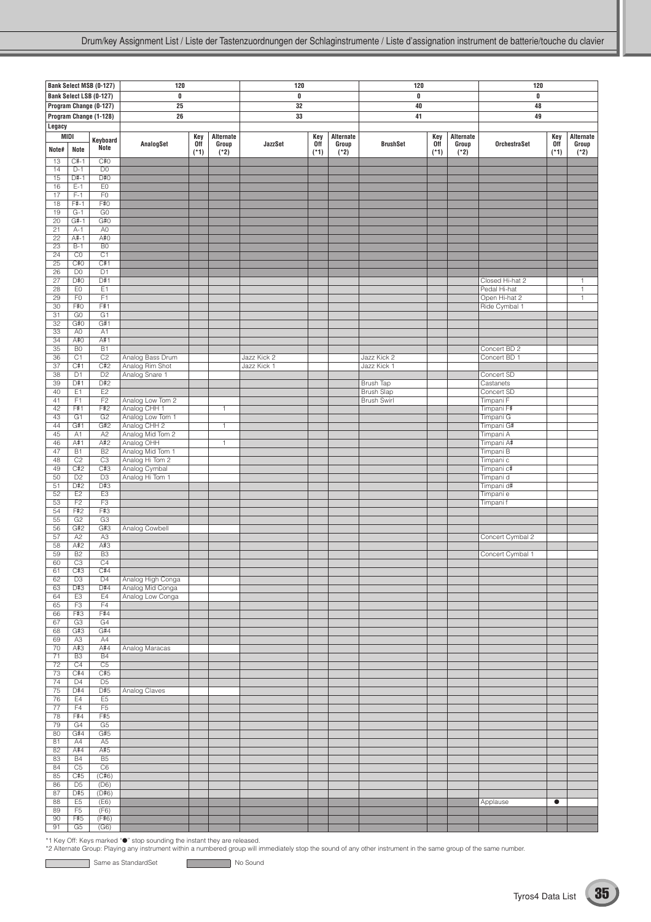|                       |                             | Bank Select MSB (0-127)           | 120                                   |            |                | 120         |        |           | 120                                   |        |           | 120                           |           |                              |
|-----------------------|-----------------------------|-----------------------------------|---------------------------------------|------------|----------------|-------------|--------|-----------|---------------------------------------|--------|-----------|-------------------------------|-----------|------------------------------|
|                       |                             | Bank Select LSB (0-127)           | 0                                     |            |                | 0           |        |           | 0                                     |        |           | 0                             |           |                              |
|                       |                             | Program Change (0-127)            | 25                                    |            |                | 32          |        |           | 40                                    |        |           | 48                            |           |                              |
|                       |                             | Program Change (1-128)            | 26                                    |            |                | 33          |        |           | 41                                    |        |           | 49                            |           |                              |
| Legacy<br>MIDI        |                             |                                   |                                       | Key        | Alternate      |             | Key    | Alternate |                                       | Key    | Alternate |                               | Key       | Alternate                    |
|                       |                             | Keyboard<br>Note                  | AnalogSet                             | <b>Off</b> | Group          | JazzSet     | 0ff    | Group     | <b>BrushSet</b>                       | 0ff    | Group     | <b>OrchestraSet</b>           | 0ff       | Group                        |
| Note#<br>13           | Note<br>$C#-1$              | C#0                               |                                       | $(*1)$     | $(*2)$         |             | $(*1)$ | $(*2)$    |                                       | $(*1)$ | $(*2)$    |                               | $(*1)$    | $(*2)$                       |
| 14                    | $D-1$                       | D <sub>0</sub>                    |                                       |            |                |             |        |           |                                       |        |           |                               |           |                              |
| 15                    | $D#-1$                      | D#0                               |                                       |            |                |             |        |           |                                       |        |           |                               |           |                              |
| 16<br>17              | $E-1$<br>$F-1$              | E0<br>F <sub>0</sub>              |                                       |            |                |             |        |           |                                       |        |           |                               |           |                              |
| 18                    | $F#-1$                      | F#0                               |                                       |            |                |             |        |           |                                       |        |           |                               |           |                              |
| 19                    | $G-1$                       | G <sub>0</sub>                    |                                       |            |                |             |        |           |                                       |        |           |                               |           |                              |
| $\overline{20}$<br>21 | $G#-1$<br>$A-1$             | G#O<br>A <sub>0</sub>             |                                       |            |                |             |        |           |                                       |        |           |                               |           |                              |
| 22                    | A#-1                        | A#0                               |                                       |            |                |             |        |           |                                       |        |           |                               |           |                              |
| 23                    | $B-1$                       | B <sub>0</sub>                    |                                       |            |                |             |        |           |                                       |        |           |                               |           |                              |
| $\overline{24}$<br>25 | CO<br>C#O                   | $\overline{C1}$<br>C#1            |                                       |            |                |             |        |           |                                       |        |           |                               |           |                              |
| 26                    | D <sub>0</sub>              | $\overline{D1}$                   |                                       |            |                |             |        |           |                                       |        |           |                               |           |                              |
| 27                    | D#0<br>EO                   | D#1<br>E1                         |                                       |            |                |             |        |           |                                       |        |           | Closed Hi-hat 2               |           | $\mathbf{1}$                 |
| 28<br>29              | F <sub>0</sub>              | F1                                |                                       |            |                |             |        |           |                                       |        |           | Pedal Hi-hat<br>Open Hi-hat 2 |           | $\mathbf{1}$<br>$\mathbf{1}$ |
| 30                    | F#O                         | F#1                               |                                       |            |                |             |        |           |                                       |        |           | Ride Cymbal 1                 |           |                              |
| 31<br>32              | G <sub>0</sub><br>G#O       | G1<br>G#1                         |                                       |            |                |             |        |           |                                       |        |           |                               |           |                              |
| 33                    | A <sub>0</sub>              | A <sub>1</sub>                    |                                       |            |                |             |        |           |                                       |        |           |                               |           |                              |
| 34                    | A#0                         | A#1                               |                                       |            |                |             |        |           |                                       |        |           |                               |           |                              |
| 35<br>36              | B <sub>0</sub><br>C1        | $\overline{B1}$<br>C <sub>2</sub> | Analog Bass Drum                      |            |                | Jazz Kick 2 |        |           | Jazz Kick 2                           |        |           | Concert BD 2<br>Concert BD 1  |           |                              |
| 37                    | C#1                         | C#2                               | Analog Rim Shot                       |            |                | Jazz Kick 1 |        |           | Jazz Kick 1                           |        |           |                               |           |                              |
| 38                    | D <sub>1</sub>              | D <sub>2</sub>                    | Analog Snare 1                        |            |                |             |        |           |                                       |        |           | Concert SD                    |           |                              |
| 39<br>40              | D#1<br>E1                   | D#2<br>E <sub>2</sub>             |                                       |            |                |             |        |           | <b>Brush Tap</b><br><b>Brush Slap</b> |        |           | Castanets<br>Concert SD       |           |                              |
| 41                    | F1                          | F2                                | Analog Low Tom 2                      |            |                |             |        |           | <b>Brush Swirl</b>                    |        |           | Timpani F                     |           |                              |
| 42                    | F#1                         | F#2                               | Analog CHH 1                          |            | $\mathbf{1}$   |             |        |           |                                       |        |           | Timpani F#                    |           |                              |
| 43<br>44              | G <sub>1</sub><br>G#1       | G2<br>G#2                         | Analog Low Tom 1<br>Analog CHH 2      |            | $\overline{1}$ |             |        |           |                                       |        |           | Timpani G<br>Timpani G#       |           |                              |
| 45                    | A1                          | A2                                | Analog Mid Tom 2                      |            |                |             |        |           |                                       |        |           | Timpani A                     |           |                              |
| 46                    | A#1                         | A#2                               | Analog OHH                            |            | $\mathbf{1}$   |             |        |           |                                       |        |           | Timpani A#                    |           |                              |
| 47<br>48              | <b>B1</b><br>C <sub>2</sub> | B2<br>C <sub>3</sub>              | Analog Mid Tom 1<br>Analog Hi Tom 2   |            |                |             |        |           |                                       |        |           | Timpani B<br>Timpani c        |           |                              |
| 49                    | C#2                         | C#3                               | Analog Cymbal                         |            |                |             |        |           |                                       |        |           | Timpani c#                    |           |                              |
| 50                    | $\overline{D2}$             | D3                                | Analog Hi Tom 1                       |            |                |             |        |           |                                       |        |           | Timpani d                     |           |                              |
| 51<br>52              | D#2<br>E <sub>2</sub>       | D#3<br>E <sub>3</sub>             |                                       |            |                |             |        |           |                                       |        |           | Timpani d#<br>Timpani e       |           |                              |
| 53                    | F <sub>2</sub>              | F <sub>3</sub>                    |                                       |            |                |             |        |           |                                       |        |           | Timpani f                     |           |                              |
| 54<br>55              | F#2<br>G2                   | F#3<br>$\overline{G3}$            |                                       |            |                |             |        |           |                                       |        |           |                               |           |                              |
| 56                    | G#2                         | G#3                               | Analog Cowbell                        |            |                |             |        |           |                                       |        |           |                               |           |                              |
| 57                    | A2                          | A3                                |                                       |            |                |             |        |           |                                       |        |           | Concert Cymbal 2              |           |                              |
| 58<br>59              | A#2<br>B <sub>2</sub>       | A#3<br>B <sub>3</sub>             |                                       |            |                |             |        |           |                                       |        |           | Concert Cymbal 1              |           |                              |
| 60                    | C3                          | C4                                |                                       |            |                |             |        |           |                                       |        |           |                               |           |                              |
| 61<br>62              | C#3<br>D <sub>3</sub>       | C#4<br>D <sub>4</sub>             |                                       |            |                |             |        |           |                                       |        |           |                               |           |                              |
| 63                    | D#3                         | D#4                               | Analog High Conga<br>Analog Mid Conga |            |                |             |        |           |                                       |        |           |                               |           |                              |
| 64                    | E <sub>3</sub>              | E4                                | Analog Low Conga                      |            |                |             |        |           |                                       |        |           |                               |           |                              |
| 65<br>66              | F3<br>F#3                   | F4<br>F#4                         |                                       |            |                |             |        |           |                                       |        |           |                               |           |                              |
| 67                    | G3                          | G4                                |                                       |            |                |             |        |           |                                       |        |           |                               |           |                              |
| 68                    | G#3                         | G#4                               |                                       |            |                |             |        |           |                                       |        |           |                               |           |                              |
| 69<br>70              | A <sub>3</sub><br>A#3       | A4<br>A#4                         | Analog Maracas                        |            |                |             |        |           |                                       |        |           |                               |           |                              |
| 71                    | B <sub>3</sub>              | <b>B4</b>                         |                                       |            |                |             |        |           |                                       |        |           |                               |           |                              |
| 72<br>73              | C4<br>C#4                   | C <sub>5</sub><br>C#5             |                                       |            |                |             |        |           |                                       |        |           |                               |           |                              |
| 74                    | D <sub>4</sub>              | D <sub>5</sub>                    |                                       |            |                |             |        |           |                                       |        |           |                               |           |                              |
| 75                    | D#4                         | D#5                               | Analog Claves                         |            |                |             |        |           |                                       |        |           |                               |           |                              |
| 76<br>77              | E4<br>F4                    | E <sub>5</sub><br>F5              |                                       |            |                |             |        |           |                                       |        |           |                               |           |                              |
| 78                    | F#4                         | F#5                               |                                       |            |                |             |        |           |                                       |        |           |                               |           |                              |
| 79                    | G4                          | G <sub>5</sub>                    |                                       |            |                |             |        |           |                                       |        |           |                               |           |                              |
| 80<br>81              | G#4<br>A4                   | G#5<br>A <sub>5</sub>             |                                       |            |                |             |        |           |                                       |        |           |                               |           |                              |
| 82                    | A#4                         | A#5                               |                                       |            |                |             |        |           |                                       |        |           |                               |           |                              |
| 83<br>84              | <b>B4</b><br>C <sub>5</sub> | B <sub>5</sub><br>C <sub>6</sub>  |                                       |            |                |             |        |           |                                       |        |           |                               |           |                              |
| 85                    | C#5                         | (C#6)                             |                                       |            |                |             |        |           |                                       |        |           |                               |           |                              |
| 86                    | D <sub>5</sub>              | (D6)                              |                                       |            |                |             |        |           |                                       |        |           |                               |           |                              |
| 87<br>88              | D#5<br>E <sub>5</sub>       | (D#6)<br>(E6)                     |                                       |            |                |             |        |           |                                       |        |           | Applause                      | $\bullet$ |                              |
| 89                    | F <sub>5</sub>              | (F6)                              |                                       |            |                |             |        |           |                                       |        |           |                               |           |                              |
| 90                    | F#5                         | (F#6)                             |                                       |            |                |             |        |           |                                       |        |           |                               |           |                              |
| 91                    | G5                          | (G6)                              |                                       |            |                |             |        |           |                                       |        |           |                               |           |                              |

C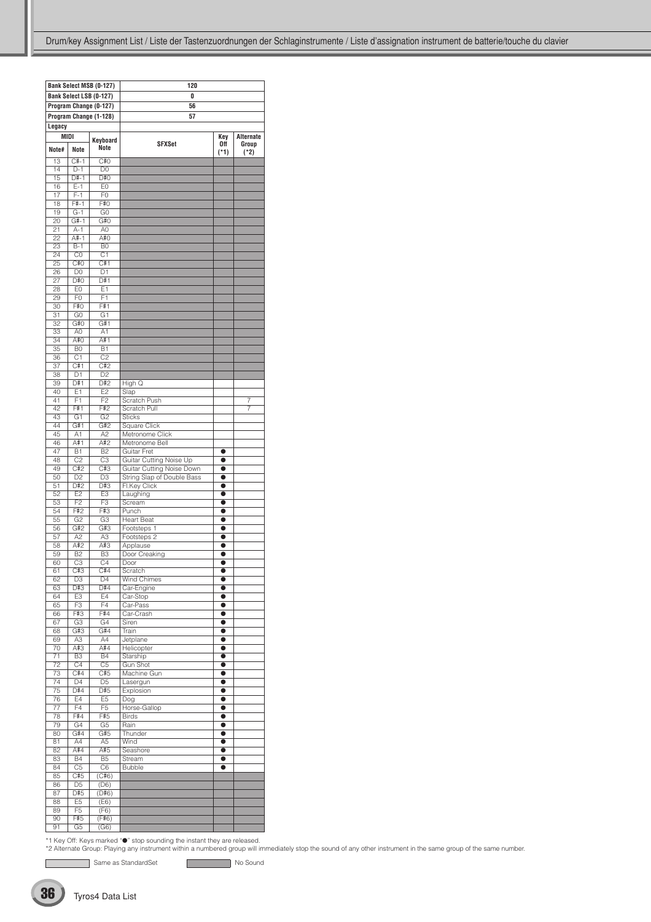|                       |                       | <b>Bank Select MSB (0-127)</b>   | 120                         |                        |           |
|-----------------------|-----------------------|----------------------------------|-----------------------------|------------------------|-----------|
|                       |                       | Bank Select LSB (0-127)          | 0                           |                        |           |
|                       |                       |                                  |                             |                        |           |
|                       |                       | Program Change (0-127)           | 56                          |                        |           |
|                       |                       | Program Change (1-128)           | 57                          |                        |           |
| Legacy                |                       |                                  |                             |                        |           |
|                       | MIDI                  | Keyboard                         |                             | Key                    | Alternate |
| Note#                 | <b>Note</b>           | Note                             | <b>SFXSet</b>               | Off                    | Group     |
|                       | $C#-1$                |                                  |                             | $(*1)$                 | $(*2)$    |
| 13<br>14              | $D-1$                 | C#0<br>D <sub>0</sub>            |                             |                        |           |
| 15                    | $D#-1$                | D#O                              |                             |                        |           |
| 16                    | $E-1$                 | E <sub>0</sub>                   |                             |                        |           |
| $\overline{17}$       | $F-1$                 | F <sub>0</sub>                   |                             |                        |           |
| 18                    | $F#-1$                | F#0                              |                             |                        |           |
| 19                    | $G-1$                 | G <sub>0</sub>                   |                             |                        |           |
| $\overline{20}$       | $G#-1$                | G#O                              |                             |                        |           |
| 21                    | $A-1$                 | A <sub>0</sub>                   |                             |                        |           |
| $\overline{22}$       | $A#-1$                | A#O                              |                             |                        |           |
| 23                    | $B-1$                 | B <sub>0</sub>                   |                             |                        |           |
| 24                    | C <sub>0</sub>        | C <sub>1</sub>                   |                             |                        |           |
| 25                    | C#O                   | C#1                              |                             |                        |           |
| 26<br>$\overline{27}$ | D <sub>0</sub><br>D#0 | D <sub>1</sub><br>D#1            |                             |                        |           |
| 28                    | E <sub>0</sub>        | E1                               |                             |                        |           |
| 29                    | F <sub>0</sub>        | F1                               |                             |                        |           |
| 30                    | F#O                   | F#1                              |                             |                        |           |
| 31                    | G <sub>0</sub>        | G <sub>1</sub>                   |                             |                        |           |
| $\overline{32}$       | G#O                   | G#1                              |                             |                        |           |
| 33                    | A0                    | A1                               |                             |                        |           |
| 34                    | A#0                   | A#1                              |                             |                        |           |
| 35                    | B <sub>0</sub>        | B1                               |                             |                        |           |
| 36                    | C <sub>1</sub>        | C <sub>2</sub>                   |                             |                        |           |
| $\overline{37}$       | C#1                   | C#2                              |                             |                        |           |
| 38                    | $\overline{D1}$       | D <sub>2</sub>                   |                             |                        |           |
| 39                    | D#1                   | D#2                              | High Q                      |                        |           |
| 40<br>41              | E1<br>F1              | E <sub>2</sub><br>F <sub>2</sub> | Slap<br><b>Scratch Push</b> |                        |           |
| $\overline{42}$       | F#1                   | F#2                              | Scratch Pull                |                        | 7<br>7    |
| 43                    | G1                    | G <sub>2</sub>                   | <b>Sticks</b>               |                        |           |
| 44                    | G#1                   | G#2                              | Square Click                |                        |           |
| 45                    | A1                    | A2                               | Metronome Click             |                        |           |
| 46                    | A#1                   | A#2                              | Metronome Bell              |                        |           |
| 47                    | <b>B1</b>             | B <sub>2</sub>                   | Guitar Fret                 | $\bullet$              |           |
| 48                    | C <sub>2</sub>        | C <sub>3</sub>                   | Guitar Cutting Noise Up     | $\bullet$              |           |
| 49                    | C#2                   | C#3                              | Guitar Cutting Noise Down   | $\bullet$              |           |
| 50                    | D <sub>2</sub>        | D <sub>3</sub>                   | String Slap of Double Bass  | $\bullet$              |           |
| $\overline{51}$       | D#2                   | D#3                              | Fl.Key Click                | $\bullet$              |           |
| $\overline{52}$       | E2                    | E3                               | Laughing                    | $\bullet$              |           |
| 53                    | F <sub>2</sub>        | F <sub>3</sub>                   | Scream                      | $\bullet$              |           |
| 54<br>55              | F#2<br>G <sub>2</sub> | F#3<br>G <sub>3</sub>            | Punch<br><b>Heart Beat</b>  | $\bullet$<br>$\bullet$ |           |
| 56                    | G#2                   | G#3                              | Footsteps 1                 | $\bullet$              |           |
| $\overline{57}$       | A2                    | A3                               | Footsteps 2                 | $\bullet$              |           |
| 58                    | A#2                   | A#3                              | Applause                    | $\bullet$              |           |
| 59                    | <b>B2</b>             | B <sub>3</sub>                   | Door Creaking               | $\bullet$              |           |
| 60                    | C3                    | $\overline{C4}$                  | Door                        | $\bullet$              |           |
| 61                    | C#3                   | C#4                              | Scratch                     |                        |           |
| 62                    | D <sub>3</sub>        | D4                               | Wind Chimes                 | $\bullet$              |           |
| 63                    | D#3                   | D#4                              | Car-Engine                  | $\bullet$              |           |
| 64                    | E3                    | E4                               | Car-Stop                    | $\bullet$              |           |
| 65                    | F <sub>3</sub>        | F4                               | Car-Pass                    | $\bullet$              |           |
| 66                    | F#3<br>G3             | F#4<br>G4                        | Car-Crash<br>Siren          | $\bullet$              |           |
| 67<br>68              | G#3                   | G#4                              | Train                       | $\bullet$<br>$\bullet$ |           |
| 69                    | A3                    | A4                               | Jetplane                    | $\bullet$              |           |
| 70                    | A#3                   | A#4                              | Helicopter                  | $\bullet$              |           |
| $\overline{71}$       | B <sub>3</sub>        | <b>B4</b>                        | Starship                    | $\bullet$              |           |
| $\overline{72}$       | C <sub>4</sub>        | $\overline{C5}$                  | <b>Gun Shot</b>             | $\bullet$              |           |
| 73                    | C#4                   | C#5                              | Machine Gun                 | $\bullet$              |           |
| 74                    | D4                    | D <sub>5</sub>                   | Lasergun                    | $\bullet$              |           |
| 75                    | D#4                   | D#5                              | Explosion                   | $\bullet$              |           |
| 76                    | E4                    | E <sub>5</sub>                   | Dog                         | $\bullet$              |           |
| $\overline{77}$       | F4                    | F <sub>5</sub>                   | Horse-Gallop                | $\bullet$              |           |
| 78                    | F#4                   | F#5                              | <b>Birds</b>                | $\bullet$              |           |
| 79<br>80              | G4<br>G#4             | G <sub>5</sub><br>G#5            | Rain<br>Thunder             | $\bullet$<br>$\bullet$ |           |
| 81                    | A4                    | A5                               | Wind                        | $\bullet$              |           |
| 82                    | A#4                   | A#5                              | Seashore                    | $\bullet$              |           |
| 83                    | $\overline{B4}$       | B <sub>5</sub>                   | Stream                      | $\bullet$              |           |
| 84                    | C <sub>5</sub>        | C <sub>6</sub>                   | <b>Bubble</b>               |                        |           |
| 85                    | C#5                   | (C#6)                            |                             |                        |           |
| 86                    | D <sub>5</sub>        | (D6)                             |                             |                        |           |
| 87                    | D#5                   | (D#6)                            |                             |                        |           |
| 88                    | E <sub>5</sub>        | (E6)                             |                             |                        |           |
| 89                    | F <sub>5</sub>        | (F6)                             |                             |                        |           |
| 90                    | F#5                   | (F#6)                            |                             |                        |           |
| 91                    | G <sub>5</sub>        | (G6)                             |                             |                        |           |

Same as StandardSet No Sound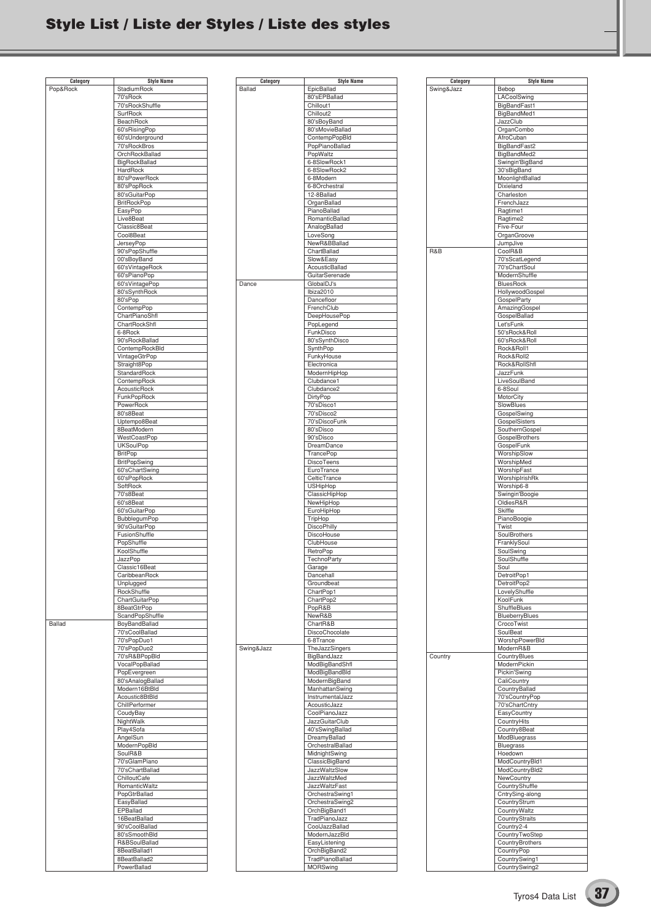## **Style List / Liste der Styles / Liste des styles**

| <b>Style Name</b><br>Pop&Rock<br>StadiumRock<br>70'sRock<br>70'sRockShuffle<br>SurfRock<br>BeachRock<br>60'sRisingPop<br>60'sUnderground<br>70'sRockBros<br>OrchRockBallad<br>BigRockBallad<br>HardRock<br>80'sPowerRock<br>80'sPopRock<br>80'sGuitarPop<br><b>BritRockPop</b><br>EasyPop<br>Live8Beat<br>Classic8Beat<br>Cool8Beat<br>JerseyPop<br>90'sPopShuffle<br>00'sBoyBand<br>60'sVintageRock<br>60'sPianoPop<br>60'sVintagePop<br>80'sSynthRock<br>80'sPop<br>ContempPop<br>ChartPianoShfl<br>ChartRockShfl<br>6-8Rock<br>90'sRockBallad<br>ContempRockBld<br>VintageGtrPop<br>Straight8Pop |
|-----------------------------------------------------------------------------------------------------------------------------------------------------------------------------------------------------------------------------------------------------------------------------------------------------------------------------------------------------------------------------------------------------------------------------------------------------------------------------------------------------------------------------------------------------------------------------------------------------|
|                                                                                                                                                                                                                                                                                                                                                                                                                                                                                                                                                                                                     |
|                                                                                                                                                                                                                                                                                                                                                                                                                                                                                                                                                                                                     |
|                                                                                                                                                                                                                                                                                                                                                                                                                                                                                                                                                                                                     |
|                                                                                                                                                                                                                                                                                                                                                                                                                                                                                                                                                                                                     |
|                                                                                                                                                                                                                                                                                                                                                                                                                                                                                                                                                                                                     |
|                                                                                                                                                                                                                                                                                                                                                                                                                                                                                                                                                                                                     |
|                                                                                                                                                                                                                                                                                                                                                                                                                                                                                                                                                                                                     |
|                                                                                                                                                                                                                                                                                                                                                                                                                                                                                                                                                                                                     |
|                                                                                                                                                                                                                                                                                                                                                                                                                                                                                                                                                                                                     |
|                                                                                                                                                                                                                                                                                                                                                                                                                                                                                                                                                                                                     |
|                                                                                                                                                                                                                                                                                                                                                                                                                                                                                                                                                                                                     |
|                                                                                                                                                                                                                                                                                                                                                                                                                                                                                                                                                                                                     |
|                                                                                                                                                                                                                                                                                                                                                                                                                                                                                                                                                                                                     |
|                                                                                                                                                                                                                                                                                                                                                                                                                                                                                                                                                                                                     |
|                                                                                                                                                                                                                                                                                                                                                                                                                                                                                                                                                                                                     |
|                                                                                                                                                                                                                                                                                                                                                                                                                                                                                                                                                                                                     |
|                                                                                                                                                                                                                                                                                                                                                                                                                                                                                                                                                                                                     |
|                                                                                                                                                                                                                                                                                                                                                                                                                                                                                                                                                                                                     |
|                                                                                                                                                                                                                                                                                                                                                                                                                                                                                                                                                                                                     |
|                                                                                                                                                                                                                                                                                                                                                                                                                                                                                                                                                                                                     |
|                                                                                                                                                                                                                                                                                                                                                                                                                                                                                                                                                                                                     |
|                                                                                                                                                                                                                                                                                                                                                                                                                                                                                                                                                                                                     |
|                                                                                                                                                                                                                                                                                                                                                                                                                                                                                                                                                                                                     |
|                                                                                                                                                                                                                                                                                                                                                                                                                                                                                                                                                                                                     |
|                                                                                                                                                                                                                                                                                                                                                                                                                                                                                                                                                                                                     |
|                                                                                                                                                                                                                                                                                                                                                                                                                                                                                                                                                                                                     |
|                                                                                                                                                                                                                                                                                                                                                                                                                                                                                                                                                                                                     |
|                                                                                                                                                                                                                                                                                                                                                                                                                                                                                                                                                                                                     |
|                                                                                                                                                                                                                                                                                                                                                                                                                                                                                                                                                                                                     |
|                                                                                                                                                                                                                                                                                                                                                                                                                                                                                                                                                                                                     |
|                                                                                                                                                                                                                                                                                                                                                                                                                                                                                                                                                                                                     |
|                                                                                                                                                                                                                                                                                                                                                                                                                                                                                                                                                                                                     |
|                                                                                                                                                                                                                                                                                                                                                                                                                                                                                                                                                                                                     |
|                                                                                                                                                                                                                                                                                                                                                                                                                                                                                                                                                                                                     |
| StandardRock                                                                                                                                                                                                                                                                                                                                                                                                                                                                                                                                                                                        |
| ContempRock<br>AcousticRock                                                                                                                                                                                                                                                                                                                                                                                                                                                                                                                                                                         |
| FunkPopRock                                                                                                                                                                                                                                                                                                                                                                                                                                                                                                                                                                                         |
| PowerRock                                                                                                                                                                                                                                                                                                                                                                                                                                                                                                                                                                                           |
| 80's8Beat                                                                                                                                                                                                                                                                                                                                                                                                                                                                                                                                                                                           |
| Uptempo8Beat                                                                                                                                                                                                                                                                                                                                                                                                                                                                                                                                                                                        |
| 8BeatModern                                                                                                                                                                                                                                                                                                                                                                                                                                                                                                                                                                                         |
| WestCoastPop                                                                                                                                                                                                                                                                                                                                                                                                                                                                                                                                                                                        |
| <b>UKSoulPop</b>                                                                                                                                                                                                                                                                                                                                                                                                                                                                                                                                                                                    |
| <b>BritPop</b>                                                                                                                                                                                                                                                                                                                                                                                                                                                                                                                                                                                      |
| <b>BritPopSwing</b>                                                                                                                                                                                                                                                                                                                                                                                                                                                                                                                                                                                 |
| 60'sChartSwing                                                                                                                                                                                                                                                                                                                                                                                                                                                                                                                                                                                      |
| 60'sPopRock                                                                                                                                                                                                                                                                                                                                                                                                                                                                                                                                                                                         |
| SoftRock                                                                                                                                                                                                                                                                                                                                                                                                                                                                                                                                                                                            |
| 70's8Beat                                                                                                                                                                                                                                                                                                                                                                                                                                                                                                                                                                                           |
| 60's8Beat                                                                                                                                                                                                                                                                                                                                                                                                                                                                                                                                                                                           |
| 60'sGuitarPop                                                                                                                                                                                                                                                                                                                                                                                                                                                                                                                                                                                       |
| BubblegumPop                                                                                                                                                                                                                                                                                                                                                                                                                                                                                                                                                                                        |
| 90'sGuitarPop                                                                                                                                                                                                                                                                                                                                                                                                                                                                                                                                                                                       |
| FusionShuffle                                                                                                                                                                                                                                                                                                                                                                                                                                                                                                                                                                                       |
| PopShuffle                                                                                                                                                                                                                                                                                                                                                                                                                                                                                                                                                                                          |
| KoolShuffle                                                                                                                                                                                                                                                                                                                                                                                                                                                                                                                                                                                         |
|                                                                                                                                                                                                                                                                                                                                                                                                                                                                                                                                                                                                     |
| JazzPop                                                                                                                                                                                                                                                                                                                                                                                                                                                                                                                                                                                             |
| Classic16Beat                                                                                                                                                                                                                                                                                                                                                                                                                                                                                                                                                                                       |
| CaribbeanRock                                                                                                                                                                                                                                                                                                                                                                                                                                                                                                                                                                                       |
| Unplugged                                                                                                                                                                                                                                                                                                                                                                                                                                                                                                                                                                                           |
| RockShuffle                                                                                                                                                                                                                                                                                                                                                                                                                                                                                                                                                                                         |
| ChartGuitarPop                                                                                                                                                                                                                                                                                                                                                                                                                                                                                                                                                                                      |
| 8BeatGtrPop<br>ScandPopShuffle                                                                                                                                                                                                                                                                                                                                                                                                                                                                                                                                                                      |
| <b>Ballad</b><br>BoyBandBallad                                                                                                                                                                                                                                                                                                                                                                                                                                                                                                                                                                      |
| 70'sCoolBallad                                                                                                                                                                                                                                                                                                                                                                                                                                                                                                                                                                                      |
| 70'sPopDuo1                                                                                                                                                                                                                                                                                                                                                                                                                                                                                                                                                                                         |
| 70'sPopDuo2                                                                                                                                                                                                                                                                                                                                                                                                                                                                                                                                                                                         |
| 70'sR&BPopBld                                                                                                                                                                                                                                                                                                                                                                                                                                                                                                                                                                                       |
| VocalPopBallad                                                                                                                                                                                                                                                                                                                                                                                                                                                                                                                                                                                      |
| PopEvergreen                                                                                                                                                                                                                                                                                                                                                                                                                                                                                                                                                                                        |
| 80'sAnalogBallad                                                                                                                                                                                                                                                                                                                                                                                                                                                                                                                                                                                    |
| Modern16BtBld                                                                                                                                                                                                                                                                                                                                                                                                                                                                                                                                                                                       |
| Acoustic8BtBld                                                                                                                                                                                                                                                                                                                                                                                                                                                                                                                                                                                      |
| ChillPerformer                                                                                                                                                                                                                                                                                                                                                                                                                                                                                                                                                                                      |
| CoudyBay                                                                                                                                                                                                                                                                                                                                                                                                                                                                                                                                                                                            |
| NightWalk                                                                                                                                                                                                                                                                                                                                                                                                                                                                                                                                                                                           |
| Play4Sofa                                                                                                                                                                                                                                                                                                                                                                                                                                                                                                                                                                                           |
| AngelSun                                                                                                                                                                                                                                                                                                                                                                                                                                                                                                                                                                                            |
| ModernPopBld                                                                                                                                                                                                                                                                                                                                                                                                                                                                                                                                                                                        |
| SoulR&B                                                                                                                                                                                                                                                                                                                                                                                                                                                                                                                                                                                             |
| 70'sGlamPiano                                                                                                                                                                                                                                                                                                                                                                                                                                                                                                                                                                                       |
| 70'sChartBallad                                                                                                                                                                                                                                                                                                                                                                                                                                                                                                                                                                                     |
| ChilloutCafe                                                                                                                                                                                                                                                                                                                                                                                                                                                                                                                                                                                        |
| RomanticWaltz<br>PopGtrBallad                                                                                                                                                                                                                                                                                                                                                                                                                                                                                                                                                                       |
| EasyBallad                                                                                                                                                                                                                                                                                                                                                                                                                                                                                                                                                                                          |
| EPBallad                                                                                                                                                                                                                                                                                                                                                                                                                                                                                                                                                                                            |
| 16BeatBallad                                                                                                                                                                                                                                                                                                                                                                                                                                                                                                                                                                                        |
| 90'sCoolBallad                                                                                                                                                                                                                                                                                                                                                                                                                                                                                                                                                                                      |
| 80'sSmoothBld                                                                                                                                                                                                                                                                                                                                                                                                                                                                                                                                                                                       |
| R&BSoulBallad                                                                                                                                                                                                                                                                                                                                                                                                                                                                                                                                                                                       |
| 8BeatBallad1<br>8BeatBallad2                                                                                                                                                                                                                                                                                                                                                                                                                                                                                                                                                                        |

| Category      | <b>Style Name</b>                  |
|---------------|------------------------------------|
| <b>Ballad</b> | EpicBallad                         |
|               | 80'sEPBallad                       |
|               | Chillout1                          |
|               | Chillout <sub>2</sub>              |
|               | 80'sBoyBand                        |
|               | 80'sMovieBallad                    |
|               | ContempPopBld                      |
|               | PopPianoBallad<br>PopWaltz         |
|               | 6-8SlowRock1                       |
|               | 6-8SlowRock2                       |
|               | 6-8Modern                          |
|               | 6-8Orchestral                      |
|               | 12-8Ballad                         |
|               | OrganBallad                        |
|               | PianoBallad                        |
|               | RomanticBallad                     |
|               | AnalogBallad                       |
|               | LoveSong                           |
|               | NewR&BBallad                       |
|               | ChartBallad                        |
|               | Slow&Easy                          |
|               | AcousticBallad                     |
|               | GuitarSerenade                     |
| Dance         | GlobalDJ's                         |
|               | Ibiza2010                          |
|               | Dancefloor                         |
|               | FrenchClub                         |
|               | DeepHousePop                       |
|               | PopLegend                          |
|               | FunkDisco                          |
|               | 80'sSynthDisco                     |
|               | SynthPop                           |
|               | FunkyHouse<br>Electronica          |
|               | ModernHipHop                       |
|               | Clubdance1                         |
|               | Clubdance2                         |
|               | DirtyPop                           |
|               | 70'sDisco1                         |
|               | 70'sDisco2                         |
|               | 70'sDiscoFunk                      |
|               | 80'sDisco                          |
|               | 90'sDisco                          |
|               | DreamDance                         |
|               | TrancePop                          |
|               | <b>DiscoTeens</b>                  |
|               | EuroTrance                         |
|               | CelticTrance                       |
|               | <b>USHipHop</b>                    |
|               | ClassicHipHop                      |
|               | NewHipHop<br>EuroHipHop            |
|               | TripHop                            |
|               | <b>DiscoPhilly</b>                 |
|               | DiscoHouse                         |
|               | ClubHouse                          |
|               | RetroPop                           |
|               | <b>TechnoParty</b>                 |
|               | Garage                             |
|               | Dancehall                          |
|               | Groundbeat                         |
|               | ChartPop1                          |
|               | ChartPop2                          |
|               | PopR&B                             |
|               | NewR&B                             |
|               | ChartR&B<br>DiscoChocolate         |
|               | 6-8Trance                          |
| Swing&Jazz    | TheJazzSingers                     |
|               | BigBandJazz                        |
|               | ModBigBandShfl                     |
|               | ModBigBandBld                      |
|               | ModernBigBand                      |
|               | ManhattanSwing                     |
|               | InstrumentalJazz                   |
|               | AcousticJazz                       |
|               | CoolPianoJazz                      |
|               | JazzGuitarClub                     |
|               | 40'sSwingBallad                    |
|               | DreamyBallad                       |
|               | OrchestralBallad                   |
|               | MidnightSwing                      |
|               | ClassicBigBand<br>JazzWaltzSlow    |
|               | JazzWaltzMed                       |
|               | <b>JazzWaltzFast</b>               |
|               | OrchestraSwing1                    |
|               | OrchestraSwing2                    |
|               | OrchBigBand1                       |
|               | TradPianoJazz                      |
|               | CoolJazzBallad                     |
|               |                                    |
|               | ModernJazzBld                      |
|               | EasyListening                      |
|               | OrchBigBand2                       |
|               | TradPianoBallad<br><b>MORSwing</b> |

| Category   | Style Name                   |
|------------|------------------------------|
| Swing&Jazz | Bebop                        |
|            | LACoolSwing                  |
|            | BigBandFast1                 |
|            | BigBandMed1<br>JazzClub      |
|            | OrganCombo                   |
|            | AfroCuban                    |
|            | BigBandFast2                 |
|            | BigBandMed2                  |
|            | Swingin'BigBand              |
|            | 30'sBigBand                  |
|            | MoonlightBallad              |
|            | Dixieland                    |
|            | Charleston                   |
|            | FrenchJazz                   |
|            | Ragtime1                     |
|            | Ragtime2                     |
|            | Five-Four                    |
|            | OrganGroove                  |
|            | JumpJive                     |
| R&B        | CoolR&B                      |
|            | 70'sScatLegend               |
|            | 70'sChartSoul                |
|            | ModernShuffle                |
|            | <b>BluesRock</b>             |
|            | HollywoodGospel              |
|            | GospelParty                  |
|            | AmazingGospel                |
|            | GospelBallad                 |
|            | Let'sFunk                    |
|            | 50'sRock&Roll                |
|            | 60'sRock&Roll                |
|            | Rock&Roll1                   |
|            | Rock&Roll2                   |
|            | Rock&RollShfl                |
|            | JazzFunk                     |
|            | LiveSoulBand                 |
|            | 6-8Soul                      |
|            | MotorCity                    |
|            | SlowBlues                    |
|            | GospelSwing                  |
|            | GospelSisters                |
|            | SouthernGospel               |
|            | GospelBrothers               |
|            | GospelFunk                   |
|            | WorshipSlow                  |
|            | WorshipMed                   |
|            | WorshipFast                  |
|            | WorshipIrishRk               |
|            | Worship6-8                   |
|            | Swingin'Boogie               |
|            | OldiesR&R                    |
|            | Skiffle                      |
|            | PianoBoogie                  |
|            | Twist                        |
|            | SoulBrothers                 |
|            | FranklySoul                  |
|            | SoulSwing                    |
|            | SoulShuffle                  |
|            | Soul                         |
|            | DetroitPop1                  |
|            | DetroitPop2<br>LovelyShuffle |
|            | KoolFunk                     |
|            | ShuffleBlues                 |
|            | BlueberryBlues               |
|            | CrocoTwist                   |
|            | SoulBeat                     |
|            | WorshpPowerBld               |
|            | ModernR&B                    |
| Country    | CountryBlues                 |
|            | ModernPickin                 |
|            | Pickin'Swing                 |
|            | CaliCountry                  |
|            | CountryBallad                |
|            | 70'sCountryPop               |
|            | 70'sChartCntry               |
|            | EasyCountry                  |
|            | CountryHits                  |
|            | Country8Beat                 |
|            | ModBluegrass                 |
|            | Bluegrass                    |
|            | Hoedown                      |
|            | ModCountryBld1               |
|            | ModCountryBld2               |
|            | NewCountry                   |
|            | CountryShuffle               |
|            | CntrySing-along              |
|            | CountryStrum                 |
|            | CountryWaltz                 |
|            | CountryStraits               |
|            | Country2-4                   |
|            | CountryTwoStep               |
|            | CountryBrothers              |
|            | CountryPop                   |
|            | CountrySwing1                |
|            | CountrySwing2                |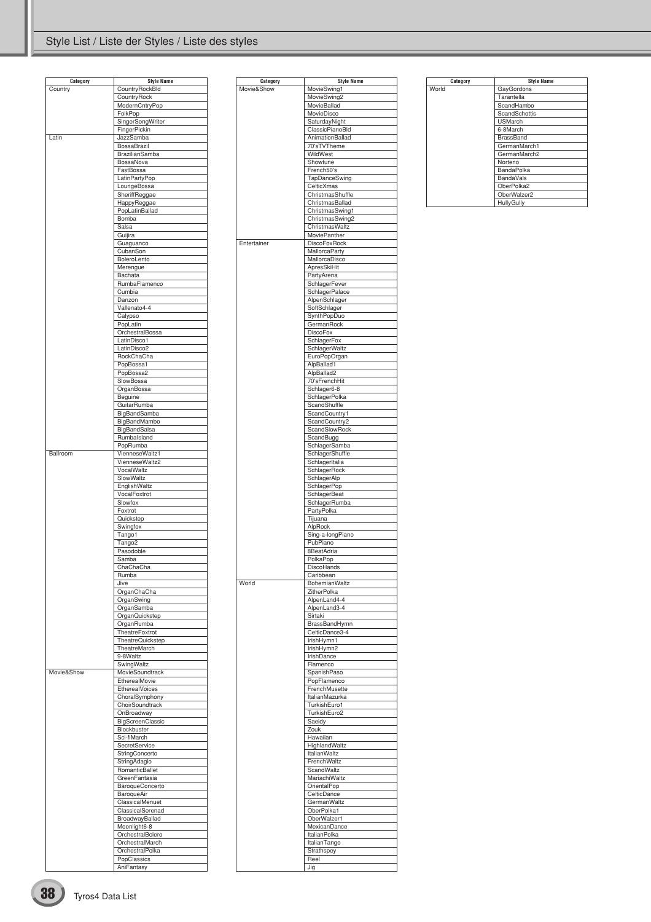### Style List / Liste der Styles / Liste des styles

| Category<br>Country | <b>Style Name</b>             |
|---------------------|-------------------------------|
|                     | <b>CountryRockBld</b>         |
|                     | CountryRock                   |
|                     | ModernCntryPop                |
|                     | FolkPop                       |
|                     |                               |
|                     | SingerSongWriter              |
|                     | FingerPickin                  |
| Latin               | JazzSamba                     |
|                     | <b>BossaBrazil</b>            |
|                     | <b>BrazilianSamba</b>         |
|                     |                               |
|                     | BossaNova                     |
|                     | FastBossa                     |
|                     | LatinPartyPop                 |
|                     | LoungeBossa                   |
|                     | SheriffReggae                 |
|                     |                               |
|                     | HappyReggae                   |
|                     | PopLatinBallad                |
|                     | Bomba                         |
|                     | Salsa                         |
|                     | Guijira                       |
|                     | Guaguanco                     |
|                     | CubanSon                      |
|                     |                               |
|                     | BoleroLento                   |
|                     | Merengue                      |
|                     | Bachata                       |
|                     | RumbaFlamenco                 |
|                     |                               |
|                     | $\overline{\mathrm{C}}$ umbia |
|                     | Danzon                        |
|                     | Vallenato4-4                  |
|                     | Calypso                       |
|                     | PopLatin                      |
|                     |                               |
|                     | OrchestralBossa               |
|                     | LatinDisco1                   |
|                     | LatinDisco2                   |
|                     | RockChaCha                    |
|                     | PopBossa1                     |
|                     | PopBossa2                     |
|                     | SlowBossa                     |
|                     |                               |
|                     | OrganBossa                    |
|                     | Beguine                       |
|                     | GuitarRumba                   |
|                     | BigBandSamba                  |
|                     |                               |
|                     | BigBandMambo                  |
|                     | BigBandSalsa                  |
|                     | Rumbalsland                   |
|                     | PopRumba                      |
| Ballroom            | VienneseWaltz1                |
|                     | VienneseWaltz2                |
|                     | VocalWaltz                    |
|                     |                               |
|                     | SlowWaltz                     |
|                     | EnglishWaltz                  |
|                     | VocalFoxtrot                  |
|                     | Slowfox                       |
|                     | Foxtrot                       |
|                     | Quickstep                     |
|                     | Swingfox                      |
|                     | Tango1                        |
|                     | Tango <sub>2</sub>            |
|                     |                               |
|                     |                               |
|                     | Pasodoble                     |
|                     | Samba                         |
|                     |                               |
|                     | ChaChaCha                     |
|                     | Rumba                         |
|                     | Jive                          |
|                     | OrganChaCha                   |
|                     | OrganSwing                    |
|                     | OrganSamba                    |
|                     | OrganQuickstep                |
|                     |                               |
|                     | OrganRumba                    |
|                     | TheatreFoxtrot                |
|                     | TheatreQuickstep              |
|                     | TheatreMarch                  |
|                     | 9-8Waltz                      |
|                     | SwingWaltz                    |
| Movie&Show          | MovieSoundtrack               |
|                     |                               |
|                     | EtherealMovie                 |
|                     | EtherealVoices                |
|                     | ChoralSymphony                |
|                     | ChoirSoundtrack               |
|                     | OnBroadway                    |
|                     | BigScreenClassic              |
|                     |                               |
|                     | Blockbuster                   |
|                     | Sci-fiMarch                   |
|                     | SecretService                 |
|                     | StringConcerto                |
|                     | StringAdagio                  |
|                     |                               |
|                     | RomanticBallet                |
|                     | GreenFantasia                 |
|                     | BaroqueConcerto               |
|                     | BaroqueAir                    |
|                     | ClassicalMenuet               |
|                     |                               |
|                     | ClassicalSerenad              |
|                     | BroadwayBallad                |
|                     | Moonlight6-8                  |
|                     | OrchestralBolero              |
|                     | OrchestralMarch               |
|                     |                               |
|                     | OrchestralPolka               |
|                     | PopClassics<br>AniFantasy     |

| Category    | <b>Style Name</b>               |
|-------------|---------------------------------|
| Movie&Show  | MovieSwing1                     |
|             | MovieSwing2                     |
|             | MovieBallad                     |
|             | MovieDisco                      |
|             | SaturdayNight                   |
|             | ClassicPianoBld                 |
|             | AnimationBallad                 |
|             | 70'sTVTheme                     |
|             | WildWest<br>Showtune            |
|             | French50's                      |
|             | TapDanceSwing                   |
|             | CelticXmas                      |
|             | ChristmasShuffle                |
|             | ChristmasBallad                 |
|             | ChristmasSwing1                 |
|             | ChristmasSwing2                 |
|             | ChristmasWaltz                  |
|             | <b>MoviePanther</b>             |
| Entertainer | <b>DiscoFoxRock</b>             |
|             | <b>MallorcaParty</b>            |
|             | MallorcaDisco                   |
|             | ApresSkiHit                     |
|             | PartyArena                      |
|             | SchlagerFever<br>SchlagerPalace |
|             | AlpenSchlager                   |
|             | SoftSchlager                    |
|             | SynthPopDuo                     |
|             | GermanRock                      |
|             | <b>DiscoFox</b>                 |
|             | SchlagerFox                     |
|             | SchlagerWaltz                   |
|             | EuroPopOrgan                    |
|             | AlpBallad1                      |
|             | AlpBallad2                      |
|             | 70'sFrenchHit                   |
|             | Schlager6-8                     |
|             | SchlagerPolka                   |
|             | ScandShuffle<br>ScandCountry1   |
|             | ScandCountry2                   |
|             | ScandSlowRock                   |
|             | ScandBugg                       |
|             | SchlagerSamba                   |
|             | SchlagerShuffle                 |
|             | SchlagerItalia                  |
|             | SchlagerRock                    |
|             | SchlagerAlp                     |
|             | SchlagerPop                     |
|             | SchlagerBeat                    |
|             | SchlagerRumba                   |
|             | PartyPolka<br>Tijuana           |
|             | AlpRock                         |
|             | Sing-a-longPiano                |
|             | PubPiano                        |
|             | 8BeatAdria                      |
|             | PolkaPop                        |
|             | DiscoHands                      |
|             | Caribbean                       |
| World       | BohemianWaltz                   |
|             | ZitherPolka                     |
|             | AlpenLand4-4                    |
|             | AlpenLand3-4<br>Sirtaki         |
|             |                                 |
|             | BrassBandHymn<br>CelticDance3-4 |
|             | IrishHymn1                      |
|             | IrishHymn2                      |
|             | IrishDance                      |
|             | Flamenco                        |
|             | SpanishPaso                     |
|             | PopFlamenco                     |
|             | FrenchMusette                   |
|             | ItalianMazurka                  |
|             | TurkishEuro1                    |
|             | TurkishEuro2<br>Saeidy          |
|             | Zouk                            |
|             | Hawaiian                        |
|             | HighlandWaltz                   |
|             | ItalianWaltz                    |
|             | FrenchWaltz                     |
|             | ScandWaltz                      |
|             | MariachiWaltz                   |
|             | OrientalPop                     |
|             | CelticDance                     |
|             | GermanWaltz                     |
|             | OberPolka1                      |
|             | OberWalzer1                     |
|             | MexicanDance                    |
|             | <b>ItalianPolka</b>             |
|             | ItalianTango<br>Strathspey      |
|             | Reel                            |
|             | Jig                             |
|             |                                 |

| Category | <b>Style Name</b> |
|----------|-------------------|
| World    | GayGordons        |
|          | Tarantella        |
|          | ScandHambo        |
|          | ScandSchottis     |
|          | <b>USMarch</b>    |
|          | 6-8March          |
|          | <b>BrassBand</b>  |
|          | GermanMarch1      |
|          | GermanMarch2      |
|          | Norteno           |
|          | <b>BandaPolka</b> |
|          | BandaVals         |
|          | OberPolka2        |
|          | OberWalzer2       |
|          | HullvGullv        |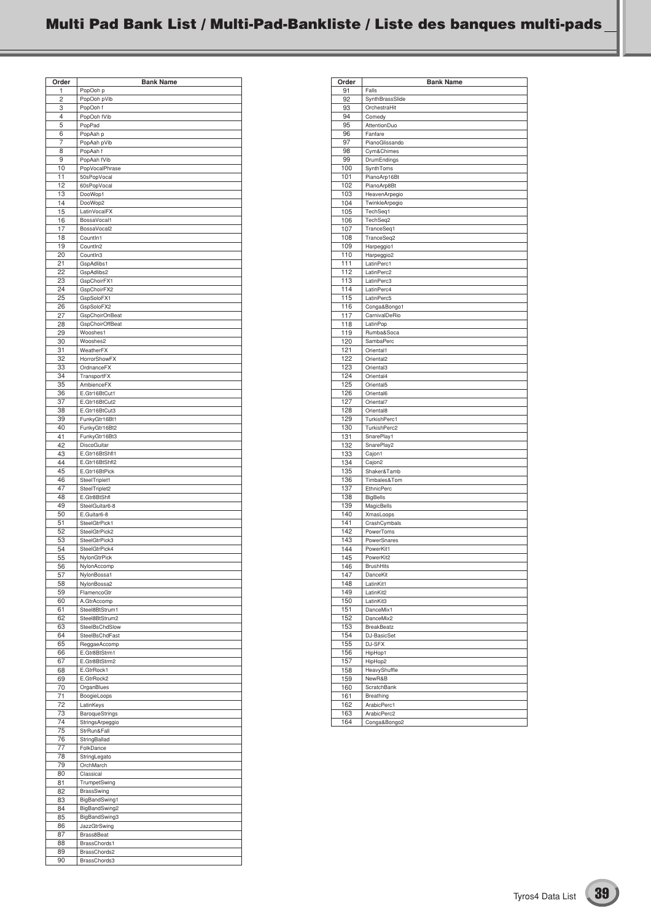| Order    | <b>Bank Name</b>           |
|----------|----------------------------|
| 1        | PopOoh p                   |
| 2        | PopOoh pVib                |
| 3        | PopOoh f                   |
| 4        | PopOoh fVib                |
| 5        | PopPad                     |
| 6        | PopAah p                   |
| 7        | PopAah pVib                |
| 8        | PopAah f                   |
| 9        | PopAah fVib                |
| 10       | PopVocalPhrase             |
| 11       | 50sPopVocal                |
| 12       | 60sPopVocal                |
| 13<br>14 | DooWop1                    |
| 15       | DooWop2<br>LatinVocalFX    |
| 16       | BossaVocal1                |
| 17       | BossaVocal2                |
| 18       | Countln1                   |
| 19       | Countln2                   |
| 20       | Countln3                   |
| 21       | GspAdlibs1                 |
| 22       | GspAdlibs2                 |
| 23       | GspChoirFX1                |
| 24       | GspChoirFX2                |
| 25       | GspSoloFX1                 |
| 26       | GspSoloFX2                 |
| 27       | <b>GspChoirOnBeat</b>      |
| 28       | GspChoirOffBeat            |
| 29       | Wooshes1                   |
| 30       | Wooshes2                   |
| 31       | WeatherFX                  |
| 32       | <b>HorrorShowFX</b>        |
| 33       | OrdnanceFX                 |
| 34<br>35 | TransportFX<br>AmbienceFX  |
|          | E.Gtr16BtCut1              |
| 36<br>37 | E.Gtr16BtCut2              |
| 38       | E.Gtr16BtCut3              |
| 39       | FunkyGtr16Bt1              |
| 40       | FunkyGtr16Bt2              |
| 41       | FunkyGtr16Bt3              |
| 42       | DiscoGuitar                |
| 43       | E.Gtr16BtShfl1             |
| 44       | E.Gtr16BtShfl2             |
| 45       | E.Gtr16BtPick              |
| 46       | SteelTriplet1              |
| 47       | SteelTriplet2              |
| 48       | E.Gtr8BtShfl               |
| 49       | SteelGuitar6-8             |
| 50       | E.Guitar6-8                |
| 51       | SteelGtrPick1              |
| 52       | SteelGtrPick2              |
| 53       | SteelGtrPick3              |
| 54<br>55 | SteelGtrPick4              |
|          | NylonGtrPick               |
| 56<br>57 | NylonAccomp<br>NylonBossa1 |
| 58       | NylonBossa2                |
| 59       | FlamencoGtr                |
| 60       | A.GtrAccomp                |
| 61       | Steel8BtStrum1             |
| 62       | Steel8BtStrum2             |
| 63       | SteelBsChdSlow             |
| 64       | SteelBsChdFast             |
| 65       | ReggaeAccomp               |
| 66       | E.Gtr8BtStrm1              |
| 67       | E.Gtr8BtStrm2              |
| 68       | E.GtrRock1                 |
| 69       | E.GtrRock2                 |
| 70       | OrganBlues                 |
| 71<br>72 | BoogieLoops<br>LatinKeys   |
| 73       | <b>BaroqueStrings</b>      |
| 74       | StringsArpeggio            |
| 75       | StrRun&Fall                |
| 76       | StringBallad               |
| 77       | FolkDance                  |
| 78       | StringLegato               |
| 79       | OrchMarch                  |
| 80       | Classical                  |
| 81       | TrumpetSwing               |
| 82       | BrassSwing                 |
| 83       | BigBandSwing1              |
| 84       | BigBandSwing2              |
| 85       | BigBandSwing3              |
| 86       | JazzGtrSwing               |
| 87       | Brass8Beat                 |
| 88       | BrassChords1               |
| 89       | BrassChords2               |
| 90       | BrassChords3               |

| Order      | <b>Bank Name</b>                     |
|------------|--------------------------------------|
| 91         | Falls                                |
| 92         | SynthBrassSlide                      |
| 93         | OrchestraHit                         |
| 94         | Comedy                               |
| 95         | AttentionDuo                         |
| 96         | Fanfare                              |
| 97         | PianoGlissando                       |
| 98         | Cym&Chimes                           |
| 99         | DrumEndings                          |
| 100        | SynthToms                            |
| 101        | PianoArp16Bt                         |
| 102        | PianoArp8Bt                          |
| 103        | HeavenArpegio                        |
| 104        | TwinkleArpegio                       |
| 105        | TechSeq1                             |
| 106        | TechSeq2                             |
| 107        | TranceSeq1                           |
| 108        | TranceSeq2                           |
| 109        | Harpeggio1                           |
| 110        | Harpeggio2                           |
| 111        | LatinPerc1                           |
| 112        | LatinPerc2                           |
| 113        | LatinPerc3                           |
| 114        | LatinPerc4                           |
| 115        | LatinPerc5                           |
| 116        | Conga&Bongo1                         |
| 117        | CarnivalDeRio                        |
| 118        | LatinPop                             |
| 119        | Rumba&Soca                           |
| 120        | SambaPerc                            |
| 121        | Oriental1                            |
| 122        | Oriental <sub>2</sub>                |
| 123        | Oriental3                            |
| 124        | Oriental4                            |
| 125        | Oriental5                            |
| 126        | Oriental6                            |
| 127        | Oriental7                            |
| 128        | Oriental8                            |
| 129        | TurkishPerc1                         |
| 130        | TurkishPerc2                         |
| 131        | SnarePlay1                           |
| 132        | SnarePlay2                           |
| 133        | Cajon1                               |
| 134        | Cajon2                               |
| 135        | Shaker&Tamb                          |
| 136        | Timbales&Tom                         |
| 137<br>138 | <b>EthnicPerc</b><br><b>BigBells</b> |
| 139        | MagicBells                           |
| 140        | XmasLoops                            |
| 141        | CrashCymbals                         |
| 142        | PowerToms                            |
| 143        | PowerSnares                          |
| 144        | PowerKit1                            |
| 145        | PowerKit2                            |
| 146        | <b>BrushHits</b>                     |
| 147        | DanceKit                             |
| 148        | LatinKit1                            |
| 149        | LatinKit2                            |
| 150        | LatinKit3                            |
| 151        | DanceMix1                            |
| 152        | DanceMix2                            |
| 153        | <b>BreakBeatz</b>                    |
| 154        | DJ-BasicSet                          |
| 155        | DJ-SFX                               |
| 156        | HipHop1                              |
| 157        | HipHop2                              |
| 158        | HeavyShuffle                         |
| 159        | NewR&B                               |
| 160        | ScratchBank                          |
| 161        | Breathing                            |
| 162        | ArabicPerc1                          |
| 163        | ArabicPerc2                          |
| 164        | Conga&Bongo2                         |
|            |                                      |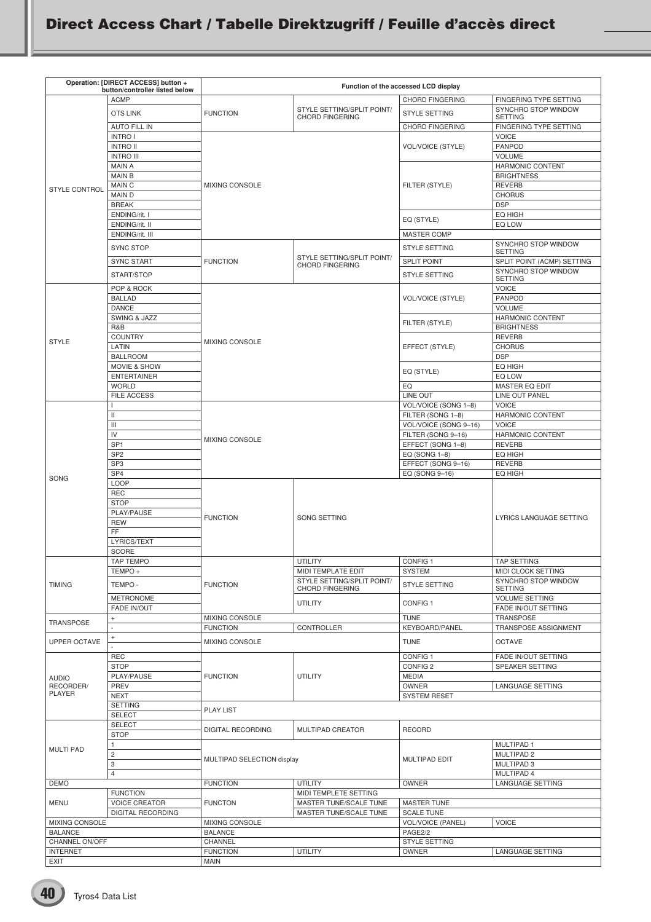## **Direct Access Chart / Tabelle Direktzugriff / Feuille d'accès direct**

| Operation: [DIRECT ACCESS] button + |                                                        | Function of the accessed LCD display |                                                  |                                         |                                                   |  |
|-------------------------------------|--------------------------------------------------------|--------------------------------------|--------------------------------------------------|-----------------------------------------|---------------------------------------------------|--|
|                                     | button/controller listed below                         |                                      |                                                  |                                         |                                                   |  |
|                                     | <b>ACMP</b>                                            |                                      | STYLE SETTING/SPLIT POINT/                       | <b>CHORD FINGERING</b>                  | FINGERING TYPE SETTING<br>SYNCHRO STOP WINDOW     |  |
|                                     | <b>OTS LINK</b>                                        | <b>FUNCTION</b>                      | <b>CHORD FINGERING</b>                           | <b>STYLE SETTING</b>                    | <b>SETTING</b>                                    |  |
|                                     | <b>AUTO FILL IN</b>                                    |                                      |                                                  | CHORD FINGERING                         | FINGERING TYPE SETTING<br>VOICE                   |  |
|                                     | <b>INTRO I</b><br><b>INTRO II</b>                      |                                      |                                                  | <b>VOL/VOICE (STYLE)</b>                | <b>PANPOD</b>                                     |  |
|                                     | <b>INTRO III</b>                                       |                                      |                                                  |                                         | <b>VOLUME</b>                                     |  |
|                                     | <b>MAIN A</b>                                          |                                      |                                                  |                                         | HARMONIC CONTENT                                  |  |
|                                     | <b>MAIN B</b>                                          |                                      |                                                  |                                         | <b>BRIGHTNESS</b>                                 |  |
| <b>STYLE CONTROL</b>                | MAIN C<br><b>MAIND</b>                                 | <b>MIXING CONSOLE</b>                |                                                  | FILTER (STYLE)                          | <b>REVERB</b><br><b>CHORUS</b>                    |  |
|                                     | <b>BREAK</b>                                           |                                      |                                                  |                                         | <b>DSP</b>                                        |  |
|                                     | ENDING/rit. I                                          |                                      |                                                  | EQ (STYLE)                              | EQ HIGH                                           |  |
|                                     | ENDING/rit. II<br>ENDING/rit. III                      |                                      |                                                  |                                         | EQ LOW                                            |  |
|                                     |                                                        |                                      |                                                  | MASTER COMP                             | SYNCHRO STOP WINDOW                               |  |
|                                     | <b>SYNC STOP</b>                                       |                                      | STYLE SETTING/SPLIT POINT/                       | <b>STYLE SETTING</b>                    | <b>SETTING</b>                                    |  |
|                                     | <b>SYNC START</b>                                      | <b>FUNCTION</b>                      | <b>CHORD FINGERING</b>                           | <b>SPLIT POINT</b>                      | SPLIT POINT (ACMP) SETTING<br>SYNCHRO STOP WINDOW |  |
|                                     | START/STOP                                             |                                      |                                                  | <b>STYLE SETTING</b>                    | <b>SETTING</b>                                    |  |
|                                     | POP & ROCK                                             |                                      |                                                  |                                         | <b>VOICE</b>                                      |  |
|                                     | <b>BALLAD</b><br><b>DANCE</b>                          |                                      |                                                  | VOL/VOICE (STYLE)                       | <b>PANPOD</b><br><b>VOLUME</b>                    |  |
|                                     | <b>SWING &amp; JAZZ</b>                                |                                      |                                                  |                                         | HARMONIC CONTENT                                  |  |
|                                     | R&B                                                    |                                      |                                                  | FILTER (STYLE)                          | <b>BRIGHTNESS</b>                                 |  |
| <b>STYLE</b>                        | <b>COUNTRY</b>                                         | <b>MIXING CONSOLE</b>                |                                                  |                                         | <b>REVERB</b>                                     |  |
|                                     | LATIN<br><b>BALLROOM</b>                               |                                      |                                                  | EFFECT (STYLE)                          | <b>CHORUS</b><br><b>DSP</b>                       |  |
|                                     | <b>MOVIE &amp; SHOW</b>                                |                                      |                                                  |                                         | EQ HIGH                                           |  |
|                                     | <b>ENTERTAINER</b>                                     |                                      |                                                  | EQ (STYLE)                              | EQ LOW                                            |  |
|                                     | <b>WORLD</b>                                           |                                      |                                                  | EQ                                      | <b>MASTER EQ EDIT</b>                             |  |
|                                     | FILE ACCESS                                            |                                      |                                                  | LINE OUT<br>VOL/VOICE (SONG 1-8)        | LINE OUT PANEL<br><b>VOICE</b>                    |  |
|                                     | Ш                                                      |                                      |                                                  | FILTER (SONG 1-8)                       | HARMONIC CONTENT                                  |  |
|                                     | Ш                                                      |                                      |                                                  | VOL/VOICE (SONG 9-16)                   | <b>VOICE</b>                                      |  |
|                                     | IV<br>SP <sub>1</sub>                                  | <b>MIXING CONSOLE</b>                |                                                  | FILTER (SONG 9-16)<br>EFFECT (SONG 1-8) | HARMONIC CONTENT<br><b>REVERB</b>                 |  |
|                                     | SP <sub>2</sub>                                        |                                      |                                                  | EQ (SONG 1-8)                           | EQ HIGH                                           |  |
|                                     | SP <sub>3</sub>                                        |                                      |                                                  | EFFECT (SONG 9-16)                      | <b>REVERB</b>                                     |  |
| <b>SONG</b>                         | SP4                                                    |                                      |                                                  | EQ (SONG 9-16)                          | EQ HIGH                                           |  |
|                                     | <b>LOOP</b><br><b>REC</b>                              |                                      |                                                  |                                         |                                                   |  |
|                                     | <b>STOP</b>                                            |                                      |                                                  |                                         |                                                   |  |
|                                     | PLAY/PAUSE                                             | <b>FUNCTION</b>                      | SONG SETTING                                     |                                         | LYRICS LANGUAGE SETTING                           |  |
|                                     | <b>REW</b><br>FF                                       |                                      |                                                  |                                         |                                                   |  |
|                                     | LYRICS/TEXT                                            |                                      |                                                  |                                         |                                                   |  |
|                                     | <b>SCORE</b>                                           |                                      |                                                  |                                         |                                                   |  |
|                                     | TAP TEMPO                                              |                                      | <b>UTILITY</b>                                   | CONFIG <sub>1</sub>                     | <b>TAP SETTING</b>                                |  |
|                                     | TEMPO +                                                |                                      | MIDI TEMPLATE EDIT<br>STYLE SETTING/SPLIT POINT/ | <b>SYSTEM</b>                           | MIDI CLOCK SETTING<br>SYNCHRO STOP WINDOW         |  |
| <b>TIMING</b>                       | TEMPO -                                                | <b>FUNCTION</b>                      | CHORD FINGERING                                  | <b>STYLE SETTING</b>                    | <b>SETTING</b>                                    |  |
|                                     | <b>METRONOME</b>                                       |                                      | <b>UTILITY</b>                                   | CONFIG <sub>1</sub>                     | <b>VOLUME SETTING</b>                             |  |
|                                     | <b>FADE IN/OUT</b><br>$\begin{array}{c} + \end{array}$ | MIXING CONSOLE                       |                                                  | <b>TUNE</b>                             | FADE IN/OUT SETTING<br><b>TRANSPOSE</b>           |  |
| <b>TRANSPOSE</b>                    |                                                        | <b>FUNCTION</b>                      | CONTROLLER                                       | <b>KEYBOARD/PANEL</b>                   | TRANSPOSE ASSIGNMENT                              |  |
| <b>UPPER OCTAVE</b>                 | $+$                                                    | MIXING CONSOLE                       |                                                  | <b>TUNE</b>                             | <b>OCTAVE</b>                                     |  |
|                                     | <b>REC</b>                                             |                                      |                                                  | CONFIG <sub>1</sub>                     | FADE IN/OUT SETTING                               |  |
|                                     | <b>STOP</b>                                            |                                      |                                                  | CONFIG <sub>2</sub>                     | SPEAKER SETTING                                   |  |
| <b>AUDIO</b>                        | PLAY/PAUSE                                             | <b>FUNCTION</b>                      | <b>UTILITY</b>                                   | <b>MEDIA</b>                            |                                                   |  |
| RECORDER/<br>PLAYER                 | PREV                                                   |                                      |                                                  | OWNER                                   | LANGUAGE SETTING                                  |  |
|                                     | <b>NEXT</b><br><b>SETTING</b>                          |                                      |                                                  | <b>SYSTEM RESET</b>                     |                                                   |  |
|                                     | <b>SELECT</b>                                          | <b>PLAY LIST</b>                     |                                                  |                                         |                                                   |  |
|                                     | <b>SELECT</b>                                          | <b>DIGITAL RECORDING</b>             | MULTIPAD CREATOR                                 | <b>RECORD</b>                           |                                                   |  |
|                                     | <b>STOP</b>                                            |                                      |                                                  |                                         |                                                   |  |
| <b>MULTI PAD</b>                    | 1<br>$\overline{c}$                                    |                                      |                                                  | <b>MULTIPAD EDIT</b>                    | MULTIPAD 1<br>MULTIPAD 2                          |  |
|                                     | 3                                                      | MULTIPAD SELECTION display           |                                                  |                                         | MULTIPAD 3                                        |  |
|                                     | $\overline{4}$                                         |                                      |                                                  |                                         | MULTIPAD 4                                        |  |
| <b>DEMO</b>                         | <b>FUNCTION</b>                                        | <b>FUNCTION</b>                      | <b>UTILITY</b><br>MIDI TEMPLETE SETTING          | OWNER                                   | LANGUAGE SETTING                                  |  |
| <b>MENU</b>                         | <b>VOICE CREATOR</b>                                   | <b>FUNCTON</b>                       | MASTER TUNE/SCALE TUNE                           | <b>MASTER TUNE</b>                      |                                                   |  |
|                                     | <b>DIGITAL RECORDING</b>                               |                                      | MASTER TUNE/SCALE TUNE                           | <b>SCALE TUNE</b>                       |                                                   |  |
| MIXING CONSOLE                      |                                                        | MIXING CONSOLE                       |                                                  | <b>VOL/VOICE (PANEL)</b>                | <b>VOICE</b>                                      |  |
| <b>BALANCE</b><br>CHANNEL ON/OFF    |                                                        | <b>BALANCE</b><br>CHANNEL            |                                                  | PAGE2/2<br>STYLE SETTING                |                                                   |  |
| <b>INTERNET</b>                     |                                                        | <b>FUNCTION</b>                      | <b>UTILITY</b>                                   | OWNER                                   | LANGUAGE SETTING                                  |  |
| <b>EXIT</b>                         |                                                        | <b>MAIN</b>                          |                                                  |                                         |                                                   |  |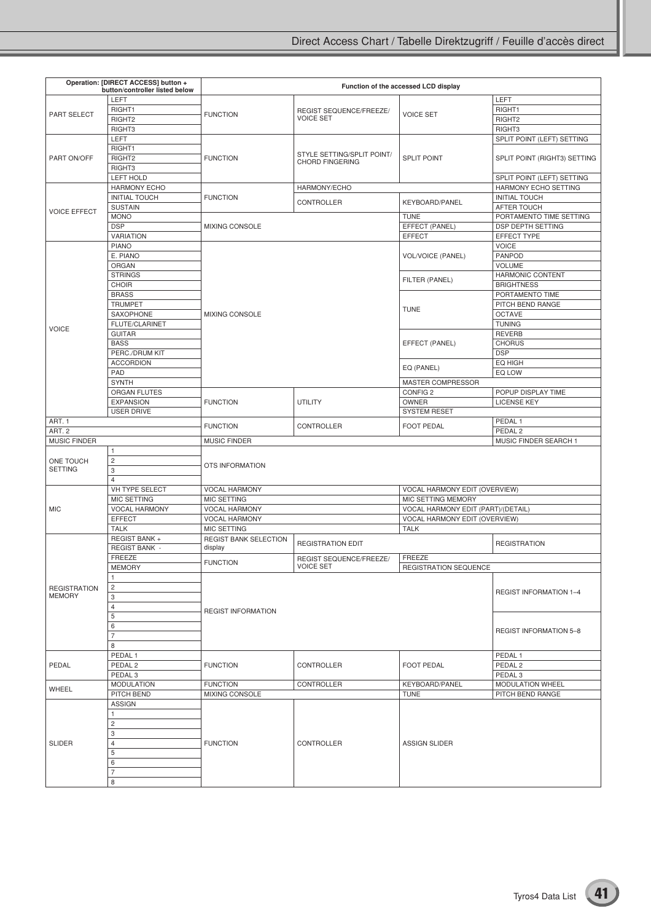| Operation: [DIRECT ACCESS] button +  |                                        | Function of the accessed LCD display         |                                             |                                    |                                          |  |
|--------------------------------------|----------------------------------------|----------------------------------------------|---------------------------------------------|------------------------------------|------------------------------------------|--|
|                                      | button/controller listed below<br>LEFT |                                              |                                             |                                    | LEFT                                     |  |
|                                      | RIGHT1                                 |                                              |                                             |                                    | RIGHT1                                   |  |
| PART SELECT                          | RIGHT <sub>2</sub>                     | <b>FUNCTION</b>                              | REGIST SEQUENCE/FREEZE/<br><b>VOICE SET</b> | <b>VOICE SET</b>                   | RIGHT2                                   |  |
|                                      | RIGHT3                                 |                                              |                                             |                                    | RIGHT3                                   |  |
|                                      | LEFT                                   |                                              |                                             |                                    | SPLIT POINT (LEFT) SETTING               |  |
|                                      | RIGHT1                                 |                                              |                                             |                                    |                                          |  |
| PART ON/OFF                          | RIGHT2                                 | <b>FUNCTION</b>                              | STYLE SETTING/SPLIT POINT/                  | <b>SPLIT POINT</b>                 | SPLIT POINT (RIGHT3) SETTING             |  |
|                                      | RIGHT3                                 |                                              | <b>CHORD FINGERING</b>                      |                                    |                                          |  |
|                                      | <b>LEFT HOLD</b>                       |                                              |                                             |                                    | SPLIT POINT (LEFT) SETTING               |  |
|                                      | <b>HARMONY ECHO</b>                    |                                              | HARMONY/ECHO                                |                                    | HARMONY ECHO SETTING                     |  |
|                                      | <b>INITIAL TOUCH</b>                   | <b>FUNCTION</b>                              |                                             |                                    | <b>INITIAL TOUCH</b>                     |  |
|                                      | <b>SUSTAIN</b>                         |                                              | CONTROLLER                                  | KEYBOARD/PANEL                     | AFTER TOUCH                              |  |
| <b>VOICE EFFECT</b>                  | <b>MONO</b>                            |                                              |                                             | <b>TUNE</b>                        | PORTAMENTO TIME SETTING                  |  |
|                                      | <b>DSP</b>                             | <b>MIXING CONSOLE</b>                        |                                             | EFFECT (PANEL)                     | DSP DEPTH SETTING                        |  |
|                                      | <b>VARIATION</b>                       |                                              |                                             | <b>EFFECT</b>                      | EFFECT TYPE                              |  |
|                                      | <b>PIANO</b>                           |                                              |                                             |                                    | <b>VOICE</b>                             |  |
|                                      | E. PIANO                               |                                              |                                             | <b>VOL/VOICE (PANEL)</b>           | <b>PANPOD</b>                            |  |
|                                      | ORGAN                                  |                                              |                                             |                                    | VOLUME                                   |  |
|                                      | <b>STRINGS</b>                         |                                              |                                             | FILTER (PANEL)                     | <b>HARMONIC CONTENT</b>                  |  |
|                                      | <b>CHOIR</b>                           |                                              |                                             |                                    | <b>BRIGHTNESS</b>                        |  |
|                                      | <b>BRASS</b>                           |                                              |                                             |                                    | PORTAMENTO TIME                          |  |
| <b>VOICE</b>                         | <b>TRUMPET</b>                         |                                              |                                             | <b>TUNE</b>                        | PITCH BEND RANGE                         |  |
|                                      | SAXOPHONE                              | <b>MIXING CONSOLE</b>                        |                                             |                                    | <b>OCTAVE</b>                            |  |
|                                      | FLUTE/CLARINET                         |                                              |                                             |                                    | <b>TUNING</b>                            |  |
|                                      | <b>GUITAR</b>                          |                                              |                                             |                                    | <b>REVERB</b>                            |  |
|                                      | <b>BASS</b>                            |                                              |                                             | EFFECT (PANEL)                     | <b>CHORUS</b>                            |  |
|                                      | PERC./DRUM KIT                         |                                              |                                             |                                    | <b>DSP</b>                               |  |
|                                      | <b>ACCORDION</b>                       |                                              |                                             | EQ (PANEL)                         | EQ HIGH                                  |  |
|                                      | PAD                                    |                                              |                                             |                                    | EQ LOW                                   |  |
|                                      | <b>SYNTH</b>                           |                                              |                                             | MASTER COMPRESSOR                  |                                          |  |
|                                      | ORGAN FLUTES<br><b>EXPANSION</b>       | <b>FUNCTION</b>                              | UTILITY                                     | CONFIG <sub>2</sub><br>OWNER       | POPUP DISPLAY TIME<br><b>LICENSE KEY</b> |  |
|                                      | <b>USER DRIVE</b>                      |                                              |                                             | <b>SYSTEM RESET</b>                |                                          |  |
| ART. 1                               |                                        |                                              |                                             |                                    | PEDAL <sub>1</sub>                       |  |
| ART. 2                               |                                        | <b>FUNCTION</b>                              | CONTROLLER                                  | <b>FOOT PEDAL</b>                  | PEDAL <sub>2</sub>                       |  |
| <b>MUSIC FINDER</b>                  |                                        | <b>MUSIC FINDER</b>                          |                                             |                                    | MUSIC FINDER SEARCH 1                    |  |
|                                      | $\mathbf{1}$                           |                                              |                                             |                                    |                                          |  |
| ONE TOUCH                            | $\overline{\mathbf{c}}$                |                                              |                                             |                                    |                                          |  |
| <b>SETTING</b>                       | 3                                      | OTS INFORMATION                              |                                             |                                    |                                          |  |
|                                      | $\overline{4}$                         |                                              |                                             |                                    |                                          |  |
|                                      | VH TYPE SELECT                         | <b>VOCAL HARMONY</b>                         |                                             | VOCAL HARMONY EDIT (OVERVIEW)      |                                          |  |
|                                      | <b>MIC SETTING</b>                     | <b>MIC SETTING</b>                           |                                             | MIC SETTING MEMORY                 |                                          |  |
| <b>MIC</b>                           | <b>VOCAL HARMONY</b>                   | <b>VOCAL HARMONY</b><br><b>VOCAL HARMONY</b> |                                             | VOCAL HARMONY EDIT (PART)/(DETAIL) |                                          |  |
|                                      | <b>EFFECT</b>                          |                                              |                                             | VOCAL HARMONY EDIT (OVERVIEW)      |                                          |  |
|                                      | <b>TALK</b>                            | MIC SETTING                                  |                                             | <b>TALK</b>                        |                                          |  |
|                                      | REGIST BANK +                          | <b>REGIST BANK SELECTION</b>                 | <b>REGISTRATION EDIT</b>                    |                                    | <b>REGISTRATION</b>                      |  |
|                                      | <b>REGIST BANK -</b>                   | display                                      |                                             |                                    |                                          |  |
|                                      | FREEZE                                 | <b>FUNCTION</b>                              | REGIST SEQUENCE/FREEZE/                     | FREEZE                             |                                          |  |
|                                      | <b>MEMORY</b>                          |                                              | <b>VOICE SET</b>                            | REGISTRATION SEQUENCE              |                                          |  |
|                                      | $\mathbf{1}$                           |                                              |                                             |                                    |                                          |  |
| <b>REGISTRATION</b><br><b>MEMORY</b> | $\overline{\mathbf{c}}$                |                                              |                                             |                                    | <b>REGIST INFORMATION 1-4</b>            |  |
|                                      | 3                                      |                                              |                                             |                                    |                                          |  |
|                                      | 4                                      | <b>REGIST INFORMATION</b>                    |                                             |                                    |                                          |  |
|                                      | 5<br>6                                 |                                              |                                             |                                    |                                          |  |
|                                      | $\overline{7}$                         |                                              |                                             |                                    | <b>REGIST INFORMATION 5-8</b>            |  |
|                                      | 8                                      |                                              |                                             |                                    |                                          |  |
|                                      | PEDAL <sub>1</sub>                     |                                              |                                             |                                    | PEDAL <sub>1</sub>                       |  |
| PEDAL                                | PEDAL <sub>2</sub>                     | <b>FUNCTION</b>                              | CONTROLLER                                  | <b>FOOT PEDAL</b>                  | PEDAL <sub>2</sub>                       |  |
|                                      | PEDAL <sub>3</sub>                     |                                              |                                             |                                    | PEDAL <sub>3</sub>                       |  |
|                                      | <b>MODULATION</b>                      | <b>FUNCTION</b>                              | CONTROLLER                                  | KEYBOARD/PANEL                     | <b>MODULATION WHEEL</b>                  |  |
| WHEEL                                | PITCH BEND                             | MIXING CONSOLE                               |                                             | <b>TUNE</b>                        | PITCH BEND RANGE                         |  |
|                                      | <b>ASSIGN</b>                          |                                              |                                             |                                    |                                          |  |
|                                      | 1                                      |                                              |                                             |                                    |                                          |  |
|                                      | $\overline{c}$                         |                                              | CONTROLLER                                  |                                    |                                          |  |
|                                      | 3                                      |                                              |                                             |                                    |                                          |  |
| <b>SLIDER</b>                        | 4                                      | <b>FUNCTION</b>                              |                                             | <b>ASSIGN SLIDER</b>               |                                          |  |
|                                      | 5                                      |                                              |                                             |                                    |                                          |  |
|                                      | 6                                      |                                              |                                             |                                    |                                          |  |
|                                      | $\overline{7}$                         |                                              |                                             |                                    |                                          |  |
|                                      | 8                                      |                                              |                                             |                                    |                                          |  |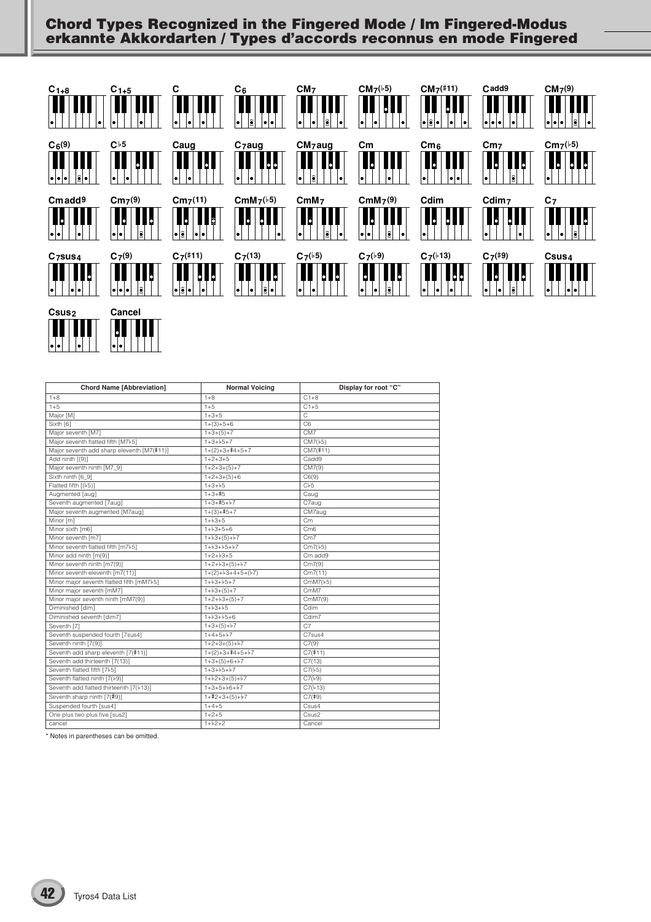## **Chord Types Recognized in the Fingered Mode / Im Fingered-Modus erkannte Akkordarten / Types d'accords reconnus en mode Fingered**



| <b>Chord Name [Abbreviation]</b>           | <b>Normal Voicing</b> | Display for root "C" |
|--------------------------------------------|-----------------------|----------------------|
| $1 + 8$                                    | $1 + 8$               | $C1+8$               |
| $1 + 5$                                    | $1 + 5$               | $C1+5$               |
| Major [M]                                  | $1 + 3 + 5$           | C                    |
| Sixth [6]                                  | $1+(3)+5+6$           | C <sub>6</sub>       |
| Major seventh [M7]                         | $1+3+(5)+7$           | CM7                  |
| Major seventh flatted fifth [M7b5]         | $1+3+b5+7$            | CM7(b5)              |
| Major seventh add sharp eleventh [M7(#11)] | $1+(2)+3+4+5+7$       | CM7(#11)             |
| Add ninth [(9)]                            | $1+2+3+5$             | Cadd9                |
| Major seventh ninth [M7_9]                 | $1+2+3+(5)+7$         | CM7(9)               |
| Sixth ninth [6_9]                          | $1+2+3+(5)+6$         | C6(9)                |
| Flatted fifth [(b5)]                       | $1+3+b5$              | Cb5                  |
| Augmented [aug]                            | $1+3+15$              | Caug                 |
| Seventh augmented [7aug]                   | $1+3+15+17$           | C7aug                |
| Major seventh augmented [M7aug]            | $1+(3)+15+7$          | CM7aug               |
| Minor [m]                                  | $1 + b3 + 5$          | Cm                   |
| Minor sixth [m6]                           | $1+b3+5+6$            | C <sub>m6</sub>      |
| Minor seventh [m7]                         | $1+b3+(5)+b7$         | Cm7                  |
| Minor seventh flatted fifth [m7b5]         | $1+b3+b5+b7$          | Cm7(b5)              |
| Minor add ninth [m(9)]                     | $1+2+b3+5$            | Cm add9              |
| Minor seventh ninth [m7(9)]                | $1+2+b3+(5)+b7$       | Cm7(9)               |
| Minor seventh eleventh [m7(11)]            | $1+(2)+b3+4+5+(b7)$   | Cm7(11)              |
| Minor major seventh flatted fifth [mM7}5]  | $1+b3+b5+7$           | CmM7(b5)             |
| Minor major seventh [mM7]                  | $1 + b3 + (5) + 7$    | CmM7                 |
| Minor major seventh ninth [mM7(9)]         | $1+2+b3+(5)+7$        | CmM7(9)              |
| Diminished [dim]                           | $1 + b3 + b5$         | Cdim                 |
| Diminished seventh [dim7]                  | $1+b3+b5+6$           | Cdim7                |
| Seventh [7]                                | $1+3+(5)+5$           | C <sub>7</sub>       |
| Seventh suspended fourth [7sus4]           | $1+4+5+b7$            | C7sus4               |
| Seventh ninth [7(9)]                       | $1+2+3+(5)+5$         | C7(9)                |
| Seventh add sharp eleventh [7(#11)]        | $1+(2)+3+4+5+7$       | C7(#11)              |
| Seventh add thirteenth [7(13)]             | $1+3+(5)+6+b7$        | C7(13)               |
| Seventh flatted fifth [7}5]                | $1+3+b5+b7$           | C7(b5)               |
| Seventh flatted ninth [7(b9)]              | $1+b2+3+(5)+b7$       | C7(b9)               |
| Seventh add flatted thirteenth [7(b13)]    | $1+3+5+b6+b7$         | C7(b13)              |
| Seventh sharp ninth [7(#9)]                | $1+42+3+(5)+57$       | C7(19)               |
| Suspended fourth [sus4]                    | $1+4+5$               | Csus4                |
| One plus two plus five [sus2]              | $1+2+5$               | Csus2                |
| cancel                                     | $1+b2+2$              | Cancel               |

\* Notes in parentheses can be omitted.

 $|.||$   $|$   $|$   $|$ 

 $\left| \bullet | \bullet \right|$   $\left| \ \right|$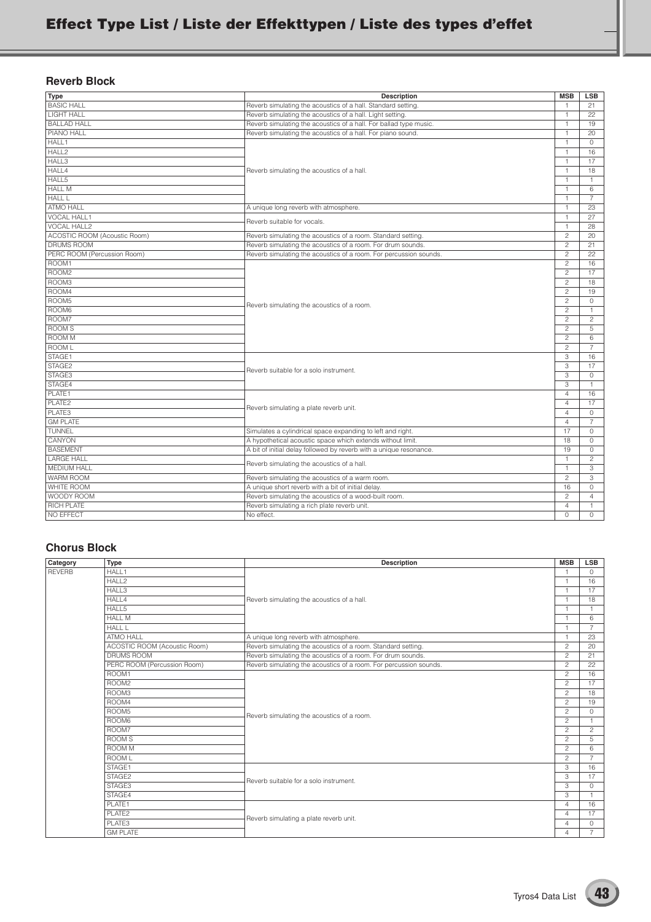### **Reverb Block**

| <b>Type</b>                  | <b>Description</b>                                                 | <b>MSB</b>     | <b>LSB</b>     |
|------------------------------|--------------------------------------------------------------------|----------------|----------------|
| <b>BASIC HALL</b>            | Reverb simulating the acoustics of a hall. Standard setting.       |                | 21             |
| <b>LIGHT HALL</b>            | Reverb simulating the acoustics of a hall. Light setting.          | $\overline{1}$ | 22             |
| <b>BALLAD HALL</b>           | Reverb simulating the acoustics of a hall. For ballad type music.  | $\overline{1}$ | 19             |
| <b>PIANO HALL</b>            | Reverb simulating the acoustics of a hall. For piano sound.        | $\mathbf{1}$   | 20             |
| HALL <sub>1</sub>            |                                                                    | $\overline{1}$ | $\Omega$       |
| HALL2                        |                                                                    | $\overline{1}$ | 16             |
| HALL3                        |                                                                    | $\overline{1}$ | 17             |
| HALL4                        | Reverb simulating the acoustics of a hall.                         | $\overline{1}$ | 18             |
| HALL5                        |                                                                    | $\overline{1}$ | $\mathbf{1}$   |
| <b>HALL M</b>                | A unique long reverb with atmosphere.                              |                | 6              |
| <b>HALL L</b>                |                                                                    |                | $\overline{7}$ |
| <b>ATMO HALL</b>             |                                                                    |                | 23             |
| <b>VOCAL HALL1</b>           | Reverb suitable for vocals.                                        |                | 27             |
| <b>VOCAL HALL2</b>           |                                                                    |                | 28             |
| ACOSTIC ROOM (Acoustic Room) | Reverb simulating the acoustics of a room. Standard setting.       |                | 20             |
| <b>DRUMS ROOM</b>            | Reverb simulating the acoustics of a room. For drum sounds.        |                | 21             |
| PERC ROOM (Percussion Room)  | Reverb simulating the acoustics of a room. For percussion sounds.  |                | 22             |
| ROOM1                        |                                                                    |                | 16             |
| ROOM <sub>2</sub>            |                                                                    |                | 17             |
| ROOM3                        |                                                                    | $\overline{c}$ | 18             |
| ROOM4                        |                                                                    | $\overline{c}$ | 19             |
| ROOM5                        |                                                                    |                | 0              |
| ROOM6                        | Reverb simulating the acoustics of a room.                         | $\overline{c}$ | 1.             |
| ROOM7                        |                                                                    |                | $\overline{c}$ |
| ROOM <sub>S</sub>            |                                                                    |                | 5              |
| <b>ROOM M</b>                |                                                                    | $\overline{c}$ | 6              |
| ROOM L                       |                                                                    | $\overline{c}$ | $\overline{7}$ |
| STAGE1                       |                                                                    | 3              | 16             |
| STAGE <sub>2</sub>           | Reverb suitable for a solo instrument.                             | 3              | 17             |
| STAGE3                       |                                                                    | 3              | 0              |
| STAGE4                       |                                                                    | 3              | $\mathbf{1}$   |
| PLATE1                       |                                                                    | $\overline{4}$ | 16             |
| PLATE <sub>2</sub>           | Reverb simulating a plate reverb unit.                             | $\overline{4}$ | 17             |
| PLATE3                       |                                                                    | $\overline{4}$ | 0              |
| <b>GM PLATE</b>              |                                                                    | $\overline{4}$ | $\overline{7}$ |
| <b>TUNNEL</b>                | Simulates a cylindrical space expanding to left and right.         |                | 0              |
| CANYON                       | A hypothetical acoustic space which extends without limit.         | 18             | 0              |
| <b>BASEMENT</b>              | A bit of initial delay followed by reverb with a unique resonance. | 19             | 0              |
| <b>LARGE HALL</b>            | Reverb simulating the acoustics of a hall.                         | $\overline{1}$ | $\overline{c}$ |
| <b>MEDIUM HALL</b>           |                                                                    | $\overline{1}$ | 3              |
| <b>WARM ROOM</b>             | Reverb simulating the acoustics of a warm room.                    | $\overline{c}$ | 3              |
| WHITE ROOM                   | A unique short reverb with a bit of initial delay.                 | 16             | 0              |
| WOODY ROOM                   | Reverb simulating the acoustics of a wood-built room.              | $\overline{c}$ | $\overline{4}$ |
| RICH PLATE                   | Reverb simulating a rich plate reverb unit.                        | $\overline{4}$ | $\mathbf{1}$   |
| NO EFFECT                    | No effect.                                                         | $\Omega$       | 0              |

## **Chorus Block**

| Category      | <b>Type</b>                  | <b>Description</b>                                                | <b>MSB</b>     | <b>LSB</b>     |
|---------------|------------------------------|-------------------------------------------------------------------|----------------|----------------|
| <b>REVERB</b> | HALL1                        |                                                                   |                | $\circ$        |
|               | HALL <sub>2</sub>            |                                                                   | $\overline{1}$ | 16             |
|               | HALL3                        |                                                                   | $\overline{1}$ | 17             |
|               | HALL4                        | Reverb simulating the acoustics of a hall.                        | $\overline{1}$ | 18             |
|               | HALL5                        |                                                                   |                |                |
|               | <b>HALL M</b>                |                                                                   | $\overline{1}$ | 6              |
|               | <b>HALL L</b>                |                                                                   | $\overline{1}$ | $\overline{7}$ |
|               | <b>ATMO HALL</b>             | A unique long reverb with atmosphere.                             | $\overline{1}$ | 23             |
|               | ACOSTIC ROOM (Acoustic Room) | Reverb simulating the acoustics of a room. Standard setting.      | $\overline{c}$ | 20             |
|               | DRUMS ROOM                   | Reverb simulating the acoustics of a room. For drum sounds.       | $\overline{c}$ | 21             |
|               | PERC ROOM (Percussion Room)  | Reverb simulating the acoustics of a room. For percussion sounds. | $\overline{c}$ | 22             |
|               | ROOM1                        |                                                                   | $\overline{c}$ | 16             |
|               | ROOM <sub>2</sub>            |                                                                   | $\overline{c}$ | 17             |
|               | ROOM3                        |                                                                   | $\overline{c}$ | 18             |
|               | ROOM4                        |                                                                   | $\overline{c}$ | 19             |
|               | ROOM <sub>5</sub>            | Reverb simulating the acoustics of a room.                        | $\overline{c}$ | $\Omega$       |
|               | ROOM6                        |                                                                   | $\overline{c}$ | $\overline{1}$ |
|               | ROOM7                        |                                                                   | $\overline{c}$ | $\overline{c}$ |
|               | <b>ROOMS</b>                 |                                                                   | $\overline{c}$ | 5              |
|               | ROOM M                       |                                                                   | $\overline{c}$ | 6              |
|               | <b>ROOM L</b>                |                                                                   | $\overline{c}$ | $\overline{7}$ |
|               | STAGE1                       |                                                                   | 3              | 16             |
|               | STAGE2                       | Reverb suitable for a solo instrument.                            | 3              | 17             |
|               | STAGE3                       |                                                                   | 3              | $\Omega$       |
|               | STAGE4                       |                                                                   | 3              |                |
|               | PLATE1                       |                                                                   | $\Delta$       | 16             |
|               | PLATE2                       | Reverb simulating a plate reverb unit.                            | $\overline{A}$ | 17             |
|               | PLATE3                       |                                                                   | $\overline{4}$ | $\circ$        |
|               | <b>GM PLATE</b>              |                                                                   | $\overline{A}$ | $\overline{7}$ |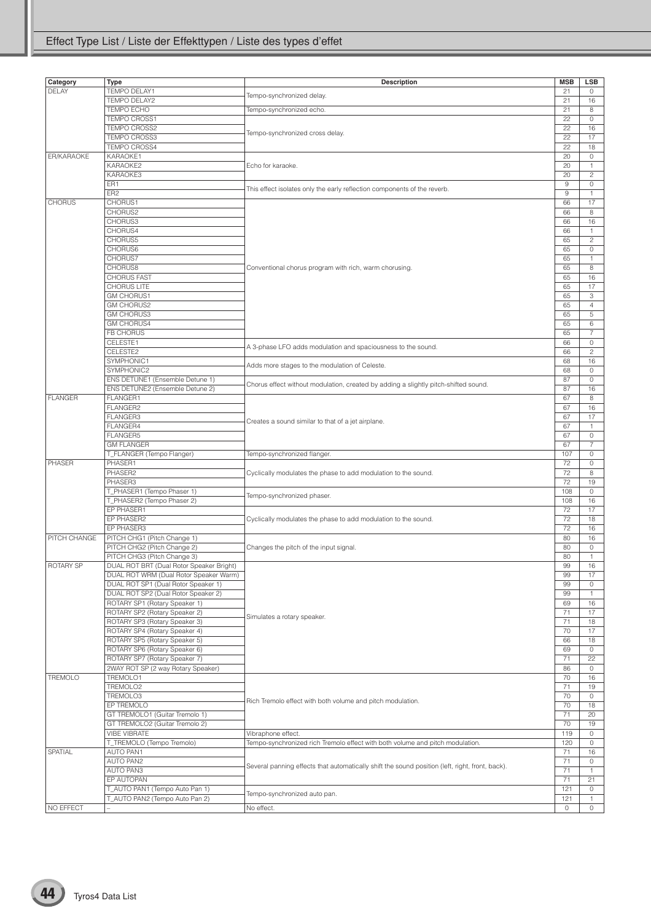| Category         | Type                                     | Description                                                                                     | <b>MSB</b> | LSB            |
|------------------|------------------------------------------|-------------------------------------------------------------------------------------------------|------------|----------------|
| <b>DELAY</b>     | <b>TEMPO DELAY1</b>                      |                                                                                                 | 21         | 0              |
|                  | TEMPO DELAY2                             | Tempo-synchronized delay.                                                                       | 21         | 16             |
|                  | TEMPO ECHO                               | Tempo-synchronized echo.                                                                        | 21         | 8              |
|                  | TEMPO CROSS1                             |                                                                                                 | 22         | $\circ$        |
|                  | <b>TEMPO CROSS2</b>                      |                                                                                                 | 22         |                |
|                  | <b>TEMPO CROSS3</b>                      | Tempo-synchronized cross delay.                                                                 | 22         | 16<br>17       |
|                  |                                          |                                                                                                 |            |                |
|                  | <b>TEMPO CROSS4</b>                      |                                                                                                 | 22         | 18             |
| ER/KARAOKE       | KARAOKE1                                 |                                                                                                 | 20         | $\circ$        |
|                  | KARAOKE2                                 | Echo for karaoke.                                                                               | 20         | $\mathbf{1}$   |
|                  | KARAOKE3                                 |                                                                                                 | 20         | $\overline{c}$ |
|                  | ER1                                      | This effect isolates only the early reflection components of the reverb.                        | 9          | $\circ$        |
|                  | ER <sub>2</sub>                          |                                                                                                 | $\,9$      | $\mathbf{1}$   |
| <b>CHORUS</b>    | CHORUS1                                  |                                                                                                 | 66         | 17             |
|                  | CHORUS2                                  |                                                                                                 | 66         | 8              |
|                  | CHORUS3                                  |                                                                                                 | 66         | 16             |
|                  | CHORUS4                                  |                                                                                                 | 66         | $\mathbf{1}$   |
|                  | CHORUS5                                  |                                                                                                 | 65         | $\sqrt{2}$     |
|                  | CHORUS6                                  |                                                                                                 | 65         | $\circ$        |
|                  | CHORUS7                                  |                                                                                                 | 65         | $\mathbf{1}$   |
|                  | CHORUS8                                  | Conventional chorus program with rich, warm chorusing.                                          | 65         | 8              |
|                  | <b>CHORUS FAST</b>                       |                                                                                                 | 65         | 16             |
|                  | <b>CHORUS LITE</b>                       |                                                                                                 | 65         | 17             |
|                  | <b>GM CHORUS1</b>                        |                                                                                                 | 65         | 3              |
|                  | <b>GM CHORUS2</b>                        |                                                                                                 | 65         | $\overline{4}$ |
|                  | <b>GM CHORUS3</b>                        |                                                                                                 | 65         | 5              |
|                  | <b>GM CHORUS4</b>                        |                                                                                                 | 65         | 6              |
|                  | FB CHORUS                                |                                                                                                 | 65         | $\overline{7}$ |
|                  | CELESTE1                                 |                                                                                                 | 66         | $\circ$        |
|                  | CELESTE2                                 | A 3-phase LFO adds modulation and spaciousness to the sound.                                    | 66         | $\overline{c}$ |
|                  | SYMPHONIC1                               |                                                                                                 | 68         | 16             |
|                  | SYMPHONIC2                               | Adds more stages to the modulation of Celeste.                                                  | 68         | 0              |
|                  | ENS DETUNE1 (Ensemble Detune 1)          |                                                                                                 | 87         |                |
|                  | ENS DETUNE2 (Ensemble Detune 2)          | Chorus effect without modulation, created by adding a slightly pitch-shifted sound.             | 87         | 0<br>16        |
|                  |                                          |                                                                                                 |            |                |
| <b>FLANGER</b>   | FLANGER1                                 |                                                                                                 | 67         | 8              |
|                  | FLANGER2                                 |                                                                                                 | 67         | 16             |
|                  | FLANGER3                                 | Creates a sound similar to that of a jet airplane.                                              | 67         | 17             |
|                  | FLANGER4                                 |                                                                                                 | 67         | $\mathbf{1}$   |
|                  | FLANGER5                                 |                                                                                                 | 67         | $\circ$        |
|                  | <b>GM FLANGER</b>                        |                                                                                                 | 67         | $\overline{7}$ |
|                  | T_FLANGER (Tempo Flanger)                | Tempo-synchronized flanger.                                                                     | 107        | $\circ$        |
| PHASER           | PHASER1                                  |                                                                                                 | 72         | 0              |
|                  | PHASER2                                  | Cyclically modulates the phase to add modulation to the sound.                                  | 72         | 8              |
|                  | PHASER3                                  |                                                                                                 | 72         | 19             |
|                  | T_PHASER1 (Tempo Phaser 1)               | Tempo-synchronized phaser.                                                                      | 108        | 0              |
|                  | T_PHASER2 (Tempo Phaser 2)               |                                                                                                 | 108        | 16             |
|                  | EP PHASER1                               |                                                                                                 | 72         | 17             |
|                  | EP PHASER2                               | Cyclically modulates the phase to add modulation to the sound.                                  | 72         | 18             |
|                  | EP PHASER3                               |                                                                                                 | 72         | 16             |
| PITCH CHANGE     | PITCH CHG1 (Pitch Change 1)              |                                                                                                 | 80         | 16             |
|                  | PITCH CHG2 (Pitch Change 2)              | Changes the pitch of the input signal.                                                          | 80         | $\circ$        |
|                  | PITCH CHG3 (Pitch Change 3)              |                                                                                                 | 80         | $\mathbf{1}$   |
| <b>ROTARY SP</b> | DUAL ROT BRT (Dual Rotor Speaker Bright) |                                                                                                 | 99         | 16             |
|                  | DUAL ROT WRM (Dual Rotor Speaker Warm)   |                                                                                                 | 99         | 17             |
|                  | DUAL ROT SP1 (Dual Rotor Speaker 1)      |                                                                                                 | 99         | $\circ$        |
|                  | DUAL ROT SP2 (Dual Rotor Speaker 2)      |                                                                                                 | 99         | 1              |
|                  | ROTARY SP1 (Rotary Speaker 1)            |                                                                                                 | 69         | 16             |
|                  | ROTARY SP2 (Rotary Speaker 2)            |                                                                                                 | 71         | 17             |
|                  | ROTARY SP3 (Rotary Speaker 3)            | Simulates a rotary speaker.                                                                     | 71         | 18             |
|                  | ROTARY SP4 (Rotary Speaker 4)            |                                                                                                 | 70         | 17             |
|                  | ROTARY SP5 (Rotary Speaker 5)            |                                                                                                 | 66         | 18             |
|                  | ROTARY SP6 (Rotary Speaker 6)            |                                                                                                 | 69         | $\circ$        |
|                  |                                          |                                                                                                 |            |                |
|                  | ROTARY SP7 (Rotary Speaker 7)            |                                                                                                 | 71         | 22             |
|                  | 2WAY ROT SP (2 way Rotary Speaker)       |                                                                                                 | 86         | $\circ$        |
| <b>TREMOLO</b>   | TREMOLO1                                 |                                                                                                 | 70         | 16             |
|                  | TREMOLO2                                 |                                                                                                 | 71         | 19             |
|                  | TREMOLO <sub>3</sub>                     | Rich Tremolo effect with both volume and pitch modulation.                                      | 70         | $\circ$        |
|                  | EP TREMOLO                               |                                                                                                 | 70         | 18             |
|                  | GT TREMOLO1 (Guitar Tremolo 1)           |                                                                                                 | 71         | 20             |
|                  | GT TREMOLO2 (Guitar Tremolo 2)           |                                                                                                 | 70         | 19             |
|                  | VIBE VIBRATE                             | Vibraphone effect.                                                                              | 119        | $\circ$        |
|                  | T_TREMOLO (Tempo Tremolo)                | Tempo-synchronized rich Tremolo effect with both volume and pitch modulation.                   | 120        | $\circ$        |
| SPATIAL          | <b>AUTO PAN1</b>                         |                                                                                                 | 71         | 16             |
|                  | <b>AUTO PAN2</b>                         |                                                                                                 | 71         | $\circ$        |
|                  | AUTO PAN3                                | Several panning effects that automatically shift the sound position (left, right, front, back). | 71         | $\mathbf{1}$   |
|                  | EP AUTOPAN                               |                                                                                                 | 71         | 21             |
|                  | T_AUTO PAN1 (Tempo Auto Pan 1)           |                                                                                                 | 121        | $\circ$        |
|                  | T_AUTO PAN2 (Tempo Auto Pan 2)           | Tempo-synchronized auto pan.                                                                    | 121        | $\mathbf{1}$   |
| NO EFFECT        |                                          | No effect.                                                                                      | $\circ$    | $\circ$        |
|                  |                                          |                                                                                                 |            |                |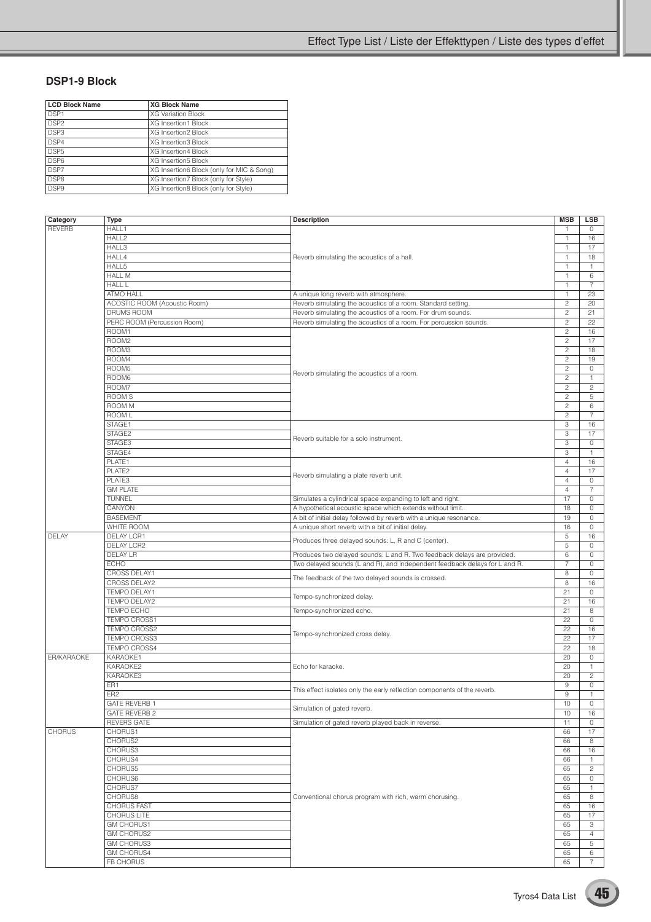## **DSP1-9 Block**

| <b>LCD Block Name</b> | <b>XG Block Name</b>                      |
|-----------------------|-------------------------------------------|
| DSP <sub>1</sub>      | <b>XG Variation Block</b>                 |
| DSP <sub>2</sub>      | <b>XG Insertion1 Block</b>                |
| DSP3                  | XG Insertion2 Block                       |
| DSP4                  | XG Insertion3 Block                       |
| DSP <sub>5</sub>      | <b>XG Insertion4 Block</b>                |
| DSP <sub>6</sub>      | <b>XG Insertion5 Block</b>                |
| DSP7                  | XG Insertion6 Block (only for MIC & Song) |
| DSP <sub>8</sub>      | XG Insertion7 Block (only for Style)      |
| DSP <sub>9</sub>      | XG Insertion8 Block (only for Style)      |

| Category      | Type                         | <b>Description</b>                                                         | <b>MSB</b>              | <b>LSB</b>          |
|---------------|------------------------------|----------------------------------------------------------------------------|-------------------------|---------------------|
| <b>REVERB</b> | HALL1                        |                                                                            | $\mathbf{1}$            | $\circ$             |
|               | HALL <sub>2</sub>            |                                                                            | $\mathbf{1}$            | 16                  |
|               | HALL3                        |                                                                            |                         |                     |
|               |                              |                                                                            | $\mathbf{1}$            | 17                  |
|               | HALL4                        | Reverb simulating the acoustics of a hall.                                 | $\mathbf{1}$            | 18                  |
|               | HALL5                        |                                                                            | $\mathbf{1}$            | $\mathbf{1}$        |
|               | <b>HALL M</b>                |                                                                            | 1                       | 6                   |
|               | <b>HALL L</b>                |                                                                            | $\mathbf{1}$            | $\overline{7}$      |
|               | <b>ATMO HALL</b>             | A unique long reverb with atmosphere.                                      | $\mathbf{1}$            | 23                  |
|               |                              |                                                                            |                         |                     |
|               | ACOSTIC ROOM (Acoustic Room) | Reverb simulating the acoustics of a room. Standard setting.               | $\overline{c}$          | 20                  |
|               | DRUMS ROOM                   | Reverb simulating the acoustics of a room. For drum sounds.                | $\overline{c}$          | 21                  |
|               | PERC ROOM (Percussion Room)  | Reverb simulating the acoustics of a room. For percussion sounds.          | $\overline{c}$          | 22                  |
|               | ROOM1                        |                                                                            | $\overline{c}$          | 16                  |
|               | ROOM <sub>2</sub>            |                                                                            | $\overline{\mathbf{c}}$ | 17                  |
|               | ROOM3                        |                                                                            | $\overline{c}$          | 18                  |
|               | ROOM4                        |                                                                            | $\overline{c}$          | 19                  |
|               |                              |                                                                            |                         |                     |
|               | ROOM5                        | Reverb simulating the acoustics of a room.                                 | $\overline{c}$          | $\circ$             |
|               | ROOM6                        |                                                                            | $\overline{c}$          | $\mathbf{1}$        |
|               | ROOM7                        |                                                                            | $\overline{c}$          | $\mathbf{2}$        |
|               | ROOM S                       |                                                                            | $\overline{\mathbf{c}}$ | 5                   |
|               | <b>ROOM M</b>                |                                                                            | $\overline{c}$          | 6                   |
|               | ROOM L                       |                                                                            | $\overline{c}$          | $\overline{7}$      |
|               | STAGE1                       |                                                                            |                         |                     |
|               |                              |                                                                            | 3                       | 16                  |
|               | STAGE2                       | Reverb suitable for a solo instrument.                                     | 3                       | 17                  |
|               | STAGE3                       |                                                                            | 3                       | 0                   |
|               | STAGE4                       |                                                                            | 3                       | $\mathbf{1}$        |
|               | PLATE1                       |                                                                            | $\overline{4}$          | 16                  |
|               | PLATE2                       |                                                                            | $\overline{4}$          | 17                  |
|               |                              | Reverb simulating a plate reverb unit.                                     |                         |                     |
|               | PLATE3                       |                                                                            | $\overline{4}$          | $\circ$             |
|               | <b>GM PLATE</b>              |                                                                            | $\overline{4}$          | $\overline{7}$      |
|               | TUNNEL                       | Simulates a cylindrical space expanding to left and right.                 | 17                      | $\circ$             |
|               | CANYON                       | A hypothetical acoustic space which extends without limit.                 | 18                      | $\circ$             |
|               | <b>BASEMENT</b>              | A bit of initial delay followed by reverb with a unique resonance.         | 19                      | $\circ$             |
|               | <b>WHITE ROOM</b>            | A unique short reverb with a bit of initial delay.                         | 16                      | $\mathsf{O}\xspace$ |
|               |                              |                                                                            |                         |                     |
| DELAY         | DELAY LCR1                   | Produces three delayed sounds: L, R and C (center).                        | 5                       | 16                  |
|               | DELAY LCR2                   |                                                                            | 5                       | $\circ$             |
|               | DELAY LR                     | Produces two delayed sounds: L and R. Two feedback delays are provided.    | 6                       | 0                   |
|               | <b>ECHO</b>                  | Two delayed sounds (L and R), and independent feedback delays for L and R. | 7                       | 0                   |
|               | CROSS DELAY1                 |                                                                            | 8                       | 0                   |
|               | CROSS DELAY2                 | The feedback of the two delayed sounds is crossed.                         | 8                       | 16                  |
|               |                              |                                                                            |                         |                     |
|               | TEMPO DELAY1                 | Tempo-synchronized delay.                                                  | 21                      | $\circ$             |
|               | TEMPO DELAY2                 |                                                                            | 21                      | 16                  |
|               | TEMPO ECHO                   | Tempo-synchronized echo.                                                   | 21                      | 8                   |
|               | TEMPO CROSS1                 |                                                                            | 22                      | 0                   |
|               | TEMPO CROSS2                 |                                                                            | 22                      | 16                  |
|               | TEMPO CROSS3                 | Tempo-synchronized cross delay.                                            | 22                      | 17                  |
|               | <b>TEMPO CROSS4</b>          |                                                                            | 22                      | 18                  |
|               |                              |                                                                            |                         |                     |
| ER/KARAOKE    | KARAOKE1                     |                                                                            | 20                      | $\circ$             |
|               | KARAOKE2                     | Echo for karaoke.                                                          | 20                      | $\mathbf{1}$        |
|               | KARAOKE3                     |                                                                            | 20                      | $\overline{c}$      |
|               | ER1                          |                                                                            | 9                       | 0                   |
|               | ER <sub>2</sub>              | This effect isolates only the early reflection components of the reverb.   | $\mathsf g$             | $\mathbf{1}$        |
|               | <b>GATE REVERB 1</b>         |                                                                            | 10                      | $\circ$             |
|               |                              | Simulation of gated reverb.                                                |                         |                     |
|               | <b>GATE REVERB 2</b>         |                                                                            | 10                      | 16                  |
|               | <b>REVERS GATE</b>           | Simulation of gated reverb played back in reverse.                         | 11                      | $\circ$             |
| <b>CHORUS</b> | CHORUS1                      |                                                                            | 66                      | 17                  |
|               | CHORUS2                      |                                                                            | 66                      | 8                   |
|               | CHORUS3                      |                                                                            | 66                      | 16                  |
|               | CHORUS4                      |                                                                            | 66                      | $\mathbf{1}$        |
|               | CHORUS5                      |                                                                            |                         |                     |
|               |                              |                                                                            | 65                      | $\overline{c}$      |
|               | CHORUS6                      |                                                                            | 65                      | $\circ$             |
|               | CHORUS7                      |                                                                            | 65                      | 1                   |
|               | <b>CHORUS8</b>               | Conventional chorus program with rich, warm chorusing.                     | 65                      | 8                   |
|               | <b>CHORUS FAST</b>           |                                                                            | 65                      | 16                  |
|               | CHORUS LITE                  |                                                                            | 65                      | 17                  |
|               |                              |                                                                            |                         |                     |
|               | <b>GM CHORUS1</b>            |                                                                            | 65                      | 3                   |
|               | <b>GM CHORUS2</b>            |                                                                            | 65                      | $\overline{4}$      |
|               | <b>GM CHORUS3</b>            |                                                                            | 65                      | 5                   |
|               | <b>GM CHORUS4</b>            |                                                                            | 65                      | 6                   |
|               | FB CHORUS                    |                                                                            | 65                      | $\overline{7}$      |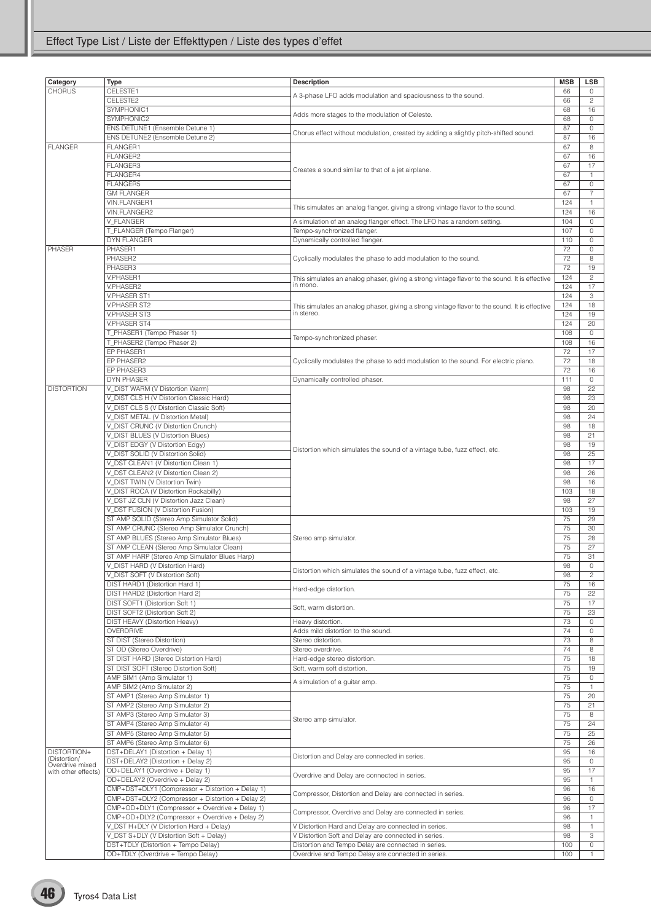| Category            | Type                                             | <b>Description</b>                                                                            | <b>MSB</b> | <b>LSB</b>          |
|---------------------|--------------------------------------------------|-----------------------------------------------------------------------------------------------|------------|---------------------|
| <b>CHORUS</b>       | CELESTE1                                         |                                                                                               | 66         | $\circ$             |
|                     | CELESTE2                                         | A 3-phase LFO adds modulation and spaciousness to the sound.                                  | 66         | $\overline{c}$      |
|                     | SYMPHONIC1                                       |                                                                                               | 68         | 16                  |
|                     | SYMPHONIC2                                       | Adds more stages to the modulation of Celeste.                                                | 68         | $\circ$             |
|                     | ENS DETUNE1 (Ensemble Detune 1)                  |                                                                                               | 87         | $\circ$             |
|                     | ENS DETUNE2 (Ensemble Detune 2)                  | Chorus effect without modulation, created by adding a slightly pitch-shifted sound.           | 87         | 16                  |
| <b>FLANGER</b>      | FLANGER1                                         |                                                                                               | 67         | 8                   |
|                     | FLANGER2                                         |                                                                                               | 67         | 16                  |
|                     | FLANGER3                                         |                                                                                               | 67         | 17                  |
|                     | FLANGER4                                         | Creates a sound similar to that of a jet airplane.                                            | 67         | $\mathbf{1}$        |
|                     |                                                  |                                                                                               |            |                     |
|                     | FLANGER5                                         |                                                                                               | 67         | $\circ$             |
|                     | <b>GM FLANGER</b>                                |                                                                                               | 67         | $\overline{7}$      |
|                     | VIN.FLANGER1                                     | This simulates an analog flanger, giving a strong vintage flavor to the sound.                | 124        | $\mathbf{1}$        |
|                     | VIN.FLANGER2                                     |                                                                                               | 124        | 16                  |
|                     | V FLANGER                                        | A simulation of an analog flanger effect. The LFO has a random setting.                       | 104        | 0                   |
|                     | T_FLANGER (Tempo Flanger)                        | Tempo-synchronized flanger.                                                                   | 107        | $\mathsf{O}\xspace$ |
|                     | <b>DYN FLANGER</b>                               | Dynamically controlled flanger.                                                               | 110        | $\mathsf{O}\xspace$ |
| <b>PHASER</b>       | PHASER1                                          |                                                                                               | 72         | $\circ$             |
|                     | PHASER2                                          | Cyclically modulates the phase to add modulation to the sound.                                | 72         | 8                   |
|                     | PHASER3                                          |                                                                                               | 72         | 19                  |
|                     | V.PHASER1                                        | This simulates an analog phaser, giving a strong vintage flavor to the sound. It is effective | 124        | $\overline{c}$      |
|                     | V.PHASER2                                        | in mono.                                                                                      | 124        | 17                  |
|                     | <b>V.PHASER ST1</b>                              |                                                                                               | 124        | 3                   |
|                     | <b>V.PHASER ST2</b>                              | This simulates an analog phaser, giving a strong vintage flavor to the sound. It is effective | 124        | 18                  |
|                     | <b>V.PHASER ST3</b>                              | in stereo.                                                                                    | 124        | 19                  |
|                     | <b>V.PHASER ST4</b>                              |                                                                                               | 124        | 20                  |
|                     | T_PHASER1 (Tempo Phaser 1)                       |                                                                                               | 108        | 0                   |
|                     | T_PHASER2 (Tempo Phaser 2)                       | Tempo-synchronized phaser.                                                                    | 108        | 16                  |
|                     | EP PHASER1                                       |                                                                                               | 72         | 17                  |
|                     | EP PHASER2                                       | Cyclically modulates the phase to add modulation to the sound. For electric piano.            | 72         | 18                  |
|                     | EP PHASER3                                       |                                                                                               | 72         | 16                  |
|                     | <b>DYN PHASER</b>                                |                                                                                               | 111        | 0                   |
| <b>DISTORTION</b>   |                                                  | Dynamically controlled phaser.                                                                | 98         | 22                  |
|                     | V_DIST WARM (V Distortion Warm)                  |                                                                                               |            |                     |
|                     | V DIST CLS H (V Distortion Classic Hard)         |                                                                                               | 98         | 23                  |
|                     | V_DIST CLS S (V Distortion Classic Soft)         |                                                                                               | 98         | 20                  |
|                     | V_DIST METAL (V Distortion Metal)                |                                                                                               | 98         | 24                  |
|                     | V_DIST CRUNC (V Distortion Crunch)               |                                                                                               | 98         | 18                  |
|                     | V_DIST BLUES (V Distortion Blues)                |                                                                                               | 98         | 21                  |
|                     | V_DIST EDGY (V Distortion Edgy)                  | Distortion which simulates the sound of a vintage tube, fuzz effect, etc.                     | 98         | 19                  |
|                     | V_DIST SOLID (V Distortion Solid)                |                                                                                               | 98         | 25                  |
|                     | V_DST CLEAN1 (V Distortion Clean 1)              |                                                                                               | 98         | 17                  |
|                     | V_DST CLEAN2 (V Distortion Clean 2)              |                                                                                               | 98         | 26                  |
|                     | V_DIST TWIN (V Distortion Twin)                  |                                                                                               | 98         | 16                  |
|                     | V_DIST ROCA (V Distortion Rockabilly)            |                                                                                               | 103        | 18                  |
|                     | V_DST JZ CLN (V Distortion Jazz Clean)           |                                                                                               | 98         | 27                  |
|                     | V_DST FUSION (V Distortion Fusion)               |                                                                                               | 103        | 19                  |
|                     | ST AMP SOLID (Stereo Amp Simulator Solid)        |                                                                                               | 75         | 29                  |
|                     | ST AMP CRUNC (Stereo Amp Simulator Crunch)       |                                                                                               | 75         | 30                  |
|                     | ST AMP BLUES (Stereo Amp Simulator Blues)        | Stereo amp simulator.                                                                         | 75         | 28                  |
|                     | ST AMP CLEAN (Stereo Amp Simulator Clean)        |                                                                                               | 75         | 27                  |
|                     | ST AMP HARP (Stereo Amp Simulator Blues Harp)    |                                                                                               | 75         | 31                  |
|                     |                                                  |                                                                                               |            | 0                   |
|                     | V_DIST HARD (V Distortion Hard)                  | Distortion which simulates the sound of a vintage tube, fuzz effect, etc.                     | 98         |                     |
|                     | V_DIST SOFT (V Distortion Soft)                  |                                                                                               | 98         | $\overline{c}$      |
|                     | DIST HARD1 (Distortion Hard 1)                   | Hard-edge distortion.                                                                         | 75         | 16                  |
|                     | DIST HARD2 (Distortion Hard 2)                   |                                                                                               | 75         | 22                  |
|                     | DIST SOFT1 (Distortion Soft 1)                   | Soft, warm distortion.                                                                        | 75         | 17                  |
|                     | DIST SOFT2 (Distortion Soft 2)                   |                                                                                               | 75         | 23                  |
|                     | DIST HEAVY (Distortion Heavy)                    | Heavy distortion.                                                                             | 73         | 0                   |
|                     | OVERDRIVE                                        | Adds mild distortion to the sound.                                                            | 74         | 0                   |
|                     | ST DIST (Stereo Distortion)                      | Stereo distortion.                                                                            | 73         | 8                   |
|                     | ST OD (Stereo Overdrive)                         | Stereo overdrive.                                                                             | 74         | 8                   |
|                     | ST DIST HARD (Stereo Distortion Hard)            | Hard-edge stereo distortion.                                                                  | 75         | 18                  |
|                     | ST DIST SOFT (Stereo Distortion Soft)            | Soft, warm soft distortion.                                                                   | 75         | 19                  |
|                     | AMP SIM1 (Amp Simulator 1)                       |                                                                                               | 75         | 0                   |
|                     | AMP SIM2 (Amp Simulator 2)                       | A simulation of a guitar amp.                                                                 | 75         | 1                   |
|                     | ST AMP1 (Stereo Amp Simulator 1)                 |                                                                                               | 75         | 20                  |
|                     | ST AMP2 (Stereo Amp Simulator 2)                 |                                                                                               | 75         | 21                  |
|                     | ST AMP3 (Stereo Amp Simulator 3)                 |                                                                                               | 75         | 8                   |
|                     | ST AMP4 (Stereo Amp Simulator 4)                 | Stereo amp simulator.                                                                         | 75         | 24                  |
|                     | ST AMP5 (Stereo Amp Simulator 5)                 |                                                                                               | 75         | 25                  |
|                     | ST AMP6 (Stereo Amp Simulator 6)                 |                                                                                               | 75         | 26                  |
| DISTORTION+         | DST+DELAY1 (Distortion + Delay 1)                |                                                                                               | 95         | 16                  |
| (Distortion/        | DST+DELAY2 (Distortion + Delay 2)                | Distortion and Delay are connected in series.                                                 | 95         | 0                   |
| Overdrive mixed     |                                                  |                                                                                               | 95         | 17                  |
| with other effects) | OD+DELAY1 (Overdrive + Delay 1)                  | Overdrive and Delay are connected in series.                                                  |            |                     |
|                     | OD+DELAY2 (Overdrive + Delay 2)                  |                                                                                               | 95         | $\mathbf{1}$        |
|                     | CMP+DST+DLY1 (Compressor + Distortion + Delay 1) | Compressor, Distortion and Delay are connected in series.                                     | 96         | 16                  |
|                     | CMP+DST+DLY2 (Compressor + Distortion + Delay 2) |                                                                                               | 96         | $\circ$             |
|                     | CMP+OD+DLY1 (Compressor + Overdrive + Delay 1)   | Compressor, Overdrive and Delay are connected in series.                                      | 96         | 17                  |
|                     | CMP+OD+DLY2 (Compressor + Overdrive + Delay 2)   |                                                                                               | 96         | 1                   |
|                     | V_DST H+DLY (V Distortion Hard + Delay)          | V Distortion Hard and Delay are connected in series.                                          | 98         | $\mathbf{1}$        |
|                     | V_DST S+DLY (V Distortion Soft + Delay)          | V Distortion Soft and Delay are connected in series.                                          | 98         | 3                   |
|                     | DST+TDLY (Distortion + Tempo Delay)              | Distortion and Tempo Delay are connected in series.                                           | 100        | 0                   |
|                     | OD+TDLY (Overdrive + Tempo Delay)                | Overdrive and Tempo Delay are connected in series.                                            | 100        |                     |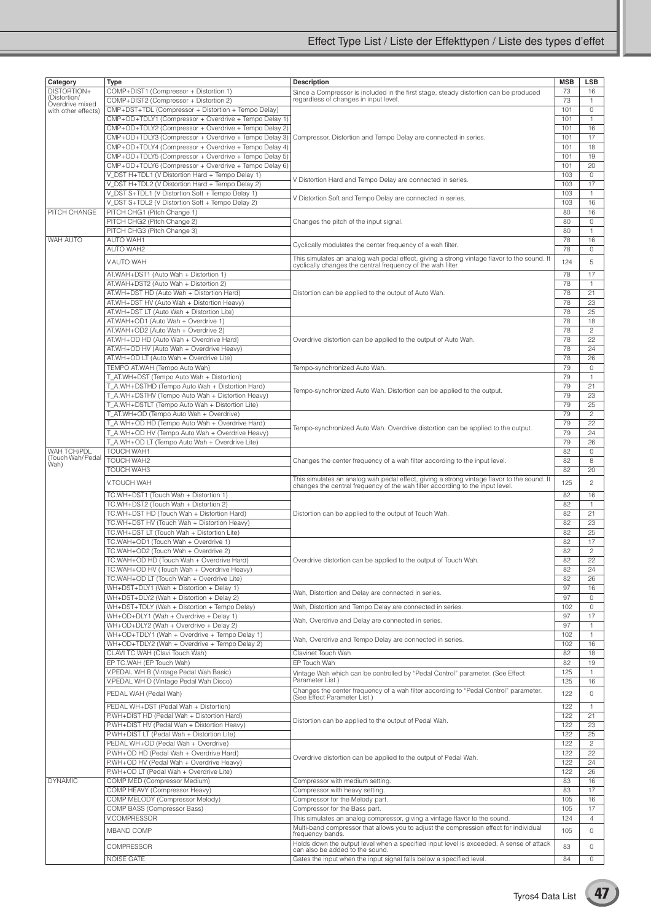### Effect Type List / Liste der Effekttypen / Liste des types d'effet

| Category                    | Type                                                  | <b>Description</b>                                                                                                                                                          | <b>MSB</b> | <b>LSB</b>     |
|-----------------------------|-------------------------------------------------------|-----------------------------------------------------------------------------------------------------------------------------------------------------------------------------|------------|----------------|
| DISTORTION+<br>(Distortion/ | COMP+DIST1 (Compressor + Distortion 1)                | Since a Compressor is included in the first stage, steady distortion can be produced                                                                                        | 73         | 16             |
| Overdrive mixed             | COMP+DIST2 (Compressor + Distortion 2)                | regardless of changes in input level.                                                                                                                                       | 73         | $\mathbf{1}$   |
| with other effects)         | CMP+DST+TDL (Compressor + Distortion + Tempo Delay)   |                                                                                                                                                                             | 101        | $\circ$        |
|                             | CMP+OD+TDLY1 (Compressor + Overdrive + Tempo Delay 1) |                                                                                                                                                                             | 101        | $\mathbf{1}$   |
|                             | CMP+OD+TDLY2 (Compressor + Overdrive + Tempo Delay 2) |                                                                                                                                                                             | 101        | 16             |
|                             | CMP+OD+TDLY3 (Compressor + Overdrive + Tempo Delay 3) | Compressor, Distortion and Tempo Delay are connected in series.                                                                                                             | 101        | 17             |
|                             | CMP+OD+TDLY4 (Compressor + Overdrive + Tempo Delay 4) |                                                                                                                                                                             | 101        | 18             |
|                             | CMP+OD+TDLY5 (Compressor + Overdrive + Tempo Delay 5) |                                                                                                                                                                             | 101        | 19             |
|                             | CMP+OD+TDLY6 (Compressor + Overdrive + Tempo Delay 6) |                                                                                                                                                                             | 101        | 20             |
|                             |                                                       |                                                                                                                                                                             |            |                |
|                             | V_DST H+TDL1 (V Distortion Hard + Tempo Delay 1)      | V Distortion Hard and Tempo Delay are connected in series.                                                                                                                  | 103        | 0              |
|                             | V_DST H+TDL2 (V Distortion Hard + Tempo Delay 2)      |                                                                                                                                                                             | 103        | 17             |
|                             | V_DST S+TDL1 (V Distortion Soft + Tempo Delay 1)      | V Distortion Soft and Tempo Delay are connected in series.                                                                                                                  | 103        | $\mathbf{1}$   |
|                             | V_DST S+TDL2 (V Distortion Soft + Tempo Delay 2)      |                                                                                                                                                                             | 103        | 16             |
| PITCH CHANGE                | PITCH CHG1 (Pitch Change 1)                           |                                                                                                                                                                             | 80         | 16             |
|                             | PITCH CHG2 (Pitch Change 2)                           | Changes the pitch of the input signal.                                                                                                                                      | 80         | 0              |
|                             | PITCH CHG3 (Pitch Change 3)                           |                                                                                                                                                                             | 80         | $\mathbf{1}$   |
| <b>WAH AUTO</b>             | <b>AUTO WAH1</b>                                      |                                                                                                                                                                             | 78         | 16             |
|                             | <b>AUTO WAH2</b>                                      | Cyclically modulates the center frequency of a wah filter.                                                                                                                  | 78         | $\circ$        |
|                             |                                                       |                                                                                                                                                                             |            |                |
|                             | V.AUTO WAH                                            | This simulates an analog wah pedal effect, giving a strong vintage flavor to the sound. It<br>cyclically changes the central frequency of the wah filter.                   | 124        | 5              |
|                             |                                                       |                                                                                                                                                                             | 78         | 17             |
|                             | AT.WAH+DST1 (Auto Wah + Distortion 1)                 |                                                                                                                                                                             |            |                |
|                             | AT.WAH+DST2 (Auto Wah + Distortion 2)                 |                                                                                                                                                                             | 78         | 1              |
|                             | AT.WH+DST HD (Auto Wah + Distortion Hard)             | Distortion can be applied to the output of Auto Wah.                                                                                                                        | 78         | 21             |
|                             | AT.WH+DST HV (Auto Wah + Distortion Heavy)            |                                                                                                                                                                             | 78         | 23             |
|                             | AT.WH+DST LT (Auto Wah + Distortion Lite)             |                                                                                                                                                                             | 78         | 25             |
|                             | AT.WAH+OD1 (Auto Wah + Overdrive 1)                   |                                                                                                                                                                             | 78         | 18             |
|                             | AT.WAH+OD2 (Auto Wah + Overdrive 2)                   |                                                                                                                                                                             | 78         | $\overline{c}$ |
|                             | AT.WH+OD HD (Auto Wah + Overdrive Hard)               | Overdrive distortion can be applied to the output of Auto Wah.                                                                                                              | 78         | 22             |
|                             | AT.WH+OD HV (Auto Wah + Overdrive Heavy)              |                                                                                                                                                                             | 78         | 24             |
|                             | AT.WH+OD LT (Auto Wah + Overdrive Lite)               |                                                                                                                                                                             | 78         |                |
|                             |                                                       |                                                                                                                                                                             |            | 26             |
|                             | TEMPO AT.WAH (Tempo Auto Wah)                         | Tempo-synchronized Auto Wah.                                                                                                                                                | 79         | 0              |
|                             | T_AT.WH+DST (Tempo Auto Wah + Distortion)             |                                                                                                                                                                             | 79         | 1              |
|                             | T_A.WH+DSTHD (Tempo Auto Wah + Distortion Hard)       |                                                                                                                                                                             | 79         | 21             |
|                             | T_A.WH+DSTHV (Tempo Auto Wah + Distortion Heavy)      | Tempo-synchronized Auto Wah. Distortion can be applied to the output.                                                                                                       | 79         | 23             |
|                             | T_A.WH+DSTLT (Tempo Auto Wah + Distortion Lite)       |                                                                                                                                                                             | 79         | 25             |
|                             | T_AT.WH+OD (Tempo Auto Wah + Overdrive)               |                                                                                                                                                                             | 79         | $\mathbf{2}$   |
|                             | T_A.WH+OD HD (Tempo Auto Wah + Overdrive Hard)        |                                                                                                                                                                             | 79         | 22             |
|                             |                                                       | Tempo-synchronized Auto Wah. Overdrive distortion can be applied to the output.                                                                                             |            |                |
|                             | T_A.WH+OD HV (Tempo Auto Wah + Overdrive Heavy)       |                                                                                                                                                                             | 79         | 24             |
|                             | T_A.WH+OD LT (Tempo Auto Wah + Overdrive Lite)        |                                                                                                                                                                             | 79         | 26             |
| WAH TCH/PDL                 | <b>TOUCH WAH1</b>                                     |                                                                                                                                                                             | 82         | $\mathbf 0$    |
| (Touch Wah/Pedal<br>Wah)    | TOUCH WAH2                                            | Changes the center frequency of a wah filter according to the input level.                                                                                                  | 82         | 8              |
|                             | TOUCH WAH3                                            |                                                                                                                                                                             | 82         | 20             |
|                             | V.TOUCH WAH                                           | This simulates an analog wah pedal effect, giving a strong vintage flavor to the sound. It<br>changes the central frequency of the wah filter according to the input level. | 125        | $\overline{c}$ |
|                             |                                                       |                                                                                                                                                                             |            |                |
|                             | TC.WH+DST1 (Touch Wah + Distortion 1)                 |                                                                                                                                                                             | 82         | 16             |
|                             | TC.WH+DST2 (Touch Wah + Distortion 2)                 |                                                                                                                                                                             | 82         | $\mathbf{1}$   |
|                             | TC.WH+DST HD (Touch Wah + Distortion Hard)            | Distortion can be applied to the output of Touch Wah.                                                                                                                       | 82         | 21             |
|                             | TC.WH+DST HV (Touch Wah + Distortion Heavy)           |                                                                                                                                                                             | 82         | 23             |
|                             | TC.WH+DST LT (Touch Wah + Distortion Lite)            |                                                                                                                                                                             | 82         | 25             |
|                             |                                                       |                                                                                                                                                                             |            |                |
|                             | TC.WAH+OD1 (Touch Wah + Overdrive 1)                  |                                                                                                                                                                             | 82         | 17             |
|                             | TC.WAH+OD2 (Touch Wah + Overdrive 2)                  |                                                                                                                                                                             | 82         | $\overline{c}$ |
|                             | TC.WAH+OD HD (Touch Wah + Overdrive Hard)             | Overdrive distortion can be applied to the output of Touch Wah.                                                                                                             | 82         | 22             |
|                             | TC.WAH+OD HV (Touch Wah + Overdrive Heavy)            |                                                                                                                                                                             | 82         | 24             |
|                             | TC.WAH+OD LT (Touch Wah + Overdrive Lite)             |                                                                                                                                                                             | 82         | 26             |
|                             | WH+DST+DLY1 (Wah + Distortion + Delay 1)              |                                                                                                                                                                             | 97         | 16             |
|                             | WH+DST+DLY2 (Wah + Distortion + Delay 2)              | Wah, Distortion and Delay are connected in series.                                                                                                                          | 97         | 0              |
|                             | WH+DST+TDLY (Wah + Distortion + Tempo Delay)          | Wah, Distortion and Tempo Delay are connected in series.                                                                                                                    | 102        | 0              |
|                             | WH+OD+DLY1 (Wah + Overdrive + Delay 1)                |                                                                                                                                                                             | 97         | 17             |
|                             | WH+OD+DLY2 (Wah + Overdrive + Delay 2)                | Wah, Overdrive and Delay are connected in series.                                                                                                                           | 97         |                |
|                             |                                                       |                                                                                                                                                                             |            | $\mathbf{1}$   |
|                             | WH+OD+TDLY1 (Wah + Overdrive + Tempo Delay 1)         | Wah, Overdrive and Tempo Delay are connected in series.                                                                                                                     | 102        | $\mathbf{1}$   |
|                             | WH+OD+TDLY2 (Wah + Overdrive + Tempo Delay 2)         |                                                                                                                                                                             | 102        | 16             |
|                             | CLAVI TC.WAH (Clavi Touch Wah)                        | Clavinet Touch Wah                                                                                                                                                          | 82         | 18             |
|                             | EP TC.WAH (EP Touch Wah)                              | EP Touch Wah                                                                                                                                                                | 82         | 19             |
|                             | V.PEDAL WH B (Vintage Pedal Wah Basic)                | Vintage Wah which can be controlled by "Pedal Control" parameter. (See Effect                                                                                               | 125        | $\mathbf{1}$   |
|                             | V.PEDAL WH D (Vintage Pedal Wah Disco)                | Parameter List.)                                                                                                                                                            | 125        | 16             |
|                             |                                                       | Changes the center frequency of a wah filter according to "Pedal Control" parameter.                                                                                        |            |                |
|                             | PEDAL WAH (Pedal Wah)                                 | (See Ĕffect Parameter List.)                                                                                                                                                | 122        | 0              |
|                             | PEDAL WH+DST (Pedal Wah + Distortion)                 |                                                                                                                                                                             | 122        | $\mathbf{1}$   |
|                             | P.WH+DIST HD (Pedal Wah + Distortion Hard)            |                                                                                                                                                                             | 122        | 21             |
|                             | P.WH+DIST HV (Pedal Wah + Distortion Heavy)           | Distortion can be applied to the output of Pedal Wah.                                                                                                                       | 122        | 23             |
|                             |                                                       |                                                                                                                                                                             | 122        |                |
|                             | P.WH+DIST LT (Pedal Wah + Distortion Lite)            |                                                                                                                                                                             |            | 25             |
|                             | PEDAL WH+OD (Pedal Wah + Overdrive)                   |                                                                                                                                                                             | 122        | $\overline{c}$ |
|                             | P.WH+OD HD (Pedal Wah + Overdrive Hard)               | Overdrive distortion can be applied to the output of Pedal Wah.                                                                                                             | 122        | 22             |
|                             | P.WH+OD HV (Pedal Wah + Overdrive Heavy)              |                                                                                                                                                                             | 122        | 24             |
|                             | P.WH+OD LT (Pedal Wah + Overdrive Lite)               |                                                                                                                                                                             | 122        | 26             |
| <b>DYNAMIC</b>              | COMP MED (Compressor Medium)                          | Compressor with medium setting.                                                                                                                                             | 83         | 16             |
|                             | COMP HEAVY (Compressor Heavy)                         | Compressor with heavy setting.                                                                                                                                              | 83         | 17             |
|                             | COMP MELODY (Compressor Melody)                       | Compressor for the Melody part.                                                                                                                                             | 105        | 16             |
|                             | COMP BASS (Compressor Bass)                           | Compressor for the Bass part.                                                                                                                                               | 105        | 17             |
|                             |                                                       |                                                                                                                                                                             |            |                |
|                             | <b>V.COMPRESSOR</b>                                   | This simulates an analog compressor, giving a vintage flavor to the sound.                                                                                                  | 124        | $\overline{4}$ |
|                             | <b>MBAND COMP</b>                                     | Multi-band compressor that allows you to adjust the compression effect for individual                                                                                       | 105        | 0              |
|                             |                                                       | frequency bands.                                                                                                                                                            |            |                |
|                             | <b>COMPRESSOR</b>                                     | Holds down the output level when a specified input level is exceeded. A sense of attack<br>can also be added to the sound.                                                  | 83         | 0              |
|                             | <b>NOISE GATE</b>                                     | Gates the input when the input signal falls below a specified level.                                                                                                        | 84         | 0              |
|                             |                                                       |                                                                                                                                                                             |            |                |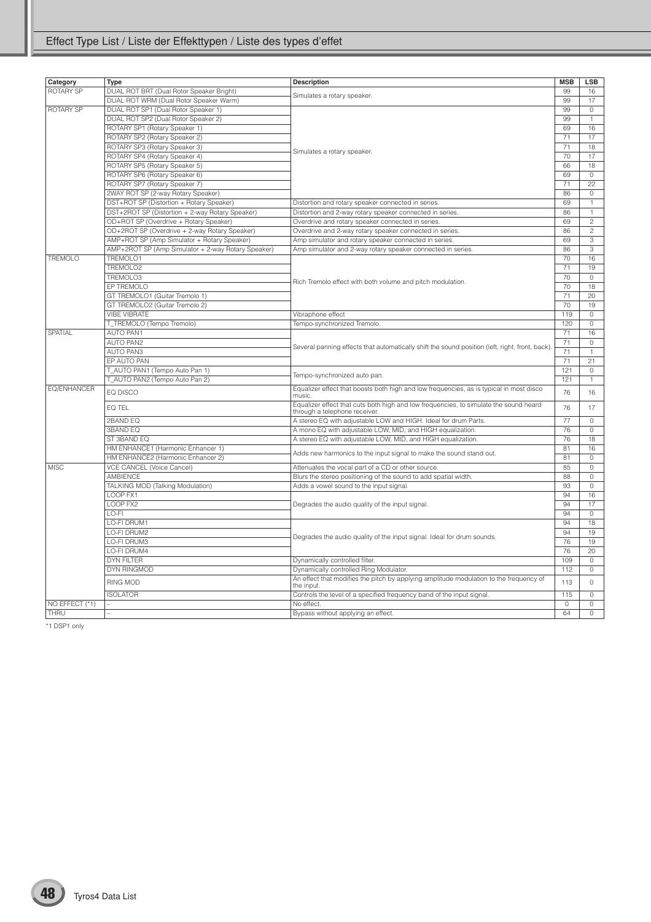| Category           | Type                                               | <b>Description</b>                                                                                                     | <b>MSB</b>      | <b>LSB</b>          |
|--------------------|----------------------------------------------------|------------------------------------------------------------------------------------------------------------------------|-----------------|---------------------|
| <b>ROTARY SP</b>   | DUAL ROT BRT (Dual Rotor Speaker Bright)           |                                                                                                                        | 99              | 16                  |
|                    | DUAL ROT WRM (Dual Rotor Speaker Warm)             | Simulates a rotary speaker.                                                                                            | 99              | 17                  |
| <b>ROTARY SP</b>   | DUAL ROT SP1 (Dual Rotor Speaker 1)                |                                                                                                                        | 99              | $\circ$             |
|                    | DUAL ROT SP2 (Dual Rotor Speaker 2)                |                                                                                                                        | 99              | $\mathbf{1}$        |
|                    | ROTARY SP1 (Rotary Speaker 1)                      |                                                                                                                        | 69              | 16                  |
|                    | ROTARY SP2 (Rotary Speaker 2)                      |                                                                                                                        | $\overline{71}$ | 17                  |
|                    | ROTARY SP3 (Rotary Speaker 3)                      |                                                                                                                        | 71              | 18                  |
|                    | ROTARY SP4 (Rotary Speaker 4)                      | Simulates a rotary speaker.                                                                                            | 70              | 17                  |
|                    | ROTARY SP5 (Rotary Speaker 5)                      |                                                                                                                        | 66              | 18                  |
|                    | ROTARY SP6 (Rotary Speaker 6)                      |                                                                                                                        | 69              | $\circ$             |
|                    | ROTARY SP7 (Rotary Speaker 7)                      |                                                                                                                        | 71              | 22                  |
|                    | 2WAY ROT SP (2-way Rotary Speaker)                 |                                                                                                                        | 86              | $\Omega$            |
|                    | DST+ROT SP (Distortion + Rotary Speaker)           | Distortion and rotary speaker connected in series.                                                                     | 69              | $\mathbf{1}$        |
|                    | DST+2ROT SP (Distortion + 2-way Rotary Speaker)    | Distortion and 2-way rotary speaker connected in series.                                                               | 86              | $\mathbf{1}$        |
|                    | OD+ROT SP (Overdrive + Rotary Speaker)             | Overdrive and rotary speaker connected in series.                                                                      | 69              | $\overline{c}$      |
|                    | OD+2ROT SP (Overdrive + 2-way Rotary Speaker)      | Overdrive and 2-way rotary speaker connected in series.                                                                | 86              | $\overline{c}$      |
|                    | AMP+ROT SP (Amp Simulator + Rotary Speaker)        | Amp simulator and rotary speaker connected in series.                                                                  | 69              | 3                   |
|                    | AMP+2ROT SP (Amp Simulator + 2-way Rotary Speaker) | Amp simulator and 2-way rotary speaker connected in series.                                                            | 86              | 3                   |
| <b>TREMOLO</b>     | TREMOLO1                                           |                                                                                                                        | 70              | 16                  |
|                    | TREMOLO2                                           |                                                                                                                        | 71              | 19                  |
|                    | TREMOLO3                                           |                                                                                                                        | 70              | $\circ$             |
|                    | EP TREMOLO                                         | Rich Tremolo effect with both volume and pitch modulation.                                                             | 70              | 18                  |
|                    | GT TREMOLO1 (Guitar Tremolo 1)                     |                                                                                                                        | 71              | 20                  |
|                    | GT TREMOLO2 (Guitar Tremolo 2)                     |                                                                                                                        | 70              | 19                  |
|                    | <b>VIBE VIBRATE</b>                                | Vibraphone effect                                                                                                      | 119             | $\overline{0}$      |
|                    | T_TREMOLO (Tempo Tremolo)                          | Tempo-synchronized Tremolo.                                                                                            | 120             | $\circ$             |
| SPATIAL            | <b>AUTO PAN1</b>                                   |                                                                                                                        | 71              | 16                  |
|                    | <b>AUTO PAN2</b>                                   |                                                                                                                        | 71              | $\circ$             |
|                    | <b>AUTO PAN3</b>                                   | Several panning effects that automatically shift the sound position (left, right, front, back)                         | 71              | $\mathbf{1}$        |
|                    | EP AUTO PAN                                        |                                                                                                                        | 71              | 21                  |
|                    | T_AUTO PAN1 (Tempo Auto Pan 1)                     |                                                                                                                        | 121             | $\circ$             |
|                    | T_AUTO PAN2 (Tempo Auto Pan 2)                     | Tempo-synchronized auto pan.                                                                                           | 121             | 1                   |
| <b>EQ/ENHANCER</b> |                                                    | Equalizer effect that boosts both high and low frequencies, as is typical in most disco                                |                 |                     |
|                    | EQ DISCO                                           | music.                                                                                                                 | 76              | 16                  |
|                    | EQ TEL                                             | Equalizer effect that cuts both high and low frequencies, to simulate the sound heard<br>through a telephone receiver. | 76              | 17                  |
|                    | 2BAND EQ                                           | A stereo EQ with adjustable LOW and HIGH. Ideal for drum Parts.                                                        | 77              | $\mathbf{0}$        |
|                    | <b>3BAND EQ</b>                                    | A mono EQ with adjustable LOW, MID, and HIGH equalization.                                                             | 76              | $\circ$             |
|                    | ST 3BAND EQ                                        | A stereo EQ with adjustable LOW, MID, and HIGH equalization.                                                           | 76              | 18                  |
|                    | HM ENHANCE1 (Harmonic Enhancer 1)                  | Adds new harmonics to the input signal to make the sound stand out.                                                    | 81              | 16                  |
|                    | HM ENHANCE2 (Harmonic Enhancer 2)                  |                                                                                                                        | 81              | $\circ$             |
| <b>MISC</b>        | <b>VCE CANCEL (Voice Cancel)</b>                   | Attenuates the vocal part of a CD or other source.                                                                     | 85              | $\circ$             |
|                    | AMBIENCE                                           | Blurs the stereo positioning of the sound to add spatial width.                                                        | 88              | $\mathsf{O}\xspace$ |
|                    | TALKING MOD (Talking Modulation)                   | Adds a vowel sound to the input signal.                                                                                | 93              | $\mathsf{O}\xspace$ |
|                    | LOOP FX1                                           |                                                                                                                        | 94              | 16                  |
|                    | LOOP FX2                                           | Degrades the audio quality of the input signal.                                                                        | 94              | 17                  |
|                    | LO-FI                                              |                                                                                                                        | 94              | $\circ$             |
|                    | LO-FI DRUM1                                        |                                                                                                                        | 94              | 18                  |
|                    | LO-FI DRUM2                                        |                                                                                                                        | 94              | 19                  |
|                    | LO-FI DRUM3                                        | Degrades the audio quality of the input signal. Ideal for drum sounds.                                                 | 76              | 19                  |
|                    | LO-FI DRUM4                                        |                                                                                                                        | 76              | 20                  |
|                    | <b>DYN FILTER</b>                                  | Dynamically controlled filter.                                                                                         | 109             | $\mathsf{O}\xspace$ |
|                    | DYN RINGMOD                                        | Dynamically controlled Ring Modulator.                                                                                 | 112             | 0                   |
|                    | RING MOD                                           | An effect that modifies the pitch by applying amplitude modulation to the frequency of<br>the input.                   | 113             | $\circ$             |
|                    | <b>ISOLATOR</b>                                    | Controls the level of a specified frequency band of the input signal.                                                  | 115             | $\circ$             |
| NO EFFECT (*1)     |                                                    | No effect.                                                                                                             | $\Omega$        | $\circ$             |
| THRU               |                                                    | Bypass without applying an effect.                                                                                     | 64              | $\circ$             |

\*1 DSP1 only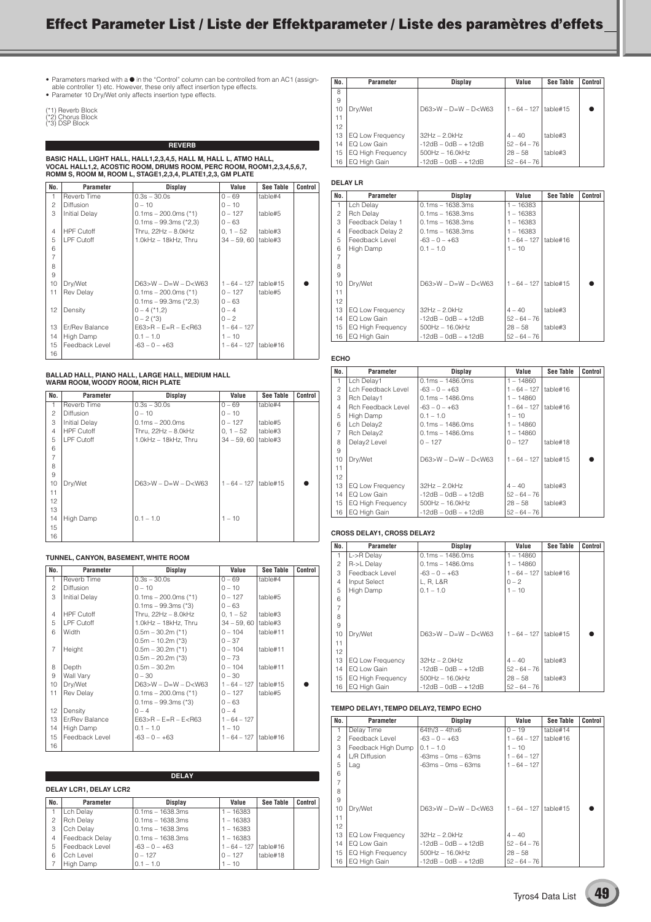## **Effect Parameter List / Liste der Effektparameter / Liste des paramètres d'effets**

• Parameters marked with a ● in the "Control" column can be controlled from an AC1 (assign-<br>able controller 1) etc. However, these only affect insertion type effects.<br>• Parameter 10 Dry/Wet only affects insertion type eff

| (*1) Reverb Block     |  |
|-----------------------|--|
| $(30)$ Charles Diastr |  |

(\*2) Chorus Block (\*3) DSP Block

**REVERB**

BASIC HALL, LIGHT HALL, HALL1,2,3,4,5, HALL M, HALL L, ATMO HALL,<br>VOCAL HALL1,2, ACOSTIC ROOM, DRUMS ROOM, PERC ROOM, ROOM1,2,3,4,5,6,7,<br>ROMM S, ROOM M, ROOM L, STAGE1,2,3,4, PLATE1,2,3, GM PLATE

| No.            | Parameter            | Display                     | Value          | See Table | Control |
|----------------|----------------------|-----------------------------|----------------|-----------|---------|
| $\mathbf{1}$   | Reverb Time          | $0.3s - 30.0s$              | $0 - 69$       | table#4   |         |
| $\overline{c}$ | <b>Diffusion</b>     | $0 - 10$                    | $0 - 10$       |           |         |
| 3              | <b>Initial Delay</b> | $0.1ms - 200.0ms$ (*1)      | $0 - 127$      | table#5   |         |
|                |                      | $0.1ms - 99.3ms$ (*2,3)     | $0 - 63$       |           |         |
| 4              | <b>HPF Cutoff</b>    | Thru, $22Hz - 8.0kHz$       | $0, 1 - 52$    | table#3   |         |
| 5              | LPF Cutoff           | $1.0kHz - 18kHz$ . Thru     | $34 - 59.60$   | table#3   |         |
| 6              |                      |                             |                |           |         |
| $\overline{7}$ |                      |                             |                |           |         |
| 8              |                      |                             |                |           |         |
| 9              |                      |                             |                |           |         |
| 10             | Dry/Wet              | $D63>W - D=W - D< W63$      | $1 - 64 - 127$ | table#15  |         |
| 11             | <b>Rev Delay</b>     | $0.1ms - 200.0ms$ (*1)      | $0 - 127$      | table#5   |         |
|                |                      | $0.1ms - 99.3ms$ (*2,3)     | $0 - 63$       |           |         |
| 12             | Density              | $0 - 4$ (*1,2)              | $0 - 4$        |           |         |
|                |                      | $0 - 2$ (*3)                | $0 - 2$        |           |         |
| 13             | Er/Rev Balance       | $E63 > R - E = R - E < R63$ | $1 - 64 - 127$ |           |         |
| 14             | High Damp            | $0.1 - 1.0$                 | $1 - 10$       |           |         |
| 15             | Feedback Level       | $-63 - 0 - +63$             | $1 - 64 - 127$ | table#16  |         |
| 16             |                      |                             |                |           |         |

## **BALLAD HALL, PIANO HALL, LARGE HALL, MEDIUM HALL WARM ROOM, WOODY ROOM, RICH PLATE**

| No.            | Parameter            | Display                     | Value          | See Table | Control |
|----------------|----------------------|-----------------------------|----------------|-----------|---------|
| 1              | Reverb Time          | $0.3s - 30.0s$              | $0 - 69$       | table#4   |         |
| $\overline{c}$ | <b>Diffusion</b>     | $0 - 10$                    | $0 - 10$       |           |         |
| 3              | <b>Initial Delay</b> | $0.1ms - 200.0ms$           | $0 - 127$      | table#5   |         |
| $\overline{4}$ | <b>HPF Cutoff</b>    | Thru, $22Hz - 8.0kHz$       | $0, 1 - 52$    | table#3   |         |
| 5              | LPF Cutoff           | $1.0kHz - 18kHz$ . Thru     | $34 - 59.60$   | table#3   |         |
| 6              |                      |                             |                |           |         |
| $\overline{7}$ |                      |                             |                |           |         |
| 8              |                      |                             |                |           |         |
| 9              |                      |                             |                |           |         |
| 10             | Dry/Wet              | $D63 > W - D = W - D < W63$ | $1 - 64 - 127$ | table#15  |         |
| 11             |                      |                             |                |           |         |
| 12             |                      |                             |                |           |         |
| 13             |                      |                             |                |           |         |
| 14             | High Damp            | $0.1 - 1.0$                 | $1 - 10$       |           |         |
| 15             |                      |                             |                |           |         |
| 16             |                      |                             |                |           |         |

#### **TUNNEL, CANYON, BASEMENT, WHITE ROOM**

| No.            | Parameter            | Display                     | Value          | See Table | Control |
|----------------|----------------------|-----------------------------|----------------|-----------|---------|
| 1              | Reverb Time          | $0.3s - 30.0s$              | $0 - 69$       | table#4   |         |
| $\overline{c}$ | <b>Diffusion</b>     | $0 - 10$                    | $0 - 10$       |           |         |
| 3              | <b>Initial Delay</b> | $0.1ms - 200.0ms$ (*1)      | $0 - 127$      | table#5   |         |
|                |                      | $0.1ms - 99.3ms$ (*3)       | $0 - 63$       |           |         |
| $\overline{4}$ | <b>HPF Cutoff</b>    | Thru. 22Hz - 8.0kHz         | $0, 1 - 52$    | table#3   |         |
| 5              | LPF Cutoff           | 1.0kHz - 18kHz, Thru        | $34 - 59,60$   | table#3   |         |
| 6              | Width                | $0.5m - 30.2m$ (*1)         | $0 - 104$      | table#11  |         |
|                |                      | $0.5m - 10.2m$ (*3)         | $0 - 37$       |           |         |
| $\overline{7}$ | Height               | $0.5m - 30.2m$ (*1)         | $0 - 104$      | table#11  |         |
|                |                      | $0.5m - 20.2m$ (*3)         | $0 - 73$       |           |         |
| 8              | Depth                | $0.5m - 30.2m$              | $0 - 104$      | table#11  |         |
| 9              | Wall Vary            | $0 - 30$                    | $0 - 30$       |           |         |
| 10             | Dry/Wet              | $D63>W - D=W - D< W63$      | $1 - 64 - 127$ | table#15  |         |
| 11             | <b>Rev Delay</b>     | $0.1ms - 200.0ms$ (*1)      | $0 - 127$      | table#5   |         |
|                |                      | $0.1ms - 99.3ms$ (*3)       | $0 - 63$       |           |         |
| 12             | Density              | $0 - 4$                     | $0 - 4$        |           |         |
| 13             | Er/Rev Balance       | $E63 > R - E = R - E < R63$ | $1 - 64 - 127$ |           |         |
| 14             | High Damp            | $0.1 - 1.0$                 | $1 - 10$       |           |         |
| 15             | Feedback Level       | $-63 - 0 - +63$             | $1 - 64 - 127$ | table#16  |         |
| 16             |                      |                             |                |           |         |

|                | <b>DELAY</b>                  |                    |                |           |         |  |
|----------------|-------------------------------|--------------------|----------------|-----------|---------|--|
|                | <b>DELAY LCR1, DELAY LCR2</b> |                    |                |           |         |  |
| No.            | Parameter                     | Display            | Value          | See Table | Control |  |
|                | Lch Delay                     | $0.1ms - 1638.3ms$ | $1 - 16383$    |           |         |  |
| $\mathfrak{p}$ | <b>Rch Delay</b>              | $0.1ms - 1638.3ms$ | $1 - 16383$    |           |         |  |
| 3              | Cch Delay                     | $0.1ms - 1638.3ms$ | $1 - 16383$    |           |         |  |
| $\overline{4}$ | Feedback Delay                | $0.1ms - 1638.3ms$ | $1 - 16383$    |           |         |  |
| 5              | Feedback Level                | $-63 - 0 - +63$    | $1 - 64 - 127$ | table#16  |         |  |
| 6              | Cch Level                     | $0 - 127$          | $0 - 127$      | table#18  |         |  |
|                | High Damp                     | $0.1 - 1.0$        | $1 - 10$       |           |         |  |

| No. | <b>Parameter</b>         | Display                | Value          | See Table | Control |
|-----|--------------------------|------------------------|----------------|-----------|---------|
| 8   |                          |                        |                |           |         |
| 9   |                          |                        |                |           |         |
| 10  | Drv/Wet                  | $D63>W - D=W - D< W63$ | $1 - 64 - 127$ | table#15  |         |
| 11  |                          |                        |                |           |         |
| 12  |                          |                        |                |           |         |
| 13  | EQ Low Frequency         | $32Hz - 2.0kHz$        | $4 - 40$       | table#3   |         |
| 14  | EQ Low Gain              | $-12dB - OdB - +12dB$  | $52 - 64 - 76$ |           |         |
| 15  | <b>EQ High Frequency</b> | $500Hz - 16.0kHz$      | $28 - 58$      | table#3   |         |
| 16  | EQ High Gain             | $-12dB - OdB - +12dB$  | $52 - 64 - 76$ |           |         |

#### **DELAY LR**

| No.            | Parameter         | Display                     | Value          | See Table | Control |
|----------------|-------------------|-----------------------------|----------------|-----------|---------|
| 1              | Lch Delay         | $0.1ms - 1638.3ms$          | $1 - 16383$    |           |         |
| $\overline{c}$ | <b>Rch Delay</b>  | $0.1ms - 1638.3ms$          | $1 - 16383$    |           |         |
| 3              | Feedback Delay 1  | $0.1ms - 1638.3ms$          | $1 - 16383$    |           |         |
| $\overline{4}$ | Feedback Delay 2  | $0.1ms - 1638.3ms$          | $1 - 16383$    |           |         |
| 5              | Feedback Level    | $-63 - 0 - +63$             | $1 - 64 - 127$ | table#16  |         |
| 6              | High Damp         | $0.1 - 1.0$                 | $1 - 10$       |           |         |
| $\overline{7}$ |                   |                             |                |           |         |
| 8              |                   |                             |                |           |         |
| 9              |                   |                             |                |           |         |
| 10             | Dry/Wet           | $D63 > W - D = W - D < W63$ | $1 - 64 - 127$ | table#15  |         |
| 11             |                   |                             |                |           |         |
| 12             |                   |                             |                |           |         |
| 13             | EQ Low Frequency  | $32Hz - 2.0kHz$             | $4 - 40$       | table#3   |         |
| 14             | EQ Low Gain       | $-12dB - OdB - +12dB$       | $52 - 64 - 76$ |           |         |
| 15             | EQ High Frequency | $500Hz - 16.0kHz$           | $28 - 58$      | table#3   |         |
| 16             | EQ High Gain      | $-12dB - OdB - +12dB$       | $52 - 64 - 76$ |           |         |

#### **ECHO**

| No.            | Parameter                 | Display                     | Value                     | See Table | Control |
|----------------|---------------------------|-----------------------------|---------------------------|-----------|---------|
| 1.             | Lch Delay1                | $0.1ms - 1486.0ms$          | $1 - 14860$               |           |         |
| $\mathfrak{D}$ | Lch Feedback Level        | $-63 - 0 - +63$             | $1 - 64 - 127$            | table#16  |         |
| 3              | Rch Delay1                | $0.1ms - 1486.0ms$          | $1 - 14860$               |           |         |
| $\overline{4}$ | <b>Rch Feedback Level</b> | $-63 - 0 - +63$             | $1 - 64 - 127$            | table#16  |         |
| 5              | High Damp                 | $0.1 - 1.0$                 | $1 - 10$                  |           |         |
| 6              | Lch Delay2                | $0.1ms - 1486.0ms$          | $1 - 14860$               |           |         |
| 7              | Rch Delay2                | $0.1ms - 1486.0ms$          | $1 - 14860$               |           |         |
| 8              | Delay2 Level              | $0 - 127$                   | $0 - 127$                 | table#18  |         |
| 9              |                           |                             |                           |           |         |
| 10             | Dry/Wet                   | $D63 > W - D = W - D < W63$ | $1 - 64 - 127$   table#15 |           |         |
| 11             |                           |                             |                           |           |         |
| 12             |                           |                             |                           |           |         |
| 13             | EQ Low Frequency          | $32Hz - 2.0kHz$             | $4 - 40$                  | table#3   |         |
| 14             | FO Low Gain               | $-12dB - OdB - +12dB$       | $52 - 64 - 76$            |           |         |
| 15             | EQ High Frequency         | $500$ Hz $- 16.0$ kHz       | $28 - 58$                 | table#3   |         |
| 16             | EQ High Gain              | $-12dB - OdB - +12dB$       | $52 - 64 - 76$            |           |         |

#### **CROSS DELAY1, CROSS DELAY2**

| No.            | <b>Parameter</b>         | Display                | Value          | <b>See Table</b> | Control |
|----------------|--------------------------|------------------------|----------------|------------------|---------|
| 1              | L->R Delay               | $0.1ms - 1486.0ms$     | $1 - 14860$    |                  |         |
| $\overline{c}$ | R->L Delay               | $0.1$ ms – 1486.0ms    | $1 - 14860$    |                  |         |
| 3              | Feedback Level           | $-63 - 0 - +63$        | $1 - 64 - 127$ | table#16         |         |
| 4              | Input Select             | L, R, L&R              | $0 - 2$        |                  |         |
| 5              | High Damp                | $0.1 - 1.0$            | $1 - 10$       |                  |         |
| 6              |                          |                        |                |                  |         |
| $\overline{7}$ |                          |                        |                |                  |         |
| 8              |                          |                        |                |                  |         |
| 9              |                          |                        |                |                  |         |
| 10             | Drv/Wet                  | $D63>W - D=W - D< W63$ | $1 - 64 - 127$ | table#15         |         |
| 11             |                          |                        |                |                  |         |
| 12             |                          |                        |                |                  |         |
| 13             | EQ Low Frequency         | $32Hz - 2.0kHz$        | $4 - 40$       | table#3          |         |
| 14             | EQ Low Gain              | -12dB – 0dB – +12dB    | $52 - 64 - 76$ |                  |         |
| 15             | <b>EQ High Frequency</b> | $500$ Hz $- 16.0$ kHz  | $28 - 58$      | table#3          |         |
| 16             | EQ High Gain             | $-12dB - OdB - +12dB$  | $52 - 64 - 76$ |                  |         |

#### **TEMPO DELAY1, TEMPO DELAY2, TEMPO ECHO**

| No.            | Parameter          | Display                     | Value          | See Table | Control |  |
|----------------|--------------------|-----------------------------|----------------|-----------|---------|--|
| $\overline{1}$ | Delay Time         | $64th/3 - 4thx6$            | $0 - 19$       | table#14  |         |  |
| $\overline{2}$ | Feedback Level     | $-63 - 0 - +63$             | $1 - 64 - 127$ | table#16  |         |  |
| 3              | Feedback High Dump | $0.1 - 1.0$                 | $1 - 10$       |           |         |  |
| $\overline{4}$ | L/R Diffusion      | $-63ms - 0ms - 63ms$        | $1 - 64 - 127$ |           |         |  |
| 5              | Lag                | $-63ms - 0ms - 63ms$        | $1 - 64 - 127$ |           |         |  |
| 6              |                    |                             |                |           |         |  |
|                |                    |                             |                |           |         |  |
| 8              |                    |                             |                |           |         |  |
| 9              |                    |                             |                |           |         |  |
| 10             | Drv/Wet            | $D63 > W - D = W - D < W63$ | $1 - 64 - 127$ | table#15  |         |  |
| 11             |                    |                             |                |           |         |  |
| 12             |                    |                             |                |           |         |  |
| 13             | EQ Low Frequency   | $32Hz - 2.0kHz$             | $4 - 40$       |           |         |  |
| 14             | EQ Low Gain        | $-12dB - OdB - +12dB$       | $52 - 64 - 76$ |           |         |  |
| 15             | EQ High Frequency  | $500$ Hz $-16.0$ kHz        | $28 - 58$      |           |         |  |
| 16             | EQ High Gain       | $-12dB - OdB - +12dB$       | $52 - 64 - 76$ |           |         |  |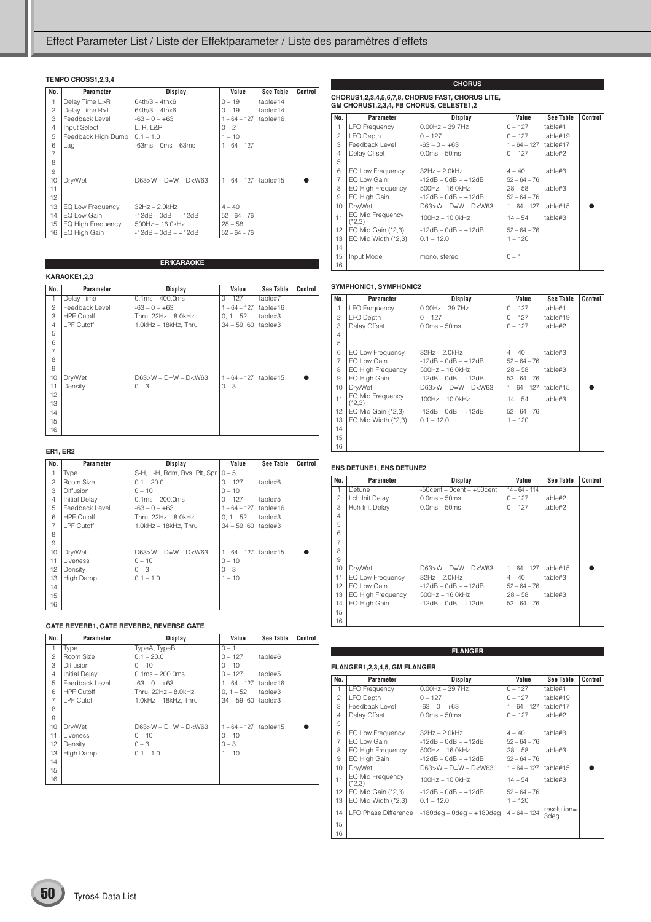#### **TEMPO CROSS1,2,3,4**

| No.            | Parameter                | Display                     | Value                   | See Table | <b>Control</b> |
|----------------|--------------------------|-----------------------------|-------------------------|-----------|----------------|
| 1              | Delay Time L>R           | $64th/3 - 4thx6$            | $0 - 19$                | table#14  |                |
| 2              | Delay Time R>L           | $64th/3 - 4thx6$            | $0 - 19$                | table#14  |                |
| 3              | Feedback Level           | $-63 - 0 - +63$             | $1 - 64 - 127$          | table#16  |                |
| $\overline{4}$ | Input Select             | L, R, L&R                   | $0 - 2$                 |           |                |
| 5              | Feedback High Dump       | $0.1 - 1.0$                 | $1 - 10$                |           |                |
| 6              | Lag                      | $-63ms - 0ms - 63ms$        | $1 - 64 - 127$          |           |                |
| 7              |                          |                             |                         |           |                |
| 8              |                          |                             |                         |           |                |
| 9              |                          |                             |                         |           |                |
| 10             | Dry/Wet                  | $D63 > W - D = W - D < W63$ | 1 – 64 – 127   table#15 |           |                |
| 11             |                          |                             |                         |           |                |
| 12             |                          |                             |                         |           |                |
| 13             | EQ Low Frequency         | $32Hz - 2.0kHz$             | $4 - 40$                |           |                |
| 14             | EQ Low Gain              | $-12$ dB $-$ 0dB $ +12$ dB  | $52 - 64 - 76$          |           |                |
| 15             | <b>EQ High Frequency</b> | $500$ Hz $-16.0$ kHz        | $28 - 58$               |           |                |
| 16             | EQ High Gain             | $-12dB - OdB - +12dB$       | $52 - 64 - 76$          |           |                |

**ER/KARAOKE**

#### **KARAOKE1,22**

|                | KARAOKE1,2,3      |                             |                |           |         |  |  |  |
|----------------|-------------------|-----------------------------|----------------|-----------|---------|--|--|--|
| No.            | Parameter         | <b>Display</b>              | Value          | See Table | Control |  |  |  |
| 1              | Delay Time        | $0.1ms - 400.0ms$           | $0 - 127$      | table#7   |         |  |  |  |
| 2              | Feedback Level    | $-63 - 0 - +63$             | $1 - 64 - 127$ | table#16  |         |  |  |  |
| 3              | <b>HPF Cutoff</b> | Thru, $22Hz - 8.0kHz$       | $0, 1 - 52$    | table#3   |         |  |  |  |
| $\overline{4}$ | LPF Cutoff        | 1.0kHz - 18kHz, Thru        | $34 - 59,60$   | table#3   |         |  |  |  |
| 5              |                   |                             |                |           |         |  |  |  |
| 6              |                   |                             |                |           |         |  |  |  |
| $\overline{7}$ |                   |                             |                |           |         |  |  |  |
| 8              |                   |                             |                |           |         |  |  |  |
| 9              |                   |                             |                |           |         |  |  |  |
| 10             | Dry/Wet           | $D63 > W - D = W - D < W63$ | $1 - 64 - 127$ | table#15  |         |  |  |  |
| 11             | Density           | $0 - 3$                     | $0 - 3$        |           |         |  |  |  |
| 12             |                   |                             |                |           |         |  |  |  |
| 13             |                   |                             |                |           |         |  |  |  |
| 14             |                   |                             |                |           |         |  |  |  |
| 15             |                   |                             |                |           |         |  |  |  |
| 16             |                   |                             |                |           |         |  |  |  |

#### **ER1, ER2**

| No.            | Parameter            | Display                      | Value          | <b>See Table</b> | Control |
|----------------|----------------------|------------------------------|----------------|------------------|---------|
| 1              | Type                 | S-H, L-H, Rdm, Rvs, Plt, Spr | $0 - 5$        |                  |         |
| $\overline{c}$ | Room Size            | $0.1 - 20.0$                 | $0 - 127$      | table#6          |         |
| 3              | <b>Diffusion</b>     | $0 - 10$                     | $0 - 10$       |                  |         |
| $\overline{4}$ | <b>Initial Delay</b> | $0.1ms - 200.0ms$            | $0 - 127$      | table#5          |         |
| 5              | Feedback Level       | $-63 - 0 - +63$              | $1 - 64 - 127$ | table#16         |         |
| 6              | <b>HPF Cutoff</b>    | Thru. 22Hz - 8.0kHz          | $0.1 - 52$     | table#3          |         |
| $\overline{7}$ | I PF Cutoff          | $1.0kHz - 18kHz$ . Thru      | $34 - 59,60$   | table#3          |         |
| 8              |                      |                              |                |                  |         |
| 9              |                      |                              |                |                  |         |
| 10             | Dry/Wet              | $D63>W - D=W - D< W63$       | $1 - 64 - 127$ | table#15         |         |
| 11             | Liveness             | $0 - 10$                     | $0 - 10$       |                  |         |
| 12             | Density              | $0 - 3$                      | $0 - 3$        |                  |         |
| 13             | High Damp            | $0.1 - 1.0$                  | $1 - 10$       |                  |         |
| 14             |                      |                              |                |                  |         |
| 15             |                      |                              |                |                  |         |
| 16             |                      |                              |                |                  |         |

#### **GATE REVERB1, GATE REVERB2, REVERSE GATE**

| No.            | Parameter            | Display                     | Value          | See Table | Control |
|----------------|----------------------|-----------------------------|----------------|-----------|---------|
| $\mathbf{1}$   | Type                 | TypeA, TypeB                | $0 - 1$        |           |         |
| $\mathcal{P}$  | Room Size            | $0.1 - 20.0$                | $0 - 127$      | table#6   |         |
| 3              | <b>Diffusion</b>     | $0 - 10$                    | $0 - 10$       |           |         |
| $\overline{4}$ | <b>Initial Delay</b> | $0.1ms - 200.0ms$           | $0 - 127$      | table#5   |         |
| 5              | Feedback Level       | $-63 - 0 - +63$             | $1 - 64 - 127$ | table#16  |         |
| 6              | <b>HPF Cutoff</b>    | Thru. 22Hz - 8.0kHz         | $0.1 - 52$     | table#3   |         |
| $\overline{7}$ | LPF Cutoff           | $1.0$ kHz $-$ 18kHz. Thru   | $34 - 59.60$   | table#3   |         |
| 8              |                      |                             |                |           |         |
| 9              |                      |                             |                |           |         |
| 10             | Dry/Wet              | $D63 > W - D = W - D < W63$ | $1 - 64 - 127$ | table#15  |         |
| 11             | Liveness             | $0 - 10$                    | $0 - 10$       |           |         |
| 12             | Density              | $0 - 3$                     | $0 - 3$        |           |         |
| 13             | High Damp            | $0.1 - 1.0$                 | $1 - 10$       |           |         |
| 14             |                      |                             |                |           |         |
| 15             |                      |                             |                |           |         |
| 16             |                      |                             |                |           |         |

## **CHORUS1,2,3,4,5,6,7,8, CHORUS FAST, CHORUS LITE, GM CHORUS1,2,3,4, FB CHORUS, CELESTE1,2**

| No.            | Parameter                    | Display                     | Value          | <b>See Table</b> | Control |
|----------------|------------------------------|-----------------------------|----------------|------------------|---------|
| $\mathbf{1}$   | <b>LFO Frequency</b>         | $0.00$ Hz $-$ 39.7Hz        | $0 - 127$      | table#1          |         |
| $\mathfrak{p}$ | LFO Depth                    | $0 - 127$                   | $0 - 127$      | table#19         |         |
| 3              | Feedback Level               | $-63 - 0 - +63$             | $1 - 64 - 127$ | table#17         |         |
| $\overline{4}$ | Delay Offset                 | $0.0ms - 50ms$              | $0 - 127$      | table#2          |         |
| 5              |                              |                             |                |                  |         |
| 6              | EQ Low Frequency             | $32Hz - 2.0kHz$             | $4 - 40$       | table#3          |         |
| $\overline{7}$ | EQ Low Gain                  | $-12dB - OdB - +12dB$       | $52 - 64 - 76$ |                  |         |
| 8              | EQ High Frequency            | $500$ Hz $- 16.0$ kHz       | $28 - 58$      | table#3          |         |
| 9              | EQ High Gain                 | $-12dB - OdB - +12dB$       | $52 - 64 - 76$ |                  |         |
| 10             | Dry/Wet                      | $D63 > W - D = W - D < W63$ | $1 - 64 - 127$ | table#15         |         |
| 11             | EQ Mid Frequency<br>$(*2.3)$ | $100Hz - 10.0kHz$           | $14 - 54$      | table#3          |         |
| 12             | EQ Mid Gain (*2,3)           | $-12dB - OdB - +12dB$       | $52 - 64 - 76$ |                  |         |
| 13             | EQ Mid Width $(*2,3)$        | $0.1 - 12.0$                | $1 - 120$      |                  |         |
| 14             |                              |                             |                |                  |         |
| 15             | Input Mode                   | mono, stereo                | $0 - 1$        |                  |         |
| 16             |                              |                             |                |                  |         |

**CHORUS**

#### **SYMPHONIC1, SYMPHONIC2**

| No.            | <b>Parameter</b>             | Display                    | Value          | <b>See Table</b> | Control |
|----------------|------------------------------|----------------------------|----------------|------------------|---------|
| 1              | <b>LFO Frequency</b>         | $0.00$ Hz $-$ 39.7Hz       | $0 - 127$      | table#1          |         |
| 2              | LFO Depth                    | $0 - 127$                  | $0 - 127$      | table#19         |         |
| 3              | Delay Offset                 | $0.0ms - 50ms$             | $0 - 127$      | table#2          |         |
| $\overline{4}$ |                              |                            |                |                  |         |
| 5              |                              |                            |                |                  |         |
| 6              | EQ Low Frequency             | $32Hz - 2.0kHz$            | $4 - 40$       | table#3          |         |
| $\overline{7}$ | EQ Low Gain                  | $-12dB - OdB - +12dB$      | $52 - 64 - 76$ |                  |         |
| 8              | EQ High Frequency            | $500Hz - 16.0kHz$          | $28 - 58$      | table#3          |         |
| 9              | EQ High Gain                 | $-12dB - OdB - +12dB$      | $52 - 64 - 76$ |                  |         |
| 10             | Dry/Wet                      | $D63>W - D=W - D< W63$     | $1 - 64 - 127$ | table#15         |         |
| 11             | EQ Mid Frequency<br>$(*2,3)$ | $100Hz - 10.0kHz$          | $14 - 54$      | table#3          |         |
| 12             | EQ Mid Gain (*2,3)           | $-12$ dB $-$ 0dB $ +12$ dB | $52 - 64 - 76$ |                  |         |
| 13             | EQ Mid Width (*2,3)          | $0.1 - 12.0$               | $1 - 120$      |                  |         |
| 14             |                              |                            |                |                  |         |
| 15             |                              |                            |                |                  |         |
| 16             |                              |                            |                |                  |         |

#### **ENS DETUNE1, ENS DETUNE2**

| No.            | Parameter                | Display                          | Value           | <b>See Table</b> | Control |
|----------------|--------------------------|----------------------------------|-----------------|------------------|---------|
| 1.             | Detune                   | $-50$ cent $-0$ cent $-+50$ cent | $14 - 64 - 114$ |                  |         |
| $\mathcal{P}$  | Lch Init Delay           | $0.0ms - 50ms$                   | $0 - 127$       | table#2          |         |
| 3              | Rch Init Delay           | $0.0ms - 50ms$                   | $0 - 127$       | table#2          |         |
| $\overline{4}$ |                          |                                  |                 |                  |         |
| 5              |                          |                                  |                 |                  |         |
| 6              |                          |                                  |                 |                  |         |
|                |                          |                                  |                 |                  |         |
| 8              |                          |                                  |                 |                  |         |
| 9              |                          |                                  |                 |                  |         |
| 10             | Dry/Wet                  | $D63 > W - D = W - D < W63$      | $1 - 64 - 127$  | table#15         |         |
| 11             | EQ Low Frequency         | $32Hz - 2.0kHz$                  | $4 - 40$        | table#3          |         |
| 12             | EQ Low Gain              | $-12$ dB $-$ 0dB $ +12$ dB       | $52 - 64 - 76$  |                  |         |
| 13             | <b>EQ High Frequency</b> | $500$ Hz $- 16.0$ kHz            | $28 - 58$       | table#3          |         |
| 14             | EQ High Gain             | $-12dB - OdB - +12dB$            | $52 - 64 - 76$  |                  |         |
| 15             |                          |                                  |                 |                  |         |
| 16             |                          |                                  |                 |                  |         |

**FLANGER**

#### **FLANGER1,2,3,4,5, GM FLANGER**

| No.            | Parameter                    |                                | Value          | See Table               | Control |
|----------------|------------------------------|--------------------------------|----------------|-------------------------|---------|
|                |                              | Display                        |                |                         |         |
| 1              | <b>LFO Frequency</b>         | $0.00$ Hz $-$ 39.7Hz           | $0 - 127$      | table#1                 |         |
| $\mathcal{P}$  | LFO Depth                    | $0 - 127$                      | $0 - 127$      | table#19                |         |
| 3              | Feedback Level               | $-63 - 0 - +63$                | $1 - 64 - 127$ | table#17                |         |
| $\overline{4}$ | Delay Offset                 | $0.0ms - 50ms$                 | $0 - 127$      | table#2                 |         |
| 5              |                              |                                |                |                         |         |
| 6              | EQ Low Frequency             | $32Hz - 2.0kHz$                | $4 - 40$       | table#3                 |         |
| $\overline{7}$ | EQ Low Gain                  | $-12dB - OdB - +12dB$          | $52 - 64 - 76$ |                         |         |
| 8              | EQ High Frequency            | $500Hz - 16.0kHz$              | $28 - 58$      | table#3                 |         |
| 9              | EQ High Gain                 | $-12dB - OdB - +12dB$          | $52 - 64 - 76$ |                         |         |
| 10             | Dry/Wet                      | $D63 > W - D = W - D < W63$    | $1 - 64 - 127$ | table#15                |         |
| 11             | EQ Mid Frequency<br>$(*2.3)$ | $100Hz - 10.0kHz$              | $14 - 54$      | table#3                 |         |
| 12             | EQ Mid Gain $(*2,3)$         | $-12dB - OdB - +12dB$          | $52 - 64 - 76$ |                         |         |
| 13             | EQ Mid Width $(*2,3)$        | $0.1 - 12.0$                   | $1 - 120$      |                         |         |
| 14             | <b>I FO Phase Difference</b> | $-180$ deg – 0deg – $+180$ deg | $4 - 64 - 124$ | $resolution =$<br>3deg. |         |
| 15             |                              |                                |                |                         |         |
| 16             |                              |                                |                |                         |         |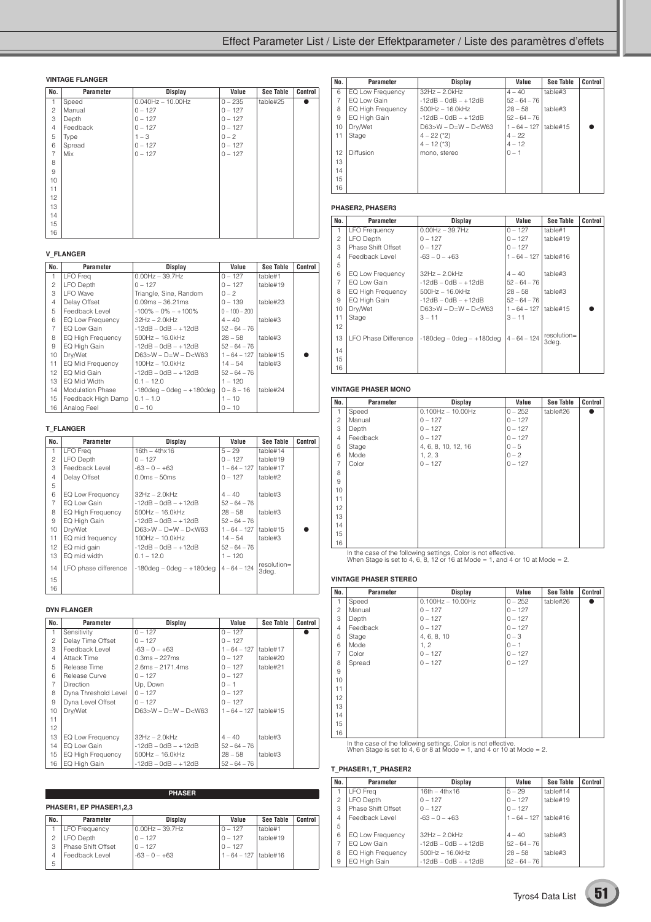### Effect Parameter List / Liste der Effektparameter / Liste des paramètres d'effets

#### **VINTAGE FLANGER**

| No.            | Parameter | <b>Display</b>          | Value     | <b>See Table</b> | Control |
|----------------|-----------|-------------------------|-----------|------------------|---------|
| $\mathbf{1}$   | Speed     | $0.040$ Hz $- 10.00$ Hz | $0 - 235$ | table#25         |         |
| $\overline{c}$ | Manual    | $0 - 127$               | $0 - 127$ |                  |         |
| 3              | Depth     | $0 - 127$               | $0 - 127$ |                  |         |
| $\overline{4}$ | Feedback  | $0 - 127$               | $0 - 127$ |                  |         |
| 5              | Type      | $1 - 3$                 | $0 - 2$   |                  |         |
| 6              | Spread    | $0 - 127$               | $0 - 127$ |                  |         |
| $\overline{7}$ | Mix       | $0 - 127$               | $0 - 127$ |                  |         |
| 8              |           |                         |           |                  |         |
| $\overline{9}$ |           |                         |           |                  |         |
| 10             |           |                         |           |                  |         |
| 11             |           |                         |           |                  |         |
| 12             |           |                         |           |                  |         |
| 13             |           |                         |           |                  |         |
| 14             |           |                         |           |                  |         |
| 15             |           |                         |           |                  |         |
| 16             |           |                         |           |                  |         |

#### **V\_FLANGER**

| No.            | Parameter                | Display                        | Value           | See Table | Control |
|----------------|--------------------------|--------------------------------|-----------------|-----------|---------|
| 1              | <b>LFO</b> Freq          | $0.00Hz - 39.7Hz$              | $0 - 127$       | table#1   |         |
| $\mathfrak{p}$ | LFO Depth                | $0 - 127$                      | $0 - 127$       | table#19  |         |
| 3              | <b>LFO</b> Wave          | Triangle, Sine, Random         | $0 - 2$         |           |         |
| $\overline{4}$ | Delay Offset             | $0.09ms - 36.21ms$             | $0 - 139$       | table#23  |         |
| 5              | Feedback Level           | $-100\% - 0\% - +100\%$        | $0 - 100 - 200$ |           |         |
| 6              | EQ Low Frequency         | $32Hz - 2.0kHz$                | $4 - 40$        | table#3   |         |
| $\overline{7}$ | EQ Low Gain              | $-12$ dB $-$ 0dB $ +12$ dB     | $52 - 64 - 76$  |           |         |
| 8              | <b>EQ High Frequency</b> | $500$ Hz $- 16.0$ kHz          | $28 - 58$       | table#3   |         |
| 9              | EQ High Gain             | $-12dB - OdB - +12dB$          | $52 - 64 - 76$  |           |         |
| 10             | Drv/Wet                  | $D63 > W - D = W - D < W63$    | $1 - 64 - 127$  | table#15  |         |
| 11             | EQ Mid Frequency         | $100Hz - 10.0kHz$              | $14 - 54$       | table#3   |         |
| 12             | EQ Mid Gain              | $-12dB - OdB - +12dB$          | $52 - 64 - 76$  |           |         |
| 13             | EQ Mid Width             | $0.1 - 12.0$                   | $1 - 120$       |           |         |
| 14             | <b>Modulation Phase</b>  | $-180$ deg – 0deg – $+180$ deg | $0 - 8 - 16$    | table#24  |         |
| 15             | Feedback High Damp       | $0.1 - 1.0$                    | $1 - 10$        |           |         |
| 16             | Analog Feel              | $0 - 10$                       | $0 - 10$        |           |         |

#### **T\_FLANGER**

| No.             | Parameter            | <b>Display</b>                  | Value          | See Table            | Control |
|-----------------|----------------------|---------------------------------|----------------|----------------------|---------|
| 1               | <b>LFO</b> Freq      | $16th - 4thx16$                 | $5 - 29$       | table#14             |         |
| $\overline{c}$  | LFO Depth            | $0 - 127$                       | $0 - 127$      | table#19             |         |
| 3               | Feedback Level       | $-63 - 0 - +63$                 | $1 - 64 - 127$ | table#17             |         |
| $\overline{4}$  | Delay Offset         | $0.0ms - 50ms$                  | $0 - 127$      | table#2              |         |
| 5               |                      |                                 |                |                      |         |
| 6               | EQ Low Frequency     | $32Hz - 2.0kHz$                 | $4 - 40$       | table#3              |         |
| $\overline{7}$  | FO Low Gain          | $-12dB - OdB - +12dB$           | $52 - 64 - 76$ |                      |         |
| 8               | EQ High Frequency    | $500$ Hz $- 16.0$ kHz           | $28 - 58$      | table#3              |         |
| 9               | EQ High Gain         | $-12dB - OdB - +12dB$           | $52 - 64 - 76$ |                      |         |
| 10              | Dry/Wet              | $D63>W - D=W - D< W63$          | $1 - 64 - 127$ | table#15             |         |
| 11              | EQ mid frequency     | $100Hz - 10.0kHz$               | $14 - 54$      | table#3              |         |
| 12              | EQ mid gain          | $-12dB - OdB - +12dB$           | $52 - 64 - 76$ |                      |         |
| 13              | EQ mid width         | $0.1 - 12.0$                    | $1 - 120$      |                      |         |
| 14              | LFO phase difference | $-180$ deg $-$ 0deg $ +180$ deg | $4 - 64 - 124$ | resolution=<br>3deg. |         |
| 15 <sub>1</sub> |                      |                                 |                |                      |         |
| 16              |                      |                                 |                |                      |         |

#### **DYN FLANGER**

| No.            | Parameter                | Display                     | Value          | See Table | Control |
|----------------|--------------------------|-----------------------------|----------------|-----------|---------|
| $\mathbf{1}$   | Sensitivity              | $0 - 127$                   | $0 - 127$      |           |         |
| 2              | Delay Time Offset        | $0 - 127$                   | $0 - 127$      |           |         |
| 3              | Feedback Level           | $-63 - 0 - +63$             | $1 - 64 - 127$ | table#17  |         |
| $\overline{4}$ | Attack Time              | $0.3ms - 227ms$             | $0 - 127$      | table#20  |         |
| 5              | Release Time             | $2.6ms - 2171.4ms$          | $0 - 127$      | table#21  |         |
| 6              | Release Curve            | $0 - 127$                   | $0 - 127$      |           |         |
| 7              | <b>Direction</b>         | Up, Down                    | $0 - 1$        |           |         |
| 8              | Dyna Threshold Level     | $0 - 127$                   | $0 - 127$      |           |         |
| 9              | Dyna Level Offset        | $0 - 127$                   | $0 - 127$      |           |         |
| 10             | Drv/Wet                  | $D63 > W - D = W - D < W63$ | $1 - 64 - 127$ | table#15  |         |
| 11             |                          |                             |                |           |         |
| 12             |                          |                             |                |           |         |
| 13             | EQ Low Frequency         | $32Hz - 2.0kHz$             | $4 - 40$       | table#3   |         |
| 14             | EQ Low Gain              | $-12dB - OdB - +12dB$       | $52 - 64 - 76$ |           |         |
| 15             | <b>EQ High Frequency</b> | $500$ Hz $-16.0$ kHz        | $28 - 58$      | table#3   |         |
| 16             | EQ High Gain             | $-12dB - OdB - +12dB$       | $52 - 64 - 76$ |           |         |

|     | <b>PHASER</b>           |                   |                |                  |         |  |  |  |  |  |
|-----|-------------------------|-------------------|----------------|------------------|---------|--|--|--|--|--|
|     | PHASER1, EP PHASER1.2.3 |                   |                |                  |         |  |  |  |  |  |
| No. | Parameter               | Display           | Value          | <b>See Table</b> | Control |  |  |  |  |  |
|     | <b>LFO Frequency</b>    | $0.00Hz - 39.7Hz$ | $0 - 127$      | table#1          |         |  |  |  |  |  |
| 2   | LFO Depth               | $0 - 127$         | $0 - 127$      | table#19         |         |  |  |  |  |  |
| З   | Phase Shift Offset      | $0 - 127$         | $0 - 127$      |                  |         |  |  |  |  |  |
| 4   | Feedback Level          | $-63 - 0 - +63$   | $1 - 64 - 127$ | table#16         |         |  |  |  |  |  |
| 5   |                         |                   |                |                  |         |  |  |  |  |  |

| No.            | Parameter                | <b>Display</b>              | Value          | <b>See Table</b> | Control |
|----------------|--------------------------|-----------------------------|----------------|------------------|---------|
| 6              | EQ Low Frequency         | $32Hz - 2.0kHz$             | $4 - 40$       | table#3          |         |
| $\overline{7}$ | EQ Low Gain              | $-12dB - OdB - +12dB$       | $52 - 64 - 76$ |                  |         |
| 8              | <b>EQ High Frequency</b> | $500Hz - 16.0kHz$           | $28 - 58$      | table#3          |         |
| 9              | EQ High Gain             | $-12dB - OdB - +12dB$       | $52 - 64 - 76$ |                  |         |
| 10             | Dry/Wet                  | $D63 > W - D = W - D < W63$ | $1 - 64 - 127$ | table#15         |         |
| 11             | Stage                    | $4 - 22$ (*2)               | $4 - 22$       |                  |         |
|                |                          | $4 - 12$ (*3)               | $4 - 12$       |                  |         |
| 12             | Diffusion                | mono, stereo                | $0 - 1$        |                  |         |
| 13             |                          |                             |                |                  |         |
| 14             |                          |                             |                |                  |         |
| 15             |                          |                             |                |                  |         |
| 16             |                          |                             |                |                  |         |

#### **PHASER2, PHASER3**

| No.            | Parameter              | Display                                   | Value          | <b>See Table</b>        | Control |
|----------------|------------------------|-------------------------------------------|----------------|-------------------------|---------|
| $\mathbf{1}$   | LFO Frequency          | $0.00$ Hz $-$ 39.7Hz                      | $0 - 127$      | table#1                 |         |
| $\overline{c}$ | LFO Depth              | $0 - 127$                                 | $0 - 127$      | table#19                |         |
| 3              | Phase Shift Offset     | $0 - 127$                                 | $0 - 127$      |                         |         |
| $\overline{4}$ | Feedback Level         | $-63 - 0 - +63$                           | $1 - 64 - 127$ | table#16                |         |
| 5              |                        |                                           |                |                         |         |
| 6              | EQ Low Frequency       | $32Hz - 2.0kHz$                           | $4 - 40$       | table#3                 |         |
| $\overline{7}$ | EQ Low Gain            | $-12$ dB $-$ 0dB $ +12$ dB                | $52 - 64 - 76$ |                         |         |
| 8              | EQ High Frequency      | $500$ Hz $- 16.0$ kHz                     | $28 - 58$      | table#3                 |         |
| 9              | EQ High Gain           | $-12dB - OdB - +12dB$                     | $52 - 64 - 76$ |                         |         |
| 10             | Dry/Wet                | $D63>W - D=W - D< W63$                    | $1 - 64 - 127$ | table#15                |         |
| 11             | Stage                  | $3 - 11$                                  | $3 - 11$       |                         |         |
| 12             |                        |                                           |                |                         |         |
| 13             | l LFO Phase Difference | $-180deg - 0deg - +180deg$   4 - 64 - 124 |                | $resolution =$<br>3deg. |         |
| 14             |                        |                                           |                |                         |         |
| 15             |                        |                                           |                |                         |         |
| 16             |                        |                                           |                |                         |         |

#### **VINTAGE PHASER MONO**

| No.            | <b>Parameter</b> | <b>Display</b>      | Value     | <b>See Table</b> | Control |
|----------------|------------------|---------------------|-----------|------------------|---------|
| 1              | Speed            | $0.100Hz - 10.00Hz$ | $0 - 252$ | table#26         |         |
| $\overline{c}$ | Manual           | $0 - 127$           | $0 - 127$ |                  |         |
| 3              | Depth            | $0 - 127$           | $0 - 127$ |                  |         |
| 4              | Feedback         | $0 - 127$           | $0 - 127$ |                  |         |
| 5              | Stage            | 4, 6, 8, 10, 12, 16 | $0 - 5$   |                  |         |
| 6              | Mode             | 1, 2, 3             | $0 - 2$   |                  |         |
| $\overline{7}$ | Color            | $0 - 127$           | $0 - 127$ |                  |         |
| 8              |                  |                     |           |                  |         |
| 9              |                  |                     |           |                  |         |
| 10             |                  |                     |           |                  |         |
| 11             |                  |                     |           |                  |         |
| 12             |                  |                     |           |                  |         |
| 13             |                  |                     |           |                  |         |
| 14             |                  |                     |           |                  |         |
| 15             |                  |                     |           |                  |         |
| 16             |                  |                     |           |                  |         |

In the case of the following settings, Color is not effective. When Stage is set to 4, 6, 8, 12 or 16 at Mode = 1, and 4 or 10 at Mode = 2.

#### **VINTAGE PHASER STEREO**

| No.            | Parameter | <b>Display</b>          | Value     | <b>See Table</b> | Control |
|----------------|-----------|-------------------------|-----------|------------------|---------|
| $\mathbf{1}$   | Speed     | $0.100$ Hz $- 10.00$ Hz | $0 - 252$ | table#26         |         |
| 2              | Manual    | $0 - 127$               | $0 - 127$ |                  |         |
| 3              | Depth     | $0 - 127$               | $0 - 127$ |                  |         |
| $\overline{4}$ | Feedback  | $0 - 127$               | $0 - 127$ |                  |         |
| 5              | Stage     | 4, 6, 8, 10             | $0 - 3$   |                  |         |
| 6              | Mode      | 1, 2                    | $0 - 1$   |                  |         |
| $\overline{7}$ | Color     | $0 - 127$               | $0 - 127$ |                  |         |
| 8              | Spread    | $0 - 127$               | $0 - 127$ |                  |         |
| 9              |           |                         |           |                  |         |
| 10             |           |                         |           |                  |         |
| 11             |           |                         |           |                  |         |
| 12             |           |                         |           |                  |         |
| 13             |           |                         |           |                  |         |
| 14             |           |                         |           |                  |         |
| 15             |           |                         |           |                  |         |
| 16             |           |                         |           |                  |         |

In the case of the following settings, Color is not effective. When Stage is set to 4, 6 or 8 at Mode = 1, and 4 or 10 at Mode = 2.

#### **T\_PHASER1, T\_PHASER2**

| No.           | <b>Parameter</b>         | Display                | Value                     | <b>See Table</b> | Control |
|---------------|--------------------------|------------------------|---------------------------|------------------|---------|
|               |                          |                        |                           |                  |         |
| 1             | LFO Frea                 | $16th - 4th \times 16$ | $5 - 29$                  | table#14         |         |
| $\mathcal{P}$ | LFO Depth                | $0 - 127$              | $0 - 127$                 | table#19         |         |
| 3             | Phase Shift Offset       | $0 - 127$              | $0 - 127$                 |                  |         |
| 4             | Feedback Level           | $-63 - 0 - +63$        | $1 - 64 - 127$   table#16 |                  |         |
| 5             |                          |                        |                           |                  |         |
| 6             | <b>EQ Low Frequency</b>  | $32Hz - 2.0kHz$        | $4 - 40$                  | table#3          |         |
|               | EQ Low Gain              | $-12dB - OdB - +12dB$  | $52 - 64 - 76$            |                  |         |
| 8             | <b>EQ High Frequency</b> | $500$ Hz $- 16.0$ kHz  | $28 - 58$                 | table#3          |         |
| 9             | EQ High Gain             | $-12dB - OdB - +12dB$  | $52 - 64 - 76$            |                  |         |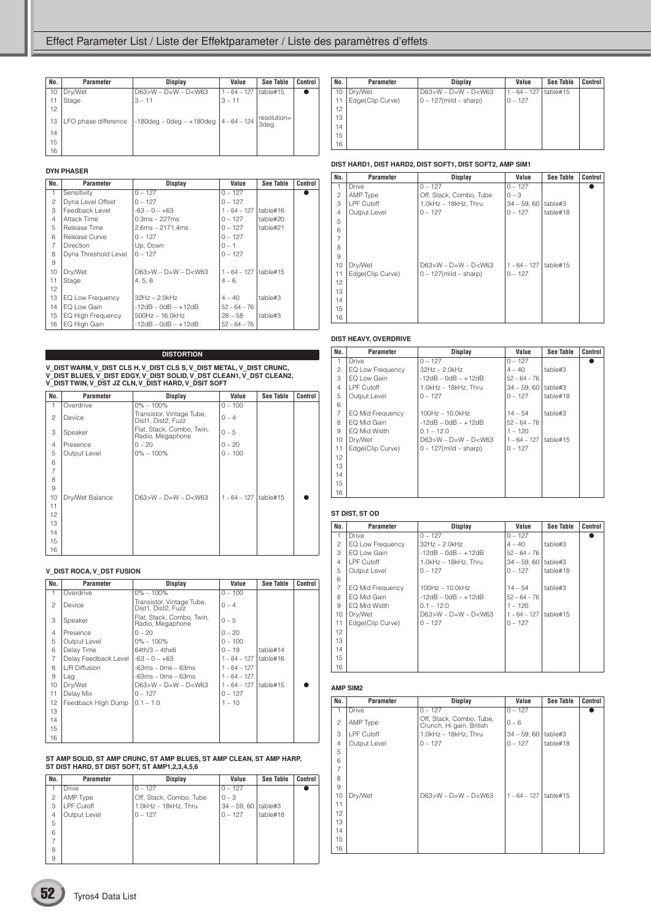| No. | Parameter            | <b>Display</b>                            | Value          | See Table            | Control |
|-----|----------------------|-------------------------------------------|----------------|----------------------|---------|
| 10  | Dry/Wet              | $D63 > W - D=W - D < W63$                 | $1 - 64 - 127$ | table#15             |         |
| 11  | Stage                | $3 - 11$                                  | $3 - 11$       |                      |         |
| 12  |                      |                                           |                |                      |         |
| 13  | LFO phase difference | $-180deg - 0deg - +180deg$   4 - 64 - 124 |                | resolution=<br>3deg. |         |
| 14  |                      |                                           |                |                      |         |
| 15  |                      |                                           |                |                      |         |
| 16  |                      |                                           |                |                      |         |

#### **DYN PHASER**

| No.            | Parameter                | <b>Display</b>         | Value          | See Table | Control |
|----------------|--------------------------|------------------------|----------------|-----------|---------|
| 1              | Sensitivity              | $0 - 127$              | $0 - 127$      |           |         |
| $\overline{c}$ | Dyna Level Offset        | $0 - 127$              | $0 - 127$      |           |         |
| 3              | Feedback Level           | $-63 - 0 - +63$        | $1 - 64 - 127$ | table#16  |         |
| $\overline{4}$ | Attack Time              | $0.3ms - 227ms$        | $0 - 127$      | table#20  |         |
| 5              | Release Time             | $2.6ms - 2171.4ms$     | $0 - 127$      | table#21  |         |
| 6              | Release Curve            | $0 - 127$              | $0 - 127$      |           |         |
| 7              | <b>Direction</b>         | Up, Down               | $0 - 1$        |           |         |
| 8              | Dyna Threshold Level     | $0 - 127$              | $0 - 127$      |           |         |
| 9              |                          |                        |                |           |         |
| 10             | Dry/Wet                  | $D63>W - D=W - D< W63$ | $1 - 64 - 127$ | table#15  |         |
| 11             | Stage                    | 4, 5, 6                | $4 - 6$        |           |         |
| 12             |                          |                        |                |           |         |
| 13             | EQ Low Frequency         | $32Hz - 2.0kHz$        | $4 - 40$       | table#3   |         |
| 14             | EQ Low Gain              | $-12dB - OdB - +12dB$  | $52 - 64 - 76$ |           |         |
| 15             | <b>EQ High Frequency</b> | $500$ Hz $- 16.0$ kHz  | $28 - 58$      | table#3   |         |
| 16             | EQ High Gain             | $-12dB - OdB - +12dB$  | $52 - 64 - 76$ |           |         |

V\_DIST WARM, V\_DIST CLS H, V\_DIST CLS S, V\_DIST METAL, V\_DIST CRUNC,<br>V\_DIST BLUES, V\_DIST EDGY, V\_DIST SOLID, V\_DST CLEAN1, V\_DST CLEAN2,<br>V\_DIST TWIN, V\_DST JZ CLN, V\_DIST HARD, V\_DSIT SOFT

**DISTORTION**

| No.            | Parameter       | <b>Display</b>                                  | Value          | <b>See Table</b> | Control |
|----------------|-----------------|-------------------------------------------------|----------------|------------------|---------|
| 1              | Overdrive       | $0\% - 100\%$                                   | $0 - 100$      |                  |         |
| $\overline{c}$ | Device          | Transistor, Vintage Tube,<br>Dist1, Dist2, Fuzz | $0 - 4$        |                  |         |
| 3              | Speaker         | Flat, Stack, Combo, Twin,<br>Radio, Megaphone   | $0 - 5$        |                  |         |
| $\overline{4}$ | Presence        | $0 - 20$                                        | $0 - 20$       |                  |         |
| 5              | Output Level    | $0\% - 100\%$                                   | $0 - 100$      |                  |         |
| 6              |                 |                                                 |                |                  |         |
| $\overline{7}$ |                 |                                                 |                |                  |         |
| 8              |                 |                                                 |                |                  |         |
| 9              |                 |                                                 |                |                  |         |
| 10             | Dry/Wet Balance | $D63 > W - D=W - D < W63$                       | $1 - 64 - 127$ | table#15         |         |
| 11             |                 |                                                 |                |                  |         |
| 12             |                 |                                                 |                |                  |         |
| 13             |                 |                                                 |                |                  |         |
| 14             |                 |                                                 |                |                  |         |
| 15             |                 |                                                 |                |                  |         |
| 16             |                 |                                                 |                |                  |         |

#### **V\_DIST ROCA, V\_DST FUSION**

| No.            | Parameter            | Display                                         | Value          | See Table | Control |
|----------------|----------------------|-------------------------------------------------|----------------|-----------|---------|
| 1              | Overdrive            | $0\% - 100\%$                                   | $0 - 100$      |           |         |
| $\mathfrak{p}$ | Device               | Transistor, Vintage Tube,<br>Dist1, Dist2, Fuzz | $0 - 4$        |           |         |
| 3              | Speaker              | Flat, Stack, Combo, Twin,<br>Radio, Megaphone   | $0 - 5$        |           |         |
| $\overline{4}$ | Presence             | $0 - 20$                                        | $0 - 20$       |           |         |
| 5              | Output Level         | $0\% - 100\%$                                   | $0 - 100$      |           |         |
| 6              | Delay Time           | $64th/3 - 4thx6$                                | $0 - 19$       | table#14  |         |
| 7              | Delay Feedback Level | $-63 - 0 - +63$                                 | $1 - 64 - 127$ | table#16  |         |
| 8              | L/R Diffusion        | -63ms – 0ms – 63ms                              | $1 - 64 - 127$ |           |         |
| 9              | Lag                  | -63ms – 0ms – 63ms                              | $1 - 64 - 127$ |           |         |
| 10             | Dry/Wet              | $D63>W - D=W - D< W63$                          | $1 - 64 - 127$ | table#15  |         |
| 11             | Delay Mix            | $0 - 127$                                       | $0 - 127$      |           |         |
| 12             | Feedback High Dump   | $0.1 - 1.0$                                     | $1 - 10$       |           |         |
| 13             |                      |                                                 |                |           |         |
| 14             |                      |                                                 |                |           |         |
| 15             |                      |                                                 |                |           |         |
| 16             |                      |                                                 |                |           |         |

## **ST AMP SOLID, ST AMP CRUNC, ST AMP BLUES, ST AMP CLEAN, ST AMP HARP, ST DIST HARD, ST DIST SOFT, ST AMP1,2,3,4,5,6**

| No. | Parameter         | <b>Display</b>          | Value        | <b>See Table</b> | Control |
|-----|-------------------|-------------------------|--------------|------------------|---------|
|     | Drive             | $0 - 127$               | $0 - 127$    |                  |         |
| 2   | AMP Type          | Off, Stack, Combo, Tube | $0 - 3$      |                  |         |
| 3   | <b>LPF Cutoff</b> | 1.0kHz - 18kHz, Thru    | $34 - 59.60$ | table#3          |         |
| 4   | Output Level      | $0 - 127$               | $0 - 127$    | table#18         |         |
| 5   |                   |                         |              |                  |         |
| 6   |                   |                         |              |                  |         |
| 7   |                   |                         |              |                  |         |
| 8   |                   |                         |              |                  |         |
| 9   |                   |                         |              |                  |         |

| No. | Parameter        | <b>Display</b>           | Value          | <b>See Table</b> | Control |
|-----|------------------|--------------------------|----------------|------------------|---------|
| 10  | Dry/Wet          | $D63>W - D=W - D< W63$   | $1 - 64 - 127$ | table#15         |         |
| 11  | Edge(Clip Curve) | $0 - 127$ (mild – sharp) | $0 - 127$      |                  |         |
| 12  |                  |                          |                |                  |         |
| 13  |                  |                          |                |                  |         |
| 14  |                  |                          |                |                  |         |
| 15  |                  |                          |                |                  |         |
| 16  |                  |                          |                |                  |         |

#### **DIST HARD1, DIST HARD2, DIST SOFT1, DIST SOFT2, AMP SIM1**

| No.            | Parameter         | <b>Display</b>           | Value          | <b>See Table</b> | Control |
|----------------|-------------------|--------------------------|----------------|------------------|---------|
| 1              | <b>Drive</b>      | $0 - 127$                | $0 - 127$      |                  |         |
| 2              | AMP Type          | Off, Stack, Combo, Tube  | $0 - 3$        |                  |         |
| 3              | <b>LPF Cutoff</b> | 1.0kHz - 18kHz, Thru     | $34 - 59,60$   | table#3          |         |
| $\overline{4}$ | Output Level      | $0 - 127$                | $0 - 127$      | table#18         |         |
| 5              |                   |                          |                |                  |         |
| 6              |                   |                          |                |                  |         |
| 7              |                   |                          |                |                  |         |
| 8              |                   |                          |                |                  |         |
| 9              |                   |                          |                |                  |         |
| 10             | Dry/Wet           | $D63>W - D=W - D< W63$   | $1 - 64 - 127$ | table#15         |         |
| 11             | Edge(Clip Curve)  | $0 - 127$ (mild – sharp) | $0 - 127$      |                  |         |
| 12             |                   |                          |                |                  |         |
| 13             |                   |                          |                |                  |         |
| 14             |                   |                          |                |                  |         |
| 15             |                   |                          |                |                  |         |
| 16             |                   |                          |                |                  |         |

#### **DIST HEAVY, OVERDRIVE**

| No.            | <b>Parameter</b> | Display                  | Value          | <b>See Table</b> | Control |
|----------------|------------------|--------------------------|----------------|------------------|---------|
| 1              | Drive            | $0 - 127$                | $0 - 127$      |                  |         |
| $\overline{c}$ | EQ Low Frequency | $32Hz - 2.0kHz$          | $4 - 40$       | table#3          |         |
| 3              | EQ Low Gain      | $-12dB - OdB - +12dB$    | $52 - 64 - 76$ |                  |         |
| $\overline{4}$ | LPF Cutoff       | 1.0kHz - 18kHz, Thru     | $34 - 59,60$   | table#3          |         |
| 5              | Output Level     | $0 - 127$                | $0 - 127$      | table#18         |         |
| 6              |                  |                          |                |                  |         |
| 7              | EQ Mid Frequency | $100Hz - 10.0kHz$        | $14 - 54$      | table#3          |         |
| 8              | EQ Mid Gain      | $-12dB - OdB - +12dB$    | $52 - 64 - 76$ |                  |         |
| 9              | EQ Mid Width     | $0.1 - 12.0$             | $1 - 120$      |                  |         |
| 10             | Dry/Wet          | $D63>W - D=W - D< W63$   | $1 - 64 - 127$ | table#15         |         |
| 11             | Edge(Clip Curve) | $0 - 127$ (mild – sharp) | $0 - 127$      |                  |         |
| 12             |                  |                          |                |                  |         |
| 13             |                  |                          |                |                  |         |
| 14             |                  |                          |                |                  |         |
| 15             |                  |                          |                |                  |         |
| 16             |                  |                          |                |                  |         |

#### **ST DIST, ST OD**

| No.            | <b>Parameter</b>        | Display                 | Value          | <b>See Table</b> | Control |
|----------------|-------------------------|-------------------------|----------------|------------------|---------|
| 1              | Drive                   | $0 - 127$               | $0 - 127$      |                  |         |
| $\overline{c}$ | EQ Low Frequency        | 32Hz - 2.0kHz           | $4 - 40$       | table#3          |         |
| 3              | EQ Low Gain             | $-12dB - OdB - +12dB$   | $52 - 64 - 76$ |                  |         |
| 4              | LPF Cutoff              | $1.0kHz - 18kHz$ . Thru | $34 - 59.60$   | table#3          |         |
| 5              | Output Level            | $0 - 127$               | $0 - 127$      | table#18         |         |
| 6              |                         |                         |                |                  |         |
| $\overline{7}$ | <b>EQ Mid Frequency</b> | $100Hz - 10.0kHz$       | $14 - 54$      | table#3          |         |
| 8              | EQ Mid Gain             | $-12dB - OdB - +12dB$   | $52 - 64 - 76$ |                  |         |
| 9              | EQ Mid Width            | $0.1 - 12.0$            | $1 - 120$      |                  |         |
| 10             | Dry/Wet                 | $D63>W - D=W - D< W63$  | $1 - 64 - 127$ | table#15         |         |
| 11             | Edge(Clip Curve)        | $0 - 127$               | $0 - 127$      |                  |         |
| 12             |                         |                         |                |                  |         |
| 13             |                         |                         |                |                  |         |
| 14             |                         |                         |                |                  |         |
| 15             |                         |                         |                |                  |         |
| 16             |                         |                         |                |                  |         |

#### **AMP SIM2**

| No.            | Parameter    | <b>Display</b>                                       | Value          | <b>See Table</b> | Control |
|----------------|--------------|------------------------------------------------------|----------------|------------------|---------|
|                |              |                                                      |                |                  |         |
| 1              | <b>Drive</b> | $0 - 127$                                            | $0 - 127$      |                  |         |
| $\overline{2}$ | AMP Type     | Off, Stack, Combo, Tube,<br>Crunch, Hi gain, British | $0 - 6$        |                  |         |
| 3              | LPF Cutoff   | 1.0kHz - 18kHz, Thru                                 | $34 - 59,60$   | table#3          |         |
| 4              | Output Level | $0 - 127$                                            | $0 - 127$      | table#18         |         |
| 5              |              |                                                      |                |                  |         |
| 6              |              |                                                      |                |                  |         |
| $\overline{7}$ |              |                                                      |                |                  |         |
| 8              |              |                                                      |                |                  |         |
| 9              |              |                                                      |                |                  |         |
| 10             | Dry/Wet      | $D63 > W - D = W - D < W63$                          | $1 - 64 - 127$ | table#15         |         |
| 11             |              |                                                      |                |                  |         |
| 12             |              |                                                      |                |                  |         |
| 13             |              |                                                      |                |                  |         |
| 14             |              |                                                      |                |                  |         |
| 15             |              |                                                      |                |                  |         |
| 16             |              |                                                      |                |                  |         |
|                |              |                                                      |                |                  |         |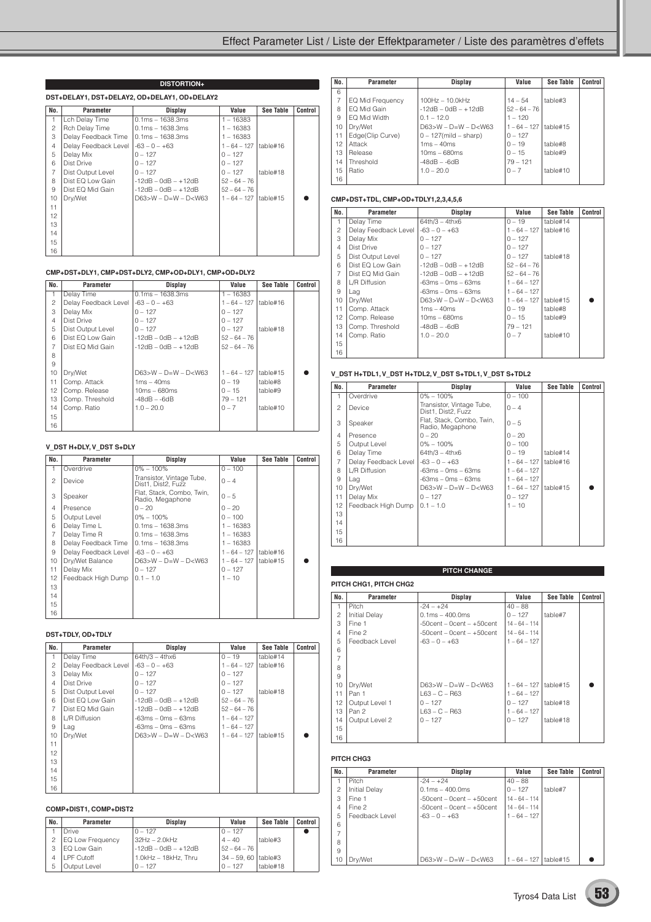|                | <b>DISTORTION+</b>                           |                        |                           |           |         |  |  |  |  |  |
|----------------|----------------------------------------------|------------------------|---------------------------|-----------|---------|--|--|--|--|--|
|                | DST+DELAY1, DST+DELAY2, OD+DELAY1, OD+DELAY2 |                        |                           |           |         |  |  |  |  |  |
| No.            | Parameter                                    | Display                | Value                     | See Table | Control |  |  |  |  |  |
| 1              | Lch Delay Time                               | $0.1ms - 1638.3ms$     | $1 - 16383$               |           |         |  |  |  |  |  |
| $\overline{c}$ | Rch Delay Time                               | $0.1ms - 1638.3ms$     | $1 - 16383$               |           |         |  |  |  |  |  |
| 3              | Delay Feedback Time   0.1ms - 1638.3ms       |                        | $1 - 16383$               |           |         |  |  |  |  |  |
| $\overline{4}$ | Delay Feedback Level                         | $-63 - 0 - +63$        | $1 - 64 - 127$            | table#16  |         |  |  |  |  |  |
| 5              | Delay Mix                                    | $0 - 127$              | $0 - 127$                 |           |         |  |  |  |  |  |
| 6              | Dist Drive                                   | $0 - 127$              | $0 - 127$                 |           |         |  |  |  |  |  |
| $\overline{7}$ | Dist Output Level                            | $0 - 127$              | $0 - 127$                 | table#18  |         |  |  |  |  |  |
| 8              | Dist EQ Low Gain                             | $-12dB - OdB - +12dB$  | $52 - 64 - 76$            |           |         |  |  |  |  |  |
| 9              | Dist EQ Mid Gain                             | $-12dB - OdB - +12dB$  | $52 - 64 - 76$            |           |         |  |  |  |  |  |
| 10             | Dry/Wet                                      | $D63>W - D=W - D< W63$ | $1 - 64 - 127$   table#15 |           |         |  |  |  |  |  |
| 11             |                                              |                        |                           |           |         |  |  |  |  |  |
| 12             |                                              |                        |                           |           |         |  |  |  |  |  |
| 13             |                                              |                        |                           |           |         |  |  |  |  |  |
| 14             |                                              |                        |                           |           |         |  |  |  |  |  |
| 15             |                                              |                        |                           |           |         |  |  |  |  |  |
| 16             |                                              |                        |                           |           |         |  |  |  |  |  |

#### **CMP+DST+DLY1, CMP+DST+DLY2, CMP+OD+DLY1, CMP+OD+DLY2**

| No.            | Parameter            | Display                | Value          | See Table | Control |
|----------------|----------------------|------------------------|----------------|-----------|---------|
| $\mathbf{1}$   | Delay Time           | $0.1ms - 1638.3ms$     | $1 - 16383$    |           |         |
| $\mathfrak{p}$ | Delay Feedback Level | $-63 - 0 - +63$        | $1 - 64 - 127$ | table#16  |         |
| 3              | Delay Mix            | $0 - 127$              | $0 - 127$      |           |         |
| $\overline{4}$ | Dist Drive           | $0 - 127$              | $0 - 127$      |           |         |
| 5              | Dist Output Level    | $0 - 127$              | $0 - 127$      | table#18  |         |
| 6              | Dist EQ Low Gain     | $-12dB - OdB - +12dB$  | $52 - 64 - 76$ |           |         |
| $\overline{7}$ | Dist EQ Mid Gain     | $-12dB - OdB - +12dB$  | $52 - 64 - 76$ |           |         |
| 8              |                      |                        |                |           |         |
| 9              |                      |                        |                |           |         |
| 10             | Dry/Wet              | $D63>W - D=W - D< W63$ | $1 - 64 - 127$ | table#15  |         |
| 11             | Comp. Attack         | $1ms - 40ms$           | $0 - 19$       | table#8   |         |
| 12             | Comp. Release        | $10ms - 680ms$         | $0 - 15$       | table#9   |         |
| 13             | Comp. Threshold      | $-48dB - -6dB$         | $79 - 121$     |           |         |
| 14             | Comp. Ratio          | $1.0 - 20.0$           | $0 - 7$        | table#10  |         |
| 15             |                      |                        |                |           |         |
| 16             |                      |                        |                |           |         |

#### **V\_DST H+DLY, V\_DST S+DLY**

| No.            | Parameter            | Display                                         | Value          | <b>See Table</b> | Control |
|----------------|----------------------|-------------------------------------------------|----------------|------------------|---------|
| 1              | Overdrive            | $0\% - 100\%$                                   | $0 - 100$      |                  |         |
| $\mathfrak{p}$ | Device               | Transistor, Vintage Tube,<br>Dist1, Dist2, Fuzz | $0 - 4$        |                  |         |
| 3              | Speaker              | Flat, Stack, Combo, Twin,<br>Radio, Megaphone   | $0 - 5$        |                  |         |
| 4              | Presence             | $0 - 20$                                        | $0 - 20$       |                  |         |
| 5              | Output Level         | $0\% - 100\%$                                   | $0 - 100$      |                  |         |
| 6              | Delay Time L         | $0.1ms - 1638.3ms$                              | $1 - 16383$    |                  |         |
| 7              | Delay Time R         | $0.1ms - 1638.3ms$                              | $1 - 16383$    |                  |         |
| 8              | Delay Feedback Time  | $0.1ms - 1638.3ms$                              | $1 - 16383$    |                  |         |
| 9              | Delay Feedback Level | $-63 - 0 - +63$                                 | $1 - 64 - 127$ | table#16         |         |
| 10             | Dry/Wet Balance      | $D63 > W - D = W - D < W63$                     | $1 - 64 - 127$ | table#15         |         |
| 11             | Delay Mix            | $0 - 127$                                       | $0 - 127$      |                  |         |
| 12             | Feedback High Dump   | $0.1 - 1.0$                                     | $1 - 10$       |                  |         |
| 13             |                      |                                                 |                |                  |         |
| 14             |                      |                                                 |                |                  |         |
| 15             |                      |                                                 |                |                  |         |
| 16             |                      |                                                 |                |                  |         |

#### **DST+TDLY, OD+TDLY**

| No.            | Parameter            | Display                     | Value          | <b>See Table</b> | Control |
|----------------|----------------------|-----------------------------|----------------|------------------|---------|
| 1              | Delay Time           | $64th/3 - 4thx6$            | $0 - 19$       | table#14         |         |
| 2              | Delay Feedback Level | $-63 - 0 - +63$             | $1 - 64 - 127$ | table#16         |         |
| 3              | Delay Mix            | $0 - 127$                   | $0 - 127$      |                  |         |
| $\overline{4}$ | Dist Drive           | $0 - 127$                   | $0 - 127$      |                  |         |
| 5              | Dist Output Level    | $0 - 127$                   | $0 - 127$      | table#18         |         |
| 6              | Dist EQ Low Gain     | $-12dB - OdB - +12dB$       | $52 - 64 - 76$ |                  |         |
| $\overline{7}$ | Dist EQ Mid Gain     | $-12dB - OdB - +12dB$       | $52 - 64 - 76$ |                  |         |
| 8              | L/R Diffusion        | -63ms – 0ms – 63ms          | $1 - 64 - 127$ |                  |         |
| 9              | Lag                  | -63ms – 0ms – 63ms          | $1 - 64 - 127$ |                  |         |
| 10             | Drv/Wet              | $D63 > W - D = W - D < W63$ | $1 - 64 - 127$ | table#15         |         |
| 11             |                      |                             |                |                  |         |
| 12             |                      |                             |                |                  |         |
| 13             |                      |                             |                |                  |         |
| 14             |                      |                             |                |                  |         |
| 15             |                      |                             |                |                  |         |
| 16             |                      |                             |                |                  |         |

### **COMP+DIST1, COMP+DIST2**

| No. | Parameter               | <b>Display</b>        | Value                 | See Table | Control |
|-----|-------------------------|-----------------------|-----------------------|-----------|---------|
|     | Drive                   | $0 - 127$             | $0 - 127$             |           |         |
| 2   | <b>EQ Low Frequency</b> | $32Hz - 2.0kHz$       | $4 - 40$              | table#3   |         |
| 3   | EQ Low Gain             | $-12dB - 0dB - +12dB$ | $52 - 64 - 76$        |           |         |
|     | <b>I PF Cutoff</b>      | 1.0kHz - 18kHz. Thru  | 34 – 59, 60   table#3 |           |         |
| 5   | Output Level            | $0 - 127$             | $0 - 127$             | table#18  |         |

| No. | Parameter        | Display                     | Value          | <b>See Table</b> | Control |
|-----|------------------|-----------------------------|----------------|------------------|---------|
| 6   |                  |                             |                |                  |         |
| 7   | EQ Mid Frequency | $100Hz - 10.0kHz$           | $14 - 54$      | table#3          |         |
| 8   | FO Mid Gain      | $-12dB - OdB - +12dB$       | $52 - 64 - 76$ |                  |         |
| 9   | FO Mid Width     | $0.1 - 12.0$                | $1 - 120$      |                  |         |
| 10  | Drv/Wet          | $D63 > W - D = W - D < W63$ | $1 - 64 - 127$ | table#15         |         |
| 11  | Edge(Clip Curve) | $0 - 127$ (mild – sharp)    | $0 - 127$      |                  |         |
| 12  | Attack           | $1ms - 40ms$                | $0 - 19$       | table#8          |         |
| 13  | Release          | $10ms - 680ms$              | $0 - 15$       | table#9          |         |
| 14  | Threshold        | $-48dB - -6dB$              | $79 - 121$     |                  |         |
| 15  | Ratio            | $1.0 - 20.0$                | $0 - 7$        | table#10         |         |
| 16  |                  |                             |                |                  |         |

#### **CMP+DST+TDL, CMP+OD+TDLY1,2,3,4,5,6**

| No.            | <b>Parameter</b>     | Display                | Value          | <b>See Table</b> | Control |
|----------------|----------------------|------------------------|----------------|------------------|---------|
| 1              | Delay Time           | $64th/3 - 4thx6$       | $0 - 19$       | table#14         |         |
| $\overline{c}$ | Delay Feedback Level | $-63 - 0 - +63$        | $1 - 64 - 127$ | table#16         |         |
| 3              | Delay Mix            | $0 - 127$              | $0 - 127$      |                  |         |
| $\overline{4}$ | Dist Drive           | $0 - 127$              | $0 - 127$      |                  |         |
| 5              | Dist Output Level    | $0 - 127$              | $0 - 127$      | table#18         |         |
| 6              | Dist EQ Low Gain     | $-12dB - 0dB - +12dB$  | $52 - 64 - 76$ |                  |         |
| $\overline{7}$ | Dist EQ Mid Gain     | -12dB – 0dB – +12dB    | $52 - 64 - 76$ |                  |         |
| 8              | L/R Diffusion        | $-63ms - 0ms - 63ms$   | $1 - 64 - 127$ |                  |         |
| 9              | Lag                  | $-63ms - 0ms - 63ms$   | $1 - 64 - 127$ |                  |         |
| 10             | Dry/Wet              | $D63>W - D=W - D< W63$ | $1 - 64 - 127$ | table#15         |         |
| 11             | Comp. Attack         | $1ms - 40ms$           | $0 - 19$       | table#8          |         |
| 12             | Comp. Release        | $10ms - 680ms$         | $0 - 15$       | table#9          |         |
| 13             | Comp. Threshold      | $-48dB - -6dB$         | $79 - 121$     |                  |         |
| 14             | Comp. Ratio          | $1.0 - 20.0$           | $0 - 7$        | table#10         |         |
| 15             |                      |                        |                |                  |         |
| 16             |                      |                        |                |                  |         |

#### **V\_DST H+TDL1, V\_DST H+TDL2, V\_DST S+TDL1, V\_DST S+TDL2**

| No.            | <b>Parameter</b>     | Display                                         | Value          | <b>See Table</b> | Control |
|----------------|----------------------|-------------------------------------------------|----------------|------------------|---------|
| 1              | Overdrive            | $0\% - 100\%$                                   | $0 - 100$      |                  |         |
| $\mathfrak{p}$ | Device               | Transistor, Vintage Tube,<br>Dist1, Dist2, Fuzz | $0 - 4$        |                  |         |
| 3              | Speaker              | Flat, Stack, Combo, Twin,<br>Radio, Megaphone   | $0 - 5$        |                  |         |
| 4              | Presence             | $0 - 20$                                        | $0 - 20$       |                  |         |
| 5              | Output Level         | $0\% - 100\%$                                   | $0 - 100$      |                  |         |
| 6              | Delay Time           | $64th/3 - 4thx6$                                | $0 - 19$       | table#14         |         |
| 7              | Delay Feedback Level | $-63 - 0 - +63$                                 | $1 - 64 - 127$ | table#16         |         |
| 8              | L/R Diffusion        | $-63ms - 0ms - 63ms$                            | $1 - 64 - 127$ |                  |         |
| 9              | Lag                  | $-63ms - 0ms - 63ms$                            | $1 - 64 - 127$ |                  |         |
| 10             | Dry/Wet              | $D63>W - D=W - D< W63$                          | $1 - 64 - 127$ | table#15         |         |
| 11             | Delay Mix            | $0 - 127$                                       | $0 - 127$      |                  |         |
| 12             | Feedback High Dump   | $0.1 - 1.0$                                     | $1 - 10$       |                  |         |
| 13             |                      |                                                 |                |                  |         |
| 14             |                      |                                                 |                |                  |         |
| 15             |                      |                                                 |                |                  |         |
| 16             |                      |                                                 |                |                  |         |

#### **PITCH CHG1, PITCH CHG2**

| No.            | Parameter      | <b>Display</b>                  | Value                     | See Table | Control |
|----------------|----------------|---------------------------------|---------------------------|-----------|---------|
| 1              | Pitch          | $-24 - +24$                     | $40 - 88$                 |           |         |
| 2              | Initial Delay  | $0.1ms - 400.0ms$               | $0 - 127$                 | table#7   |         |
| 3              | Fine 1         | $-50$ cent – 0cent – $+50$ cent | $14 - 64 - 114$           |           |         |
| $\overline{4}$ | Fine 2         | $-50$ cent – 0cent – $+50$ cent | $14 - 64 - 114$           |           |         |
| 5              | Feedback Level | $-63 - 0 - +63$                 | $1 - 64 - 127$            |           |         |
| 6              |                |                                 |                           |           |         |
| $\overline{7}$ |                |                                 |                           |           |         |
| 8              |                |                                 |                           |           |         |
| 9              |                |                                 |                           |           |         |
| 10             | Dry/Wet        | $D63 > W - D = W - D < W63$     | $1 - 64 - 127$   table#15 |           |         |
| 11             | Pan 1          | $L63 - C - R63$                 | $1 - 64 - 127$            |           |         |
| 12             | Output Level 1 | $0 - 127$                       | $0 - 127$                 | table#18  |         |
| 13             | Pan 2          | $L63 - C - R63$                 | $1 - 64 - 127$            |           |         |
| 14             | Output Level 2 | $0 - 127$                       | $0 - 127$                 | table#18  |         |
| 15             |                |                                 |                           |           |         |
| 16             |                |                                 |                           |           |         |

**PITCH CHANGE**

#### **PITCH CHG3**

| No.            | Parameter            | Display                          | Value           | <b>See Table</b> | Control |
|----------------|----------------------|----------------------------------|-----------------|------------------|---------|
|                | Pitch                | $-24 - +24$                      | $40 - 88$       |                  |         |
| $\mathfrak{p}$ | <b>Initial Delay</b> | $0.1ms - 400.0ms$                | $0 - 127$       | table#7          |         |
| 3              | Fine 1               | $-50$ cent $-0$ cent $ +50$ cent | $14 - 64 - 114$ |                  |         |
| $\overline{4}$ | Fine 2               | $-50$ cent – 0cent – $+50$ cent  | $14 - 64 - 114$ |                  |         |
| 5              | Feedback Level       | $-63 - 0 - +63$                  | $1 - 64 - 127$  |                  |         |
| 6              |                      |                                  |                 |                  |         |
|                |                      |                                  |                 |                  |         |
| 8              |                      |                                  |                 |                  |         |
| 9              |                      |                                  |                 |                  |         |
| 10             | Dry/Wet              | $D63>W - D=W - D< W63$           | $1 - 64 - 127$  | table#15         |         |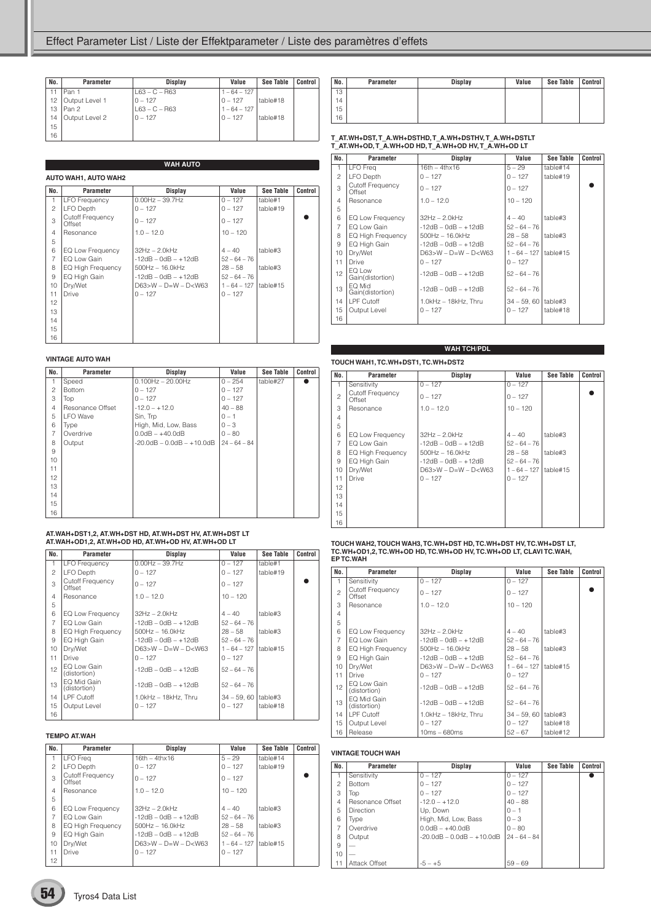| No. | Parameter      | <b>Display</b>  | Value          | See Table | Control |
|-----|----------------|-----------------|----------------|-----------|---------|
| 11  | Pan 1          | $L63 - C - R63$ | $1 - 64 - 127$ |           |         |
| 12  | Output Level 1 | $0 - 127$       | $0 - 127$      | table#18  |         |
| 13  | Pan 2          | $L63 - C - R63$ | $1 - 64 - 127$ |           |         |
| 14  | Output Level 2 | $0 - 127$       | $0 - 127$      | table#18  |         |
| 15  |                |                 |                |           |         |
| 16  |                |                 |                |           |         |

|                | <b>WAH AUTO</b>            |                        |                |           |         |  |  |
|----------------|----------------------------|------------------------|----------------|-----------|---------|--|--|
|                | AUTO WAH1, AUTO WAH2       |                        |                |           |         |  |  |
| No.            | Parameter                  | Display                | Value          | See Table | Control |  |  |
| $\mathbf{1}$   | <b>LFO Frequency</b>       | $0.00Hz - 39.7Hz$      | $0 - 127$      | table#1   |         |  |  |
| 2              | <b>LFO Depth</b>           | $0 - 127$              | $0 - 127$      | table#19  |         |  |  |
| 3              | Cutoff Frequency<br>Offset | $0 - 127$              | $0 - 127$      |           |         |  |  |
| $\overline{4}$ | Resonance                  | $1.0 - 12.0$           | $10 - 120$     |           |         |  |  |
| 5              |                            |                        |                |           |         |  |  |
| 6              | EQ Low Frequency           | $32Hz - 2.0kHz$        | $4 - 40$       | table#3   |         |  |  |
| 7              | EQ Low Gain                | $-12dB - OdB - +12dB$  | $52 - 64 - 76$ |           |         |  |  |
| 8              | EQ High Frequency          | $500$ Hz $- 16.0$ kHz  | $28 - 58$      | table#3   |         |  |  |
| 9              | EQ High Gain               | $-12dB - OdB - +12dB$  | $52 - 64 - 76$ |           |         |  |  |
| 10             | Dry/Wet                    | $D63>W - D=W - D< W63$ | $1 - 64 - 127$ | table#15  |         |  |  |
| 11             | <b>Drive</b>               | $0 - 127$              | $0 - 127$      |           |         |  |  |
| 12             |                            |                        |                |           |         |  |  |
| 13             |                            |                        |                |           |         |  |  |
| 14             |                            |                        |                |           |         |  |  |
| 15             |                            |                        |                |           |         |  |  |
| 16             |                            |                        |                |           |         |  |  |

#### **VINTAGE AUTO WAH**

| No.            | Parameter        | <b>Display</b>                     | Value          | <b>See Table</b> | Control |
|----------------|------------------|------------------------------------|----------------|------------------|---------|
| 1              | Speed            | $0.100$ Hz $- 20.00$ Hz            | $0 - 254$      | table#27         |         |
| $\overline{c}$ | <b>Bottom</b>    | $0 - 127$                          | $0 - 127$      |                  |         |
| 3              | Top              | $0 - 127$                          | $0 - 127$      |                  |         |
| $\overline{4}$ | Resonance Offset | $-12.0 - +12.0$                    | $40 - 88$      |                  |         |
| 5              | <b>LFO</b> Wave  | Sin, Trp                           | $0 - 1$        |                  |         |
| 6              | Type             | High, Mid, Low, Bass               | $0 - 3$        |                  |         |
| $\overline{7}$ | Overdrive        | $0.0dB - +40.0dB$                  | $0 - 80$       |                  |         |
| 8              | Output           | $-20.0$ dB $- 0.0$ dB $- +10.0$ dB | $24 - 64 - 84$ |                  |         |
| 9              |                  |                                    |                |                  |         |
| 10             |                  |                                    |                |                  |         |
| 11             |                  |                                    |                |                  |         |
| 12             |                  |                                    |                |                  |         |
| 13             |                  |                                    |                |                  |         |
| 14             |                  |                                    |                |                  |         |
| 15             |                  |                                    |                |                  |         |
| 16             |                  |                                    |                |                  |         |

## **AT.WAH+DST1,2, AT.WH+DST HD, AT.WH+DST HV, AT.WH+DST LT AT.WAH+OD1,2, AT.WH+OD HD, AT.WH+OD HV, AT.WH+OD LT**

| No.            | Parameter                         | Display                    | Value          | See Table | Control |
|----------------|-----------------------------------|----------------------------|----------------|-----------|---------|
| $\mathbf{1}$   | <b>LFO Frequency</b>              | $0.00Hz - 39.7Hz$          | $0 - 127$      | table#1   |         |
| $\overline{c}$ | LFO Depth                         | $0 - 127$                  | $0 - 127$      | table#19  |         |
| 3              | <b>Cutoff Frequency</b><br>Offset | $0 - 127$                  | $0 - 127$      |           |         |
| $\overline{4}$ | Resonance                         | $1.0 - 12.0$               | $10 - 120$     |           |         |
| 5              |                                   |                            |                |           |         |
| 6              | EQ Low Frequency                  | $32Hz - 2.0kHz$            | $4 - 40$       | table#3   |         |
| $\overline{7}$ | EQ Low Gain                       | $-12$ dB $-$ 0dB $ +12$ dB | $52 - 64 - 76$ |           |         |
| 8              | EQ High Frequency                 | $500$ Hz $- 16.0$ kHz      | $28 - 58$      | table#3   |         |
| 9              | EQ High Gain                      | $-12dB - OdB - +12dB$      | $52 - 64 - 76$ |           |         |
| 10             | Dry/Wet                           | $D63 > W - D=W - D < W63$  | $1 - 64 - 127$ | table#15  |         |
| 11             | Drive                             | $0 - 127$                  | $0 - 127$      |           |         |
| 12             | FO Low Gain<br>(distortion)       | $-12dB - OdB - +12dB$      | $52 - 64 - 76$ |           |         |
| 13             | EQ Mid Gain<br>(distortion)       | $-12$ dB $-$ 0dB $ +12$ dB | $52 - 64 - 76$ |           |         |
| 14             | LPF Cutoff                        | $1.0kHz - 18kHz$ , Thru    | $34 - 59,60$   | table#3   |         |
| 15             | Output Level                      | $0 - 127$                  | $0 - 127$      | table#18  |         |
| 16             |                                   |                            |                |           |         |

#### **TEMPO AT.WAH**

| No.            | Parameter                  | Display                     | Value          | <b>See Table</b> | Control |
|----------------|----------------------------|-----------------------------|----------------|------------------|---------|
|                | LFO Frea                   | $16th - 4thx16$             | $5 - 29$       | table#14         |         |
| $\mathfrak{p}$ | <b>LFO Depth</b>           | $0 - 127$                   | $0 - 127$      | table#19         |         |
| 3              | Cutoff Frequency<br>Offset | $0 - 127$                   | $0 - 127$      |                  |         |
| $\overline{4}$ | Resonance                  | $1.0 - 12.0$                | $10 - 120$     |                  |         |
| 5              |                            |                             |                |                  |         |
| 6              | EQ Low Frequency           | $32Hz - 2.0kHz$             | $4 - 40$       | table#3          |         |
| 7              | FO Low Gain                | $-12dB - OdB - +12dB$       | $52 - 64 - 76$ |                  |         |
| 8              | <b>EQ High Frequency</b>   | $500Hz - 16.0kHz$           | $28 - 58$      | table#3          |         |
| 9              | EQ High Gain               | $-12dB - OdB - +12dB$       | $52 - 64 - 76$ |                  |         |
| 10             | Dry/Wet                    | $D63 > W - D = W - D < W63$ | $1 - 64 - 127$ | table#15         |         |
| 11             | <b>Drive</b>               | $0 - 127$                   | $0 - 127$      |                  |         |
| 12             |                            |                             |                |                  |         |

| No. | Parameter | <b>Display</b> | Value | <b>See Table</b> | Control |
|-----|-----------|----------------|-------|------------------|---------|
| 13  |           |                |       |                  |         |
| 14  |           |                |       |                  |         |
| 15  |           |                |       |                  |         |
| 16  |           |                |       |                  |         |

## **T\_AT.WH+DST, T\_A.WH+DSTHD, T\_A.WH+DSTHV, T\_A.WH+DSTLT T\_AT.WH+OD, T\_A.WH+OD HD, T\_A.WH+OD HV, T\_A.WH+OD LT**

| No.            | <b>Parameter</b>                  | Display                    | Value          | See Table | Control |
|----------------|-----------------------------------|----------------------------|----------------|-----------|---------|
| 1              | LFO Freq                          | $16th - 4thx16$            | $5 - 29$       | table#14  |         |
| $\overline{c}$ | LFO Depth                         | $0 - 127$                  | $0 - 127$      | table#19  |         |
| 3              | <b>Cutoff Frequency</b><br>Offset | $0 - 127$                  | $0 - 127$      |           |         |
| $\overline{4}$ | Resonance                         | $1.0 - 12.0$               | $10 - 120$     |           |         |
| 5              |                                   |                            |                |           |         |
| 6              | EQ Low Frequency                  | $32Hz - 2.0kHz$            | $4 - 40$       | table#3   |         |
| $\overline{7}$ | EQ Low Gain                       | $-12$ dB $-$ 0dB $ +12$ dB | $52 - 64 - 76$ |           |         |
| 8              | EQ High Frequency                 | $500$ Hz $- 16.0$ kHz      | $28 - 58$      | table#3   |         |
| 9              | EQ High Gain                      | $-12dB - OdB - +12dB$      | $52 - 64 - 76$ |           |         |
| 10             | Drv/Wet                           | $D63>W - D=W - D< W63$     | $1 - 64 - 127$ | table#15  |         |
| 11             | Drive                             | $0 - 127$                  | $0 - 127$      |           |         |
| 12             | EQ Low<br>Gain(distortion)        | $-12dB - OdB - +12dB$      | $52 - 64 - 76$ |           |         |
| 13             | FO Mid<br>Gain(distortion)        | $-12dB - OdB - +12dB$      | $52 - 64 - 76$ |           |         |
| 14             | LPF Cutoff                        | 1.0kHz - 18kHz, Thru       | $34 - 59, 60$  | table#3   |         |
| 15             | Output Level                      | $0 - 127$                  | $0 - 127$      | table#18  |         |
| 16             |                                   |                            |                |           |         |

#### **TOUCH WAH1, TC.WH+DST1, TC.WH+DST2 WAH TCH/PDL**

| No.            | Parameter                         | <b>Display</b>         | Value          | See Table | Control |
|----------------|-----------------------------------|------------------------|----------------|-----------|---------|
| 1              | Sensitivity                       | $0 - 127$              | $0 - 127$      |           |         |
| $\overline{c}$ | <b>Cutoff Frequency</b><br>Offset | $0 - 127$              | $0 - 127$      |           |         |
| 3              | Resonance                         | $1.0 - 12.0$           | $10 - 120$     |           |         |
| $\overline{4}$ |                                   |                        |                |           |         |
| 5              |                                   |                        |                |           |         |
| 6              | EQ Low Frequency                  | $32Hz - 2.0kHz$        | $4 - 40$       | table#3   |         |
| $\overline{7}$ | EQ Low Gain                       | -12dB - 0dB - +12dB    | $52 - 64 - 76$ |           |         |
| 8              | EQ High Frequency                 | $500$ Hz $- 16.0$ kHz  | $28 - 58$      | table#3   |         |
| 9              | EQ High Gain                      | -12dB – 0dB – +12dB    | $52 - 64 - 76$ |           |         |
| 10             | Dry/Wet                           | $D63>W - D=W - D< W63$ | $1 - 64 - 127$ | table#15  |         |
| 11             | Drive                             | $0 - 127$              | $0 - 127$      |           |         |
| 12             |                                   |                        |                |           |         |
| 13             |                                   |                        |                |           |         |
| 14             |                                   |                        |                |           |         |
| 15             |                                   |                        |                |           |         |
| 16             |                                   |                        |                |           |         |

# **TOUCH WAH2, TOUCH WAH3, TC.WH+DST HD, TC.WH+DST HV, TC.WH+DST LT, TC.WH+OD1,2, TC.WH+OD HD, TC.WH+OD HV, TC.WH+OD LT, CLAVI TC.WAH, EP TC.WAH**

| No.            | Parameter                   | Display                     | Value          | <b>See Table</b> | Control |
|----------------|-----------------------------|-----------------------------|----------------|------------------|---------|
| 1              | Sensitivity                 | $0 - 127$                   | $0 - 127$      |                  |         |
| $\mathfrak{D}$ | Cutoff Frequency<br>Offset  | $0 - 127$                   | $0 - 127$      |                  |         |
| 3              | Resonance                   | $1.0 - 12.0$                | $10 - 120$     |                  |         |
| $\overline{4}$ |                             |                             |                |                  |         |
| 5              |                             |                             |                |                  |         |
| 6              | EQ Low Frequency            | $32Hz - 2.0kHz$             | $4 - 40$       | table#3          |         |
| $\overline{7}$ | EQ Low Gain                 | $-12dB - 0dB - +12dB$       | $52 - 64 - 76$ |                  |         |
| 8              | EQ High Frequency           | $500Hz - 16.0kHz$           | $28 - 58$      | table#3          |         |
| 9              | EQ High Gain                | $-12$ dB $-$ 0dB $ +12$ dB  | $52 - 64 - 76$ |                  |         |
| 10             | Drv/Wet                     | $D63 > W - D = W - D < W63$ | $1 - 64 - 127$ | table#15         |         |
| 11             | Drive                       | $0 - 127$                   | $0 - 127$      |                  |         |
| 12             | FO Low Gain<br>(distortion) | $-12dB - OdB - +12dB$       | $52 - 64 - 76$ |                  |         |
| 13             | EQ Mid Gain<br>(distortion) | $-12dB - OdB - +12dB$       | $52 - 64 - 76$ |                  |         |
| 14             | LPF Cutoff                  | 1.0kHz - 18kHz, Thru        | $34 - 59,60$   | table#3          |         |
| 15             | Output Level                | $0 - 127$                   | $0 - 127$      | table#18         |         |
| 16             | Release                     | $10ms - 680ms$              | $52 - 67$      | table#12         |         |

#### **VINTAGE TOUCH WAH**

| No.            | Parameter        | Display                            | Value          | <b>See Table</b> | Control |
|----------------|------------------|------------------------------------|----------------|------------------|---------|
| 1              | Sensitivity      | $0 - 127$                          | $0 - 127$      |                  |         |
| $\mathfrak{p}$ | <b>Bottom</b>    | $0 - 127$                          | $0 - 127$      |                  |         |
| 3              | Top              | $0 - 127$                          | $0 - 127$      |                  |         |
| $\overline{4}$ | Resonance Offset | $-12.0 - +12.0$                    | $40 - 88$      |                  |         |
| 5              | <b>Direction</b> | Up, Down                           | $0 - 1$        |                  |         |
| 6              | Type             | High, Mid, Low, Bass               | $0 - 3$        |                  |         |
| 7              | Overdrive        | $0.0dB - +40.0dB$                  | $0 - 80$       |                  |         |
| 8              | Output           | $-20.0$ dB $- 0.0$ dB $- +10.0$ dB | $24 - 64 - 84$ |                  |         |
| 9              |                  |                                    |                |                  |         |
| 10             |                  |                                    |                |                  |         |
| 11             | Attack Offset    | $-5 - +5$                          | $59 - 69$      |                  |         |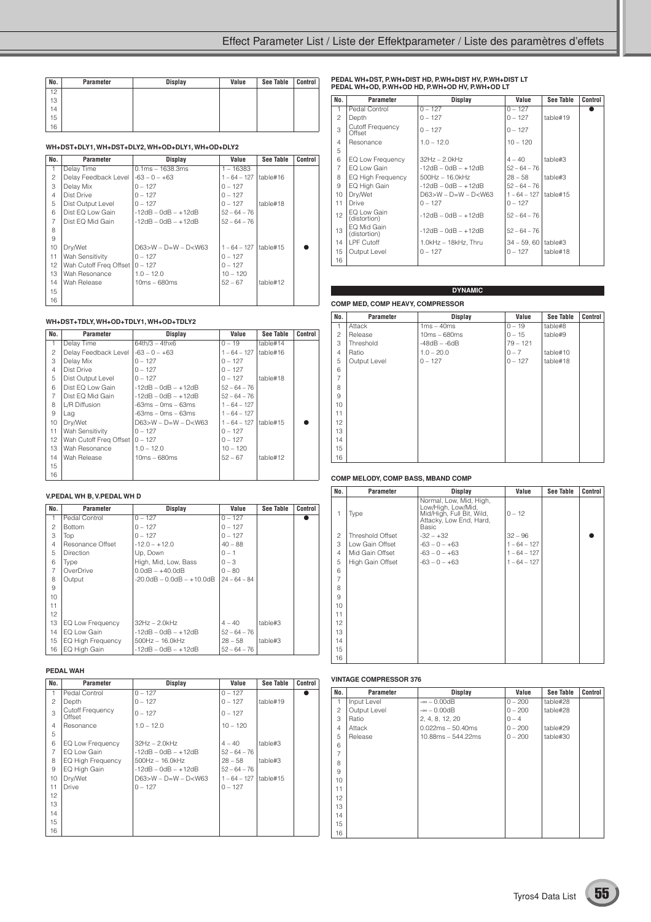| No. | Parameter | <b>Display</b> | Value | <b>See Table</b> | Control |
|-----|-----------|----------------|-------|------------------|---------|
| 12  |           |                |       |                  |         |
| 13  |           |                |       |                  |         |
| 14  |           |                |       |                  |         |
| 15  |           |                |       |                  |         |
| 16  |           |                |       |                  |         |

#### **WH+DST+DLY1, WH+DST+DLY2, WH+OD+DLY1, WH+OD+DLY2**

| No.            | Parameter              | Display                     | Value          | See Table | <b>Control</b> |
|----------------|------------------------|-----------------------------|----------------|-----------|----------------|
| 1              | Delay Time             | $0.1ms - 1638.3ms$          | $1 - 16383$    |           |                |
| 2              | Delay Feedback Level   | $-63 - 0 - +63$             | $1 - 64 - 127$ | table#16  |                |
| 3              | Delay Mix              | $0 - 127$                   | $0 - 127$      |           |                |
| $\overline{4}$ | Dist Drive             | $0 - 127$                   | $0 - 127$      |           |                |
| 5              | Dist Output Level      | $0 - 127$                   | $0 - 127$      | table#18  |                |
| 6              | Dist EQ Low Gain       | $-12dB - OdB - +12dB$       | $52 - 64 - 76$ |           |                |
| 7              | Dist EQ Mid Gain       | $-12dB - OdB - +12dB$       | $52 - 64 - 76$ |           |                |
| 8              |                        |                             |                |           |                |
| 9              |                        |                             |                |           |                |
| 10             | Dry/Wet                | $D63 > W - D = W - D < W63$ | $1 - 64 - 127$ | table#15  |                |
| 11             | Wah Sensitivity        | $0 - 127$                   | $0 - 127$      |           |                |
| 12             | Wah Cutoff Freq Offset | $0 - 127$                   | $0 - 127$      |           |                |
| 13             | Wah Resonance          | $1.0 - 12.0$                | $10 - 120$     |           |                |
| 14             | Wah Release            | $10ms - 680ms$              | $52 - 67$      | table#12  |                |
| 15             |                        |                             |                |           |                |
| 16             |                        |                             |                |           |                |

#### **WH+DST+TDLY, WH+OD+TDLY1, WH+OD+TDLY2**

| No.            | Parameter              | Display                     | Value                     | See Table | Control |
|----------------|------------------------|-----------------------------|---------------------------|-----------|---------|
|                |                        |                             |                           |           |         |
| $\mathbf{1}$   | Delay Time             | $64th/3 - 4thx6$            | $0 - 19$                  | table#14  |         |
| $\mathfrak{p}$ | Delay Feedback Level   | $-63 - 0 - +63$             | $1 - 64 - 127$            | table#16  |         |
| 3              | Delay Mix              | $0 - 127$                   | $0 - 127$                 |           |         |
| $\overline{4}$ | Dist Drive             | $0 - 127$                   | $0 - 127$                 |           |         |
| 5              | Dist Output Level      | $0 - 127$                   | $0 - 127$                 | table#18  |         |
| 6              | Dist EQ Low Gain       | $-12dB - OdB - +12dB$       | $52 - 64 - 76$            |           |         |
| $\overline{7}$ | Dist EQ Mid Gain       | $-12dB - OdB - +12dB$       | $52 - 64 - 76$            |           |         |
| 8              | L/R Diffusion          | $-63ms - 0ms - 63ms$        | $1 - 64 - 127$            |           |         |
| 9              | Lag                    | -63ms – 0ms – 63ms          | $1 - 64 - 127$            |           |         |
| 10             | Dry/Wet                | $D63 > W - D = W - D < W63$ | $1 - 64 - 127$   table#15 |           |         |
| 11             | <b>Wah Sensitivity</b> | $0 - 127$                   | $0 - 127$                 |           |         |
| 12             | Wah Cutoff Freg Offset | $0 - 127$                   | $0 - 127$                 |           |         |
| 13             | Wah Resonance          | $1.0 - 12.0$                | $10 - 120$                |           |         |
| 14             | Wah Release            | $10ms - 680ms$              | $52 - 67$                 | table#12  |         |
| 15             |                        |                             |                           |           |         |
| 16             |                        |                             |                           |           |         |

#### **V.PEDAL WH B, V.PEDAL WH D**

| No.            | Parameter         | Display                            | Value          | See Table | Control |
|----------------|-------------------|------------------------------------|----------------|-----------|---------|
| 1              | Pedal Control     | $0 - 127$                          | $0 - 127$      |           |         |
| $\overline{c}$ | <b>Bottom</b>     | $0 - 127$                          | $0 - 127$      |           |         |
| 3              | Top               | $0 - 127$                          | $0 - 127$      |           |         |
| $\overline{4}$ | Resonance Offset  | $-12.0 - +12.0$                    | $40 - 88$      |           |         |
| 5              | Direction         | Up, Down                           | $0 - 1$        |           |         |
| 6              | Type              | High, Mid, Low, Bass               | $0 - 3$        |           |         |
| 7              | OverDrive         | $0.0dB - +40.0dB$                  | $0 - 80$       |           |         |
| 8              | Output            | $-20.0$ dB $- 0.0$ dB $- +10.0$ dB | $24 - 64 - 84$ |           |         |
| 9              |                   |                                    |                |           |         |
| 10             |                   |                                    |                |           |         |
| 11             |                   |                                    |                |           |         |
| 12             |                   |                                    |                |           |         |
| 13             | EQ Low Frequency  | $32Hz - 2.0kHz$                    | $4 - 40$       | table#3   |         |
| 14             | EQ Low Gain       | $-12dB - OdB - +12dB$              | $52 - 64 - 76$ |           |         |
| 15             | EQ High Frequency | $500$ Hz $- 16.0$ kHz              | $28 - 58$      | table#3   |         |
| 16             | EQ High Gain      | $-12dB - OdB - +12dB$              | $52 - 64 - 76$ |           |         |
|                |                   |                                    |                |           |         |

#### **PEDAL WAH**

| No.            | Parameter                         | Display                     | Value          | See Table | Control |
|----------------|-----------------------------------|-----------------------------|----------------|-----------|---------|
| $\mathbf{1}$   | Pedal Control                     | $0 - 127$                   | $0 - 127$      |           |         |
| 2              | Depth                             | $0 - 127$                   | $0 - 127$      | table#19  |         |
| 3              | <b>Cutoff Frequency</b><br>Offset | $0 - 127$                   | $0 - 127$      |           |         |
| $\overline{4}$ | Resonance                         | $1.0 - 12.0$                | $10 - 120$     |           |         |
| 5              |                                   |                             |                |           |         |
| 6              | EQ Low Frequency                  | $32Hz - 2.0kHz$             | $4 - 40$       | table#3   |         |
| $\overline{7}$ | EQ Low Gain                       | $-12$ dB $-$ 0dB $ +12$ dB  | $52 - 64 - 76$ |           |         |
| 8              | EQ High Frequency                 | $500$ Hz $- 16.0$ kHz       | $28 - 58$      | table#3   |         |
| 9              | EQ High Gain                      | $-12dB - OdB - +12dB$       | $52 - 64 - 76$ |           |         |
| 10             | Dry/Wet                           | $D63 > W - D = W - D < W63$ | $1 - 64 - 127$ | table#15  |         |
| 11             | <b>Drive</b>                      | $0 - 127$                   | $0 - 127$      |           |         |
| 12             |                                   |                             |                |           |         |
| 13             |                                   |                             |                |           |         |
| 14             |                                   |                             |                |           |         |
| 15             |                                   |                             |                |           |         |
| 16             |                                   |                             |                |           |         |

## **PEDAL WH+DST, P.WH+DIST HD, P.WH+DIST HV, P.WH+DIST LT PEDAL WH+OD, P.WH+OD HD, P.WH+OD HV, P.WH+OD LT**

| No.            | <b>Parameter</b>                  | Display                     | Value          | See Table | Control |
|----------------|-----------------------------------|-----------------------------|----------------|-----------|---------|
| $\mathbf{1}$   | Pedal Control                     | $0 - 127$                   | $0 - 127$      |           |         |
| $\overline{c}$ | Depth                             | $0 - 127$                   | $0 - 127$      | table#19  |         |
| 3              | <b>Cutoff Frequency</b><br>Offset | $0 - 127$                   | $0 - 127$      |           |         |
| $\overline{4}$ | Resonance                         | $1.0 - 12.0$                | $10 - 120$     |           |         |
| 5              |                                   |                             |                |           |         |
| 6              | EQ Low Frequency                  | 32Hz – 2.0kHz               | $4 - 40$       | table#3   |         |
| $\overline{7}$ | EQ Low Gain                       | $-12dB - OdB - +12dB$       | $52 - 64 - 76$ |           |         |
| 8              | EQ High Frequency                 | $500Hz - 16.0kHz$           | $28 - 58$      | table#3   |         |
| 9              | EQ High Gain                      | $-12$ dB $-$ 0dB $ +12$ dB  | $52 - 64 - 76$ |           |         |
| 10             | Dry/Wet                           | $D63 > W - D = W - D < W63$ | $1 - 64 - 127$ | table#15  |         |
| 11             | Drive                             | $0 - 127$                   | $0 - 127$      |           |         |
| 12             | EQ Low Gain<br>(distortion)       | $-12$ dB $-$ 0dB $ +12$ dB  | $52 - 64 - 76$ |           |         |
| 13             | FO Mid Gain<br>(distortion)       | $-12$ dB $-$ 0dB $ +12$ dB  | $52 - 64 - 76$ |           |         |
| 14             | <b>LPF Cutoff</b>                 | $1.0kHz - 18kHz$ . Thru     | $34 - 59.60$   | table#3   |         |
| 15             | Output Level                      | $0 - 127$                   | $0 - 127$      | table#18  |         |
| 16             |                                   |                             |                |           |         |

#### **COMP MED, COMP HEAVY, COMPRESSOR DYNAMIC**

| No.            | Parameter    | <b>Display</b> | Value      | <b>See Table</b> | Control |
|----------------|--------------|----------------|------------|------------------|---------|
| $\mathbf{1}$   | Attack       | $1ms - 40ms$   | $0 - 19$   | table#8          |         |
| $\overline{c}$ | Release      | $10ms - 680ms$ | $0 - 15$   | table#9          |         |
| 3              | Threshold    | $-48dB - -6dB$ | $79 - 121$ |                  |         |
| $\overline{4}$ | Ratio        | $1.0 - 20.0$   | $0 - 7$    | table#10         |         |
| 5              | Output Level | $0 - 127$      | $0 - 127$  | table#18         |         |
| 6              |              |                |            |                  |         |
| $\overline{7}$ |              |                |            |                  |         |
| 8              |              |                |            |                  |         |
| 9              |              |                |            |                  |         |
| 10             |              |                |            |                  |         |
| 11             |              |                |            |                  |         |
| 12             |              |                |            |                  |         |
| 13             |              |                |            |                  |         |
| 14             |              |                |            |                  |         |
| 15             |              |                |            |                  |         |
| 16             |              |                |            |                  |         |

#### **COMP MELODY, COMP BASS, MBAND COMP**

| No.            | Parameter               | <b>Display</b>                                                                                                 | Value          | <b>See Table</b> | Control |
|----------------|-------------------------|----------------------------------------------------------------------------------------------------------------|----------------|------------------|---------|
| 1              | Type                    | Normal, Low, Mid, High,<br>Low/High, Low/Mid,<br>Mid/High, Full Bit, Wild,<br>Attacky, Low End, Hard,<br>Basic | $0 - 12$       |                  |         |
| $\overline{c}$ | <b>Threshold Offset</b> | $-32 - +32$                                                                                                    | $32 - 96$      |                  |         |
| 3              | Low Gain Offset         | $-63 - 0 - +63$                                                                                                | $1 - 64 - 127$ |                  |         |
| $\overline{4}$ | Mid Gain Offset         | $-63 - 0 - +63$                                                                                                | $1 - 64 - 127$ |                  |         |
| 5              | High Gain Offset        | $-63 - 0 - +63$                                                                                                | $1 - 64 - 127$ |                  |         |
| 6              |                         |                                                                                                                |                |                  |         |
| $\overline{7}$ |                         |                                                                                                                |                |                  |         |
| 8              |                         |                                                                                                                |                |                  |         |
| 9              |                         |                                                                                                                |                |                  |         |
| 10             |                         |                                                                                                                |                |                  |         |
| 11             |                         |                                                                                                                |                |                  |         |
| 12             |                         |                                                                                                                |                |                  |         |
| 13             |                         |                                                                                                                |                |                  |         |
| 14             |                         |                                                                                                                |                |                  |         |
| 15             |                         |                                                                                                                |                |                  |         |
| 16             |                         |                                                                                                                |                |                  |         |

#### **VINTAGE COMPRESSOR 376**

| No.            | Parameter    | <b>Display</b>       | Value     | <b>See Table</b> | Control |
|----------------|--------------|----------------------|-----------|------------------|---------|
| 1              | Input Level  | $-\infty - 0.00$ dB  | $0 - 200$ | table#28         |         |
| $\overline{c}$ | Output Level | $-\infty - 0.00$ dB  | $0 - 200$ | table#28         |         |
| 3              | Ratio        | 2, 4, 8, 12, 20      | $0 - 4$   |                  |         |
| $\overline{4}$ | Attack       | $0.022ms - 50.40ms$  | $0 - 200$ | table#29         |         |
| 5              | Release      | $10.88ms - 544.22ms$ | $0 - 200$ | table#30         |         |
| 6              |              |                      |           |                  |         |
| $\overline{7}$ |              |                      |           |                  |         |
| 8              |              |                      |           |                  |         |
| 9              |              |                      |           |                  |         |
| 10             |              |                      |           |                  |         |
| 11             |              |                      |           |                  |         |
| 12             |              |                      |           |                  |         |
| 13             |              |                      |           |                  |         |
| 14             |              |                      |           |                  |         |
| 15             |              |                      |           |                  |         |
| 16             |              |                      |           |                  |         |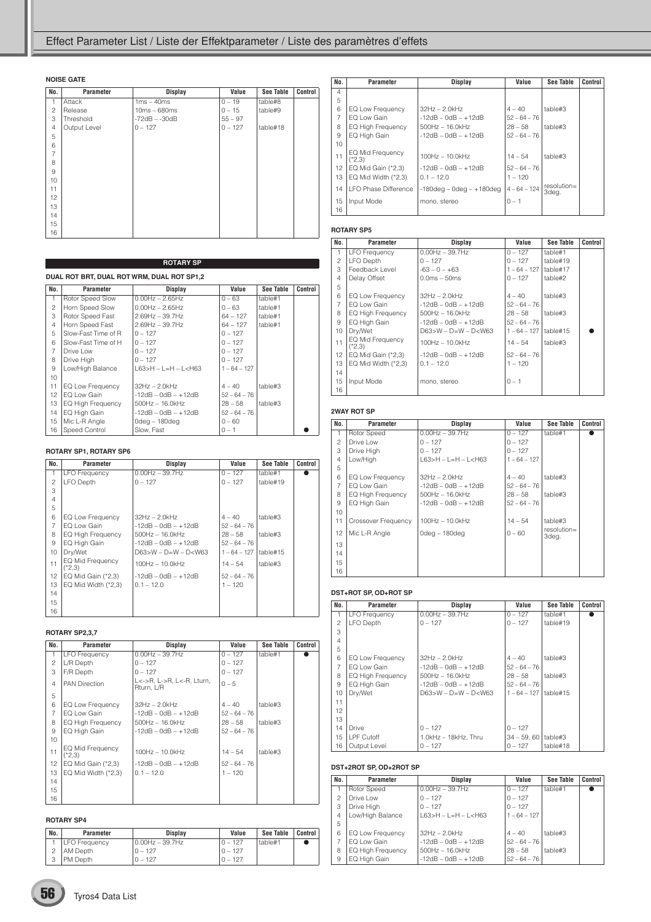| No.            | Parameter    | <b>Display</b>  | Value     | <b>See Table</b> | Control |
|----------------|--------------|-----------------|-----------|------------------|---------|
| 1              | Attack       | $1ms - 40ms$    | $0 - 19$  | table#8          |         |
| $\overline{c}$ | Release      | $10ms - 680ms$  | $0 - 15$  | table#9          |         |
| 3              | Threshold    | $-72dB - -30dB$ | $55 - 97$ |                  |         |
| $\overline{4}$ | Output Level | $0 - 127$       | $0 - 127$ | table#18         |         |
| 5              |              |                 |           |                  |         |
| 6              |              |                 |           |                  |         |
| $\overline{7}$ |              |                 |           |                  |         |
| 8              |              |                 |           |                  |         |
| 9              |              |                 |           |                  |         |
| 10             |              |                 |           |                  |         |
| 11             |              |                 |           |                  |         |
| 12             |              |                 |           |                  |         |
| 13             |              |                 |           |                  |         |
| 14             |              |                 |           |                  |         |
| 15             |              |                 |           |                  |         |
| 16             |              |                 |           |                  |         |

|                | <b>ROTARY SP</b>                           |                             |                |                  |         |  |  |
|----------------|--------------------------------------------|-----------------------------|----------------|------------------|---------|--|--|
|                | DUAL ROT BRT, DUAL ROT WRM, DUAL ROT SP1,2 |                             |                |                  |         |  |  |
| No.            | Parameter                                  | Display                     | Value          | <b>See Table</b> | Control |  |  |
| 1              | Rotor Speed Slow                           | $0.00Hz - 2.65Hz$           | $0 - 63$       | table#1          |         |  |  |
| $\overline{c}$ | Horn Speed Slow                            | $0.00$ Hz $- 2.65$ Hz       | $0 - 63$       | table#1          |         |  |  |
| 3              | Rotor Speed Fast                           | $2.69$ Hz - 39.7Hz          | 64 – 127       | table#1          |         |  |  |
| $\overline{4}$ | Horn Speed Fast                            | $2.69$ Hz - 39.7Hz          | $64 - 127$     | table#1          |         |  |  |
| 5              | Slow-Fast Time of R                        | $0 - 127$                   | $0 - 127$      |                  |         |  |  |
| 6              | Slow-Fast Time of H                        | $0 - 127$                   | $0 - 127$      |                  |         |  |  |
| $\overline{7}$ | Drive Low                                  | $0 - 127$                   | $0 - 127$      |                  |         |  |  |
| 8              | Drive High                                 | $0 - 127$                   | $0 - 127$      |                  |         |  |  |
| 9              | Low/High Balance                           | $L63 > H - L = H - L < H63$ | $1 - 64 - 127$ |                  |         |  |  |
| 10             |                                            |                             |                |                  |         |  |  |
| 11             | EQ Low Frequency                           | $32Hz - 2.0kHz$             | $4 - 40$       | table#3          |         |  |  |
| 12             | EQ Low Gain                                | $-12dB - OdB - +12dB$       | $52 - 64 - 76$ |                  |         |  |  |
| 13             | EQ High Frequency                          | $500$ Hz $- 16.0$ kHz       | $28 - 58$      | table#3          |         |  |  |
| 14             | EQ High Gain                               | $-12dB - OdB - +12dB$       | $52 - 64 - 76$ |                  |         |  |  |
| 15             | Mic L-R Angle                              | $0$ deg – 180deg            | $0 - 60$       |                  |         |  |  |
| 16             | Speed Control                              | Slow, Fast                  | $0 - 1$        |                  |         |  |  |

#### **ROTARY SP1, ROTARY SP6**

| No.            | Parameter                    | Display                    | Value          | See Table | Control |
|----------------|------------------------------|----------------------------|----------------|-----------|---------|
| 1              | <b>LFO Frequency</b>         | $0.00$ Hz $-$ 39.7Hz       | $0 - 127$      | table#1   |         |
| $\overline{c}$ | <b>LFO</b> Depth             | $0 - 127$                  | $0 - 127$      | table#19  |         |
| 3              |                              |                            |                |           |         |
| $\overline{4}$ |                              |                            |                |           |         |
| 5              |                              |                            |                |           |         |
| 6              | EQ Low Frequency             | $32Hz - 2.0kHz$            | $4 - 40$       | table#3   |         |
| $\overline{7}$ | FO Low Gain                  | $-12$ dB $-$ 0dB $ +12$ dB | $52 - 64 - 76$ |           |         |
| 8              | EQ High Frequency            | $500$ Hz $-16.0$ kHz       | $28 - 58$      | table#3   |         |
| 9              | EQ High Gain                 | $-12dB - OdB - +12dB$      | $52 - 64 - 76$ |           |         |
| 10             | Dry/Wet                      | $D63>W - D=W - D< W63$     | $1 - 64 - 127$ | table#15  |         |
| 11             | EQ Mid Frequency<br>$(*2,3)$ | $100Hz - 10.0kHz$          | $14 - 54$      | table#3   |         |
| 12             | EQ Mid Gain $(*2,3)$         | $-12dB - OdB - +12dB$      | $52 - 64 - 76$ |           |         |
| 13             | EQ Mid Width $(*2,3)$        | $0.1 - 12.0$               | $1 - 120$      |           |         |
| 14             |                              |                            |                |           |         |
| 15             |                              |                            |                |           |         |
| 16             |                              |                            |                |           |         |

#### **ROTARY SP2,3,7**

| No.            | Parameter                    | Display                                 | Value          | See Table | Control |
|----------------|------------------------------|-----------------------------------------|----------------|-----------|---------|
| 1              | <b>LFO Frequency</b>         | $0.00Hz - 39.7Hz$                       | $0 - 127$      | table#1   |         |
| $\overline{c}$ | L/R Depth                    | $0 - 127$                               | $0 - 127$      |           |         |
| 3              | F/R Depth                    | $0 - 127$                               | $0 - 127$      |           |         |
| $\overline{4}$ | <b>PAN Direction</b>         | L<->R. L->R. L<-R. Lturn.<br>Rturn, L/R | $0 - 5$        |           |         |
| 5              |                              |                                         |                |           |         |
| 6              | EQ Low Frequency             | $32Hz - 2.0kHz$                         | $4 - 40$       | table#3   |         |
| 7              | EQ Low Gain                  | $-12dB - OdB - +12dB$                   | $52 - 64 - 76$ |           |         |
| 8              | EQ High Frequency            | $500$ Hz $- 16.0$ kHz                   | $28 - 58$      | table#3   |         |
| 9              | EQ High Gain                 | $-12dB - OdB - +12dB$                   | $52 - 64 - 76$ |           |         |
| 10             |                              |                                         |                |           |         |
| 11             | EQ Mid Frequency<br>$(*2,3)$ | $100Hz - 10.0kHz$                       | $14 - 54$      | table#3   |         |
| 12             | EQ Mid Gain $(*2,3)$         | $-12dB - OdB - +12dB$                   | $52 - 64 - 76$ |           |         |
| 13             | EQ Mid Width $(*2,3)$        | $0.1 - 12.0$                            | $1 - 120$      |           |         |
| 14             |                              |                                         |                |           |         |
| 15             |                              |                                         |                |           |         |
| 16             |                              |                                         |                |           |         |

#### **ROTARY SP4**

| No. | Parameter       | <b>Display</b>    | Value     | See Table | Control |
|-----|-----------------|-------------------|-----------|-----------|---------|
|     | LFO Frequency   | $0.00Hz - 39.7Hz$ | $0 - 127$ | table#1   |         |
|     | <b>AM Depth</b> | $0 - 127$         | 0 – 127   |           |         |
| 3   | PM Depth        | $0 - 127$         | $0 - 127$ |           |         |

| No.            | Parameter                           | Display                        | Value          | <b>See Table</b>        | Control |
|----------------|-------------------------------------|--------------------------------|----------------|-------------------------|---------|
| $\overline{4}$ |                                     |                                |                |                         |         |
| 5              |                                     |                                |                |                         |         |
| 6              | EQ Low Frequency                    | $32Hz - 2.0kHz$                | $4 - 40$       | table#3                 |         |
| $\overline{7}$ | FO Low Gain                         | $-12$ dB $-$ 0dB $ +12$ dB     | $52 - 64 - 76$ |                         |         |
| 8              | EQ High Frequency                   | $500Hz - 16.0kHz$              | $28 - 58$      | table#3                 |         |
| 9              | EQ High Gain                        | $-12$ dB $-$ 0dB $ +12$ dB     | $52 - 64 - 76$ |                         |         |
| 10             |                                     |                                |                |                         |         |
| 11             | <b>EQ Mid Frequency</b><br>$(*2.3)$ | $100Hz - 10.0kHz$              | $14 - 54$      | table#3                 |         |
| 12             | EQ Mid Gain $(*2,3)$                | $-12dB - OdB - +12dB$          | $52 - 64 - 76$ |                         |         |
| 13             | EQ Mid Width $(*2,3)$               | $0.1 - 12.0$                   | $1 - 120$      |                         |         |
| 14             | I FO Phase Difference               | $-180$ deg – 0deg – $+180$ deg | $4 - 64 - 124$ | $resolution =$<br>3deg. |         |
| 15             | Input Mode                          | mono, stereo                   | $0 - 1$        |                         |         |
| 16             |                                     |                                |                |                         |         |

#### **ROTARY SP5**

| No.            | <b>Parameter</b>             | Display                     | Value          | See Table | Control |  |  |  |
|----------------|------------------------------|-----------------------------|----------------|-----------|---------|--|--|--|
| 1.             | <b>LFO Frequency</b>         | $0.00$ Hz $-$ 39.7Hz        | $0 - 127$      | table#1   |         |  |  |  |
| $\mathcal{P}$  | LFO Depth                    | $0 - 127$                   | $0 - 127$      | table#19  |         |  |  |  |
| 3              | Feedback Level               | $-63 - 0 - +63$             | $1 - 64 - 127$ | table#17  |         |  |  |  |
| $\overline{4}$ | Delay Offset                 | $0.0ms - 50ms$              | $0 - 127$      | table#2   |         |  |  |  |
| 5              |                              |                             |                |           |         |  |  |  |
| 6              | EQ Low Frequency             | 32Hz - 2.0kHz               | $4 - 40$       | table#3   |         |  |  |  |
| 7              | EQ Low Gain                  | $-12dB - OdB - +12dB$       | $52 - 64 - 76$ |           |         |  |  |  |
| 8              | EQ High Frequency            | $500$ Hz $-16.0$ kHz        | $28 - 58$      | table#3   |         |  |  |  |
| 9              | EQ High Gain                 | $-12dB - OdB - +12dB$       | $52 - 64 - 76$ |           |         |  |  |  |
| 10             | Drv/Wet                      | $D63 > W - D = W - D < W63$ | $1 - 64 - 127$ | table#15  |         |  |  |  |
| 11             | EQ Mid Frequency<br>$(*2.3)$ | $100Hz - 10.0kHz$           | $14 - 54$      | table#3   |         |  |  |  |
| 12             | EQ Mid Gain $(*2,3)$         | $-12dB - OdB - +12dB$       | $52 - 64 - 76$ |           |         |  |  |  |
| 13             | EQ Mid Width $(*2,3)$        | $0.1 - 12.0$                | $1 - 120$      |           |         |  |  |  |
| 14             |                              |                             |                |           |         |  |  |  |
| 15             | Input Mode                   | mono, stereo                | $0 - 1$        |           |         |  |  |  |
| 16             |                              |                             |                |           |         |  |  |  |

#### **2WAY ROT SP**

| No.             | Parameter                | Display                     | Value          | <b>See Table</b>        | Control |
|-----------------|--------------------------|-----------------------------|----------------|-------------------------|---------|
| 1               | Rotor Speed              | $0.00Hz - 39.7Hz$           | $0 - 127$      | table#1                 |         |
| $\mathfrak{p}$  | Drive Low                | $0 - 127$                   | $0 - 127$      |                         |         |
| 3               | Drive High               | $0 - 127$                   | $0 - 127$      |                         |         |
| $\overline{4}$  | Low/High                 | $L63 > H - L = H - L < H63$ | $1 - 64 - 127$ |                         |         |
| 5               |                          |                             |                |                         |         |
| 6               | EQ Low Frequency         | $32Hz - 2.0kHz$             | $4 - 40$       | table#3                 |         |
| $\overline{7}$  | EQ Low Gain              | $-12dB - OdB - +12dB$       | $52 - 64 - 76$ |                         |         |
| 8               | <b>EQ High Frequency</b> | $500Hz - 16.0kHz$           | $28 - 58$      | table#3                 |         |
| 9               | EQ High Gain             | $-12dB - OdB - +12dB$       | $52 - 64 - 76$ |                         |         |
| 10 <sup>1</sup> |                          |                             |                |                         |         |
| 11              | Crossover Frequency      | $100Hz - 10.0kHz$           | $14 - 54$      | table#3                 |         |
| 12              | Mic L-R Angle            | 0deg – 180deg               | $0 - 60$       | $resolution =$<br>3deg. |         |
| 13              |                          |                             |                |                         |         |
| 14              |                          |                             |                |                         |         |
| 15              |                          |                             |                |                         |         |
| 16              |                          |                             |                |                         |         |

#### **DST+ROT SP, OD+ROT SP**

| No.            | <b>Parameter</b>         | Display                     | Value          | <b>See Table</b> | Control |
|----------------|--------------------------|-----------------------------|----------------|------------------|---------|
|                |                          |                             |                |                  |         |
| $\mathbf{1}$   | <b>LFO Frequency</b>     | $0.00$ Hz $-$ 39.7Hz        | $0 - 127$      | table#1          |         |
| $\mathfrak{p}$ | LFO Depth                | $0 - 127$                   | $0 - 127$      | table#19         |         |
| 3              |                          |                             |                |                  |         |
| $\overline{4}$ |                          |                             |                |                  |         |
| 5              |                          |                             |                |                  |         |
| 6              | EQ Low Frequency         | $32Hz - 2.0kHz$             | $4 - 40$       | table#3          |         |
| $\overline{7}$ | EQ Low Gain              | $-12dB - OdB - +12dB$       | $52 - 64 - 76$ |                  |         |
| 8              | <b>EQ High Frequency</b> | $500$ Hz $- 16.0$ kHz       | $28 - 58$      | table#3          |         |
| 9              | EQ High Gain             | $-12$ dB $-$ 0dB $ +12$ dB  | $52 - 64 - 76$ |                  |         |
| 10             | Drv/Wet                  | $D63 > W - D = W - D < W63$ | $1 - 64 - 127$ | table#15         |         |
| 11             |                          |                             |                |                  |         |
| 12             |                          |                             |                |                  |         |
| 13             |                          |                             |                |                  |         |
| 14             | <b>Drive</b>             | $0 - 127$                   | $0 - 127$      |                  |         |
| 15             | LPF Cutoff               | 1.0kHz - 18kHz, Thru        | $34 - 59,60$   | table#3          |         |
| 16             | Output Level             | $0 - 127$                   | $0 - 127$      | table#18         |         |

#### **DST+2ROT SP, OD+2ROT SP**

| No.            | Parameter         | Display                     | Value          | <b>See Table</b> | Control |
|----------------|-------------------|-----------------------------|----------------|------------------|---------|
| $\overline{1}$ | Rotor Speed       | $0.00$ Hz $-$ 39.7Hz        | $0 - 127$      | table#1          |         |
| $\mathcal{P}$  | Drive I ow        | $0 - 127$                   | $0 - 127$      |                  |         |
| 3              | Drive High        | $0 - 127$                   | $0 - 127$      |                  |         |
| $\overline{4}$ | Low/High Balance  | $163 > H - I = H - I < H63$ | $1 - 64 - 127$ |                  |         |
| 5              |                   |                             |                |                  |         |
| 6              | EQ Low Frequency  | $32Hz - 2.0kHz$             | $4 - 40$       | table#3          |         |
| $\overline{7}$ | EQ Low Gain       | $-12dB - OdB - +12dB$       | $52 - 64 - 76$ |                  |         |
| 8              | EQ High Frequency | $500Hz - 16.0kHz$           | $28 - 58$      | table#3          |         |
| 9              | EQ High Gain      | $-12dB - OdB - +12dB$       | $52 - 64 - 76$ |                  |         |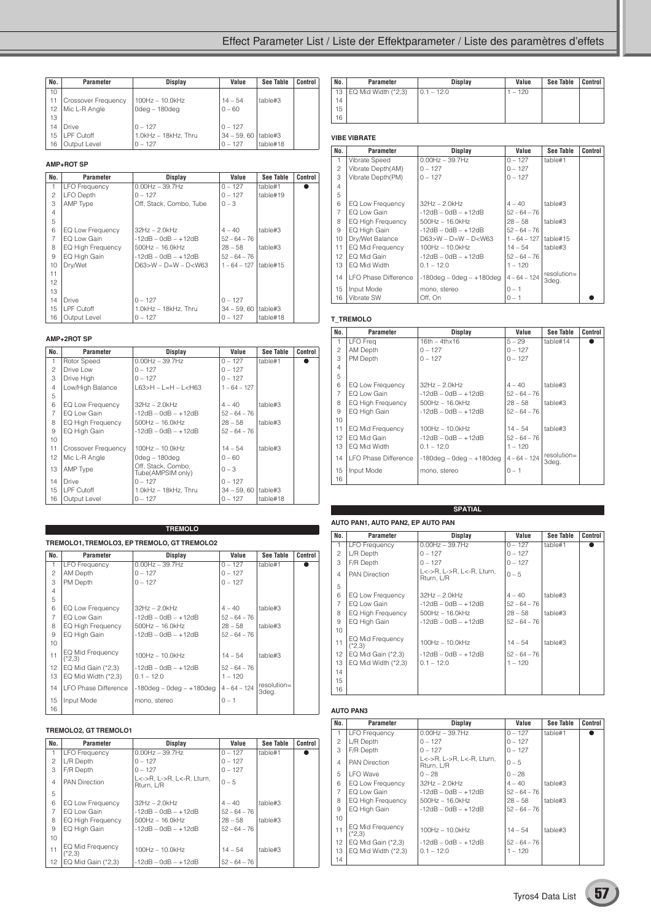| No. | Parameter                  | <b>Display</b>            | Value        | <b>See Table</b> | Control |
|-----|----------------------------|---------------------------|--------------|------------------|---------|
| 10  |                            |                           |              |                  |         |
| 11  | <b>Crossover Frequency</b> | $100Hz - 10.0kHz$         | $14 - 54$    | table#3          |         |
| 12  | Mic L-R Angle              | $0$ deg – 180deg          | $0 - 60$     |                  |         |
| 13  |                            |                           |              |                  |         |
| 14  | Drive                      | $0 - 127$                 | $0 - 127$    |                  |         |
| 15  | <b>LPF Cutoff</b>          | $1.0$ kHz $-$ 18kHz. Thru | $34 - 59.60$ | table#3          |         |
| 16  | Output Level               | $0 - 127$                 | $0 - 127$    | table#18         |         |

#### **AMP+ROT SP**

| No.            | Parameter            | Display                     | Value                   | See Table | <b>Control</b> |
|----------------|----------------------|-----------------------------|-------------------------|-----------|----------------|
| 1              | <b>LFO Frequency</b> | $0.00Hz - 39.7Hz$           | $0 - 127$               | table#1   |                |
| $\overline{c}$ | LFO Depth            | $0 - 127$                   | $0 - 127$               | table#19  |                |
| 3              | AMP Type             | Off, Stack, Combo, Tube     | $0 - 3$                 |           |                |
| $\overline{4}$ |                      |                             |                         |           |                |
| 5              |                      |                             |                         |           |                |
| 6              | EQ Low Frequency     | $32Hz - 2.0kHz$             | $4 - 40$                | table#3   |                |
| 7              | FO Low Gain          | $-12dB - OdB - +12dB$       | $52 - 64 - 76$          |           |                |
| 8              | EQ High Frequency    | $500$ Hz $-16.0$ kHz        | $28 - 58$               | table#3   |                |
| 9              | EQ High Gain         | $-12dB - OdB - +12dB$       | $52 - 64 - 76$          |           |                |
| 10             | Dry/Wet              | $D63 > W - D = W - D < W63$ | 1 – 64 – 127   table#15 |           |                |
| 11             |                      |                             |                         |           |                |
| 12             |                      |                             |                         |           |                |
| 13             |                      |                             |                         |           |                |
| 14             | Drive                | $0 - 127$                   | $0 - 127$               |           |                |
| 15             | LPF Cutoff           | $1.0kHz - 18kHz$ . Thru     | $34 - 59.60$            | table#3   |                |
| 16             | Output Level         | $0 - 127$                   | $0 - 127$               | table#18  |                |

#### **AMP+2ROT SP**

| No.            | Parameter           | Display                                                                                 | Value          | <b>See Table</b> | Control |
|----------------|---------------------|-----------------------------------------------------------------------------------------|----------------|------------------|---------|
| 1              | Rotor Speed         | $0.00Hz - 39.7Hz$                                                                       | $0 - 127$      | table#1          |         |
| $\overline{c}$ | Drive Low           | $0 - 127$                                                                               | $0 - 127$      |                  |         |
| 3              | Drive High          | $0 - 127$                                                                               | $0 - 127$      |                  |         |
| $\overline{4}$ | Low/High Balance    | L63>H - L=H - L <h63< td=""><td><math>1 - 64 - 127</math></td><td></td><td></td></h63<> | $1 - 64 - 127$ |                  |         |
| 5              |                     |                                                                                         |                |                  |         |
| 6              | EQ Low Frequency    | $32Hz - 2.0kHz$                                                                         | $4 - 40$       | table#3          |         |
| 7              | FO Low Gain         | $-12$ dB $-$ 0dB $ +12$ dB                                                              | $52 - 64 - 76$ |                  |         |
| 8              | EQ High Frequency   | $500$ Hz $- 16.0$ kHz                                                                   | $28 - 58$      | table#3          |         |
| 9              | EQ High Gain        | $-12dB - OdB - +12dB$                                                                   | $52 - 64 - 76$ |                  |         |
| 10             |                     |                                                                                         |                |                  |         |
| 11             | Crossover Frequency | $100Hz - 10.0kHz$                                                                       | $14 - 54$      | table#3          |         |
| 12             | Mic L-R Angle       | $0$ deg – 180 $de$ g                                                                    | $0 - 60$       |                  |         |
| 13             | AMP Type            | Off. Stack. Combo.<br>Tube(AMPSIM only)                                                 | $0 - 3$        |                  |         |
| 14             | Drive               | $0 - 127$                                                                               | $0 - 127$      |                  |         |
| 15             | LPF Cutoff          | $1.0kHz - 18kHz$ . Thru                                                                 | $34 - 59,60$   | table#3          |         |
| 16             | Output Level        | $0 - 127$                                                                               | $0 - 127$      | table#18         |         |

#### **TREMOLO1, TREMOLO3, EP TREMOLO, GT TREMOLO2 TREMOLO No. Parameter Display Value See Table Control** 1 LFO Frequency 0.00Hz – 39.7Hz 0 – 127 table#1 ●<br>
2 AM Depth 0 – 127 0 – 127 0 – 127 0 – 127  $\begin{array}{|c|c|}\n 2 & \text{AM Depth} \\
 3 & \text{PM Depth}\n \end{array}$ PM Depth 4  $\frac{5}{6}$  $\begin{array}{l|l|l} \text{EQ Low Frequency} & 32\text{Hz} - 2.0\text{kHz} & 4 - 40 & \text{table$\#3$} \\ \text{EQ Low Gain} & -12\text{dB} - 0\text{dB} - +12\text{dB} & 52 - 64 - 76 & \text{table$\#3$} \\ \text{EQ High Frequency} & 500\text{Hz} - 16.0\text{kHz} & 28 - 58 & \text{table$\#3$} \\ \text{EQ High Gain} & -12\text{dB} - 0\text{dB} - +12\text{dB} & 52 - 64 - 76 & \text{table$\#3$} \\ \end{array}$ 7 | EQ Low Gain | -12dB – 0dB – +12dB | 52 – 64 – 76 8 | EQ High Frequency | 500Hz – 16.0kHz | 28 – 58 | table#3<br>9 | EQ High Gain | -12dB – 0dB – +12dB | 52 – 64 – 76 | 7<br>8<br>EQ High Frequ<br>9<br>EQ High Gain

| 10 |                                     |                                |                |                      |  |
|----|-------------------------------------|--------------------------------|----------------|----------------------|--|
| 11 | <b>EQ Mid Frequency</b><br>$(*2.3)$ | $100Hz - 10.0kHz$              | $14 - 54$      | table#3              |  |
| 12 | EQ Mid Gain (*2,3)                  | $-12dB - OdB - +12dB$          | $52 - 64 - 76$ |                      |  |
| 13 | EQ Mid Width (*2,3)                 | $0.1 - 12.0$                   | $1 - 120$      |                      |  |
| 14 | LFO Phase Difference                | $-180$ deg – 0deg – $+180$ deg | $4 - 64 - 124$ | resolution=<br>3deg. |  |
| 15 | Input Mode                          | mono, stereo                   | $0 - 1$        |                      |  |
| 16 |                                     |                                |                |                      |  |

#### **TREMOLO2, GT TREMOLO1**

| No.            | Parameter                    | Display                                 | Value          | See Table | Control |
|----------------|------------------------------|-----------------------------------------|----------------|-----------|---------|
| 1              | <b>LFO Frequency</b>         | $0.00$ Hz $-$ 39.7Hz                    | $0 - 127$      | table#1   |         |
| 2              | L/R Depth                    | $0 - 127$                               | $0 - 127$      |           |         |
| 3              | F/R Depth                    | $0 - 127$                               | $0 - 127$      |           |         |
| $\overline{4}$ | <b>PAN Direction</b>         | L<->R, L->R, L<-R, Lturn,<br>Rturn, L/R | $0 - 5$        |           |         |
| 5              |                              |                                         |                |           |         |
| 6              | EQ Low Frequency             | $32Hz - 2.0kHz$                         | $4 - 40$       | table#3   |         |
| 7              | FO Low Gain                  | $-12dB - OdB - +12dB$                   | $52 - 64 - 76$ |           |         |
| 8              | <b>EQ High Frequency</b>     | $500Hz - 16.0kHz$                       | $28 - 58$      | table#3   |         |
| 9              | EQ High Gain                 | $-12dB - OdB - +12dB$                   | $52 - 64 - 76$ |           |         |
| 10             |                              |                                         |                |           |         |
| 11             | EQ Mid Frequency<br>$(*2,3)$ | $100Hz - 10.0kHz$                       | $14 - 54$      | table#3   |         |
| 12             | EQ Mid Gain $(*2,3)$         | $-12dB - OdB - +12dB$                   | $52 - 64 - 76$ |           |         |

| No. | Parameter           | Display       | Value  | <b>See Table</b> | Control |
|-----|---------------------|---------------|--------|------------------|---------|
| 13  | EQ Mid Width (*2,3) | $10.1 - 12.0$ | $-120$ |                  |         |
| 14  |                     |               |        |                  |         |
| 15  |                     |               |        |                  |         |
| 16  |                     |               |        |                  |         |

#### **VIBE VIBRATE**

| No.            | Parameter                | Display                    | Value          | <b>See Table</b>     | Control |
|----------------|--------------------------|----------------------------|----------------|----------------------|---------|
| 1.             | Vibrate Speed            | $0.00$ Hz $-$ 39.7Hz       | $0 - 127$      | table#1              |         |
| $\mathfrak{p}$ | Vibrate Depth(AM)        | $0 - 127$                  | $0 - 127$      |                      |         |
| 3              | Vibrate Depth(PM)        | $0 - 127$                  | $0 - 127$      |                      |         |
| 4              |                          |                            |                |                      |         |
| 5              |                          |                            |                |                      |         |
| 6              | EQ Low Frequency         | $32Hz - 2.0kHz$            | $4 - 40$       | table#3              |         |
| 7              | EQ Low Gain              | $-12dB - 0dB - +12dB$      | $52 - 64 - 76$ |                      |         |
| 8              | <b>EQ High Frequency</b> | $500$ Hz $- 16.0$ kHz      | $28 - 58$      | table#3              |         |
| 9              | EQ High Gain             | $-12$ dB $-$ 0dB $ +12$ dB | $52 - 64 - 76$ |                      |         |
| 10             | Dry/Wet Balance          | $D63>W - D=W - D< W63$     | $1 - 64 - 127$ | table#15             |         |
| 11             | EQ Mid Frequency         | $100Hz - 10.0kHz$          | $14 - 54$      | table#3              |         |
| 12             | FO Mid Gain              | $-12$ dB $-$ 0dB $ +12$ dB | $52 - 64 - 76$ |                      |         |
| 13             | EQ Mid Width             | $0.1 - 12.0$               | $1 - 120$      |                      |         |
| 14             | LFO Phase Difference     | $-180deg - 0deg - +180deg$ | $4 - 64 - 124$ | resolution=<br>3deg. |         |
| 15             | Input Mode               | mono, stereo               | $0 - 1$        |                      |         |
| 16             | Vibrate SW               | Off. On                    | $0 - 1$        |                      |         |

#### **T\_TREMOLO**

| No.             | <b>Parameter</b>         | Display                    | Value          | See Table            | Control |
|-----------------|--------------------------|----------------------------|----------------|----------------------|---------|
| 1.              | LFO Freq                 | $16th - 4thx16$            | $5 - 29$       | table#14             |         |
| $\overline{2}$  | AM Depth                 | $0 - 127$                  | $0 - 127$      |                      |         |
| 3               | PM Depth                 | $0 - 127$                  | $0 - 127$      |                      |         |
| $\overline{4}$  |                          |                            |                |                      |         |
| 5               |                          |                            |                |                      |         |
| 6               | EQ Low Frequency         | $32Hz - 2.0kHz$            | $4 - 40$       | table#3              |         |
| $\overline{7}$  | EQ Low Gain              | $-12$ dB $-$ 0dB $ +12$ dB | $52 - 64 - 76$ |                      |         |
| 8               | <b>EQ High Frequency</b> | $500$ Hz $- 16.0$ kHz      | $28 - 58$      | table#3              |         |
| 9               | EQ High Gain             | $-12$ dB $-$ 0dB $ +12$ dB | $52 - 64 - 76$ |                      |         |
| 10 <sup>1</sup> |                          |                            |                |                      |         |
| 11              | EQ Mid Frequency         | $100Hz - 10.0kHz$          | $14 - 54$      | table#3              |         |
| 12              | EQ Mid Gain              | $-12dB - OdB - +12dB$      | $52 - 64 - 76$ |                      |         |
| 13              | EQ Mid Width             | $0.1 - 12.0$               | $1 - 120$      |                      |         |
| 14              | LFO Phase Difference     | $-180deg - 0deg - +180deg$ | $4 - 64 - 124$ | resolution=<br>3deg. |         |
| 15              | Input Mode               | mono, stereo               | $0 - 1$        |                      |         |
| 16              |                          |                            |                |                      |         |
|                 |                          |                            |                |                      |         |

#### **AUTO PAN1, AUTO PAN2, EP AUTO PAN**

| No.            | Parameter                    | Display                                 | Value          | <b>See Table</b> | Control |
|----------------|------------------------------|-----------------------------------------|----------------|------------------|---------|
| $\mathbf{1}$   | <b>LFO Frequency</b>         | $0.00$ Hz $-$ 39.7Hz                    | $0 - 127$      | table#1          |         |
| 2              | L/R Depth                    | $0 - 127$                               | $0 - 127$      |                  |         |
| 3              | F/R Depth                    | $0 - 127$                               | $0 - 127$      |                  |         |
| $\overline{4}$ | <b>PAN Direction</b>         | L<->R, L->R, L<-R, Lturn,<br>Rturn. L/R | $0 - 5$        |                  |         |
| 5              |                              |                                         |                |                  |         |
| 6              | EQ Low Frequency             | $32Hz - 2.0kHz$                         | $4 - 40$       | table#3          |         |
| $\overline{7}$ | EQ Low Gain                  | $-12dB - OdB - +12dB$                   | $52 - 64 - 76$ |                  |         |
| 8              | EQ High Frequency            | $500$ Hz $- 16.0$ kHz                   | $28 - 58$      | table#3          |         |
| 9              | EQ High Gain                 | $-12dB - OdB - +12dB$                   | $52 - 64 - 76$ |                  |         |
| 10             |                              |                                         |                |                  |         |
| 11             | EQ Mid Frequency<br>$(*2.3)$ | $100Hz - 10.0kHz$                       | $14 - 54$      | table#3          |         |
| 12             | EQ Mid Gain $(*2,3)$         | $-12dB - OdB - +12dB$                   | $52 - 64 - 76$ |                  |         |
| 13             | EQ Mid Width $(*2,3)$        | $0.1 - 12.0$                            | $1 - 120$      |                  |         |
| 14             |                              |                                         |                |                  |         |
| 15             |                              |                                         |                |                  |         |
| 16             |                              |                                         |                |                  |         |

**SPATIAL**

#### **AUTO PAN3**

| No.            | <b>Parameter</b>                    | Display                                 | Value          | <b>See Table</b> | Control |
|----------------|-------------------------------------|-----------------------------------------|----------------|------------------|---------|
| 1              | <b>LFO</b> Frequency                | $0.00$ Hz $-$ 39.7Hz                    | $0 - 127$      | table#1          |         |
| $\mathfrak{p}$ | L/R Depth                           | $0 - 127$                               | $0 - 127$      |                  |         |
| 3              | F/R Depth                           | $0 - 127$                               | $0 - 127$      |                  |         |
| 4              | <b>PAN Direction</b>                | L<->R, L->R, L<-R, Lturn,<br>Rturn, L/R | $0 - 5$        |                  |         |
| 5              | I FO Wave                           | $0 - 28$                                | $0 - 28$       |                  |         |
| 6              | EQ Low Frequency                    | $32Hz - 2.0kHz$                         | $4 - 40$       | table#3          |         |
| 7              | FO Low Gain                         | $-12dB - OdB - +12dB$                   | $52 - 64 - 76$ |                  |         |
| 8              | <b>EQ High Frequency</b>            | $500Hz - 16.0kHz$                       | $28 - 58$      | table#3          |         |
| 9              | EQ High Gain                        | $-12$ dB $-$ 0dB $ +12$ dB              | $52 - 64 - 76$ |                  |         |
| 10             |                                     |                                         |                |                  |         |
| 11             | <b>EQ Mid Frequency</b><br>$(*2,3)$ | $100Hz - 10.0kHz$                       | $14 - 54$      | table#3          |         |
| 12             | EQ Mid Gain $(*2,3)$                | $-12dB - OdB - +12dB$                   | $52 - 64 - 76$ |                  |         |
| 13             | EQ Mid Width $(*2,3)$               | $0.1 - 12.0$                            | $1 - 120$      |                  |         |
| 14             |                                     |                                         |                |                  |         |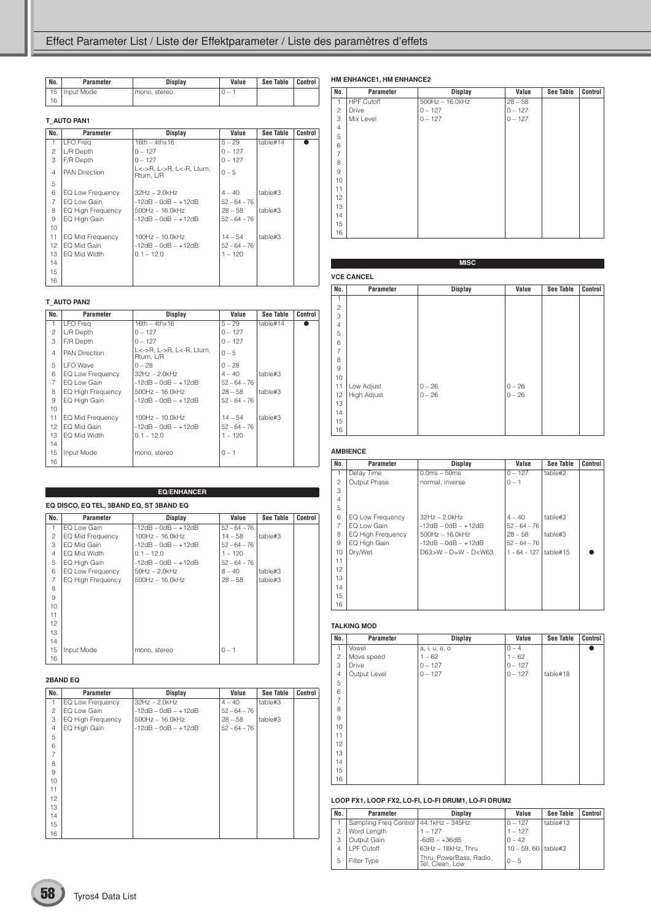| No. | Parameter    | <b>Display</b> | Value                    | See Table | Control |
|-----|--------------|----------------|--------------------------|-----------|---------|
| 15  | I Input Mode | mono, stereo   | $\overline{\phantom{a}}$ |           |         |
| 16  |              |                |                          |           |         |

#### **T\_AUTO PAN1**

| No.            | Parameter            | Display                                 | Value          | <b>See Table</b> | Control |
|----------------|----------------------|-----------------------------------------|----------------|------------------|---------|
| 1              | LFO Freq             | $16th - 4thx16$                         | $5 - 29$       | table#14         |         |
| $\mathfrak{p}$ | L/R Depth            | $0 - 127$                               | $0 - 127$      |                  |         |
| 3              | F/R Depth            | $0 - 127$                               | $0 - 127$      |                  |         |
| $\overline{4}$ | <b>PAN Direction</b> | L<->R, L->R, L<-R, Lturn,<br>Rturn, L/R | $0 - 5$        |                  |         |
| 5              |                      |                                         |                |                  |         |
| 6              | EQ Low Frequency     | $32Hz - 2.0kHz$                         | $4 - 40$       | table#3          |         |
| 7              | EQ Low Gain          | $-12dB - OdB - +12dB$                   | $52 - 64 - 76$ |                  |         |
| 8              | EQ High Frequency    | $500$ Hz $- 16.0$ kHz                   | $28 - 58$      | table#3          |         |
| 9              | EQ High Gain         | $-12dB - OdB - +12dB$                   | $52 - 64 - 76$ |                  |         |
| 10             |                      |                                         |                |                  |         |
| 11             | EQ Mid Frequency     | $100Hz - 10.0kHz$                       | $14 - 54$      | table#3          |         |
| 12             | EQ Mid Gain          | $-12$ dB $-$ 0dB $ +12$ dB              | $52 - 64 - 76$ |                  |         |
| 13             | EQ Mid Width         | $0.1 - 12.0$                            | $1 - 120$      |                  |         |
| 14             |                      |                                         |                |                  |         |
| 15             |                      |                                         |                |                  |         |
| 16             |                      |                                         |                |                  |         |

#### **T\_AUTO PAN2**

| No.            | Parameter                | Display                                 | Value          | See Table | Control |
|----------------|--------------------------|-----------------------------------------|----------------|-----------|---------|
| $\mathbf{1}$   | LFO Frea                 | $16th - 4thx16$                         | $5 - 29$       | table#14  |         |
| $\overline{c}$ | L/R Depth                | $0 - 127$                               | $0 - 127$      |           |         |
| 3              | F/R Depth                | $0 - 127$                               | $0 - 127$      |           |         |
| $\overline{4}$ | <b>PAN Direction</b>     | L<->R. L->R. L<-R. Lturn.<br>Rturn, L/R | $0 - 5$        |           |         |
| 5              | I FO Wave                | $0 - 28$                                | $0 - 28$       |           |         |
| 6              | EQ Low Frequency         | $32Hz - 2.0kHz$                         | $4 - 40$       | table#3   |         |
| 7              | EQ Low Gain              | $-12$ dB $-$ 0dB $ +12$ dB              | $52 - 64 - 76$ |           |         |
| 8              | <b>EQ High Frequency</b> | $500$ Hz $-16.0$ kHz                    | $28 - 58$      | table#3   |         |
| 9              | EQ High Gain             | $-12dB - OdB - +12dB$                   | $52 - 64 - 76$ |           |         |
| 10             |                          |                                         |                |           |         |
| 11             | EQ Mid Frequency         | $100Hz - 10.0kHz$                       | $14 - 54$      | table#3   |         |
| 12             | EQ Mid Gain              | $-12dB - OdB - +12dB$                   | $52 - 64 - 76$ |           |         |
| 13             | EQ Mid Width             | $0.1 - 12.0$                            | $1 - 120$      |           |         |
| 14             |                          |                                         |                |           |         |
| 15             | Input Mode               | mono, stereo                            | $0 - 1$        |           |         |
| 16             |                          |                                         |                |           |         |

|                 |                                         | <b>EQ/ENHANCER</b>    |                |           |         |  |  |
|-----------------|-----------------------------------------|-----------------------|----------------|-----------|---------|--|--|
|                 | EQ DISCO, EQ TEL, 3BAND EQ, ST 3BAND EQ |                       |                |           |         |  |  |
| No.             | Parameter                               | Display               | Value          | See Table | Control |  |  |
| $\mathbf{1}$    | EQ Low Gain                             | $-12dB - OdB - +12dB$ | $52 - 64 - 76$ |           |         |  |  |
| $\mathfrak{p}$  | EQ Mid Frequency                        | $100Hz - 16.0kHz$     | $14 - 58$      | table#3   |         |  |  |
| 3               | EQ Mid Gain                             | $-12dB - OdB - +12dB$ | $52 - 64 - 76$ |           |         |  |  |
| 4               | EQ Mid Width                            | $0.1 - 12.0$          | $1 - 120$      |           |         |  |  |
| 5               | EQ High Gain                            | $-12dB - OdB - +12dB$ | $52 - 64 - 76$ |           |         |  |  |
| 6               | EQ Low Frequency                        | $50Hz - 2.0kHz$       | $8 - 40$       | table#3   |         |  |  |
| $\overline{7}$  | EQ High Frequency                       | $500$ Hz $- 16.0$ kHz | $28 - 58$      | table#3   |         |  |  |
| 8               |                                         |                       |                |           |         |  |  |
| 9               |                                         |                       |                |           |         |  |  |
| 10              |                                         |                       |                |           |         |  |  |
| 11              |                                         |                       |                |           |         |  |  |
| 12 <sup>2</sup> |                                         |                       |                |           |         |  |  |
| 13              |                                         |                       |                |           |         |  |  |
| 14              |                                         |                       |                |           |         |  |  |
| 15              | Input Mode                              | mono, stereo          | $0 - 1$        |           |         |  |  |
| 16              |                                         |                       |                |           |         |  |  |

#### **2BAND EQ**

| No.            | Parameter         | <b>Display</b>        | Value          | <b>See Table</b> | Control |
|----------------|-------------------|-----------------------|----------------|------------------|---------|
| 1              | EQ Low Frequency  | $32Hz - 2.0kHz$       | $4 - 40$       | table#3          |         |
| $\overline{c}$ | EQ Low Gain       | $-12dB - OdB - +12dB$ | $52 - 64 - 76$ |                  |         |
| 3              | EQ High Frequency | $500$ Hz $- 16.0$ kHz | $28 - 58$      | table#3          |         |
| $\overline{4}$ | EQ High Gain      | $-12dB - OdB - +12dB$ | $52 - 64 - 76$ |                  |         |
| 5              |                   |                       |                |                  |         |
| 6              |                   |                       |                |                  |         |
| $\overline{7}$ |                   |                       |                |                  |         |
| 8              |                   |                       |                |                  |         |
| 9              |                   |                       |                |                  |         |
| 10             |                   |                       |                |                  |         |
| 11             |                   |                       |                |                  |         |
| 12             |                   |                       |                |                  |         |
| 13             |                   |                       |                |                  |         |
| 14             |                   |                       |                |                  |         |
| 15             |                   |                       |                |                  |         |
| 16             |                   |                       |                |                  |         |

#### **HM ENHANCE1, HM ENHANCE2**

| No.            | Parameter         | <b>Display</b>        | Value     | <b>See Table</b> | Control |
|----------------|-------------------|-----------------------|-----------|------------------|---------|
| 1              | <b>HPF Cutoff</b> | $500$ Hz $- 16.0$ kHz | $28 - 58$ |                  |         |
| $\overline{c}$ | Drive             | $0 - 127$             | $0 - 127$ |                  |         |
| 3              | Mix Level         | $0 - 127$             | $0 - 127$ |                  |         |
| $\overline{4}$ |                   |                       |           |                  |         |
| 5              |                   |                       |           |                  |         |
| 6              |                   |                       |           |                  |         |
| $\overline{7}$ |                   |                       |           |                  |         |
| 8              |                   |                       |           |                  |         |
| 9              |                   |                       |           |                  |         |
| 10             |                   |                       |           |                  |         |
| 11             |                   |                       |           |                  |         |
| 12             |                   |                       |           |                  |         |
| 13             |                   |                       |           |                  |         |
| 14             |                   |                       |           |                  |         |
| 15             |                   |                       |           |                  |         |
| 16             |                   |                       |           |                  |         |

#### **MISC**

# **VCE CANCEL No. Parameter Display Value See Table Control** 2 3 4 5 6 7 8 9 11 Low Adjust 0 – 26 0 – 26  $High$  Adjust 14 15 16

#### **AMBIENCE**

| No.            | Parameter                | Display                | Value          | <b>See Table</b> | Control |
|----------------|--------------------------|------------------------|----------------|------------------|---------|
| $\mathbf{1}$   | Delay Time               | $0.0ms - 50ms$         | $0 - 127$      | table#2          |         |
| 2              | Output Phase             | normal, inverse        | $0 - 1$        |                  |         |
| 3              |                          |                        |                |                  |         |
| $\overline{4}$ |                          |                        |                |                  |         |
| 5              |                          |                        |                |                  |         |
| 6              | EQ Low Frequency         | 32Hz - 2.0kHz          | $4 - 40$       | table#3          |         |
| 7              | EQ Low Gain              | $-12dB - OdB - +12dB$  | $52 - 64 - 76$ |                  |         |
| 8              | <b>EQ High Frequency</b> | $500$ Hz $- 16.0$ kHz  | $28 - 58$      | table#3          |         |
| 9              | EQ High Gain             | $-12dB - OdB - +12dB$  | $52 - 64 - 76$ |                  |         |
| 10             | Dry/Wet                  | $D63>W - D=W - D< W63$ | $1 - 64 - 127$ | table#15         |         |
| 11             |                          |                        |                |                  |         |
| 12             |                          |                        |                |                  |         |
| 13             |                          |                        |                |                  |         |
| 14             |                          |                        |                |                  |         |
| 15             |                          |                        |                |                  |         |
| 16             |                          |                        |                |                  |         |

#### **TALKING MOD**

| No.            | Parameter    | <b>Display</b> | Value     | <b>See Table</b> | Control |
|----------------|--------------|----------------|-----------|------------------|---------|
| 1              | Vowel        | a, i, u, e, o  | $0 - 4$   |                  |         |
| $\overline{c}$ | Move speed   | $1 - 62$       | $1 - 62$  |                  |         |
| 3              | Drive        | $0 - 127$      | $0 - 127$ |                  |         |
| $\overline{4}$ | Output Level | $0 - 127$      | $0 - 127$ | table#18         |         |
| 5              |              |                |           |                  |         |
| 6              |              |                |           |                  |         |
| $\overline{7}$ |              |                |           |                  |         |
| 8              |              |                |           |                  |         |
| 9              |              |                |           |                  |         |
| 10             |              |                |           |                  |         |
| 11             |              |                |           |                  |         |
| 12             |              |                |           |                  |         |
| 13             |              |                |           |                  |         |
| 14             |              |                |           |                  |         |
| 15             |              |                |           |                  |         |
| 16             |              |                |           |                  |         |

#### **LOOP FX1, LOOP FX2, LO-FI, LO-FI DRUM1, LO-FI DRUM2**

| No.            | Parameter                               | <b>Display</b>                             | Value                | <b>See Table</b> | Control |
|----------------|-----------------------------------------|--------------------------------------------|----------------------|------------------|---------|
|                | Sampling Freg Control   44.1kHz - 345Hz |                                            | $0 - 127$            | table#13         |         |
| $\overline{c}$ | Word Length                             | $1 - 127$                                  | $1 - 127$            |                  |         |
| 3              | Output Gain                             | $-6dB - +36dB$                             | $0 - 42$             |                  |         |
| 4              | <b>LPF Cutoff</b>                       | 63Hz - 18kHz, Thru                         | $10 - 59.60$ table#3 |                  |         |
| 5              | Filter Type                             | Thru, PowerBass, Radio,<br>Tel, Clean, Low | $0 - 5$              |                  |         |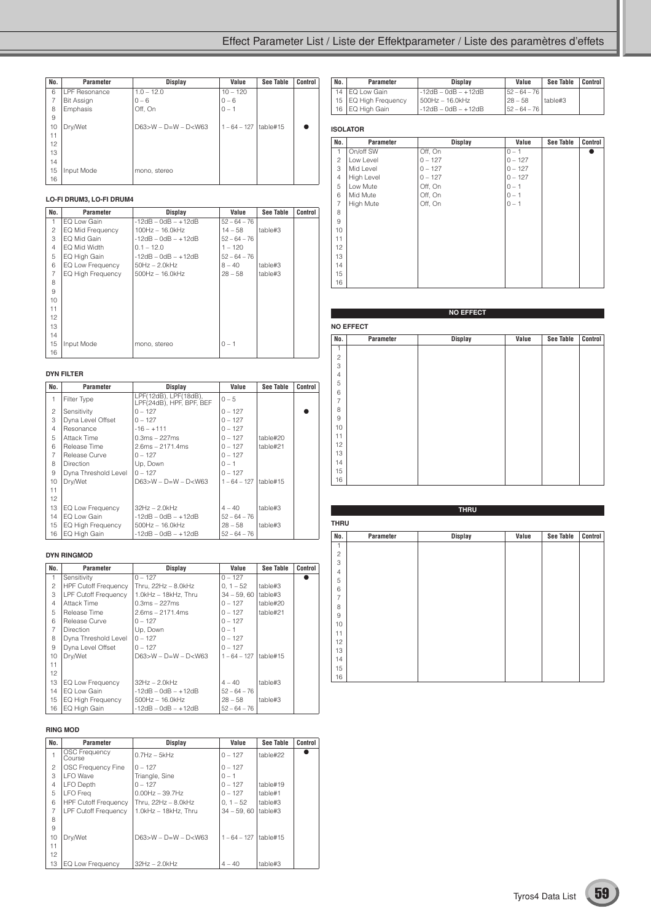### Effect Parameter List / Liste der Effektparameter / Liste des paramètres d'effets

| No. | Parameter            | Display                     | Value          | <b>See Table</b> | Control |
|-----|----------------------|-----------------------------|----------------|------------------|---------|
| 6   | <b>LPF Resonance</b> | $1.0 - 12.0$                | $10 - 120$     |                  |         |
| 7   | <b>Bit Assign</b>    | $0 - 6$                     | $0 - 6$        |                  |         |
| 8   | Emphasis             | Off, On                     | $0 - 1$        |                  |         |
| 9   |                      |                             |                |                  |         |
| 10  | Dry/Wet              | $D63 > W - D = W - D < W63$ | $1 - 64 - 127$ | table#15         |         |
| 11  |                      |                             |                |                  |         |
| 12  |                      |                             |                |                  |         |
| 13  |                      |                             |                |                  |         |
| 14  |                      |                             |                |                  |         |
| 15  | Input Mode           | mono, stereo                |                |                  |         |
| 16  |                      |                             |                |                  |         |

#### **LO-FI DRUM3, LO-FI DRUM4**

| No.             | Parameter         | <b>Display</b>        | Value          | <b>See Table</b> | Control |
|-----------------|-------------------|-----------------------|----------------|------------------|---------|
|                 | EQ Low Gain       | $-12dB - OdB - +12dB$ | $52 - 64 - 76$ |                  |         |
| 2               | EQ Mid Frequency  | $100Hz - 16.0kHz$     | $14 - 58$      | table#3          |         |
| 3               | EQ Mid Gain       | $-12dB - OdB - +12dB$ | $52 - 64 - 76$ |                  |         |
| $\overline{4}$  | EQ Mid Width      | $0.1 - 12.0$          | $1 - 120$      |                  |         |
| 5               | EQ High Gain      | -12dB – 0dB – +12dB   | $52 - 64 - 76$ |                  |         |
| 6               | EQ Low Frequency  | $50Hz - 2.0kHz$       | $8 - 40$       | table#3          |         |
| 7               | EQ High Frequency | $500$ Hz $- 16.0$ kHz | $28 - 58$      | table#3          |         |
| 8               |                   |                       |                |                  |         |
| 9               |                   |                       |                |                  |         |
| 10 <sup>1</sup> |                   |                       |                |                  |         |
| 11              |                   |                       |                |                  |         |
| 12              |                   |                       |                |                  |         |
| 13              |                   |                       |                |                  |         |
| 14              |                   |                       |                |                  |         |
| 15              | Input Mode        | mono, stereo          | $0 - 1$        |                  |         |
| 16              |                   |                       |                |                  |         |

#### **DYN FILTER**

| No.            | Parameter            | Display                                           | Value          | See Table | Control |
|----------------|----------------------|---------------------------------------------------|----------------|-----------|---------|
| 1              | Filter Type          | LPF(12dB), LPF(18dB),<br>LPF(24dB), HPF, BPF, BEF | $0 - 5$        |           |         |
| $\overline{c}$ | Sensitivity          | $0 - 127$                                         | $0 - 127$      |           |         |
| 3              | Dyna Level Offset    | $0 - 127$                                         | $0 - 127$      |           |         |
| $\overline{4}$ | Resonance            | $-16 - +111$                                      | $0 - 127$      |           |         |
| 5              | Attack Time          | $0.3ms - 227ms$                                   | $0 - 127$      | table#20  |         |
| 6              | Release Time         | $2.6ms - 2171.4ms$                                | $0 - 127$      | table#21  |         |
| 7              | Release Curve        | $0 - 127$                                         | $0 - 127$      |           |         |
| 8              | <b>Direction</b>     | Up. Down                                          | $0 - 1$        |           |         |
| 9              | Dyna Threshold Level | $0 - 127$                                         | $0 - 127$      |           |         |
| 10             | Dry/Wet              | $D63 > W - D = W - D < W63$                       | $1 - 64 - 127$ | table#15  |         |
| 11             |                      |                                                   |                |           |         |
| 12             |                      |                                                   |                |           |         |
| 13             | EQ Low Frequency     | $32Hz - 2.0kHz$                                   | $4 - 40$       | table#3   |         |
| 14             | EQ Low Gain          | $-12dB - OdB - +12dB$                             | $52 - 64 - 76$ |           |         |
| 15             | EQ High Frequency    | $500$ Hz $- 16.0$ kHz                             | $28 - 58$      | table#3   |         |
| 16             | EQ High Gain         | $-12dB - OdB - +12dB$                             | $52 - 64 - 76$ |           |         |

#### **DYN RINGMOD**

| No.            | Parameter                   | <b>Display</b>              | Value          | See Table | Control |
|----------------|-----------------------------|-----------------------------|----------------|-----------|---------|
| 1              | Sensitivity                 | $0 - 127$                   | $0 - 127$      |           |         |
| $\overline{c}$ | <b>HPF Cutoff Frequency</b> | Thru, $22Hz - 8.0kHz$       | $0, 1 - 52$    | table#3   |         |
| 3              | LPF Cutoff Frequency        | 1.0kHz - 18kHz. Thru        | $34 - 59.60$   | table#3   |         |
| $\overline{4}$ | Attack Time                 | $0.3ms - 227ms$             | $0 - 127$      | table#20  |         |
| 5              | Release Time                | $2.6ms - 2171.4ms$          | $0 - 127$      | table#21  |         |
| 6              | Release Curve               | $0 - 127$                   | $0 - 127$      |           |         |
| $\overline{7}$ | <b>Direction</b>            | Up, Down                    | $0 - 1$        |           |         |
| 8              | Dyna Threshold Level        | $0 - 127$                   | $0 - 127$      |           |         |
| 9              | Dyna Level Offset           | $0 - 127$                   | $0 - 127$      |           |         |
| 10             | Dry/Wet                     | $D63 > W - D = W - D < W63$ | $1 - 64 - 127$ | table#15  |         |
| 11             |                             |                             |                |           |         |
| 12             |                             |                             |                |           |         |
| 13             | EQ Low Frequency            | $32Hz - 2.0kHz$             | $4 - 40$       | table#3   |         |
| 14             | EQ Low Gain                 | $-12dB - OdB - +12dB$       | $52 - 64 - 76$ |           |         |
| 15             | EQ High Frequency           | $500$ Hz $- 16.0$ kHz       | $28 - 58$      | table#3   |         |
| 16             | EQ High Gain                | $-12dB - OdB - +12dB$       | $52 - 64 - 76$ |           |         |

#### **RING MOD**

| No.            | Parameter                      | Display                   | Value          | See Table | Control |
|----------------|--------------------------------|---------------------------|----------------|-----------|---------|
|                | <b>OSC Frequency</b><br>Course | $0.7$ Hz $-$ 5 $k$ Hz     | $0 - 127$      | table#22  |         |
| $\overline{c}$ | OSC Frequency Fine             | $0 - 127$                 | $0 - 127$      |           |         |
| 3              | <b>LFO</b> Wave                | Triangle, Sine            | $0 - 1$        |           |         |
| 4              | <b>LFO Depth</b>               | $0 - 127$                 | $0 - 127$      | table#19  |         |
| 5              | LFO Frea                       | $0.00Hz - 39.7Hz$         | $0 - 127$      | table#1   |         |
| 6              | <b>HPF Cutoff Frequency</b>    | Thru. 22Hz - 8.0kHz       | $0.1 - 52$     | table#3   |         |
| 7              | <b>LPF Cutoff Frequency</b>    | 1.0kHz - 18kHz. Thru      | $34 - 59.60$   | table#3   |         |
| 8              |                                |                           |                |           |         |
| 9              |                                |                           |                |           |         |
| 10             | Drv/Wet                        | $D63 > W - D=W - D < W63$ | $1 - 64 - 127$ | table#15  |         |
| 11             |                                |                           |                |           |         |
| 12             |                                |                           |                |           |         |
| 13             | <b>EQ Low Frequency</b>        | $32Hz - 2.0kHz$           | $4 - 40$       | table#3   |         |

| No. | Parameter              | <b>Display</b>        | Value          | See Table | Control |
|-----|------------------------|-----------------------|----------------|-----------|---------|
|     | 14   EQ Low Gain       | -12dB - 0dB - +12dB   | $52 - 64 - 76$ |           |         |
|     | 15   EQ High Frequency | 500Hz - 16.0kHz       | $128 - 58$     | table#3   |         |
|     | 16 EQ High Gain        | l -12dB – 0dB – +12dB | $52 - 64 - 76$ |           |         |

#### **ISOLATOR**

| No.            | Parameter         | <b>Display</b> | Value     | <b>See Table</b> | Control |
|----------------|-------------------|----------------|-----------|------------------|---------|
| 1              | On/off SW         | Off, On        | $0 - 1$   |                  |         |
| $\overline{c}$ | Low Level         | $0 - 127$      | $0 - 127$ |                  |         |
| 3              | Mid Level         | $0 - 127$      | $0 - 127$ |                  |         |
| $\overline{4}$ | <b>High Level</b> | $0 - 127$      | $0 - 127$ |                  |         |
| 5              | Low Mute          | Off, On        | $0 - 1$   |                  |         |
| 6              | Mid Mute          | Off, On        | $0 - 1$   |                  |         |
| $\overline{7}$ | High Mute         | Off, On        | $0 - 1$   |                  |         |
| 8              |                   |                |           |                  |         |
| 9              |                   |                |           |                  |         |
| 10             |                   |                |           |                  |         |
| 11             |                   |                |           |                  |         |
| 12             |                   |                |           |                  |         |
| 13             |                   |                |           |                  |         |
| 14             |                   |                |           |                  |         |
| 15             |                   |                |           |                  |         |
| 16             |                   |                |           |                  |         |

|                | <b>NO EFFECT</b> |                |       |                  |         |  |  |  |
|----------------|------------------|----------------|-------|------------------|---------|--|--|--|
|                | <b>NO EFFECT</b> |                |       |                  |         |  |  |  |
| No.            | Parameter        | <b>Display</b> | Value | <b>See Table</b> | Control |  |  |  |
| 1              |                  |                |       |                  |         |  |  |  |
| $\overline{c}$ |                  |                |       |                  |         |  |  |  |
| 3              |                  |                |       |                  |         |  |  |  |
| $\overline{4}$ |                  |                |       |                  |         |  |  |  |
| 5              |                  |                |       |                  |         |  |  |  |
| 6              |                  |                |       |                  |         |  |  |  |
| $\overline{7}$ |                  |                |       |                  |         |  |  |  |
| 8              |                  |                |       |                  |         |  |  |  |
| 9              |                  |                |       |                  |         |  |  |  |
| 10             |                  |                |       |                  |         |  |  |  |
| 11             |                  |                |       |                  |         |  |  |  |
| 12             |                  |                |       |                  |         |  |  |  |
| 13             |                  |                |       |                  |         |  |  |  |
| 14             |                  |                |       |                  |         |  |  |  |
| 15             |                  |                |       |                  |         |  |  |  |
| 16             |                  |                |       |                  |         |  |  |  |

| <b>THRU</b>    |             |                |       |                  |         |  |  |  |
|----------------|-------------|----------------|-------|------------------|---------|--|--|--|
|                | <b>THRU</b> |                |       |                  |         |  |  |  |
| No.            | Parameter   | <b>Display</b> | Value | <b>See Table</b> | Control |  |  |  |
| 1              |             |                |       |                  |         |  |  |  |
| $\sqrt{2}$     |             |                |       |                  |         |  |  |  |
| 3              |             |                |       |                  |         |  |  |  |
| $\overline{4}$ |             |                |       |                  |         |  |  |  |
| 5              |             |                |       |                  |         |  |  |  |
| 6              |             |                |       |                  |         |  |  |  |
| $\overline{7}$ |             |                |       |                  |         |  |  |  |
| 8              |             |                |       |                  |         |  |  |  |
| $\hbox{9}$     |             |                |       |                  |         |  |  |  |
| 10             |             |                |       |                  |         |  |  |  |
| 11             |             |                |       |                  |         |  |  |  |
| 12             |             |                |       |                  |         |  |  |  |
| 13             |             |                |       |                  |         |  |  |  |
| 14             |             |                |       |                  |         |  |  |  |
| 15             |             |                |       |                  |         |  |  |  |
| 16             |             |                |       |                  |         |  |  |  |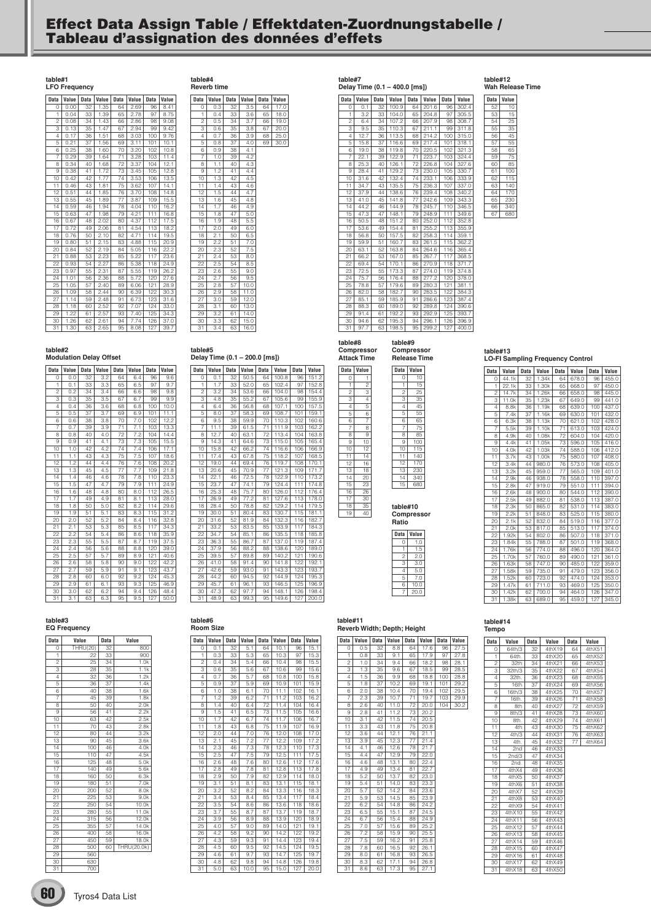## **Effect Data Assign Table / Effektdaten-Zuordnungstabelle / Tableau d'assignation des données d'effets**

**table#1 LFO Frequency**

| Data            | Value | <b>Data</b>     | Value | <b>Data</b>     | Value | Data | Value |
|-----------------|-------|-----------------|-------|-----------------|-------|------|-------|
| $\Omega$        | 0.00  | 32              | 1.35  | 64              | 2.69  | 96   | 8.41  |
| 1               | 0.04  | 33              | 1.39  | 65              | 2.78  | 97   | 8.75  |
| $\overline{2}$  | 0.08  | 34              | 1.43  | 66              | 2.86  | 98   | 9.08  |
| 3               | 0.13  | $\overline{3}5$ | 1.47  | 67              | 2.94  | 99   | 9.42  |
| 4               | 0.17  | 36              | 1.51  | 68              | 3.03  | 100  | 9.76  |
| 5               | 0.21  | 37              | 1.56  | 69              | 3.11  | 101  | 10.1  |
| 6               | 0.25  | 38              | 1.60  | 70              | 3.20  | 102  | 10.8  |
| 7               | 0.29  | 39              | 1.64  | $\overline{7}1$ | 3.28  | 103  | 11.4  |
| 8               | 0.34  | 40              | 1.68  | $\overline{72}$ | 3.37  | 104  | 12.1  |
| 9               | 0.38  | 41              | 1.72  | 73              | 3.45  | 105  | 12.8  |
| 10              | 0.42  | 42              | 1.77  | 74              | 3.53  | 106  | 13.5  |
| $\overline{11}$ | 0.46  | 43              | 1.81  | 75              | 3.62  | 107  | 14.1  |
| 12              | 0.51  | 44              | 1.85  | 76              | 3.70  | 108  | 14.8  |
| 13              | 0.55  | 45              | 1.89  | 77              | 3.87  | 109  | 15.5  |
| 14              | 0.59  | 46              | 1.94  | 78              | 4.04  | 110  | 16.2  |
| 15              | 0.63  | 47              | 1.98  | 79              | 4.21  | 111  | 16.8  |
| 16              | 0.67  | 48              | 2.02  | 80              | 4.37  | 112  | 17.5  |
| 17              | 0.72  | 49              | 2.06  | 81              | 4.54  | 113  | 18.2  |
| 18              | 0.76  | 50              | 2.10  | 82              | 4.71  | 114  | 19.5  |
| 19              | 0.80  | 51              | 2.15  | 83              | 4.88  | 115  | 20.9  |
| 20              | 0.84  | 52              | 2.19  | 84              | 5.05  | 116  | 22.2  |
| 21              | 0.88  | 53              | 2.23  | 85              | 5.22  | 117  | 23.6  |
| 22              | 0.93  | 54              | 2.27  | 86              | 5.38  | 118  | 24.9  |
| 23              | 0.97  | 55              | 2.31  | 87              | 5.55  | 119  | 26.2  |
| 24              | 1.01  | 56              | 2.36  | 88              | 5.72  | 120  | 27.6  |
| 25              | 1.05  | 57              | 2.40  | 89              | 6.06  | 121  | 28.9  |
| 26              | 1.09  | 58              | 2.44  | 90              | 6.39  | 122  | 30.3  |
| 27              | 1.14  | 59              | 2.48  | 91              | 6.73  | 123  | 31.6  |
| 28              | 1.18  | 60              | 2.52  | 92              | 7.07  | 124  | 33.0  |
| 29              | 1.22  | 61              | 2.57  | 93              | 7.40  | 125  | 34.3  |
| 30              | 1.26  | 62              | 2.61  | 94              | 7.74  | 126  | 37.0  |
| 31              | 1.30  | 63              | 2.65  | 95              | 8.08  | 127  | 39.7  |

| Data            | Value            | Data | Value | <b>Data</b> | Value |
|-----------------|------------------|------|-------|-------------|-------|
| 0               | 0.3              | 32   | 3.5   | 64          | 17.0  |
| ī               | 0.4              | 33   | 3.6   | 65          | 18.0  |
| $\overline{2}$  | 0.5              | 34   | 3.7   | 66          | 19.0  |
| 3               | 0.6              | 35   | 3.8   | 67          | 20.0  |
| $\overline{4}$  | $0.\overline{7}$ | 36   | 3.9   | 68          | 25.0  |
| 5               | 0.8              | 37   | 4.0   | 69          | 30.0  |
| 6               | 0.9              | 38   | 4.1   |             |       |
| 7               | 1.0              | 39   | 4.2   |             |       |
| 8               | 1.1              | 40   | 4.3   |             |       |
| 9               | 1.2              | 41   | 4.4   |             |       |
| 10              | 1.3              | 42   | 4.5   |             |       |
| $\overline{11}$ | $\overline{1.4}$ | 43   | 4.6   |             |       |
| $\overline{12}$ | 1.5              | 44   | 4.7   |             |       |
| 13              | 1.6              | 45   | 4.8   |             |       |
| 14              | 1.7              | 46   | 4.9   |             |       |
| 15              | 1.8              | 47   | 5.0   |             |       |
| 16              | 1.9              | 48   | 5.5   |             |       |
| $\overline{17}$ | $\overline{2.0}$ | 49   | 6.0   |             |       |
| 18              | 2.1              | 50   | 6.5   |             |       |
| 19              | 2.2              | 51   | 7.0   |             |       |
| 20              | 2.3              | 52   | 7.5   |             |       |
| 21              | 2.4              | 53   | 8.0   |             |       |
| 22              | 2.5              | 54   | 8.5   |             |       |
| 23              | 2.6              | 55   | 9.0   |             |       |
| 24              | 2.7              | 56   | 9.5   |             |       |
| 25              | 2.8              | 57   | 10.0  |             |       |
| 26              | 2.9              | 58   | 11.0  |             |       |
| 27              | 3.0              | 59   | 12.0  |             |       |
| 28              | 3.1              | 60   | 13.0  |             |       |
| 29              | $3.\overline{2}$ | 61   | 14.0  |             |       |
| 30              | 3.3              | 62   | 15.0  |             |       |
| 31              | 3.4              | 63   | 16.0  |             |       |

**table#4 Reverb time**

**table#2 Modulation Delay Offset**

| <b>Data</b>     | Value             | <b>Data</b>     | Value | <b>Data</b>     | Value            | <b>Data</b> | Value |
|-----------------|-------------------|-----------------|-------|-----------------|------------------|-------------|-------|
| 0               | 0.0               | 32              | 3.2   | 64              | 6.4              | 96          | 9.6   |
| 1               | 0.1               | 33              | 3.3   | 65              | 6.5              | 97          | 9.7   |
| $\overline{c}$  | 0.2               | 34              | 3.4   | 66              | 6.6              | 98          | 9.8   |
| 3               | 0.3               | 35              | 3.5   | 67              | 6.7              | 99          | 9.9   |
| 4               | 0.4               | 36              | 3.6   | 68              | 6.8              | 100         | 10.0  |
| 5               | 0.5               | 37              | 3.7   | 69              | 6.9              | 101         | 11.1  |
| 6               | 0.6               | 38              | 3.8   | 70              | 7.0              | 102         | 12.2  |
| 7               | 0.7               | 39              | 3.9   | $\overline{7}1$ | $\overline{7}.1$ | 103         | 13.3  |
| 8               | 0.8               | 40              | 4.0   | 72              | 7.2              | 104         | 14.4  |
| 9               | 0.9               | 41              | 4.1   | 73              | 7.3              | 105         | 15.5  |
| 10              | $\overline{1.0}$  | 42              | 4.2   | 74              | $\overline{7}.4$ | 106         | 17.1  |
| 11              | 1.1               | 43              | 4.3   | 75              | $\overline{7.5}$ | 107         | 18.6  |
| 12              | 1.2               | 44              | 4.4   | 76              | 7.6              | 108         | 20.2  |
| 13              | 1.3               | 45              | 4.5   | 77              | 7.7              | 109         | 21.8  |
| $\overline{14}$ | 1.4               | 46              | 4.6   | 78              | $\overline{7.8}$ | 110         | 23.3  |
| 15              | 1.5               | 47              | 4.7   | 79              | 7.9              | 111         | 24.9  |
| 16              | 1.6               | 48              | 4.8   | 80              | 8.0              | 112         | 26.5  |
| 17              | 1.7               | 49              | 4.9   | 81              | 8.1              | 113         | 28.0  |
| 18              | $\overline{1.8}$  | 50              | 5.0   | 82              | 8.2              | 114         | 29.6  |
| 19              | 1.9               | 51              | 5.1   | 83              | 8.3              | 115         | 31.2  |
| 20              | 2.0               | 52              | 5.2   | 84              | 8.4              | 116         | 32.8  |
| 21              | 2.1               | 53              | 5.3   | 85              | 8.5              | 117         | 34.3  |
| 22              | 2.2               | $\overline{5}4$ | 5.4   | 86              | 8.6              | 118         | 35.9  |
| 23              | 2.3               | $\overline{55}$ | 5.5   | 87              | 8.7              | 119         | 37.5  |
| 24              | 2.4               | 56              | 5.6   | 88              | 8.8              | 120         | 39.0  |
| 25              | 2.5               | 57              | 5.7   | 89              | 8.9              | 121         | 40.6  |
| 26              | 2.6               | $\overline{58}$ | 5.8   | 90              | 9.0              | 122         | 42.2  |
| 27              | 2.7               | 59              | 5.9   | 91              | 9.1              | 123         | 43.7  |
| 28              | 2.8               | 60              | 6.0   | 92              | 9.2              | 124         | 45.3  |
| 29              | 2.9               | 61              | 6.1   | 93              | 9.3              | 125         | 46.9  |
| 30              | 3.0               | 62              | 6.2   | 94              | 9.4              | 126         | 48.4  |
| 31              | $\overline{3}$ .1 | 63              | 6.3   | 95              | 9.5              | 127         | 50.0  |

#### **table#5 Delay Time (0.1 – 200.0 [ms])**

| <b>Data</b>    | Value | <b>Data</b> | Value | <b>Data</b> | Value | <b>Data</b> | Value |
|----------------|-------|-------------|-------|-------------|-------|-------------|-------|
| $\circ$        | 0.1   | 32          | 50.5  | 64          | 100.8 | 96          | 151.2 |
| 1              | 1.7   | 33          | 52.0  | 65          | 102.4 | 97          | 152.8 |
| $\overline{2}$ | 3.2   | 34          | 53.6  | 66          | 104.0 | 98          | 154.4 |
| 3              | 4.8   | 35          | 55.2  | 67          | 105.6 | 99          | 155.9 |
| $\overline{4}$ | 6.4   | 36          | 56.8  | 68          | 107.1 | 100         | 157.5 |
| 5              | 8.0   | 37          | 58.3  | 69          | 108.7 | 101         | 159.1 |
| 6              | 9.5   | 38          | 59.9  | 70          | 110.3 | 102         | 160.6 |
| 7              | 11.1  | 39          | 61.5  | 71          | 111.9 | 103         | 162.2 |
| 8              | 12.7  | 40          | 63.1  | 72          | 113.4 | 104         | 163.8 |
| 9              | 14.3  | 41          | 64.6  | 73          | 115.0 | 105         | 165.4 |
| 10             | 15.8  | 42          | 66.2  | 74          | 116.6 | 106         | 166.9 |
| 11             | 17.4  | 43          | 67.8  | 75          | 118.2 | 107         | 168.5 |
| 12             | 19.0  | 44          | 69.4  | 76          | 119.7 | 108         | 170.1 |
| 13             | 20.6  | 45          | 70.9  | 77          | 121.3 | 109         | 171.7 |
| 14             | 22.1  | 46          | 72.5  | 78          | 122.9 | 110         | 173.2 |
| 15             | 23.7  | 47          | 74.1  | 79          | 124.4 | 111         | 174.8 |
| 16             | 25.3  | 48          | 75.7  | 80          | 126.0 | 112         | 176.4 |
| 17             | 26.9  | 49          | 77.2  | 81          | 127.6 | 113         | 178.0 |
| 18             | 28.4  | 50          | 78.8  | 82          | 129.2 | 114         | 179.5 |
| 19             | 30.0  | 51          | 80.4  | 83          | 130.7 | 115         | 181.1 |
| 20             | 31.6  | 52          | 81.9  | 84          | 132.3 | 116         | 182.7 |
| 21             | 33.2  | 53          | 83.5  | 85          | 133.9 | 117         | 184.3 |
| 22             | 34.7  | 54          | 85.1  | 86          | 135.5 | 118         | 185.8 |
| 23             | 36.3  | 55          | 86.7  | 87          | 137.0 | 119         | 187.4 |
| 24             | 37.9  | 56          | 88.2  | 88          | 138.6 | 120         | 189.0 |
| 25             | 39.5  | 57          | 89.8  | 89          | 140.2 | 121         | 190.6 |
| 26             | 41.0  | 58          | 91.4  | 90          | 141.8 | 122         | 192.1 |
| 27             | 42.6  | 59          | 93.0  | 91          | 143.3 | 123         | 193.7 |
| 28             | 44.2  | 60          | 94.5  | 92          | 144.9 | 124         | 195.3 |
| 29             | 45.7  | 61          | 96.1  | 93          | 146.5 | 125         | 196.9 |
| 30             | 47.3  | 62          | 97.7  | 94          | 148.1 | 126         | 198.4 |
| 31             | 48.9  | 63          | 99.3  | 95          | 149.6 | 127         | 200.0 |

**table#7 Delay Time (0.1 – 400.0 [ms])**

| <b>Data</b>        | Value | <b>Data</b> | Value | Data            | Value | <b>Data</b> | Value |
|--------------------|-------|-------------|-------|-----------------|-------|-------------|-------|
| O                  | 0.1   | 32          | 100.9 | 64              | 201.6 | 96          | 302.4 |
| 1                  | 3.2   | 33          | 104.0 | 65              | 204.8 | 97          | 305.5 |
| $\overline{c}$     | 6.4   | 34          | 107.2 | 66              | 207.9 | 98          | 308.7 |
| 3                  | 9.5   | 35          | 110.3 | 67              | 211.1 | 99          | 311.8 |
| 4                  | 12.7  | 36          | 113.5 | 68              | 214.2 | 100         | 315.0 |
| 5                  | 15.8  | 37          | 116.6 | 69              | 217.4 | 101         | 318.1 |
| 6                  | 19.0  | 38          | 119.8 | 70              | 220.5 | 102         | 321.3 |
| 7                  | 22.1  | 39          | 122.9 | $\overline{71}$ | 223.7 | 103         | 324.4 |
| 8                  | 25.3  | 40          | 126.1 | $\overline{72}$ | 226.8 | 104         | 327.6 |
| 9                  | 28.4  | 41          | 129.2 | 73              | 230.0 | 105         | 330.7 |
| 10                 | 31.6  | 42          | 132.4 | 74              | 233.1 | 106         | 333.9 |
| 11                 | 34.7  | 43          | 135.5 | 75              | 236.3 | 107         | 337.0 |
| 12                 | 37.9  | 44          | 138.6 | 76              | 239.4 | 108         | 340.2 |
| 13                 | 41.0  | 45          | 141.8 | 77              | 242.6 | 109         | 343.3 |
| 14                 | 44.2  | 46          | 144.9 | 78              | 245.7 | 110         | 346.5 |
| 15                 | 47.3  | 47          | 148.1 | 79              | 248.9 | 111         | 349.6 |
| 16                 | 50.5  | 48          | 151.2 | 80              | 252.0 | 112         | 352.8 |
| $\overline{17}$    | 53.6  | 49          | 154.4 | 81              | 255.2 | 113         | 355.9 |
| 18                 | 56.8  | 50          | 157.5 | 82              | 258.3 | 114         | 359.1 |
| 19                 | 59.9  | 51          | 160.7 | 83              | 261.5 | 115         | 362.2 |
| 20                 | 63.1  | 52          | 163.8 | 84              | 264.6 | 116         | 365.4 |
| 21                 | 66.2  | 53          | 167.0 | 85              | 267.7 | 117         | 368.5 |
| 22                 | 69.4  | 54          | 170.1 | 86              | 270.9 | 118         | 371.7 |
| 23                 | 72.5  | 55          | 173.3 | 87              | 274.0 | 119         | 374.8 |
| 24                 | 75.7  | 56          | 176.4 | 88              | 277.2 | 120         | 378.0 |
| 25                 | 78.8  | 57          | 179.6 | 89              | 280.3 | 121         | 381.1 |
| 26                 | 82.0  | 58          | 182.7 | 90              | 283.5 | 122         | 384.3 |
| 27                 | 85.1  | 59          | 185.9 | 91              | 286.6 | 123         | 387.4 |
| 28                 | 88.3  | 60          | 189.0 | 92              | 289.8 | 124         | 390.6 |
| 29                 | 91.4  | 61          | 192.2 | 93              | 292.9 | 125         | 393.7 |
| 30                 | 94.6  | 62          | 195.3 | 94              | 296.1 | 126         | 396.9 |
| 31                 | 97.7  | 63          | 198.5 | 95              | 299.2 | 127         | 400.0 |
| table#9<br>table#8 |       |             |       |                 |       |             |       |

## **table#12 Wah Release Time**

| Data | Value     |  |
|------|-----------|--|
| 52   | $10^{-1}$ |  |
| 53   | 15        |  |
| 54   | 25        |  |
| 55   | 35        |  |
| 56   | 45        |  |
| 57   | 55        |  |
| 58   | 65        |  |
| 59   | 75        |  |
| 60   | 85        |  |
| 61   | 100       |  |
| 62   | 115       |  |
| 63   | 140       |  |
| 64   | 170       |  |
| 65   | 230       |  |
| 66   | 340       |  |
| 67   | 680       |  |

| table#8            | table#9             |  |  |  |  |
|--------------------|---------------------|--|--|--|--|
| Compressor         | Compressor          |  |  |  |  |
| <b>Attack Time</b> | <b>Release Time</b> |  |  |  |  |
| Data Value         | Data Value          |  |  |  |  |

| ı ıa            | , a luc        | vala           | , a luc |
|-----------------|----------------|----------------|---------|
| 0               | 1              | 0              | 10      |
| 1               | $\overline{2}$ | 1              | 15      |
| $\overline{c}$  | 3              | $\overline{c}$ | 25      |
| 3               | 4              | 3              | 35      |
| 4               | 5              | 4              | 45      |
| 5               | 6              | 5              | 55      |
| 6               | 7              | 6              | 65      |
| 7               | $\overline{8}$ | 7              | 75      |
| 8               | 9              | 8              | 85      |
| 9               | 10             | 9              | 100     |
| 10              | 12             | 10             | 115     |
| 11              | 14             | 11             | 140     |
| 12              | 16             | 12             | 170     |
| 13              | 18             | 13             | 230     |
| $\overline{14}$ | 20             | 14             | 340     |
| 15              | 23             | 15             | 680     |
| 16              | 26             |                |         |

**table#10**

| Compressor<br>Ratio |       |  |  |  |
|---------------------|-------|--|--|--|
| <b>Data</b>         | Value |  |  |  |
| Ω                   | 1.0   |  |  |  |
|                     | 1.5   |  |  |  |
| 2                   | 2.0   |  |  |  |
| 3                   | 3.0   |  |  |  |
| 4                   | 5.0   |  |  |  |
| 5                   | 7.0   |  |  |  |
| 6                   | 10.0  |  |  |  |
|                     | 20.0  |  |  |  |

## **table#13 LO-FI Sampling Frequency Control**

| Data            | Value | Data | Value | Data | Value | Data | Value |
|-----------------|-------|------|-------|------|-------|------|-------|
| $\Omega$        | 44.1k | 32   | 1.34k | 64   | 678.0 | 96   | 455.0 |
| 1               | 22.1k | 33   | 1.30k | 65   | 668.0 | 97   | 450.0 |
| $\overline{c}$  | 14.7k | 34   | 1.26k | 66   | 658.0 | 98   | 445.0 |
| 3               | 11.0k | 35   | 1.23k | 67   | 649.0 | 99   | 441.0 |
| 4               | 8.8k  | 36   | 1.19k | 68   | 639.0 | 100  | 437.0 |
| 5               | 7.4k  | 37   | 1.16k | 69   | 630.0 | 101  | 432.0 |
| 6               | 6.3k  | 38   | 1.13k | 70   | 621.0 | 102  | 428.0 |
| 7               | 5.5k  | 39   | 1.10k | 71   | 613.0 | 103  | 424.0 |
| 8               | 4.9k  | 40   | 1.08k | 72   | 604.0 | 104  | 420.0 |
| 9               | 4.4k  | 41   | 1.05k | 73   | 596.0 | 105  | 416.0 |
| TO              | 4.0k  | 42   | 1.03k | 74   | 588.0 | 106  | 412.0 |
| Ŧ1              | 3.7k  | 43   | 1.00k | 75   | 580.0 | 107  | 408.0 |
| $\overline{12}$ | 3.4k  | 44   | 980.0 | 76   | 573.0 | 108  | 405.0 |
| 13              | 3.2k  | 45   | 959.0 | 77   | 565.0 | 109  | 401.0 |
| 14              | 2.9k  | 46   | 938.0 | 78   | 558.0 | 110  | 397.0 |
| 15              | 2.8k  | 47   | 919.0 | 79   | 551.0 | 111  | 394.0 |
| 16              | 2.6k  | 48   | 900.0 | 80   | 544.0 | 112  | 390.0 |
| 17              | 2.5k  | 49   | 882.0 | 81   | 538.0 | 113  | 387.0 |
| 18              | 2.3k  | 50   | 865.0 | 82   | 531.0 | 114  | 383.0 |
| 19              | 2.2k  | 51   | 848.0 | 83   | 525.0 | 115  | 380.0 |
| 20              | 2.1k  | 52   | 832.0 | 84   | 519.0 | 116  | 377.0 |
| 21              | 2.0k  | 53   | 817.0 | 85   | 513.0 | 117  | 374.0 |
| 22              | 1.92k | 54   | 802.0 | 86   | 507.0 | 118  | 371.0 |
| 23              | 1.84k | 55   | 788.0 | 87   | 501.0 | 119  | 368.0 |
| 24              | 1.76k | 56   | 774.0 | 88   | 496.0 | 120  | 364.0 |
| 25              | 1.70k | 57   | 760.0 | 89   | 490.0 | 121  | 361.0 |
| 26              | 1.63k | 58   | 747.0 | 90   | 485.0 | 122  | 359.0 |
| 27              | 1.58k | 59   | 735.0 | 91   | 479.0 | 123  | 356.0 |
| 28              | 1.52k | 60   | 723.0 | 92   | 474.0 | 124  | 353.0 |
| 29              | 1.47k | 61   | 711.0 | 93   | 469.0 | 125  | 350.0 |
| 30              | 1.42k | 62   | 700.0 | 94   | 464.0 | 126  | 347.0 |
| $\overline{31}$ | 1.38k | 63   | 689.0 | 95   | 459.0 | 127  | 345.0 |
|                 |       |      |       |      |       |      |       |

## **table#14**

| <b>Data</b>    | Value    | <b>Data</b> | Value   | <b>Data</b>     | Value   |
|----------------|----------|-------------|---------|-----------------|---------|
| 0              | 64th/3   | 32          | 4th X19 | 64              | 4th X51 |
| 1              | 64th.    | 33          | 4thX20  | 65              | 4thX52  |
| $\overline{2}$ | 32th     | 34          | 4thX21  | 66              | 4thX53  |
| 3              | 32th/3   | 35          | 4thX22  | 67              | 4thX54  |
| 4              | 32th.    | 36          | 4thX23  | 68              | 4th X55 |
| 5              | 16th     | 37          | 4thX24  | 69              | 4thX56  |
| 6              | 16th/3   | 38          | 4thX25  | 70              | 4thX57  |
| 7              | 16th.    | 39          | 4thX26  | 71              | 4thX58  |
| 8              | 8th      | 40          | 4thX27  | 72              | 4thX59  |
| 9              | 8th/3    | 41          | 4th X28 | 73              | 4thX60  |
| 10             | 8th.     | 42          | 4thX29  | 74              | 4thX61  |
| 11             | 4th      | 43          | 4thX30  | $\overline{7}5$ | 4thX62  |
| 12             | 4th/3    | 44          | 4thX31  | 76              | 4thX63  |
| 13             | 4th.     | 45          | 4thX32  | $\overline{77}$ | 4thX64  |
| 14             | 2nd      | 46          | 4thX33  |                 |         |
| 15             | 2nd/3    | 47          | 4thX34  |                 |         |
| 16             | 2nd.     | 48          | 4thX35  |                 |         |
| 17             | 4thX4    | 49          | 4thX36  |                 |         |
| 18             | 4thX5    | 50          | 4thX37  |                 |         |
| 19             | 4thX6    | 51          | 4thX38  |                 |         |
| 20             | 4thX7    | 52          | 4thX39  |                 |         |
| 21             | 4th X8   | 53          | 4th X40 |                 |         |
| 22             | 4th X9   | 54          | 4thX41  |                 |         |
| 23             | 4thX10   | 55          | 4thX42  |                 |         |
| 24             | 4thX11   | 56          | 4thX43  |                 |         |
| 25             | 4thX12   | 57          | 4thX44  |                 |         |
| 26             | 4thX13   | 58          | 4thX45  |                 |         |
| 27             | 4th X 14 | 59          | 4thX46  |                 |         |
| 28             | 4thX15   | 60          | 4thX47  |                 |         |
| 29             | 4thX16   | 61          | 4thX48  |                 |         |
| 30             | 4thX17   | 62          | 4thX49  |                 |         |
| 31             | 4thX18   | 63          | 4thX50  |                 |         |

## **table#3 EQ Frequency**

| Data            | Value           | Data            | Value       |
|-----------------|-----------------|-----------------|-------------|
|                 |                 |                 |             |
| $\Omega$        | <b>THRU(20)</b> | $\overline{32}$ | 800         |
| 1               | 22              | 33              | 900         |
| $\overline{2}$  | 25              | 34              | 1.0k        |
| 3               | 28              | 35              | 1.1k        |
| 4               | 32              | 36              | 1.2k        |
| 5               | 36              | 37              | 1.4k        |
| 6               | 40              | 38              | 1.6k        |
| $\overline{7}$  | 45              | 39              | 1.8k        |
| 8               | 50              | 40              | 2.0k        |
| 9               | 56              | 41              | 2.2k        |
| TO              | 63              | 42              | 2.5k        |
| 11              | 70              | 43              | 2.8k        |
| $\overline{12}$ | 80              | 44              | 3.2k        |
| 13              | 90              | 45              | 3.6k        |
| 14              | 100             | 46              | 4.0k        |
| 15              | 110             | 47              | 4.5k        |
| 16              | 125             | 48              | 5.0k        |
| 17              | 140             | 49              | 5.6k        |
| $\overline{18}$ | 160             | 50              | 6.3k        |
| 19              | 180             | 51              | 7.0k        |
| 20              | 200             | 52              | 8.0k        |
| 21              | 225             | 53              | 9.0k        |
| 22              | 250             | 54              | 10.0k       |
| 23              | 280             | 55              | 11.0k       |
| 24              | 315             | 56              | 12.0k       |
| 25              | 355             | 57              | 14.0k       |
| 26              | 400             | 58              | 16.0k       |
| 27              | 450             | 59              | 18.0k       |
| 28              | 500             | 60              | THRU(20.0k) |
| 29              | 560             |                 |             |
| 30              | 630             |                 |             |
| 31              | 700             |                 |             |
|                 |                 |                 |             |

#### **table#6**

| <b>Data</b>     | Value | <b>Data</b> | Value            | Data | Value | <b>Data</b> | Value |
|-----------------|-------|-------------|------------------|------|-------|-------------|-------|
| O               | 0.1   | 32          | 5.1              | 64   | 10.1  | 96          | 15.1  |
| 1               | 0.3   | 33          | 5.3              | 65   | 10.3  | 97          | 15.3  |
| $\overline{c}$  | 0.4   | 34          | 5.4              | 66   | 10.4  | 98          | 15.5  |
| 3               | 0.6   | 35          | 5.6              | 67   | 10.6  | 99          | 15.6  |
| 4               | 0.7   | 36          | 5.7              | 68   | 10.8  | 100         | 15.8  |
| 5               | 0.9   | 37          | 5.9              | 69   | 10.9  | 101         | 15.9  |
| 6               | 1.0   | 38          | 6.1              | 70   | 11.1  | 102         | 16.1  |
| 7               | 1.2   | 39          | 6.2              | 71   | 11.2  | 103         | 16.2  |
| 8               | 1.4   | 40          | 6.4              | 72   | 11.4  | 104         | 16.4  |
| 9               | 1.5   | 41          | 6.5              | 73   | 11.5  | 105         | 16.6  |
| 10              | 1.7   | 42          | 6.7              | 74   | 11.7  | 106         | 16.7  |
| 11              | 1.8   | 43          | 6.8              | 75   | 11.9  | 107         | 16.9  |
| 12              | 2.0   | 44          | 7.0              | 76   | 12.0  | 108         | 17.0  |
| 13              | 2.1   | 45          | 7.2              | 77   | 12.2  | 109         | 17.2  |
| 14              | 2.3   | 46          | 7.3              | 78   | 12.3  | 110         | 17.3  |
| 15              | 2.5   | 47          | 7.5              | 79   | 12.5  | 111         | 17.5  |
| 16              | 2.6   | 48          | 7.6              | 80   | 12.6  | 112         | 17.6  |
| 17              | 2.8   | 49          | 7.8              | 81   | 12.8  | 113         | 17.8  |
| $\overline{18}$ | 2.9   | 50          | $\overline{7.9}$ | 82   | 12.9  | 114         | 18.0  |
| 19              | 3.1   | 51          | 8.1              | 83   | 13.1  | 115         | 18.1  |
| 20              | 3.2   | 52          | 8.2              | 84   | 13.3  | 116         | 18.3  |
| 21              | 3.4   | 53          | 8.4              | 85   | 13.4  | 117         | 18.4  |
| $\overline{22}$ | 3.5   | 54          | 8.6              | 86   | 13.6  | 118         | 18.6  |
| 23              | 3.7   | 55          | 8.7              | 87   | 13.7  | 119         | 18.7  |
| 24              | 3.9   | 56          | 8.9              | 88   | 13.9  | 120         | 18.9  |
| $2\overline{5}$ | 4.0   | 57          | 9.0              | 89   | 14.0  | 121         | 19.1  |
| 26              | 4.2   | 58          | 9.2              | 90   | 14.2  | 122         | 19.2  |
| 27              | 4.3   | 59          | 9.3              | 91   | 14.4  | 123         | 19.4  |
| 28              | 4.5   | 60          | 9.5              | 92   | 14.5  | 124         | 19.5  |
| 29              | 4.6   | 61          | 9.7              | 93   | 14.7  | 125         | 19.7  |
| 30              | 4.8   | 62          | 9.8              | 94   | 14.8  | 126         | 19.8  |
| 31              | 5.0   | 63          | 10.0             | 95   | 15.0  | 127         | 20.0  |

## **table#11 Reverb Width; Depth; Height**

17 30 18 35 19 40

| Data            | Value            | Data | Value | Data | Value | Data | Value |
|-----------------|------------------|------|-------|------|-------|------|-------|
|                 |                  |      |       |      |       |      |       |
| 0               | 0.5              | 32   | 8.8   | 64   | 17.6  | 96   | 27.5  |
| 1               | 0.8              | 33   | 9.1   | 65   | 17.9  | 97   | 27.8  |
| $\overline{c}$  | 1.0              | 34   | 9.4   | 66   | 18.2  | 98   | 28.1  |
| 3               | 1.3              | 35   | 9.6   | 67   | 18.5  | 99   | 28.5  |
| 4               | 1.5              | 36   | 9.9   | 68   | 18.8  | 100  | 28.8  |
| 5               | 1.8              | 37   | 10.2  | 69   | 19.1  | 101  | 29.2  |
| 6               | 2.0              | 38   | 10.4  | 70   | 19.4  | 102  | 29.5  |
| 7               | 2.3              | 39   | 10.7  | 71   | 19.7  | 103  | 29.9  |
| 8               | 2.6              | 40   | 11.0  | 72   | 20.0  | 104  | 30.2  |
| 9               | 2.8              | 41   | 11.2  | 73   | 20.2  |      |       |
| 10              | 3.1              | 42   | 11.5  | 74   | 20.5  |      |       |
| 11              | 3.3              | 43   | 11.8  | 75   | 20.8  |      |       |
| 12              | 3.6              | 44   | 12.1  | 76   | 21.1  |      |       |
| 13              | 3.9              | 45   | 12.3  | 77   | 21.4  |      |       |
| $\overline{14}$ | 4.1              | 46   | 12.6  | 78   | 21.7  |      |       |
| 15              | 4.4              | 47   | 12.9  | 79   | 22.0  |      |       |
| 16              | 4.6              | 48   | 13.1  | 80   | 22.4  |      |       |
| 17              | 4.9              | 49   | 13.4  | 81   | 22.7  |      |       |
| 18              | 5.2              | 50   | 13.7  | 82   | 23.0  |      |       |
| 19              | 5.4              | 51   | 14.0  | 83   | 23.3  |      |       |
| 20              | 5.7              | 52   | 14.2  | 84   | 23.6  |      |       |
| 21              | 5.9              | 53   | 14.5  | 85   | 23.9  |      |       |
| $\overline{22}$ | 6.2              | 54   | 14.8  | 86   | 24.2  |      |       |
| 23              | 6.5              | 55   | 15.1  | 87   | 24.5  |      |       |
| 24              | 6.7              | 56   | 15.4  | 88   | 24.9  |      |       |
| 25              | 7.0              | 57   | 15.6  | 89   | 25.2  |      |       |
| 26              | $\overline{7.2}$ | 58   | 15.9  | 90   | 25.5  |      |       |
| 27              | 7.5              | 59   | 16.2  | 91   | 25.8  |      |       |
| 28              | 7.8              | 60   | 16.5  | 92   | 26.1  |      |       |
| 29              | 8.0              | 61   | 16.8  | 93   | 26.5  |      |       |
| 30              | 8.3              | 62   | 17.1  | 94   | 26.8  |      |       |
| 31              | 8.6              | 63   | 17.3  | 95   | 27.1  |      |       |
|                 |                  |      |       |      |       |      |       |

| 41.0 | 58 | 91.4 | 90 | 141.8 |
|------|----|------|----|-------|
| 42.6 | 59 | 93.0 | 91 | 143.3 |
| 44.2 | 60 | 94.5 | 92 | 144.9 |
| 45.7 | 61 | 96.1 | 93 | 146.  |
| 47.3 | 62 | 97.7 | 94 | 148.7 |
| 48.9 | 63 | 99.3 | 95 | 149.6 |
|      |    |      |    |       |
|      |    |      |    |       |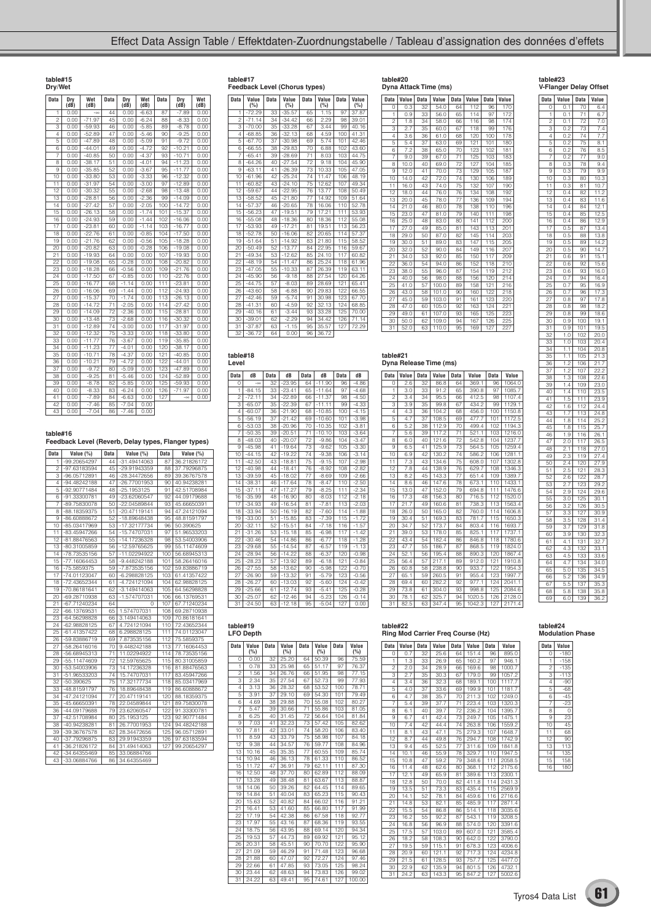| <b>Data</b>     | Dry<br>$(d\overline{B})$ | Wet<br>(dB) | <b>Data</b>     | Dry<br>$(d\vec{B})$ | Wet<br>(dB) | <b>Data</b>      | Dry<br>$(d\vec{B})$ | Wet<br>(dB) |
|-----------------|--------------------------|-------------|-----------------|---------------------|-------------|------------------|---------------------|-------------|
| 1               | 0.00                     | $-\infty$   | 44              | 0.00                | $-6.63$     | 87               | $-7.89$             | 0.00        |
| $\overline{c}$  | 0.00                     | $-71.97$    | 45              | 0.00                | $-6.24$     | 88               | $-8.33$             | 0.00        |
| 3               | 0.00                     | $-59.93$    | 46              | 0.00                | $-5.85$     | 89               | $-8.78$             | 0.00        |
| $\overline{4}$  | 0.00                     | $-52.89$    | 47              | 0.00                | $-5.46$     | 90               | $-9.25$             | 0.00        |
| 5               | 0.00                     | $-47.89$    | 48              | 0.00                | $-5.09$     | 91               | $-9.72$             | 0.00        |
| 6               | 0.00                     | $-44.01$    | 49              | 0.00                | $-4.72$     | 92               | $-10.21$            | 0.00        |
| 7               | 0.00                     | $-40.85$    | 50              | 0.00                | $-4.37$     | 93               | $-10.71$            | 0.00        |
| 8               | 0.00                     | $-38.17$    | $\overline{51}$ | 0.00                | $-4.01$     | 94               | $-11.23$            | 0.00        |
| 9               | 0.00                     | $-35.85$    | 52              | 0.00                | $-3.67$     | 95               | $-11.77$            | 0.00        |
| 10              | 0.00                     | $-33.80$    | 53              | 0.00                | $-3.33$     | 96               | $-12.32$            | 0.00        |
| 11              | 0.00                     | $-31.97$    | 54              | 0.00                | $-3.00$     | 97               | $-12.89$            | 0.00        |
| $\overline{12}$ | 0.00                     | $-30.32$    | $\overline{55}$ | 0.00                | $-2.68$     | 98               | $-13.48$            | 0.00        |
| īз              | 0.00                     | $-28.81$    | 56              | 0.00                | $-2.36$     | 99               | $-14.09$            | 0.00        |
| 14              | 0.00                     | $-27.42$    | 57              | 0.00                | $-2.05$     | 100              | $-14.72$            | 0.00        |
| 15              | 0.00                     | $-26.13$    | 58              | 0.00                | $-1.74$     | 101              | $-15.37$            | 0.00        |
| 16              | 0.00                     | $-24.93$    | 59              | 0.00                | $-1.44$     | 102              | $-16.06$            | 0.00        |
| 17              | 0.00                     | $-23.81$    | 60              | 0.00                | $-1.14$     | 103              | $-16.77$            | 0.00        |
| 18              | 0.00                     | $-22.76$    | 61              | 0.00                | $-0.85$     | 104              | $-17.50$            | 0.00        |
| 19              | 0.00                     | $-21.76$    | 62              | 0.00                | $-0.56$     | 105              | $-18.28$            | 0.00        |
| 20              | 0.00                     | $-20.82$    | 63              | 0.00                | $-0.28$     | 106              | $-19.08$            | 0.00        |
| 21              | 0.00                     | $-19.93$    | 64              | 0.00                | 0.00        | 107              | $-19.93$            | 0.00        |
| 22              | 0.00                     | $-19.08$    | 65              | $-0.28$             | 0.00        | 108              | $-20.82$            | 0.00        |
| 23              | 0.00                     | $-18.28$    | 66              | $-0.56$             | 0.00        | 109              | $-21.76$            | 0.00        |
| 24              | 0.00                     | $-17.50$    | 67              | $-0.85$             | 0.00        | 110              | $-22.76$            | 0.00        |
| 25              | 0.00                     | $-16.77$    | 68              | $-1.14$             | 0.00        | 111              | $-23.81$            | 0.00        |
| 26              | 0.00                     | $-16.06$    | 69              | $-1.44$             | 0.00        | 112              | $-24.93$            | 0.00        |
| 27              | 0.00                     | $-15.37$    | 70              | $-1.74$             | 0.00        | 113              | $-26.13$            | 0.00        |
| 28              | 0.00                     | $-14.72$    | 71              | $-2.05$             | 0.00        | 114              | $-27.42$            | 0.00        |
| 29              | 0.00                     | $-14.09$    | 72              | $-2.36$             | 0.00        | 115              | $-28.81$            | 0.00        |
| 30              | 0.00                     | $-13.48$    | 73              | $-2.68$             | 0.00        | 116              | $-30.32$            | 0.00        |
| 31              | 0.00                     | $-12.89$    | 74              | $-3.00$             | 0.00        | 117              | $-31.97$            | 0.00        |
| 32              | 0.00                     | $-12.32$    | 75              | $-3.33$             | 0.00        | 118              | $-33.80$            | 0.00        |
| 33              | 0.00                     | $-11.77$    | 76              | $-3.67$             | 0.00        | 119              | $-35.85$            | 0.00        |
| 34              | 0.00                     | $-11.23$    | 77              | $-4.01$             | 0.00        | 120              | $-38.17$            | 0.00        |
| 35              | 0.00                     | $-10.71$    | 78              | $-4.37$             | 0.00        | 121              | $-40.85$            | 0.00        |
| 36              | 0.00                     | $-10.21$    | 79              | $-4.72$             | 0.00        | 122              | $-44.01$            | 0.00        |
| 37              | 0.00                     | $-9.72$     | 80              | $-5.09$             | 0.00        | 123              | $-47.89$            | 0.00        |
| $3\overline{8}$ | 0.00                     | $-9.25$     | 81              | $-5.46$             | 0.00        | 124              | $-52.89$            | 0.00        |
| 39              | 0.00                     | $-8.78$     | 82              | $-5.85$             | 0.00        | $\overline{125}$ | $-59.93$            | 0.00        |
| 40              | 0.00                     | $-8.33$     | 83              | $-6.24$             | 0.00        | 126              | $-71.97$            | 0.00        |
| 41              | 0.00                     | $-7.89$     | 84              | $-6.63$             | 0.00        | 127              | $-\infty$           | 0.00        |
| 42              | 0.00                     | $-7.46$     | 85              | $-7.04$             | 0.00        |                  |                     |             |
| 43              | 0.00                     | $-7.04$     | 86              | $-7.46$             | 0.00        |                  |                     |             |

## **table#17 Feedback Level (Chorus types)**

| Feedback Level (Chorus types) |  |  |                                                           |  |  |  |  |  |
|-------------------------------|--|--|-----------------------------------------------------------|--|--|--|--|--|
|                               |  |  | Data   Value   Data   Value   Data   Value   Data   Value |  |  |  |  |  |

| vata            | value<br>(%) | vata | value<br>(%) | vata            | value<br>(%) | vata | value<br>(%) |
|-----------------|--------------|------|--------------|-----------------|--------------|------|--------------|
| 1               | $-72.29$     | 33   | $-35.57$     | 65              | 1.15         | 97   | 37.87        |
| $\mathfrak{p}$  | $-71.14$     | 34   | $-34.42$     | 66              | 2.29         | 98   | 39.01        |
| 3               | $-70.00$     | 35   | $-33.28$     | 67              | 3.44         | 99   | 40.16        |
| $\overline{4}$  | $-68.85$     | 36   | $-32.13$     | 68              | 4.59         | 100  | 41.31        |
| 5               | $-67.70$     | 37   | $-30.98$     | 69              | 5.74         | 101  | 42.46        |
| 6               | $-66.55$     | 38   | $-29.83$     | 70              | 6.88         | 102  | 43.60        |
| 7               | $-65.41$     | 39   | $-28.69$     | $\overline{71}$ | 8.03         | 103  | 44.75        |
| 8               | $-64.26$     | 40   | $-27.54$     | 72              | 9.18         | 104  | 45.90        |
| 9               | $-63.11$     | 41   | $-26.39$     | 73              | 10.33        | 105  | 47.05        |
| 10              | $-61.96$     | 42   | $-25.24$     | 74              | 11.47        | 106  | 48.19        |
| 11              | $-60.82$     | 43   | $-24.10$     | 75              | 12.62        | 107  | 49.34        |
| 12              | $-59.67$     | 44   | $-22.95$     | 76              | 13.77        | 108  | 50.49        |
| 13              | $-58.52$     | 45   | $-21.80$     | 77              | 14.92        | 109  | 51.64        |
| 14              | $-57.37$     | 46   | $-20.65$     | 78              | 16.06        | 110  | 52.78        |
| 15              | $-56.23$     | 47   | $-19.51$     | 79              | 17.21        | 111  | 53.93        |
| 16              | $-55.08$     | 48   | $-18.36$     | 80              | 18.36        | 112  | 55.08        |
| 17              | $-53.93$     | 49   | $-17.21$     | 81              | 19.51        | 113  | 56.23        |
| 18              | $-52.78$     | 50   | $-16.06$     | 82              | 20.65        | 114  | 57.37        |
| 19              | $-51.64$     | 51   | $-14.92$     | 83              | 21.80        | 115  | 58.52        |
| 20              | $-50.49$     | 52   | $-13.77$     | 84              | 22.95        | 116  | 59.67        |
| 21              | $-49.34$     | 53   | $-12.62$     | 85              | 24.10        | 117  | 60.82        |
| 22              | $-48.19$     | 54   | $-11.47$     | 86              | 25.24        | 118  | 61.96        |
| 23              | $-47.05$     | 55   | $-10.33$     | 87              | 26.39        | 119  | 63.11        |
| 24              | $-45.90$     | 56   | $-9.18$      | 88              | 27.54        | 120  | 64.26        |
| 25              | $-44.75$     | 57   | $-8.03$      | 89              | 28.69        | 121  | 65.41        |
| 26              | $-43.60$     | 58   | $-6.88$      | 90              | 29.83        | 122  | 66.55        |
| 27              | $-42.46$     | 59   | $-5.74$      | 91              | 30.98        | 123  | 67.70        |
| 28              | $-41.31$     | 60   | $-4.59$      | 92              | 32.13        | 124  | 68.85        |
| 29              | $-40.16$     | 61   | $-3.44$      | 93              | 33.28        | 125  | 70.00        |
| 30              | $-39.01$     | 62   | $-2.29$      | 94              | 34.42        | 126  | 71.14        |
| 31              | $-37.87$     | 63   | $-1.15$      | 95              | 35.57        | 127  | 72.29        |
| $\overline{32}$ | $-36.72$     | 64   | 0.00         | 96              | 36.72        |      |              |

## **table#20 Dyna Attack Time (ms)**

| Data            | Value            | <b>Data</b> | Value | <b>Data</b>     | Value | <b>Data</b> | Value |
|-----------------|------------------|-------------|-------|-----------------|-------|-------------|-------|
| 0               | 0.3              | 32          | 54.0  | 64              | 112   | 96          | 170   |
| 1               | 0.9              | 33          | 56.0  | 65              | 114   | 97          | 172   |
| $\overline{c}$  | 1.8              | 34          | 58.0  | 66              | 116   | 98          | 174   |
| 3               | $2.\overline{7}$ | 35          | 60.0  | 67              | 118   | 99          | 176   |
| $\overline{4}$  | 3.6              | 36          | 61.0  | 68              | 120   | 100         | 178   |
| 5               | 5.4              | 37          | 63.0  | 69              | 121   | 101         | 180   |
| 6               | 7.2              | 38          | 65.0  | 70              | 123   | 102         | 181   |
| 7               | 9.0              | 39          | 67.0  | 71              | 125   | 103         | 183   |
| 8               | 10.0             | 40          | 69.0  | 72              | 127   | 104         | 185   |
| 9               | 12.0             | 41          | 70.0  | 73              | 129   | 105         | 187   |
| T0              | 14.0             | 42          | 72.0  | $\overline{74}$ | 130   | 106         | 189   |
| $\overline{11}$ | 16.0             | 43          | 74.0  | $\overline{7}5$ | 132   | 107         | 190   |
| 12              | 18.0             | 44          | 76.0  | 76              | 134   | 108         | 192   |
| 13              | 20.0             | 45          | 78.0  | 77              | 136   | 109         | 194   |
| 14              | 21.0             | 46          | 80.0  | 78              | 138   | 110         | 196   |
| 15              | 23.0             | 47          | 81.0  | 79              | 140   | 111         | 198   |
| 16              | 25.0             | 48          | 83.0  | 80              | 141   | 112         | 200   |
| $\overline{17}$ | 27.0             | 49          | 85.0  | 81              | 143   | 113         | 201   |
| 18              | 29.0             | 50          | 87.0  | 82              | 145   | 114         | 203   |
| 19              | 30.0             | 51          | 89.0  | 83              | 147   | 115         | 205   |
| 20              | 32.0             | 52          | 90.0  | 84              | 149   | 116         | 207   |
| 21              | 34.0             | 53          | 92.0  | 85              | 150   | 117         | 209   |
| 22              | 36.0             | 54          | 94.0  | 86              | 152   | 118         | 210   |
| 23              | 38.0             | 55          | 96.0  | 87              | 154   | 119         | 212   |
| 24              | 40.0             | 56          | 98.0  | 88              | 156   | 120         | 214   |
| 25              | 41.0             | 57          | 100.0 | 89              | 158   | 121         | 216   |
| 26              | 43.0             | 58          | 101.0 | 90              | 160   | 122         | 218   |
| 27              | 45.0             | 59          | 103.0 | 91              | 161   | 123         | 220   |
| 28              | 47.0             | 60          | 105.0 | 92              | 163   | 124         | 221   |
| 29              | 49.0             | 61          | 107.0 | 93              | 165   | 125         | 223   |
| 30              | 50.0             | 62          | 109.0 | 94              | 167   | 126         | 225   |
| 31              | 52.0             | 63          | 110.0 | 95              | 169   | 127         | 227   |

**table#21 Dyna Release Time (ms)**

**Data Value Data Value Data Value Data Value**<br>
0 2.6 32 86.8 64 369.1 96 1064.0<br>
1 3.0 33 91.2 65 390.8 97 1085.7<br>
2 3.4 34 95.5 66 412.5 98 1107.4<br>
3 3.9 35 99.8 67 434.2 99 1129.1

4 4.3 36 104.2 68 456.0 100 1150.8 5 4.7 37 108.5 69 477.7 101 1172.5 6 5.2 38 112.9 70 499.4 102 1194.3 7 5.6 39 117.2 71 521.1 103 1216.0 8 6.0 40 121.6 72 542.8 104 1237.7 9 6.5 41 125.9 73 564.5 105 1259.4 10 6.9 42 130.2 74 586.2 106 1281.1 11 7.3 43 134.6 75 608.0 107 1302.8 12 138.9 76 629.<br>145 143.3 77 651. 13 8.2 45 143.3 77 651.4 109 1389.7 14 8.6 46 147.6 78 673.1 110 1433.1 15 13.0 47 152.0 79 694.8 111 1476.6 16 | 17.3 | 48 | 156.3 | 80 | 716.5 | 112 | 1520.0 17 | 21.7 | 49 | 160.6 | 81 | 738.3 | 113 | 1563.4 18 | 26.0 | 50 | 165.0 | 82 | 760.0 | 114 | 1606.8 19 30.4 51 169.3 83 781.7 20 34.7 52 173.7 84 803.4 116 1693.7 21 39.0 53 178.0 85 825.1 117 1737.1 22 | 43.4 | 54 | 182.4 | 86 | 846.8 | 118 | 1780.6 23 | 47.7 | 55 | 186.7 | 87 | 868.5 | 119 | 1824.0 24 | 52.1 | 56 | 195.4 | 88 | 890.3 | 120 | 1867.4 **25 6.4 57 217.1 89 912.0** 26 60.8 58 238.8 90 933.7 122 1954.3 27 65.1 59 260.5 91 955.4 123 1997.7 28 69.4 60 282.2 92 977.1 124 2041.1 29 | 73.8 | 61 | 304.0 | 93 | 998.8 | 125 | 2084.6 30 78.1 62 325.7 94 1020.5 126 2128.0 31 82.5 63 347.4 95 1042.3 127 2171.4 **table#23 V-Flanger Delay Offset**

| Data             | Value                                          | Data                             | Value                                     |
|------------------|------------------------------------------------|----------------------------------|-------------------------------------------|
| Ò                | 0.<br>1                                        | 70                               | 6.4                                       |
| 1                | ō.<br>1                                        | 71                               | 6.7                                       |
| ź                | Ì<br>ſ<br>).                                   | 72                               | 7.0                                       |
| $\frac{1}{3}$    | $rac{0.2}{0.2}$                                | 73                               | 7<br>$\overline{4}$                       |
| 4                |                                                | 74                               | ī<br>7                                    |
| 5                | $\frac{1}{2}$<br>Ó                             | 75                               | 8.1                                       |
| 6                | Ó                                              | 76                               | 8.5                                       |
| 7                | $^{1.2}$<br>$\frac{1}{2}$<br>Ó                 | 77                               | 9.0                                       |
|                  |                                                | 78                               |                                           |
| R                | $\frac{0.5}{0.3}$                              |                                  | 9.4                                       |
| 9                |                                                | 79                               | $\overline{9.9}$                          |
| 10               | 0.3                                            | 80                               | 10.3                                      |
| ì<br>1           | 0.3                                            | $\overline{81}$                  | 10.<br>7                                  |
| 12               | 0.4                                            | 82                               | 1.2<br>1                                  |
| ī3               | 0.4                                            | 83                               | ī<br>6<br>1                               |
| 14               | Ċ<br>.4                                        | 84                               | 1<br>2.<br>1                              |
| 15               | $\frac{1}{4}$<br>ĺ                             | 85                               | 5<br>1<br>$\overline{\mathbf{c}}$         |
| 16               | Ó                                              | 86                               | 1                                         |
|                  | $\frac{1}{4}$<br>Í                             |                                  | 1                                         |
| 17               | $\frac{1}{2}$                                  | 87                               | $rac{1}{2.9}$<br>$rac{3.4}{2}$            |
| 18               | $\overline{0.5}$                               | 88                               | 13.8                                      |
| 19               | 0.5                                            | 89                               | 14.2                                      |
| 20               | 0.5                                            | 90                               | 4.<br>1<br>Ź                              |
| $\overline{21}$  | 0.6                                            | 91                               | $\overline{15}$<br>1                      |
| 22               | 0.6                                            | 92                               | ì<br>$\bar{5}$<br>$\overline{6}$          |
| $\overline{23}$  | Ċ<br>0.6                                       | 93                               | $16.\overline{0}$                         |
| $\overline{2}$ 4 | $0.\overline{7}$                               | 94                               | 16<br>3.4                                 |
| 25               | O                                              | 95                               | 16.9                                      |
| 26               | $\frac{1}{2}$<br>Ó<br>$^{1.7}$                 | 96                               | $\overline{\overline{3}}$<br>1<br>7       |
|                  | Ó                                              |                                  | 1                                         |
| 27               | 0.8                                            | $\overline{9}7$                  | 7.8                                       |
| 28               | 0.8                                            | 98                               | 18.2                                      |
| 29               | 0.8                                            | 99                               | 18.6                                      |
| 30               | 0.9                                            | 100                              | 19.1                                      |
| 31               | 0.9                                            | 101                              | 19.5                                      |
| $\overline{32}$  | 1.0                                            | 102                              | 20.0                                      |
| 33               | $\overline{1.0}$                               | 103                              | 20.4                                      |
| $\overline{3}4$  | 1<br>1                                         | 10<br>$\frac{1}{4}$              | $\frac{20.8}{21.3}$                       |
| 35               | 1<br>1                                         | 1C<br>$_{15}$                    | $\frac{3}{2}$                             |
| $\overline{36}$  | 1<br>2                                         | 10<br>06                         | $\overline{2}$<br>1                       |
|                  | i                                              | 107                              | $\cdot^7$                                 |
| 37<br>38         | $\overline{2}$<br>$\overline{3}$<br>1          |                                  | 22.2<br>$\overline{22}$<br>$\overline{6}$ |
|                  |                                                | 108                              | 23.0                                      |
| 39               | 1<br>4                                         | 109                              |                                           |
| 40               | 1<br>4                                         | 1<br>10                          | 23<br>Ġ                                   |
| 41               | 1<br>5                                         | 11<br>1                          | 23.9                                      |
| 42               | 1<br>6                                         | $\overline{12}$<br>1             | 24.4                                      |
| $\overline{43}$  | 7<br>1                                         | $\overline{13}$<br>1             | 24.8                                      |
| 44               | 1<br>8                                         | 1<br>14                          | $\overline{25}$                           |
| 45               | 1<br>8                                         | 1<br>15                          | 25.<br>į                                  |
| 46               | 1<br>9                                         | 1<br>16                          | 26.1                                      |
| $\overline{4}$   | $\frac{1}{2}$<br>ō                             | 1<br>1<br>7                      | 26.5                                      |
| 48               | 5<br>i                                         | ī<br>18                          | $\overline{27}$<br>$\overline{0}$         |
| 49               | $\overline{2}$<br>3                            | 19<br>1                          | $\overline{2}$<br>Ĩ<br>$\overline{A}$     |
| 50               | $\overline{2}$<br>4                            | 120                              | $\overline{2}$<br>$\overline{7.9}$        |
| 51               | 2.<br>5                                        | 121                              | 28.3                                      |
|                  |                                                |                                  |                                           |
| $\overline{52}$  | $\tilde{2}$<br>$\overline{6}$<br>$\frac{2}{7}$ | $\overline{22}$<br>1             | 28.<br>7                                  |
| 53               | $\frac{1}{2}$                                  | $\overline{23}$<br>1             | 29.2                                      |
| 54               | 2<br>9                                         | 24<br>1                          | 29.6                                      |
| 55               | $\frac{1}{3}$<br>ō                             | 25<br>1                          | $\frac{30}{2}$<br>$\overline{1}$          |
| 56               | 3                                              | 26<br>1                          | 30.<br>5                                  |
| 57               | $\frac{2}{3}$<br>3                             | 27<br>1                          | 30<br>.9                                  |
| 58               | ā<br>5                                         | 128                              | $\overline{31}$<br>4.                     |
| 59               | $\overline{\mathbf{3}}$<br>7                   | $\overline{29}$<br>1             | $\overline{3}1$<br>R                      |
| 60               | $\overline{3}$<br>.9                           | īзо                              | 3<br>32.                                  |
| $\overline{6}1$  | 4<br>Ï                                         | 131                              | 32<br>7                                   |
|                  | 3<br>4                                         | 132                              | 33<br>1                                   |
| 62               |                                                |                                  |                                           |
| 63               | 5<br>4                                         | 133                              | 33.6                                      |
| 64               | 4<br>7                                         | π<br>ì<br>4                      | ì<br>4<br>Í<br>١                          |
| f<br>)           | ţ.<br>0<br>5.                                  | $rac{1}{136}$<br>$rac{136}{137}$ | 34                                        |
| 66               | ź<br>$\overline{5}$                            |                                  | 34.<br>¢<br>١                             |
| 67               | ı<br>ŧ<br>Ď.<br>١                              |                                  | $\frac{1}{35}$ .<br>ì                     |
| $6\overline{8}$  | 5.8                                            | $\frac{1}{138}$                  | 35.8                                      |
| 69               | 6.0                                            | 139                              | 36.2                                      |
|                  |                                                |                                  |                                           |

#### **table#16**

**Feedback Level (Reverb, Delay types, Flanger types)**

| Data            | Value (%)      | Data | Value (%)      | Data | Value (%)   |
|-----------------|----------------|------|----------------|------|-------------|
| 1               | -99.20654297   | 44   | -31.49414063   | 87   | 36.21826172 |
| 2               | -97.63183594   | 45   | -29.91943359   | 88   | 37.79296875 |
| 3               | -96.05712891   | 46   | -28.34472656   | 89   | 39.36767578 |
| 4               | -94.48242188   | 47   | -26.77001953   | 90   | 40.94238281 |
| 5               | -92.90771484   | 48   | $-25.1953125$  | 91   | 42.51708984 |
| 6               | $-91.33300781$ | 49   | $-23.62060547$ | 92   | 44.09179688 |
| 7               | -89.75830078   | 50   | -22.04589844   | 93   | 45.66650391 |
| 8               | -88.18359375   | 51   | $-20.47119141$ | 94   | 47.24121094 |
| 9               | -86.60888672   | 52   | -18.89648438   | 95   | 48.81591797 |
| 10              | -85.03417969   | 53   | -17.32177734   | 96   | 50.390625   |
| 11              | -83.45947266   | 54   | -15.74707031   | 97   | 51.96533203 |
| 12              | -81.88476563   | 55   | $-14.17236328$ | 98   | 53.54003906 |
| 13              | $-80.31005859$ | 56   | -12.59765625   | 99   | 55.11474609 |
| 14              | -78.73535156   | 57   | -11.02294922   | 100  | 56.68945313 |
| 15              | $-77.16064453$ | 58   | $-9.448242188$ | 101  | 58.26416016 |
| 16              | -75.5859375    | 59   | -7.873535156   | 102  | 59.83886719 |
| 17              | -74.01123047   | 60   | $-6.298828125$ | 103  | 61.41357422 |
| 18              | -72.43652344   | 61   | $-4.724121094$ | 104  | 62.98828125 |
| 19              | -70.86181641   | 62   | $-3.149414063$ | 105  | 64.56298828 |
| 20              | -69.28710938   | 63   | -1.574707031   | 106  | 66.13769531 |
| 21              | -67.71240234   | 64   | 0              | 107  | 67.71240234 |
| $\overline{22}$ | -66.13769531   | 65   | 1.574707031    | 108  | 69.28710938 |
| 23              | $-64.56298828$ | 66   | 3.149414063    | 109  | 70.86181641 |
| 24              | $-62.98828125$ | 67   | 4.724121094    | 110  | 72.43652344 |
| 25              | -61.41357422   | 68   | 6.298828125    | 111  | 74.01123047 |
| 26              | -59.83886719   | 69   | 7.873535156    | 112  | 75.5859375  |
| 27              | -58.26416016   | 70   | 9.448242188    | 113  | 77.16064453 |
| 28              | -56.68945313   | 71   | 11.02294922    | 114  | 78.73535156 |
| 29              | -55.11474609   | 72   | 12.59765625    | 115  | 80.31005859 |
| 30              | -53.54003906   | 73   | 14.17236328    | 116  | 81.88476563 |
| 31              | -51.96533203   | 74   | 15.74707031    | 117  | 83.45947266 |
| 32              | $-50.390625$   | 75   | 17.32177734    | 118  | 85.03417969 |
| 33              | -48.81591797   | 76   | 18.89648438    | 119  | 86.60888672 |
| 34              | -47.24121094   | 77   | 20.47119141    | 120  | 88.18359375 |
| 35              | -45.66650391   | 78   | 22.04589844    | 121  | 89.75830078 |
| 36              | -44.09179688   | 79   | 23.62060547    | 122  | 91.33300781 |
| 37              | -42.51708984   | 80   | 25.1953125     | 123  | 92.90771484 |
| 38              | -40.94238281   | 81   | 26.77001953    | 124  | 94.48242188 |
| 39              | -39.36767578   | 82   | 28.34472656    | 125  | 96.05712891 |
| 40              | -37.79296875   | 83   | 29.91943359    | 126  | 97.63183594 |
| 41              | -36.21826172   | 84   | 31.49414063    | 127  | 99.20654297 |
| 42              | -34.64355469   | 85   | 33.06884766    |      |             |
| 43              | -33.06884766   | 86   | 34.64355469    |      |             |

| <b>Data</b>     | dB        | <b>Data</b> | dB       | <b>Data</b>     | dB       | <b>Data</b>      | dB      |
|-----------------|-----------|-------------|----------|-----------------|----------|------------------|---------|
| $\Omega$        | $-\infty$ | 32          | $-23.95$ | 64              | $-11.90$ | 96               | $-4.86$ |
| ī               | $-84.15$  | 33          | $-23.41$ | 65              | $-11.64$ | 97               | $-4.68$ |
| $\overline{c}$  | $-72.11$  | 34          | $-22.89$ | 66              | $-11.37$ | 98               | $-4.50$ |
| 3               | $-65.07$  | 35          | $-22.39$ | 67              | $-11.11$ | 99               | $-4.33$ |
| 4               | $-60.07$  | 36          | $-21.90$ | 68              | $-10.85$ | 100              | $-4.15$ |
| 5               | $-56.19$  | 37          | $-21.42$ | 69              | $-10.60$ | 101              | $-3.98$ |
| 6               | $-53.03$  | 38          | $-20.96$ | 70              | $-10.35$ | 102              | $-3.81$ |
| 7               | $-50.35$  | 39          | $-20.51$ | 71              | $-10.10$ | 103              | $-3.64$ |
| 8               | $-48.03$  | 40          | $-20.07$ | 72              | $-9.86$  | 104              | $-3.47$ |
| 9               | $-45.98$  | 41          | $-19.64$ | 73              | $-9.62$  | 105              | $-3.30$ |
| 10              | $-44.15$  | 42          | $-19.22$ | $\overline{7}4$ | $-9.38$  | 106              | $-3.14$ |
| $\overline{11}$ | $-42.50$  | 43          | $-18.81$ | $\overline{75}$ | $-9.15$  | 107              | $-2.98$ |
| 12              | $-40.98$  | 44          | $-18.41$ | 76              | $-8.92$  | 108              | $-2.82$ |
| 13              | $-39.59$  | 45          | $-18.02$ | 77              | $-8.69$  | 109              | $-2.66$ |
| 14              | $-38.31$  | 46          | $-17.64$ | 78              | $-8.47$  | 110              | $-2.50$ |
| 15              | $-37.11$  | 47          | $-17.27$ | 79              | $-8.25$  | 111              | $-2.34$ |
| 16              | $-35.99$  | 48          | $-16.90$ | 80              | $-8.03$  | 112              | $-2.18$ |
| 17              | $-34.93$  | 49          | $-16.54$ | 81              | $-7.81$  | 113              | $-2.03$ |
| 18              | $-33.94$  | 50          | $-16.19$ | 82              | $-7.60$  | 114              | $-1.88$ |
| 19              | $-33.00$  | 51          | $-15.85$ | 83              | $-7.39$  | 115              | $-1.72$ |
| 20              | $-32.11$  | 52          | $-15.51$ | 84              | $-7.18$  | 116              | $-1.57$ |
| 21              | $-31.26$  | 53          | $-15.18$ | 85              | $-6.98$  | 117              | $-1.42$ |
| 22              | $-30.46$  | 54          | $-14.86$ | 86              | $-6.77$  | 118              | $-1.28$ |
| 23              | $-29.68$  | 55          | $-14.54$ | 87              | $-6.57$  | 119              | $-1.13$ |
| 24              | $-28.94$  | 56          | $-14.22$ | 88              | $-6.37$  | 120              | $-0.98$ |
| 25              | $-28.23$  | 57          | $-13.92$ | 89              | $-6.18$  | 121              | $-0.84$ |
| 26              | $-27.55$  | 58          | $-13.62$ | 90              | $-5.98$  | 122              | $-0.70$ |
| 27              | $-26.90$  | 59          | $-13.32$ | 91              | $-5.79$  | 123              | $-0.56$ |
| 28              | $-26.27$  | 60          | $-13.03$ | 92              | $-5.60$  | 124              | $-0.42$ |
| 29              | $-25.66$  | 61          | $-12.74$ | 93              | $-5.41$  | $\overline{125}$ | $-0.28$ |
| 30              | $-25.07$  | 62          | $-12.46$ | 94              | $-5.23$  | 126              | $-0.14$ |
| $\overline{31}$ | $-24.50$  | 63          | $-12.18$ | 95              | $-5.04$  | 127              | 0.00    |

| ble#19 |  |
|--------|--|

## **table#19 LFO Depth**

**table#18**

| <b>Data</b>     | Value<br>(%) | <b>Data</b> | Value<br>(%) | <b>Data</b> | Value<br>(%) | <b>Data</b> | Value<br>(%) |
|-----------------|--------------|-------------|--------------|-------------|--------------|-------------|--------------|
| $\Omega$        | 0.00         | 32          | 25.20        | 64          | 50.39        | 96          | 75.59        |
| 1               | 0.78         | 33          | 25.98        | 65          | 51.17        | 97          | 76.37        |
| $\overline{c}$  | 1.56         | 34          | 26.76        | 66          | 51.95        | 98          | 77.15        |
| 3               | 2.34         | 35          | 27.54        | 67          | 52.73        | 99          | 77.93        |
| $\overline{4}$  | 3.13         | 36          | 28.32        | 68          | 53.52        | 100         | 78.71        |
| 5               | 3.91         | 37          | 29.10        | 69          | 54.30        | 101         | 79.49        |
| 6               | 4.69         | 38          | 29.88        | 70          | 55.08        | 102         | 80.27        |
| 7               | 5.47         | 39          | 30.66        | 71          | 55.86        | 103         | 81.05        |
| 8               | 6.25         | 40          | 31.45        | 72          | 56.64        | 104         | 81.84        |
| 9               | 7.03         | 41          | 32.23        | 73          | 57.42        | 105         | 82.62        |
| $\overline{10}$ | 7.81         | 42          | 33.01        | 74          | 58.20        | 106         | 83.40        |
| ī1              | 8.59         | 43          | 33.79        | 75          | 58.98        | 107         | 84.18        |
| 12              | 9.38         | 44          | 34.57        | 76          | 59.77        | 108         | 84.96        |
| 13              | 10.16        | 45          | 35.35        | 77          | 60.55        | 109         | 85.74        |
| 14              | 10.94        | 46          | 36.13        | 78          | 61.33        | 110         | 86.52        |
| 15              | 11.72        | 47          | 36.91        | 79          | 62.11        | 111         | 87.30        |
| 16              | 12.50        | 48          | 37.70        | 80          | 62.89        | 112         | 88.09        |
| 17              | 13.28        | 49          | 38.48        | 81          | 63.67        | 113         | 88.87        |
| 18              | 14.06        | 50          | 39.26        | 82          | 64.45        | 114         | 89.65        |
| 19              | 14.84        | 51          | 40.04        | 83          | 65.23        | 115         | 90.43        |
| 20              | 15.63        | 52          | 40.82        | 84          | 66.02        | 116         | 91.21        |
| 21              | 16.41        | 53          | 41.60        | 85          | 66.80        | 117         | 91.99        |
| 22              | 17.19        | 54          | 42.38        | 86          | 67.58        | 118         | 92.77        |
| 23              | 17.97        | 55          | 43.16        | 87          | 68.36        | 119         | 93.55        |
| 24              | 18.75        | 56          | 43.95        | 88          | 69.14        | 120         | 94.34        |
| 25              | 19.53        | 57          | 44.73        | 89          | 69.92        | 121         | 95.12        |
| 26              | 20.31        | 58          | 45.51        | 90          | 70.70        | 122         | 95.90        |
| 27              | 21.09        | 59          | 46.29        | 91          | 71.48        | 123         | 96.68        |
| 28              | 21.88        | 60          | 47.07        | 92          | 72.27        | 124         | 97.46        |
| 29              | 22.66        | 61          | 47.85        | 93          | 73.05        | 125         | 98.24        |
| 30              | 23.44        | 62          | 48.63        | 94          | 73.83        | 126         | 99.02        |
| 31              | 24.22        | 63          | 49.41        | 95          | 74.61        | 127         | 100.00       |

## **table#22 Ring Mod Carrier Freq Course (Hz)**

| <b>Data</b>    | Value | <b>Data</b> | Value | <b>Data</b> | Value | <b>Data</b> | Value  |
|----------------|-------|-------------|-------|-------------|-------|-------------|--------|
| Ω              | 0.7   | 32          | 25.6  | 64          | 151.4 | 96          | 895.0  |
| ī              | 1.3   | 33          | 26.9  | 65          | 160.2 | 97          | 946.1  |
| $\overline{c}$ | 2.0   | 34          | 28.9  | 66          | 169.6 | 98          | 1000.7 |
| 3              | 2.7   | 35          | 30.3  | 67          | 179.0 | 99          | 1057.2 |
| $\overline{4}$ | 3.4   | 36          | 32.3  | 68          | 189.1 | 100         | 1117.7 |
| 5              | 4.0   | 37          | 33.6  | 69          | 199.9 | 101         | 1181.7 |
| 6              | 4.7   | 38          | 35.7  | 70          | 211.3 | 102         | 1249.0 |
| 7              | 5.4   | 39          | 37.7  | 71          | 223.4 | 103         | 1320.3 |
| 8              | 6.1   | 40          | 39.7  | 72          | 236.2 | 104         | 1395.7 |
| 9              | 6.7   | 41          | 42.4  | 73          | 249.7 | 105         | 1475.1 |
| 10             | 7.4   | 42          | 44.4  | 74          | 263.8 | 106         | 1559.2 |
| 11             | 8.1   | 43          | 47.1  | 75          | 279.3 | 107         | 1648.7 |
| 12             | 8.7   | 44          | 49.8  | 76          | 294.7 | 108         | 1742.9 |
| 13             | 9.4   | 45          | 52.5  | 77          | 311.6 | 109         | 1841.8 |
| 14             | 10.1  | 46          | 55.9  | 78          | 329.7 | 110         | 1947.5 |
| 15             | 10.8  | 47          | 59.2  | 79          | 348.6 | 111         | 2058.5 |
| 16             | 11.4  | 48          | 62.6  | 80          | 368.1 | 112         | 2175.6 |
| 17             | 12.1  | 49          | 65.9  | 81          | 389.6 | 113         | 2300.1 |
| 18             | 12.8  | 50          | 70.0  | 82          | 411.8 | 114         | 2431.3 |
| 19             | 13.5  | 51          | 73.3  | 83          | 435.4 | 115         | 2569.9 |
| 20             | 14.1  | 52          | 78.1  | 84          | 459.6 | 116         | 2716.6 |
| 21             | 14.8  | 53          | 82.1  | 85          | 485.9 | 117         | 2871.4 |
| 22             | 15.5  | 54          | 86.8  | 86          | 514.1 | 118         | 3035.6 |
| 23             | 16.2  | 55          | 92.2  | 87          | 543.1 | 119         | 3208.5 |
| 24             | 16.8  | 56          | 96.9  | 88          | 574.0 | 120         | 3391.6 |
| 25             | 17.5  | 57          | 103.0 | 89          | 607.0 | 121         | 3585.4 |
| 26             | 18.2  | 58          | 108.3 | 90          | 642.0 | 122         | 3790.0 |
| 27             | 19.5  | 59          | 115.1 | 91          | 678.3 | 123         | 4006.6 |
| 28             | 20.9  | 60          | 121.1 | 92          | 717.3 | 124         | 4234.8 |
| 29             | 21.5  | 61          | 128.5 | 93          | 757.7 | 125         | 4477.0 |
| 30             | 22.9  | 62          | 135.9 | 94          | 801.5 | 126         | 4732.1 |
| 31             | 24.2  | 63          | 143.3 | 95          | 847.2 | 127         | 5002.6 |

#### **table#24 Modulation Phase**

| <b>Data</b>    | Value  |
|----------------|--------|
| 0              | $-180$ |
| 1              | $-158$ |
| $\overline{c}$ | $-135$ |
| 3              | $-113$ |
| 4              | $-90$  |
| 5              | $-68$  |
| 6              | $-45$  |
| 7              | $-23$  |
| 8              | 0      |
| 9              | 23     |
| 10             | 45     |
| 11             | 68     |
| 12             | 90     |
| 13             | 113    |
| 14             | 135    |
| 15             | 158    |
| 16             | 180    |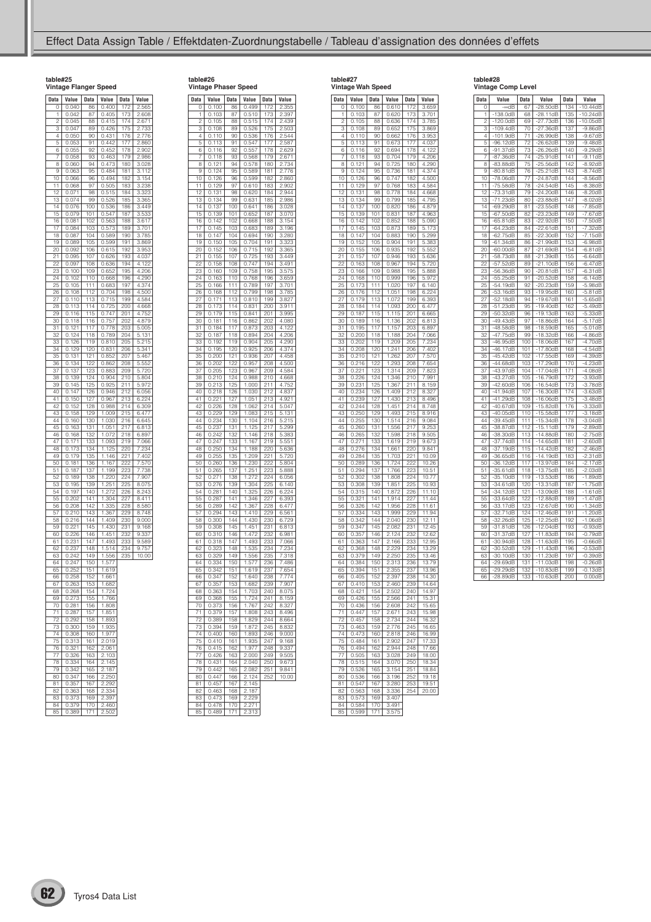**table#27 Vintage Wah Speed**

**table#26 Vintage Phaser Speed**

| table#25            |                        |                  |                       |                   |                             |
|---------------------|------------------------|------------------|-----------------------|-------------------|-----------------------------|
|                     |                        |                  | Vintage Flanger Speed |                   |                             |
| Data                | Value                  | Data             | Value                 | Data              | Value                       |
| O                   | 0.040                  | 86               | 0.400                 | 172               | 2.565                       |
| 1                   | 0.042                  | 87               | 0.405                 | 173               | 2.608                       |
| $\overline{c}$<br>3 | 0.045<br>0.047         | 88<br>89         | 0.415<br>0.426        | 174<br>175        | 2.671<br>$2.\overline{733}$ |
| 4                   | 0.050                  | 90               | 0.431                 | 176               | 2.776                       |
| 5                   | 0.053                  | 91               | 0.442                 | 177               | 2.860                       |
| 6                   | 0.055                  | 92               | 0.452                 | 178               | 2.902                       |
| 7                   | 0.058                  | 93               | 0.463                 | 179               | 2.986                       |
| 8                   | 0.060                  | 94               | 0.473                 | 180               | 3.028                       |
| 9<br>10             | 0.063<br>0.066         | 95<br>96         | 0.484<br>0.494        | 181<br>182        | 3.112<br>3.154              |
| 11                  | 0.068                  | 97               | 0.505                 | 183               | 3.238                       |
| 12                  | 0.071                  | 98               | 0.515                 | 184               | 3.323                       |
| 13                  | 0.074                  | 99               | 0.526                 | 185               | 3.365                       |
| 14                  | 0.076                  | 100              | 0.536                 | 186               | 3.449                       |
| 15                  | 0.079                  | 101              | 0.547                 | 187               | 3.533                       |
| 16<br>17            | 0.081<br>0.084         | 102<br>103       | 0.563                 | 188<br>189        | 3.617                       |
| 18                  | 0.087                  | 104              | 0.573<br>0.589        | 190               | 3.701<br>3.785              |
| 19                  | 0.089                  | 105              | 0.599                 | 191               | 3.869                       |
| 20                  | 0.092                  | 106              | 0.615                 | 192               | 3.953                       |
| 21                  | 0.095                  | $\frac{1}{107}$  | 0.626                 | 193               | 4.037                       |
|                     | 0.097                  | 108              | 0.636                 | 194               | 122<br>4.                   |
| 23<br>24            | 0.100                  | 109              | 0.652                 | 195               | 4.206                       |
| 25                  | 0.102<br>0.105         | 110<br>111       | 0.668<br>0.683        | 196<br>197        | 4.290<br>4.374              |
| 26                  | 0.108                  | 112              | 0.704                 | 198               | 4.500                       |
| 27                  | 0.110                  | 113              | 0.715                 | 199               | 4.584                       |
| 28                  | $\overline{113}$<br>0. | 114              | 0.725                 | 200               | 4.668                       |
| 29                  | 0.116                  | 115              | 0.747                 | 201               | 4.752                       |
| 30                  | 0.118                  | 116              | 0.757                 | 202               | 4.879                       |
| 31<br>32            | 0.121<br>0.124         | 117<br>118       | 0.778<br>0.789        | 203<br>204        | 5.005<br>5.131              |
| 33                  | 0.126                  | 119              | 0.810                 | 205               | 5.215                       |
| 34                  | 129<br>0.              | 120              | 0.831                 | 206               | 5.341                       |
| 35                  | 0.131                  | 121              | 0.852                 | 207               | 5.467                       |
| 36                  | 0.134                  | 122              | 0.862                 | 208               | 5.552                       |
| 37                  | 0.137                  | 123              | 0.883                 | 209               | 5.720                       |
| 38<br>39            | 0.139<br>0.145         | 124<br>125       | 0.904<br>0.925        | 210<br>211        | 5.804<br>5.972              |
| 40                  | 147<br>0.              | 126              | 0.946                 | 212               | 6.056                       |
| 41                  | $0.\overline{150}$     | 127              | 0.967                 | $\overline{2}$ 13 | 6.224                       |
| 42                  | 0.152                  | 128              | 0.988                 | 214               | 6.309                       |
| 43                  | 0.158                  | 129              | 1.009                 | 215               | 6.477                       |
| 44                  | 0.160                  | 130              | 1.030                 | 216               | 6.645                       |
| 45                  | 0.163                  | 131              | 1.051                 | 217               | 6.813                       |
| 46<br>47            | 0.168<br>0.171         | 132<br>133       | 1.072<br>1.093        | 218<br>219        | 6.897<br>7.066              |
| 48                  | 0.173                  | 134              | 1.125                 | 220               | 7.234                       |
| 49                  | 0.179                  | 135              | 1.146                 | 221               | 7.402                       |
| 50                  | 0.181                  | 136              | 1.167                 | 222               | 7.570                       |
| 51                  | 0.187                  | 137              | 1.199                 | 223               | 7.738                       |
| $\overline{52}$     | 189<br>0.              | 138              | 1.220                 | 224               | 7.907                       |
| 53<br>54            | 0.195<br>0.197         | 139<br>140       | 1.251                 | 225<br>226        | 8.075                       |
| 55                  | 0.202                  | 141              | 1.272<br>1.304        | 227               | 8.243<br>8.411              |
| 56                  | 0.208                  | 142              | 1.335                 | 228               | 8.580                       |
| 57                  | 0.210                  | 143              | 1.367                 | 229               | 8.748                       |
| 58                  | $0.\overline{216}$     | 144              | 1.409                 | 230               | 9.000                       |
| 59                  | 0.221                  | 145              | 1.430                 | 231               | 9.168                       |
| 60<br>61            | 0.226<br>0.231         | 146<br>147       | 1.451<br>1.493        | 232               | 9.337<br>9.589              |
| 62                  | 0.237                  | 148              | 1.514                 | 233<br>234        | 9.757                       |
| 63                  | 0.242                  | 149              | 1.556                 | 235               | 10.00                       |
| 64                  | 0.247                  | 150              | .577<br>1             |                   |                             |
| 65                  | 0.252                  | 151              | 1.619                 |                   |                             |
| 66                  | 0.258                  | $\overline{152}$ | 1.661                 |                   |                             |
| 67                  | 0.263<br>0.268         | 153              | 1.682<br>1.724        |                   |                             |
| 68<br>69            | 0.273                  | 154<br>155       | 1.766                 |                   |                             |
| 70                  | 0.281                  | 156              | 1.808                 |                   |                             |
| 71                  | 0.287                  | 157              | 1.851                 |                   |                             |
| 72                  | 0.292                  | 158              | 1.893                 |                   |                             |
| 73                  | 0.300                  | 159              | 1.935                 |                   |                             |
| 74                  | 0.308                  | 160              | 1.977                 |                   |                             |
| 75                  | 0.313                  | 161              | 2.019                 |                   |                             |
| 76<br>77            | 0.321                  | 162              | 2.061                 |                   |                             |
| 78                  | 0.326<br>0.334         | 163<br>164       | .103<br>2.145         |                   |                             |
| 79                  | 0.342                  | 165              | 2.187                 |                   |                             |
| 80                  | 0.347                  | 166              | 2.250                 |                   |                             |
| 81                  | 0.357                  | 167              | 2.292                 |                   |                             |
| 82                  | 0.363                  | 168              | 2.334                 |                   |                             |
| 83                  | 0.373                  | 169              | 2.397                 |                   |                             |
| 84                  | 0.379                  | 170              | 2.460                 |                   |                             |
| 85                  | 0.389                  | 171              | 2.502                 |                   |                             |

| Data                    | Value                                    | Data               | Value              | Data              | Value                       |
|-------------------------|------------------------------------------|--------------------|--------------------|-------------------|-----------------------------|
| 0                       | 0.100                                    | 86                 | 0.499              | 172               | 2.355                       |
| 1                       | 0.103                                    | 87                 | 0.510              | 173               | 2.397                       |
| $\overline{c}$          | 0.105                                    | 88                 | 0.515              | 74<br>1           | 2.439                       |
| $\overline{\mathbf{3}}$ | 0.108                                    | 89                 | 0.526              | 175               | 2.503                       |
| 4                       | 0.110                                    | 90                 | 0.536              | 176               | 2.544                       |
| 5                       | 0.113                                    | 91                 | 0.547              | $\overline{177}$  | 2.587                       |
| 6                       | 0.116                                    | 92                 | 0.557              | 178               | $2.\overline{629}$          |
| 7<br>8                  | $\frac{0.118}{2}$                        | 93<br>94           | 0.568              | 179<br>180        | 2.671                       |
| 9                       | $0.\overline{121}$<br>$0.\overline{124}$ | 95                 | 0.578<br>0.589     | 181               | 2.734<br>2.776              |
| 10                      | 0.126                                    | 96                 | 0.599              | 182               | 2.860                       |
| 11                      | $0.\overline{129}$                       | 97                 | 0.610              | 183               | 2.902                       |
| 12                      | 0.131                                    | 98                 | 0.620              | 184               | 2.944                       |
| 13                      | 0.134                                    | 99                 | 0.631              | 185               | 2.986                       |
| 14                      | 0.137                                    | 100                | 0.641              | 186               | 3.028                       |
| 15                      | 0.139                                    | 101                | 0.652              | 187               | 3.070                       |
| 16                      | 0.142                                    | 102                | 0.668              | 188               | 3.154                       |
| 17                      | 0.145                                    | 103                | 0.683              | 189               | 3.196                       |
| 18                      | 0.147                                    | 104                | 0.694              | 190               | 3.280                       |
| 19<br>20                | 0.150<br>0.152                           | 105<br>106         | 0.704<br>0.715     | 191<br>192        | $3.\overline{323}$<br>3.365 |
| 21                      | 0.155                                    | 107                | 0.725              | 193               | 3.449                       |
| 22                      | 0.158                                    | 108                | 0.747              | 194               | 3.491                       |
| 23                      | 0.160                                    | 109                | 0.758              | 195               | 3.575                       |
| $\overline{2}$ 4        | 0.163                                    | 110                | 0.768              | 196               | 3.659                       |
| 25                      | 0.166                                    | 111                | 0.789              | 197               | 3.701                       |
| 26                      | 0.168                                    | 12<br>1            | 0.799              | 198               | 3.785                       |
| 27                      | 0.171                                    | 113                | 0.810              | 199               | 3.827                       |
| 28                      | 0.173                                    | 114                | 0.831              | 200               | 3.911                       |
| 29<br>30                | 0.179<br>0.181                           | 15<br>1<br>16<br>1 | 0.841<br>0.862     | 201<br>202        | 3.995<br>4.080              |
| 31                      | 0.184                                    | 1<br>17            | 0.873              | 203               | 4.122                       |
| 32                      | 0.187                                    | 18<br>1            | 0.894              | 204               | 4.206                       |
| 33                      | 0.192                                    | 119                | 0.904              | 205               | 4.290                       |
| 34                      | 0.195                                    | 120                | 0.925              | 206               | 4.374                       |
| 35                      | 0.200                                    | 121                | 0.936              | 207               | 4.458                       |
| 36                      | 0.202                                    | 122                | 0.957              | 208               | 4.500                       |
| 37                      | 0.205                                    | 123<br>124         | 0.967              | 209               | 4.584                       |
| 38<br>39                | 0.210<br>0.213                           | 125                | 0.988<br>1.000     | 210<br>211        | 4.668<br>4.752              |
| 40                      | 0.218                                    | 126                | 1.030              | 212               | 4.837                       |
| 41                      | 0.221                                    | 127                | 1.051              | 213               | 4.921                       |
| 42                      | 0.226                                    | 128                | 1.062              | $\overline{2}$ 14 | 5.047                       |
| 43                      | $0.\overline{229}$                       | 129                | 1.083              | 215               | 5.131                       |
| 44<br>45                | 0.234<br>0.237                           | 130                | 1.104              | 216<br>217        | 5.215<br>5.299              |
| 46                      | 0.242                                    | 131<br>132         | 1.125<br>1.146     | 218               | 5.383                       |
| 47                      | 0.247                                    | 133                | $1.\overline{167}$ | 219               | 5.551                       |
| 48                      | 0.250                                    | 134                | 1.188              | 220               | 5.636                       |
| 49                      | 0.255                                    | 135                | .209<br>1          | 221               | 5.720                       |
| .<br>50                 | 0.260                                    | 136                | 1.230              | 222               | 5.804                       |
| 51                      | 0.265                                    | 137                | 1.251              | 223               | 5.888                       |
| 52                      | 0.271                                    | 138<br>139         | 1.272              | 224               | 6.056                       |
| 53<br>54                | 0.276<br>0.281                           | 140                | 1.304<br>1.325     | 225<br>226        | 6.140<br>6.224              |
| 55                      | 0.287                                    | 141                | 1.346              | 227               | 6.393                       |
| 56                      | $0.\overline{289}$                       | $\frac{1}{142}$    | $1.\overline{367}$ | 228               | 6.477                       |
| 57                      | 0.294                                    | 143                | 1.410              | 229               | 6.561                       |
| 58                      | 0.300                                    | 144                | 1.430              | 230               | 6.729                       |
| 59                      | 0.308                                    | 145                | 1.451              | 231               | 6.813                       |
| 60                      | 0.310                                    | 146                | 1.472              | 232               | 6.981                       |
| 61<br>62                | $0.\overline{318}$<br>0.323              | 147<br>148         | 1.493<br>1.535     | 233<br>234        | 7.066<br>7.234              |
| 63                      | 0.329                                    | 149                | 1.556              | 235               | 7.318                       |
| 64                      | 0.334                                    | 150                | 1.577              | 236               | 7.486                       |
| 65                      | 0.342                                    | 151                | 1.619              | 237               | 7.654                       |
| 66                      | 0.347                                    | 152                | 1.640              | 238               | 7.774                       |
| 67                      | U.357                                    | 15,<br>s           | 1.682              | 59                | 7.YU7                       |
| 68                      | 0.363                                    | 154                | 1.703              | 240               | 8.075                       |
| 69<br>70                | 0.368<br>0.373                           | 155<br>156         | 1.724<br>1.767     | 241<br>242        | 8.159<br>8.327              |
| $\overline{71}$         | 0.379                                    | 157                | 1.808              | 243               | 8.496                       |
| 72                      | 0.389                                    | 158                | 1.829              | $\frac{244}{3}$   | 8.664                       |
| 73                      | 0.394                                    | 159                | 1.872              | 245               | 8.832                       |
| 74                      | 0.400                                    | 160                | 1.893              | 246               | 9.000                       |
| 75                      | 0.410                                    | 161                | 1.935              | 247               | 9.168                       |
| 76                      | 0.415                                    | 162                | 1.977              | 248               | 9.337                       |
| 77<br>78                | 0.426<br>0.431                           | 163<br>164         | 2.000<br>2.040     | 249<br>250        | 9.505                       |
| 79                      | 0.442                                    | 165                | 2.082              | 251               | 9.673<br>9.841              |
| 80                      | $0.\overline{447}$                       | 166                | 2.124              | 252               | 10.00                       |
| 81                      | 0.457                                    | 167                | 2.145              |                   |                             |
| 82                      | 0.463                                    | 168                | 2.187              |                   |                             |
| 83                      | 0.473                                    | 169                | 2.229              |                   |                             |
| 84                      | 0.478                                    | 170                | 2.271              |                   |                             |

85 0.489 171 2.313

| Data                    | Value         | Data           | Value          | Data              | Value          |
|-------------------------|---------------|----------------|----------------|-------------------|----------------|
| 0                       | 0.100         | 86             | 0.610          | 172               | 3.659          |
| 1                       | 103<br>0.     | 87             | 0.620          | 173               | 3.701          |
| $\overline{\mathbf{c}}$ | 0.<br>105     | 88             | 0.636          | 174               | 3.785          |
| 3                       | 0.108         | 89             | 0.652          | 175               | 3.869          |
| 4                       | Ò.<br>1<br>10 | 90             | 0.662          | 176               | 3.953          |
| 5                       | 0.<br>13<br>1 | 91             | 0.673          | 7<br>7<br>1       | 4.037          |
| 6                       | 1<br>16<br>0  | 92             | 0.694          | 178               | 4.122          |
| 7                       | 0.1<br>18     | 93             | 0.704          | 179               | 4.206          |
| 8                       | 0.121         | 94             | 0.725          | 180               | 4.290          |
| 9                       | 0.124         | 95             | 0.736          | 181               | 4.374          |
|                         |               | 96             |                |                   | 4.500          |
| 10                      | 0.126         |                | 0.747          | 182               |                |
| 1<br>1                  | 129<br>0.     | 97             | 768<br>0.      | 183               | 4.584          |
| 12                      | 131<br>0.     | 98             | 0.778          | 184               | 4.668          |
| 13                      | 0.134         | 99             | 0.799          | 185               | 4.795          |
| 14                      | 0.137         | 100            | 0.820          | 186               | 4.879          |
| 15                      | 0.139         | 101            | 0.831          | 187               | 4.963          |
| 16                      | 0.142         | 102            | 0.852          | 188               | 5.090          |
| 1<br>7                  | 0.<br>145     | 103            | 0.873          | 189               | 173<br>5.      |
| 18                      | 147<br>0.     | 104            | 0.883          | 190               | 5.299          |
| 19                      | 0.152         | 105            | 0.904          | 191               | 5.383          |
| 20                      | 0.155         | 106            | 0.935          | 192               | 5.552          |
| 21                      | 0.157         | 107            | 0.946          | 193               | 5.636          |
|                         |               |                |                |                   |                |
| 22                      | 0.163         | 108            | 0.967          | 194               | 5.720          |
| 23                      | 166<br>0.     | 109            | 0.988          | 195               | 5.888          |
| 24                      | 0.168         | 110            | 0.999          | 196               | 5.972          |
| 25                      | 0.173         | 11<br>1        | 1.020          | 197               | 6.140          |
| 26                      | 0.176         | 112            | 1.051          | 198               | 6.224          |
| 27                      | 0.179         | 113            | 1.072          | 199               | 6.393          |
| 28                      | 0.184         | 114            | 1.093          | 200               | 6.477          |
| 29                      | 187<br>0.     | 15<br>1        | 1.115          | 201               | 6.665          |
| 30                      | 0.189         | 1<br>16        | 1.136          | 202               | 6.813          |
| 31                      | 0.195         | 1<br>17        | 1.157          | 203               | 6.897          |
| 32                      |               | 118            |                |                   |                |
|                         | 0.200         |                | 1.188<br>1.209 | 204<br>205        | 7.066<br>7.234 |
| 33                      | 0.202         | 119            |                |                   |                |
| 34                      | 0.208         | 120            | 1.241          | 206               | 7.402          |
| 35                      | 0.210         | 121            | 1.262          | 207               | 7.570          |
| 36                      | 0.216         | 122            | 1.293          | 208               | 7.654          |
| 37                      | 0.221         | 123            | 1.314          | 209               | 7.823          |
| 38                      | 0.226         | 124            | 1.346          | 210               | 7.991          |
| 39                      | 0.231         | 125            | 1.367          | $\overline{2}$ 11 | 8.159          |
| 40                      | 0.234         | $\frac{1}{26}$ | 1.409          | 212               | 8.327          |
| 41                      | 0.239         | 127            | 1.430          | 213               | 8.496          |
| 42                      | 0.244         | 128            | 1.451          | 214               | 8.748          |
|                         | 0.250         | 129            | 1.493          | 215               | 8.916          |
| 43<br>44                |               |                |                |                   |                |
|                         | 0.255         | 130            | 1.514          | 216               | 9.084          |
| 45                      | 0.260         | 131            | 1.556          | $\overline{2}17$  | 9.253          |
| 46                      | 0.265         | 132            | 1.598          | $\overline{218}$  | 9.505          |
| 47                      | 0.271         | 133            | 1.619          | 219               | 9.673          |
| 48                      | 0.276         | 134            | 1.661          | 220               | 9.841          |
| 49                      | 0.284         | 135            | 1.703          | 221               | 10.09          |
| 50                      | 0.289         | 136            | 1.724          | 222               | 10.26          |
| 51                      | 0.294         | 137            | 1.766          | 223               | 10.51          |
| 52                      | 0.302         | 138            | 1.808          | 224               | 10.77          |
| 53                      | 0.308         | 139            | 1.851          | 225               | 10.93          |
| 54                      | 0.315         | 140            | 1.872          | 226               | 11.10          |
| 55                      | 0.321         | 141            | 1.914          | 227               | 11.44          |
|                         |               |                |                |                   |                |
| 56                      | 0.326         | 142            | 1.956          | 228               | 11.61          |
| 57                      | 0.334         | 143            | 1.999          | 229               | 11.94          |
| 58                      | 0.342         | 144            | 2.040          | 230               | 12.11          |
| 59                      | 0.347         | 145            | 2.082          | 231               | 12.45          |
| 60                      | 0.357         | 146            | 2.124          | 232               | 12.62          |
| 61                      | 0.363         | 147            | 2.166          | 233               | 12.95          |
| 62                      | 0.368         | 148            | 2.229          | 234               | 13.29          |
| 63                      | 0.379         | 149            | 2.250          | 235               | 13.46          |
| 64                      | 0.384         | 150            | 2.313          | 236               | 13.79          |
| 65                      | 0.394         | 151            | 2.355          | 237               | 13.96          |
| 66                      | 0.405         | 152            | 2.397          | 238               | 14.30          |
|                         | 0.410         | 153            |                | 239               |                |
| 67                      |               |                | 2.460          |                   | 14.64          |
| 68<br>69                | 0.421         | 154            | 2.502          | 240<br>241        | 14.97          |
|                         | 0.426         | 155            | 2.566          |                   | 15.31          |
| 70                      | 0.436         | 156            | 2.608          | 242               | 15.65          |
| $\overline{71}$         | 0.447         | 157            | 2.671          | 243               | 15.98          |
| 72                      | 0.457         | 158            | 2.734          | 244               | 16.32          |
| 73                      | 0.463         | 159            | 2.776          | 245               | 16.65          |
| 74                      | 0.473         | 160            | 2.818          | 246               | 16.99          |
| 75                      | 0.484         | 161            | 2.902          | 247               | 17.33          |
| $\overline{76}$         | 0.494         | 162            | 2.944          | 248               | 17.66          |
| 77                      | 0.505         | 163            | 3.028          | 249               | 18.00          |
| 78                      | 0.515         | 164            | 3.070          | 250               | 18.34          |
|                         |               |                |                |                   |                |
| 79                      | 0.526         | 165            | 3.154          | $\overline{251}$  | 18.84          |
| 80                      | 0.536         | 166            | 3.196          | 252               | 19.18          |
| 81                      | 0.547         | 167            | 3.280          | $\overline{253}$  | 19.51          |
| 82                      | 0.563         | 168            | 3.336          | 254               | 20.00          |
| 83                      | 0.573         | 169            | 3.407          |                   |                |
| 84                      | 0.584         | 170            | 3.491          |                   |                |
| 85                      | 0.599         | 171            | 3.575          |                   |                |

| table#28                  |  |
|---------------------------|--|
| <b>Vintage Comp Level</b> |  |

| <b>Data</b>           | Value                    | <b>Data</b>     | Value                    | <b>Data</b> | Value                  |
|-----------------------|--------------------------|-----------------|--------------------------|-------------|------------------------|
| 0                     | $-$ ∞dB                  | 67              | $-28.50dB$               | 134         | $-10.44dB$             |
| 1                     | $-138.0dB$               | 68              | $-28.11dB$               | 135         | $-10.24dB$             |
| $\overline{c}$        | -120.0dB                 | 69              | $-27.73dB$               | 136         | $-10.05dB$             |
| 3                     | $-109.4dB$               | 70              | $-27.36dB$               | 137         | $-9.86dB$              |
| 4                     | $-101.9dB$               | 71              | $-26.99dB$               | 138         | $-9.67dB$              |
| 5                     | $-96.12dB$               | 72              | $-26.62dB$               | 139         | $-9.48dB$              |
| 6                     | 91.37dB                  | 73              | $-26.26dB$               | 140         | $-9.29dB$              |
| 7                     | $-87.36dB$               | 74              | 25.91dB                  | 141         | $-9.11dB$              |
| 8                     | $-83.88dB$               | $\overline{75}$ | $-25.56dB$               | 142         | $-8.92dB$              |
| 9                     | $-80.81dB$               | 76              | $-25.21dB$               | 143         | $-8.74dB$              |
| 10                    | $-78.06dB$               | 77              | $-24.87dB$               | 144         | $-8.56dB$              |
| 11                    | $-75.58dB$               | 78              | $-24.54dB$               | 145         | $-8.38dB$              |
| 12                    | $-73.31dB$               | 79              | $-24.20dB$               | 146         | $-8.20dB$              |
| 13                    | 71.23dB                  | 80              | 23.88dB                  | 147         | $-8.02dB$              |
| 14                    | $-69.29dB$               | 81              | $-23.55dB$               | 148         | $-7.85dB$              |
| 15                    | $-67.50dB$               | 82              | $-23.23dB$               | 149<br>150  | $-7.67dB$              |
| 16<br>$\overline{17}$ | $-65.81dB$               | 83              | $-22.92dB$               | 151         | $-7.50dB$              |
| 18                    | $-64.23dB$<br>$-62.75dB$ | 84<br>85        | $-22.61dB$               |             | $-7.32dB$              |
| 19                    |                          |                 | $-22.30dB$               | 152         | $-7.15dB$              |
| 20                    | $-61.34dB$<br>-60.00dB   | 86<br>87        | -21.99dB<br>-21.69dB     | 153<br>154  | -6.98dB<br>-6.81dB     |
| 21                    | $-58.73dB$               | 88              | $-21.39dB$               | 155         | $-6.64dB$              |
| 22                    | $-57.52dB$               | 89              | $-21.10dB$               | 156         | $-6.47dB$              |
| 23                    | $-56.36dB$               | 90              | 20.81dB                  | 157         | 31dB<br>-6.            |
| 24                    | -55.25dB                 | 91              | $-20.52dB$               | 158         | -6.14dB                |
| 25                    | $-54.19dB$               | 92              | $-20.23dB$               | 159         | $-5.98dB$              |
| 26                    | $-53.16dB$               | 93              | -19.95dB                 | 160         | $-5.81dB$              |
| 27                    | $-52.18dB$               | 94              | $-19.67dB$               | 161         | $-5.65dB$              |
| $\frac{28}{3}$        | $-51.23dB$               | 95              | 19.40dB                  | 162         | $-5.49dB$              |
| 29                    | $-50.32dB$               | 96              | 19.13dB                  | 163         | $-5.33dB$              |
| 30                    | $-49.43dB$               | 97              | $-18.86dB$               | 164         | $-5.17dB$              |
| 31                    | $-48.58dB$               | 98              | $-18.59dB$               | 165         | $-5.01dB$              |
| 32                    | $-47.75dB$               | 99              | $-18.32dB$               | 166         | $-4.86dB$              |
| 33                    | $-46.95dB$               | 100             | $-18.06dB$               | 167         | $-4.70dB$              |
| 34                    | $-46.17dB$               | 101             | -17.80dB                 | 168         | -4.54dB                |
| 35                    | 45.42dB                  | 102             | 17.55dB                  | 169         | -4.39dB                |
| 36                    | $-44.68dB$               | 103             | $-17.29dB$               | 170         | $-4.23dB$              |
| 37                    | $-43.97dB$               | 104             | $-17.04dB$               | 171         | $-4.08dB$              |
| 38                    | $-43.27dB$               | 105             | $-16.79dB$               | 172         | $-3.93dB$              |
| 39                    | $-42.60dB$               | 106             | 16.54dB                  | 173         | $-3.78dB$              |
| 40<br>41              | $-41.94dB$               | 107             | $-16.30dB$               | 174         | $-3.63dB$              |
| 42                    | $-41.29dB$               | 108             | $-16.06dB$<br>$-15.82dB$ | 175<br>176  | $-3.48dB$<br>$-3.33dB$ |
| 43                    | $-40.67dB$<br>$-40.05dB$ | 109<br>110      | $-15.58dB$               | 177         | $-3.18dB$              |
| 44                    | $-39.45dB$               | 111             | $-15.34dB$               | 178         | $-3.04dB$              |
| 45                    | $-38.87dB$               | 112             | 15.11dB                  | 179         | $-2.89dB$              |
| 46                    | $-38.30dB$               | 1<br>13         | 14.88dB                  | 180         | $-2.75dB$              |
| 47                    | 37.74dB                  | 114             | $-14.65dB$               | 181         | $-2.60dB$              |
| 48                    | $-37.19dB$               | 115             | -14.42dB                 | 182         | $-2.46dB$              |
| 49                    | 36.65dB                  | 116             | $-14.19dB$               | 183         | $-2.31dB$              |
| 50                    | 36.12dB                  | 117             | 13.97dB                  | 184         | $-2.17dB$              |
| 51                    | 35.61dB                  | 118             | 13.75dB                  | 185         | $-2.03dB$              |
| 52                    | $-35.10dB$               | 19<br>1         | $-13.53dB$               | 186         | $-1.89dB$              |
| 53                    | $-34.61dB$               | 120             | $-13.31dB$               | 187         | $-1.75dB$              |
| 54                    | $-34.12dB$               | 121             | $-13.09dB$               | 188         | $-1.61dB$              |
| 55                    | $-33.64dB$               | 122             | $-12.88dB$               | 189         | $-1.47dB$              |
| 56                    | $-33.17dB$               | 123             | $-12.67dB$               | 190         | $-1.34dB$              |
| 57                    | $-32.71dB$               | 124             | 12.46dB                  | 191         | 1.20dB                 |
| 58                    | $-32.26dB$               | 125             | $-12.25dB$               | 192         | -1.06dB                |
| 59                    | $-31.81dB$               | 126             | $-12.04dB$               | 193         | $-0.93dB$              |
| 60                    | $-31.37dB$               | 127             | $-11.83dB$               | 194         | $-0.79dB$              |
| 61                    | 30.94dB                  | 128             | $-11.63dB$               | 195         | $-0.66dB$              |
| 62                    | $-30.52dB$               | 129             | 1<br>1.43dB              | 196         | $-0.53dB$              |
| 63                    | $-30.10dB$               | 130             | $-11.23dB$               | 197         | $-0.39dB$              |
| 64                    | $-29.69dB$               | 131             | $-11.03dB$               | 198         | $-0.26dB$              |
| 65                    | $-29.29dB$               | 132             | $-10.83dB$               | 199         | $-0.13dB$              |
| 66                    | $-28.89dB$               | 133             | $-10.63dB$               | 200         | 0.00dB                 |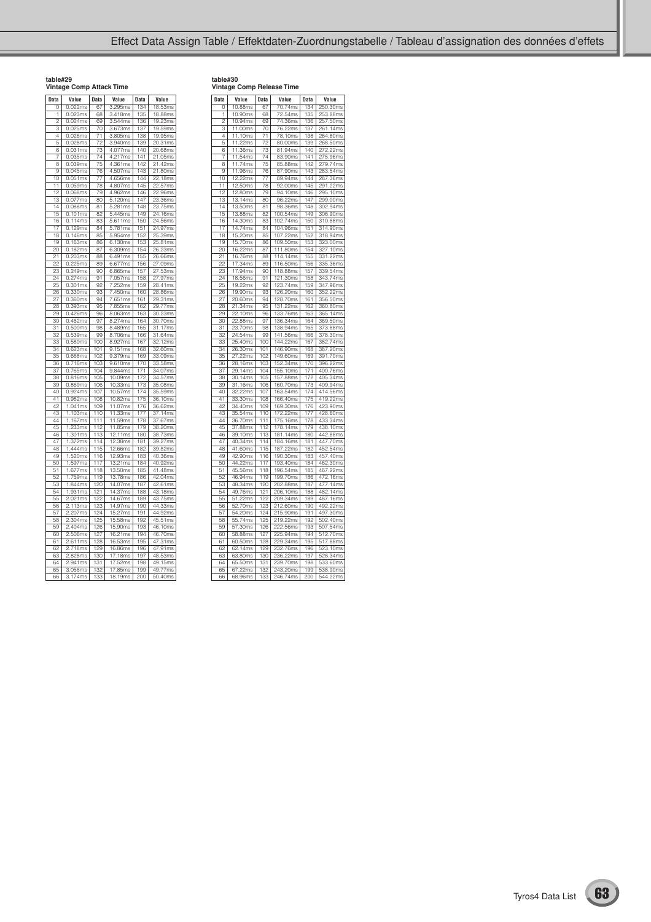| table#29                 |  |
|--------------------------|--|
| Vintage Comp Attack Time |  |

| <b>Data</b>                          | Value                 | <b>Data</b>      | Value                        | <b>Data</b> | Value                    |
|--------------------------------------|-----------------------|------------------|------------------------------|-------------|--------------------------|
| Ö                                    | 0.022ms               | 67               | 295ms<br>З.                  | 134         | 53ms<br>18.              |
| 1                                    | 0.023ms               | 68               | 3.418ms                      | 135         | $\overline{18}$ .88 $ms$ |
| $\overline{c}$                       | 0.024ms               | 69               | 3.544ms                      | 136         | 19.23ms                  |
| $\overline{\overline{\overline{3}}}$ | 0.025ms               | 70               | 3.673ms                      | 137         | 19.59ms                  |
| 4                                    | 0.026ms               | 71               | 3.805ms                      | 138         | 19.95ms                  |
| 5                                    | 0.028ms               | 72               | 3.940ms                      | 139         | 20.31ms                  |
| 6                                    | 0.031ms               | 73               | 4.077ms                      | 140         | 20.68ms                  |
| 7                                    | 0.035ms               | 74               | 4.217ms                      | 141         | 21.05ms                  |
| Ŕ                                    | 0.039ms               | $\overline{75}$  | .361ms<br>$\Delta$           | 142         | 21.42ms                  |
| .<br>9                               | 0.045ms               | 76               | 4.507ms                      | 143         | 21.80ms                  |
| 10                                   | 0.051ms               | 77               | 4.656ms                      | 144         | 22.18ms                  |
| 11                                   | 0.059ms               | 78               | $\overline{4.807}$ ms        | 145         | 22.57ms                  |
| 12                                   | 0.068ms               | 79               | 4.962ms                      | 146         | 22.96ms                  |
| $\overline{13}$                      | 0.077ms               | 80               | 5.120ms                      | 147         | 23.36ms                  |
| 14                                   | 0.088ms               | 81               | 5.281ms                      | 148         | 23.75ms                  |
| 15                                   | 0.<br>101ms           | 82               | 5.445ms                      | 149         | 24.16ms                  |
| 16                                   | 0.114ms               | 83               | 5.611ms                      | 150         | 24.56ms                  |
| 17                                   | 0.<br>129ms           | 84               | 5.781ms                      | 151         | 24.97ms                  |
| 18                                   | 0.<br>146ms           | 85               | 5.954ms                      | 152         | 25.39ms                  |
| 19                                   | 163ms<br>0.           | 86               | 6.130ms                      | 153         | 25.81ms                  |
| 20                                   | 182ms<br>0.           | 87               | 309ms<br>6.                  | 154         | 26.23ms                  |
| 21                                   | 0.203ms               | 88               | 6.491ms                      | 155         | 26.66ms                  |
| 22                                   | 0.225ms               | 89               | 6.677ms                      | 156         | 27.09ms                  |
| 23                                   | 0.249ms               | 90               | 6.865ms                      | 157         | 27.53ms                  |
| 24                                   | 0.274ms               | 91               | 7.057ms                      | 158         | 27.97ms                  |
| 25                                   | 0.301ms               | 92               | 7.252ms                      | 159         | 28.41ms                  |
| 26                                   | 0.330ms               | 93               | .450ms                       | 160         | $28.\overline{86ms}$     |
| 27                                   | 0.360ms               | 94<br>95         | 7.651ms                      | 161         | 29.31ms                  |
| 28<br>29                             | 0.393ms<br>0.426ms    |                  | 7.855ms<br>8.063ms           | 162<br>163  | 29.77ms<br>30.23ms       |
| 30                                   | 0.462ms               | 96               | 8.274ms                      |             |                          |
|                                      | 0.500ms               | 97<br>98         |                              | 164         | 30.70ms                  |
| 31<br>32                             | 0.539ms               | 99               | 8.489ms<br>8.706ms           | 165<br>166  | 31.17ms<br>31.64ms       |
| 33                                   | 0.580ms               | 100              | 8.927ms                      | 167         | 32.12ms                  |
| 34                                   | 0.623ms               | 101              | 9.151ms                      | 168         | 32.60ms                  |
| 35                                   | 0.668ms               | 102              | 9.379ms                      | 169         | 33.09ms                  |
| 36                                   | 0.716ms               | 103              | 9.610ms                      | 170         | 33.58ms                  |
| 37                                   | 0.765ms               | 104              | 9.844ms                      | 171         | 34.07ms                  |
| 38                                   | 0.816ms               | 105              | 10.09ms                      | 172         | 34.57ms                  |
| 39                                   | 0.869ms               | $\overline{1}06$ | 10.33ms                      | 173         | 35.08ms                  |
| 40                                   | 0.924ms               | 107              | 10.57ms                      | 174         | 35.59ms                  |
| 41                                   | 0.982ms               | 108              | 10.82ms                      | 75<br>1     | 36.10ms                  |
| $\overline{42}$                      | 1.041ms               | 109              | 11.07ms                      | 176         | 36.62ms                  |
| 43                                   | 1.103ms               | 110              | 11.33ms                      | 177         | 37.14ms                  |
| 44                                   | 167ms<br>1.           | 111              | 1.59ms<br>1                  | 78<br>1     | $\overline{37.67}$ ms    |
| 45                                   | 1.233ms               | 112              | 1<br>1.85ms                  | 179         | 38.20ms                  |
| 46                                   | .301ms<br>1           | 13<br>1          | 12.11ms                      | 180         | 38.73ms                  |
| 47                                   | 1.372ms               | 114              | 12.38ms                      | 181         | 39.27ms                  |
| 48                                   | 1.444ms               | 115              | 12.66ms                      | 182         | 39.82ms                  |
| 49                                   | 1.520ms               | 116              | 12.93ms                      | 183         | 40.36ms                  |
| 50                                   | 1.597ms               | 1<br>17          | 13.21ms                      | 184         | 40.92ms                  |
| 51                                   | 1.677ms               | 1<br>18          | 13.50ms                      | 185         | 41.48ms                  |
| 52                                   | 1.759ms               | 119              | 13.78ms                      | 186         | 42.04ms                  |
| 53                                   | 1.844ms               | 120              | 14.07ms                      | 187         | 42.61ms                  |
| 54                                   | $\overline{1.93}$ 1ms | 121              | 14.37ms                      | 188         | 43.18ms                  |
| 55                                   | 2.021ms               | 122              | 14.67ms                      | 189         | 43.75ms                  |
| 56                                   | 2.113ms               | 123              | 14.97ms                      | 190         | 44.33ms                  |
| 57                                   | 2.207ms               | 124              | $\overline{15.27} \text{ms}$ | 191         | 44.92ms                  |
| 58                                   | 2.304ms               | 125              | 15.58ms                      | 192         | 45.51ms                  |
| 59                                   | .404ms                | 126              | 15.90ms                      | 193         | 46.10ms                  |
| 60                                   | 2.506ms               | 127              | 16.21ms                      | 194         | 46.70ms                  |
| 61                                   | 2.61<br>1ms           | 128              | 16.53ms                      | 195         | 47.31ms                  |
| 62                                   | 2.718ms               | 129              | 16.86ms                      | 196         | 47.91ms                  |
| 63                                   | 2.828ms               | 130              | 17.18ms                      | 197         | 48.53ms                  |
| 64                                   | 2.941ms               | 131              | 17.52ms                      | 198         | 49.15ms                  |
| 65                                   | 3.056ms               | 132              | 17.85ms                      | 199         | 49.77ms                  |
| 66                                   | 3.174ms               | 133              | 18.19ms                      | 200         | 50.40ms                  |

|                 |                                           |                 | Vintage Comp Release Time  |                  |                      |
|-----------------|-------------------------------------------|-----------------|----------------------------|------------------|----------------------|
| <b>Data</b>     | Value                                     | <b>Data</b>     | Value                      | <b>Data</b>      | Value                |
| 0<br>1          | 10.88ms<br>10.90ms                        | 67<br>68        | 70.74ms<br>72.54ms         | 134<br>135       | 250.30ms<br>253.88ms |
| $\overline{c}$  | 10.94ms                                   | 69              | $\overline{74.36}$ ms      | 136              | 257.50ms             |
| 3               | $\overline{11.0}$ 0ms                     | 70              | $\overline{76.2}$ 2ms      | 137              | 261.14ms             |
| 4               | $\overline{11}$ .10ms                     | $\overline{71}$ | 78.10ms                    | 138              | 264.80ms             |
| 5               | 1.22ms<br>1                               | $\overline{72}$ | 80.00ms                    | 139              | 268.50ms             |
| 6               | 36ms<br>1<br>1.                           | 73              | 81.94ms                    | 140              | 272.22ms             |
| 7               | 1<br>1.54ms                               | 74              | 83.90ms                    | 141              | 275.96ms             |
| 8               | 1.74ms<br>1                               | 75              | 85.88ms                    | $\overline{142}$ | 279.74ms             |
| 9<br>10         | 11.96ms<br>12.22ms                        | 76<br>77        | 87.90ms<br>89.94ms         | 143<br>144       | 283.54ms<br>287.36ms |
| 11              | 12.50ms                                   | 78              | 92.00ms                    | 145              | 291.22ms             |
| $\overline{12}$ | $\overline{12}$ .80ms                     | 79              | 94.10ms                    | 146              | 295.10ms             |
| 13              | $\overline{13.14}$ ms                     | 80              | 96.22ms                    | 147              | 299.00ms             |
| 14              | $\overline{13.50}$ ms                     | 81              | 98.36ms                    | 148              | 302.94ms             |
| 15              | 13.88ms                                   | 82              | 100.54ms                   | 149              | 306.90ms             |
| 16              | 14.<br>30ms                               | 83              | 102.74ms                   | 150              | 310.88ms             |
| 17              | 14.74ms                                   | 84              | 104.96ms                   | $\overline{151}$ | 314.90ms             |
| 18              | $\overline{15}$ .20ms                     | 85              | 107.22ms                   | $\overline{152}$ | 318.94ms             |
| 19              | 15.70ms                                   | 86              | 109.50ms                   | 153              | 323.00ms             |
| 20<br>21        | 16.22ms<br>16.76ms                        | 87<br>88        | 111.80ms<br>114.14ms       | 154<br>155       | 327.10ms<br>331.22ms |
| 22              | 17.34ms                                   | 89              | 16.50ms<br>1               | 156              | 335.36ms             |
| 23              | $\frac{17.94 \text{ms}}{17.94 \text{ms}}$ | 90              | 118.88ms                   | 157              | 339.54ms             |
| $\overline{24}$ | 18.56ms                                   | 91              | 121.30ms                   | 158              | 343.74ms             |
| 25              | 19.22ms                                   | 92              | 123.74ms                   | 159              | 347.96ms             |
| 26              | 19.90ms                                   | 93              | 126.20ms                   | 160              | 352.22ms             |
| 27              | 20.60ms                                   | 94              | 128.70ms                   | 161              | 356.50ms             |
| 28              | 21.34ms                                   | 95              | 131.22ms                   | 162              | 360.80ms             |
| 29              | 22.10ms                                   | 96              | 133.76ms                   | 163              | 365.14ms             |
| 30<br>31        | 22.88ms<br>23.70ms                        | 97<br>98        | 136.34ms<br>138.94ms       | 164<br>165       | 369.50ms<br>373.88ms |
| $\overline{32}$ | 24.54ms                                   | 99              | 141.56ms                   | 166              | 378.30ms             |
| 33              | 25.40ms                                   | 100             | 144.22ms                   | 167              | 382.74ms             |
| $\overline{3}4$ | 26.30ms                                   | 101             | 146.90ms                   | 168              | 887.20ms             |
| 35              | 27<br>'.22ms                              | 102             | 149.60ms                   | 169              | 391.70ms             |
| 36              | 28.16ms                                   | 103             | 152.34ms                   | 170              | 396.22ms             |
| 37              | 29.14ms                                   | 104             | 155.10ms                   | 171              | 400.76ms             |
| 38              | 30.14ms                                   | 105             | 157.88ms                   | $17\overline{2}$ | 405.34ms             |
| 39              | 31.16ms                                   | 106             | 160.70ms                   | 173<br>174       | 409.94ms             |
| 40<br>41        | 32.22ms<br>33.30ms                        | 107<br>108      | 163.54ms<br>166.40ms       | 175              | 414.56ms<br>419.22ms |
| 42              | 34.40ms                                   | 109             | 169.30ms                   | 176              | 423.90ms             |
| 43              | 35.54ms                                   | 110             | 172.22ms                   | 177              | 428.60ms             |
| 44              | 36.70ms                                   | 111             | $\overline{75}$ .16ms<br>1 | 178              | 433.34ms             |
| 45              | 37.88ms                                   | 12<br>1         | 78.<br>14ms<br>1           | 179              | 438.<br>10ms         |
| 46              | 39.10ms                                   | 13<br>1         | 181.14ms                   | 180              | 442.88ms             |
| 47              | 40.34ms                                   | 114             | 184.16ms                   | 181              | 447.70ms             |
| 48              | 41.60ms                                   | 115             | 187.22ms                   | 182              | 452.54ms             |
| 49<br>50        | 42.90ms<br>44.22ms                        | 116<br>117      | 190.30ms<br>193.40ms       | 183<br>184       | 457.40ms<br>462.30ms |
| 51              | 45.56ms                                   | 118             | 196.54ms                   | 185              | 467.22ms             |
| 52              | 46.94ms                                   | 119             | 199.70ms                   | 186              | 472.16ms             |
| $\overline{53}$ | 48.34ms                                   | 120             | 202.88ms                   | 187              | 477.<br>14ms         |
| 54              | 49.76ms                                   | 121             | 206.10ms                   | 188              | 482.<br>14ms         |
| 55              | 51.22ms                                   | 122             | 209.34ms                   | 189              | 16ms<br>487.         |
| 56              | 52.70ms                                   | 123             | 212.60ms                   | 190              | 492.22ms             |
| 57              | 54.20ms                                   | 124             | 215.90ms                   | 191              | 497.30ms             |
| 58              | 55.74ms                                   | 125             | 219.22ms                   | 192              | 502.40ms             |
| 59<br>60        | 57.30ms<br>58.88ms                        | 126<br>127      | 222.56ms<br>225.94ms       | 193<br>194       | 507.54ms<br>512.70ms |
| 61              | 60.50ms                                   | 128             | 229.34ms                   | 195              | 517.88ms             |
| 62              | 62.14ms                                   | 129             | 232.76ms                   | 196              | 523.10ms             |
| 63              | 63.80ms                                   | 130             | 236.22ms                   | 197              | 528.34ms             |
| 64              | 65.50ms                                   | 131             | 239.70ms                   | 198              | 533.60ms             |
| 65              | 67.22ms                                   | 132             | 243.20ms                   | 199              | 538.90ms             |
| 66              | 68.96ms                                   | 133             | 246.<br>74 <sub>ms</sub>   | 200              | 544.22ms             |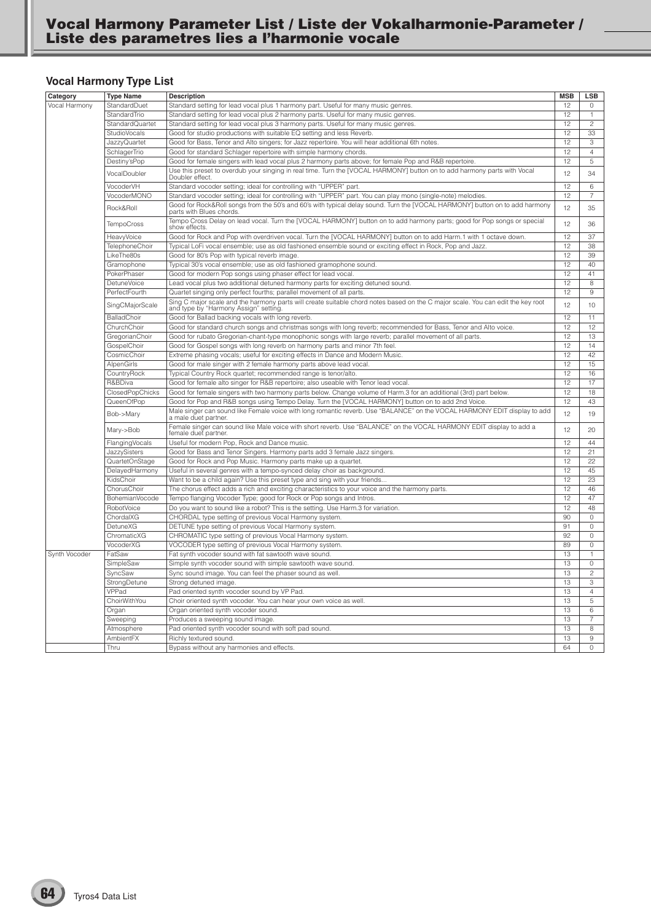## **Vocal Harmony Type List**

| Vocal Harmony<br>StandardDuet<br>Standard setting for lead vocal plus 1 harmony part. Useful for many music genres.<br>12<br>$\Omega$<br>StandardTrio<br>Standard setting for lead vocal plus 2 harmony parts. Useful for many music genres.<br>12<br>$\mathbf{1}$<br>Standard setting for lead vocal plus 3 harmony parts. Useful for many music genres.<br>12<br>$\overline{c}$<br>StandardQuartet<br>Good for studio productions with suitable EQ setting and less Reverb.<br>12<br>33<br><b>StudioVocals</b><br>JazzyQuartet<br>Good for Bass, Tenor and Alto singers; for Jazz repertoire. You will hear additional 6th notes.<br>12<br>3<br>SchlagerTrio<br>Good for standard Schlager repertoire with simple harmony chords.<br>12<br>$\overline{4}$<br>12<br>Destiny'sPop<br>Good for female singers with lead vocal plus 2 harmony parts above; for female Pop and R&B repertoire.<br>5<br>Use this preset to overdub your singing in real time. Turn the [VOCAL HARMONY] button on to add harmony parts with Vocal<br>12<br>34<br>VocalDoubler<br>Doubler effect.<br>VocoderVH<br>Standard vocoder setting; ideal for controlling with "UPPER" part.<br>12<br>6<br>VocoderMONO<br>Standard vocoder setting; ideal for controlling with "UPPER" part. You can play mono (single-note) melodies.<br>12<br>$\overline{7}$<br>Good for Rock&Roll songs from the 50's and 60's with typical delay sound. Turn the [VOCAL HARMONY] button on to add harmony<br>Rock&Roll<br>12<br>35<br>parts with Blues chords.<br>Tempo Cross Delay on lead vocal. Turn the [VOCAL HARMONY] button on to add harmony parts; good for Pop songs or special<br>TempoCross<br>12<br>36<br>show effects.<br>12<br>HeavyVoice<br>Good for Rock and Pop with overdriven vocal. Turn the [VOCAL HARMONY] button on to add Harm.1 with 1 octave down.<br>37<br>TelephoneChoir<br>Typical LoFi vocal ensemble; use as old fashioned ensemble sound or exciting effect in Rock, Pop and Jazz.<br>12<br>38<br>LikeThe80s<br>12<br>39<br>Good for 80's Pop with typical reverb image.<br>Typical 30's vocal ensemble; use as old fashioned gramophone sound.<br>12<br>40<br>Gramophone<br>PokerPhaser<br>Good for modern Pop songs using phaser effect for lead vocal.<br>12<br>41<br><b>DetuneVoice</b><br>Lead vocal plus two additional detuned harmony parts for exciting detuned sound.<br>12<br>8<br>12<br>PerfectFourth<br>Quartet singing only perfect fourths; parallel movement of all parts<br>9<br>Sing C major scale and the harmony parts will create suitable chord notes based on the C major scale. You can edit the key root<br>12<br>SingCMajorScale<br>10<br>and type by "Harmony Assign" setting.<br>BalladChoir<br>12<br>Good for Ballad backing vocals with long reverb.<br>11<br>ChurchChoir<br>Good for standard church songs and christmas songs with long reverb; recommended for Bass, Tenor and Alto voice.<br>12<br>12<br>12<br>GregorianChoir<br>Good for rubato Gregorian-chant-type monophonic songs with large reverb; parallel movement of all parts.<br>13<br>12<br>GospelChoir<br>Good for Gospel songs with long reverb on harmony parts and minor 7th feel.<br>14<br>CosmicChoir<br>Extreme phasing vocals; useful for exciting effects in Dance and Modern Music.<br>12<br>42<br>AlpenGirls<br>Good for male singer with 2 female harmony parts above lead vocal.<br>12<br>15<br>CountryRock<br>Typical Country Rock quartet; recommended range is tenor/alto.<br>12<br>16<br>R&BDiva<br>Good for female alto singer for R&B repertoire; also useable with Tenor lead vocal.<br>12<br>17<br>ClosedPopChicks<br>Good for female singers with two harmony parts below. Change volume of Harm.3 for an additional (3rd) part below.<br>12<br>18<br>QueenOfPop<br>Good for Pop and R&B songs using Tempo Delay. Turn the [VOCAL HARMONY] button on to add 2nd Voice.<br>12<br>43<br>Male singer can sound like Female voice with long romantic reverb. Use "BALANCE" on the VOCAL HARMONY EDIT display to add<br>12<br>Bob->Mary<br>19<br>a male duet partner.<br>Female singer can sound like Male voice with short reverb. Use "BALANCE" on the VOCAL HARMONY EDIT display to add a<br>12<br>Mary->Bob<br>20<br>female duet partner.<br>12<br>FlangingVocals<br>Useful for modern Pop, Rock and Dance music.<br>44<br>12<br>JazzySisters<br>Good for Bass and Tenor Singers. Harmony parts add 3 female Jazz singers.<br>21<br>12<br>22<br>Good for Rock and Pop Music. Harmony parts make up a quartet.<br>QuartetOnStage<br>DelayedHarmony<br>Useful in several genres with a tempo-synced delay choir as background.<br>12<br>45<br>12<br>23<br>KidsChoir<br>Want to be a child again? Use this preset type and sing with your friends<br>ChorusChoir<br>12<br>The chorus effect adds a rich and exciting characteristics to your voice and the harmony parts.<br>46<br>12<br>47<br>BohemianVocode<br>Tempo flanging Vocoder Type; good for Rock or Pop songs and Intros.<br>RobotVoice<br>12<br>Do you want to sound like a robot? This is the setting. Use Harm.3 for variation.<br>48<br>90<br>ChordalXG<br>CHORDAL type setting of previous Vocal Harmony system.<br>0<br><b>DetuneXG</b><br>$\overline{0}$<br>DETUNE type setting of previous Vocal Harmony system.<br>91<br>ChromaticXG<br>CHROMATIC type setting of previous Vocal Harmony system.<br>92<br>$\circ$<br>VocoderXG<br>VOCODER type setting of previous Vocal Harmony system.<br>89<br>$\mathsf{O}\xspace$<br>13<br>FatSaw<br>Fat synth vocoder sound with fat sawtooth wave sound.<br>$\mathbf{1}$<br>SimpleSaw<br>13<br>$\mathsf{O}\xspace$<br>Simple synth vocoder sound with simple sawtooth wave sound.<br>13<br>$\overline{c}$<br>SyncSaw<br>Sync sound image. You can feel the phaser sound as well.<br>13<br>3<br>StrongDetune<br>Strong detuned image.<br>VPPad<br>Pad oriented synth vocoder sound by VP Pad.<br>13<br>$\overline{4}$<br>ChoirWithYou<br>Choir oriented synth vocoder. You can hear your own voice as well.<br>13<br>5<br>Organ<br>Organ oriented synth vocoder sound.<br>13<br>6<br>13<br>Sweeping<br>Produces a sweeping sound image.<br>$\overline{7}$<br>13<br>Atmosphere<br>Pad oriented synth vocoder sound with soft pad sound.<br>8<br>AmbientFX<br>13<br>9<br>Richly textured sound.<br>Bypass without any harmonies and effects.<br>64<br>$\circ$<br>Thru | Category      | <b>Type Name</b> | <b>Description</b> | <b>MSB</b> | <b>LSB</b> |
|--------------------------------------------------------------------------------------------------------------------------------------------------------------------------------------------------------------------------------------------------------------------------------------------------------------------------------------------------------------------------------------------------------------------------------------------------------------------------------------------------------------------------------------------------------------------------------------------------------------------------------------------------------------------------------------------------------------------------------------------------------------------------------------------------------------------------------------------------------------------------------------------------------------------------------------------------------------------------------------------------------------------------------------------------------------------------------------------------------------------------------------------------------------------------------------------------------------------------------------------------------------------------------------------------------------------------------------------------------------------------------------------------------------------------------------------------------------------------------------------------------------------------------------------------------------------------------------------------------------------------------------------------------------------------------------------------------------------------------------------------------------------------------------------------------------------------------------------------------------------------------------------------------------------------------------------------------------------------------------------------------------------------------------------------------------------------------------------------------------------------------------------------------------------------------------------------------------------------------------------------------------------------------------------------------------------------------------------------------------------------------------------------------------------------------------------------------------------------------------------------------------------------------------------------------------------------------------------------------------------------------------------------------------------------------------------------------------------------------------------------------------------------------------------------------------------------------------------------------------------------------------------------------------------------------------------------------------------------------------------------------------------------------------------------------------------------------------------------------------------------------------------------------------------------------------------------------------------------------------------------------------------------------------------------------------------------------------------------------------------------------------------------------------------------------------------------------------------------------------------------------------------------------------------------------------------------------------------------------------------------------------------------------------------------------------------------------------------------------------------------------------------------------------------------------------------------------------------------------------------------------------------------------------------------------------------------------------------------------------------------------------------------------------------------------------------------------------------------------------------------------------------------------------------------------------------------------------------------------------------------------------------------------------------------------------------------------------------------------------------------------------------------------------------------------------------------------------------------------------------------------------------------------------------------------------------------------------------------------------------------------------------------------------------------------------------------------------------------------------------------------------------------------------------------------------------------------------------------------------------------------------------------------------------------------------------------------------------------------------------------------------------------------------------------------------------------------------------------------------------------------------------------------------------------------------------------------------------------------------------------------------------------------------------------------------------------------------------------------------------------------------------------------------------------------------------------------------------------------------------------------------------------------------------------------------------------------------------------------------------------------------------------------------------------------------------------------------------------------------------------------------------------------------------------------------------------------------------------------------------------------------------------------------------------------------------------------------------------------------------------------------------------------------------------------------------------------------------------------------------------------------------------------------------------------------------------------------------------------------------------------------------------------------------------------------------------------------------------------------------------------------|---------------|------------------|--------------------|------------|------------|
|                                                                                                                                                                                                                                                                                                                                                                                                                                                                                                                                                                                                                                                                                                                                                                                                                                                                                                                                                                                                                                                                                                                                                                                                                                                                                                                                                                                                                                                                                                                                                                                                                                                                                                                                                                                                                                                                                                                                                                                                                                                                                                                                                                                                                                                                                                                                                                                                                                                                                                                                                                                                                                                                                                                                                                                                                                                                                                                                                                                                                                                                                                                                                                                                                                                                                                                                                                                                                                                                                                                                                                                                                                                                                                                                                                                                                                                                                                                                                                                                                                                                                                                                                                                                                                                                                                                                                                                                                                                                                                                                                                                                                                                                                                                                                                                                                                                                                                                                                                                                                                                                                                                                                                                                                                                                                                                                                                                                                                                                                                                                                                                                                                                                                                                                                                                                                                                                                                                                                                                                                                                                                                                                                                                                                                                                                                                                                                                      |               |                  |                    |            |            |
|                                                                                                                                                                                                                                                                                                                                                                                                                                                                                                                                                                                                                                                                                                                                                                                                                                                                                                                                                                                                                                                                                                                                                                                                                                                                                                                                                                                                                                                                                                                                                                                                                                                                                                                                                                                                                                                                                                                                                                                                                                                                                                                                                                                                                                                                                                                                                                                                                                                                                                                                                                                                                                                                                                                                                                                                                                                                                                                                                                                                                                                                                                                                                                                                                                                                                                                                                                                                                                                                                                                                                                                                                                                                                                                                                                                                                                                                                                                                                                                                                                                                                                                                                                                                                                                                                                                                                                                                                                                                                                                                                                                                                                                                                                                                                                                                                                                                                                                                                                                                                                                                                                                                                                                                                                                                                                                                                                                                                                                                                                                                                                                                                                                                                                                                                                                                                                                                                                                                                                                                                                                                                                                                                                                                                                                                                                                                                                                      |               |                  |                    |            |            |
|                                                                                                                                                                                                                                                                                                                                                                                                                                                                                                                                                                                                                                                                                                                                                                                                                                                                                                                                                                                                                                                                                                                                                                                                                                                                                                                                                                                                                                                                                                                                                                                                                                                                                                                                                                                                                                                                                                                                                                                                                                                                                                                                                                                                                                                                                                                                                                                                                                                                                                                                                                                                                                                                                                                                                                                                                                                                                                                                                                                                                                                                                                                                                                                                                                                                                                                                                                                                                                                                                                                                                                                                                                                                                                                                                                                                                                                                                                                                                                                                                                                                                                                                                                                                                                                                                                                                                                                                                                                                                                                                                                                                                                                                                                                                                                                                                                                                                                                                                                                                                                                                                                                                                                                                                                                                                                                                                                                                                                                                                                                                                                                                                                                                                                                                                                                                                                                                                                                                                                                                                                                                                                                                                                                                                                                                                                                                                                                      |               |                  |                    |            |            |
|                                                                                                                                                                                                                                                                                                                                                                                                                                                                                                                                                                                                                                                                                                                                                                                                                                                                                                                                                                                                                                                                                                                                                                                                                                                                                                                                                                                                                                                                                                                                                                                                                                                                                                                                                                                                                                                                                                                                                                                                                                                                                                                                                                                                                                                                                                                                                                                                                                                                                                                                                                                                                                                                                                                                                                                                                                                                                                                                                                                                                                                                                                                                                                                                                                                                                                                                                                                                                                                                                                                                                                                                                                                                                                                                                                                                                                                                                                                                                                                                                                                                                                                                                                                                                                                                                                                                                                                                                                                                                                                                                                                                                                                                                                                                                                                                                                                                                                                                                                                                                                                                                                                                                                                                                                                                                                                                                                                                                                                                                                                                                                                                                                                                                                                                                                                                                                                                                                                                                                                                                                                                                                                                                                                                                                                                                                                                                                                      |               |                  |                    |            |            |
|                                                                                                                                                                                                                                                                                                                                                                                                                                                                                                                                                                                                                                                                                                                                                                                                                                                                                                                                                                                                                                                                                                                                                                                                                                                                                                                                                                                                                                                                                                                                                                                                                                                                                                                                                                                                                                                                                                                                                                                                                                                                                                                                                                                                                                                                                                                                                                                                                                                                                                                                                                                                                                                                                                                                                                                                                                                                                                                                                                                                                                                                                                                                                                                                                                                                                                                                                                                                                                                                                                                                                                                                                                                                                                                                                                                                                                                                                                                                                                                                                                                                                                                                                                                                                                                                                                                                                                                                                                                                                                                                                                                                                                                                                                                                                                                                                                                                                                                                                                                                                                                                                                                                                                                                                                                                                                                                                                                                                                                                                                                                                                                                                                                                                                                                                                                                                                                                                                                                                                                                                                                                                                                                                                                                                                                                                                                                                                                      |               |                  |                    |            |            |
|                                                                                                                                                                                                                                                                                                                                                                                                                                                                                                                                                                                                                                                                                                                                                                                                                                                                                                                                                                                                                                                                                                                                                                                                                                                                                                                                                                                                                                                                                                                                                                                                                                                                                                                                                                                                                                                                                                                                                                                                                                                                                                                                                                                                                                                                                                                                                                                                                                                                                                                                                                                                                                                                                                                                                                                                                                                                                                                                                                                                                                                                                                                                                                                                                                                                                                                                                                                                                                                                                                                                                                                                                                                                                                                                                                                                                                                                                                                                                                                                                                                                                                                                                                                                                                                                                                                                                                                                                                                                                                                                                                                                                                                                                                                                                                                                                                                                                                                                                                                                                                                                                                                                                                                                                                                                                                                                                                                                                                                                                                                                                                                                                                                                                                                                                                                                                                                                                                                                                                                                                                                                                                                                                                                                                                                                                                                                                                                      |               |                  |                    |            |            |
|                                                                                                                                                                                                                                                                                                                                                                                                                                                                                                                                                                                                                                                                                                                                                                                                                                                                                                                                                                                                                                                                                                                                                                                                                                                                                                                                                                                                                                                                                                                                                                                                                                                                                                                                                                                                                                                                                                                                                                                                                                                                                                                                                                                                                                                                                                                                                                                                                                                                                                                                                                                                                                                                                                                                                                                                                                                                                                                                                                                                                                                                                                                                                                                                                                                                                                                                                                                                                                                                                                                                                                                                                                                                                                                                                                                                                                                                                                                                                                                                                                                                                                                                                                                                                                                                                                                                                                                                                                                                                                                                                                                                                                                                                                                                                                                                                                                                                                                                                                                                                                                                                                                                                                                                                                                                                                                                                                                                                                                                                                                                                                                                                                                                                                                                                                                                                                                                                                                                                                                                                                                                                                                                                                                                                                                                                                                                                                                      |               |                  |                    |            |            |
|                                                                                                                                                                                                                                                                                                                                                                                                                                                                                                                                                                                                                                                                                                                                                                                                                                                                                                                                                                                                                                                                                                                                                                                                                                                                                                                                                                                                                                                                                                                                                                                                                                                                                                                                                                                                                                                                                                                                                                                                                                                                                                                                                                                                                                                                                                                                                                                                                                                                                                                                                                                                                                                                                                                                                                                                                                                                                                                                                                                                                                                                                                                                                                                                                                                                                                                                                                                                                                                                                                                                                                                                                                                                                                                                                                                                                                                                                                                                                                                                                                                                                                                                                                                                                                                                                                                                                                                                                                                                                                                                                                                                                                                                                                                                                                                                                                                                                                                                                                                                                                                                                                                                                                                                                                                                                                                                                                                                                                                                                                                                                                                                                                                                                                                                                                                                                                                                                                                                                                                                                                                                                                                                                                                                                                                                                                                                                                                      |               |                  |                    |            |            |
|                                                                                                                                                                                                                                                                                                                                                                                                                                                                                                                                                                                                                                                                                                                                                                                                                                                                                                                                                                                                                                                                                                                                                                                                                                                                                                                                                                                                                                                                                                                                                                                                                                                                                                                                                                                                                                                                                                                                                                                                                                                                                                                                                                                                                                                                                                                                                                                                                                                                                                                                                                                                                                                                                                                                                                                                                                                                                                                                                                                                                                                                                                                                                                                                                                                                                                                                                                                                                                                                                                                                                                                                                                                                                                                                                                                                                                                                                                                                                                                                                                                                                                                                                                                                                                                                                                                                                                                                                                                                                                                                                                                                                                                                                                                                                                                                                                                                                                                                                                                                                                                                                                                                                                                                                                                                                                                                                                                                                                                                                                                                                                                                                                                                                                                                                                                                                                                                                                                                                                                                                                                                                                                                                                                                                                                                                                                                                                                      |               |                  |                    |            |            |
|                                                                                                                                                                                                                                                                                                                                                                                                                                                                                                                                                                                                                                                                                                                                                                                                                                                                                                                                                                                                                                                                                                                                                                                                                                                                                                                                                                                                                                                                                                                                                                                                                                                                                                                                                                                                                                                                                                                                                                                                                                                                                                                                                                                                                                                                                                                                                                                                                                                                                                                                                                                                                                                                                                                                                                                                                                                                                                                                                                                                                                                                                                                                                                                                                                                                                                                                                                                                                                                                                                                                                                                                                                                                                                                                                                                                                                                                                                                                                                                                                                                                                                                                                                                                                                                                                                                                                                                                                                                                                                                                                                                                                                                                                                                                                                                                                                                                                                                                                                                                                                                                                                                                                                                                                                                                                                                                                                                                                                                                                                                                                                                                                                                                                                                                                                                                                                                                                                                                                                                                                                                                                                                                                                                                                                                                                                                                                                                      |               |                  |                    |            |            |
|                                                                                                                                                                                                                                                                                                                                                                                                                                                                                                                                                                                                                                                                                                                                                                                                                                                                                                                                                                                                                                                                                                                                                                                                                                                                                                                                                                                                                                                                                                                                                                                                                                                                                                                                                                                                                                                                                                                                                                                                                                                                                                                                                                                                                                                                                                                                                                                                                                                                                                                                                                                                                                                                                                                                                                                                                                                                                                                                                                                                                                                                                                                                                                                                                                                                                                                                                                                                                                                                                                                                                                                                                                                                                                                                                                                                                                                                                                                                                                                                                                                                                                                                                                                                                                                                                                                                                                                                                                                                                                                                                                                                                                                                                                                                                                                                                                                                                                                                                                                                                                                                                                                                                                                                                                                                                                                                                                                                                                                                                                                                                                                                                                                                                                                                                                                                                                                                                                                                                                                                                                                                                                                                                                                                                                                                                                                                                                                      |               |                  |                    |            |            |
|                                                                                                                                                                                                                                                                                                                                                                                                                                                                                                                                                                                                                                                                                                                                                                                                                                                                                                                                                                                                                                                                                                                                                                                                                                                                                                                                                                                                                                                                                                                                                                                                                                                                                                                                                                                                                                                                                                                                                                                                                                                                                                                                                                                                                                                                                                                                                                                                                                                                                                                                                                                                                                                                                                                                                                                                                                                                                                                                                                                                                                                                                                                                                                                                                                                                                                                                                                                                                                                                                                                                                                                                                                                                                                                                                                                                                                                                                                                                                                                                                                                                                                                                                                                                                                                                                                                                                                                                                                                                                                                                                                                                                                                                                                                                                                                                                                                                                                                                                                                                                                                                                                                                                                                                                                                                                                                                                                                                                                                                                                                                                                                                                                                                                                                                                                                                                                                                                                                                                                                                                                                                                                                                                                                                                                                                                                                                                                                      |               |                  |                    |            |            |
|                                                                                                                                                                                                                                                                                                                                                                                                                                                                                                                                                                                                                                                                                                                                                                                                                                                                                                                                                                                                                                                                                                                                                                                                                                                                                                                                                                                                                                                                                                                                                                                                                                                                                                                                                                                                                                                                                                                                                                                                                                                                                                                                                                                                                                                                                                                                                                                                                                                                                                                                                                                                                                                                                                                                                                                                                                                                                                                                                                                                                                                                                                                                                                                                                                                                                                                                                                                                                                                                                                                                                                                                                                                                                                                                                                                                                                                                                                                                                                                                                                                                                                                                                                                                                                                                                                                                                                                                                                                                                                                                                                                                                                                                                                                                                                                                                                                                                                                                                                                                                                                                                                                                                                                                                                                                                                                                                                                                                                                                                                                                                                                                                                                                                                                                                                                                                                                                                                                                                                                                                                                                                                                                                                                                                                                                                                                                                                                      |               |                  |                    |            |            |
|                                                                                                                                                                                                                                                                                                                                                                                                                                                                                                                                                                                                                                                                                                                                                                                                                                                                                                                                                                                                                                                                                                                                                                                                                                                                                                                                                                                                                                                                                                                                                                                                                                                                                                                                                                                                                                                                                                                                                                                                                                                                                                                                                                                                                                                                                                                                                                                                                                                                                                                                                                                                                                                                                                                                                                                                                                                                                                                                                                                                                                                                                                                                                                                                                                                                                                                                                                                                                                                                                                                                                                                                                                                                                                                                                                                                                                                                                                                                                                                                                                                                                                                                                                                                                                                                                                                                                                                                                                                                                                                                                                                                                                                                                                                                                                                                                                                                                                                                                                                                                                                                                                                                                                                                                                                                                                                                                                                                                                                                                                                                                                                                                                                                                                                                                                                                                                                                                                                                                                                                                                                                                                                                                                                                                                                                                                                                                                                      |               |                  |                    |            |            |
|                                                                                                                                                                                                                                                                                                                                                                                                                                                                                                                                                                                                                                                                                                                                                                                                                                                                                                                                                                                                                                                                                                                                                                                                                                                                                                                                                                                                                                                                                                                                                                                                                                                                                                                                                                                                                                                                                                                                                                                                                                                                                                                                                                                                                                                                                                                                                                                                                                                                                                                                                                                                                                                                                                                                                                                                                                                                                                                                                                                                                                                                                                                                                                                                                                                                                                                                                                                                                                                                                                                                                                                                                                                                                                                                                                                                                                                                                                                                                                                                                                                                                                                                                                                                                                                                                                                                                                                                                                                                                                                                                                                                                                                                                                                                                                                                                                                                                                                                                                                                                                                                                                                                                                                                                                                                                                                                                                                                                                                                                                                                                                                                                                                                                                                                                                                                                                                                                                                                                                                                                                                                                                                                                                                                                                                                                                                                                                                      |               |                  |                    |            |            |
|                                                                                                                                                                                                                                                                                                                                                                                                                                                                                                                                                                                                                                                                                                                                                                                                                                                                                                                                                                                                                                                                                                                                                                                                                                                                                                                                                                                                                                                                                                                                                                                                                                                                                                                                                                                                                                                                                                                                                                                                                                                                                                                                                                                                                                                                                                                                                                                                                                                                                                                                                                                                                                                                                                                                                                                                                                                                                                                                                                                                                                                                                                                                                                                                                                                                                                                                                                                                                                                                                                                                                                                                                                                                                                                                                                                                                                                                                                                                                                                                                                                                                                                                                                                                                                                                                                                                                                                                                                                                                                                                                                                                                                                                                                                                                                                                                                                                                                                                                                                                                                                                                                                                                                                                                                                                                                                                                                                                                                                                                                                                                                                                                                                                                                                                                                                                                                                                                                                                                                                                                                                                                                                                                                                                                                                                                                                                                                                      |               |                  |                    |            |            |
|                                                                                                                                                                                                                                                                                                                                                                                                                                                                                                                                                                                                                                                                                                                                                                                                                                                                                                                                                                                                                                                                                                                                                                                                                                                                                                                                                                                                                                                                                                                                                                                                                                                                                                                                                                                                                                                                                                                                                                                                                                                                                                                                                                                                                                                                                                                                                                                                                                                                                                                                                                                                                                                                                                                                                                                                                                                                                                                                                                                                                                                                                                                                                                                                                                                                                                                                                                                                                                                                                                                                                                                                                                                                                                                                                                                                                                                                                                                                                                                                                                                                                                                                                                                                                                                                                                                                                                                                                                                                                                                                                                                                                                                                                                                                                                                                                                                                                                                                                                                                                                                                                                                                                                                                                                                                                                                                                                                                                                                                                                                                                                                                                                                                                                                                                                                                                                                                                                                                                                                                                                                                                                                                                                                                                                                                                                                                                                                      |               |                  |                    |            |            |
|                                                                                                                                                                                                                                                                                                                                                                                                                                                                                                                                                                                                                                                                                                                                                                                                                                                                                                                                                                                                                                                                                                                                                                                                                                                                                                                                                                                                                                                                                                                                                                                                                                                                                                                                                                                                                                                                                                                                                                                                                                                                                                                                                                                                                                                                                                                                                                                                                                                                                                                                                                                                                                                                                                                                                                                                                                                                                                                                                                                                                                                                                                                                                                                                                                                                                                                                                                                                                                                                                                                                                                                                                                                                                                                                                                                                                                                                                                                                                                                                                                                                                                                                                                                                                                                                                                                                                                                                                                                                                                                                                                                                                                                                                                                                                                                                                                                                                                                                                                                                                                                                                                                                                                                                                                                                                                                                                                                                                                                                                                                                                                                                                                                                                                                                                                                                                                                                                                                                                                                                                                                                                                                                                                                                                                                                                                                                                                                      |               |                  |                    |            |            |
|                                                                                                                                                                                                                                                                                                                                                                                                                                                                                                                                                                                                                                                                                                                                                                                                                                                                                                                                                                                                                                                                                                                                                                                                                                                                                                                                                                                                                                                                                                                                                                                                                                                                                                                                                                                                                                                                                                                                                                                                                                                                                                                                                                                                                                                                                                                                                                                                                                                                                                                                                                                                                                                                                                                                                                                                                                                                                                                                                                                                                                                                                                                                                                                                                                                                                                                                                                                                                                                                                                                                                                                                                                                                                                                                                                                                                                                                                                                                                                                                                                                                                                                                                                                                                                                                                                                                                                                                                                                                                                                                                                                                                                                                                                                                                                                                                                                                                                                                                                                                                                                                                                                                                                                                                                                                                                                                                                                                                                                                                                                                                                                                                                                                                                                                                                                                                                                                                                                                                                                                                                                                                                                                                                                                                                                                                                                                                                                      |               |                  |                    |            |            |
|                                                                                                                                                                                                                                                                                                                                                                                                                                                                                                                                                                                                                                                                                                                                                                                                                                                                                                                                                                                                                                                                                                                                                                                                                                                                                                                                                                                                                                                                                                                                                                                                                                                                                                                                                                                                                                                                                                                                                                                                                                                                                                                                                                                                                                                                                                                                                                                                                                                                                                                                                                                                                                                                                                                                                                                                                                                                                                                                                                                                                                                                                                                                                                                                                                                                                                                                                                                                                                                                                                                                                                                                                                                                                                                                                                                                                                                                                                                                                                                                                                                                                                                                                                                                                                                                                                                                                                                                                                                                                                                                                                                                                                                                                                                                                                                                                                                                                                                                                                                                                                                                                                                                                                                                                                                                                                                                                                                                                                                                                                                                                                                                                                                                                                                                                                                                                                                                                                                                                                                                                                                                                                                                                                                                                                                                                                                                                                                      |               |                  |                    |            |            |
|                                                                                                                                                                                                                                                                                                                                                                                                                                                                                                                                                                                                                                                                                                                                                                                                                                                                                                                                                                                                                                                                                                                                                                                                                                                                                                                                                                                                                                                                                                                                                                                                                                                                                                                                                                                                                                                                                                                                                                                                                                                                                                                                                                                                                                                                                                                                                                                                                                                                                                                                                                                                                                                                                                                                                                                                                                                                                                                                                                                                                                                                                                                                                                                                                                                                                                                                                                                                                                                                                                                                                                                                                                                                                                                                                                                                                                                                                                                                                                                                                                                                                                                                                                                                                                                                                                                                                                                                                                                                                                                                                                                                                                                                                                                                                                                                                                                                                                                                                                                                                                                                                                                                                                                                                                                                                                                                                                                                                                                                                                                                                                                                                                                                                                                                                                                                                                                                                                                                                                                                                                                                                                                                                                                                                                                                                                                                                                                      |               |                  |                    |            |            |
|                                                                                                                                                                                                                                                                                                                                                                                                                                                                                                                                                                                                                                                                                                                                                                                                                                                                                                                                                                                                                                                                                                                                                                                                                                                                                                                                                                                                                                                                                                                                                                                                                                                                                                                                                                                                                                                                                                                                                                                                                                                                                                                                                                                                                                                                                                                                                                                                                                                                                                                                                                                                                                                                                                                                                                                                                                                                                                                                                                                                                                                                                                                                                                                                                                                                                                                                                                                                                                                                                                                                                                                                                                                                                                                                                                                                                                                                                                                                                                                                                                                                                                                                                                                                                                                                                                                                                                                                                                                                                                                                                                                                                                                                                                                                                                                                                                                                                                                                                                                                                                                                                                                                                                                                                                                                                                                                                                                                                                                                                                                                                                                                                                                                                                                                                                                                                                                                                                                                                                                                                                                                                                                                                                                                                                                                                                                                                                                      |               |                  |                    |            |            |
|                                                                                                                                                                                                                                                                                                                                                                                                                                                                                                                                                                                                                                                                                                                                                                                                                                                                                                                                                                                                                                                                                                                                                                                                                                                                                                                                                                                                                                                                                                                                                                                                                                                                                                                                                                                                                                                                                                                                                                                                                                                                                                                                                                                                                                                                                                                                                                                                                                                                                                                                                                                                                                                                                                                                                                                                                                                                                                                                                                                                                                                                                                                                                                                                                                                                                                                                                                                                                                                                                                                                                                                                                                                                                                                                                                                                                                                                                                                                                                                                                                                                                                                                                                                                                                                                                                                                                                                                                                                                                                                                                                                                                                                                                                                                                                                                                                                                                                                                                                                                                                                                                                                                                                                                                                                                                                                                                                                                                                                                                                                                                                                                                                                                                                                                                                                                                                                                                                                                                                                                                                                                                                                                                                                                                                                                                                                                                                                      |               |                  |                    |            |            |
|                                                                                                                                                                                                                                                                                                                                                                                                                                                                                                                                                                                                                                                                                                                                                                                                                                                                                                                                                                                                                                                                                                                                                                                                                                                                                                                                                                                                                                                                                                                                                                                                                                                                                                                                                                                                                                                                                                                                                                                                                                                                                                                                                                                                                                                                                                                                                                                                                                                                                                                                                                                                                                                                                                                                                                                                                                                                                                                                                                                                                                                                                                                                                                                                                                                                                                                                                                                                                                                                                                                                                                                                                                                                                                                                                                                                                                                                                                                                                                                                                                                                                                                                                                                                                                                                                                                                                                                                                                                                                                                                                                                                                                                                                                                                                                                                                                                                                                                                                                                                                                                                                                                                                                                                                                                                                                                                                                                                                                                                                                                                                                                                                                                                                                                                                                                                                                                                                                                                                                                                                                                                                                                                                                                                                                                                                                                                                                                      |               |                  |                    |            |            |
|                                                                                                                                                                                                                                                                                                                                                                                                                                                                                                                                                                                                                                                                                                                                                                                                                                                                                                                                                                                                                                                                                                                                                                                                                                                                                                                                                                                                                                                                                                                                                                                                                                                                                                                                                                                                                                                                                                                                                                                                                                                                                                                                                                                                                                                                                                                                                                                                                                                                                                                                                                                                                                                                                                                                                                                                                                                                                                                                                                                                                                                                                                                                                                                                                                                                                                                                                                                                                                                                                                                                                                                                                                                                                                                                                                                                                                                                                                                                                                                                                                                                                                                                                                                                                                                                                                                                                                                                                                                                                                                                                                                                                                                                                                                                                                                                                                                                                                                                                                                                                                                                                                                                                                                                                                                                                                                                                                                                                                                                                                                                                                                                                                                                                                                                                                                                                                                                                                                                                                                                                                                                                                                                                                                                                                                                                                                                                                                      |               |                  |                    |            |            |
|                                                                                                                                                                                                                                                                                                                                                                                                                                                                                                                                                                                                                                                                                                                                                                                                                                                                                                                                                                                                                                                                                                                                                                                                                                                                                                                                                                                                                                                                                                                                                                                                                                                                                                                                                                                                                                                                                                                                                                                                                                                                                                                                                                                                                                                                                                                                                                                                                                                                                                                                                                                                                                                                                                                                                                                                                                                                                                                                                                                                                                                                                                                                                                                                                                                                                                                                                                                                                                                                                                                                                                                                                                                                                                                                                                                                                                                                                                                                                                                                                                                                                                                                                                                                                                                                                                                                                                                                                                                                                                                                                                                                                                                                                                                                                                                                                                                                                                                                                                                                                                                                                                                                                                                                                                                                                                                                                                                                                                                                                                                                                                                                                                                                                                                                                                                                                                                                                                                                                                                                                                                                                                                                                                                                                                                                                                                                                                                      |               |                  |                    |            |            |
|                                                                                                                                                                                                                                                                                                                                                                                                                                                                                                                                                                                                                                                                                                                                                                                                                                                                                                                                                                                                                                                                                                                                                                                                                                                                                                                                                                                                                                                                                                                                                                                                                                                                                                                                                                                                                                                                                                                                                                                                                                                                                                                                                                                                                                                                                                                                                                                                                                                                                                                                                                                                                                                                                                                                                                                                                                                                                                                                                                                                                                                                                                                                                                                                                                                                                                                                                                                                                                                                                                                                                                                                                                                                                                                                                                                                                                                                                                                                                                                                                                                                                                                                                                                                                                                                                                                                                                                                                                                                                                                                                                                                                                                                                                                                                                                                                                                                                                                                                                                                                                                                                                                                                                                                                                                                                                                                                                                                                                                                                                                                                                                                                                                                                                                                                                                                                                                                                                                                                                                                                                                                                                                                                                                                                                                                                                                                                                                      |               |                  |                    |            |            |
|                                                                                                                                                                                                                                                                                                                                                                                                                                                                                                                                                                                                                                                                                                                                                                                                                                                                                                                                                                                                                                                                                                                                                                                                                                                                                                                                                                                                                                                                                                                                                                                                                                                                                                                                                                                                                                                                                                                                                                                                                                                                                                                                                                                                                                                                                                                                                                                                                                                                                                                                                                                                                                                                                                                                                                                                                                                                                                                                                                                                                                                                                                                                                                                                                                                                                                                                                                                                                                                                                                                                                                                                                                                                                                                                                                                                                                                                                                                                                                                                                                                                                                                                                                                                                                                                                                                                                                                                                                                                                                                                                                                                                                                                                                                                                                                                                                                                                                                                                                                                                                                                                                                                                                                                                                                                                                                                                                                                                                                                                                                                                                                                                                                                                                                                                                                                                                                                                                                                                                                                                                                                                                                                                                                                                                                                                                                                                                                      |               |                  |                    |            |            |
|                                                                                                                                                                                                                                                                                                                                                                                                                                                                                                                                                                                                                                                                                                                                                                                                                                                                                                                                                                                                                                                                                                                                                                                                                                                                                                                                                                                                                                                                                                                                                                                                                                                                                                                                                                                                                                                                                                                                                                                                                                                                                                                                                                                                                                                                                                                                                                                                                                                                                                                                                                                                                                                                                                                                                                                                                                                                                                                                                                                                                                                                                                                                                                                                                                                                                                                                                                                                                                                                                                                                                                                                                                                                                                                                                                                                                                                                                                                                                                                                                                                                                                                                                                                                                                                                                                                                                                                                                                                                                                                                                                                                                                                                                                                                                                                                                                                                                                                                                                                                                                                                                                                                                                                                                                                                                                                                                                                                                                                                                                                                                                                                                                                                                                                                                                                                                                                                                                                                                                                                                                                                                                                                                                                                                                                                                                                                                                                      |               |                  |                    |            |            |
|                                                                                                                                                                                                                                                                                                                                                                                                                                                                                                                                                                                                                                                                                                                                                                                                                                                                                                                                                                                                                                                                                                                                                                                                                                                                                                                                                                                                                                                                                                                                                                                                                                                                                                                                                                                                                                                                                                                                                                                                                                                                                                                                                                                                                                                                                                                                                                                                                                                                                                                                                                                                                                                                                                                                                                                                                                                                                                                                                                                                                                                                                                                                                                                                                                                                                                                                                                                                                                                                                                                                                                                                                                                                                                                                                                                                                                                                                                                                                                                                                                                                                                                                                                                                                                                                                                                                                                                                                                                                                                                                                                                                                                                                                                                                                                                                                                                                                                                                                                                                                                                                                                                                                                                                                                                                                                                                                                                                                                                                                                                                                                                                                                                                                                                                                                                                                                                                                                                                                                                                                                                                                                                                                                                                                                                                                                                                                                                      |               |                  |                    |            |            |
|                                                                                                                                                                                                                                                                                                                                                                                                                                                                                                                                                                                                                                                                                                                                                                                                                                                                                                                                                                                                                                                                                                                                                                                                                                                                                                                                                                                                                                                                                                                                                                                                                                                                                                                                                                                                                                                                                                                                                                                                                                                                                                                                                                                                                                                                                                                                                                                                                                                                                                                                                                                                                                                                                                                                                                                                                                                                                                                                                                                                                                                                                                                                                                                                                                                                                                                                                                                                                                                                                                                                                                                                                                                                                                                                                                                                                                                                                                                                                                                                                                                                                                                                                                                                                                                                                                                                                                                                                                                                                                                                                                                                                                                                                                                                                                                                                                                                                                                                                                                                                                                                                                                                                                                                                                                                                                                                                                                                                                                                                                                                                                                                                                                                                                                                                                                                                                                                                                                                                                                                                                                                                                                                                                                                                                                                                                                                                                                      |               |                  |                    |            |            |
|                                                                                                                                                                                                                                                                                                                                                                                                                                                                                                                                                                                                                                                                                                                                                                                                                                                                                                                                                                                                                                                                                                                                                                                                                                                                                                                                                                                                                                                                                                                                                                                                                                                                                                                                                                                                                                                                                                                                                                                                                                                                                                                                                                                                                                                                                                                                                                                                                                                                                                                                                                                                                                                                                                                                                                                                                                                                                                                                                                                                                                                                                                                                                                                                                                                                                                                                                                                                                                                                                                                                                                                                                                                                                                                                                                                                                                                                                                                                                                                                                                                                                                                                                                                                                                                                                                                                                                                                                                                                                                                                                                                                                                                                                                                                                                                                                                                                                                                                                                                                                                                                                                                                                                                                                                                                                                                                                                                                                                                                                                                                                                                                                                                                                                                                                                                                                                                                                                                                                                                                                                                                                                                                                                                                                                                                                                                                                                                      |               |                  |                    |            |            |
|                                                                                                                                                                                                                                                                                                                                                                                                                                                                                                                                                                                                                                                                                                                                                                                                                                                                                                                                                                                                                                                                                                                                                                                                                                                                                                                                                                                                                                                                                                                                                                                                                                                                                                                                                                                                                                                                                                                                                                                                                                                                                                                                                                                                                                                                                                                                                                                                                                                                                                                                                                                                                                                                                                                                                                                                                                                                                                                                                                                                                                                                                                                                                                                                                                                                                                                                                                                                                                                                                                                                                                                                                                                                                                                                                                                                                                                                                                                                                                                                                                                                                                                                                                                                                                                                                                                                                                                                                                                                                                                                                                                                                                                                                                                                                                                                                                                                                                                                                                                                                                                                                                                                                                                                                                                                                                                                                                                                                                                                                                                                                                                                                                                                                                                                                                                                                                                                                                                                                                                                                                                                                                                                                                                                                                                                                                                                                                                      |               |                  |                    |            |            |
|                                                                                                                                                                                                                                                                                                                                                                                                                                                                                                                                                                                                                                                                                                                                                                                                                                                                                                                                                                                                                                                                                                                                                                                                                                                                                                                                                                                                                                                                                                                                                                                                                                                                                                                                                                                                                                                                                                                                                                                                                                                                                                                                                                                                                                                                                                                                                                                                                                                                                                                                                                                                                                                                                                                                                                                                                                                                                                                                                                                                                                                                                                                                                                                                                                                                                                                                                                                                                                                                                                                                                                                                                                                                                                                                                                                                                                                                                                                                                                                                                                                                                                                                                                                                                                                                                                                                                                                                                                                                                                                                                                                                                                                                                                                                                                                                                                                                                                                                                                                                                                                                                                                                                                                                                                                                                                                                                                                                                                                                                                                                                                                                                                                                                                                                                                                                                                                                                                                                                                                                                                                                                                                                                                                                                                                                                                                                                                                      |               |                  |                    |            |            |
|                                                                                                                                                                                                                                                                                                                                                                                                                                                                                                                                                                                                                                                                                                                                                                                                                                                                                                                                                                                                                                                                                                                                                                                                                                                                                                                                                                                                                                                                                                                                                                                                                                                                                                                                                                                                                                                                                                                                                                                                                                                                                                                                                                                                                                                                                                                                                                                                                                                                                                                                                                                                                                                                                                                                                                                                                                                                                                                                                                                                                                                                                                                                                                                                                                                                                                                                                                                                                                                                                                                                                                                                                                                                                                                                                                                                                                                                                                                                                                                                                                                                                                                                                                                                                                                                                                                                                                                                                                                                                                                                                                                                                                                                                                                                                                                                                                                                                                                                                                                                                                                                                                                                                                                                                                                                                                                                                                                                                                                                                                                                                                                                                                                                                                                                                                                                                                                                                                                                                                                                                                                                                                                                                                                                                                                                                                                                                                                      |               |                  |                    |            |            |
|                                                                                                                                                                                                                                                                                                                                                                                                                                                                                                                                                                                                                                                                                                                                                                                                                                                                                                                                                                                                                                                                                                                                                                                                                                                                                                                                                                                                                                                                                                                                                                                                                                                                                                                                                                                                                                                                                                                                                                                                                                                                                                                                                                                                                                                                                                                                                                                                                                                                                                                                                                                                                                                                                                                                                                                                                                                                                                                                                                                                                                                                                                                                                                                                                                                                                                                                                                                                                                                                                                                                                                                                                                                                                                                                                                                                                                                                                                                                                                                                                                                                                                                                                                                                                                                                                                                                                                                                                                                                                                                                                                                                                                                                                                                                                                                                                                                                                                                                                                                                                                                                                                                                                                                                                                                                                                                                                                                                                                                                                                                                                                                                                                                                                                                                                                                                                                                                                                                                                                                                                                                                                                                                                                                                                                                                                                                                                                                      |               |                  |                    |            |            |
|                                                                                                                                                                                                                                                                                                                                                                                                                                                                                                                                                                                                                                                                                                                                                                                                                                                                                                                                                                                                                                                                                                                                                                                                                                                                                                                                                                                                                                                                                                                                                                                                                                                                                                                                                                                                                                                                                                                                                                                                                                                                                                                                                                                                                                                                                                                                                                                                                                                                                                                                                                                                                                                                                                                                                                                                                                                                                                                                                                                                                                                                                                                                                                                                                                                                                                                                                                                                                                                                                                                                                                                                                                                                                                                                                                                                                                                                                                                                                                                                                                                                                                                                                                                                                                                                                                                                                                                                                                                                                                                                                                                                                                                                                                                                                                                                                                                                                                                                                                                                                                                                                                                                                                                                                                                                                                                                                                                                                                                                                                                                                                                                                                                                                                                                                                                                                                                                                                                                                                                                                                                                                                                                                                                                                                                                                                                                                                                      |               |                  |                    |            |            |
|                                                                                                                                                                                                                                                                                                                                                                                                                                                                                                                                                                                                                                                                                                                                                                                                                                                                                                                                                                                                                                                                                                                                                                                                                                                                                                                                                                                                                                                                                                                                                                                                                                                                                                                                                                                                                                                                                                                                                                                                                                                                                                                                                                                                                                                                                                                                                                                                                                                                                                                                                                                                                                                                                                                                                                                                                                                                                                                                                                                                                                                                                                                                                                                                                                                                                                                                                                                                                                                                                                                                                                                                                                                                                                                                                                                                                                                                                                                                                                                                                                                                                                                                                                                                                                                                                                                                                                                                                                                                                                                                                                                                                                                                                                                                                                                                                                                                                                                                                                                                                                                                                                                                                                                                                                                                                                                                                                                                                                                                                                                                                                                                                                                                                                                                                                                                                                                                                                                                                                                                                                                                                                                                                                                                                                                                                                                                                                                      |               |                  |                    |            |            |
|                                                                                                                                                                                                                                                                                                                                                                                                                                                                                                                                                                                                                                                                                                                                                                                                                                                                                                                                                                                                                                                                                                                                                                                                                                                                                                                                                                                                                                                                                                                                                                                                                                                                                                                                                                                                                                                                                                                                                                                                                                                                                                                                                                                                                                                                                                                                                                                                                                                                                                                                                                                                                                                                                                                                                                                                                                                                                                                                                                                                                                                                                                                                                                                                                                                                                                                                                                                                                                                                                                                                                                                                                                                                                                                                                                                                                                                                                                                                                                                                                                                                                                                                                                                                                                                                                                                                                                                                                                                                                                                                                                                                                                                                                                                                                                                                                                                                                                                                                                                                                                                                                                                                                                                                                                                                                                                                                                                                                                                                                                                                                                                                                                                                                                                                                                                                                                                                                                                                                                                                                                                                                                                                                                                                                                                                                                                                                                                      |               |                  |                    |            |            |
|                                                                                                                                                                                                                                                                                                                                                                                                                                                                                                                                                                                                                                                                                                                                                                                                                                                                                                                                                                                                                                                                                                                                                                                                                                                                                                                                                                                                                                                                                                                                                                                                                                                                                                                                                                                                                                                                                                                                                                                                                                                                                                                                                                                                                                                                                                                                                                                                                                                                                                                                                                                                                                                                                                                                                                                                                                                                                                                                                                                                                                                                                                                                                                                                                                                                                                                                                                                                                                                                                                                                                                                                                                                                                                                                                                                                                                                                                                                                                                                                                                                                                                                                                                                                                                                                                                                                                                                                                                                                                                                                                                                                                                                                                                                                                                                                                                                                                                                                                                                                                                                                                                                                                                                                                                                                                                                                                                                                                                                                                                                                                                                                                                                                                                                                                                                                                                                                                                                                                                                                                                                                                                                                                                                                                                                                                                                                                                                      |               |                  |                    |            |            |
|                                                                                                                                                                                                                                                                                                                                                                                                                                                                                                                                                                                                                                                                                                                                                                                                                                                                                                                                                                                                                                                                                                                                                                                                                                                                                                                                                                                                                                                                                                                                                                                                                                                                                                                                                                                                                                                                                                                                                                                                                                                                                                                                                                                                                                                                                                                                                                                                                                                                                                                                                                                                                                                                                                                                                                                                                                                                                                                                                                                                                                                                                                                                                                                                                                                                                                                                                                                                                                                                                                                                                                                                                                                                                                                                                                                                                                                                                                                                                                                                                                                                                                                                                                                                                                                                                                                                                                                                                                                                                                                                                                                                                                                                                                                                                                                                                                                                                                                                                                                                                                                                                                                                                                                                                                                                                                                                                                                                                                                                                                                                                                                                                                                                                                                                                                                                                                                                                                                                                                                                                                                                                                                                                                                                                                                                                                                                                                                      |               |                  |                    |            |            |
|                                                                                                                                                                                                                                                                                                                                                                                                                                                                                                                                                                                                                                                                                                                                                                                                                                                                                                                                                                                                                                                                                                                                                                                                                                                                                                                                                                                                                                                                                                                                                                                                                                                                                                                                                                                                                                                                                                                                                                                                                                                                                                                                                                                                                                                                                                                                                                                                                                                                                                                                                                                                                                                                                                                                                                                                                                                                                                                                                                                                                                                                                                                                                                                                                                                                                                                                                                                                                                                                                                                                                                                                                                                                                                                                                                                                                                                                                                                                                                                                                                                                                                                                                                                                                                                                                                                                                                                                                                                                                                                                                                                                                                                                                                                                                                                                                                                                                                                                                                                                                                                                                                                                                                                                                                                                                                                                                                                                                                                                                                                                                                                                                                                                                                                                                                                                                                                                                                                                                                                                                                                                                                                                                                                                                                                                                                                                                                                      |               |                  |                    |            |            |
|                                                                                                                                                                                                                                                                                                                                                                                                                                                                                                                                                                                                                                                                                                                                                                                                                                                                                                                                                                                                                                                                                                                                                                                                                                                                                                                                                                                                                                                                                                                                                                                                                                                                                                                                                                                                                                                                                                                                                                                                                                                                                                                                                                                                                                                                                                                                                                                                                                                                                                                                                                                                                                                                                                                                                                                                                                                                                                                                                                                                                                                                                                                                                                                                                                                                                                                                                                                                                                                                                                                                                                                                                                                                                                                                                                                                                                                                                                                                                                                                                                                                                                                                                                                                                                                                                                                                                                                                                                                                                                                                                                                                                                                                                                                                                                                                                                                                                                                                                                                                                                                                                                                                                                                                                                                                                                                                                                                                                                                                                                                                                                                                                                                                                                                                                                                                                                                                                                                                                                                                                                                                                                                                                                                                                                                                                                                                                                                      |               |                  |                    |            |            |
|                                                                                                                                                                                                                                                                                                                                                                                                                                                                                                                                                                                                                                                                                                                                                                                                                                                                                                                                                                                                                                                                                                                                                                                                                                                                                                                                                                                                                                                                                                                                                                                                                                                                                                                                                                                                                                                                                                                                                                                                                                                                                                                                                                                                                                                                                                                                                                                                                                                                                                                                                                                                                                                                                                                                                                                                                                                                                                                                                                                                                                                                                                                                                                                                                                                                                                                                                                                                                                                                                                                                                                                                                                                                                                                                                                                                                                                                                                                                                                                                                                                                                                                                                                                                                                                                                                                                                                                                                                                                                                                                                                                                                                                                                                                                                                                                                                                                                                                                                                                                                                                                                                                                                                                                                                                                                                                                                                                                                                                                                                                                                                                                                                                                                                                                                                                                                                                                                                                                                                                                                                                                                                                                                                                                                                                                                                                                                                                      |               |                  |                    |            |            |
|                                                                                                                                                                                                                                                                                                                                                                                                                                                                                                                                                                                                                                                                                                                                                                                                                                                                                                                                                                                                                                                                                                                                                                                                                                                                                                                                                                                                                                                                                                                                                                                                                                                                                                                                                                                                                                                                                                                                                                                                                                                                                                                                                                                                                                                                                                                                                                                                                                                                                                                                                                                                                                                                                                                                                                                                                                                                                                                                                                                                                                                                                                                                                                                                                                                                                                                                                                                                                                                                                                                                                                                                                                                                                                                                                                                                                                                                                                                                                                                                                                                                                                                                                                                                                                                                                                                                                                                                                                                                                                                                                                                                                                                                                                                                                                                                                                                                                                                                                                                                                                                                                                                                                                                                                                                                                                                                                                                                                                                                                                                                                                                                                                                                                                                                                                                                                                                                                                                                                                                                                                                                                                                                                                                                                                                                                                                                                                                      | Synth Vocoder |                  |                    |            |            |
|                                                                                                                                                                                                                                                                                                                                                                                                                                                                                                                                                                                                                                                                                                                                                                                                                                                                                                                                                                                                                                                                                                                                                                                                                                                                                                                                                                                                                                                                                                                                                                                                                                                                                                                                                                                                                                                                                                                                                                                                                                                                                                                                                                                                                                                                                                                                                                                                                                                                                                                                                                                                                                                                                                                                                                                                                                                                                                                                                                                                                                                                                                                                                                                                                                                                                                                                                                                                                                                                                                                                                                                                                                                                                                                                                                                                                                                                                                                                                                                                                                                                                                                                                                                                                                                                                                                                                                                                                                                                                                                                                                                                                                                                                                                                                                                                                                                                                                                                                                                                                                                                                                                                                                                                                                                                                                                                                                                                                                                                                                                                                                                                                                                                                                                                                                                                                                                                                                                                                                                                                                                                                                                                                                                                                                                                                                                                                                                      |               |                  |                    |            |            |
|                                                                                                                                                                                                                                                                                                                                                                                                                                                                                                                                                                                                                                                                                                                                                                                                                                                                                                                                                                                                                                                                                                                                                                                                                                                                                                                                                                                                                                                                                                                                                                                                                                                                                                                                                                                                                                                                                                                                                                                                                                                                                                                                                                                                                                                                                                                                                                                                                                                                                                                                                                                                                                                                                                                                                                                                                                                                                                                                                                                                                                                                                                                                                                                                                                                                                                                                                                                                                                                                                                                                                                                                                                                                                                                                                                                                                                                                                                                                                                                                                                                                                                                                                                                                                                                                                                                                                                                                                                                                                                                                                                                                                                                                                                                                                                                                                                                                                                                                                                                                                                                                                                                                                                                                                                                                                                                                                                                                                                                                                                                                                                                                                                                                                                                                                                                                                                                                                                                                                                                                                                                                                                                                                                                                                                                                                                                                                                                      |               |                  |                    |            |            |
|                                                                                                                                                                                                                                                                                                                                                                                                                                                                                                                                                                                                                                                                                                                                                                                                                                                                                                                                                                                                                                                                                                                                                                                                                                                                                                                                                                                                                                                                                                                                                                                                                                                                                                                                                                                                                                                                                                                                                                                                                                                                                                                                                                                                                                                                                                                                                                                                                                                                                                                                                                                                                                                                                                                                                                                                                                                                                                                                                                                                                                                                                                                                                                                                                                                                                                                                                                                                                                                                                                                                                                                                                                                                                                                                                                                                                                                                                                                                                                                                                                                                                                                                                                                                                                                                                                                                                                                                                                                                                                                                                                                                                                                                                                                                                                                                                                                                                                                                                                                                                                                                                                                                                                                                                                                                                                                                                                                                                                                                                                                                                                                                                                                                                                                                                                                                                                                                                                                                                                                                                                                                                                                                                                                                                                                                                                                                                                                      |               |                  |                    |            |            |
|                                                                                                                                                                                                                                                                                                                                                                                                                                                                                                                                                                                                                                                                                                                                                                                                                                                                                                                                                                                                                                                                                                                                                                                                                                                                                                                                                                                                                                                                                                                                                                                                                                                                                                                                                                                                                                                                                                                                                                                                                                                                                                                                                                                                                                                                                                                                                                                                                                                                                                                                                                                                                                                                                                                                                                                                                                                                                                                                                                                                                                                                                                                                                                                                                                                                                                                                                                                                                                                                                                                                                                                                                                                                                                                                                                                                                                                                                                                                                                                                                                                                                                                                                                                                                                                                                                                                                                                                                                                                                                                                                                                                                                                                                                                                                                                                                                                                                                                                                                                                                                                                                                                                                                                                                                                                                                                                                                                                                                                                                                                                                                                                                                                                                                                                                                                                                                                                                                                                                                                                                                                                                                                                                                                                                                                                                                                                                                                      |               |                  |                    |            |            |
|                                                                                                                                                                                                                                                                                                                                                                                                                                                                                                                                                                                                                                                                                                                                                                                                                                                                                                                                                                                                                                                                                                                                                                                                                                                                                                                                                                                                                                                                                                                                                                                                                                                                                                                                                                                                                                                                                                                                                                                                                                                                                                                                                                                                                                                                                                                                                                                                                                                                                                                                                                                                                                                                                                                                                                                                                                                                                                                                                                                                                                                                                                                                                                                                                                                                                                                                                                                                                                                                                                                                                                                                                                                                                                                                                                                                                                                                                                                                                                                                                                                                                                                                                                                                                                                                                                                                                                                                                                                                                                                                                                                                                                                                                                                                                                                                                                                                                                                                                                                                                                                                                                                                                                                                                                                                                                                                                                                                                                                                                                                                                                                                                                                                                                                                                                                                                                                                                                                                                                                                                                                                                                                                                                                                                                                                                                                                                                                      |               |                  |                    |            |            |
|                                                                                                                                                                                                                                                                                                                                                                                                                                                                                                                                                                                                                                                                                                                                                                                                                                                                                                                                                                                                                                                                                                                                                                                                                                                                                                                                                                                                                                                                                                                                                                                                                                                                                                                                                                                                                                                                                                                                                                                                                                                                                                                                                                                                                                                                                                                                                                                                                                                                                                                                                                                                                                                                                                                                                                                                                                                                                                                                                                                                                                                                                                                                                                                                                                                                                                                                                                                                                                                                                                                                                                                                                                                                                                                                                                                                                                                                                                                                                                                                                                                                                                                                                                                                                                                                                                                                                                                                                                                                                                                                                                                                                                                                                                                                                                                                                                                                                                                                                                                                                                                                                                                                                                                                                                                                                                                                                                                                                                                                                                                                                                                                                                                                                                                                                                                                                                                                                                                                                                                                                                                                                                                                                                                                                                                                                                                                                                                      |               |                  |                    |            |            |
|                                                                                                                                                                                                                                                                                                                                                                                                                                                                                                                                                                                                                                                                                                                                                                                                                                                                                                                                                                                                                                                                                                                                                                                                                                                                                                                                                                                                                                                                                                                                                                                                                                                                                                                                                                                                                                                                                                                                                                                                                                                                                                                                                                                                                                                                                                                                                                                                                                                                                                                                                                                                                                                                                                                                                                                                                                                                                                                                                                                                                                                                                                                                                                                                                                                                                                                                                                                                                                                                                                                                                                                                                                                                                                                                                                                                                                                                                                                                                                                                                                                                                                                                                                                                                                                                                                                                                                                                                                                                                                                                                                                                                                                                                                                                                                                                                                                                                                                                                                                                                                                                                                                                                                                                                                                                                                                                                                                                                                                                                                                                                                                                                                                                                                                                                                                                                                                                                                                                                                                                                                                                                                                                                                                                                                                                                                                                                                                      |               |                  |                    |            |            |
|                                                                                                                                                                                                                                                                                                                                                                                                                                                                                                                                                                                                                                                                                                                                                                                                                                                                                                                                                                                                                                                                                                                                                                                                                                                                                                                                                                                                                                                                                                                                                                                                                                                                                                                                                                                                                                                                                                                                                                                                                                                                                                                                                                                                                                                                                                                                                                                                                                                                                                                                                                                                                                                                                                                                                                                                                                                                                                                                                                                                                                                                                                                                                                                                                                                                                                                                                                                                                                                                                                                                                                                                                                                                                                                                                                                                                                                                                                                                                                                                                                                                                                                                                                                                                                                                                                                                                                                                                                                                                                                                                                                                                                                                                                                                                                                                                                                                                                                                                                                                                                                                                                                                                                                                                                                                                                                                                                                                                                                                                                                                                                                                                                                                                                                                                                                                                                                                                                                                                                                                                                                                                                                                                                                                                                                                                                                                                                                      |               |                  |                    |            |            |
|                                                                                                                                                                                                                                                                                                                                                                                                                                                                                                                                                                                                                                                                                                                                                                                                                                                                                                                                                                                                                                                                                                                                                                                                                                                                                                                                                                                                                                                                                                                                                                                                                                                                                                                                                                                                                                                                                                                                                                                                                                                                                                                                                                                                                                                                                                                                                                                                                                                                                                                                                                                                                                                                                                                                                                                                                                                                                                                                                                                                                                                                                                                                                                                                                                                                                                                                                                                                                                                                                                                                                                                                                                                                                                                                                                                                                                                                                                                                                                                                                                                                                                                                                                                                                                                                                                                                                                                                                                                                                                                                                                                                                                                                                                                                                                                                                                                                                                                                                                                                                                                                                                                                                                                                                                                                                                                                                                                                                                                                                                                                                                                                                                                                                                                                                                                                                                                                                                                                                                                                                                                                                                                                                                                                                                                                                                                                                                                      |               |                  |                    |            |            |
|                                                                                                                                                                                                                                                                                                                                                                                                                                                                                                                                                                                                                                                                                                                                                                                                                                                                                                                                                                                                                                                                                                                                                                                                                                                                                                                                                                                                                                                                                                                                                                                                                                                                                                                                                                                                                                                                                                                                                                                                                                                                                                                                                                                                                                                                                                                                                                                                                                                                                                                                                                                                                                                                                                                                                                                                                                                                                                                                                                                                                                                                                                                                                                                                                                                                                                                                                                                                                                                                                                                                                                                                                                                                                                                                                                                                                                                                                                                                                                                                                                                                                                                                                                                                                                                                                                                                                                                                                                                                                                                                                                                                                                                                                                                                                                                                                                                                                                                                                                                                                                                                                                                                                                                                                                                                                                                                                                                                                                                                                                                                                                                                                                                                                                                                                                                                                                                                                                                                                                                                                                                                                                                                                                                                                                                                                                                                                                                      |               |                  |                    |            |            |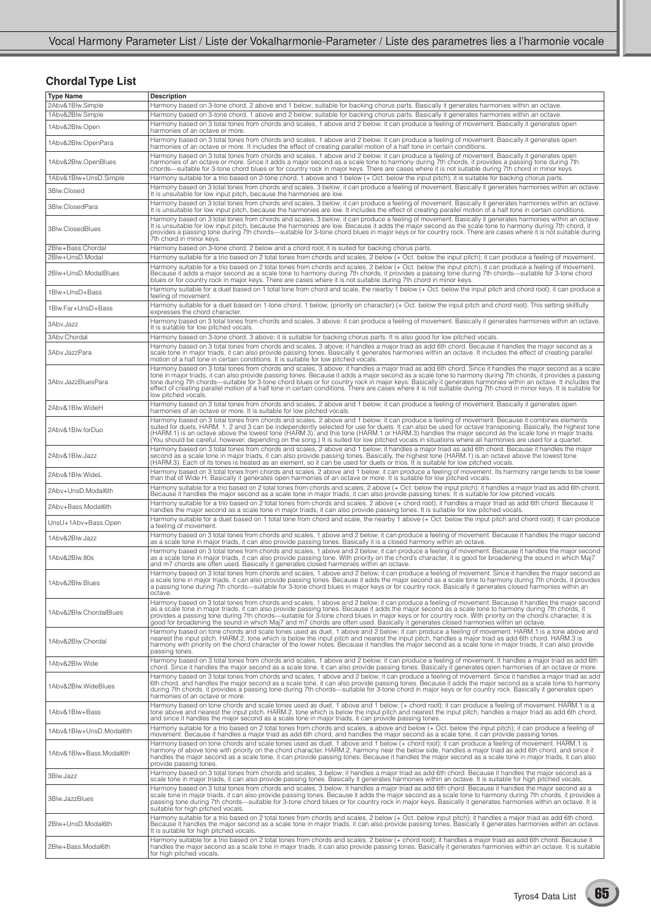## **Chordal Type List**

| <b>Type Name</b>                     | <b>Description</b>                                                                                                                                                                                                                                                                                                                                                                                                                                                                                                                                                                                                            |
|--------------------------------------|-------------------------------------------------------------------------------------------------------------------------------------------------------------------------------------------------------------------------------------------------------------------------------------------------------------------------------------------------------------------------------------------------------------------------------------------------------------------------------------------------------------------------------------------------------------------------------------------------------------------------------|
| 2Abv&1Blw.Simple<br>1Abv&2Blw.Simple | Harmony based on 3-tone chord, 2 above and 1 below; suitable for backing chorus parts. Basically it generates harmonies within an octave.<br>Harmony based on 3-tone chord, 1 above and 2 below; suitable for backing chorus parts. Basically it generates harmonies within an octave.                                                                                                                                                                                                                                                                                                                                        |
|                                      | Harmony based on 3 total tones from chords and scales, 1 above and 2 below; it can produce a feeling of movement. Basically it generates open                                                                                                                                                                                                                                                                                                                                                                                                                                                                                 |
| 1Abv&2Blw.Open                       | harmonies of an octave or more.<br>Harmony based on 3 total tones from chords and scales, 1 above and 2 below; it can produce a feeling of movement. Basically it generates open                                                                                                                                                                                                                                                                                                                                                                                                                                              |
| 1Abv&2Blw.OpenPara                   | harmonies of an octave or more. It includes the effect of creating parallel motion of a half tone in certain conditions.<br>Harmony based on 3 total tones from chords and scales, 1 above and 2 below; it can produce a feeling of movement. Basically it generates open                                                                                                                                                                                                                                                                                                                                                     |
| 1Abv&2Blw.OpenBlues                  | harmonies of an octave or more. Since it adds a major second as a scale tone to harmony during 7th chords, it provides a passing tone during 7th<br>chords-suitable for 3-tone chord blues or for country rock in major keys. There are cases where it is not suitable during 7th chord in minor keys.                                                                                                                                                                                                                                                                                                                        |
| 1Abv&1Blw+UnsD.Simple                | Harmony suitable for a trio based on 2-tone chord, 1 above and 1 below (+ Oct. below the input pitch); it is suitable for backing chorus parts.<br>Harmony based on 3 total tones from chords and scales, 3 below; it can produce a feeling of movement. Basically it generates harmonies within an octave.                                                                                                                                                                                                                                                                                                                   |
| 3Blw.Closed                          | It is unsuitable for low input pitch, because the harmonies are low.<br>Harmony based on 3 total tones from chords and scales, 3 below; it can produce a feeling of movement. Basically it generates harmonies within an octave.                                                                                                                                                                                                                                                                                                                                                                                              |
| 3Blw.ClosedPara                      | It is unsuitable for low input pitch, because the harmonies are low. It includes the effect of creating parallel motion of a half tone in certain conditions.<br>Harmony based on 3 total tones from chords and scales, 3 below; it can produce a feeling of movement. Basically it generates harmonies within an octave.                                                                                                                                                                                                                                                                                                     |
| 3Blw.ClosedBlues                     | It is unsuitable for low input pitch, because the harmonies are low. Because it adds the major second as the scale tone to harmony during 7th chord, it<br>provides a passing tone during 7th chords—suitable for 3-tone chord blues in major keys or for country rock. There are cases where it is not suitable during<br>7th chord in minor keys.                                                                                                                                                                                                                                                                           |
| 2Blw+Bass.Chordal<br>2Blw+UnsD.Modal | Harmony based on 3-tone chord, 2 below and a chord root; it is suited for backing chorus parts.<br>Harmony suitable for a trio based on 2 total tones from chords and scales, 2 below (+ Oct. below the input pitch); it can produce a feeling of movement.                                                                                                                                                                                                                                                                                                                                                                   |
|                                      | Harmony suitable for a trio based on 2 total tones from chords and scales, 2 below (+ Oct. below the input pitch); it can produce a feeling of movement.                                                                                                                                                                                                                                                                                                                                                                                                                                                                      |
| 2Blw+UnsD.ModalBlues                 | Because it adds a major second as a scale tone to harmony during 7th chords, it provides a passing tone during 7th chords—suitable for 3-tone chord<br>blues or for country rock in major keys. There are cases where it is not suitable during 7th chord in minor keys.                                                                                                                                                                                                                                                                                                                                                      |
| 1Blw+UnsD+Bass                       | Harmony suitable for a duet based on 1 total tone from chord and scale, the nearby 1 below (+ Oct. below the input pitch and chord root); it can produce a<br>feeling of movement.                                                                                                                                                                                                                                                                                                                                                                                                                                            |
| 1Blw.Far+UnsD+Bass                   | Harmony suitable for a duet based on 1-tone chord, 1 below, (priority on character) (+ Oct. below the input pitch and chord root). This setting skillfully<br>expresses the chord character.                                                                                                                                                                                                                                                                                                                                                                                                                                  |
| 3Abv.Jazz                            | Harmony based on 3 total tones from chords and scales, 3 above; it can produce a feeling of movement. Basically it generates harmonies within an octave.<br>It is suitable for low pitched vocals.                                                                                                                                                                                                                                                                                                                                                                                                                            |
| 3Abv.Chordal                         | Harmony based on 3-tone chord, 3 above; it is suitable for backing chorus parts. It is also good for low pitched vocals.                                                                                                                                                                                                                                                                                                                                                                                                                                                                                                      |
| 3Abv.JazzPara                        | Harmony based on 3 total tones from chords and scales, 3 above; it handles a major triad as add 6th chord. Because it handles the major second as a<br>scale tone in major triads, it can also provide passing tones. Basically it generates harmonies within an octave. It includes the effect of creating parallel<br>motion of a half tone in certain conditions. It is suitable for low pitched vocals.                                                                                                                                                                                                                   |
| 3Abv.JazzBluesPara                   | Harmony based on 3 total tones from chords and scales, 3 above; it handles a major triad as add 6th chord. Since it handles the major second as a scale<br>tone in major triads, it can also provide passing tones. Because it adds a major second as a scale tone to harmony during 7th chords, it provides a passing<br>tone during 7th chords—suitable for 3-tone chord blues or for country rock in major keys. Basically it generates harmonies within an octave. It includes the effect of creating parallel motion of a half tone in certain cond<br>low pitched vocals.                                               |
| 2Abv&1Blw.WideH                      | Harmony based on 3 total tones from chords and scales, 2 above and 1 below; it can produce a feeling of movement. Basically it generates open<br>harmonies of an octave or more. It is suitable for low pitched vocals.                                                                                                                                                                                                                                                                                                                                                                                                       |
| 2Abv&1Blw.forDuo                     | Harmony based on 3 total tones from chords and scales, 2 above and 1 below; it can produce a feeling of movement. Because it combines elements<br>suited for duets, HARM. 1, 2 and 3 can be independently selected for use for duets. It can also be used for octave transposing. Basically, the highest tone<br>(HARM.1) is an octave above the lowest tone (HARM.3), and this tone (HARM.1 or HARM.3) handles the major second as the scale tone in major triads.<br>(You should be careful, however, depending on the song.) It is suited for low pitched vocals in situations where all harmonies are used for a quartet. |
| 2Abv&1Blw.Jazz                       | Harmony based on 3 total tones from chords and scales, 2 above and 1 below; it handles a major triad as add 6th chord. Because it handles the major<br>second as a scale tone in major triads, it can also provide passing tones. Basically, the highest tone (HARM.1) is an octave above the lowest tone (HARM.3). Each of its tones is treated as an element, so it can be used for                                                                                                                                                                                                                                         |
| 2Abv&1Blw.WideL                      | Harmony based on 3 total tones from chords and scales, 2 above and 1 below; it can produce a feeling of movement. Its harmony range tends to be lower<br>than that of Wide H. Basically it generates open harmonies of an octave or more. It is suitable for low pitched vocals.                                                                                                                                                                                                                                                                                                                                              |
| 2Abv+UnsD.Modal6th                   | Harmony suitable for a trio based on 2 total tones from chords and scales, 2 above (+ Oct. below the input pitch); it handles a major triad as add 6th chord.<br>Because it handles the major second as a scale tone in major triads, it can also provide passing tones. It is suitable for low pitched vocals.                                                                                                                                                                                                                                                                                                               |
| 2Abv+Bass.Modal6th                   | Harmony suitable for a trio based on 2 total tones from chords and scales, 2 above (+ chord root); it handles a major triad as add 6th chord. Because it<br>handles the major second as a scale tone in major triads, it can also provide passing tones. It is suitable for low pitched vocals.                                                                                                                                                                                                                                                                                                                               |
| UnsU+1Abv+Bass.Open                  | Harmony suitable for a duet based on 1 total tone from chord and scale, the nearby 1 above (+ Oct. below the input pitch and chord root); it can produce<br>a feeling of movement.                                                                                                                                                                                                                                                                                                                                                                                                                                            |
| 1Abv&2Blw.Jazz                       | Harmony based on 3 total tones from chords and scales, 1 above and 2 below; it can produce a feeling of movement. Because it handles the major second<br>as a scale tone in major triads, it can also provide passing tones. Basically it is a closed harmony within an octave.                                                                                                                                                                                                                                                                                                                                               |
| 1Abv&2Blw.80s                        | Harmony based on 3 total tones from chords and scales, 1 above and 2 below; it can produce a feeling of movement. Because it handles the major second<br>as a scale tone in major triads, it can also provide passing tone. With priority on the chord's character, it is good for broadening the sound in which Maj7<br>and m7 chords are often used. Basically it generates closed harmonies within an octave.                                                                                                                                                                                                              |
| 1Abv&2Blw.Blues                      | Harmony based on 3 total tones from chords and scales, 1 above and 2 below; it can produce a feeling of movement. Since it handles the major second as<br>a scale tone in major triads, it can also provide passing tones. Because it adds the major second as a scale tone to harmony during 7th chords, it provides<br>a passing tone during 7th chords—suitable for 3-tone chord blues in major keys or for country rock. Basically it generates closed harmonies within an<br>octave.                                                                                                                                     |
| 1Abv&2Blw.ChordalBlues               | Harmony based on 3 total tones from chords and scales, 1 above and 2 below; it can produce a feeling of movement. Because it handles the major second<br>as a scale tone in major triads, it can also provide passing tones. Because it adds the major second as a scale tone to harmony during 7th chords, it<br>provides a passing tone during 7th chords—suitable for 3-tone chord blues in major keys or for country rock. With priority on the chord's character, it is<br>good for broadening the sound in which Maj7 and m7 chords are often used. Basically it generates closed harmonies within an octave.           |
| 1Abv&2Blw.Chordal                    | Harmony based on tone chords and scale tones used as duet, 1 above and 2 below; it can produce a feeling of movement. HARM.1 is a tone above and<br>nearest the input pitch. HARM.2, tone which is below the input pitch and nearest the input pitch, handles a major triad as add 6th chord. HARM.3 is<br>harmony with priority on the chord character of the lower notes. Because it handles the major second as a scale tone in major triads, it can also provide<br>passing tones.                                                                                                                                        |
| 1Abv&2Blw.Wide                       | Harmony based on 3 total tones from chords and scales, 1 above and 2 below; it can produce a feeling of movement. It handles a major triad as add 6th<br>chord. Since it handles the major second as a scale tone, it can also provide passing tones. Basically it generates open harmonies of an octave or more.                                                                                                                                                                                                                                                                                                             |
| 1Abv&2Blw.WideBlues                  | Harmony based on 3 total tones from chords and scales, 1 above and 2 below; it can produce a feeling of movement. Since it handles a major triad as add<br>6th chord, and handles the major second as a scale tone, it can also provide passing tones. Because it adds the major second as a scale tone to harmony<br>during 7th chords, it provides a passing tone during 7th chords—suitable for 3-tone chord in major keys or for country rock. Basically it generates open<br>harmonies of an octave or more.                                                                                                             |
| 1Abv&1Blw+Bass                       | Harmony based on tone chords and scale tones used as duet, 1 above and 1 below; (+ chord root); it can produce a feeling of movement. HARM.1 is a<br>tone above and nearest the input pitch. HARM.2, tone which is below the input pitch and nearest the input pitch, handles a major triad as add 6th chord,<br>and since it handles the major second as a scale tone in major triads, it can provide passing tones.                                                                                                                                                                                                         |
| 1Abv&1Blw+UnsD.Modal6th              | Harmony suitable for a trio based on 2 total tones from chords and scales, a above and below (+ Oct. below the input pitch); it can produce a feeling of<br>movement. Because it handles a major triad as add 6th chord, and handles the major second as a scale tone, it can provide passing tones.                                                                                                                                                                                                                                                                                                                          |
| 1Abv&1Blw+Bass.Modal6th              | Harmony based on tone chords and scale tones used as duet, 1 above and 1 below (+ chord root); it can produce a feeling of movement. HARM.1 is<br>harmony of above tone with priority on the chord character. HARM.2, harmony near the below side, handles a major triad as add 6th chord, and since it<br>handles the major second as a scale tone, it can provide passing tones. Because it handles the major second as a scale tone in major triads, it can also<br>provide passing tones.                                                                                                                                 |
| 3Blw.Jazz                            | Harmony based on 3 total tones from chords and scales, 3 below; it handles a major triad as add 6th chord. Because it handles the major second as a<br>scale tone in major triads, it can also provide passing tones. Basically it generates harmonies within an octave. It is suitable for high pitched vocals.                                                                                                                                                                                                                                                                                                              |
| 3Blw.JazzBlues                       | Harmony based on 3 total tones from chords and scales, 3 below; it handles a major triad as add 6th chord. Because it handles the major second as a<br>scale tone in major triads, it can also provide passing tones. Because it adds the major second as a scale tone to harmony during 7th chords, it provides a<br>passing tone during 7th chords—suitable for 3-tone chord blues or for country rock in major keys. Basically it generates harmonies within an octave. It is<br>suitable for high pitched vocals.                                                                                                         |
| 2Blw+UnsD.Modal6th                   | Harmony suitable for a trio based on 2 total tones from chords and scales, 2 below (+ Oct. below input pitch); it handles a major triad as add 6th chord.<br>Because it handles the major second as a scale tone in major triads, it can also provide passing tones. Basically it generates harmonies within an octave.<br>It is suitable for high pitched vocals.                                                                                                                                                                                                                                                            |
| 2Blw+Bass.Modal6th                   | Harmony suitable for a trio based on 2 total tones from chords and scales, 2 below (+ chord root); it handles a major triad as add 6th chord. Because it<br>handles the major second as a scale tone in major triads, it can also provide passing tones. Basically it generates harmonies within an octave. It is suitable<br>for high pitched vocals.                                                                                                                                                                                                                                                                        |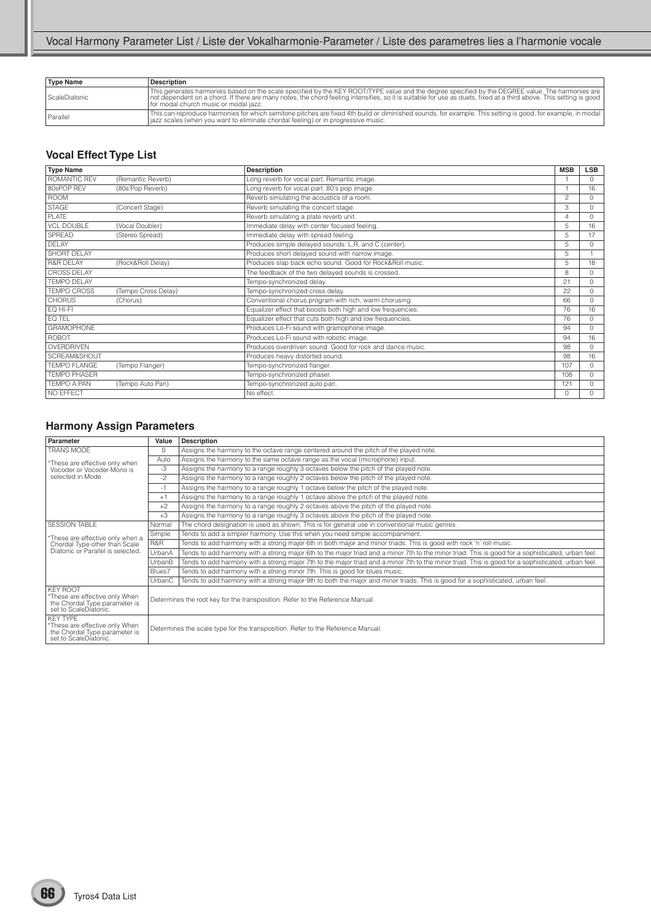| <b>Type Name</b> | <b>Description</b>                                                                                                                                                                                                                                                                                                                                                  |
|------------------|---------------------------------------------------------------------------------------------------------------------------------------------------------------------------------------------------------------------------------------------------------------------------------------------------------------------------------------------------------------------|
| ScaleDiatonic    | This generates harmonies based on the scale specified by the KEY ROOT/TYPE value and the degree specified by the DEGREE value. The harmonies are<br>  not dependent on a chord. If there are many notes, the chord feeling intensifies, so it is suitable for use as duets, fixed at a third above. This setting is good<br>I for modal church music or modal jazz. |
| Parallel         | This can reproduce harmonies for which semitone pitches are fixed 4th build or diminished sounds, for example. This setting is good, for example, in modal<br>  jazz scales (when you want to eliminate chordal feeling) or in progressive music.                                                                                                                   |

### **Vocal Effect Type List**

| <b>Type Name</b>     |                     | <b>Description</b>                                          | <b>MSB</b> | <b>LSB</b> |
|----------------------|---------------------|-------------------------------------------------------------|------------|------------|
| ROMANTIC REV         | (Romantic Reverb)   | Long reverb for vocal part. Romantic image.                 |            | $\Omega$   |
| 80sPOP REV           | (80s'Pop Reverb)    | Long reverb for vocal part. 80's pop image.                 |            | 16         |
| <b>ROOM</b>          |                     | Reverb simulating the acoustics of a room.                  | 2          | $\Omega$   |
| <b>STAGE</b>         | (Concert Stage)     | Reverb simulating the concert stage.                        | 3          | $\Omega$   |
| PI ATF               |                     | Reverb simulating a plate reverb unit.                      | 4          | $\Omega$   |
| <b>VCL DOUBLE</b>    | (Vocal Doubler)     | Immediate delay with center focused feeling.                | 5          | 16         |
| <b>SPREAD</b>        | (Stereo Spread)     | Immediate delay with spread feeling.                        | 5          | 17         |
| <b>DELAY</b>         |                     | Produces simple delayed sounds: L,R, and C (center).        | 5          | $\cap$     |
| <b>SHORT DELAY</b>   |                     | Produces short delayed sound with narrow image.             | 5          |            |
| <b>R&amp;R DELAY</b> | (Rock&Roll Delay)   | Produces slap back echo sound. Good for Rock&Roll music.    | 5          | 18         |
| <b>CROSS DELAY</b>   |                     | The feedback of the two delayed sounds is crossed.          | 8          | $\cap$     |
| <b>TEMPO DELAY</b>   |                     | Tempo-synchronized delay.                                   | 21         | $\cap$     |
| <b>TEMPO CROSS</b>   | (Tempo Cross Delay) | Tempo-synchronized cross delay.                             | 22         | $\Omega$   |
| <b>CHORUS</b>        | (Chorus)            | Conventional chorus program with rich, warm chorusing.      | 66         | $\cap$     |
| EQ HI-FI             |                     | Equalizer effect that boosts both high and low frequencies. | 76         | 16         |
| EQ TEL               |                     | Equalizer effect that cuts both high and low frequencies.   | 76         | $\cap$     |
| <b>GRAMOPHONE</b>    |                     | Produces Lo-Fi sound with gramophone image.                 | 94         | $\Omega$   |
| ROBOT                |                     | Produces Lo-Fi sound with robotic image.                    | 94         | 16         |
| OVERDRIVEN           |                     | Produces overdriven sound. Good for rock and dance music.   | 98         | $\cap$     |
| SCREAM&SHOUT         |                     | Produces heavy distorted sound.                             | 98         | 16         |
| <b>TEMPO FLANGE</b>  | (Tempo Flanger)     | Tempo-synchronized flanger.                                 | 107        | $\Omega$   |
| <b>TFMPO PHASFR</b>  |                     | Tempo-synchronized phaser.                                  | 108        | $\cap$     |
| TFMPO A.PAN          | (Tempo Auto Pan)    | Tempo-synchronized auto pan.                                | 121        | $\Omega$   |
| NO EFFECT            |                     | No effect.                                                  | $\Omega$   | U          |

## **Harmony Assign Parameters**

| Parameter                                                                                                   | Value    | <b>Description</b>                                                                                                                                |
|-------------------------------------------------------------------------------------------------------------|----------|---------------------------------------------------------------------------------------------------------------------------------------------------|
| TRANS.MODE                                                                                                  | $\Omega$ | Assigns the harmony to the octave range centered around the pitch of the played note.                                                             |
| *These are effective only when                                                                              | Auto     | Assigns the harmony to the same octave range as the vocal (microphone) input.                                                                     |
| Vocoder or Vocoder-Mono is                                                                                  | -3       | Assigns the harmony to a range roughly 3 octaves below the pitch of the played note.                                                              |
| selected in Mode.                                                                                           | $-2$     | Assigns the harmony to a range roughly 2 octaves below the pitch of the played note.                                                              |
|                                                                                                             | $-1$     | Assigns the harmony to a range roughly 1 octave below the pitch of the played note.                                                               |
|                                                                                                             | $+1$     | Assigns the harmony to a range roughly 1 octave above the pitch of the played note.                                                               |
|                                                                                                             | $+2$     | Assigns the harmony to a range roughly 2 octaves above the pitch of the played note.                                                              |
|                                                                                                             | $+3$     | Assigns the harmony to a range roughly 3 octaves above the pitch of the played note.                                                              |
| <b>SESSION TABLE</b>                                                                                        | Normal   | The chord designation is used as shown. This is for general use in conventional music genres.                                                     |
| *These are effective only when a                                                                            | Simple   | Tends to add a simpler harmony. Use this when you need simple accompaniment.                                                                      |
| Chordal Type other than Scale                                                                               | R&R      | Tends to add harmony with a strong major 6th in both major and minor triads. This is good with rock 'n' roll music.                               |
| Diatonic or Parallel is selected.                                                                           | UrbanA   | Tends to add harmony with a strong major 6th to the major triad and a minor 7th to the minor triad. This is good for a sophisticated, urban feel. |
|                                                                                                             | UrbanB   | Tends to add harmony with a strong major 7th to the major triad and a minor 7th to the minor triad. This is good for a sophisticated, urban feel. |
|                                                                                                             | Blues7   | Tends to add harmony with a strong minor 7th. This is good for blues music.                                                                       |
|                                                                                                             | UrbanC   | Tends to add harmony with a strong major 9th to both the major and minor triads. This is good for a sophisticated, urban feel.                    |
| <b>KEY ROOT</b><br>*These are effective only When<br>the Chordal Type parameter is<br>set to ScaleDiatonic. |          | Determines the root key for the transposition. Refer to the Reference Manual.                                                                     |
| KFY TYPF<br>*These are effective only When<br>the Chordal Type parameter is<br>set to ScaleDiatonic.        |          | Determines the scale type for the transposition. Refer to the Reference Manual.                                                                   |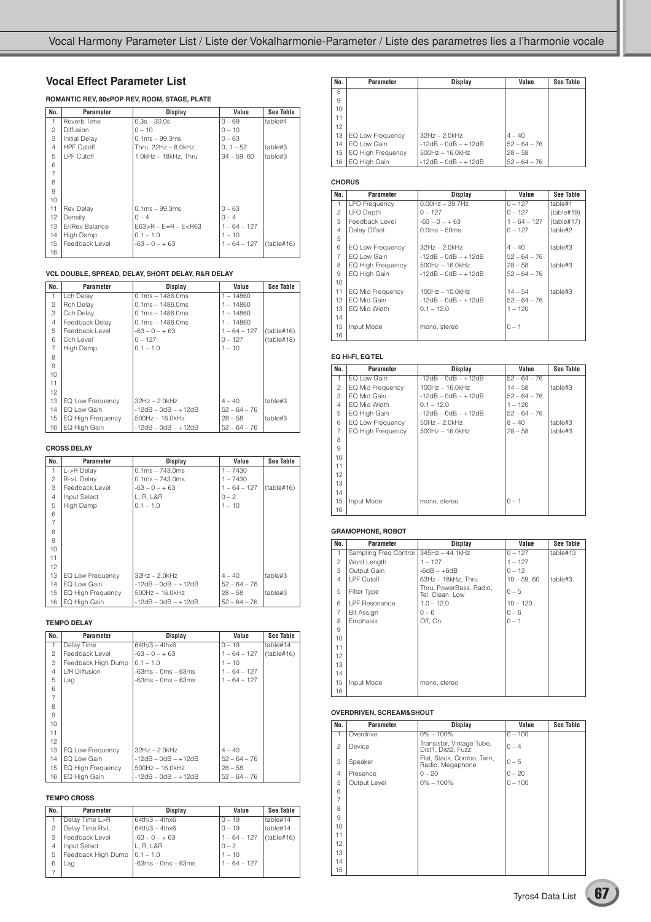#### **Vocal Effect Parameter List**

#### **ROMANTIC REV, 80sPOP REV, ROOM, STAGE, PLATE**

| No.            | Parameter            | <b>Display</b>              | Value          | See Table  |
|----------------|----------------------|-----------------------------|----------------|------------|
| 1              | Reverb Time          | $0.3s - 30.0s$              | $0 - 69$       | table#4    |
| $\overline{c}$ | Diffusion            | $0 - 10$                    | $0 - 10$       |            |
| 3              | <b>Initial Delay</b> | $0.1ms - 99.3ms$            | $0 - 63$       |            |
| $\overline{4}$ | <b>HPF Cutoff</b>    | Thru, $22Hz - 8.0kHz$       | $0.1 - 52$     | table#3    |
| 5              | LPF Cutoff           | $1.0kHz - 18kHz$ . Thru     | $34 - 59,60$   | table#3    |
| 6              |                      |                             |                |            |
| $\overline{7}$ |                      |                             |                |            |
| 8              |                      |                             |                |            |
| 9              |                      |                             |                |            |
| 10             |                      |                             |                |            |
| 11             | <b>Rev Delay</b>     | $0.1ms - 99.3ms$            | $0 - 63$       |            |
| 12             | Density              | $0 - 4$                     | $0 - 4$        |            |
| 13             | Er/Rev Balance       | $E63 > R - E = R - E < R63$ | $1 - 64 - 127$ |            |
| 14             | High Damp            | $0.1 - 1.0$                 | $1 - 10$       |            |
| 15             | Feedback Level       | $-63 - 0 - + 63$            | $1 - 64 - 127$ | (table#16) |
| 16             |                      |                             |                |            |

#### **VCL DOUBLE, SPREAD, DELAY, SHORT DELAY, R&R DELAY**

| No.            | Parameter                | Display               | Value          | See Table  |
|----------------|--------------------------|-----------------------|----------------|------------|
| 1              | Lch Delay                | $0.1ms - 1486.0ms$    | $1 - 14860$    |            |
| 2              | <b>Rch Delay</b>         | $0.1ms - 1486.0ms$    | $1 - 14860$    |            |
| 3              | Cch Delay                | $0.1ms - 1486.0ms$    | $1 - 14860$    |            |
| $\overline{4}$ | Feedback Delay           | $0.1ms - 1486.0ms$    | $1 - 14860$    |            |
| 5              | Feedback Level           | $-63 - 0 - + 63$      | $1 - 64 - 127$ | (table#16) |
| 6              | Cch Level                | $0 - 127$             | $0 - 127$      | (table#18) |
| 7              | High Damp                | $0.1 - 1.0$           | $1 - 10$       |            |
| 8              |                          |                       |                |            |
| 9              |                          |                       |                |            |
| 10             |                          |                       |                |            |
| 11             |                          |                       |                |            |
| 12             |                          |                       |                |            |
| 13             | EQ Low Frequency         | $32Hz - 2.0kHz$       | $4 - 40$       | table#3    |
| 14             | EQ Low Gain              | $-12dB - OdB - +12dB$ | $52 - 64 - 76$ |            |
| 15             | <b>EQ High Frequency</b> | $500$ Hz $- 16.0$ kHz | $28 - 58$      | table#3    |
| 16             | EQ High Gain             | $-12dB - OdB - +12dB$ | $52 - 64 - 76$ |            |

#### **CROSS DELAY**

| No.            | Parameter                | <b>Display</b>        | Value          | See Table  |
|----------------|--------------------------|-----------------------|----------------|------------|
| 1              | L->R Delay               | $0.1ms - 743.0ms$     | $1 - 7430$     |            |
| 2              | R->L Delay               | $0.1ms - 743.0ms$     | $1 - 7430$     |            |
| 3              | Feedback Level           | $-63 - 0 - + 63$      | $1 - 64 - 127$ | (table#16) |
| 4              | Input Select             | L, R, L&R             | $0 - 2$        |            |
| 5              | High Damp                | $0.1 - 1.0$           | $1 - 10$       |            |
| 6              |                          |                       |                |            |
| $\overline{7}$ |                          |                       |                |            |
| 8              |                          |                       |                |            |
| 9              |                          |                       |                |            |
| 10             |                          |                       |                |            |
| 11             |                          |                       |                |            |
| 12             |                          |                       |                |            |
| 13             | EQ Low Frequency         | $32Hz - 2.0kHz$       | $4 - 40$       | table#3    |
| 14             | EQ Low Gain              | $-12dB - OdB - +12dB$ | $52 - 64 - 76$ |            |
| 15             | <b>EQ High Frequency</b> | $500$ Hz $- 16.0$ kHz | $28 - 58$      | table#3    |
| 16             | EQ High Gain             | $-12dB - OdB - +12dB$ | $52 - 64 - 76$ |            |

#### **TEMPO DELAY**

| No.            | Parameter          | Display               | Value          | See Table  |
|----------------|--------------------|-----------------------|----------------|------------|
| 1              | Delay Time         | $64th/3 - 4thx6$      | $0 - 19$       | table#14   |
| 2              | Feedback Level     | $-63 - 0 - + 63$      | $1 - 64 - 127$ | (table#16) |
| 3              | Feedback High Dump | $0.1 - 1.0$           | $1 - 10$       |            |
| $\overline{4}$ | L/R Diffusion      | -63ms – 0ms – 63ms    | $1 - 64 - 127$ |            |
| 5              | Lag                | -63ms – 0ms – 63ms    | $1 - 64 - 127$ |            |
| 6              |                    |                       |                |            |
| $\overline{7}$ |                    |                       |                |            |
| 8              |                    |                       |                |            |
| 9              |                    |                       |                |            |
| 10             |                    |                       |                |            |
| 11             |                    |                       |                |            |
| 12             |                    |                       |                |            |
| 13             | EQ Low Frequency   | $32Hz - 2.0kHz$       | $4 - 40$       |            |
| 14             | EQ Low Gain        | $-12dB - OdB - +12dB$ | $52 - 64 - 76$ |            |
| 15             | EQ High Frequency  | $500Hz - 16.0kHz$     | $28 - 58$      |            |
| 16             | EQ High Gain       | $-12dB - OdB - +12dB$ | $52 - 64 - 76$ |            |

#### **TEMPO CROSS**

| No. | Parameter          | <b>Display</b>       | Value          | <b>See Table</b> |
|-----|--------------------|----------------------|----------------|------------------|
|     | Delay Time L>R     | $64th/3 - 4thx6$     | $0 - 19$       | table#14         |
|     | Delay Time R>L     | $64th/3 - 4thx6$     | $0 - 19$       | table#14         |
| З   | Feedback Level     | $-63 - 0 - + 63$     | $1 - 64 - 127$ | (table#16)       |
| 4   | Input Select       | L. R. L&R            | $0 - 2$        |                  |
| 5   | Feedback High Dump | $0.1 - 1.0$          | $1 - 10$       |                  |
| 6   | Lag                | $-63ms - 0ms - 63ms$ | $1 - 64 - 127$ |                  |
|     |                    |                      |                |                  |

| No. | <b>Parameter</b>         | Display               | Value          | See Table |
|-----|--------------------------|-----------------------|----------------|-----------|
| 8   |                          |                       |                |           |
| 9   |                          |                       |                |           |
| 10  |                          |                       |                |           |
| 11  |                          |                       |                |           |
| 12  |                          |                       |                |           |
| 13  | <b>EQ Low Frequency</b>  | $32Hz - 2.0kHz$       | $4 - 40$       |           |
| 14  | EQ Low Gain              | $-12dB - OdB - +12dB$ | $52 - 64 - 76$ |           |
| 15  | <b>EQ High Frequency</b> | $500Hz - 16.0kHz$     | $28 - 58$      |           |
| 16  | EQ High Gain             | $-12dB - OdB - +12dB$ | $52 - 64 - 76$ |           |

#### **CHORUS**

| No.            | Parameter                | Display               | Value          | <b>See Table</b> |
|----------------|--------------------------|-----------------------|----------------|------------------|
| 1              | <b>LFO Frequency</b>     | $0.00$ Hz $-$ 39.7Hz  | $0 - 127$      | table#1          |
| 2              | LFO Depth                | $0 - 127$             | $0 - 127$      | (table#19)       |
| 3              | Feedback Level           | $-63 - 0 - + 63$      | $1 - 64 - 127$ | (table#17)       |
| $\overline{4}$ | Delay Offset             | $0.0ms - 50ms$        | $0 - 127$      | table#2          |
| 5              |                          |                       |                |                  |
| 6              | EQ Low Frequency         | $32Hz - 2.0kHz$       | $4 - 40$       | table#3          |
| $\overline{7}$ | FO Low Gain              | $-12dB - 0dB - +12dB$ | $52 - 64 - 76$ |                  |
| 8              | <b>EQ High Frequency</b> | $500$ Hz $- 16.0$ kHz | $28 - 58$      | table#3          |
| 9              | EQ High Gain             | $-12dB - OdB - +12dB$ | $52 - 64 - 76$ |                  |
| 10             |                          |                       |                |                  |
| 11             | <b>EQ Mid Frequency</b>  | $100Hz - 10.0kHz$     | $14 - 54$      | table#3          |
| 12             | EQ Mid Gain              | $-12dB - 0dB - +12dB$ | $52 - 64 - 76$ |                  |
| 13             | FO Mid Width             | $0.1 - 12.0$          | $1 - 120$      |                  |
| 14             |                          |                       |                |                  |
| 15             | Input Mode               | mono, stereo          | $0 - 1$        |                  |
| 16             |                          |                       |                |                  |

#### **EQ HI-FI, EQ TEL**

| No.            | <b>Parameter</b>  | Display                    | Value          | See Table |
|----------------|-------------------|----------------------------|----------------|-----------|
| $\mathbf{1}$   | EQ Low Gain       | $-12dB - OdB - +12dB$      | $52 - 64 - 76$ |           |
| 2              | EQ Mid Frequency  | $100Hz - 16.0kHz$          | $14 - 58$      | table#3   |
| 3              | EQ Mid Gain       | $-12$ dB $-$ 0dB $ +12$ dB | $52 - 64 - 76$ |           |
| 4              | EQ Mid Width      | $0.1 - 12.0$               | $1 - 120$      |           |
| 5              | EQ High Gain      | $-12dB - 0dB - +12dB$      | $52 - 64 - 76$ |           |
| 6              | EQ Low Frequency  | $50Hz - 2.0kHz$            | $8 - 40$       | table#3   |
| $\overline{7}$ | EQ High Frequency | $500$ Hz $- 16.0$ kHz      | $28 - 58$      | table#3   |
| 8              |                   |                            |                |           |
| 9              |                   |                            |                |           |
| 10             |                   |                            |                |           |
| 11             |                   |                            |                |           |
| 12             |                   |                            |                |           |
| 13             |                   |                            |                |           |
| 14             |                   |                            |                |           |
| 15             | Input Mode        | mono, stereo               | $0 - 1$        |           |
| 16             |                   |                            |                |           |

#### **GRAMOPHONE, ROBOT**

| No.            | Parameter             | Display                                    | Value        | See Table |
|----------------|-----------------------|--------------------------------------------|--------------|-----------|
| 1.             | Sampling Freq Control | 345Hz - 44.1kHz                            | $0 - 127$    | table#13  |
| $\overline{2}$ | Word Length           | $1 - 127$                                  | $1 - 127$    |           |
| 3              | Output Gain           | $-6dB - +6dB$                              | $0 - 12$     |           |
| $\overline{4}$ | LPF Cutoff            | 63Hz - 18kHz, Thru                         | $10 - 59,60$ | table#3   |
| 5              | Filter Type           | Thru, PowerBass, Radio,<br>Tel, Clean, Low | $0 - 5$      |           |
| 6              | <b>LPF Resonance</b>  | $1.0 - 12.0$                               | $10 - 120$   |           |
| $\overline{7}$ | <b>Bit Assign</b>     | $0 - 6$                                    | $0 - 6$      |           |
| 8              | Emphasis              | Off, On                                    | $0 - 1$      |           |
| 9              |                       |                                            |              |           |
| 10             |                       |                                            |              |           |
| 11             |                       |                                            |              |           |
| 12             |                       |                                            |              |           |
| 13             |                       |                                            |              |           |
| 14             |                       |                                            |              |           |
| 15             | Input Mode            | mono, stereo                               |              |           |
| 16             |                       |                                            |              |           |

#### **OVERDRIVEN, SCREAM&SHOUT**

| No.            | <b>Parameter</b> | <b>Display</b>                                  | Value     | <b>See Table</b> |
|----------------|------------------|-------------------------------------------------|-----------|------------------|
| 1              | Overdrive        | $0\% - 100\%$                                   | $0 - 100$ |                  |
| 2              | Device           | Transistor, Vintage Tube,<br>Dist1, Dist2, Fuzz | $0 - 4$   |                  |
| 3              | Speaker          | Flat, Stack, Combo, Twin,<br>Radio, Megaphone   | $0 - 5$   |                  |
| $\overline{4}$ | Presence         | $0 - 20$                                        | $0 - 20$  |                  |
| 5              | Output Level     | $0\% - 100\%$                                   | $0 - 100$ |                  |
| 6              |                  |                                                 |           |                  |
| $\overline{7}$ |                  |                                                 |           |                  |
| 8              |                  |                                                 |           |                  |
| 9              |                  |                                                 |           |                  |
| 10             |                  |                                                 |           |                  |
| 11             |                  |                                                 |           |                  |
| 12             |                  |                                                 |           |                  |
| 13             |                  |                                                 |           |                  |
| 14             |                  |                                                 |           |                  |
| 15             |                  |                                                 |           |                  |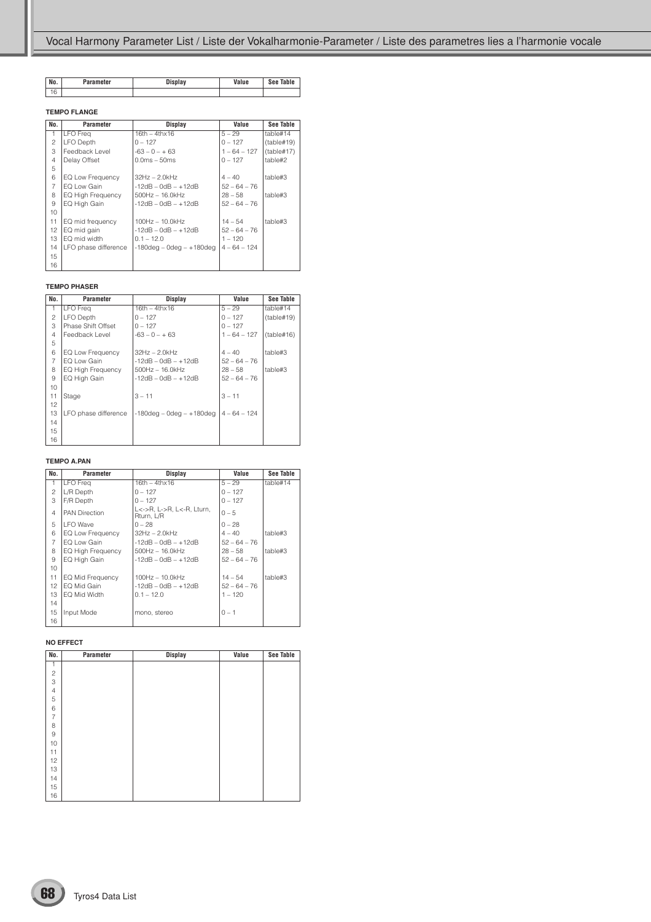| No. | Parameter | Display | Value | See Table |
|-----|-----------|---------|-------|-----------|
| 16  |           |         |       |           |

#### **TEMPO FLANGE**

| No. | Parameter                | Display                        | Value          | See Table  |
|-----|--------------------------|--------------------------------|----------------|------------|
| 1.  | <b>LFO</b> Freq          | $16th - 4thx16$                | $5 - 29$       | table#14   |
| 2   | <b>LFO Depth</b>         | $0 - 127$                      | $0 - 127$      | (table#19) |
| 3   | Feedback Level           | $-63 - 0 - + 63$               | $1 - 64 - 127$ | (table#17) |
| 4   | Delay Offset             | $0.0ms - 50ms$                 | $0 - 127$      | table#2    |
| 5   |                          |                                |                |            |
| 6   | EQ Low Frequency         | $32Hz - 2.0kHz$                | $4 - 40$       | table#3    |
| 7   | EQ Low Gain              | $-12dB - OdB - +12dB$          | $52 - 64 - 76$ |            |
| 8   | <b>EQ High Frequency</b> | $500$ Hz $- 16.0$ kHz          | $28 - 58$      | table#3    |
| 9   | EQ High Gain             | $-12dB - OdB - +12dB$          | $52 - 64 - 76$ |            |
| 10  |                          |                                |                |            |
| 11  | EQ mid frequency         | $100Hz - 10.0kHz$              | $14 - 54$      | table#3    |
| 12  | EQ mid gain              | $-12dB - OdB - +12dB$          | $52 - 64 - 76$ |            |
| 13  | EQ mid width             | $0.1 - 12.0$                   | $1 - 120$      |            |
| 14  | LFO phase difference     | $-180$ deg – 0deg – $+180$ deg | $4 - 64 - 124$ |            |
| 15  |                          |                                |                |            |
| 16  |                          |                                |                |            |

#### **TEMPO PHASER**

| No.            | Parameter            | <b>Display</b>                 | Value          | See Table  |
|----------------|----------------------|--------------------------------|----------------|------------|
| 1              | LFO Freq             | $16th - 4thx16$                | $5 - 29$       | table#14   |
| 2              | <b>LFO Depth</b>     | $0 - 127$                      | $0 - 127$      | (table#19) |
| 3              | Phase Shift Offset   | $0 - 127$                      | $0 - 127$      |            |
| $\overline{4}$ | Feedback Level       | $-63 - 0 - + 63$               | $1 - 64 - 127$ | (table#16) |
| 5              |                      |                                |                |            |
| 6              | EQ Low Frequency     | $32Hz - 2.0kHz$                | $4 - 40$       | table#3    |
| 7              | EQ Low Gain          | $-12dB - OdB - +12dB$          | $52 - 64 - 76$ |            |
| 8              | EQ High Frequency    | $500Hz - 16.0kHz$              | $28 - 58$      | table#3    |
| 9              | EQ High Gain         | $-12$ dB $-$ 0dB $ +12$ dB     | $52 - 64 - 76$ |            |
| 10             |                      |                                |                |            |
| 11             | Stage                | $3 - 11$                       | $3 - 11$       |            |
| 12             |                      |                                |                |            |
| 13             | LFO phase difference | $-180$ deg – 0deg – $+180$ deg | $4 - 64 - 124$ |            |
| 14             |                      |                                |                |            |
| 15             |                      |                                |                |            |
| 16             |                      |                                |                |            |

#### **TEMPO A.PAN**

| No.            | Parameter            | Display                                 | Value          | See Table |
|----------------|----------------------|-----------------------------------------|----------------|-----------|
| 1              | <b>LFO</b> Freq      | $16th - 4thx16$                         | $5 - 29$       | table#14  |
| 2              | L/R Depth            | $0 - 127$                               | $0 - 127$      |           |
| 3              | F/R Depth            | $0 - 127$                               | $0 - 127$      |           |
| $\overline{4}$ | <b>PAN Direction</b> | L<->R, L->R, L<-R, Lturn,<br>Rturn. L/R | $0 - 5$        |           |
| 5              | I FO Wave            | $0 - 28$                                | $0 - 28$       |           |
| 6              | EQ Low Frequency     | $32Hz - 2.0kHz$                         | $4 - 40$       | table#3   |
| $\overline{7}$ | EQ Low Gain          | $-12dB - OdB - +12dB$                   | $52 - 64 - 76$ |           |
| 8              | EQ High Frequency    | $500$ Hz $- 16.0$ kHz                   | $28 - 58$      | table#3   |
| 9              | EQ High Gain         | $-12dB - OdB - +12dB$                   | $52 - 64 - 76$ |           |
| 10             |                      |                                         |                |           |
| 11             | EQ Mid Frequency     | $100Hz - 10.0kHz$                       | $14 - 54$      | table#3   |
| 12             | EQ Mid Gain          | $-12dB - OdB - +12dB$                   | $52 - 64 - 76$ |           |
| 13             | EQ Mid Width         | $0.1 - 12.0$                            | $1 - 120$      |           |
| 14             |                      |                                         |                |           |
| 15             | Input Mode           | mono, stereo                            | $0 - 1$        |           |
| 16             |                      |                                         |                |           |

#### **NO EFFECT**

| No.            | Parameter | <b>Display</b> | Value | See Table |
|----------------|-----------|----------------|-------|-----------|
| 1              |           |                |       |           |
| $\sqrt{2}$     |           |                |       |           |
| 3              |           |                |       |           |
| $\overline{4}$ |           |                |       |           |
| 5              |           |                |       |           |
| 6              |           |                |       |           |
| $\overline{7}$ |           |                |       |           |
| 8              |           |                |       |           |
| $\hbox{9}$     |           |                |       |           |
| 10             |           |                |       |           |
| 11             |           |                |       |           |
| 12             |           |                |       |           |
| 13             |           |                |       |           |
| 14             |           |                |       |           |
| 15             |           |                |       |           |
| 16             |           |                |       |           |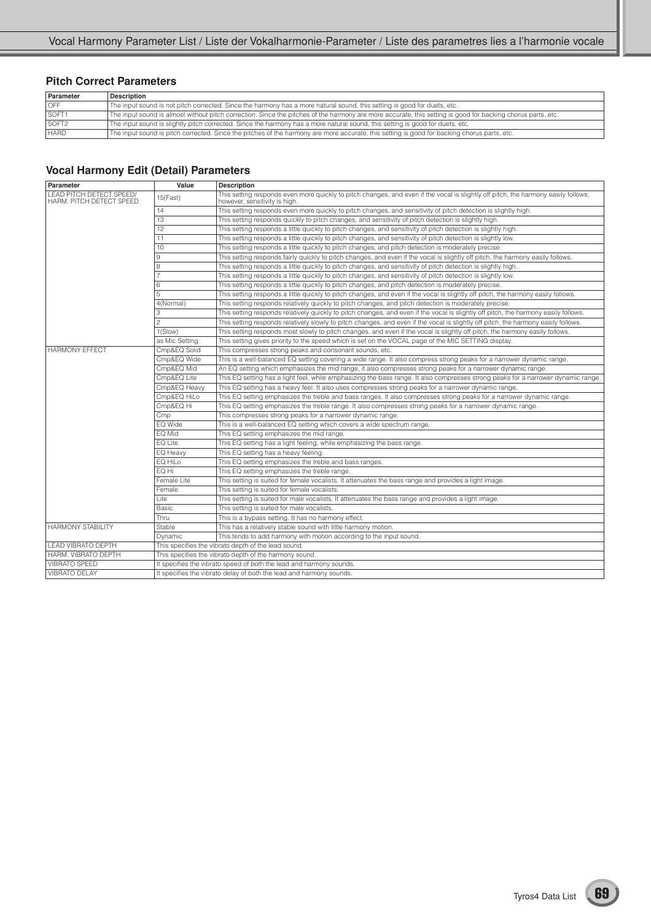### **Pitch Correct Parameters**

| Parameter         | <b>Description</b>                                                                                                                                          |
|-------------------|-------------------------------------------------------------------------------------------------------------------------------------------------------------|
| <b>OFF</b>        | The input sound is not pitch corrected. Since the harmony has a more natural sound, this setting is good for duets, etc.                                    |
| SOFT <sub>1</sub> | The input sound is almost without pitch correction. Since the pitches of the harmony are more accurate, this setting is good for backing chorus parts, etc. |
| SOFT <sub>2</sub> | The input sound is slightly pitch corrected. Since the harmony has a more natural sound, this setting is good for duets, etc.                               |
| <b>HARD</b>       | The input sound is pitch corrected. Since the pitches of the harmony are more accurate, this setting is good for backing chorus parts, etc.                 |

### **Vocal Harmony Edit (Detail) Parameters**

| Parameter                                            | Value          | <b>Description</b>                                                                                                                                                  |  |  |  |  |  |  |  |  |
|------------------------------------------------------|----------------|---------------------------------------------------------------------------------------------------------------------------------------------------------------------|--|--|--|--|--|--|--|--|
| LEAD PITCH DETECT SPEED/<br>HARM. PITCH DETECT SPEED | 15(Fast)       | This setting responds even more quickly to pitch changes, and even if the vocal is slightly off pitch, the harmony easily follows;<br>however, sensitivity is high. |  |  |  |  |  |  |  |  |
|                                                      | 14             | This setting responds even more quickly to pitch changes, and sensitivity of pitch detection is slightly high.                                                      |  |  |  |  |  |  |  |  |
|                                                      | 13             | This setting responds quickly to pitch changes, and sensitivity of pitch detection is slightly high.                                                                |  |  |  |  |  |  |  |  |
|                                                      | 12             | This setting responds a little quickly to pitch changes, and sensitivity of pitch detection is slightly high.                                                       |  |  |  |  |  |  |  |  |
|                                                      | 11             | This setting responds a little quickly to pitch changes, and sensitivity of pitch detection is slightly low.                                                        |  |  |  |  |  |  |  |  |
|                                                      | 10             | This setting responds a little quickly to pitch changes, and pitch detection is moderately precise.                                                                 |  |  |  |  |  |  |  |  |
|                                                      | 9              | This setting responds fairly quickly to pitch changes, and even if the vocal is slightly off pitch, the harmony easily follows.                                     |  |  |  |  |  |  |  |  |
|                                                      | 8              | This setting responds a little quickly to pitch changes, and sensitivity of pitch detection is slightly high.                                                       |  |  |  |  |  |  |  |  |
|                                                      |                | This setting responds a little quickly to pitch changes, and sensitivity of pitch detection is slightly low.                                                        |  |  |  |  |  |  |  |  |
|                                                      | 6              | This setting responds a little quickly to pitch changes, and pitch detection is moderately precise.                                                                 |  |  |  |  |  |  |  |  |
|                                                      | 5              | This setting responds a little quickly to pitch changes, and even if the vocal is slightly off pitch, the harmony easily follows.                                   |  |  |  |  |  |  |  |  |
|                                                      | 4(Normal)      | This setting responds relatively quickly to pitch changes, and pitch detection is moderately precise.                                                               |  |  |  |  |  |  |  |  |
|                                                      | 3              | This setting responds relatively quickly to pitch changes, and even if the vocal is slightly off pitch, the harmony easily follows.                                 |  |  |  |  |  |  |  |  |
|                                                      | $\overline{c}$ | This setting responds relatively slowly to pitch changes, and even if the vocal is slightly off pitch, the harmony easily follows.                                  |  |  |  |  |  |  |  |  |
|                                                      | 1(Slow)        | This setting responds most slowly to pitch changes, and even if the vocal is slightly off pitch, the harmony easily follows.                                        |  |  |  |  |  |  |  |  |
|                                                      | as Mic Setting | This setting gives priority to the speed which is set on the VOCAL page of the MIC SETTING display.                                                                 |  |  |  |  |  |  |  |  |
| <b>HARMONY FFFECT</b>                                | Cmp&EQ Solid   | This compresses strong peaks and consonant sounds, etc.                                                                                                             |  |  |  |  |  |  |  |  |
|                                                      | Cmp&EQ Wide    | This is a well-balanced EQ setting covering a wide range. It also compress strong peaks for a narrower dynamic range.                                               |  |  |  |  |  |  |  |  |
|                                                      | Cmp&EQ Mid     | An EQ setting which emphasizes the mid range, it also compresses strong peaks for a narrower dynamic range.                                                         |  |  |  |  |  |  |  |  |
|                                                      | Cmp&EQ Lite    | This EQ setting has a light feel, while emphasizing the bass range. It also compresses strong peaks for a narrower dynamic range.                                   |  |  |  |  |  |  |  |  |
|                                                      | Cmp&EQ Heavy   | This EQ setting has a heavy feel. It also uses compresses strong peaks for a narrower dynamic range.                                                                |  |  |  |  |  |  |  |  |
|                                                      | Cmp&EQ HiLo    | This EQ setting emphasizes the treble and bass ranges. It also compresses strong peaks for a narrower dynamic range.                                                |  |  |  |  |  |  |  |  |
|                                                      | Cmp&EQ Hi      | This EQ setting emphasizes the treble range. It also compresses strong peaks for a narrower dynamic range.                                                          |  |  |  |  |  |  |  |  |
|                                                      | Cmp            | This compresses strong peaks for a narrower dynamic range.                                                                                                          |  |  |  |  |  |  |  |  |
|                                                      | EQ Wide        | This is a well-balanced EQ setting which covers a wide spectrum range.                                                                                              |  |  |  |  |  |  |  |  |
|                                                      | EQ Mid         | This EQ setting emphasizes the mid range.                                                                                                                           |  |  |  |  |  |  |  |  |
|                                                      | EQ Lite        | This EQ setting has a light feeling, while emphasizing the bass range.                                                                                              |  |  |  |  |  |  |  |  |
|                                                      | EQ Heavy       | This EQ setting has a heavy feeling.                                                                                                                                |  |  |  |  |  |  |  |  |
|                                                      | EQ HiLo        | This EQ setting emphasizes the treble and bass ranges.                                                                                                              |  |  |  |  |  |  |  |  |
|                                                      | EQ Hi          | This EQ setting emphasizes the treble range.                                                                                                                        |  |  |  |  |  |  |  |  |
|                                                      | Female Lite    | This setting is suited for female vocalists. It attenuates the bass range and provides a light image.                                                               |  |  |  |  |  |  |  |  |
|                                                      | Female         | This setting is suited for female vocalists.                                                                                                                        |  |  |  |  |  |  |  |  |
|                                                      | Lite           | This setting is suited for male vocalists. It attenuates the bass range and provides a light image.                                                                 |  |  |  |  |  |  |  |  |
|                                                      | Basic          | This setting is suited for male vocalists.                                                                                                                          |  |  |  |  |  |  |  |  |
|                                                      | Thru           | This is a bypass setting. It has no harmony effect.                                                                                                                 |  |  |  |  |  |  |  |  |
| <b>HARMONY STABILITY</b>                             | Stable         | This has a relatively stable sound with little harmony motion.                                                                                                      |  |  |  |  |  |  |  |  |
|                                                      | Dynamic        | This tends to add harmony with motion according to the input sound.                                                                                                 |  |  |  |  |  |  |  |  |
| LEAD VIBRATO DEPTH                                   |                | This specifies the vibrato depth of the lead sound.                                                                                                                 |  |  |  |  |  |  |  |  |
| HARM. VIBRATO DEPTH                                  |                | This specifies the vibrato depth of the harmony sound.                                                                                                              |  |  |  |  |  |  |  |  |
| <b>VIBRATO SPEED</b>                                 |                | It specifies the vibrato speed of both the lead and harmony sounds.                                                                                                 |  |  |  |  |  |  |  |  |
| <b>VIBRATO DELAY</b>                                 |                | It specifies the vibrato delay of both the lead and harmony sounds.                                                                                                 |  |  |  |  |  |  |  |  |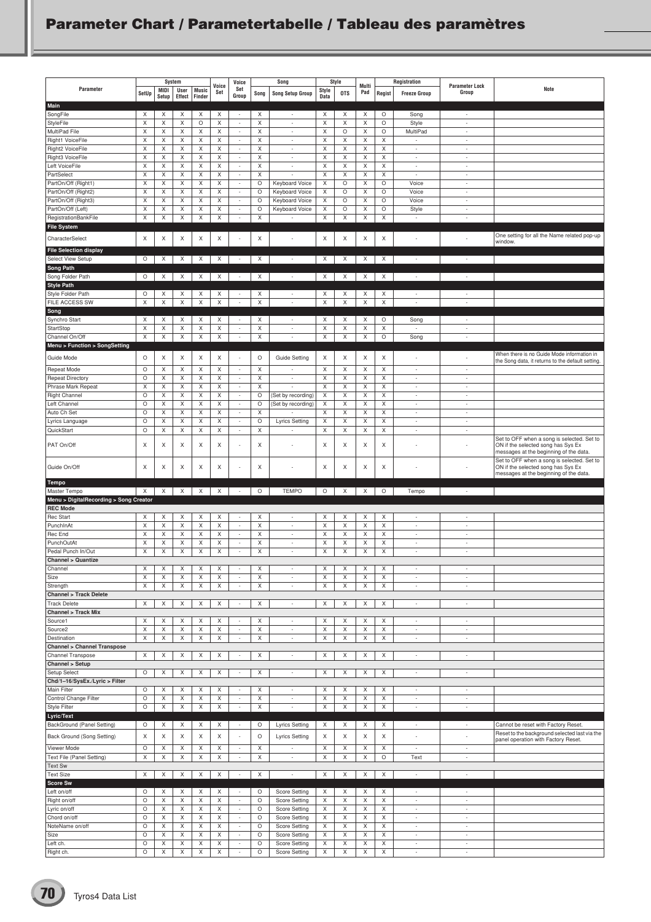## **Parameter Chart / Parametertabelle / Tableau des paramètres**

|                                                         |              |               | System                    |                        | Voice            | Voice                                                |                  | Song                                                 | Style            |              | Multi            |                           | Registration                               | <b>Parameter Lock</b>              |                                                                                                                            |
|---------------------------------------------------------|--------------|---------------|---------------------------|------------------------|------------------|------------------------------------------------------|------------------|------------------------------------------------------|------------------|--------------|------------------|---------------------------|--------------------------------------------|------------------------------------|----------------------------------------------------------------------------------------------------------------------------|
| Parameter                                               | SetUp        | MIDI<br>Setup | User<br>Effect            | <b>Music</b><br>Finder | Set              | Set<br>Group                                         | Song             | <b>Song Setup Group</b>                              | Style<br>Data    | <b>OTS</b>   | Pad              | Regist                    | <b>Freeze Group</b>                        | Group                              | Note                                                                                                                       |
| Main                                                    |              |               |                           |                        |                  |                                                      |                  |                                                      |                  |              |                  |                           |                                            |                                    |                                                                                                                            |
| SongFile                                                | Χ<br>$\sf X$ | X<br>Χ        | Χ<br>Χ                    | X<br>O                 | Χ<br>$\mathsf X$ | $\overline{\phantom{a}}$<br>$\overline{\phantom{a}}$ | X<br>$\mathsf X$ | $\overline{\phantom{a}}$                             | Χ<br>$\mathsf X$ | X<br>X       | X<br>$\mathsf X$ | O<br>$\circ$              | Song<br>Style                              | $\sim$<br>$\sim$                   |                                                                                                                            |
| <b>StyleFile</b><br>MultiPad File                       | X            | X             | Χ                         | X                      | X                | $\sim$                                               | X                | $\overline{\phantom{a}}$<br>$\sim$                   | X                | $\circ$      | X                | O                         | MultiPad                                   | ÷                                  |                                                                                                                            |
| Right1 VoiceFile                                        | X            | X             | X                         | Χ                      | X                | $\sim$                                               | X                | $\overline{\phantom{a}}$                             | X                | Χ            | X                | X                         | $\overline{\phantom{a}}$                   | $\sim$                             |                                                                                                                            |
| Right2 VoiceFile                                        | X            | X             | X                         | Χ                      | Χ                | $\sim$                                               | X                | $\sim$                                               | X                | Χ            | X                | X                         | ٠.                                         | $\sim$                             |                                                                                                                            |
| Right3 VoiceFile                                        | X            | X             | X                         | Χ                      | X                | $\sim$                                               | X                | $\sim$                                               | X                | X            | X                | X                         | $\sim$                                     | ÷                                  |                                                                                                                            |
| Left VoiceFile                                          | X            | X             | X                         | Χ                      | X                | $\sim$                                               | X                | $\sim$                                               | X                | Χ            | X                | X                         | $\overline{\phantom{a}}$<br>$\overline{a}$ | $\sim$                             |                                                                                                                            |
| PartSelect<br>PartOn/Off (Right1)                       | X<br>X       | X<br>X        | X<br>X                    | Χ<br>X                 | X<br>X           | $\mathbb{Z}$<br>$\overline{\phantom{a}}$             | X<br>$\circ$     | <b>Keyboard Voice</b>                                | X<br>X           | Χ<br>$\circ$ | X<br>X           | X<br>$\circ$              | Voice                                      | $\overline{\phantom{a}}$<br>$\sim$ |                                                                                                                            |
| PartOn/Off (Right2)                                     | X            | X             | X                         | X                      | X                | $\overline{\phantom{a}}$                             | $\circ$          | Keyboard Voice                                       | X                | O            | X                | O                         | Voice                                      | $\overline{\phantom{a}}$           |                                                                                                                            |
| PartOn/Off (Right3)                                     | X            | X             | X                         | Χ                      | X                | $\overline{\phantom{a}}$                             | $\circ$          | <b>Keyboard Voice</b>                                | X                | $\circ$      | X                | $\circ$                   | Voice                                      | $\sim$                             |                                                                                                                            |
| PartOn/Off (Left)                                       | X            | X             | X                         | Χ                      | X                | $\overline{\phantom{a}}$                             | $\circ$          | <b>Keyboard Voice</b>                                | X                | $\circ$      | X                | $\circ$                   | Style                                      | $\sim$                             |                                                                                                                            |
| RegistrationBankFile                                    | X            | X             | X                         | X                      | X                | $\overline{\phantom{a}}$                             | Χ                |                                                      | X                | X            | X                | $\boldsymbol{\mathsf{X}}$ | $\overline{\phantom{a}}$                   | ÷                                  |                                                                                                                            |
| <b>File System</b>                                      |              |               |                           |                        |                  |                                                      |                  |                                                      |                  |              |                  |                           |                                            |                                    | One setting for all the Name related pop-up                                                                                |
| CharacterSelect                                         | X            | Х             | X                         | Χ                      | X                |                                                      | X                | ł,                                                   | X                | X            | X                | X                         |                                            | $\overline{a}$                     | window.                                                                                                                    |
| <b>File Selection display</b>                           |              |               |                           |                        |                  |                                                      |                  |                                                      |                  |              |                  |                           |                                            |                                    |                                                                                                                            |
| <b>Select View Setup</b>                                | $\circ$      | X             | $\times$                  | X                      | X                | $\sim$                                               | Χ                | $\overline{\phantom{a}}$                             | X                | X            | Χ                | X                         | $\overline{\phantom{a}}$                   | $\overline{\phantom{a}}$           |                                                                                                                            |
| <b>Song Path</b><br>Song Folder Path                    | $\circ$      | Χ             | X                         | X                      | X                | $\overline{\phantom{a}}$                             | X                | $\overline{\phantom{a}}$                             | Χ                | X            | X                | X                         | $\sim$                                     | $\overline{\phantom{a}}$           |                                                                                                                            |
| <b>Style Path</b>                                       |              |               |                           |                        |                  |                                                      |                  |                                                      |                  |              |                  |                           |                                            |                                    |                                                                                                                            |
| Style Folder Path                                       | O            | X             | Χ                         | X                      | Х                | $\overline{\phantom{a}}$                             | X                | $\overline{\phantom{a}}$                             | Χ                | X            | X                | X                         | $\sim$                                     | $\overline{\phantom{a}}$           |                                                                                                                            |
| FILE ACCESS SW                                          | X            | Χ             | X                         | X                      | X                | $\overline{\phantom{a}}$                             | Χ                | $\overline{\phantom{a}}$                             | X                | X            | X                | X                         | $\overline{\phantom{a}}$                   | $\sim$                             |                                                                                                                            |
| Song                                                    |              |               |                           |                        |                  |                                                      |                  |                                                      |                  |              |                  |                           |                                            |                                    |                                                                                                                            |
| Synchro Start                                           | X            | Х             | Х                         | X                      | Х                | $\overline{\phantom{a}}$                             | X                | $\overline{\phantom{a}}$                             | Х                | X            | X                | O                         | Song                                       | $\overline{a}$                     |                                                                                                                            |
| StartStop<br>Channel On/Off                             | X<br>X       | X<br>X        | X<br>X                    | X<br>Χ                 | X<br>X           | $\sim$<br>÷                                          | X<br>X           | $\sim$<br>$\overline{\phantom{a}}$                   | X<br>X           | X<br>Χ       | X<br>X           | X<br>$\circ$              | $\sim$                                     | ÷<br>$\overline{\phantom{a}}$      |                                                                                                                            |
| Menu > Function > SongSetting                           |              |               |                           |                        |                  |                                                      |                  |                                                      |                  |              |                  |                           | Song                                       |                                    |                                                                                                                            |
|                                                         |              |               |                           |                        |                  |                                                      |                  |                                                      |                  |              |                  |                           |                                            |                                    | When there is no Guide Mode information in                                                                                 |
| Guide Mode                                              | O            | X             | X                         | Χ                      | X                |                                                      | $\circ$          | Guide Setting                                        | X                | X            | X                | X                         | ٠.                                         | ٠                                  | the Song data, it returns to the default setting.                                                                          |
| Repeat Mode                                             | O            | X             | Χ                         | X                      | Χ                | $\overline{\phantom{a}}$                             | Χ                | $\overline{\phantom{a}}$                             | Χ                | Χ            | X                | Χ                         | $\sim$                                     | $\overline{\phantom{a}}$           |                                                                                                                            |
| <b>Repeat Directory</b><br>Phrase Mark Repeat           | $\circ$<br>X | X<br>X        | X<br>X                    | Χ<br>Χ                 | X<br>X           | $\overline{\phantom{a}}$<br>$\overline{\phantom{a}}$ | X<br>X           | $\overline{\phantom{a}}$<br>$\overline{\phantom{a}}$ | X<br>X           | X<br>X       | X<br>X           | X<br>X                    | $\sim$<br>$\overline{\phantom{a}}$         | $\sim$<br>$\overline{\phantom{a}}$ |                                                                                                                            |
| <b>Right Channel</b>                                    | $\circ$      | X             | X                         | Χ                      | X                | $\overline{\phantom{a}}$                             | $\circ$          | (Set by recording)                                   | X                | Χ            | X                | X                         | $\overline{\phantom{a}}$                   | $\sim$                             |                                                                                                                            |
| Left Channel                                            | $\circ$      | X             | X                         | Χ                      | X                | $\overline{\phantom{a}}$                             | $\circ$          | (Set by recording)                                   | X                | X            | X                | X                         | ÷                                          | $\sim$                             |                                                                                                                            |
| Auto Ch Set                                             | $\circ$      | X             | X                         | Χ                      | X                | $\overline{\phantom{a}}$                             | X                | ٠                                                    | X                | X            | X                | X                         | $\overline{\phantom{a}}$                   | ٠                                  |                                                                                                                            |
| Lyrics Language                                         | $\circ$      | Χ             | X                         | Χ                      | X                | $\overline{\phantom{a}}$                             | $\circ$          | <b>Lyrics Setting</b>                                | Χ                | X            | X                | $\mathsf X$               | $\overline{\phantom{a}}$                   | ÷.                                 |                                                                                                                            |
| QuickStart                                              | O            | X             | Χ                         | Χ                      | Χ                | $\sim$                                               | X                | ÷.                                                   | Χ                | X            | X                | X                         | $\sim$                                     | $\sim$                             |                                                                                                                            |
| PAT On/Off                                              | X            | X             | X                         | X                      | X                | $\overline{\phantom{a}}$                             | X                | ×,                                                   | X                | X            | X                | X                         | $\overline{\phantom{a}}$                   | ٠                                  | Set to OFF when a song is selected. Set to<br>ON if the selected song has Sys Ex<br>messages at the beginning of the data. |
| Guide On/Off                                            | X            | Х             | X                         | X                      | Х                | ÷,                                                   | Χ                | J.                                                   | X                | Х            | X                | Χ                         |                                            |                                    | Set to OFF when a song is selected. Set to<br>ON if the selected song has Sys Ex<br>messages at the beginning of the data. |
| <b>Tempo</b><br>Master Tempo                            | $\times$     | X             | $\times$                  | X                      | X                | $\overline{\phantom{a}}$                             | O                | <b>TEMPO</b>                                         | $\circ$          | Χ            | X                | O                         | Tempo                                      | $\overline{\phantom{a}}$           |                                                                                                                            |
| Menu > DigitalRecording > Song Creator                  |              |               |                           |                        |                  |                                                      |                  |                                                      |                  |              |                  |                           |                                            |                                    |                                                                                                                            |
| <b>REC Mode</b>                                         |              |               |                           |                        |                  |                                                      |                  |                                                      |                  |              |                  |                           |                                            |                                    |                                                                                                                            |
| Rec Start                                               | X            | X             | X                         | Χ                      | X                | $\overline{\phantom{a}}$                             | Χ                | $\overline{\phantom{a}}$                             | X                | Χ            | X                | X                         | $\overline{\phantom{a}}$                   | $\overline{a}$                     |                                                                                                                            |
| PunchInAt                                               | X            | X             | Χ                         | X                      | X                | $\sim$                                               | X                | $\sim$                                               | X                | X            | X                | X                         | ÷                                          | ÷                                  |                                                                                                                            |
| Rec End<br>PunchOutAt                                   | X<br>X       | X<br>X        | X<br>Χ                    | Χ<br>Χ                 | Χ<br>X           | $\sim$<br>$\sim$                                     | X<br>X           | $\overline{\phantom{a}}$<br>$\overline{\phantom{a}}$ | X<br>X           | Χ<br>Χ       | X<br>X           | X<br>X                    | $\overline{\phantom{a}}$<br>٠              | $\sim$<br>$\sim$                   |                                                                                                                            |
| Pedal Punch In/Out                                      | X            | X             | X                         | X                      | X                | $\sim$                                               | X                | ÷                                                    | Χ                | X            | X                | Χ                         | $\sim$                                     | ÷                                  |                                                                                                                            |
| <b>Channel &gt; Quantize</b>                            |              |               |                           |                        |                  |                                                      |                  |                                                      |                  |              |                  |                           |                                            |                                    |                                                                                                                            |
| Channel                                                 | X            | X             | X                         | X                      | X                | $\overline{\phantom{a}}$                             | X                | ٠                                                    | X                | X            | X                | X                         | ٠                                          | $\sim$                             |                                                                                                                            |
| Size                                                    | X            | X             | X                         | X                      | X                | $\overline{\phantom{a}}$                             | X                | $\overline{\phantom{a}}$                             | X                | X            | X                | X                         | $\sim$                                     | $\sim$                             |                                                                                                                            |
| Strength                                                | X            | X             | X                         | Χ                      | X                | $\sim$                                               | X                | $\overline{\phantom{a}}$                             | X                | X            | Χ                | Χ                         | $\overline{\phantom{a}}$                   | $\overline{\phantom{a}}$           |                                                                                                                            |
| <b>Channel &gt; Track Delete</b><br><b>Track Delete</b> | X            | X             | X                         | X                      | X                | $\overline{\phantom{a}}$                             | X                | $\overline{\phantom{a}}$                             | X                | X            | X                | X                         | $\overline{\phantom{a}}$                   | $\overline{\phantom{a}}$           |                                                                                                                            |
| <b>Channel &gt; Track Mix</b>                           |              |               |                           |                        |                  |                                                      |                  |                                                      |                  |              |                  |                           |                                            |                                    |                                                                                                                            |
| Source1                                                 | X            | X             | X                         | X                      | Χ                | $\sim$                                               | Χ                | $\overline{\phantom{a}}$                             | Χ                | Χ            | X                | Χ                         | $\sim$                                     | $\sim$                             |                                                                                                                            |
| Source <sub>2</sub>                                     | X            | X             | X                         | Χ                      | X                | $\overline{\phantom{a}}$                             | X                | $\overline{\phantom{a}}$                             | X                | X            | X                | X                         | $\overline{\phantom{a}}$                   | $\overline{\phantom{a}}$           |                                                                                                                            |
| Destination                                             | X            | X             | X                         | X                      | X                | $\overline{\phantom{a}}$                             | X                | $\overline{\phantom{a}}$                             | X                | X            | X                | X                         | ٠.                                         | $\sim$                             |                                                                                                                            |
| <b>Channel &gt; Channel Transpose</b>                   |              |               |                           |                        |                  |                                                      |                  |                                                      |                  |              |                  |                           |                                            |                                    |                                                                                                                            |
| Channel Transpose<br>Channel > Setup                    | X            | Χ             | Χ                         | X                      | Χ                | $\overline{\phantom{a}}$                             | X                | $\overline{\phantom{a}}$                             | Χ                | Χ            | X                | Χ                         | $\overline{\phantom{a}}$                   | $\overline{\phantom{a}}$           |                                                                                                                            |
| Setup Select                                            | O            | X             | X                         | X                      | X                | $\overline{\phantom{a}}$                             | X                | $\overline{\phantom{a}}$                             | X                | X            | X                | X                         | $\overline{\phantom{a}}$                   | $\overline{\phantom{a}}$           |                                                                                                                            |
| Chd/1-16/SysEx./Lyric > Filter                          |              |               |                           |                        |                  |                                                      |                  |                                                      |                  |              |                  |                           |                                            |                                    |                                                                                                                            |
| Main Filter                                             | $\circ$      | X             | X                         | X                      | Χ                | $\sim$                                               | X                | $\overline{\phantom{a}}$                             | X                | X            | X                | X                         | ٠.                                         | $\sim$                             |                                                                                                                            |
| Control Change Filter                                   | O            | X             | X                         | Χ                      | X                | $\overline{\phantom{a}}$                             | X                | $\overline{\phantom{a}}$                             | X                | X            | X                | X                         | $\overline{\phantom{a}}$                   | $\overline{\phantom{a}}$           |                                                                                                                            |
| <b>Style Filter</b>                                     | $\circ$      | X             | X                         | X                      | X                | $\overline{\phantom{a}}$                             | X                | ÷,                                                   | X                | X            | X                | X                         | $\overline{\phantom{a}}$                   | ÷.                                 |                                                                                                                            |
| Lyric/Text<br>BackGround (Panel Setting)                | O            | X             | X                         | X                      | X                | $\sim$                                               | O                | <b>Lyrics Setting</b>                                | X                | Χ            | X                | Χ                         | $\sim$                                     | $\sim$                             | Cannot be reset with Factory Reset.                                                                                        |
| Back Ground (Song Setting)                              | X            | X             | X                         | X                      | X                | $\sim$                                               | O                | <b>Lyrics Setting</b>                                | X                | X            | X                | X                         |                                            | ÷,                                 | Reset to the background selected last via the<br>panel operation with Factory Reset.                                       |
| Viewer Mode                                             | O            | Х             | Х                         | Χ                      | Х                | $\overline{\phantom{a}}$                             | Χ                | $\overline{\phantom{a}}$                             | Х                | X            | X                | Χ                         | $\overline{\phantom{a}}$                   | $\sim$                             |                                                                                                                            |
| Text File (Panel Setting)                               | X            | X             | Χ                         | X                      | Χ                | $\overline{\phantom{a}}$                             | X                | $\overline{\phantom{a}}$                             | Χ                | X            | X                | O                         | Text                                       | $\overline{\phantom{a}}$           |                                                                                                                            |
| <b>Text Sw</b>                                          | X            |               | $\boldsymbol{\mathsf{X}}$ | $\times$               | X                |                                                      |                  |                                                      |                  | X            | X                |                           |                                            |                                    |                                                                                                                            |
| <b>Text Size</b><br><b>Score Sw</b>                     |              | X             |                           |                        |                  | $\overline{\phantom{a}}$                             | X                | $\overline{\phantom{a}}$                             | X                |              |                  | Χ                         | $\overline{\phantom{a}}$                   | $\overline{\phantom{a}}$           |                                                                                                                            |
| Left on/off                                             | $\circ$      | Χ             | $\times$                  | X                      | X                | $\sim$                                               | O                | Score Setting                                        | $\times$         | Χ            | X                | Χ                         | $\sim$                                     | $\sim$                             |                                                                                                                            |
| Right on/off                                            | O            | X             | X                         | X                      | X                | $\overline{\phantom{a}}$                             | $\circ$          | Score Setting                                        | X                | X            | X                | X                         | $\sim$                                     | ٠                                  |                                                                                                                            |
| Lyric on/off                                            | O            | X             | X                         | Χ                      | X                | $\overline{\phantom{a}}$                             | O                | Score Setting                                        | X                | Χ            | X                | X                         | $\overline{\phantom{a}}$                   | ÷.                                 |                                                                                                                            |
| Chord on/off                                            | $\circ$      | X             | Χ                         | X                      | X                | $\sim$                                               | $\circ$          | <b>Score Setting</b>                                 | Χ                | X            | Χ                | X                         | $\sim$                                     | $\sim$                             |                                                                                                                            |
| NoteName on/off                                         | $\circ$      | X             | X                         | Χ                      | Χ                | $\overline{\phantom{a}}$<br>$\sim$                   | $\circ$          | Score Setting                                        | X                | X            | X                | Χ                         | $\overline{\phantom{a}}$<br>٠.             | $\sim$<br>٠                        |                                                                                                                            |
| Size<br>Left ch.                                        | $\circ$<br>O | X<br>X        | X<br>X                    | Χ<br>Χ                 | X<br>X           | $\overline{\phantom{a}}$                             | O<br>O           | Score Setting<br>Score Setting                       | X<br>X           | Χ<br>X       | X<br>X           | X<br>X                    | $\overline{\phantom{a}}$                   | $\overline{\phantom{a}}$           |                                                                                                                            |
| Right ch.                                               | $\circ$      | X             | X                         | X                      | Χ                | $\overline{\phantom{a}}$                             | O                | Score Setting                                        | X                | X            | X                | X                         | $\overline{\phantom{a}}$                   | $\overline{\phantom{a}}$           |                                                                                                                            |
|                                                         |              |               |                           |                        |                  |                                                      |                  |                                                      |                  |              |                  |                           |                                            |                                    |                                                                                                                            |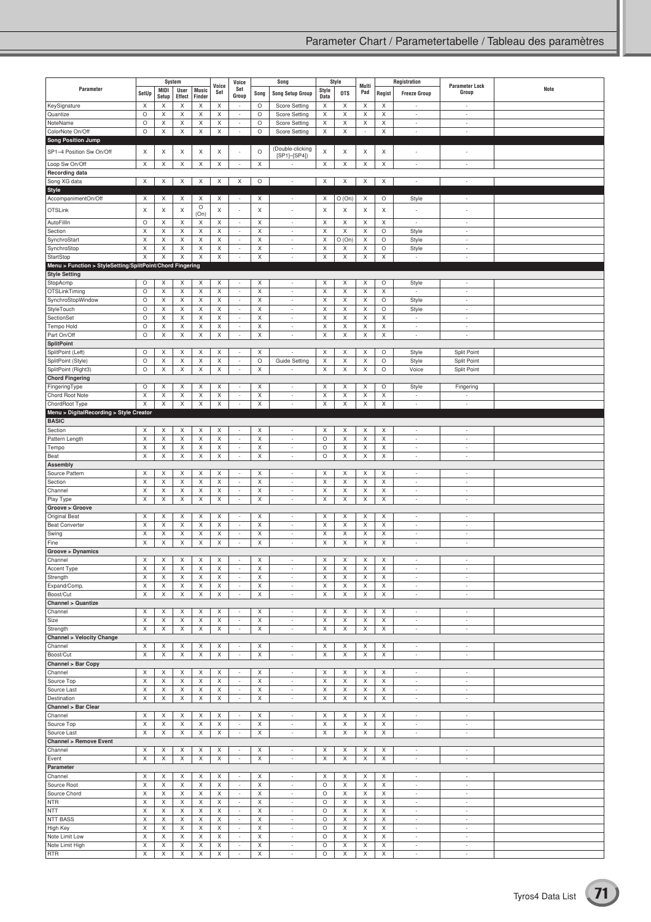|                                                           |                                |                  | System           |              | Voice            | Voice                              | Song             |                                                      | Style        |            | Multi                    | Registration                   |                                                      | <b>Parameter Lock</b>              |      |
|-----------------------------------------------------------|--------------------------------|------------------|------------------|--------------|------------------|------------------------------------|------------------|------------------------------------------------------|--------------|------------|--------------------------|--------------------------------|------------------------------------------------------|------------------------------------|------|
| Parameter                                                 | SetUp                          | <b>MIDI</b>      | User             | <b>Music</b> | Set              | Set<br>Group                       | Song             | <b>Song Setup Group</b>                              | Style        | <b>OTS</b> | Pad                      | Regist                         | <b>Freeze Group</b>                                  | Group                              | Note |
| KeySignature                                              | X                              | Setup<br>X       | Effect<br>Χ      | Finder<br>X  | X                | $\overline{\phantom{a}}$           | $\circ$          | <b>Score Setting</b>                                 | Data<br>X    | X          | X                        | X                              | $\overline{\phantom{a}}$                             | $\overline{\phantom{a}}$           |      |
| Quantize                                                  | $\circ$                        | Χ                | X                | X            | X                | $\sim$                             | O                | Score Setting                                        | X            | X          | X                        | X                              | $\sim$                                               | $\overline{\phantom{a}}$           |      |
| NoteName                                                  | $\circ$                        | X                | X                | X            | X                | $\overline{\phantom{a}}$           | O                | Score Setting                                        | X            | Χ          | X                        | X                              | $\overline{\phantom{a}}$                             | $\sim$                             |      |
| ColorNote On/Off                                          | $\circ$                        | X                | X                | X            | X                | $\overline{\phantom{a}}$           | $\circ$          | Score Setting                                        | X            | X          | $\overline{\phantom{a}}$ | X                              | $\sim$                                               | $\sim$                             |      |
| <b>Song Position Jump</b>                                 |                                |                  |                  |              |                  |                                    |                  |                                                      |              |            |                          |                                |                                                      |                                    |      |
| SP1-4 Position Sw On/Off                                  | X                              | X                | X                | X            | X                |                                    | $\circ$          | (Double-clicking<br>$[SP1]$ - $[SP4]$                | X            | X          | X                        | Χ                              |                                                      |                                    |      |
| Loop Sw On/Off                                            | X                              | X                | X                | X            | X                | $\overline{\phantom{a}}$           | X                | $\overline{\phantom{a}}$                             | X            | X          | X                        | X                              | $\sim$                                               | ٠                                  |      |
| <b>Recording data</b>                                     |                                |                  |                  |              |                  |                                    |                  |                                                      |              |            |                          |                                |                                                      |                                    |      |
| Song XG data                                              | X                              | X                | X                | X            | Χ                | Χ                                  | O                | $\overline{\phantom{a}}$                             | X            | X          | X                        | Χ                              | $\sim$                                               | ×,                                 |      |
| $\overline{\text{Style}}$                                 |                                |                  |                  |              |                  |                                    |                  |                                                      |              |            |                          |                                |                                                      |                                    |      |
| AccompanimentOn/Off                                       | X                              | Χ                | X                | X<br>$\circ$ | X                | $\overline{\phantom{a}}$           | X                | $\overline{\phantom{a}}$                             | X            | O (On)     | X                        | O                              | Style                                                | $\sim$                             |      |
| <b>OTSLink</b>                                            | X                              | Χ                | X                | (On)         | X                | $\overline{\phantom{a}}$           | X                | ÷                                                    | X            | X          | X                        | X                              |                                                      |                                    |      |
| AutoFillIn                                                | $\circ$                        | Χ                | X                | X            | Χ                | $\sim$                             | X                | $\overline{\phantom{a}}$                             | X            | X          | X                        | X                              | $\sim$                                               | $\overline{\phantom{a}}$           |      |
| Section                                                   | X                              | Χ                | X                | X            | X                | $\overline{\phantom{a}}$           | X                | $\overline{\phantom{a}}$                             | X            | Χ          | X                        | $\circ$                        | Style                                                | $\sim$                             |      |
| SynchroStart<br>SynchroStop                               | X<br>$\boldsymbol{\mathsf{X}}$ | X<br>X           | X<br>$\mathsf X$ | X<br>X       | X<br>$\mathsf X$ | $\overline{\phantom{a}}$<br>$\sim$ | Χ<br>$\mathsf X$ | $\overline{\phantom{a}}$<br>$\overline{\phantom{a}}$ | Χ<br>Χ       | O(On)<br>Χ | X<br>X                   | $\circ$<br>$\circ$             | Style                                                | $\sim$<br>$\overline{\phantom{a}}$ |      |
| StartStop                                                 | X                              | X                | X                | X            | X                | $\sim$                             | X                | ÷                                                    | X            | Χ          | X                        | X                              | Style<br>$\overline{\phantom{a}}$                    | ×,                                 |      |
| Menu > Function > StyleSetting/SplitPoint/Chord Fingering |                                |                  |                  |              |                  |                                    |                  |                                                      |              |            |                          |                                |                                                      |                                    |      |
| <b>Style Setting</b>                                      |                                |                  |                  |              |                  |                                    |                  |                                                      |              |            |                          |                                |                                                      |                                    |      |
| StopAcmp                                                  | O                              | Χ                | X                | X            | X                | $\overline{\phantom{a}}$           | X                | $\overline{\phantom{a}}$                             | X            | X          | X                        | $\circ$                        | Style                                                | $\overline{\phantom{a}}$           |      |
| OTSLinkTiming                                             | $\circ$                        | X                | X                | X            | X                | $\sim$                             | X                | $\overline{\phantom{a}}$                             | X            | Χ          | X                        | X                              | $\sim$                                               | $\overline{\phantom{a}}$           |      |
| SynchroStopWindow                                         | $\circ$                        | X                | X                | X            | X                | $\sim$                             | Χ                | $\overline{\phantom{a}}$                             | Χ            | Χ          | X                        | $\circ$                        | Style                                                | $\sim$                             |      |
| StyleTouch<br>SectionSet                                  | $\circ$<br>$\circ$             | Χ<br>X           | X<br>X           | X<br>X       | X<br>Χ           | $\sim$<br>$\overline{\phantom{a}}$ | $\mathsf X$<br>X | $\overline{\phantom{a}}$<br>$\overline{\phantom{a}}$ | X<br>X       | Χ<br>X     | X<br>X                   | $\circ$<br>Χ                   | Style<br>$\overline{\phantom{a}}$                    | $\sim$<br>÷,                       |      |
| Tempo Hold                                                | $\circ$                        | X                | X                | X            | X                | $\sim$                             | Χ                | $\overline{\phantom{a}}$                             | X            | Χ          | X                        | X                              | $\overline{\phantom{a}}$                             | $\sim$                             |      |
| Part On/Off                                               | $\circ$                        | X                | X                | X            | X                | $\overline{\phantom{a}}$           | X                | $\overline{\phantom{a}}$                             | X            | X          | X                        | X                              | $\sim$                                               | ÷                                  |      |
| <b>SplitPoint</b>                                         |                                |                  |                  |              |                  |                                    |                  |                                                      |              |            |                          |                                |                                                      |                                    |      |
| SplitPoint (Left)                                         | $\circ$                        | Χ                | X                | X            | Χ                | $\sim$                             | X                | ÷                                                    | Χ            | X          | X                        | $\circ$                        | Style                                                | Split Point                        |      |
| SplitPoint (Style)                                        | $\circ$                        | X                | X                | X            | X                | $\sim$                             | $\circ$          | Guide Setting                                        | X            | Χ          | X                        | O                              | Style                                                | Split Point                        |      |
| SplitPoint (Right3)                                       | $\circ$                        | X                | X                | X            | X                | $\overline{\phantom{a}}$           | Χ                |                                                      | X            | Χ          | X                        | $\circ$                        | Voice                                                | Split Point                        |      |
| <b>Chord Fingering</b><br>FingeringType                   | $\circ$                        | Χ                | X                | X            | X                | $\sim$                             | X                | $\overline{\phantom{a}}$                             | X            | X          | X                        | $\circ$                        | Style                                                | Fingering                          |      |
| Chord Root Note                                           | X                              | X                | X                | X            | X                | $\sim$                             | X                | $\overline{\phantom{a}}$                             | X            | Χ          | X                        | X                              | $\overline{\phantom{a}}$                             | ÷,                                 |      |
| ChordRoot Type                                            | X                              | $\mathsf X$      | $\mathsf X$      | X            | X                | $\overline{\phantom{a}}$           | X                | $\overline{\phantom{a}}$                             | X            | X          | $\mathsf X$              | X                              | $\overline{\phantom{a}}$                             | $\overline{\phantom{a}}$           |      |
| Menu > DigitalRecording > Style Creator                   |                                |                  |                  |              |                  |                                    |                  |                                                      |              |            |                          |                                |                                                      |                                    |      |
| <b>BASIC</b>                                              |                                |                  |                  |              |                  |                                    |                  |                                                      |              |            |                          |                                |                                                      |                                    |      |
| Section                                                   | X                              | X                | X                | X            | X                | $\overline{\phantom{a}}$           | Χ                | $\overline{\phantom{a}}$                             | X            | Χ          | X                        | X                              | $\sim$                                               | $\overline{\phantom{a}}$           |      |
| Pattern Length                                            | $\mathsf X$<br>X               | $\mathsf X$<br>Χ | X<br>X           | X<br>X       | $\mathsf X$<br>X | $\sim$<br>$\sim$                   | $\mathsf X$<br>X | $\overline{\phantom{a}}$<br>$\overline{\phantom{a}}$ | $\circ$<br>O | X<br>X     | $\mathsf X$<br>X         | $\boldsymbol{\mathsf{X}}$<br>X | $\overline{\phantom{a}}$<br>$\sim$                   | $\overline{\phantom{a}}$<br>$\sim$ |      |
| Tempo<br>Beat                                             | X                              | X                | X                | X            | X                | $\overline{\phantom{a}}$           | X                | ÷                                                    | $\circ$      | X          | X                        | X                              | $\sim$                                               | $\sim$                             |      |
| Assembly                                                  |                                |                  |                  |              |                  |                                    |                  |                                                      |              |            |                          |                                |                                                      |                                    |      |
| Source Pattern                                            | X                              | X                | X                | X            | X                | $\overline{\phantom{a}}$           | X                | $\overline{\phantom{a}}$                             | X            | X          | X                        | X                              | $\overline{\phantom{a}}$                             | $\overline{\phantom{a}}$           |      |
| Section                                                   | X                              | Χ                | X                | X            | X                | $\sim$                             | X                | $\overline{\phantom{a}}$                             | X            | X          | X                        | X                              | $\sim$                                               | $\overline{\phantom{a}}$           |      |
| Channel                                                   | X                              | X                | X                | X            | X                | $\overline{\phantom{a}}$           | Χ                | $\overline{\phantom{a}}$                             | X            | Χ          | X                        | X                              | $\sim$                                               | $\sim$                             |      |
| Play Type<br>Groove > Groove                              | X                              | X                | X                | X            | X                | $\sim$                             | X                | $\overline{\phantom{a}}$                             | X            | X          | X                        | X                              | $\overline{\phantom{a}}$                             | $\sim$                             |      |
| <b>Original Beat</b>                                      | X                              | Χ                | X                | X            | Χ                | $\sim$                             | X                | $\overline{\phantom{a}}$                             | X            | X          | X                        | Χ                              | $\sim$                                               | ×,                                 |      |
| <b>Beat Converter</b>                                     | X                              | X                | X                | X            | X                | $\sim$                             | Χ                | $\overline{\phantom{a}}$                             | X            | Χ          | X                        | X                              | $\overline{\phantom{a}}$                             | ٠                                  |      |
| Swing                                                     | X                              | Χ                | X                | X            | X                | $\overline{\phantom{a}}$           | X                | $\overline{\phantom{a}}$                             | Χ            | Χ          | X                        | X                              | $\overline{\phantom{a}}$                             | ÷,                                 |      |
| Fine                                                      | X                              | X                | X                | X            | X                | $\sim$                             | X                | $\overline{\phantom{a}}$                             | X            | X          | X                        | X                              | $\sim$                                               | ×,                                 |      |
| Groove > Dynamics                                         |                                |                  |                  |              |                  |                                    |                  |                                                      |              |            |                          |                                |                                                      |                                    |      |
| Channel                                                   | X                              | X                | X                | X            | X                | $\sim$                             | X                | ÷,                                                   | X            | Χ          | X                        | X                              |                                                      | ÷                                  |      |
| Accent Type<br>Strength                                   | X<br>X                         | Х<br>Χ           | Х<br>Χ           | X<br>X       | Х<br>Χ           | $\overline{\phantom{a}}$<br>$\sim$ | Х<br>X           | $\overline{\phantom{a}}$                             | Х<br>Χ       | Х<br>X     | X<br>X                   | Х<br>X                         | $\overline{\phantom{a}}$                             | $\overline{\phantom{a}}$           |      |
| Expand/Comp.                                              | X                              | X                | X                | X            | Χ                | $\sim$                             | X                | $\overline{\phantom{a}}$                             | Χ            | X          | X                        | Χ                              | $\overline{\phantom{a}}$                             | $\sim$                             |      |
| Boost/Cut                                                 | X                              | X                | X                | X            | X                | $\sim$                             | X                | $\overline{\phantom{a}}$                             | Χ            | X          | X                        | X                              | $\overline{\phantom{a}}$                             | $\sim$                             |      |
| <b>Channel &gt; Quantize</b>                              |                                |                  |                  |              |                  |                                    |                  |                                                      |              |            |                          |                                |                                                      |                                    |      |
| Channel                                                   | X                              | Χ                | X                | X            | Χ                | $\overline{\phantom{a}}$           | Χ                | $\overline{\phantom{a}}$                             | Χ            | Χ          | X                        | X                              | $\sim$                                               | $\sim$                             |      |
| Size                                                      | X                              | X                | X                | X            | X                | $\overline{\phantom{a}}$           | X                | $\overline{\phantom{a}}$                             | X            | X          | X                        | X                              | $\overline{\phantom{a}}$                             | $\sim$                             |      |
| Strength                                                  | X                              | X                | X                | X            | X                | $\sim$                             | X                | $\overline{\phantom{a}}$                             | X            | X          | X                        | X                              | $\sim$                                               | $\sim$                             |      |
| <b>Channel &gt; Velocity Change</b><br>Channel            | X                              | X                | X                | X            | X                | $\sim$                             | Χ                | $\overline{\phantom{a}}$                             | Χ            | Χ          | X                        | Χ                              | $\sim$                                               | $\overline{\phantom{a}}$           |      |
| Boost/Cut                                                 | X                              | X                | X                | X            | X                | $\sim$                             | X                | ÷.                                                   | X            | X          | X                        | X                              | $\overline{\phantom{a}}$                             | ÷                                  |      |
| Channel > Bar Copy                                        |                                |                  |                  |              |                  |                                    |                  |                                                      |              |            |                          |                                |                                                      |                                    |      |
| Channel                                                   | X                              | Χ                | X                | X            | Χ                | $\overline{\phantom{a}}$           | X                | $\overline{\phantom{a}}$                             | X            | X          | X                        | X                              | $\sim$                                               | $\overline{\phantom{a}}$           |      |
| Source Top                                                | X                              | X                | X                | X            | X                | $\overline{\phantom{a}}$           | X                | $\overline{\phantom{a}}$                             | X            | Χ          | X                        | X                              | $\overline{\phantom{a}}$                             | $\sim$                             |      |
| Source Last                                               | X                              | X                | X                | X            | X                | $\sim$                             | X                | $\overline{\phantom{a}}$                             | X            | X          | X                        | X                              | $\sim$                                               | $\sim$                             |      |
| Destination                                               | $\mathsf X$                    | X                | X                | X            | X                | $\sim$                             | X                | $\overline{\phantom{a}}$                             | X            | X          | X                        | X                              | $\overline{\phantom{a}}$                             | $\overline{\phantom{a}}$           |      |
| Channel > Bar Clear<br>Channel                            | X                              | X                | X                | X            | X                | $\sim$                             | X                | $\overline{\phantom{a}}$                             | X            | X          | X                        | X                              | $\sim$                                               | $\overline{\phantom{a}}$           |      |
| Source Top                                                | X                              | X                | X                | X            | X                | $\sim$                             | X                | $\overline{\phantom{a}}$                             | X            | X          | X                        | X                              | $\overline{\phantom{a}}$                             | $\sim$                             |      |
| Source Last                                               | X                              | X                | X                | X            | Χ                | $\sim$                             | X                | $\overline{\phantom{a}}$                             | X            | X          | X                        | Χ                              | $\overline{\phantom{a}}$                             | $\sim$                             |      |
| <b>Channel &gt; Remove Event</b>                          |                                |                  |                  |              |                  |                                    |                  |                                                      |              |            |                          |                                |                                                      |                                    |      |
| Channel                                                   | X                              | X                | Χ                | X            | X                | $\sim$                             | X                | $\overline{\phantom{a}}$                             | Χ            | X          | X                        | Χ                              | $\overline{\phantom{a}}$                             | $\sim$                             |      |
| Event                                                     | X                              | X                | X                | X            | X                | $\overline{\phantom{a}}$           | X                | $\overline{\phantom{a}}$                             | X            | X          | X                        | X                              | $\overline{\phantom{a}}$                             | $\sim$                             |      |
| Parameter<br>Channel                                      | X                              | Χ                | X                | X            | X                | $\sim$                             | X                | $\overline{\phantom{a}}$                             | Χ            | X          | X                        | X                              | $\overline{\phantom{a}}$                             | $\sim$                             |      |
| Source Root                                               | X                              | X                | X                | X            | X                | $\sim$                             | X                | $\overline{\phantom{a}}$                             | O            | X          | X                        | X                              | $\sim$                                               | $\sim$                             |      |
| Source Chord                                              | X                              | X                | X                | X            | X                | $\overline{\phantom{a}}$           | X                | $\overline{\phantom{a}}$                             | $\circ$      | X          | X                        | X                              | ×,                                                   | $\sim$                             |      |
| <b>NTR</b>                                                | X                              | Χ                | X                | X            | X                | $\sim$                             | X                | $\overline{\phantom{a}}$                             | O            | X          | X                        | X                              | $\sim$                                               | $\sim$                             |      |
| <b>NTT</b>                                                | X                              | X                | X                | X            | X                | $\sim$                             | X                | $\overline{\phantom{a}}$                             | O            | Х          | X                        | X                              | $\overline{\phantom{a}}$                             | $\overline{\phantom{a}}$           |      |
| <b>NTT BASS</b>                                           | X                              | X                | X                | X            | X                | $\overline{\phantom{a}}$           | X                | $\overline{\phantom{a}}$                             | $\circ$      | Χ          | X                        | X                              | $\sim$                                               | $\sim$                             |      |
| High Key                                                  | X                              | X                | X                | X            | X                | $\sim$                             | X                | $\overline{\phantom{a}}$                             | O            | X          | X                        | X                              | $\overline{\phantom{a}}$                             | $\sim$                             |      |
| Note Limit Low<br>Note Limit High                         | X<br>X                         | Χ<br>X           | X<br>X           | X<br>X       | X<br>X           | $\sim$<br>$\sim$                   | X<br>X           | $\overline{\phantom{a}}$<br>$\overline{\phantom{a}}$ | O<br>$\circ$ | Χ<br>X     | X<br>X                   | X<br>X                         | $\overline{\phantom{a}}$<br>$\overline{\phantom{a}}$ | $\overline{\phantom{a}}$<br>$\sim$ |      |
| <b>RTR</b>                                                | X                              | X                | X                | X            | X                | $\sim$                             | X                | $\overline{\phantom{a}}$                             | $\circ$      | X          | X                        | X                              | $\overline{\phantom{a}}$                             | $\sim$                             |      |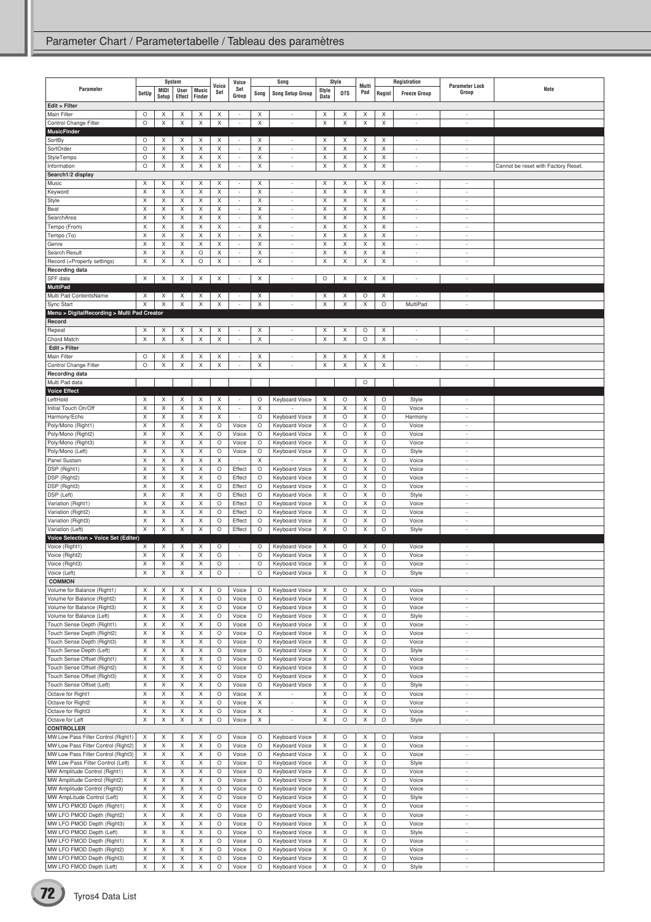| Parameter                                                          | SetUp        | System<br>MIDI<br>Setup | <b>User</b><br>Effect | <b>Music</b><br>Finder | Voice<br>Set | Voice<br>Set<br>Group                                | Song    | Song<br><b>Song Setup Group</b>                      | Style<br>Data | Style<br><b>OTS</b> | Multi<br>Pad | Regist       | Registration<br><b>Freeze Group</b> | <b>Parameter Lock</b><br>Group                       | Note                                |
|--------------------------------------------------------------------|--------------|-------------------------|-----------------------|------------------------|--------------|------------------------------------------------------|---------|------------------------------------------------------|---------------|---------------------|--------------|--------------|-------------------------------------|------------------------------------------------------|-------------------------------------|
| Edit > Filter                                                      |              |                         |                       |                        |              |                                                      |         |                                                      |               |                     |              |              |                                     |                                                      |                                     |
| Main Filter<br>Control Change Filter                               | O<br>$\circ$ | Х<br>X                  | Χ<br>Χ                | X<br>Χ                 | Χ<br>Χ       | $\overline{\phantom{a}}$<br>$\overline{\phantom{a}}$ | Х<br>X  | $\overline{\phantom{a}}$<br>$\overline{\phantom{a}}$ | Х<br>X        | X<br>X              | X<br>X       | Х<br>Χ       | $\overline{\phantom{a}}$            | $\overline{\phantom{a}}$<br>÷,                       |                                     |
| <b>MusicFinder</b>                                                 |              |                         |                       |                        |              |                                                      |         |                                                      |               |                     |              |              |                                     |                                                      |                                     |
| SortBy                                                             | O            | X                       | X                     | X                      | X            | $\overline{\phantom{a}}$                             | X       | $\overline{\phantom{a}}$                             | X             | X                   | X            | X            | $\overline{\phantom{a}}$            | $\overline{\phantom{a}}$                             |                                     |
| SortOrder<br>StyleTempo                                            | O<br>O       | Χ<br>Χ                  | Χ<br>X                | Χ<br>X                 | Χ<br>Χ       | ÷<br>÷                                               | X<br>X  | $\sim$<br>$\sim$                                     | X<br>Χ        | X<br>X              | X<br>X       | Χ<br>X       | ÷<br>Ĭ.                             | ÷,<br>÷                                              |                                     |
| Information                                                        | $\circ$      | X                       | X                     | X                      | X            | $\overline{\phantom{a}}$                             | X       | $\overline{\phantom{a}}$                             | X             | X                   | X            | X            | ÷                                   | $\overline{\phantom{a}}$                             | Cannot be reset with Factory Reset. |
| Search1/2 display                                                  |              |                         |                       |                        |              |                                                      |         |                                                      |               |                     |              |              |                                     |                                                      |                                     |
| Music<br>Keyword                                                   | Χ<br>X       | X<br>X                  | Х<br>X                | X<br>X                 | X<br>X       | $\overline{\phantom{a}}$<br>$\overline{\phantom{a}}$ | X<br>X  | $\overline{\phantom{a}}$<br>$\overline{\phantom{a}}$ | Χ<br>Χ        | X<br>Χ              | X<br>X       | Х<br>X       | ÷,<br>$\overline{a}$                | $\overline{a}$<br>$\overline{a}$                     |                                     |
| Style                                                              | X            | X                       | X                     | X                      | Χ            | $\overline{\phantom{a}}$                             | X       | $\sim$                                               | X             | X                   | Χ            | X            | ÷,                                  | ÷,                                                   |                                     |
| Beat                                                               | X            | Χ                       | X                     | X                      | Χ            | $\overline{\phantom{a}}$                             | X       | $\overline{\phantom{a}}$                             | X             | X                   | Χ            | X            | ٠                                   | ٠                                                    |                                     |
| SearchArea                                                         | X<br>X       | Χ<br>X                  | Χ<br>X                | Χ<br>X                 | Χ<br>X       | $\overline{\phantom{a}}$<br>$\sim$                   | X<br>X  | $\overline{\phantom{a}}$<br>$\sim$                   | X<br>X        | X<br>X              | X<br>X       | Χ<br>X       | ÷<br>÷                              | ÷<br>$\overline{\phantom{a}}$                        |                                     |
| Tempo (From)<br>Tempo (To)                                         | Χ            | X                       | X                     | Χ                      | X            | $\overline{\phantom{a}}$                             | X       | $\overline{\phantom{a}}$                             | X             | X                   | Χ            | X            | ٠                                   | $\overline{a}$                                       |                                     |
| Genre                                                              | X            | Χ                       | Χ                     | Χ                      | Χ            | $\overline{\phantom{a}}$                             | X       | $\sim$                                               | X             | X                   | X            | Χ            | J.                                  | ÷,                                                   |                                     |
| Search Result                                                      | X            | X                       | X                     | O                      | Χ            | $\overline{\phantom{a}}$                             | X       | $\overline{\phantom{a}}$                             | X             | X                   | Χ            | X            | $\overline{\phantom{a}}$            | $\overline{\phantom{a}}$                             |                                     |
| Record (=Property settings)<br><b>Recording data</b>               | X            | X                       | X                     | O                      | X            | ÷                                                    | X       | $\overline{\phantom{a}}$                             | Χ             | X                   | X            | X            | $\overline{\phantom{a}}$            | ÷,                                                   |                                     |
| SFF data                                                           | X            | Х                       | X                     | X                      | X            | $\overline{\phantom{a}}$                             | X       | $\overline{\phantom{a}}$                             | O             | X                   | X            | X            | $\overline{\phantom{a}}$            | $\overline{\phantom{a}}$                             |                                     |
| <b>MultiPad</b>                                                    |              |                         |                       |                        |              |                                                      |         |                                                      |               |                     |              |              |                                     |                                                      |                                     |
| Multi Pad ContentsName                                             | X<br>X       | X<br>Χ                  | X<br>X                | X<br>X                 | X<br>X       | ٠<br>$\overline{\phantom{a}}$                        | X<br>X  | $\overline{\phantom{a}}$<br>$\overline{\phantom{a}}$ | X<br>X        | X<br>X              | О<br>X       | X<br>$\circ$ | ٠<br>MultiPad                       | ٠<br>$\overline{a}$                                  |                                     |
| Sync Start                                                         |              |                         |                       |                        |              |                                                      |         |                                                      |               |                     |              |              |                                     |                                                      |                                     |
| Menu > DigitalRecording > Multi Pad Creator<br>Record              |              |                         |                       |                        |              |                                                      |         |                                                      |               |                     |              |              |                                     |                                                      |                                     |
| Repeat                                                             | Х            | Х                       | Χ                     | X                      | Χ            | $\overline{\phantom{a}}$                             | X       | $\overline{\phantom{a}}$                             | X             | Х                   | О            | X            | $\overline{a}$                      | ٠                                                    |                                     |
| Chord Match<br>Edit > Filter                                       | X            | Χ                       | Χ                     | Χ                      | Χ            | ×,                                                   | X       | $\sim$                                               | X             | X                   | O            | Χ            | ÷                                   | ÷,                                                   |                                     |
| Main Filter                                                        | O            | Х                       | Χ                     | X                      | X            | $\overline{\phantom{a}}$                             | X       | $\overline{\phantom{a}}$                             | Χ             | Χ                   | X            | Χ            |                                     | $\overline{\phantom{a}}$                             |                                     |
| Control Change Filter                                              | O            | X                       | Χ                     | Χ                      | Χ            | $\overline{a}$                                       | X       | ÷                                                    | X             | Χ                   | Χ            | Χ            | $\overline{a}$                      | Ĭ.                                                   |                                     |
| Recording data<br>Multi Pad data                                   |              |                         |                       |                        |              |                                                      |         |                                                      |               |                     | $\circ$      |              |                                     |                                                      |                                     |
| <b>Voice Effect</b>                                                |              |                         |                       |                        |              |                                                      |         |                                                      |               |                     |              |              |                                     |                                                      |                                     |
| LeftHold                                                           | X            | X                       | Χ                     | X                      | X            | $\overline{\phantom{a}}$                             | O       | Keyboard Voice                                       | Χ             | O                   | Χ            | O            | Style                               | ٠                                                    |                                     |
| Initial Touch On/Off                                               | X            | Χ                       | Χ                     | Χ                      | Χ            | $\overline{\phantom{a}}$                             | X       |                                                      | X             | Χ                   | X            | O            | Voice                               | ÷,                                                   |                                     |
| Harmony/Echo<br>Poly/Mono (Right1)                                 | X<br>Χ       | X<br>Χ                  | X<br>Χ                | X<br>Χ                 | X<br>O       | $\sim$<br>Voice                                      | O<br>O  | Keyboard Voice<br>Keyboard Voice                     | Χ<br>X        | O<br>O              | X<br>Χ       | O<br>O       | Harmony<br>Voice                    | ÷<br>×,                                              |                                     |
| Poly/Mono (Right2)                                                 | X            | Χ                       | Χ                     | Χ                      | O            | Voice                                                | O       | Keyboard Voice                                       | X             | O                   | X            | O            | Voice                               | ÷,                                                   |                                     |
| Poly/Mono (Right3)                                                 | X            | X                       | X                     | X                      | O            | Voice                                                | O       | Keyboard Voice                                       | X             | O                   | X            | O            | Voice                               | $\overline{a}$                                       |                                     |
| Poly/Mono (Left)<br>Panel Sustain                                  | X<br>X       | X<br>Χ                  | X<br>Χ                | X<br>Χ                 | O<br>Χ       | Voice                                                | O<br>X  | Keyboard Voice                                       | Χ<br>Χ        | O<br>X              | X<br>Χ       | O<br>O       | Style<br>Voice                      | $\overline{\phantom{a}}$<br>L.                       |                                     |
| DSP (Right1)                                                       | X            | Χ                       | X                     | Χ                      | O            | Effect                                               | $\circ$ | Keyboard Voice                                       | X             | $\circ$             | X            | $\circ$      | Voice                               | $\overline{\phantom{a}}$                             |                                     |
| DSP (Right2)                                                       | X            | Χ                       | Χ                     | Χ                      | O            | Effect                                               | O       | Keyboard Voice                                       | X             | O                   | X            | O            | Voice                               | ÷,                                                   |                                     |
| DSP (Right3)                                                       | X            | X                       | X                     | X                      | O            | Effect                                               | O       | Keyboard Voice                                       | X             | O                   | X            | O            | Voice                               | ÷                                                    |                                     |
| DSP (Left)<br>Variation (Right1)                                   | Χ<br>X       | X<br>Χ                  | Χ<br>Χ                | Χ<br>Χ                 | O<br>O       | Effect<br>Effect                                     | O<br>O  | Keyboard Voice<br>Keyboard Voice                     | X<br>Χ        | O<br>$\circ$        | X<br>X       | O<br>O       | Style<br>Voice                      | $\overline{a}$<br>٠                                  |                                     |
| Variation (Right2)                                                 | Χ            | X                       | X                     | X                      | O            | Effect                                               | O       | Keyboard Voice                                       | Χ             | O                   | Χ            | O            | Voice                               | ÷                                                    |                                     |
| Variation (Right3)                                                 | X            | X                       | X                     | Χ                      | O            | Effect                                               | O       | Keyboard Voice                                       | X             | O                   | Χ            | O            | Voice                               | ٠                                                    |                                     |
| Variation (Left)<br>Voice Selection > Voice Set (Editer)           | Χ            | Χ                       | Χ                     | X                      | O            | Effect                                               | O       | <b>Keyboard Voice</b>                                | X             | O                   | X            | O            | Style                               | $\overline{a}$                                       |                                     |
| Voice (Right1)                                                     | X            | X                       | Χ                     | X                      | O            | $\overline{\phantom{a}}$                             | O       | Keyboard Voice                                       | Χ             | O                   | X            | O            | Voice                               | $\overline{\phantom{a}}$                             |                                     |
| Voice (Right2)                                                     | X            | X                       | Χ                     | X                      | O            | $\overline{\phantom{a}}$                             | O       | <b>Keyboard Voice</b>                                | Χ             | O                   | Χ            | O            | Voice                               | ÷,                                                   |                                     |
| Voice (Right3)                                                     | X            | Χ                       | X                     | Χ                      | O<br>O       | $\sim$<br>÷                                          | $\circ$ | <b>Keyboard Voice</b>                                | X             | O                   | X            | $\circ$      | Voice                               | $\overline{\phantom{a}}$<br>$\overline{\phantom{a}}$ |                                     |
| Voice (Left)<br><b>COMMON</b>                                      | Х            | X                       | X                     | X                      |              |                                                      | O       | Keyboard Voice                                       | Х             | O                   | X            | O            | Style                               |                                                      |                                     |
| Volume for Balance (Right1)                                        | X            | X                       | X                     | X                      | O            | Voice                                                | O       | Keyboard Voice                                       | X             | O                   | X            | $\circ$      | Voice                               | $\overline{\phantom{a}}$                             |                                     |
| Volume for Balance (Right2)                                        | X            | Χ                       | X                     | Χ                      | О            | Voice                                                | O       | Keyboard Voice                                       | X             | O                   | X            | O            | Voice                               | $\overline{a}$                                       |                                     |
| Volume for Balance (Right3)<br>Volume for Balance (Left)           | X<br>X       | X<br>X                  | X<br>X                | X<br>X                 | O<br>O       | Voice<br>Voice                                       | O<br>O  | Keyboard Voice<br>Keyboard Voice                     | X<br>Χ        | O<br>O              | X<br>X       | $\circ$<br>O | Voice<br>Style                      | $\sim$<br>$\overline{\phantom{a}}$                   |                                     |
| Touch Sense Depth (Right1)                                         | X            | Χ                       | Χ                     | X                      | O            | Voice                                                | O       | Keyboard Voice                                       | X             | O                   | X            | O            | Voice                               | ÷.                                                   |                                     |
| Touch Sense Depth (Right2)                                         | X            | X                       | X                     | X                      | O            | Voice                                                | O       | Keyboard Voice                                       | X             | O                   | X            | O            | Voice                               | ÷.                                                   |                                     |
| Touch Sense Depth (Right3)                                         | X<br>X       | X                       | X<br>X                | X                      | O            | Voice                                                | O       | Keyboard Voice                                       | Χ             | O                   | X            | O            | Voice                               | $\overline{\phantom{a}}$<br>÷                        |                                     |
| Touch Sense Depth (Left)<br>Touch Sense Offset (Right1)            | X            | Χ<br>X                  | X                     | X<br>X                 | O<br>O       | Voice<br>Voice                                       | O<br>O  | Keyboard Voice<br>Keyboard Voice                     | X<br>Χ        | O<br>O              | Χ<br>X       | O<br>O       | Style<br>Voice                      | $\overline{\phantom{a}}$                             |                                     |
| Touch Sense Offset (Right2)                                        | X            | Χ                       | X                     | X                      | O            | Voice                                                | O       | Keyboard Voice                                       | X             | O                   | X            | O            | Voice                               | ÷                                                    |                                     |
| Touch Sense Offset (Right3)                                        | X            | X                       | X                     | X                      | O            | Voice                                                | O       | Keyboard Voice                                       | X             | O                   | X            | O            | Voice                               | ÷.                                                   |                                     |
| Touch Sense Offset (Left)<br>Octave for Right1                     | Χ<br>X       | Χ<br>Χ                  | X<br>X                | X<br>Χ                 | O<br>O       | Voice<br>Voice                                       | O<br>X  | Keyboard Voice                                       | X<br>X        | O<br>O              | X<br>X       | O<br>O       | Style<br>Voice                      | $\overline{\phantom{a}}$<br>$\overline{\phantom{a}}$ |                                     |
| Octave for Right2                                                  | X            | Χ                       | X                     | X                      | O            | Voice                                                | X       | $\overline{\phantom{a}}$                             | X             | O                   | X            | $\circ$      | Voice                               | $\overline{\phantom{a}}$                             |                                     |
| Octave for Right3                                                  | X            | X                       | X                     | X                      | O            | Voice                                                | X       | $\sim$                                               | X             | O                   | X            | O            | Voice                               | $\sim$                                               |                                     |
| Octave for Left<br><b>CONTROLLER</b>                               | X            | X                       | X                     | Χ                      | $\circ$      | Voice                                                | X       | $\overline{\phantom{a}}$                             | X             | O                   | Χ            | O            | Style                               | $\sim$                                               |                                     |
| MW Low Pass Filter Control (Right1)                                | X            | X                       | X                     | Χ                      | O            | Voice                                                | O       | Keyboard Voice                                       | X             | O                   | X            | O            | Voice                               | $\overline{\phantom{a}}$                             |                                     |
| MW Low Pass Filter Control (Right2)                                | X            | X                       | X                     | X                      | O            | Voice                                                | O       | Keyboard Voice                                       | Χ             | O                   | X            | O            | Voice                               | $\sim$                                               |                                     |
| MW Low Pass Filter Control (Right3)                                | Χ            | X                       | X                     | X                      | O            | Voice                                                | O       | Keyboard Voice                                       | Χ             | O                   | X            | O            | Voice                               | $\overline{a}$                                       |                                     |
| MW Low Pass Filter Control (Left)<br>MW Amplitude Control (Right1) | X<br>X       | X<br>X                  | X<br>X                | X<br>X                 | O<br>O       | Voice<br>Voice                                       | O<br>O  | Keyboard Voice<br>Keyboard Voice                     | X<br>X        | O<br>O              | X<br>X       | O<br>O       | Style<br>Voice                      | $\overline{\phantom{a}}$<br>÷.                       |                                     |
| MW Amplitude Control (Right2)                                      | X            | X                       | X                     | X                      | O            | Voice                                                | O       | Keyboard Voice                                       | X             | O                   | X            | O            | Voice                               | $\overline{\phantom{a}}$                             |                                     |
| MW Amplitude Control (Right3)                                      | X            | Χ                       | X                     | Χ                      | O            | Voice                                                | O       | Keyboard Voice                                       | X             | O                   | Χ            | O            | Voice                               | ٠                                                    |                                     |
| MW AmpLitude Control (Left)                                        | X            | X                       | X                     | X                      | O<br>O       | Voice<br>Voice                                       | O<br>O  | Keyboard Voice                                       | X<br>Χ        | O<br>O              | X            | $\circ$<br>O | Style<br>Voice                      | $\overline{\phantom{a}}$                             |                                     |
| MW LFO PMOD Depth (Right1)<br>MW LFO PMOD Depth (Right2)           | X<br>X       | X<br>Χ                  | X<br>X                | X<br>Χ                 | O            | Voice                                                | O       | Keyboard Voice<br>Keyboard Voice                     | X             | O                   | X<br>X       | O            | Voice                               | $\overline{\phantom{a}}$<br>$\overline{a}$           |                                     |
| MW LFO PMOD Depth (Right3)                                         | X            | X                       | X                     | X                      | O            | Voice                                                | O       | Keyboard Voice                                       | Χ             | O                   | X            | O            | Voice                               | $\overline{\phantom{a}}$                             |                                     |
| MW LFO PMOD Depth (Left)                                           | X            | X                       | X                     | X                      | O            | Voice                                                | O       | Keyboard Voice                                       | X             | $\circ$             | X            | $\circ$      | Style                               | $\overline{\phantom{a}}$                             |                                     |
| MW LFO FMOD Depth (Right1)<br>MW LFO FMOD Depth (Right2)           | X<br>X       | X<br>X                  | X<br>X                | Х<br>X                 | O<br>O       | Voice<br>Voice                                       | O<br>O  | Keyboard Voice<br>Keyboard Voice                     | X<br>X        | O<br>O              | X<br>X       | O<br>O       | Voice<br>Voice                      | ÷.<br>$\overline{\phantom{a}}$                       |                                     |
| MW LFO FMOD Depth (Right3)                                         | X            | X                       | X                     | Χ                      | O            | Voice                                                | O       | Keyboard Voice                                       | X             | O                   | Χ            | O            | Voice                               | $\overline{\phantom{a}}$                             |                                     |
| MW LFO FMOD Depth (Left)                                           | X            | X                       | X                     | X                      | O            | Voice                                                | O       | Keyboard Voice                                       | Χ             | O                   | X            | O            | Style                               | ÷.                                                   |                                     |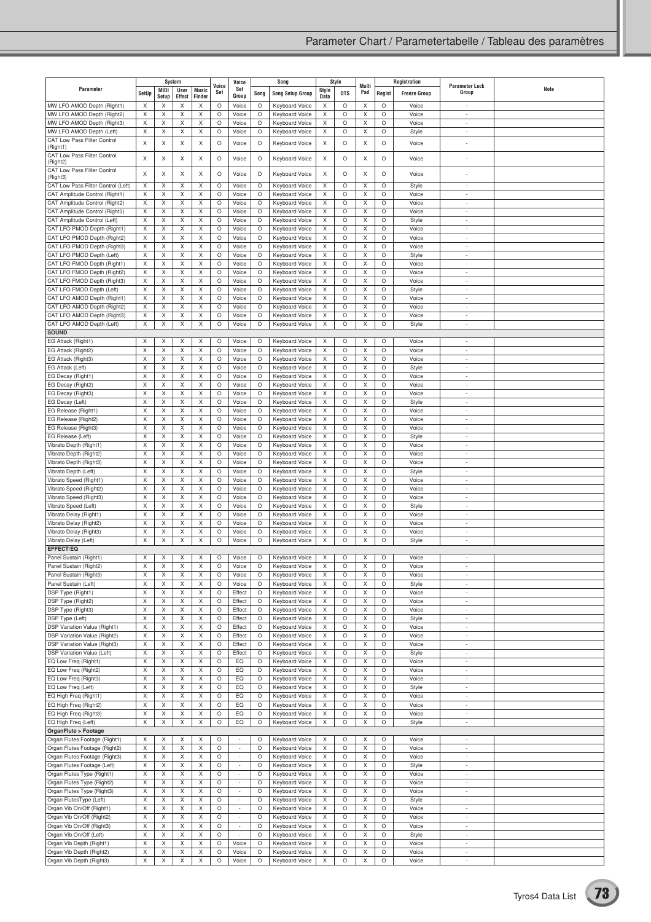|                                                            |             | System     |             |              | Voice              | Voice                    |              | Song                                           |           | Style      | Multi  |         | Registration        | <b>Parameter Lock</b>                                |      |
|------------------------------------------------------------|-------------|------------|-------------|--------------|--------------------|--------------------------|--------------|------------------------------------------------|-----------|------------|--------|---------|---------------------|------------------------------------------------------|------|
| Parameter                                                  | SetUp       | MIDI       | User        | <b>Music</b> | Set                | Set<br>Group             | Song         | <b>Song Setup Group</b>                        | Style     | <b>OTS</b> | Pad    | Regist  | <b>Freeze Group</b> | Group                                                | Note |
| MW LFO AMOD Depth (Right1)                                 | X           | Setup<br>X | Effect<br>X | Finder<br>X  | O                  | Voice                    | $\circ$      | Keyboard Voice                                 | Data<br>X | O          | X      | O       | Voice               | $\overline{a}$                                       |      |
| MW LFO AMOD Depth (Right2)                                 | X           | Χ          | X           | X            | $\circ$            | Voice                    | O            | <b>Keyboard Voice</b>                          | X         | O          | Χ      | O       | Voice               | ÷,                                                   |      |
| MW LFO AMOD Depth (Right3)                                 | X           | X          | X           | X            | O                  | Voice                    | O            | <b>Keyboard Voice</b>                          | X         | O          | X      | O       | Voice               | $\overline{a}$                                       |      |
| MW LFO AMOD Depth (Left)                                   | Χ           | X          | X           | Χ            | O                  | Voice                    | $\circ$      | Keyboard Voice                                 | X         | O          | X      | O       | Style               | $\overline{\phantom{a}}$                             |      |
| CAT Low Pass Filter Control                                | X           | X          | X           | X            | $\circ$            | Voice                    | O            | Keyboard Voice                                 | X         | O          | X      | $\circ$ | Voice               | ÷,                                                   |      |
| (Right1)                                                   |             |            |             |              |                    |                          |              |                                                |           |            |        |         |                     |                                                      |      |
| CAT Low Pass Filter Control<br>(Right2)                    | X           | X          | X           | X            | O                  | Voice                    | O            | Keyboard Voice                                 | X         | O          | X      | O       | Voice               |                                                      |      |
| CAT Low Pass Filter Control                                |             |            |             |              |                    |                          |              |                                                |           |            |        |         |                     |                                                      |      |
| (Right3)                                                   | X           | X          | X           | X            | $\circ$            | Voice                    | $\circ$      | Keyboard Voice                                 | X         | O          | X      | $\circ$ | Voice               |                                                      |      |
| CAT Low Pass Filter Control (Left)                         | X           | X          | X           | X            | $\circ$            | Voice                    | $\circ$      | <b>Keyboard Voice</b>                          | X         | O          | X      | O       | Style               | ÷,                                                   |      |
| CAT Amplitude Control (Right1)                             | X           | X          | Χ           | X            | $\circ$            | Voice                    | O            | <b>Keyboard Voice</b>                          | Х         | O          | X      | O       | Voice               | ×,                                                   |      |
| CAT Amplitude Control (Right2)                             | X           | Χ          | X           | X            | $\circ$            | Voice                    | O            | Keyboard Voice                                 | X         | O          | Χ      | O       | Voice               | ÷                                                    |      |
| CAT Amplitude Control (Right3)                             | X           | X          | Χ           | X            | $\circ$            | Voice                    | $\circ$      | Keyboard Voice                                 | Χ         | O          | X      | O       | Voice               | ÷                                                    |      |
| CAT Amplitude Control (Left)                               | X           | X          | Χ           | X            | $\circ$            | Voice                    | O            | Keyboard Voice                                 | X         | O          | X      | O       | Style               | ٠                                                    |      |
| CAT LFO PMOD Depth (Right1)<br>CAT LFO PMOD Depth (Right2) | X<br>X      | X<br>Χ     | X<br>X      | X<br>X       | $\circ$<br>O       | Voice<br>Voice           | O<br>O       | <b>Keyboard Voice</b><br>Keyboard Voice        | X<br>Χ    | O<br>O     | X<br>Χ | O<br>O  | Voice<br>Voice      | ÷,<br>$\overline{\phantom{a}}$                       |      |
| CAT LFO PMOD Depth (Right3)                                | X           | X          | $\times$    | X            | $\circ$            | Voice                    | $\circ$      | <b>Keyboard Voice</b>                          | Χ         | O          | X      | O       | Voice               | $\overline{a}$                                       |      |
| CAT LFO PMOD Depth (Left)                                  | X           | X          | X           | X            | $\circ$            | Voice                    | O            | Keyboard Voice                                 | X         | O          | X      | O       | Style               | $\overline{a}$                                       |      |
| CAT LFO FMOD Depth (Right1)                                | X           | X          | X           | X            | $\circ$            | Voice                    | O            | Keyboard Voice                                 | X         | O          | X      | O       | Voice               | $\overline{a}$                                       |      |
| CAT LFO FMOD Depth (Right2)                                | X           | X          | X           | X            | $\circ$            | Voice                    | O            | <b>Keyboard Voice</b>                          | X         | O          | X      | O       | Voice               | ÷                                                    |      |
| CAT LFO FMOD Depth (Right3)                                | X           | X          | Χ           | X            | $\circ$            | Voice                    | O            | Keyboard Voice                                 | Χ         | O          | X      | O       | Voice               | ÷                                                    |      |
| CAT LFO FMOD Depth (Left)                                  | X           | X          | X           | X            | O                  | Voice                    | $\circ$      | <b>Keyboard Voice</b>                          | X         | O          | X      | O       | Style               | $\overline{\phantom{a}}$                             |      |
| CAT LFO AMOD Depth (Right1)                                | X           | Χ          | Χ           | X            | $\circ$            | Voice                    | O            | <b>Keyboard Voice</b>                          | X         | O          | Χ      | O       | Voice               | ÷                                                    |      |
| CAT LFO AMOD Depth (Right2)                                | X           | X          | X           | X            | $\circ$            | Voice                    | O            | Keyboard Voice                                 | X         | O          | X      | O       | Voice               | ÷                                                    |      |
| CAT LFO AMOD Depth (Right3)                                | X           | X          | X           | X            | O                  | Voice                    | O            | Keyboard Voice                                 | X         | O          | Χ      | O       | Voice               | $\overline{\phantom{a}}$                             |      |
| CAT LFO AMOD Depth (Left)                                  | X           | X          | X           | X            | $\circ$            | Voice                    | O            | Keyboard Voice                                 | X         | O          | X      | O       | Style               | ÷,                                                   |      |
| <b>SOUND</b>                                               |             |            |             |              |                    |                          |              |                                                |           |            |        |         |                     |                                                      |      |
| EG Attack (Right1)                                         | Χ           | X          | X<br>X      | X            | $\circ$<br>$\circ$ | Voice<br>Voice           | O            | <b>Keyboard Voice</b>                          | Χ<br>Χ    | O          | X<br>X | O<br>O  | Voice<br>Voice      | $\overline{a}$                                       |      |
| EG Attack (Right2)<br>EG Attack (Right3)                   | X<br>X      | X<br>X     | Χ           | X<br>X       | $\circ$            | Voice                    | O<br>O       | <b>Keyboard Voice</b><br><b>Keyboard Voice</b> | X         | O<br>O     | X      | O       | Voice               | ٠                                                    |      |
| EG Attack (Left)                                           | X           | X          | X           | X            | $\circ$            | Voice                    | O            | Keyboard Voice                                 | X         | O          | X      | O       | Style               | i,                                                   |      |
| EG Decay (Right1)                                          | X           | X          | X           | X            | $\circ$            | Voice                    | $\circ$      | Keyboard Voice                                 | X         | O          | X      | O       | Voice               | ÷                                                    |      |
| EG Decay (Right2)                                          | X           | X          | X           | X            | $\circ$            | Voice                    | O            | Keyboard Voice                                 | X         | O          | X      | O       | Voice               | ٠                                                    |      |
| EG Decay (Right3)                                          | X           | Χ          | X           | X            | $\circ$            | Voice                    | O            | <b>Keyboard Voice</b>                          | X         | O          | Χ      | O       | Voice               | ÷,                                                   |      |
| EG Decay (Left)                                            | X           | X          | X           | X            | O                  | Voice                    | O            | <b>Keyboard Voice</b>                          | Χ         | O          | X      | O       | Style               | $\overline{\phantom{a}}$                             |      |
| EG Release (Right1)                                        | X           | X          | Χ           | X            | $\circ$            | Voice                    | $\circ$      | Keyboard Voice                                 | X         | O          | X      | O       | Voice               | $\overline{\phantom{a}}$                             |      |
| EG Release (Right2)                                        | X           | X          | X           | X            | O                  | Voice                    | O            | Keyboard Voice                                 | X         | O          | X      | O       | Voice               | $\overline{a}$                                       |      |
| EG Release (Right3)                                        | X           | X          | X           | X            | O                  | Voice                    | O            | Keyboard Voice                                 | Χ         | O          | X      | O       | Voice               | $\overline{a}$                                       |      |
| EG Release (Left)                                          | X           | X          | X           | X            | $\circ$            | Voice                    | $\circ$      | <b>Keyboard Voice</b>                          | Χ         | O          | X      | O       | Style               | ÷,                                                   |      |
| Vibrato Depth (Right1)                                     | X           | X          | X           | X            | $\circ$            | Voice                    | $\circ$      | Keyboard Voice                                 | X         | O          | X      | O       | Voice               | $\overline{a}$                                       |      |
| Vibrato Depth (Right2)                                     | X           | X          | X           | X            | $\circ$            | Voice                    | O            | <b>Keyboard Voice</b>                          | X         | O          | X      | O       | Voice               | $\overline{\phantom{a}}$                             |      |
| Vibrato Depth (Right3)                                     | X           | Χ          | X           | X            | $\circ$            | Voice                    | O            | <b>Keyboard Voice</b>                          | X         | O          | Χ      | O       | Voice               | $\overline{\phantom{a}}$                             |      |
| Vibrato Depth (Left)                                       | X<br>X      | X          | X<br>Χ      | X            | $\circ$<br>O       | Voice                    | O<br>$\circ$ | Keyboard Voice                                 | X<br>X    | O          | X      | O<br>O  | Style<br>Voice      | ÷                                                    |      |
| Vibrato Speed (Right1)<br>Vibrato Speed (Right2)           | X           | X<br>X     | X           | X<br>X       | $\circ$            | Voice<br>Voice           | O            | Keyboard Voice<br><b>Keyboard Voice</b>        | X         | O<br>O     | X<br>Χ | O       | Voice               | $\overline{\phantom{a}}$<br>٠                        |      |
| Vibrato Speed (Right3)                                     | X           | X          | Χ           | X            | O                  | Voice                    | O            | <b>Keyboard Voice</b>                          | X         | $\circ$    | X      | O       | Voice               | $\overline{\phantom{a}}$                             |      |
| Vibrato Speed (Left)                                       | Χ           | X          | Χ           | X            | $\circ$            | Voice                    | O            | Keyboard Voice                                 | X         | O          | X      | O       | Style               | $\overline{\phantom{a}}$                             |      |
| Vibrato Delay (Right1)                                     | X           | X          | X           | X            | O                  | Voice                    | O            | Keyboard Voice                                 | X         | O          | X      | O       | Voice               | ÷,                                                   |      |
| Vibrato Delay (Right2)                                     | X           | X          | Χ           | X            | $\circ$            | Voice                    | O            | <b>Keyboard Voice</b>                          | X         | O          | X      | О       | Voice               | $\overline{\phantom{a}}$                             |      |
| Vibrato Delay (Right3)                                     | X           | X          | X           | X            | O                  | Voice                    | O            | Keyboard Voice                                 | X         | O          | X      | O       | Voice               | ÷,                                                   |      |
| Vibrato Delay (Left)                                       | X           | X          | X           | X            | O                  | Voice                    | $\circ$      | Keyboard Voice                                 | X         | $\circ$    | X      | O       | Style               | ÷,                                                   |      |
| EFFECT/EQ                                                  |             |            |             |              |                    |                          |              |                                                |           |            |        |         |                     |                                                      |      |
| Panel Sustain (Right1)                                     | X           | Χ          | Χ           | X            | $\circ$            | Voice                    | O            | Keyboard Voice                                 | Χ         | O          | Х      | O       | Voice               |                                                      |      |
| Panel Sustain (Right2)                                     | X           | X          | X           | X            | O                  | Voice                    | $\circ$      | Keyboard Voice                                 | X         | O          | X      | O       | Voice               |                                                      |      |
| Panel Sustain (Right3)                                     | X           | X          | X           | X            | $\circ$            | Voice                    | O            | Keyboard Voice                                 | X         | O          | X      | O       | Voice               | $\overline{\phantom{a}}$                             |      |
| Panel Sustain (Left)                                       | X           | X          | X           | X            | $\circ$            | Voice                    | O            | Keyboard Voice                                 | X         | O          | X      | O       | Style               | $\overline{a}$                                       |      |
| DSP Type (Right1)                                          | X           | X          | X           | X            | O                  | Effect                   | O            | Keyboard Voice                                 | Χ         | O          | X      | O       | Voice               | $\overline{\phantom{a}}$                             |      |
| DSP Type (Right2)                                          | X           | X          | Χ           | X            | $\circ$            | Effect                   | $\circ$      | Keyboard Voice                                 | X         | O          | X      | O       | Voice               | $\overline{\phantom{a}}$<br>$\overline{a}$           |      |
| DSP Type (Right3)                                          | X           | X          | Χ           | X            | $\circ$            | Effect                   | $\circ$      | Keyboard Voice                                 | X         | O          | X      | O       | Voice               |                                                      |      |
| DSP Type (Left)<br><b>DSP Variation Value (Right1)</b>     | X<br>X      | X<br>X     | X<br>X      | X<br>X       | O<br>$\circ$       | Effect<br>Effect         | O<br>O       | Keyboard Voice<br>Keyboard Voice               | X<br>X    | O<br>O     | X<br>X | O<br>O  | Style<br>Voice      | $\overline{\phantom{a}}$<br>$\overline{\phantom{a}}$ |      |
| <b>DSP Variation Value (Right2)</b>                        | X           | X          | Χ           | X            | $\circ$            | Effect                   | O            | Keyboard Voice                                 | X         | O          | Χ      | O       | Voice               | ÷                                                    |      |
| DSP Variation Value (Right3)                               | Χ           | X          | X           | X            | O                  | Effect                   | O            | Keyboard Voice                                 | X         | O          | X      | O       | Voice               | $\overline{\phantom{a}}$                             |      |
| <b>DSP Variation Value (Left)</b>                          | X           | X          | X           | X            | $\circ$            | Effect                   | O            | Keyboard Voice                                 | X         | O          | X      | O       | Style               | $\overline{\phantom{a}}$                             |      |
| EQ Low Freq (Right1)                                       | X           | X          | Χ           | X            | $\circ$            | EQ                       | O            | Keyboard Voice                                 | X         | O          | X      | O       | Voice               | ÷                                                    |      |
| EQ Low Freq (Right2)                                       | X           | X          | X           | X            | O                  | EQ                       | $\circ$      | Keyboard Voice                                 | X         | O          | X      | O       | Voice               | $\sim$                                               |      |
| EQ Low Freq (Right3)                                       | X           | X          | X           | X            | O                  | EQ                       | O            | <b>Keyboard Voice</b>                          | X         | O          | X      | O       | Voice               | $\overline{a}$                                       |      |
| EQ Low Freq (Left)                                         | X           | X          | Χ           | X            | $\circ$            | EQ                       | O            | Keyboard Voice                                 | X         | O          | X      | O       | Style               | $\overline{\phantom{a}}$                             |      |
| EQ High Freq (Right1)                                      | X           | X          | X           | X            | $\circ$            | EQ                       | O            | Keyboard Voice                                 | X         | O          | X      | O       | Voice               | $\overline{\phantom{a}}$                             |      |
| EQ High Freq (Right2)                                      | X           | X          | Χ           | X            | $\circ$            | EQ                       | O            | Keyboard Voice                                 | X         | O          | X      | O       | Voice               | $\sim$                                               |      |
| EQ High Freq (Right3)                                      | X           | X          | Χ           | X            | O                  | EQ                       | O            | Keyboard Voice                                 | X         | O          | X      | O       | Voice               | $\overline{\phantom{a}}$                             |      |
| EQ High Freq (Left)                                        | $\mathsf X$ | X          | $\mathsf X$ | X            | $\circ$            | EQ                       | O            | Keyboard Voice                                 | X         | O          | X      | O       | Style               | $\overline{\phantom{a}}$                             |      |
| OrganFlute > Footage<br>Organ Flutes Footage (Right1)      | X           | X          | X           | X            | $\circ$            | $\overline{\phantom{a}}$ | O            | Keyboard Voice                                 | X         | O          | X      | O       | Voice               | $\sim$                                               |      |
| Organ Flutes Footage (Right2)                              | X           | X          | X           | X            | O                  | $\overline{\phantom{a}}$ | O            | <b>Keyboard Voice</b>                          | X         | O          | X      | O       | Voice               | $\overline{\phantom{a}}$                             |      |
| Organ Flutes Footage (Right3)                              | X           | X          | Χ           | X            | O                  | $\overline{\phantom{a}}$ | O            | Keyboard Voice                                 | X         | O          | X      | O       | Voice               | $\overline{\phantom{a}}$                             |      |
| Organ Flutes Footage (Left)                                | Χ           | X          | X           | X            | $\circ$            | ÷.                       | $\circ$      | Keyboard Voice                                 | X         | O          | X      | O       | Style               | $\overline{\phantom{a}}$                             |      |
| Organ Flutes Type (Right1)                                 | X           | X          | X           | X            | O                  | ÷                        | O            | Keyboard Voice                                 | X         | O          | X      | O       | Voice               | $\overline{\phantom{a}}$                             |      |
| Organ Flutes Type (Right2)                                 | X           | X          | X           | X            | O                  | $\overline{\phantom{a}}$ | O            | Keyboard Voice                                 | X         | O          | X      | O       | Voice               | ÷.                                                   |      |
| Organ Flutes Type (Right3)                                 | X           | X          | Χ           | X            | $\circ$            | $\overline{\phantom{a}}$ | $\circ$      | Keyboard Voice                                 | Χ         | O          | X      | O       | Voice               | $\overline{\phantom{a}}$                             |      |
| Organ FlutesType (Left)                                    | X           | X          | Χ           | X            | $\circ$            | $\overline{\phantom{a}}$ | $\circ$      | Keyboard Voice                                 | X         | O          | X      | O       | Style               | $\overline{a}$                                       |      |
| Organ Vib On/Off (Right1)                                  | X           | X          | X           | X            | O                  | $\overline{\phantom{a}}$ | O            | Keyboard Voice                                 | X         | O          | X      | O       | Voice               | $\overline{\phantom{a}}$                             |      |
| Organ Vib On/Off (Right2)                                  | X           | X          | X           | X            | $\circ$            | $\overline{\phantom{a}}$ | O            | <b>Keyboard Voice</b>                          | X         | O          | X      | O       | Voice               | $\overline{\phantom{a}}$                             |      |
| Organ Vib On/Off (Right3)                                  | X           | X          | Χ           | X            | $\circ$            | $\sim$                   | $\circ$      | Keyboard Voice                                 | X         | O          | X      | O       | Voice               | ÷.                                                   |      |
| Organ Vib On/Off (Left)                                    | X           | X          | X           | X            | O                  | $\overline{\phantom{a}}$ | O            | Keyboard Voice                                 | X         | O          | X      | O       | Style               | $\overline{\phantom{a}}$                             |      |
| Organ Vib Depth (Right1)                                   | X           | X          | X           | X            | $\circ$            | Voice                    | O            | <b>Keyboard Voice</b>                          | X         | O          | X      | O       | Voice               | $\overline{\phantom{a}}$                             |      |
| Organ Vib Depth (Right2)                                   | X           | X          | X           | X            | O                  | Voice                    | O            | Keyboard Voice                                 | X         | O          | X      | O       | Voice               | $\overline{\phantom{a}}$                             |      |
| Organ Vib Depth (Right3)                                   | X           | X          | X           | X            | O                  | Voice                    | O            | Keyboard Voice                                 | X         | O          | X      | O       | Voice               | $\overline{\phantom{a}}$                             |      |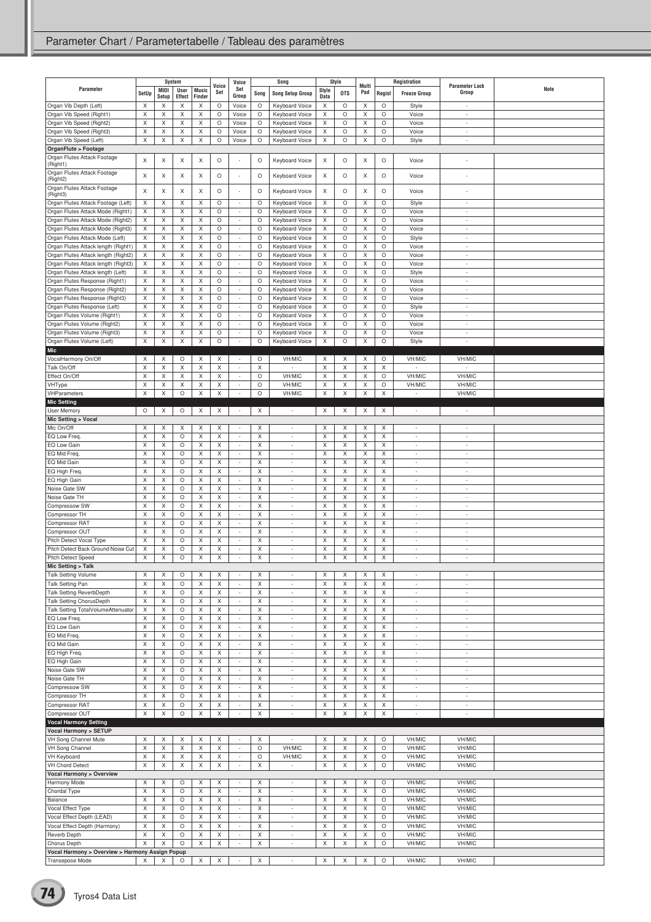| Parameter                                                                  |         | System        |                              |                        | Voice   | Voice<br>Set                                         |         | Song                                                 |               | Style      | Multi  |              | Registration                               | <b>Parameter Lock</b>              | Note |
|----------------------------------------------------------------------------|---------|---------------|------------------------------|------------------------|---------|------------------------------------------------------|---------|------------------------------------------------------|---------------|------------|--------|--------------|--------------------------------------------|------------------------------------|------|
|                                                                            | SetUp   | MIDI<br>Setup | <b>User</b><br><b>Effect</b> | <b>Music</b><br>Finder | Set     | Group                                                | Song    | <b>Song Setup Group</b>                              | Style<br>Data | <b>OTS</b> | Pad    | Regist       | <b>Freeze Group</b>                        | Group                              |      |
| Organ Vib Depth (Left)                                                     | X       | X             | Χ                            | X                      | O       | Voice                                                | O       | Keyboard Voice                                       | X             | O          | Χ      | O            | Style                                      | ÷,                                 |      |
| Organ Vib Speed (Right1)                                                   | X       | X             | X                            | X                      | O       | Voice                                                | O       | Keyboard Voice                                       | X             | O          | X      | O            | Voice                                      | $\overline{\phantom{a}}$           |      |
| Organ Vib Speed (Right2)<br>Organ Vib Speed (Right3)                       | X<br>X  | Χ             | Χ<br>X                       | Χ                      | O<br>O  | Voice                                                | O<br>O  | Keyboard Voice                                       | X<br>X        | $\circ$    | X      | $\circ$<br>O | Voice<br>Voice                             | ÷<br>÷                             |      |
| Organ Vib Speed (Left)                                                     | X       | X<br>X        | X                            | X<br>Χ                 | O       | Voice<br>Voice                                       | O       | Keyboard Voice<br>Keyboard Voice                     | X             | O<br>O     | Χ<br>Χ | O            | Style                                      | $\overline{\phantom{a}}$           |      |
| OrganFlute > Footage                                                       |         |               |                              |                        |         |                                                      |         |                                                      |               |            |        |              |                                            |                                    |      |
| Organ Flutes Attack Footage                                                | X       | Χ             | X                            | X                      | O       |                                                      | O       | Keyboard Voice                                       | X             | O          | X      | O            | Voice                                      |                                    |      |
| (Right1)                                                                   |         |               |                              |                        |         |                                                      |         |                                                      |               |            |        |              |                                            |                                    |      |
| Organ Flutes Attack Footage<br>(Right2)                                    | Χ       | Χ             | X                            | Χ                      | $\circ$ |                                                      | O       | Keyboard Voice                                       | X             | O          | Χ      | O            | Voice                                      |                                    |      |
| Organ Flutes Attack Footage                                                | X       | X             | X                            | X                      | O       |                                                      | O       | Keyboard Voice                                       | X             | O          | Χ      | $\circ$      | Voice                                      | ÷,                                 |      |
| (Right3)                                                                   |         |               |                              |                        | O       | $\overline{\phantom{a}}$                             |         |                                                      |               |            |        | O            |                                            | ÷,                                 |      |
| Organ Flutes Attack Footage (Left)<br>Organ Flutes Attack Mode (Right1)    | X<br>X  | X<br>X        | X<br>X                       | X<br>X                 | O       | $\overline{\phantom{a}}$                             | O<br>O  | Keyboard Voice<br>Keyboard Voice                     | X<br>X        | O<br>O     | Χ<br>X | O            | Style<br>Voice                             | $\overline{a}$                     |      |
| Organ Flutes Attack Mode (Right2)                                          | X       | Χ             | X                            | Χ                      | O       | $\overline{\phantom{a}}$                             | O       | Keyboard Voice                                       | X             | $\circ$    | X      | $\circ$      | Voice                                      | $\sim$                             |      |
| Organ Flutes Attack Mode (Right3)                                          | X       | Χ             | X                            | Χ                      | O       | $\overline{\phantom{a}}$                             | O       | Keyboard Voice                                       | X             | O          | X      | O            | Voice                                      | $\overline{a}$                     |      |
| Organ Flutes Attack Mode (Left)                                            | X       | Χ             | X                            | X                      | O       | $\overline{\phantom{a}}$                             | $\circ$ | <b>Keyboard Voice</b>                                | X             | O          | X      | $\circ$      | Style                                      | $\overline{\phantom{a}}$           |      |
| Organ Flutes Attack length (Right1)                                        | X       | X             | X                            | X                      | O<br>O  | ÷                                                    | O<br>O  | Keyboard Voice                                       | X<br>X        | O          | X      | O<br>O       | Voice<br>Voice                             | ÷                                  |      |
| Organ Flutes Attack length (Right2)<br>Organ Flutes Attack length (Right3) | X<br>X  | Χ<br>Χ        | X<br>X                       | Χ<br>Χ                 | O       | $\overline{\phantom{a}}$<br>٠                        | O       | Keyboard Voice<br>Keyboard Voice                     | X             | O<br>O     | Χ<br>X | $\circ$      | Voice                                      | $\overline{\phantom{a}}$<br>٠      |      |
| Organ Flutes Attack length (Left)                                          | X       | X             | X                            | Χ                      | O       | $\overline{\phantom{a}}$                             | O       | <b>Keyboard Voice</b>                                | X             | O          | X      | $\circ$      | Style                                      | $\overline{\phantom{a}}$           |      |
| Organ Flutes Response (Right1)                                             | X       | X             | X                            | X                      | O       | $\overline{\phantom{a}}$                             | O       | Keyboard Voice                                       | X             | O          | X      | O            | Voice                                      | $\overline{a}$                     |      |
| Organ Flutes Response (Right2)                                             | Χ       | Χ             | X                            | Χ                      | O       | ÷                                                    | O       | Keyboard Voice                                       | X             | O          | Χ      | O            | Voice                                      | ÷,                                 |      |
| Organ Flutes Response (Right3)                                             | X       | X             | X                            | X                      | O       | $\overline{\phantom{a}}$                             | O       | Keyboard Voice                                       | X             | O          | X      | O            | Voice                                      | $\overline{a}$                     |      |
| Organ Flutes Response (Left)                                               | X<br>X  | X<br>Χ        | X<br>X                       | X<br>Χ                 | O<br>O  | ÷<br>÷,                                              | O<br>O  | Keyboard Voice                                       | X<br>X        | O<br>O     | X<br>X | O<br>O       | Style<br>Voice                             | ÷<br>÷,                            |      |
| Organ Flutes Volume (Right1)<br>Organ Flutes Volume (Right2)               | X       | X             | X                            | X                      | O       | $\overline{\phantom{a}}$                             | O       | Keyboard Voice<br>Keyboard Voice                     | X             | O          | X      | O            | Voice                                      | ٠                                  |      |
| Organ Flutes Volume (Right3)                                               | X       | Χ             | Χ                            | Χ                      | O       | $\overline{\phantom{a}}$                             | O       | Keyboard Voice                                       | X             | O          | Χ      | O            | Voice                                      | ÷,                                 |      |
| Organ Flutes Volume (Left)                                                 | X       | X             | X                            | X                      | O       | ×,                                                   | O       | Keyboard Voice                                       | X             | O          | X      | O            | Style                                      | ÷                                  |      |
| Mic                                                                        |         |               |                              |                        |         |                                                      |         |                                                      |               |            |        |              |                                            |                                    |      |
| VocalHarmony On/Off                                                        | X       | X             | O                            | X                      | X       |                                                      | O       | VH/MIC                                               | X             | X          | X      | O            | VH/MIC                                     | VH/MIC                             |      |
| Talk On/Off<br>Effect On/Off                                               | X<br>X  | Χ<br>X        | X<br>X                       | Χ<br>X                 | X<br>Χ  | $\overline{\phantom{a}}$<br>$\overline{\phantom{a}}$ | X<br>O  | $\sim$<br>VH/MIC                                     | X<br>X        | X<br>Χ     | X<br>X | X<br>O       | $\overline{\phantom{a}}$<br>VH/MIC         | $\overline{a}$<br>VH/MIC           |      |
| VHType                                                                     | X       | X             | X                            | Χ                      | Χ       | $\overline{a}$                                       | O       | VH/MIC                                               | X             | X          | Χ      | O            | VH/MIC                                     | VH/MIC                             |      |
| VHParameters                                                               | X       | Χ             | $\circ$                      | Χ                      | X       | $\overline{\phantom{a}}$                             | $\circ$ | VH/MIC                                               | X             | X          | X      | X            | $\overline{\phantom{a}}$                   | VH/MIC                             |      |
| <b>Mic Setting</b>                                                         |         |               |                              |                        |         |                                                      |         |                                                      |               |            |        |              |                                            |                                    |      |
| User Memory                                                                | $\circ$ | X             | $\circ$                      | X                      | X       | $\sim$                                               | X       | $\sim$                                               | X             | X          | X      | X            | $\sim$                                     | $\sim$                             |      |
| Mic Setting > Vocal                                                        |         |               |                              |                        |         |                                                      |         |                                                      |               |            |        |              |                                            |                                    |      |
| Mic On/Off<br>EQ Low Freq.                                                 | Χ<br>X  | Χ<br>X        | X<br>O                       | X<br>X                 | X<br>X  | $\overline{\phantom{a}}$<br>$\overline{\phantom{a}}$ | X<br>X  | $\sim$                                               | X<br>X        | X<br>X     | Χ<br>X | Χ<br>X       | ÷                                          | ÷,<br>÷                            |      |
| EQ Low Gain                                                                | X       | X             | O                            | X                      | X       | $\overline{\phantom{a}}$                             | X       | $\overline{\phantom{a}}$                             | X             | X          | X      | X            | ٠                                          | $\overline{\phantom{a}}$           |      |
| EQ Mid Freq.                                                               | X       | Χ             | O                            | Χ                      | Χ       | $\overline{\phantom{a}}$                             | X       | $\sim$                                               | X             | X          | X      | X            | ÷,                                         | ٠                                  |      |
| EQ Mid Gain                                                                | X       | X             | O                            | X                      | X       | $\overline{\phantom{a}}$                             | X       | $\overline{\phantom{a}}$                             | X             | X          | X      | X            | $\overline{\phantom{a}}$                   | $\overline{\phantom{a}}$           |      |
| EQ High Freq.                                                              | X       | X             | O                            | X                      | X       | $\overline{\phantom{a}}$                             | Χ       | $\overline{\phantom{a}}$                             | X             | X          | X      | Χ            | $\overline{\phantom{a}}$                   | $\overline{a}$                     |      |
| EQ High Gain                                                               | X       | Χ             | O                            | Χ                      | X       | $\overline{a}$                                       | X       | ÷                                                    | X             | X          | X      | X            | $\overline{a}$                             | $\overline{a}$                     |      |
| Noise Gate SW<br>Noise Gate TH                                             | X<br>X  | Χ<br>Χ        | O<br>O                       | Χ<br>Χ                 | X<br>Χ  | $\overline{\phantom{a}}$<br>$\overline{\phantom{a}}$ | X<br>X  | $\overline{\phantom{a}}$<br>$\overline{\phantom{a}}$ | X<br>X        | X<br>X     | X<br>X | X<br>X       | ÷<br>÷                                     | $\overline{a}$<br>÷                |      |
| Compressow SW                                                              | X       | Χ             | O                            | X                      | Χ       | $\sim$                                               | X       | $\sim$                                               | X             | X          | X      | X            | ÷                                          | ÷                                  |      |
| Compressor TH                                                              | X       | Χ             | O                            | Χ                      | Χ       | $\overline{\phantom{a}}$                             | X       | $\overline{\phantom{a}}$                             | X             | X          | X      | X            | ÷                                          | $\overline{\phantom{a}}$           |      |
| Compressor RAT                                                             | X       | Χ             | O                            | Χ                      | Χ       | $\overline{\phantom{a}}$                             | X       | $\overline{\phantom{a}}$                             | X             | X          | X      | X            | ÷                                          | $\overline{a}$                     |      |
| Compressor OUT                                                             | X       | X             | O                            | X                      | X       | ÷                                                    | X       |                                                      | X             | X          | X      | X            | ł,                                         | ÷                                  |      |
| Pitch Detect Vocal Type<br>Pitch Detect Back Ground Noise Cut              | X<br>Χ  | Χ<br>Χ        | O<br>О                       | X<br>Χ                 | X<br>Χ  | $\overline{\phantom{a}}$<br>÷,                       | X<br>X  | $\overline{\phantom{a}}$<br>$\sim$                   | X<br>X        | X<br>X     | X<br>Χ | X<br>X       | ٠<br>÷                                     | $\overline{\phantom{a}}$<br>٠      |      |
| <b>Pitch Detect Speed</b>                                                  | X       | Χ             | O                            | Χ                      | X       | $\overline{\phantom{a}}$                             | X       | $\sim$                                               | X             | X          | X      | X            | ÷,                                         | $\overline{a}$                     |      |
| Mic Setting > Talk                                                         |         |               |                              |                        |         |                                                      |         |                                                      |               |            |        |              |                                            |                                    |      |
| <b>Talk Setting Volume</b>                                                 | X       | X             | O                            | X                      | X       | $\sim$                                               | X       | $\sim$                                               | X             | X          | X      | X            | ×,                                         | $\sim$                             |      |
| Talk Setting Pan                                                           | X       | Χ             | $\circ$                      | X                      | X       | $\overline{\phantom{a}}$                             | X       | $\overline{\phantom{a}}$                             | X             | X          | X      | X            | ÷                                          | $\sim$                             |      |
| Talk Setting ReverbDepth                                                   | X       | Χ             | O                            | Χ                      | X       | $\overline{\phantom{a}}$                             | X       | $\sim$                                               | X             | X          | X      | X            | ÷                                          | ÷                                  |      |
| Talk Setting ChorusDepth<br>Talk Setting TotalVolumeAttenuator             | X<br>X  | X<br>Χ        | O<br>O                       | X<br>X                 | X<br>X  | $\sim$<br>$\overline{\phantom{a}}$                   | Χ<br>X  | $\sim$<br>$\overline{\phantom{a}}$                   | X<br>X        | X<br>X     | X<br>X | X<br>X       | ×,<br>÷                                    | $\sim$<br>$\overline{\phantom{a}}$ |      |
| EQ Low Freq.                                                               | X       | Χ             | O                            | X                      | X       | $\overline{\phantom{a}}$                             | X       | $\sim$                                               | X             | X          | X      | X            | ÷                                          | $\overline{a}$                     |      |
| EQ Low Gain                                                                | X       | X             | O                            | X                      | X       | $\overline{\phantom{a}}$                             | X       | $\overline{\phantom{a}}$                             | X             | X          | X      | X            | $\overline{\phantom{a}}$                   | $\overline{\phantom{a}}$           |      |
| EQ Mid Freq.                                                               | X       | X             | O                            | X                      | X       | $\overline{\phantom{a}}$                             | Χ       | $\overline{\phantom{a}}$                             | X             | X          | X      | Χ            | $\overline{\phantom{a}}$                   | $\overline{a}$                     |      |
| EQ Mid Gain                                                                | X       | Χ             | O                            | Χ                      | X       | $\overline{\phantom{a}}$                             | X       | $\overline{\phantom{a}}$                             | X             | X          | X      | X            | $\overline{a}$                             | $\overline{a}$                     |      |
| EQ High Freq.                                                              | X       | X             | O                            | X                      | X       | $\overline{\phantom{a}}$                             | X       | $\overline{\phantom{a}}$                             | X             | X          | X      | X            | ÷                                          | ÷                                  |      |
| EQ High Gain<br>Noise Gate SW                                              | X<br>X  | X<br>Χ        | O<br>O                       | X<br>Χ                 | Χ<br>X  | $\overline{\phantom{a}}$<br>$\overline{\phantom{a}}$ | Χ<br>X  | $\overline{\phantom{a}}$<br>$\sim$                   | X<br>X        | X<br>X     | X<br>Χ | Χ<br>X       | $\overline{\phantom{a}}$<br>$\overline{a}$ | $\overline{a}$<br>L.               |      |
| Noise Gate TH                                                              | X       | X             | $\circ$                      | X                      | X       | $\overline{\phantom{a}}$                             | X       | $\overline{\phantom{a}}$                             | X             | X          | X      | X            | ÷                                          | $\overline{\phantom{a}}$           |      |
| Compressow SW                                                              | X       | Χ             | O                            | Χ                      | Χ       | $\overline{\phantom{a}}$                             | X       | $\sim$                                               | X             | X          | X      | X            | ÷                                          | ÷                                  |      |
| Compressor TH                                                              | X       | X             | O                            | X                      | X       | $\sim$                                               | X       | $\sim$                                               | X             | X          | X      | X            | ÷                                          | ÷                                  |      |
| Compressor RAT                                                             | Χ       | Χ             | O                            | Χ                      | Χ       | $\overline{\phantom{a}}$                             | X       | $\overline{\phantom{a}}$                             | X             | X          | X      | X            | $\overline{\phantom{a}}$                   | $\overline{\phantom{a}}$           |      |
| Compressor OUT                                                             | X       | Χ             | O                            | Χ                      | X       | ÷                                                    | X       | $\overline{\phantom{a}}$                             | X             | X          | X      | X            | ÷                                          | $\overline{a}$                     |      |
| <b>Vocal Harmony Setting</b><br><b>Vocal Harmony &gt; SETUP</b>            |         |               |                              |                        |         |                                                      |         |                                                      |               |            |        |              |                                            |                                    |      |
| VH Song Channel Mute                                                       | X       | X             | X                            | X                      | X       | ×,                                                   | X       | ÷                                                    | X             | X          | X      | O            | VH/MIC                                     | VH/MIC                             |      |
| VH Song Channel                                                            | X       | Χ             | X                            | X                      | X       | $\overline{\phantom{a}}$                             | $\circ$ | VH/MIC                                               | X             | X          | X      | $\circ$      | VH/MIC                                     | VH/MIC                             |      |
| VH Keyboard                                                                | X       | Χ             | X                            | Χ                      | X       | $\sim$                                               | $\circ$ | VH/MIC                                               | $\mathsf X$   | X          | X      | O            | VH/MIC                                     | VH/MIC                             |      |
| <b>VH Chord Detect</b>                                                     | X       | X             | $\mathsf X$                  | X                      | X       | $\sim$                                               | Χ       | $\sim$                                               | X             | X          | X      | O            | VH/MIC                                     | VH/MIC                             |      |
| <b>Vocal Harmony &gt; Overview</b>                                         |         |               |                              |                        |         |                                                      |         |                                                      |               |            |        |              |                                            |                                    |      |
| Harmony Mode                                                               | X<br>X  | X<br>X        | O<br>O                       | X<br>X                 | X<br>X  | ÷<br>$\overline{\phantom{a}}$                        | X<br>X  | $\overline{\phantom{a}}$<br>$\overline{\phantom{a}}$ | X<br>X        | X<br>X     | X<br>X | O<br>O       | VH/MIC<br>VH/MIC                           | VH/MIC<br>VH/MIC                   |      |
| Chordal Type<br>Balance                                                    | X       | Χ             | O                            | Χ                      | X       | $\sim$                                               | X       | $\sim$                                               | X             | X          | X      | O            | VH/MIC                                     | VH/MIC                             |      |
| Vocal Effect Type                                                          | X       | Χ             | O                            | X                      | X       | $\overline{\phantom{a}}$                             | X       | $\sim$                                               | X             | X          | X      | O            | VH/MIC                                     | VH/MIC                             |      |
| Vocal Effect Depth (LEAD)                                                  | X       | X             | $\circ$                      | X                      | X       | $\overline{\phantom{a}}$                             | X       | $\overline{\phantom{a}}$                             | X             | X          | X      | $\circ$      | VH/MIC                                     | VH/MIC                             |      |
| Vocal Effect Depth (Harmony)                                               | X       | X             | O                            | X                      | Χ       | $\overline{\phantom{a}}$                             | Χ       | $\overline{\phantom{a}}$                             | X             | Χ          | X      | O            | VH/MIC                                     | VH/MIC                             |      |
| Reverb Depth                                                               | X       | X             | O                            | Χ                      | X       | $\sim$                                               | X       | $\overline{\phantom{a}}$                             | X             | X          | Χ      | O            | VH/MIC                                     | VH/MIC                             |      |
| Chorus Depth<br>Vocal Harmony > Overview > Harmony Assign Popup            | X       | X             | $\circ$                      | X                      | X       | $\overline{\phantom{a}}$                             | X       | $\overline{\phantom{a}}$                             | X             | X          | X      | $\circ$      | VH/MIC                                     | VH/MIC                             |      |
| Transepose Mode                                                            | X       | X             | O                            | X                      | Χ       | ×,                                                   | Χ       |                                                      | Χ             | X          | X      | O            | VH/MIC                                     | VH/MIC                             |      |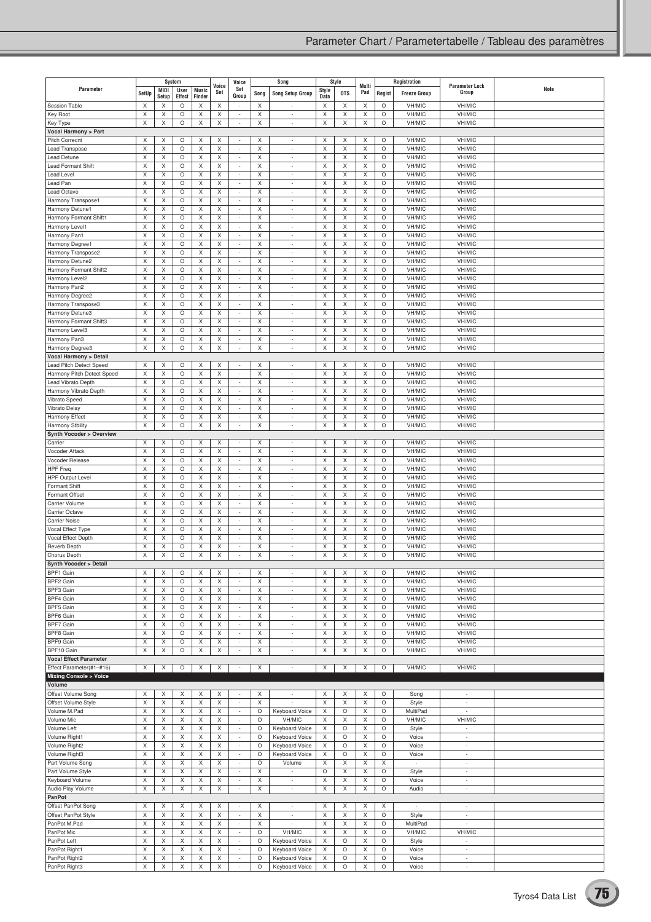|                                  |                  | System                    |              |                  | Voice            | Voice                              |         | Song                           |        | Style      | Multi  |              | Registration             | <b>Parameter Lock</b>    |      |
|----------------------------------|------------------|---------------------------|--------------|------------------|------------------|------------------------------------|---------|--------------------------------|--------|------------|--------|--------------|--------------------------|--------------------------|------|
| Parameter                        | SetUp            | MIDI                      | User         | <b>Music</b>     | Set              | Set<br>Group                       | Song    | <b>Song Setup Group</b>        | Style  | <b>OTS</b> | Pad    | Regist       | <b>Freeze Group</b>      | Group                    | Note |
|                                  |                  | Setup                     | Effect       | Finder           |                  |                                    |         |                                | Data   |            |        |              |                          |                          |      |
| <b>Session Table</b>             | X                | X                         | $\circ$      | X                | Χ                | ÷,                                 | X       |                                | X      | X          | X      | $\circ$      | VH/MIC                   | VH/MIC                   |      |
| <b>Key Root</b>                  | X                | X                         | O            | X                | X                | $\overline{\phantom{a}}$           | X       | $\overline{\phantom{a}}$       | X      | Χ          | Χ      | O            | VH/MIC                   | VH/MIC                   |      |
| Key Type                         | $\mathsf X$      | X                         | $\circ$      | X                | X                | $\overline{\phantom{a}}$           | X       | $\overline{\phantom{a}}$       | X      | Χ          | Χ      | $\circ$      | VH/MIC                   | VH/MIC                   |      |
| <b>Vocal Harmony &gt; Part</b>   |                  |                           |              |                  |                  |                                    |         |                                |        |            |        |              |                          |                          |      |
| Pitch Correcnt                   | X                | X                         | $\circ$      | X                | X                | $\overline{\phantom{a}}$           | X       | $\overline{\phantom{a}}$       | X      | X          | Χ      | O            | VH/MIC                   | VH/MIC                   |      |
| Lead Transpose                   | X                | X                         | $\circ$      | X                | X                | $\overline{\phantom{a}}$           | Χ       | ÷                              | X      | Χ          | Χ      | $\circ$      | VH/MIC                   | VH/MIC                   |      |
| Lead Detune                      | X                | X                         | $\circ$      | X                | Χ                | $\sim$                             | X       | ÷.                             | X      | X          | X      | O            | VH/MIC                   | VH/MIC                   |      |
| <b>Lead Formant Shift</b>        | X                | X                         | $\circ$      | X                | X                | $\sim$                             | X       | $\overline{\phantom{a}}$       | X      | Χ          | Χ      | O            | VH/MIC                   | VH/MIC                   |      |
| Lead Level                       | X                | X                         | O            | X                | X                | $\overline{a}$                     | Χ       | ÷,                             | Χ      | Χ          | Χ      | O            | VH/MIC                   | VH/MIC                   |      |
| Lead Pan                         | X                | X                         | $\circ$      | X                | X                | $\overline{\phantom{a}}$           | X       | $\overline{\phantom{a}}$       | X      | Χ          | X      | O            | VH/MIC                   | VH/MIC                   |      |
| Lead Octave                      | X                | X                         | $\circ$      | X                | X                | $\overline{\phantom{a}}$           | X       | $\overline{\phantom{a}}$       | X      | X          | X      | O            | VH/MIC                   | VH/MIC                   |      |
| Harmony Transpose1               | X                | X                         | $\circ$      | X                | Χ                | $\overline{\phantom{a}}$           | X       | $\overline{\phantom{a}}$       | X      | Χ          | X      | $\circ$      | VH/MIC                   | VH/MIC                   |      |
| Harmony Detune1                  | X<br>$\mathsf X$ | X<br>$\mathsf X$          | O<br>$\circ$ | X<br>$\mathsf X$ | X<br>$\mathsf X$ | $\overline{\phantom{a}}$           | X<br>X  | $\overline{\phantom{a}}$       | X<br>X | X<br>X     | X<br>X | O<br>$\circ$ | VH/MIC<br>VH/MIC         | VH/MIC                   |      |
| Harmony Formant Shift1           | X                | X                         | $\circ$      |                  | Χ                | $\overline{\phantom{a}}$<br>$\sim$ | X       | $\overline{\phantom{a}}$<br>÷. | X      | Χ          | X      | O            | VH/MIC                   | VH/MIC<br>VH/MIC         |      |
| Harmony Level1<br>Harmony Pan1   | X                | X                         | $\circ$      | X<br>X           | Χ                | $\overline{\phantom{a}}$           | X       | $\overline{\phantom{a}}$       | X      | X          | Χ      | O            | VH/MIC                   | VH/MIC                   |      |
| Harmony Degree1                  | X                | X                         | $\circ$      | X                | X                | $\overline{\phantom{a}}$           | Χ       | $\overline{\phantom{a}}$       | Χ      | Χ          | Χ      | $\circ$      | VH/MIC                   | VH/MIC                   |      |
| Harmony Transpose2               | X                | Χ                         | $\circ$      | X                | X                | $\sim$                             | X       | $\overline{\phantom{a}}$       | X      | Χ          | Χ      | O            | VH/MIC                   | VH/MIC                   |      |
| Harmony Detune2                  | X                | X                         | $\circ$      | X                | Χ                | $\overline{\phantom{a}}$           | X       | $\overline{\phantom{a}}$       | X      | X          | X      | O            | VH/MIC                   | VH/MIC                   |      |
| Harmony Formant Shift2           | X                | X                         | $\circ$      | Χ                | Χ                | $\overline{\phantom{a}}$           | X       | ÷.                             | X      | Χ          | X      | O            | VH/MIC                   | VH/MIC                   |      |
| Harmony Level2                   | X                | X                         | O            | X                | X                | $\overline{\phantom{a}}$           | Χ       | $\overline{\phantom{a}}$       | X      | X          | Χ      | O            | VH/MIC                   | VH/MIC                   |      |
| Harmony Pan2                     | X                | X                         | $\circ$      | X                | X                | $\overline{\phantom{a}}$           | X       | ÷                              | X      | X          | X      | O            | VH/MIC                   | VH/MIC                   |      |
| Harmony Degree2                  | X                | X                         | $\circ$      | X                | X                | $\sim$                             | X       | $\overline{a}$                 | X      | Χ          | Χ      | $\circ$      | VH/MIC                   | VH/MIC                   |      |
| Harmony Transpose3               | X                | X                         | O            | X                | X                | $\overline{\phantom{a}}$           | X       | $\overline{\phantom{a}}$       | X      | Χ          | Χ      | O            | VH/MIC                   | VH/MIC                   |      |
| Harmony Detune3                  | X                | X                         | $\circ$      | X                | X                | $\overline{\phantom{a}}$           | Χ       | $\overline{\phantom{a}}$       | Χ      | Χ          | Χ      | $\circ$      | VH/MIC                   | VH/MIC                   |      |
| Harmony Formant Shift3           | X                | X                         | $\circ$      | X                | Χ                | $\sim$                             | X       | ÷                              | X      | Χ          | X      | O            | VH/MIC                   | VH/MIC                   |      |
| Harmony Level3                   | X                | Χ                         | $\circ$      | X                | X                | $\overline{\phantom{a}}$           | X       | $\overline{\phantom{a}}$       | X      | Χ          | Χ      | O            | VH/MIC                   | VH/MIC                   |      |
| Harmony Pan3                     | X                | Χ                         | O            | X                | X                | $\overline{\phantom{a}}$           | Χ       | ٠                              | Χ      | Χ          | Χ      | $\circ$      | VH/MIC                   | VH/MIC                   |      |
| Harmony Degree3                  | X                | $\boldsymbol{\mathsf{X}}$ | $\circ$      | X                | X                | $\sim$                             | X       | $\overline{\phantom{a}}$       | X      | Χ          | Χ      | $\circ$      | VH/MIC                   | VH/MIC                   |      |
| <b>Vocal Harmony &gt; Detail</b> |                  |                           |              |                  |                  |                                    |         |                                |        |            |        |              |                          |                          |      |
| Lead Pitch Detect Speed          | X                | X                         | $\circ$      | X                | Χ                | $\sim$                             | X       | $\sim$                         | Χ      | X          | X      | $\circ$      | VH/MIC                   | VH/MIC                   |      |
| Harmony Pitch Detect Speed       | X                | X                         | O            | X                | X                | $\overline{\phantom{a}}$           | X       | $\overline{\phantom{a}}$       | X      | Χ          | X      | O            | VH/MIC                   | VH/MIC                   |      |
| Lead Vibrato Depth               | X                | X                         | $\circ$      | X                | X                | $\overline{\phantom{a}}$           | Χ       | $\overline{\phantom{a}}$       | X      | Χ          | Χ      | $\circ$      | VH/MIC                   | VH/MIC                   |      |
| Harmony Vibrato Depth            | X                | X                         | $\circ$      | X                | Χ                | $\sim$                             | X       | $\sim$                         | X      | X          | X      | O            | VH/MIC                   | VH/MIC                   |      |
| Vibrato Speed                    | X                | X                         | O            | X                | X                | $\overline{\phantom{a}}$           | X       | $\overline{\phantom{a}}$       | X      | X          | X      | O            | VH/MIC                   | VH/MIC                   |      |
| Vibrato Delay                    | $\mathsf X$      | X                         | O            | X                | X                | $\overline{\phantom{a}}$           | Χ       | $\overline{\phantom{a}}$       | X      | Χ          | Χ      | O            | VH/MIC                   | VH/MIC                   |      |
| Harmony Effect                   | X                | X                         | $\circ$      | X                | Χ                | $\overline{\phantom{a}}$           | X       | ÷.                             | X      | Χ          | X      | O            | VH/MIC                   | VH/MIC                   |      |
| Harmony Stbility                 | X                | X                         | $\circ$      | X                | X                | $\overline{\phantom{a}}$           | X       | ÷                              | X      | Χ          | Χ      | O            | VH/MIC                   | VH/MIC                   |      |
| Synth Vocoder > Overview         |                  |                           |              |                  |                  |                                    |         |                                |        |            |        |              |                          |                          |      |
| Carrier                          | X                | X                         | O            | X                | X                | $\sim$                             | X       | $\overline{\phantom{a}}$       | X      | X          | X      | O            | VH/MIC                   | VH/MIC                   |      |
| Vocoder Attack                   | X                | X                         | $\circ$      | X                | Χ                | $\overline{\phantom{a}}$           | X       | $\overline{\phantom{a}}$       | Χ      | Χ          | X      | O            | VH/MIC                   | VH/MIC                   |      |
| Vocoder Release                  | X                | X                         | $\circ$      | X                | Χ                | $\sim$                             | X       | $\overline{\phantom{a}}$       | X      | Χ          | X      | $\circ$      | VH/MIC                   | VH/MIC                   |      |
| <b>HPF Freq</b>                  | X                | X                         | O            | X                | X                | $\overline{\phantom{a}}$           | Χ       | $\overline{\phantom{a}}$       | X      | Χ          | X      | O            | VH/MIC                   | VH/MIC                   |      |
| <b>HPF Output Level</b>          | X                | $\mathsf X$               | $\circ$      | X                | X                | $\overline{\phantom{a}}$           | X       | $\overline{\phantom{a}}$       | X      | Χ          | Χ      | $\circ$      | VH/MIC                   | VH/MIC                   |      |
| Formant Shift                    | X                | Χ                         | $\circ$      | X                | Χ                | $\sim$                             | X       | ÷.                             | Χ      | Χ          | X      | O            | VH/MIC                   | VH/MIC                   |      |
| Formant Offset                   | X                | X                         | $\circ$      | X                | X                | $\overline{\phantom{a}}$           | X       | $\overline{\phantom{a}}$       | X      | Χ          | Χ      | O            | VH/MIC                   | VH/MIC                   |      |
| Carrier Volume                   | X                | X                         | $\circ$      | X                | X                | $\overline{\phantom{a}}$           | Χ       | ÷.                             | Χ      | Χ          | Χ      | $\circ$      | VH/MIC                   | VH/MIC                   |      |
| Carrier Octave                   | X                | X                         | $\circ$      | X                | Χ                | $\sim$                             | X       | ÷.                             | Χ      | X          | X      | O            | VH/MIC                   | VH/MIC                   |      |
| <b>Carrier Noise</b>             | X                | X                         | $\circ$      | X                | X                | $\sim$                             | X       | ÷.                             | X      | Χ          | Χ      | O            | VH/MIC                   | VH/MIC                   |      |
| Vocal Effect Type                | X                | X                         | $\circ$      | X                | X                | $\overline{\phantom{a}}$           | Χ       | $\overline{\phantom{a}}$       | Χ      | Χ          | Χ      | $\circ$      | VH/MIC                   | VH/MIC                   |      |
| Vocal Effect Depth               | X                | X                         | O            | X                | X                | $\overline{\phantom{a}}$           | Χ       | ÷.                             | X      | Χ          | X      | O            | VH/MIC                   | VH/MIC                   |      |
| Reverb Depth                     | X                | X                         | $\circ$      | X                | Χ                | $\overline{\phantom{a}}$           | X       | $\overline{\phantom{a}}$       | X      | X          | Χ      | O            | VH/MIC                   | VH/MIC                   |      |
| Chorus Depth                     | X                | Χ                         | $\circ$      | X                | Χ                | ÷                                  | X       | ÷.                             | X      | Χ          | Χ      | O            | VH/MIC                   | VH/MIC                   |      |
| Synth Vocoder > Detail           |                  |                           |              |                  |                  |                                    |         |                                |        |            |        |              |                          |                          |      |
| BPF1 Gain                        | X                | X                         | O            | X                | Х                | $\overline{\phantom{a}}$           | Χ       | $\overline{\phantom{a}}$       | Х      | Χ          | X      | O            | VH/MIC                   | VH/MIC                   |      |
| BPF2 Gain                        | X                | X                         | O            | X                | Χ                | $\sim$                             | X       | $\sim$                         | Χ      | Χ          | X      | O            | VH/MIC                   | VH/MIC                   |      |
| BPF3 Gain                        | X                | X                         | O            | X                | Χ                | $\overline{\phantom{a}}$           | X       | ÷.                             | X      | Χ          | Χ      | O            | VH/MIC                   | VH/MIC                   |      |
| BPF4 Gain                        | X                | X                         | $\circ$      | X                | X                | $\overline{\phantom{a}}$           | Χ       | $\overline{\phantom{a}}$       | X      | Χ          | Χ      | $\circ$      | VH/MIC                   | VH/MIC                   |      |
| BPF5 Gain                        | X                | Χ                         | O            | X                | X                | $\overline{\phantom{a}}$           | Χ       | $\overline{\phantom{a}}$       | X      | Χ          | Χ      | O            | VH/MIC                   | VH/MIC                   |      |
| BPF6 Gain                        | X                | X                         | $\circ$      | X                | Χ                | $\overline{\phantom{a}}$           | X       | $\overline{\phantom{a}}$       | Χ      | X          | X      | O            | VH/MIC                   | VH/MIC                   |      |
| BPF7 Gain                        | X                | X                         | O            | X                | X                | $\overline{\phantom{a}}$           | Χ       | $\overline{a}$                 | X      | Χ          | Χ      | O            | VH/MIC                   | VH/MIC                   |      |
| BPF8 Gain                        | X                | Χ                         | O            | X                | X                | $\overline{\phantom{a}}$           | Χ       | $\overline{\phantom{a}}$       | X      | X          | Χ      | O            | VH/MIC                   | VH/MIC                   |      |
| BPF9 Gain                        | X                | X                         | O            | X                | Χ                | $\sim$                             | X       | $\overline{\phantom{a}}$       | Χ      | X          | X      | O            | VH/MIC                   | VH/MIC                   |      |
| BPF10 Gain                       | X                | X                         | $\circ$      | X                | X                | $\sim$                             | X       | $\overline{a}$                 | X      | Χ          | Χ      | $\circ$      | VH/MIC                   | VH/MIC                   |      |
| <b>Vocal Effect Parameter</b>    |                  |                           |              |                  |                  |                                    |         |                                |        |            |        |              |                          |                          |      |
| Effect Parameter(#1-#16)         | X                | X                         | O            | X                | X                | $\overline{\phantom{a}}$           | X       | $\overline{\phantom{a}}$       | X      | X          | X      | O            | VH/MIC                   | VH/MIC                   |      |
| <b>Mixing Console &gt; Voice</b> |                  |                           |              |                  |                  |                                    |         |                                |        |            |        |              |                          |                          |      |
| Volume                           |                  |                           |              |                  |                  |                                    |         |                                |        |            |        |              |                          |                          |      |
| Offset Volume Song               | X                | X                         | X            | X                | X                | $\overline{\phantom{a}}$           | Χ       | $\overline{\phantom{a}}$       | X      | Χ          | Χ      | O            | Song                     | $\sim$                   |      |
| Offset Volume Style              | X                | X                         | X            | X                | X                | $\sim$                             | X       | $\overline{\phantom{a}}$       | X      | Χ          | Χ      | O            | Style                    | $\overline{\phantom{a}}$ |      |
| Volume M.Pad                     | X                | X                         | X            | X                | Χ                | $\sim$                             | O       | Keyboard Voice                 | Χ      | O          | X      | O            | MultiPad                 | $\overline{\phantom{a}}$ |      |
| Volume Mic                       | X                | X                         | X            | X                | X                | $\overline{\phantom{a}}$           | O       | VH/MIC                         | X      | Χ          | Χ      | O            | VH/MIC                   | VH/MIC                   |      |
| Volume Left                      | X                | X                         | X            | X                | X                | $\overline{\phantom{a}}$           | O       | Keyboard Voice                 | X      | O          | Χ      | O            | Style                    | $\overline{\phantom{a}}$ |      |
| Volume Right1                    | X                | X                         | X            | X                | X                | $\overline{\phantom{a}}$           | O       | Keyboard Voice                 | X      | O          | Χ      | $\circ$      | Voice                    | $\overline{\phantom{a}}$ |      |
| Volume Right2                    | X                | X                         | X            | X                | X                | $\sim$                             | O       | Keyboard Voice                 | Χ      | O          | X      | O            | Voice                    | $\sim$                   |      |
| Volume Right3                    | X                | X                         | X            | X                | X                | $\overline{\phantom{a}}$           | O       | Keyboard Voice                 | X      | O          | X      | O            | Voice                    | $\sim$                   |      |
| Part Volume Song                 | X                | X                         | X            | X                | X                | $\overline{\phantom{a}}$           | O       | Volume                         | Χ      | Χ          | Χ      | X            | $\overline{\phantom{a}}$ | $\overline{\phantom{a}}$ |      |
| Part Volume Style                | X                | X                         | X            | X                | X                | $\sim$                             | X       | $\overline{\phantom{a}}$       | O      | Χ          | Χ      | O            | Style                    | $\sim$                   |      |
| Keyboard Volume                  | X                | X                         | X            | X                | X                | $\overline{\phantom{a}}$           | X       | $\overline{\phantom{a}}$       | X      | Χ          | Χ      | O            | Voice                    | $\sim$                   |      |
| Audio Play Volume                | X                | X                         | X            | X                | X                | $\overline{\phantom{a}}$           | X       | $\overline{\phantom{a}}$       | X      | Χ          | Χ      | $\circ$      | Audio                    | $\overline{\phantom{a}}$ |      |
| PanPot                           |                  |                           |              |                  |                  |                                    |         |                                |        |            |        |              |                          |                          |      |
| Offset PanPot Song               | X                | Χ                         | X            | X                | X                | $\sim$                             | Χ       | $\overline{\phantom{a}}$       | Χ      | Χ          | X      | Χ            | $\overline{\phantom{a}}$ | $\overline{\phantom{a}}$ |      |
| Offset PanPot Style              | X                | X                         | X            | X                | X                | $\sim$                             | X       | $\overline{\phantom{a}}$       | X      | Χ          | Χ      | O            | Style                    | $\sim$                   |      |
| PanPot M.Pad                     | X                | Χ                         | X            | X                | X                | ÷                                  | X       | $\overline{\phantom{a}}$       | X      | Χ          | Χ      | O            | MultiPad                 | $\overline{\phantom{a}}$ |      |
| PanPot Mic                       | X                | X                         | X            | X                | X                | $\sim$                             | O       | VH/MIC                         | X      | Χ          | Χ      | $\circ$      | VH/MIC                   | VH/MIC                   |      |
| PanPot Left                      | X                | X                         | X            | X                | X                | $\sim$                             | $\circ$ | <b>Keyboard Voice</b>          | X      | O          | X      | O            | Style                    | $\overline{\phantom{a}}$ |      |
| PanPot Right1                    | X                | Χ                         | X            | X                | X                | $\overline{\phantom{a}}$           | O       | Keyboard Voice                 | X      | O          | Χ      | O            | Voice                    | $\overline{\phantom{a}}$ |      |
| PanPot Right2                    | X                | Χ                         | X            | Χ                | X                | $\overline{\phantom{a}}$           | O       | Keyboard Voice                 | X      | O          | Χ      | $\circ$      | Voice                    | $\overline{\phantom{a}}$ |      |
| PanPot Right3                    | X                | X                         | Χ            | X                | Χ                |                                    | O       | <b>Keyboard Voice</b>          | Χ      | O          | X      | $\circ$      | Voice                    |                          |      |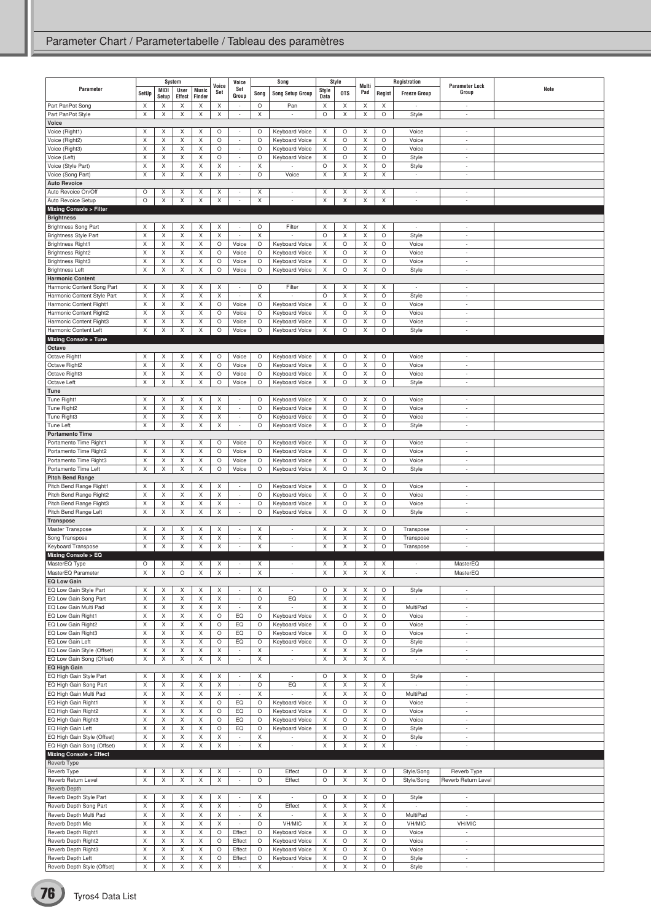|                                                       |             |               | System         |                        | Voice       | Voice                                                |              | Song                             |                           | Style        | Multi        |              | Registration             | <b>Parameter Lock</b>              |      |
|-------------------------------------------------------|-------------|---------------|----------------|------------------------|-------------|------------------------------------------------------|--------------|----------------------------------|---------------------------|--------------|--------------|--------------|--------------------------|------------------------------------|------|
| Parameter                                             | SetUp       | MIDI<br>Setup | User<br>Effect | <b>Music</b><br>Finder | Set         | Set<br>Group                                         | Song         | <b>Song Setup Group</b>          | Style<br>Data             | <b>OTS</b>   | Pad          | Regist       | <b>Freeze Group</b>      | Group                              | Note |
| Part PanPot Song                                      | X           | X             | X              | X                      | X           |                                                      | O            | Pan                              | X                         | X            | X            | X            | ÷                        | $\sim$                             |      |
| Part PanPot Style                                     | Χ           | X             | X              | X                      | X           | $\overline{\phantom{a}}$                             | X            |                                  | $\circ$                   | X            | X            | O            | Style                    | $\overline{\phantom{a}}$           |      |
| Voice                                                 |             |               |                |                        |             |                                                      |              |                                  |                           |              |              |              |                          |                                    |      |
| Voice (Right1)                                        | X           | X             | Х              | X                      | О           | $\sim$                                               | O            | Keyboard Voice                   | Х                         | O            | X            | O            | Voice                    | $\overline{\phantom{a}}$           |      |
| Voice (Right2)                                        | X           | X             | Χ              | X                      | O           | $\overline{\phantom{a}}$                             | O            | <b>Keyboard Voice</b>            | X                         | O            | X            | O            | Voice                    | $\overline{\phantom{a}}$           |      |
| Voice (Right3)                                        | Χ           | X             | X              | X                      | O           | ÷,                                                   | $\circ$      | Keyboard Voice                   | X                         | O            | X            | O            | Voice                    | ÷                                  |      |
| Voice (Left)                                          | X           | X             | X              | Χ                      | O           | $\overline{\phantom{a}}$                             | O            | Keyboard Voice                   | Χ                         | O            | X            | O            | Style                    | $\overline{\phantom{a}}$           |      |
| Voice (Style Part)                                    | X           | X             | X              | X                      | X           | $\overline{\phantom{a}}$                             | Χ            |                                  | $\circ$                   | X            | X            | O            | Style                    | $\overline{\phantom{a}}$           |      |
| Voice (Song Part)                                     | X           | Χ             | X              | X                      | Χ           | ÷                                                    | O            | Voice                            | X                         | X            | X            | X            | ÷,                       | ÷                                  |      |
| <b>Auto Revoice</b>                                   |             |               |                |                        |             |                                                      |              |                                  |                           |              |              |              |                          |                                    |      |
| Auto Revoice On/Off                                   | O           | Χ             | X              | Χ                      | X           |                                                      | Χ            | $\overline{\phantom{a}}$         | Χ                         | X            | X            | X            | $\overline{\phantom{a}}$ | $\overline{\phantom{a}}$           |      |
| Auto Revoice Setup                                    | $\circ$     | X             | X              | X                      | X           | ×,                                                   | X            | ×,                               | X                         | $\mathsf X$  | X            | X            | ÷                        | ÷                                  |      |
| Mixing Console > Filter                               |             |               |                |                        |             |                                                      |              |                                  |                           |              |              |              |                          |                                    |      |
| <b>Brightness</b>                                     |             |               |                |                        |             |                                                      |              |                                  |                           |              |              |              |                          |                                    |      |
| <b>Brightness Song Part</b>                           | X           | X             | Х              | X                      | Х           | $\overline{\phantom{a}}$                             | O            | Filter                           | Х                         | Х            | X            | Х            | $\overline{\phantom{a}}$ | $\overline{\phantom{a}}$           |      |
| <b>Brightness Style Part</b>                          | X           | X             | Χ              | X                      | Χ           |                                                      | X            |                                  | $\circ$                   | X            | X            | O            | Style                    | $\overline{\phantom{a}}$           |      |
| <b>Brightness Right1</b>                              | Χ           | Χ             | Χ              | X                      | O           | Voice                                                | $\circ$      | Keyboard Voice                   | X                         | O            | X            | O            | Voice                    | ÷                                  |      |
| <b>Brightness Right2</b>                              | X<br>X      | X<br>Χ        | X<br>X         | X<br>Χ                 | O           | Voice                                                | O<br>$\circ$ | Keyboard Voice                   | X<br>X                    | O<br>$\circ$ | X<br>X       | $\circ$      | Voice<br>Voice           | $\overline{\phantom{a}}$<br>٠      |      |
| <b>Brightness Right3</b><br><b>Brightness Left</b>    | X           | X             | X              | X                      | O<br>O      | Voice                                                | $\circ$      | Keyboard Voice<br>Keyboard Voice | X                         | $\circ$      | X            | O<br>O       |                          | $\sim$                             |      |
|                                                       |             |               |                |                        |             | Voice                                                |              |                                  |                           |              |              |              | Style                    |                                    |      |
| <b>Harmonic Content</b><br>Harmonic Content Song Part | X           | Χ             | X              | X                      | X           |                                                      | O            | Filter                           | X                         | X            | X            | X            |                          | ÷,                                 |      |
| Harmonic Content Style Part                           | Χ           | Χ             | X              | X                      | X           | $\sim$                                               | X            |                                  | $\circ$                   | X            | X            | O            | Style                    | ÷                                  |      |
| Harmonic Content Right1                               | X           | X             | X              | X                      | O           | Voice                                                | O            | Keyboard Voice                   | X                         | O            | X            | O            | Voice                    | $\overline{\phantom{a}}$           |      |
| Harmonic Content Right2                               | X           | X             | X              | X                      | O           | Voice                                                | $\circ$      | Keyboard Voice                   | X                         | $\circ$      | X            | $\circ$      | Voice                    | ٠                                  |      |
| Harmonic Content Right3                               | X           | Χ             | X              | X                      | O           | Voice                                                | $\circ$      | Keyboard Voice                   | X                         | $\circ$      | X            | O            | Voice                    | $\overline{\phantom{a}}$           |      |
| Harmonic Content Left                                 | X           | X             | X              | X                      | O           | Voice                                                | $\circ$      | Keyboard Voice                   | X                         | O            | X            | O            | Style                    | $\overline{\phantom{a}}$           |      |
| <b>Mixing Console &gt; Tune</b>                       |             |               |                |                        |             |                                                      |              |                                  |                           |              |              |              |                          |                                    |      |
| Octave                                                |             |               |                |                        |             |                                                      |              |                                  |                           |              |              |              |                          |                                    |      |
| Octave Right1                                         | Χ           | Χ             | Χ              | X                      | O           | Voice                                                | $\circ$      | Keyboard Voice                   | X                         | O            | X            | O            | Voice                    | $\overline{\phantom{a}}$           |      |
| Octave Right2                                         | X           | X             | X              | X                      | O           | Voice                                                | $\circ$      | <b>Keyboard Voice</b>            | X                         | O            | X            | O            | Voice                    | $\sim$                             |      |
| Octave Right3                                         | X           | Χ             | X              | X                      | O           | Voice                                                | $\circ$      | Keyboard Voice                   | X                         | O            | X            | O            | Voice                    | $\overline{\phantom{a}}$           |      |
| Octave Left                                           | X           | Χ             | X              | Χ                      | O           | Voice                                                | $\circ$      | Keyboard Voice                   | X                         | $\circ$      | X            | $\circ$      | Style                    | $\overline{\phantom{a}}$           |      |
| Tune                                                  |             |               |                |                        |             |                                                      |              |                                  |                           |              |              |              |                          |                                    |      |
| Tune Right1                                           | X           | X             | X              | X                      | Χ           | $\overline{\phantom{a}}$                             | $\circ$      | Keyboard Voice                   | Χ                         | O            | X            | O            | Voice                    | $\overline{\phantom{a}}$           |      |
| Tune Right2                                           | X           | X             | Χ              | X                      | Χ           | ÷,                                                   | $\circ$      | Keyboard Voice                   | X                         | O            | X            | O            | Voice                    | ٠                                  |      |
| Tune Right3                                           | X           | Χ             | X              | Χ                      | Χ           | $\overline{\phantom{a}}$                             | O            | Keyboard Voice                   | Х                         | $\circ$      | X            | $\circ$      | Voice                    | $\overline{\phantom{a}}$           |      |
| Tune Left                                             | X           | X             | X              | X                      | X           | $\sim$                                               | $\circ$      | Keyboard Voice                   | Χ                         | O            | X            | O            | Style                    | $\overline{\phantom{a}}$           |      |
| <b>Portamento Time</b>                                |             |               |                |                        |             |                                                      |              |                                  |                           |              |              |              |                          |                                    |      |
| Portamento Time Right1                                | X<br>Χ      | Х             | X              | Χ                      | O           | Voice                                                | $\circ$      | Keyboard Voice                   | Χ<br>X                    | O            | X<br>$\sf X$ | O<br>$\circ$ | Voice                    | ٠                                  |      |
| Portamento Time Right2<br>Portamento Time Right3      | X           | X<br>Χ        | X<br>X         | Χ<br>X                 | O<br>O      | Voice<br>Voice                                       | O<br>$\circ$ | Keyboard Voice<br>Keyboard Voice | X                         | $\circ$<br>O | X            | O            | Voice<br>Voice           | $\overline{\phantom{a}}$<br>$\sim$ |      |
| Portamento Time Left                                  | X           | X             | X              | X                      | O           | Voice                                                | $\circ$      | Keyboard Voice                   | X                         | $\circ$      | X            | O            | Style                    | $\overline{\phantom{a}}$           |      |
| <b>Pitch Bend Range</b>                               |             |               |                |                        |             |                                                      |              |                                  |                           |              |              |              |                          |                                    |      |
| Pitch Bend Range Right1                               | X           | X             | X              | X                      | X           |                                                      | O            | Keyboard Voice                   | Х                         | O            | X            | O            | Voice                    | $\overline{\phantom{a}}$           |      |
| Pitch Bend Range Right2                               | X           | X             | X              | X                      | Χ           | $\overline{\phantom{a}}$                             | O            | Keyboard Voice                   | X                         | O            | X            | O            | Voice                    | $\overline{\phantom{a}}$           |      |
| Pitch Bend Range Right3                               | Χ           | X             | X              | X                      | X           | ÷                                                    | $\circ$      | Keyboard Voice                   | X                         | O            | X            | O            | Voice                    | ÷                                  |      |
| Pitch Bend Range Left                                 | X           | Χ             | X              | X                      | X           | $\overline{\phantom{a}}$                             | $\circ$      | Keyboard Voice                   | X                         | O            | X            | O            | Style                    | $\overline{\phantom{a}}$           |      |
| <b>Transpose</b>                                      |             |               |                |                        |             |                                                      |              |                                  |                           |              |              |              |                          |                                    |      |
| Master Transpose                                      | X           | X             | X              | X                      | X           | ٠                                                    | X            | ٠                                | Χ                         | X            | X            | O            | Transpose                | $\overline{\phantom{a}}$           |      |
| Song Transpose                                        | X           | Χ             | Χ              | Χ                      | X           | $\sim$                                               | Χ            | $\overline{\phantom{a}}$         | X                         | X            | X            | O            | Transpose                | ٠                                  |      |
| Keyboard Transpose                                    | X           | X             | Χ              | X                      | X           | $\sim$                                               | $\mathsf X$  | ÷                                | X                         | X            | X            | $\circ$      | Transpose                | ÷,                                 |      |
| Mixing Console > EQ                                   |             |               |                |                        |             |                                                      |              |                                  |                           |              |              |              |                          |                                    |      |
| MasterEQ Type                                         | $\circ$     | X             | X              | X                      | Χ           |                                                      | Χ            |                                  | Χ                         | X            | X            | Χ            |                          | MasterEQ                           |      |
| MasterEQ Parameter                                    | Χ           | X             | $\circ$        | X                      | X           | $\overline{\phantom{a}}$                             | X            | $\overline{\phantom{a}}$         | Χ                         | X            | X            | X            | $\sim$                   | MasterEQ                           |      |
| <b>EQ Low Gain</b>                                    |             |               |                |                        |             |                                                      |              |                                  |                           |              |              |              |                          |                                    |      |
| EQ Low Gain Style Part                                | X           | Χ             | Χ              | Χ                      | X           | $\overline{\phantom{a}}$<br>$\overline{\phantom{a}}$ | Χ            | $\overline{\phantom{a}}$<br>EQ   | $\circ$<br>X              | X            | X            | O            | Style<br>$\sim$          | $\overline{\phantom{a}}$<br>$\sim$ |      |
| EQ Low Gain Song Part<br>EQ Low Gain Multi Pad        | X<br>X      | X<br>X        | X<br>X         | X<br>X                 | Χ<br>X      | $\overline{\phantom{a}}$                             | $\circ$<br>X | ÷                                | X                         | X<br>X       | X<br>X       | X<br>$\circ$ | MultiPad                 | $\sim$                             |      |
| EQ Low Gain Right1                                    | X           | X             | X              | X                      | O           | EQ                                                   | O            | Keyboard Voice                   | X                         | $\circ$      | X            | $\circ$      | Voice                    | $\sim$                             |      |
| EQ Low Gain Right2                                    | X           | X             | X              | X                      | O           | EQ                                                   | $\circ$      | Keyboard Voice                   | Χ                         | O            | X            | O            | Voice                    | $\sim$                             |      |
| EQ Low Gain Right3                                    | X           | X             | X              | X                      | $\circ$     | EQ                                                   | $\circ$      | Keyboard Voice                   | X                         | $\circ$      | X            | $\circ$      | Voice                    | $\overline{\phantom{a}}$           |      |
| EQ Low Gain Left                                      | X           | X             | X              | X                      | O           | EQ                                                   | O            | Keyboard Voice                   | X                         | $\circ$      | X            | O            | Style                    | $\overline{\phantom{a}}$           |      |
| EQ Low Gain Style (Offset)                            | X           | X             | X              | X                      | X           | $\sim$                                               | X            | $\overline{\phantom{a}}$         | X                         | Х            | X            | O            | Style                    | $\sim$                             |      |
| EQ Low Gain Song (Offset)                             | X           | X             | X              | X                      | X           | $\overline{\phantom{a}}$                             | X            | $\overline{\phantom{a}}$         | X                         | X            | X            | X            | $\overline{\phantom{a}}$ | $\sim$                             |      |
| EQ High Gain                                          |             |               |                |                        |             |                                                      |              |                                  |                           |              |              |              |                          |                                    |      |
| EQ High Gain Style Part                               | X           | X             | X              | X                      | X           | $\overline{\phantom{a}}$                             | X            | $\overline{\phantom{a}}$         | $\circ$                   | X            | X            | O            | Style                    | $\overline{\phantom{a}}$           |      |
| EQ High Gain Song Part                                | X           | X             | X              | X                      | Χ           | $\overline{\phantom{a}}$                             | O            | EQ                               | Χ                         | X            | X            | X            | $\overline{\phantom{a}}$ | $\overline{\phantom{a}}$           |      |
| EQ High Gain Multi Pad                                | X           | X             | X              | X                      | X           | $\overline{\phantom{a}}$                             | X            | $\sim$                           | Χ                         | X            | X            | O            | MultiPad                 | $\sim$                             |      |
| EQ High Gain Right1                                   | X           | X             | X              | Χ                      | O           | EQ                                                   | $\circ$      | Keyboard Voice                   | X                         | $\circ$      | X            | O            | Voice                    | $\overline{\phantom{a}}$           |      |
| EQ High Gain Right2                                   | Χ           | X             | X              | X                      | $\circ$     | EQ                                                   | $\circ$      | Keyboard Voice                   | X                         | $\circ$      | X            | $\circ$      | Voice                    | $\overline{\phantom{a}}$           |      |
| EQ High Gain Right3                                   | X           | X             | X              | Χ                      | O           | EQ                                                   | $\circ$      | Keyboard Voice                   | Χ                         | $\circ$      | X            | O            | Voice                    | $\sim$                             |      |
| EQ High Gain Left                                     | X           | X             | X              | X                      | O           | EQ                                                   | $\circ$      | Keyboard Voice                   | Χ                         | $\circ$      | X            | O            | Style                    | $\sim$                             |      |
| EQ High Gain Style (Offset)                           | X           | X             | X              | Χ                      | X           | $\overline{\phantom{a}}$                             | X            |                                  | X                         | X            | X            | $\circ$      | Style                    | ٠                                  |      |
| EQ High Gain Song (Offset)                            | $\mathsf X$ | X             | $\mathsf X$    | X                      | $\mathsf X$ | $\overline{\phantom{a}}$                             | X            | $\overline{\phantom{a}}$         | X                         | X            | X            | X            | $\cdot$                  | $\overline{\phantom{a}}$           |      |
| <b>Mixing Console &gt; Effect</b>                     |             |               |                |                        |             |                                                      |              |                                  |                           |              |              |              |                          |                                    |      |
| Reverb Type                                           |             |               |                |                        |             |                                                      |              |                                  |                           |              |              |              |                          |                                    |      |
| Reverb Type<br>Reverb Return Level                    | X<br>X      | Х<br>X        | X<br>X         | X<br>X                 | X<br>X      | $\overline{\phantom{a}}$<br>$\overline{\phantom{a}}$ | O<br>O       | Effect<br>Effect                 | O<br>$\circ$              | X<br>X       | X<br>X       | O<br>O       | Style/Song<br>Style/Song | Reverb Type<br>Reverb Return Level |      |
| Reverb Depth                                          |             |               |                |                        |             |                                                      |              |                                  |                           |              |              |              |                          |                                    |      |
| Reverb Depth Style Part                               | X           | Х             | X              | X                      | X           | $\overline{\phantom{a}}$                             | X            | $\overline{\phantom{a}}$         | O                         | X            | X            | O            | Style                    | $\overline{\phantom{a}}$           |      |
| Reverb Depth Song Part                                | X           | X             | X              | X                      | X           | $\overline{\phantom{a}}$                             | $\circ$      | Effect                           | $\boldsymbol{\mathsf{X}}$ | X            | X            | X            |                          | $\overline{\phantom{a}}$           |      |
| Reverb Depth Multi Pad                                | X           | X             | X              | X                      | Χ           | $\sim$                                               | X            | $\sim$                           | X                         | X            | X            | O            | MultiPad                 | $\sim$                             |      |
| Reverb Depth Mic                                      | X           | X             | X              | X                      | X           | $\sim$                                               | $\circ$      | VH/MIC                           | X                         | X            | X            | O            | VH/MIC                   | VH/MIC                             |      |
| Reverb Depth Right1                                   | X           | X             | X              | X                      | O           | Effect                                               | $\circ$      | Keyboard Voice                   | X                         | $\circ$      | X            | $\circ$      | Voice                    | ÷                                  |      |
| Reverb Depth Right2                                   | X           | X             | X              | X                      | $\circ$     | Effect                                               | $\circ$      | Keyboard Voice                   | Χ                         | $\circ$      | X            | O            | Voice                    | $\overline{\phantom{a}}$           |      |
| Reverb Depth Right3                                   | X           | X             | X              | Χ                      | O           | Effect                                               | $\circ$      | Keyboard Voice                   | X                         | O            | X            | O            | Voice                    | $\overline{\phantom{a}}$           |      |
| Reverb Depth Left                                     | X           | X             | X              | X                      | $\circ$     | Effect                                               | $\circ$      | Keyboard Voice                   | X                         | $\circ$      | X            | $\circ$      | Style                    | $\sim$                             |      |
| Reverb Depth Style (Offset)                           | X           | X             | X              | X                      | X           | $\overline{\phantom{a}}$                             | X            |                                  | X                         | X            | X            | $\circ$      | Style                    | $\overline{\phantom{a}}$           |      |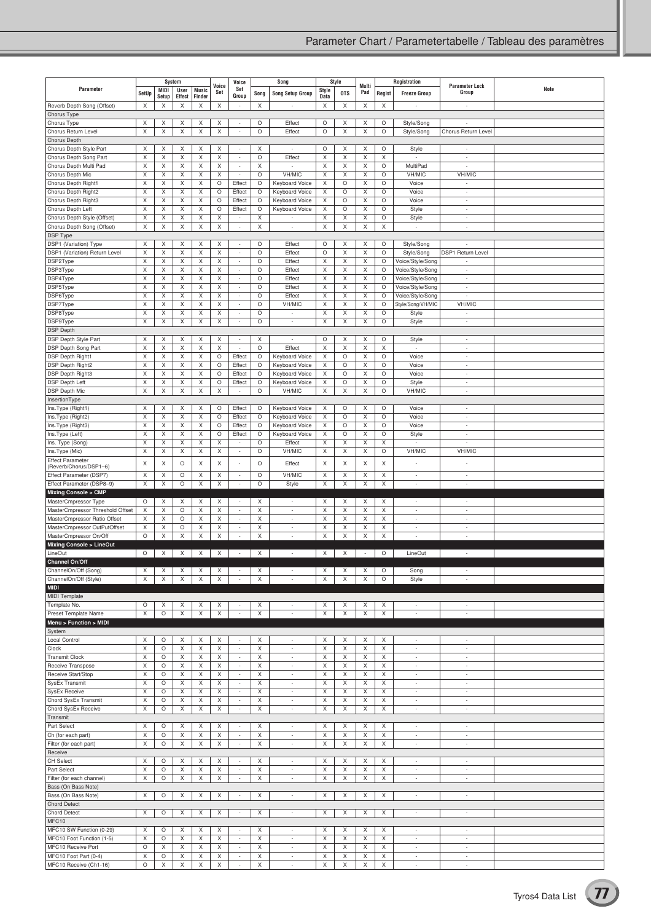|                                                                  |         |              | System      |              | Voice   | Voice                                                |          | Song                                                 |                      | Style      | Multi                    |              | Registration                                         | <b>Parameter Lock</b>                                |      |
|------------------------------------------------------------------|---------|--------------|-------------|--------------|---------|------------------------------------------------------|----------|------------------------------------------------------|----------------------|------------|--------------------------|--------------|------------------------------------------------------|------------------------------------------------------|------|
| Parameter                                                        | SetUp   | <b>MIDI</b>  | User        | <b>Music</b> | Set     | Set                                                  | Song     | <b>Song Setup Group</b>                              | Style                | <b>OTS</b> | Pad                      | Regist       | <b>Freeze Group</b>                                  | Group                                                | Note |
| Reverb Depth Song (Offset)                                       | X       | Setup<br>X   | Effect<br>X | Finder<br>X  | Χ       | Group                                                | X        |                                                      | <b>Data</b><br>Х     | X          | X                        | X            |                                                      | $\sim$                                               |      |
| Chorus Type                                                      |         |              |             |              |         |                                                      |          |                                                      |                      |            |                          |              |                                                      |                                                      |      |
| Chorus Type                                                      | X       | X            | X           | X            | X       | $\sim$                                               | O        | Effect                                               | O                    | X          | X                        | O            | Style/Song                                           | ÷                                                    |      |
| Chorus Return Level                                              | X       | X            | X           | X            | X       | $\overline{\phantom{a}}$                             | O        | Effect                                               | O                    | Χ          | X                        | O            | Style/Song                                           | Chorus Return Level                                  |      |
| Chorus Depth                                                     |         |              |             |              |         |                                                      |          |                                                      |                      |            |                          |              |                                                      |                                                      |      |
| Chorus Depth Style Part                                          | X       | X            | X           | X            | Χ       | ×,                                                   | X        | $\sim$                                               | O                    | X          | X                        | O            | Style                                                | $\sim$                                               |      |
| Chorus Depth Song Part                                           | X       | X            | X           | X            | X       | $\overline{\phantom{a}}$                             | O        | Effect                                               | Χ                    | Χ          | X                        | X            |                                                      | $\sim$                                               |      |
| Chorus Depth Multi Pad<br>Chorus Depth Mic                       | X<br>X  | X<br>X       | X<br>X      | X<br>X       | X<br>Χ  | ÷<br>$\sim$                                          | Χ<br>O   | VH/MIC                                               | X<br>X               | Χ<br>X     | X<br>X                   | O<br>O       | MultiPad<br>VH/MIC                                   | VH/MIC                                               |      |
| Chorus Depth Right1                                              | X       | X            | X           | X            | O       | Effect                                               | O        | Keyboard Voice                                       | X                    | О          | X                        | O            | Voice                                                | $\sim$                                               |      |
| Chorus Depth Right2                                              | X       | X            | X           | X            | $\circ$ | Effect                                               | O        | Keyboard Voice                                       | X                    | O          | X                        | $\circ$      | Voice                                                | $\sim$                                               |      |
| Chorus Depth Right3                                              | X       | X            | X           | X            | O       | Effect                                               | O        | Keyboard Voice                                       | X                    | O          | X                        | O            | Voice                                                | $\sim$                                               |      |
| Chorus Depth Left                                                | X       | X            | Χ           | X            | O       | Effect                                               | O        | Keyboard Voice                                       | X                    | O          | X                        | O            | Style                                                | $\overline{\phantom{a}}$                             |      |
| Chorus Depth Style (Offset)                                      | X       | X            | X           | X            | X       | ÷,                                                   | X        |                                                      | X                    | Χ          | X                        | O            | Style                                                | $\sim$                                               |      |
| Chorus Depth Song (Offset)<br><b>DSP Type</b>                    | X       | X            | X           | X            | X       | $\overline{\phantom{a}}$                             | X        | $\overline{\phantom{a}}$                             | X                    | X          | X                        | X            | $\sim$                                               | $\sim$                                               |      |
| DSP1 (Variation) Type                                            | Χ       | X            | X           | X            | Χ       | $\sim$                                               | O        | Effect                                               | O                    | X          | X                        | O            | Style/Song                                           | $\sim$                                               |      |
| DSP1 (Variation) Return Level                                    | X       | X            | Х           | X            | X       | $\overline{\phantom{a}}$                             | O        | Effect                                               | O                    | Χ          | X                        | O            | Style/Song                                           | DSP1 Return Level                                    |      |
| DSP2Type                                                         | X       | X            | X           | X            | X       | $\overline{\phantom{a}}$                             | O        | Effect                                               | Χ                    | Χ          | X                        | O            | Voice/Style/Song                                     |                                                      |      |
| DSP3Type                                                         | X       | X            | X           | X            | X       | $\overline{\phantom{a}}$                             | O        | Effect                                               | Χ                    | Χ          | X                        | O            | Voice/Style/Song                                     | $\overline{\phantom{a}}$                             |      |
| DSP4Type                                                         | X       | X            | X           | X            | X       | $\sim$                                               | O        | Effect                                               | X                    | Χ          | X                        | O            | Voice/Style/Song                                     | $\overline{\phantom{a}}$                             |      |
| DSP5Type                                                         | X       | X            | X           | X            | X       | $\overline{\phantom{a}}$                             | O        | Effect                                               | Χ                    | Χ          | X                        | O            | Voice/Style/Song                                     | $\sim$                                               |      |
| DSP6Type<br>DSP7Type                                             | X<br>X  | X<br>X       | X<br>X      | X<br>X       | X<br>Χ  | $\overline{\phantom{a}}$<br>$\overline{\phantom{a}}$ | O<br>O   | Effect<br>VH/MIC                                     | Χ<br>X               | Χ<br>X     | X<br>X                   | O<br>O       | Voice/Style/Song<br>Style/Song/VH/MIC                | $\sim$<br>VH/MIC                                     |      |
| DSP8Type                                                         | X       | X            | X           | Χ            | X       | $\overline{\phantom{a}}$                             | O        | $\overline{a}$                                       | X                    | Χ          | X                        | O            | Style                                                | ÷                                                    |      |
| DSP9Type                                                         | X       | X            | X           | X            | X       | $\overline{\phantom{a}}$                             | O        | $\overline{\phantom{a}}$                             | X                    | Χ          | X                        | $\circ$      | Style                                                | $\overline{\phantom{a}}$                             |      |
| <b>DSP Depth</b>                                                 |         |              |             |              |         |                                                      |          |                                                      |                      |            |                          |              |                                                      |                                                      |      |
| DSP Depth Style Part                                             | X       | X            | X           | X            | X       | $\sim$                                               | X        | $\sim$                                               | O                    | X          | X                        | O            | Style                                                | $\sim$                                               |      |
| DSP Depth Song Part                                              | X       | X            | X           | X            | X       | $\overline{\phantom{a}}$                             | O        | Effect                                               | Χ                    | Χ          | X                        | X            | ٠                                                    | $\sim$                                               |      |
| <b>DSP Depth Right1</b>                                          | X<br>X  | X<br>X       | X           | X<br>X       | $\circ$ | Effect                                               | O        | Keyboard Voice                                       | Χ                    | O<br>O     | X                        | $\circ$<br>O | Voice                                                | $\sim$<br>$\sim$                                     |      |
| <b>DSP Depth Right2</b><br>DSP Depth Right3                      | X       | X            | X<br>X      | X            | O<br>O  | Effect<br>Effect                                     | O<br>O   | <b>Keyboard Voice</b><br>Keyboard Voice              | X<br>X               | O          | X<br>X                   | O            | Voice<br>Voice                                       | $\overline{\phantom{a}}$                             |      |
| DSP Depth Left                                                   | X       | X            | X           | X            | O       | Effect                                               | O        | Keyboard Voice                                       | X                    | O          | X                        | O            | Style                                                | $\sim$                                               |      |
| DSP Depth Mic                                                    | X       | X            | X           | X            | X       | $\overline{\phantom{a}}$                             | O        | VH/MIC                                               | X                    | Χ          | X                        | $\circ$      | VH/MIC                                               | $\overline{\phantom{a}}$                             |      |
| InsertionType                                                    |         |              |             |              |         |                                                      |          |                                                      |                      |            |                          |              |                                                      |                                                      |      |
| Ins.Type (Right1)                                                | Χ       | X            | X           | X            | O       | Effect                                               | $\circ$  | Keyboard Voice                                       | $\times$             | $\circ$    | X                        | O            | Voice                                                | $\overline{\phantom{a}}$                             |      |
| Ins.Type (Right2)                                                | X       | X            | X           | X            | $\circ$ | Effect                                               | $\circ$  | Keyboard Voice                                       | X                    | O          | X                        | O            | Voice                                                | $\overline{\phantom{a}}$                             |      |
| Ins.Type (Right3)<br>Ins.Type (Left)                             | X<br>X  | X<br>X       | X<br>X      | X<br>X       | O<br>O  | Effect<br>Effect                                     | O<br>O   | Keyboard Voice<br>Keyboard Voice                     | X<br>X               | О<br>O     | X<br>X                   | $\circ$<br>O | Voice<br>Style                                       | ÷<br>$\sim$                                          |      |
| Ins. Type (Song)                                                 | X       | X            | X           | X            | X       |                                                      | O        | Effect                                               | Χ                    | Χ          | X                        | X            |                                                      |                                                      |      |
| Ins.Type (Mic)                                                   | X       | X            | X           | X            | X       | $\overline{\phantom{a}}$                             | O        | VH/MIC                                               | Χ                    | Χ          | X                        | $\circ$      | VH/MIC                                               | VH/MIC                                               |      |
| <b>Effect Parameter</b>                                          | X       | X            | O           | X            | X       |                                                      | О        | Effect                                               | Χ                    | Χ          | X                        | X            |                                                      |                                                      |      |
| (Reverb/Chorus/DSP1-6)<br>Effect Parameter (DSP7)                | X       | X            | O           | X            | X       | $\overline{\phantom{a}}$                             | O        | VH/MIC                                               | X                    | Χ          | X                        | Χ            | $\sim$                                               | $\overline{\phantom{a}}$                             |      |
| Effect Parameter (DSP8-9)                                        | X       | Χ            | $\circ$     | X            | X       | $\overline{\phantom{a}}$                             | О        | Style                                                | Χ                    | Χ          | X                        | X            | ÷,                                                   | $\sim$                                               |      |
| <b>Mixing Console &gt; CMP</b>                                   |         |              |             |              |         |                                                      |          |                                                      |                      |            |                          |              |                                                      |                                                      |      |
| MasterCmpressor Type                                             | O       | X            | X           | X            | X       | $\overline{\phantom{a}}$                             | X        |                                                      | X                    | X          | Χ                        | Χ            |                                                      |                                                      |      |
| MasterCmpressor Threshold Offset<br>MasterCmpressor Ratio Offset | X<br>X  | X<br>X       | O<br>O      | X<br>X       | X<br>X  | $\sim$<br>$\overline{\phantom{a}}$                   | X<br>Χ   | $\overline{\phantom{a}}$<br>$\overline{\phantom{a}}$ | Χ<br>Χ               | X<br>Χ     | X<br>X                   | X<br>X       | ×,<br>٠                                              | $\sim$<br>$\sim$                                     |      |
| MasterCmpressor OutPutOffset                                     | X       | X            | O           | X            | Χ       | $\overline{\phantom{a}}$                             | Χ        |                                                      | X                    | Χ          | X                        | X            |                                                      | $\overline{a}$                                       |      |
| MasterCmpressor On/Off                                           | $\circ$ | X            | X           | X            | X       | ×,                                                   | X        | ÷                                                    | Χ                    | X          | X                        | X            | ×,                                                   | $\sim$                                               |      |
| <b>Mixing Console &gt; LineOut</b>                               |         |              |             |              |         |                                                      |          |                                                      |                      |            |                          |              |                                                      |                                                      |      |
| LineOut<br>Channel On/Off                                        | O       | X            | X           | X            | X       | $\overline{\phantom{a}}$                             | $\times$ | $\overline{\phantom{a}}$                             | $\times$             | X          | $\overline{\phantom{a}}$ | O            | LineOut                                              |                                                      |      |
| ChannelOn/Off (Song)                                             | X       | Χ            | X           | X            | Χ       | $\overline{\phantom{a}}$                             | Х        | $\overline{\phantom{a}}$                             | X                    | Х          | X                        | O            | Song                                                 |                                                      |      |
| ChannelOn/Off (Style)                                            | X       | X            | X           | X            | X       | ÷,                                                   | Χ        | $\overline{a}$                                       | X                    | Χ          | X                        | O            | Style                                                | $\overline{\phantom{a}}$                             |      |
| <b>MIDI</b>                                                      |         |              |             |              |         |                                                      |          |                                                      |                      |            |                          |              |                                                      |                                                      |      |
| MIDI Template                                                    |         |              |             |              |         |                                                      |          |                                                      |                      |            |                          |              |                                                      |                                                      |      |
| Template No.<br>Preset Template Name                             | O<br>X  | Χ<br>$\circ$ | Χ<br>X      | X<br>X       | Χ<br>X  | $\overline{\phantom{a}}$<br>$\overline{\phantom{a}}$ | X<br>X   | $\sim$<br>÷                                          | X<br>X               | Χ<br>X     | Χ<br>X                   | Χ<br>Х       | $\sim$<br>$\overline{\phantom{a}}$                   | $\sim$<br>$\overline{\phantom{a}}$                   |      |
| Menu > Function > MIDI                                           |         |              |             |              |         |                                                      |          |                                                      |                      |            |                          |              |                                                      |                                                      |      |
| System                                                           |         |              |             |              |         |                                                      |          |                                                      |                      |            |                          |              |                                                      |                                                      |      |
| Local Control                                                    | X       | $\circ$      | Χ           | X            | Χ       | $\overline{\phantom{a}}$                             | X        | $\overline{\phantom{a}}$                             | X                    | X          | X                        | X            | $\overline{\phantom{a}}$                             | $\sim$                                               |      |
| Clock                                                            | X       | O            | X           | X            | X       | $\overline{\phantom{a}}$                             | Χ        | ÷,                                                   | Χ                    | Χ          | X                        | X            | ٠                                                    | ÷                                                    |      |
| <b>Transmit Clock</b>                                            | X       | O            | X           | X            | X       | $\overline{\phantom{a}}$                             | X        | $\overline{\phantom{a}}$                             | X                    | Χ          | X                        | X            | $\overline{\phantom{a}}$                             | $\sim$                                               |      |
| Receive Transpose<br>Receive Start/Stop                          | X<br>X  | O<br>O       | X<br>X      | X<br>X       | Χ<br>X  | $\overline{\phantom{a}}$<br>$\overline{\phantom{a}}$ | X<br>Χ   | $\overline{\phantom{a}}$<br>÷,                       | $\times$<br>$\times$ | X<br>Χ     | X<br>X                   | X<br>X       | $\sim$<br>÷,                                         | $\overline{\phantom{a}}$<br>$\sim$                   |      |
| SysEx Transmit                                                   | X       | O            | X           | X            | X       | $\overline{\phantom{a}}$                             | X        | $\overline{\phantom{a}}$                             | X                    | Χ          | X                        | X            | $\sim$                                               | $\sim$                                               |      |
| <b>SysEx Receive</b>                                             | X       | $\circ$      | X           | X            | X       | $\overline{\phantom{a}}$                             | Χ        | $\overline{\phantom{a}}$                             | X                    | Χ          | X                        | X            | $\sim$                                               | $\sim$                                               |      |
| Chord SysEx Transmit                                             | X       | O            | X           | X            | X       | $\sim$                                               | Χ        | $\sim$                                               | Χ                    | X          | X                        | X            | ×,                                                   | $\sim$                                               |      |
| Chord SysEx Receive                                              | X       | O            | X           | X            | X       | $\overline{\phantom{a}}$                             | X        | $\overline{\phantom{a}}$                             | Χ                    | X          | X                        | X            | $\sim$                                               | $\sim$                                               |      |
| Transmit                                                         |         |              |             |              |         |                                                      |          |                                                      |                      |            |                          |              |                                                      |                                                      |      |
| Part Select<br>Ch (for each part)                                | X<br>Χ  | O<br>O       | X<br>X      | X<br>X       | X<br>X  | $\overline{\phantom{a}}$<br>$\sim$                   | X<br>X   | $\overline{\phantom{a}}$<br>$\overline{\phantom{a}}$ | X<br>Χ               | X<br>X     | X<br>X                   | Χ<br>X       | $\overline{\phantom{a}}$<br>$\overline{\phantom{a}}$ | $\overline{\phantom{a}}$<br>$\overline{\phantom{a}}$ |      |
| Filter (for each part)                                           | X       | O            | X           | X            | X       | $\sim$                                               | Χ        | $\overline{\phantom{a}}$                             | X                    | Χ          | X                        | X            | $\overline{\phantom{a}}$                             | $\sim$                                               |      |
| Receive                                                          |         |              |             |              |         |                                                      |          |                                                      |                      |            |                          |              |                                                      |                                                      |      |
| <b>CH Select</b>                                                 | X       | O            | X           | X            | Χ       | $\overline{\phantom{a}}$                             | X        | $\overline{\phantom{a}}$                             | Χ                    | X          | X                        | Χ            | $\sim$                                               | $\sim$                                               |      |
| Part Select                                                      | X       | O            | X           | X            | X       | $\sim$                                               | X        | ×,                                                   | $\times$             | Χ          | X                        | X            | ٠<br>٠                                               | $\overline{\phantom{a}}$<br>$\sim$                   |      |
| Filter (for each channel)<br>Bass (On Bass Note)                 | X       | O            | X           | X            | X       | $\overline{\phantom{a}}$                             | X        | $\overline{\phantom{a}}$                             | X                    | X          | X                        | Х            |                                                      |                                                      |      |
| Bass (On Bass Note)                                              | Χ       | O            | Χ           | X            | Χ       | $\sim$                                               | Χ        | $\overline{\phantom{a}}$                             | X                    | X          | X                        | Χ            | $\sim$                                               | $\sim$                                               |      |
| <b>Chord Detect</b>                                              |         |              |             |              |         |                                                      |          |                                                      |                      |            |                          |              |                                                      |                                                      |      |
| <b>Chord Detect</b>                                              | X       | O            | X           | X            | X       | $\overline{\phantom{a}}$                             | X        | $\overline{\phantom{a}}$                             | X                    | X          | X                        | X            | ٠                                                    | $\overline{\phantom{a}}$                             |      |
| MFC10<br>MFC10 SW Function (0-29)                                | Χ       | O            | Χ           | Χ            | Χ       | $\overline{\phantom{a}}$                             | Χ        | $\overline{\phantom{a}}$                             | $\times$             | Χ          | X                        | X            | $\overline{\phantom{a}}$                             | $\overline{\phantom{a}}$                             |      |
| MFC10 Foot Function (1-5)                                        | X       | O            | X           | X            | X       | $\overline{\phantom{a}}$                             | Χ        | ×,                                                   | X                    | X          | X                        | X            | $\overline{a}$                                       | $\sim$                                               |      |
| MFC10 Receive Port                                               | $\circ$ | X            | X           | X            | X       | $\overline{\phantom{a}}$                             | Χ        | $\overline{\phantom{a}}$                             | X                    | Χ          | X                        | X            | $\sim$                                               | $\sim$                                               |      |
| MFC10 Foot Part (0-4)                                            | X       | O            | X           | X            | X       | $\overline{\phantom{a}}$                             | Χ        | $\overline{\phantom{a}}$                             | X                    | Χ          | X                        | X            | ÷                                                    | $\overline{\phantom{a}}$                             |      |
| MFC10 Receive (Ch1-16)                                           | $\circ$ | X            | X           | X            | X       | $\sim$                                               | Χ        | ×,                                                   | X                    | Χ          | X                        | X            | $\sim$                                               | $\sim$                                               |      |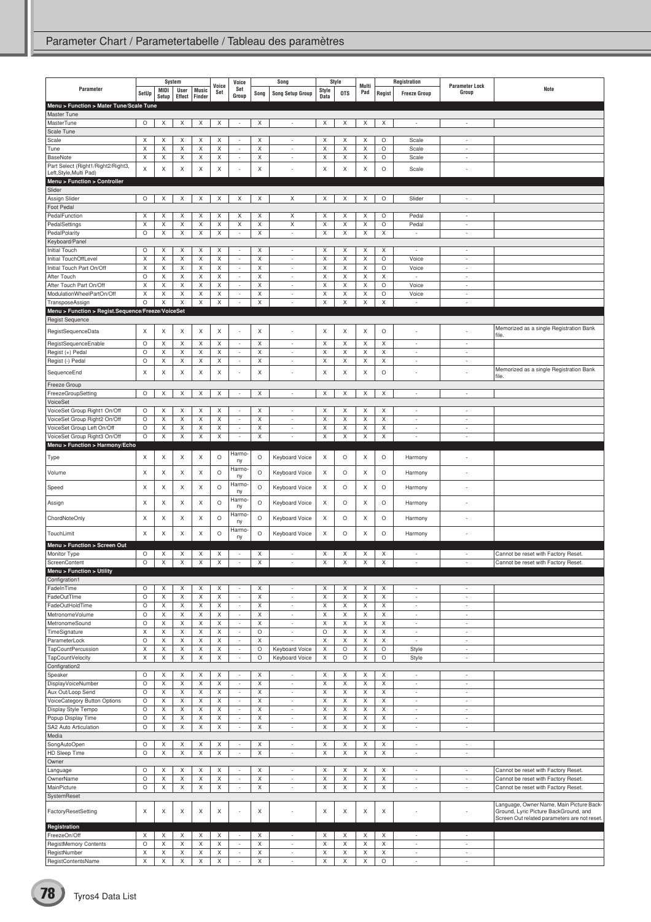|                                                            |                    |        | System           |                  | Voice            | Voice                                                |         | Song                                                 |                           | Style            | Multi            |         | Registration                       |                                            |                                                                                   |
|------------------------------------------------------------|--------------------|--------|------------------|------------------|------------------|------------------------------------------------------|---------|------------------------------------------------------|---------------------------|------------------|------------------|---------|------------------------------------|--------------------------------------------|-----------------------------------------------------------------------------------|
| Parameter                                                  | SetUp              | MIDI   | User             | <b>Music</b>     | Set              | Set<br>Group                                         | Song    | <b>Song Setup Group</b>                              | Style                     | <b>OTS</b>       | Pad              | Regist  | <b>Freeze Group</b>                | <b>Parameter Lock</b><br>Group             | Note                                                                              |
| Menu > Function > Mater Tune/Scale Tune                    |                    | Setup  | Effect           | Finder           |                  |                                                      |         |                                                      | Data                      |                  |                  |         |                                    |                                            |                                                                                   |
| Master Tune                                                |                    |        |                  |                  |                  |                                                      |         |                                                      |                           |                  |                  |         |                                    |                                            |                                                                                   |
| MasterTune                                                 | O                  | Χ      | X                | X                | X                | $\overline{\phantom{a}}$                             | X       | $\overline{\phantom{a}}$                             | Χ                         | X                | X                | X       | $\overline{\phantom{a}}$           | $\overline{\phantom{a}}$                   |                                                                                   |
| Scale Tune                                                 |                    |        |                  |                  |                  |                                                      |         |                                                      |                           |                  |                  |         |                                    |                                            |                                                                                   |
| Scale                                                      | X                  | X      | X                | X                | X                | $\sim$                                               | X       | $\overline{\phantom{a}}$                             | X                         | X                | X                | O       | Scale                              | $\overline{\phantom{a}}$                   |                                                                                   |
| Tune                                                       | X<br>X             | X<br>X | X<br>X           | X<br>X           | Χ<br>X           | $\sim$<br>$\sim$                                     | Χ<br>X  | ÷,<br>÷                                              | X<br>X                    | X                | X<br>X           | O<br>O  | Scale                              | ٠<br>÷                                     |                                                                                   |
| <b>BaseNote</b><br>Part Select (Right1/Right2/Right3,      |                    |        |                  |                  |                  |                                                      |         |                                                      |                           | X                |                  |         | Scale                              |                                            |                                                                                   |
| Left, Style, Multi Pad)                                    | X                  | X      | X                | Χ                | X                |                                                      | X       | Ĭ.                                                   | X                         | X                | X                | O       | Scale                              | $\overline{a}$                             |                                                                                   |
| Menu > Function > Controller                               |                    |        |                  |                  |                  |                                                      |         |                                                      |                           |                  |                  |         |                                    |                                            |                                                                                   |
| Slider                                                     |                    |        |                  |                  |                  |                                                      |         |                                                      |                           |                  |                  |         |                                    |                                            |                                                                                   |
| Assign Slider<br>Foot Pedal                                | $\circ$            | X      | X                | X                | X                | X                                                    | X       | Χ                                                    | Χ                         | X                | X                | O       | Slider                             | $\overline{\phantom{a}}$                   |                                                                                   |
| PedalFunction                                              | X                  | X      | X                | Χ                | X                | Х                                                    | X       | X                                                    | X                         | X                | X                | O       | Pedal                              | $\overline{\phantom{a}}$                   |                                                                                   |
| PedalSettings                                              | X                  | X      | X                | X                | X                | X                                                    | Χ       | X                                                    | X                         | X                | X                | O       | Pedal                              | ÷                                          |                                                                                   |
| PedalPolarity                                              | $\circ$            | X      | X                | X                | X                | $\sim$                                               | X       | $\overline{\phantom{a}}$                             | $\times$                  | X                | X                | Χ       | $\sim$                             | $\sim$                                     |                                                                                   |
| Keyboard/Panel                                             |                    |        |                  |                  |                  |                                                      |         |                                                      |                           |                  |                  |         |                                    |                                            |                                                                                   |
| Initial Touch                                              | $\circ$            | Χ      | X                | X                | X                | $\sim$                                               | Χ       | $\overline{\phantom{a}}$                             | X                         | X                | X                | X       | ٠                                  | ٠                                          |                                                                                   |
| Initial TouchOffLevel<br>Initial Touch Part On/Off         | X<br>X             | Χ<br>X | X<br>Χ           | X<br>X           | X<br>Χ           | $\overline{\phantom{a}}$<br>$\overline{\phantom{a}}$ | Χ<br>X  | $\overline{\phantom{a}}$<br>$\overline{\phantom{a}}$ | X<br>X                    | X<br>X           | X<br>X           | O<br>O  | Voice<br>Voice                     | $\sim$<br>$\overline{a}$                   |                                                                                   |
| After Touch                                                | $\circ$            | Χ      | X                | Χ                | X                | $\sim$                                               | X       | $\overline{\phantom{a}}$                             | X                         | X                | X                | X       | ÷,                                 | $\sim$                                     |                                                                                   |
| After Touch Part On/Off                                    | X                  | Χ      | X                | X                | X                | $\sim$                                               | Χ       | $\overline{\phantom{a}}$                             | X                         | X                | X                | O       | Voice                              | ÷                                          |                                                                                   |
| ModulationWheelPartOn/Off                                  | X                  | X      | X                | Χ                | X                | $\overline{\phantom{a}}$                             | X       | $\overline{\phantom{a}}$                             | X                         | X                | X                | O       | Voice                              | $\overline{a}$                             |                                                                                   |
| TransposeAssign                                            | $\circ$            | Χ      | Χ                | Χ                | X                | $\sim$                                               | Χ       | ÷,                                                   | X                         | X                | X                | Χ       | J.                                 | ÷,                                         |                                                                                   |
| Menu > Function > Regist.Sequence/Freeze/VoiceSet          |                    |        |                  |                  |                  |                                                      |         |                                                      |                           |                  |                  |         |                                    |                                            |                                                                                   |
| <b>Regist Sequence</b>                                     |                    |        |                  |                  |                  |                                                      |         |                                                      |                           |                  |                  |         |                                    |                                            |                                                                                   |
| RegistSequenceData                                         | X                  | X      | Χ                | X                | X                |                                                      | X       |                                                      | Χ                         | Χ                | X                | O       |                                    |                                            | Memorized as a single Registration Bank<br>file.                                  |
| RegistSequenceEnable                                       | O                  | Χ      | X                | X                | X                | $\sim$                                               | X       | ÷                                                    | X                         | X                | X                | X       | $\overline{\phantom{a}}$           | $\overline{\phantom{a}}$                   |                                                                                   |
| Regist (+) Pedal                                           | O                  | Χ      | X                | Χ                | X                | $\sim$                                               | Χ       | ÷,                                                   | X                         | X                | X                | X       | ÷                                  | ÷,                                         |                                                                                   |
| Regist (-) Pedal                                           | $\circ$            | Χ      | X                | X                | X                | $\overline{\phantom{a}}$                             | Χ       | $\overline{\phantom{a}}$                             | X                         | X                | X                | X       | $\overline{\phantom{a}}$           | $\overline{\phantom{a}}$                   |                                                                                   |
| SequenceEnd                                                | X                  | X      | X                | Χ                | X                |                                                      | X       |                                                      | X                         | X                | X                | O       |                                    | ÷,                                         | Memorized as a single Registration Bank<br>file.                                  |
| Freeze Group                                               |                    |        |                  |                  |                  |                                                      |         |                                                      |                           |                  |                  |         |                                    |                                            |                                                                                   |
| FreezeGroupSetting                                         | O                  | X      | X                | X                | Χ                | $\overline{\phantom{a}}$                             | X       | $\overline{\phantom{a}}$                             | X                         | X                | X                | X       | $\overline{\phantom{a}}$           | $\overline{\phantom{a}}$                   |                                                                                   |
| VoiceSet                                                   |                    |        |                  |                  |                  |                                                      |         |                                                      |                           |                  |                  |         |                                    |                                            |                                                                                   |
| VoiceSet Group Right1 On/Off                               | O                  | X      | X                | Χ                | X                | $\sim$                                               | X       | $\overline{a}$                                       | X                         | X                | X                | X       | ٠                                  | ٠                                          |                                                                                   |
| VoiceSet Group Right2 On/Off                               | $\circ$            | Χ      | X                | X                | X                | $\sim$                                               | Χ       | $\overline{\phantom{a}}$                             | X                         | X                | X                | X       | $\overline{\phantom{a}}$           | ٠                                          |                                                                                   |
| VoiceSet Group Left On/Off<br>VoiceSet Group Right3 On/Off | O<br>$\circ$       | X<br>X | X<br>X           | X<br>X           | X<br>Χ           | $\overline{\phantom{a}}$<br>$\sim$                   | Χ<br>X  | $\overline{\phantom{a}}$<br>÷                        | X<br>X                    | X<br>X           | X<br>X           | X<br>Χ  | $\overline{\phantom{a}}$<br>÷      | $\overline{a}$<br>$\overline{\phantom{a}}$ |                                                                                   |
| Menu > Function > Harmony/Echo                             |                    |        |                  |                  |                  |                                                      |         |                                                      |                           |                  |                  |         |                                    |                                            |                                                                                   |
|                                                            | X                  | Χ      | X                | X                | O                | Harmo-                                               | $\circ$ | Keyboard Voice                                       | Χ                         | O                | X                | O       |                                    | ٠                                          |                                                                                   |
| Type                                                       |                    |        |                  |                  |                  | ny                                                   |         |                                                      |                           |                  |                  |         | Harmony                            |                                            |                                                                                   |
| Volume                                                     | X                  | X      | X                | X                | O                | Harmo<br>ny                                          | $\circ$ | Keyboard Voice                                       | X                         | $\circ$          | X                | O       | Harmony                            | ÷,                                         |                                                                                   |
|                                                            | X                  | X      | Χ                | X                | O                | Harmo                                                | $\circ$ |                                                      | X                         | $\circ$          | X                | O       |                                    |                                            |                                                                                   |
| Speed                                                      |                    |        |                  |                  |                  | ny                                                   |         | Keyboard Voice                                       |                           |                  |                  |         | Harmony                            |                                            |                                                                                   |
| Assign                                                     | X                  | X      | X                | X                | O                | Harmo<br>ny                                          | $\circ$ | Keyboard Voice                                       | Χ                         | $\circ$          | X                | O       | Harmony                            | $\overline{\phantom{a}}$                   |                                                                                   |
|                                                            |                    |        |                  |                  |                  | Harmo                                                |         |                                                      |                           |                  |                  |         |                                    |                                            |                                                                                   |
| ChordNoteOnly                                              | X                  | X      | X                | X                | O                | ny                                                   | $\circ$ | Keyboard Voice                                       | X                         | O                | X                | O       | Harmony                            | ٠                                          |                                                                                   |
| TouchLimit                                                 | X                  | X      | X                | Χ                | $\circ$          | Harmo-<br>ny                                         | $\circ$ | Keyboard Voice                                       | X                         | $\circ$          | X                | O       | Harmony                            |                                            |                                                                                   |
| Menu > Function > Screen Out                               |                    |        |                  |                  |                  |                                                      |         |                                                      |                           |                  |                  |         |                                    |                                            |                                                                                   |
| Monitor Type                                               | O                  | X      | Χ                | X                | Χ                | $\sim$                                               | X       | $\overline{\phantom{a}}$                             | Χ                         | Χ                | X                | Χ       | $\overline{\phantom{a}}$           | ٠                                          | Cannot be reset with Factory Reset.                                               |
| ScreenContent                                              | $\circ$            | Χ      | X                | X                | X                | $\sim$                                               | Χ       | ÷,                                                   | Χ                         | X                | X                | X       | ÷,                                 | ٠                                          | Cannot be reset with Factory Reset.                                               |
| Menu > Function > Utility                                  |                    |        |                  |                  |                  |                                                      |         |                                                      |                           |                  |                  |         |                                    |                                            |                                                                                   |
| Configration1                                              |                    |        |                  |                  |                  |                                                      |         |                                                      |                           |                  |                  |         |                                    |                                            |                                                                                   |
| FadeInTime<br>FadeOutTIme                                  | $\circ$<br>$\circ$ | Χ<br>X | X<br>X           | X<br>$\mathsf X$ | X<br>X           | $\overline{\phantom{a}}$                             | X<br>X  | ÷,<br>$\overline{\phantom{a}}$                       | X<br>X                    | X<br>$\mathsf X$ | X<br>$\mathsf X$ | X<br>X  | ٠<br>$\overline{\phantom{a}}$      | ٠<br>$\sim$                                |                                                                                   |
| FadeOutHoldTime                                            | O                  | X      | X                | X                | Χ                | $\overline{\phantom{a}}$                             | X       | $\overline{\phantom{a}}$                             | Χ                         | X                | X                | X       | $\overline{\phantom{a}}$           | ÷.                                         |                                                                                   |
| MetronomeVolume                                            | $\circ$            | X      | X                | X                | X                | $\overline{\phantom{a}}$                             | X       | $\overline{\phantom{a}}$                             | $\times$                  | X                | X                | X       | $\overline{\phantom{a}}$           | $\sim$                                     |                                                                                   |
| MetronomeSound                                             | $\circ$            | X      | X                | X                | X                | $\overline{\phantom{a}}$                             | X       | $\overline{\phantom{a}}$                             | X                         | X                | X                | X       | $\overline{\phantom{a}}$           | $\overline{\phantom{a}}$                   |                                                                                   |
| TimeSignature                                              | $\mathsf X$        | X      | X                | $\mathsf X$      | X                | $\overline{\phantom{a}}$                             | O       | $\overline{\phantom{a}}$                             | $\circ$                   | $\mathsf X$      | $\mathsf X$      | X       | $\overline{\phantom{a}}$           | $\overline{\phantom{a}}$                   |                                                                                   |
| ParameterLock                                              | $\circ$            | X      | X                | X                | X                | $\overline{\phantom{a}}$                             | X       | $\sim$                                               | X                         | X                | X                | X       | ×                                  | $\sim$                                     |                                                                                   |
| TapCountPercussion                                         | X                  | Χ      | X                | X                | X                | $\sim$                                               | O       | Keyboard Voice                                       | X                         | $\circ$          | X                | $\circ$ | Style                              | $\overline{\phantom{a}}$                   |                                                                                   |
| TapCountVelocity<br>Configration2                          | X                  | X      | $\mathsf X$      | X                | X                | $\overline{\phantom{a}}$                             | $\circ$ | Keyboard Voice                                       | X                         | $\circ$          | X                | $\circ$ | Style                              | $\sim$                                     |                                                                                   |
| Speaker                                                    | O                  | X      | Χ                | Χ                | Χ                | $\overline{\phantom{a}}$                             | X       | $\overline{\phantom{a}}$                             | X                         | X                | X                | Χ       | $\overline{\phantom{a}}$           | $\overline{\phantom{a}}$                   |                                                                                   |
| DisplayVoiceNumber                                         | $\circ$            | X      | X                | X                | X                | $\mathcal{L}_{\mathcal{A}}$                          | X       | $\overline{\phantom{a}}$                             | X                         | X                | X                | X       | ÷                                  | ÷                                          |                                                                                   |
| Aux Out/Loop Send                                          | O                  | X      | X                | X                | X                | $\overline{\phantom{a}}$                             | X       | $\overline{\phantom{a}}$                             | X                         | X                | X                | X       | $\overline{\phantom{a}}$           | $\sim$                                     |                                                                                   |
| VoiceCategory Button Options                               | $\circ$            | X      | X                | Χ                | X                | $\sim$                                               | X       | $\sim$                                               | X                         | X                | X                | X       | $\overline{\phantom{a}}$           | ÷                                          |                                                                                   |
| Display Style Tempo                                        | $\circ$            | X      | X                | X                | X                | $\sim$                                               | X       | $\overline{\phantom{a}}$                             | $\times$                  | X                | X                | X       | $\overline{\phantom{a}}$           | $\sim$                                     |                                                                                   |
| Popup Display Time                                         | $\circ$            | X      | X                | X                | X                | $\overline{\phantom{a}}$                             | X       | $\overline{\phantom{a}}$                             | X                         | X                | X                | X       | $\overline{\phantom{a}}$           | $\overline{\phantom{a}}$                   |                                                                                   |
| SA2 Auto Articulation                                      | $\circ$            | X      | $\mathsf X$      | $\mathsf X$      | X                | $\overline{\phantom{a}}$                             | X       | $\overline{\phantom{a}}$                             | $\boldsymbol{\mathsf{X}}$ | $\mathsf X$      | $\mathsf X$      | X       | ÷                                  | $\overline{\phantom{a}}$                   |                                                                                   |
| Media                                                      |                    |        |                  |                  |                  |                                                      |         |                                                      |                           |                  |                  |         |                                    |                                            |                                                                                   |
| SongAutoOpen<br>HD Sleep Time                              | $\circ$<br>$\circ$ | Х<br>X | X<br>$\mathsf X$ | X<br>X           | X<br>$\mathsf X$ | $\sim$<br>$\overline{\phantom{a}}$                   | X<br>X  | $\overline{\phantom{a}}$<br>$\overline{\phantom{a}}$ | X<br>X                    | X<br>$\mathsf X$ | X<br>X           | X<br>X  | $\sim$<br>÷                        | $\overline{\phantom{a}}$<br>$\sim$         |                                                                                   |
| Owner                                                      |                    |        |                  |                  |                  |                                                      |         |                                                      |                           |                  |                  |         |                                    |                                            |                                                                                   |
| Language                                                   | O                  | Χ      | Χ                | Χ                | Χ                | $\overline{\phantom{a}}$                             | Χ       | $\overline{\phantom{a}}$                             | X                         | X                | X                | Χ       | $\overline{\phantom{a}}$           | $\overline{\phantom{a}}$                   | Cannot be reset with Factory Reset.                                               |
| OwnerName                                                  | $\circ$            | X      | X                | X                | X                | $\sim$                                               | Χ       | $\overline{\phantom{a}}$                             | X                         | X                | X                | X       | $\overline{\phantom{a}}$           | $\overline{\phantom{a}}$                   | Cannot be reset with Factory Reset.                                               |
| MainPicture                                                | $\circ$            | X      | X                | X                | X                | $\overline{\phantom{a}}$                             | X       | $\overline{\phantom{a}}$                             | X                         | X                | X                | X       | $\overline{\phantom{a}}$           | $\overline{\phantom{a}}$                   | Cannot be reset with Factory Reset.                                               |
| SystemReset                                                |                    |        |                  |                  |                  |                                                      |         |                                                      |                           |                  |                  |         |                                    |                                            |                                                                                   |
| FactoryResetSetting                                        | Χ                  | X      | X                | X                | X                |                                                      | X       |                                                      | X                         | X                | X                | X       | ٠                                  | ٠                                          | Language, Owner Name, Main Picture Back-<br>Ground, Lyric Picture BackGround, and |
|                                                            |                    |        |                  |                  |                  |                                                      |         |                                                      |                           |                  |                  |         |                                    |                                            | Screen Out related parameters are not reset.                                      |
| Registration                                               |                    |        |                  |                  |                  |                                                      |         |                                                      |                           |                  |                  |         |                                    |                                            |                                                                                   |
| FreezeOn/Off                                               | X                  | X      | X                | X                | X                |                                                      | X       | $\overline{\phantom{a}}$                             | X                         | X                | X                | X       |                                    | $\overline{\phantom{a}}$                   |                                                                                   |
| <b>RegistMemory Contents</b>                               | $\circ$<br>X       | X<br>X | X<br>X           | X                | X<br>X           | $\overline{\phantom{a}}$<br>$\sim$                   | X<br>Χ  | $\overline{\phantom{a}}$<br>$\overline{\phantom{a}}$ | Χ<br>X                    | X<br>X           | X                | X<br>X  | $\overline{\phantom{a}}$<br>$\sim$ | $\sim$<br>$\sim$                           |                                                                                   |
| RegistNumber<br>RegistContentsName                         | X                  | X      | X                | X<br>X           | X                | $\overline{\phantom{a}}$                             | X       | $\overline{\phantom{a}}$                             | X                         | X                | X<br>X           | $\circ$ | $\overline{\phantom{a}}$           | ٠                                          |                                                                                   |
|                                                            |                    |        |                  |                  |                  |                                                      |         |                                                      |                           |                  |                  |         |                                    |                                            |                                                                                   |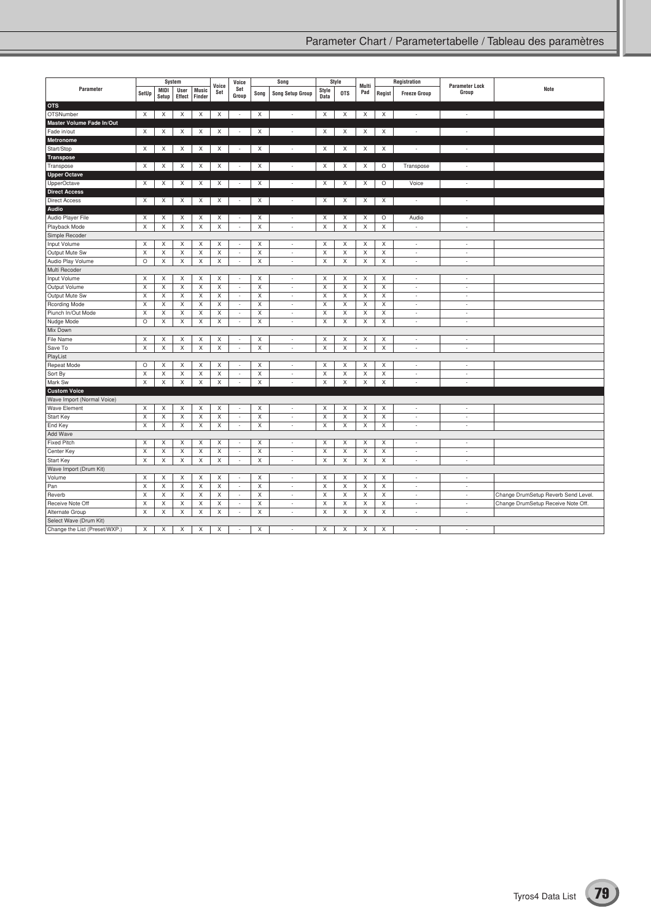|                                                   |                         |                         | System                    |                         |                           | Voice                       |                           | Song                     |                                | Style                          |              |                  | Registration             |                                |                                     |
|---------------------------------------------------|-------------------------|-------------------------|---------------------------|-------------------------|---------------------------|-----------------------------|---------------------------|--------------------------|--------------------------------|--------------------------------|--------------|------------------|--------------------------|--------------------------------|-------------------------------------|
| Parameter                                         | SetUp                   | MIDI<br>Setup           | User<br>Effect            | <b>Music</b><br>Finder  | Voice<br>Set              | Set<br>Group                | Song                      | <b>Song Setup Group</b>  | Style<br>Data                  | <b>OTS</b>                     | Multi<br>Pad | Regist           | <b>Freeze Group</b>      | <b>Parameter Lock</b><br>Group | Note                                |
| <b>OTS</b>                                        |                         |                         |                           |                         |                           |                             |                           |                          |                                |                                |              |                  |                          |                                |                                     |
| OTSNumber                                         | X                       | X                       | X                         | X                       | X                         | $\sim$                      | X                         | $\overline{\phantom{a}}$ | Χ                              | X                              | X            | X                | $\overline{\phantom{a}}$ | $\overline{\phantom{a}}$       |                                     |
| Master Volume Fade In/Out                         |                         |                         |                           |                         |                           |                             |                           |                          |                                |                                |              |                  |                          |                                |                                     |
| Fade in/out                                       | X                       | X                       | Χ                         | X                       | Χ                         | $\sim$                      | X                         | $\overline{\phantom{a}}$ | Χ                              | X                              | X            | X                | $\sim$                   | $\overline{\phantom{a}}$       |                                     |
| <b>Metronome</b>                                  |                         |                         |                           |                         |                           |                             |                           |                          |                                |                                |              |                  |                          |                                |                                     |
| Start/Stop                                        | X                       | X                       | X                         | X                       | Χ                         | $\overline{\phantom{a}}$    | X                         | $\overline{\phantom{a}}$ | Χ                              | X                              | X            | X                | ×,                       | $\overline{\phantom{a}}$       |                                     |
| Transpose                                         |                         |                         |                           |                         |                           |                             |                           |                          |                                |                                |              |                  |                          |                                |                                     |
| Transpose                                         | X                       | X                       | $\times$                  | X                       | X                         | $\sim$                      | X                         | $\overline{\phantom{a}}$ | X                              | X                              | X            | $\circ$          | Transpose                | $\overline{\phantom{a}}$       |                                     |
| <b>Upper Octave</b>                               |                         |                         |                           |                         |                           |                             |                           |                          |                                |                                |              |                  |                          |                                |                                     |
| UpperOctave                                       | X                       | X                       | $\times$                  | $\times$                | $\times$                  | $\sim$                      | X                         | $\overline{\phantom{a}}$ | X                              | X                              | X            | $\circ$          | Voice                    | $\overline{\phantom{a}}$       |                                     |
| <b>Direct Access</b>                              |                         |                         |                           |                         |                           |                             |                           |                          |                                |                                |              |                  |                          |                                |                                     |
| <b>Direct Access</b>                              | X                       | X                       | X                         | X                       | $\times$                  | $\overline{\phantom{a}}$    | X                         | $\overline{\phantom{a}}$ | X                              | X                              | X            | X                | $\overline{\phantom{a}}$ | $\overline{\phantom{a}}$       |                                     |
| Audio                                             |                         |                         |                           |                         |                           |                             |                           |                          |                                |                                |              |                  |                          |                                |                                     |
| Audio Player File                                 | Χ                       | X                       | Χ                         | X                       | Χ                         | $\overline{\phantom{a}}$    | X                         | $\overline{\phantom{a}}$ | X                              | X                              | X            | O                | Audio                    | $\overline{\phantom{a}}$       |                                     |
| Playback Mode                                     | X                       | X                       | X                         | X                       | X                         | $\overline{\phantom{a}}$    | $\boldsymbol{\mathsf{X}}$ | ÷                        | $\boldsymbol{\mathsf{X}}$      | $\mathsf X$                    | $\mathsf X$  | X                |                          | Ĭ.                             |                                     |
| Simple Recoder                                    |                         |                         |                           |                         |                           |                             |                           |                          |                                |                                |              |                  |                          |                                |                                     |
| Input Volume                                      | X                       | X                       | X                         | X                       | X                         | $\overline{\phantom{a}}$    | X                         | $\overline{\phantom{a}}$ | X                              | X                              | X            | X                | $\overline{\phantom{a}}$ | $\sim$                         |                                     |
| Output Mute Sw                                    | X                       | X                       | X                         | X                       | X                         | $\sim$                      | X                         | $\overline{\phantom{a}}$ | X                              | X                              | X            | X                | ÷                        | $\overline{a}$                 |                                     |
| Audio Play Volume                                 | $\circ$                 | X                       | X                         | X                       | X                         | $\sim$                      | X                         | $\overline{\phantom{a}}$ | X                              | $\mathsf X$                    | X            | X                | $\overline{\phantom{a}}$ | ÷.                             |                                     |
| Multi Recoder                                     |                         |                         |                           |                         |                           |                             |                           |                          |                                |                                |              |                  |                          |                                |                                     |
| Input Volume                                      | X                       | X                       | X                         | X                       | X                         | $\overline{\phantom{a}}$    | X                         | $\overline{\phantom{a}}$ | X                              | X                              | X            | X                | ÷                        | ÷                              |                                     |
| Output Volume                                     | X                       | X                       | $\mathsf X$               | $\mathsf X$             | $\mathsf X$               | $\mathcal{L}_{\mathcal{A}}$ | $\mathsf X$               | $\sim$                   | $\boldsymbol{\mathsf{X}}$      | $\mathsf X$                    | $\mathsf X$  | X                | ÷,                       | ÷                              |                                     |
| Output Mute Sw                                    | X                       | X                       | X                         | X                       | X                         | $\overline{\phantom{a}}$    | X                         | ÷                        | X                              | X                              | X            | X                | ÷,                       | ÷,                             |                                     |
| Rcording Mode                                     | X                       | X                       | X                         | X                       | X                         | $\overline{\phantom{a}}$    | $\mathsf X$               | $\sim$                   | $\boldsymbol{\mathsf{X}}$      | $\mathsf X$                    | X            | X                | ÷                        | ÷                              |                                     |
| Piunch In/Out Mode                                | X                       | X                       | X                         | X                       | X                         | $\sim$                      | X                         | $\sim$                   | X                              | X                              | X            | X                | ٠                        | ٠                              |                                     |
| Nudge Mode                                        | $\circ$                 | X                       | X                         | X                       | X                         | $\overline{\phantom{a}}$    | $\mathsf X$               | ÷                        | $\boldsymbol{\mathsf{X}}$      | X                              | X            | X                | ÷,                       | ÷                              |                                     |
| Mix Down                                          |                         |                         |                           |                         |                           |                             |                           |                          |                                |                                |              |                  |                          |                                |                                     |
|                                                   | X                       |                         | X                         | Χ                       | X                         | $\sim$                      | X                         | ÷                        | X                              | X                              | X            | X                | ٠                        | J.                             |                                     |
| <b>File Name</b><br>Save To                       | X                       | X<br>X                  | X                         | X                       | X                         |                             | X                         | $\overline{\phantom{a}}$ | X                              | $\mathsf X$                    | X            | X                | i,                       | $\overline{a}$                 |                                     |
|                                                   |                         |                         |                           |                         |                           | $\overline{\phantom{a}}$    |                           |                          |                                |                                |              |                  |                          |                                |                                     |
| PlayList                                          |                         |                         |                           |                         |                           |                             |                           |                          |                                |                                |              |                  |                          |                                |                                     |
| Repeat Mode                                       | $\circ$<br>$\sf X$      | X<br>X                  | X<br>$\mathsf{x}$         | X<br>X                  | X<br>X                    | $\overline{\phantom{a}}$    | X<br>$\mathsf X$          | $\overline{\phantom{a}}$ | X<br>$\boldsymbol{\mathsf{x}}$ | X<br>$\boldsymbol{\mathsf{x}}$ | X<br>$\sf X$ | X<br>$\mathsf X$ | $\overline{\phantom{a}}$ | $\overline{\phantom{a}}$       |                                     |
| Sort By                                           |                         |                         |                           |                         |                           | $\overline{\phantom{a}}$    |                           | ×,                       |                                |                                |              |                  | ÷,<br>$\overline{a}$     | ÷<br>L.                        |                                     |
| Mark Sw                                           | $\overline{\mathsf{x}}$ | $\overline{\mathsf{x}}$ | $\overline{\mathsf{x}}$   | $\mathsf X$             | $\overline{\mathsf{x}}$   | $\overline{a}$              | $\mathsf X$               | $\sim$                   | $\overline{\mathsf{x}}$        | $\boldsymbol{\mathsf{X}}$      | $\mathsf X$  | $\mathsf X$      |                          |                                |                                     |
| <b>Custom Voice</b><br>Wave Import (Normal Voice) |                         |                         |                           |                         |                           |                             |                           |                          |                                |                                |              |                  |                          |                                |                                     |
| <b>Wave Element</b>                               | X                       | X                       | X                         | X                       | X                         | $\overline{\phantom{a}}$    | X                         | $\overline{\phantom{a}}$ | $\times$                       | X                              | X            | X                | $\overline{\phantom{a}}$ | ÷                              |                                     |
| Start Key                                         | X                       | X                       | X                         | X                       | X                         | $\overline{\phantom{a}}$    | X                         | $\sim$                   | X                              | X                              | X            | X                | ٠                        | ٠                              |                                     |
| End Key                                           | X                       | X                       | X                         | X                       | X                         | $\sim$                      | $\mathsf X$               | $\overline{\phantom{a}}$ | $\boldsymbol{\mathsf{X}}$      | X                              | X            | X                | ÷                        | $\overline{\phantom{a}}$       |                                     |
| Add Wave                                          |                         |                         |                           |                         |                           |                             |                           |                          |                                |                                |              |                  |                          |                                |                                     |
| <b>Fixed Pitch</b>                                | X                       | X                       | X                         | X                       | X                         | $\sim$                      | X                         | ÷                        | X                              | X                              | X            | X                | ÷,                       | ٠                              |                                     |
| Center Key                                        | $\mathsf X$             | X                       | X                         | Χ                       | X                         | $\overline{\phantom{a}}$    | $\mathsf X$               | $\overline{\phantom{a}}$ | $\boldsymbol{\mathsf{X}}$      | $\mathsf X$                    | $\mathsf X$  | X                | ÷                        | ÷.                             |                                     |
| Start Key                                         | X                       | X                       | X                         | X                       | X                         | $\sim$                      | X                         | ٠                        | X                              | X                              | X            | X                | ÷                        | $\overline{a}$                 |                                     |
| Wave Import (Drum Kit)                            |                         |                         |                           |                         |                           |                             |                           |                          |                                |                                |              |                  |                          |                                |                                     |
| Volume                                            | X                       | X                       | X                         | X                       | X                         | $\overline{\phantom{a}}$    | X                         | ×,                       | X                              | X                              | X            | Χ                | ÷,                       | í,                             |                                     |
| Pan                                               | X                       | X                       | $\boldsymbol{\mathsf{X}}$ | X                       | $\boldsymbol{\mathsf{X}}$ | $\sim$                      | $\mathsf X$               | $\sim$                   | $\boldsymbol{\mathsf{X}}$      | $\boldsymbol{\mathsf{X}}$      | $\mathsf X$  | X                | ÷                        | $\overline{a}$                 |                                     |
| Reverb                                            | X                       | X                       | X                         | X                       | Χ                         | $\overline{\phantom{a}}$    | X                         | $\overline{\phantom{a}}$ | X                              | X                              | X            | X                | ÷                        | ÷.                             | Change DrumSetup Reverb Send Level. |
| Receive Note Off                                  | X                       | X                       | X                         | $\overline{\mathsf{X}}$ | X                         | $\overline{\phantom{a}}$    | $\overline{\mathsf{x}}$   | $\overline{\phantom{a}}$ | $\overline{\mathsf{x}}$        | $\overline{\mathsf{x}}$        | X            | X                | ÷                        | ÷                              | Change DrumSetup Receive Note Off.  |
| Alternate Group                                   | X                       | X                       | X                         | X                       | X                         | $\overline{\phantom{a}}$    | X                         | $\overline{\phantom{a}}$ | X                              | X                              | X            | X                | $\overline{\phantom{a}}$ | $\overline{\phantom{a}}$       |                                     |
| Select Wave (Drum Kit)                            |                         |                         |                           |                         |                           |                             |                           |                          |                                |                                |              |                  |                          |                                |                                     |
| Change the List (Preset/WXP.)                     | X                       | X                       | X                         | X                       | X                         |                             | X                         |                          | X                              | X                              | X            | X                |                          |                                |                                     |
|                                                   |                         |                         |                           |                         |                           |                             |                           |                          |                                |                                |              |                  |                          |                                |                                     |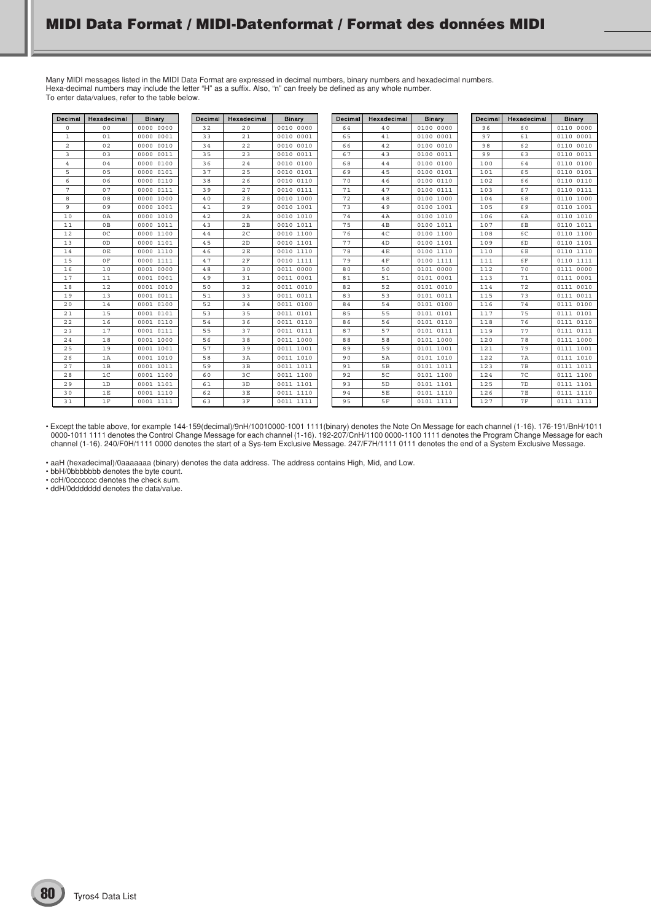Many MIDI messages listed in the MIDI Data Format are expressed in decimal numbers, binary numbers and hexadecimal numbers. Hexa-decimal numbers may include the letter "H" as a suffix. Also, "n" can freely be defined as any whole number. To enter data/values, refer to the table below.

| Decimal        | Hexadecimal    | <b>Binary</b> | Decimal | Hexadecimal    | <b>Binary</b> | Decimal | Hexadecimal     | <b>Binary</b> | Decimal | Hexadecimal     | Binary    |
|----------------|----------------|---------------|---------|----------------|---------------|---------|-----------------|---------------|---------|-----------------|-----------|
| $\circ$        | 0 <sup>0</sup> | 0000 0000     | 32      | 20             | 0010 0000     | 64      | 40              | 0100 0000     | 96      | 60              | 0110 0000 |
| 1              | 01             | 0000 0001     | 33      | 21             | 0010 0001     | 65      | 41              | 0100 0001     | 97      | 61              | 0110 0001 |
| 2              | 02             | 0000 0010     | 34      | 22             | 0010 0010     | 66      | 42              | 0100 0010     | 98      | 62              | 0110 0010 |
| 3              | 03             | 0000 0011     | 35      | 23             | 0010 0011     | 67      | 43              | 0100 0011     | 99      | 63              | 0110 0011 |
| $\overline{4}$ | 04             | 0000 0100     | 36      | 24             | 0010 0100     | 68      | 44              | 0100 0100     | 100     | 64              | 0110 0100 |
| 5              | 0 <sub>5</sub> | 0000 0101     | 37      | 25             | 0010 0101     | 69      | 45              | 0100 0101     | 101     | 65              | 0110 0101 |
| 6              | 06             | 0000 0110     | 38      | 26             | 0010 0110     | 70      | 46              | 0100 0110     | 102     | 66              | 0110 0110 |
| 7              | 07             | 0000 0111     | 39      | 27             | 0010 0111     | 71      | 47              | 0100 0111     | 103     | 67              | 0110 0111 |
| 8              | 08             | 0000 1000     | 40      | 28             | 0010 1000     | 72      | 48              | 0100 1000     | 104     | 68              | 0110 1000 |
| 9              | 09             | 0000 1001     | 41      | 29             | 0010 1001     | 73      | 49              | 0100 1001     | 105     | 69              | 0110 1001 |
| 10             | 0A             | 0000 1010     | 42      | 2A             | 0010 1010     | 74      | 4A              | 0100 1010     | 106     | 6A              | 0110 1010 |
| 11             | 0B             | 0000 1011     | 43      | 2B             | 0010 1011     | 75      | 4B              | 0100 1011     | 107     | 6 <sub>B</sub>  | 0110 1011 |
| 12             | $_{0C}$        | 0000 1100     | 44      | 2 <sup>c</sup> | 0010 1100     | 76      | 4C              | 0100 1100     | 108     | 6C              | 0110 1100 |
| 13             | 0D             | 0000 1101     | 45      | 2D             | 0010 1101     | 77      | 4D              | 0100 1101     | 109     | 6D              | 0110 1101 |
| 14             | 0E             | 0000 1110     | 46      | 2E             | 0010 1110     | 78      | 4E              | 0100 1110     | 110     | 6 E             | 0110 1110 |
| 15             | 0 F            | 0000 1111     | 47      | 2F             | 0010 1111     | 79      | 4F              | 0100 1111     | 111     | 6F              | 0110 1111 |
| 16             | 10             | 0001 0000     | 48      | 30             | 0011 0000     | 80      | 50              | 0101 0000     | 112     | 70              | 0111 0000 |
| 17             | 11             | 0001 0001     | 49      | 31             | 0011 0001     | 81      | 51              | 0101 0001     | 113     | 71              | 0111 0001 |
| 18             | 12             | 0001 0010     | 50      | 32             | 0011 0010     | 82      | 52              | 0101 0010     | 114     | 72              | 0111 0010 |
| 19             | 13             | 0001 0011     | 51      | 33             | 0011 0011     | 83      | 53              | 0101 0011     | 115     | 73              | 0111 0011 |
| 20             | 14             | 0001 0100     | 52      | 34             | 0011 0100     | 84      | 54              | 0101 0100     | 116     | 74              | 0111 0100 |
| 21             | 15             | 0001 0101     | 53      | 35             | 0011 0101     | 85      | 55              | 0101 0101     | 117     | 75              | 0111 0101 |
| 22             | 16             | 0001 0110     | 54      | 36             | 0011 0110     | 86      | 56              | 0101 0110     | 118     | 76              | 0111 0110 |
| 23             | 17             | 0001 0111     | 55      | 37             | 0011 0111     | 87      | 57              | 0101 0111     | 119     | 77              | 0111 0111 |
| 24             | 18             | 0001 1000     | 56      | 38             | 0011 1000     | 88      | 58              | 0101 1000     | 120     | 78              | 0111 1000 |
| 25             | 19             | 0001 1001     | 57      | 39             | 0011 1001     | 89      | 59              | 0101 1001     | 121     | 79              | 0111 1001 |
| 26             | 1A             | 0001 1010     | 58      | 3A             | 0011 1010     | 90      | 5A              | 0101 1010     | 122     | <b>7A</b>       | 0111 1010 |
| 27             | 1B             | 0001 1011     | 59      | 3B             | 0011 1011     | 91      | 5B              | 0101 1011     | 123     | 7 B             | 0111 1011 |
| 28             | 1 <sup>C</sup> | 0001 1100     | 60      | 3 <sup>C</sup> | 0011 1100     | 92      | 5C              | 0101 1100     | 124     | 7 <sup>C</sup>  | 0111 1100 |
| 29             | 1D             | 0001 1101     | 61      | 3D             | 0011 1101     | 93      | 5D              | 0101 1101     | 125     | 7D              | 0111 1101 |
| 30             | 1E             | 0001 1110     | 62      | 3E             | 0011 1110     | 94      | $5\,\mathrm{E}$ | 0101 1110     | 126     | $7\,\mathrm{E}$ | 0111 1110 |
| 31             | 1F             | 0001 1111     | 63      | 3F             | 0011 1111     | 95      | 5F              | 0101 1111     | 127     | <b>7F</b>       | 0111 1111 |

• Except the table above, for example 144-159(decimal)/9nH/10010000-1001 1111(binary) denotes the Note On Message for each channel (1-16). 176-191/BnH/1011 0000-1011 1111 denotes the Control Change Message for each channel (1-16). 192-207/CnH/1100 0000-1100 1111 denotes the Program Change Message for each channel (1-16). 240/F0H/1111 0000 denotes the start of a Sys-tem Exclusive Message. 247/F7H/1111 0111 denotes the end of a System Exclusive Message.

• aaH (hexadecimal)/0aaaaaaa (binary) denotes the data address. The address contains High, Mid, and Low.

• bbH/0bbbbbbb denotes the byte count.

• ccH/0ccccccc denotes the check sum.

• ddH/0ddddddd denotes the data/value.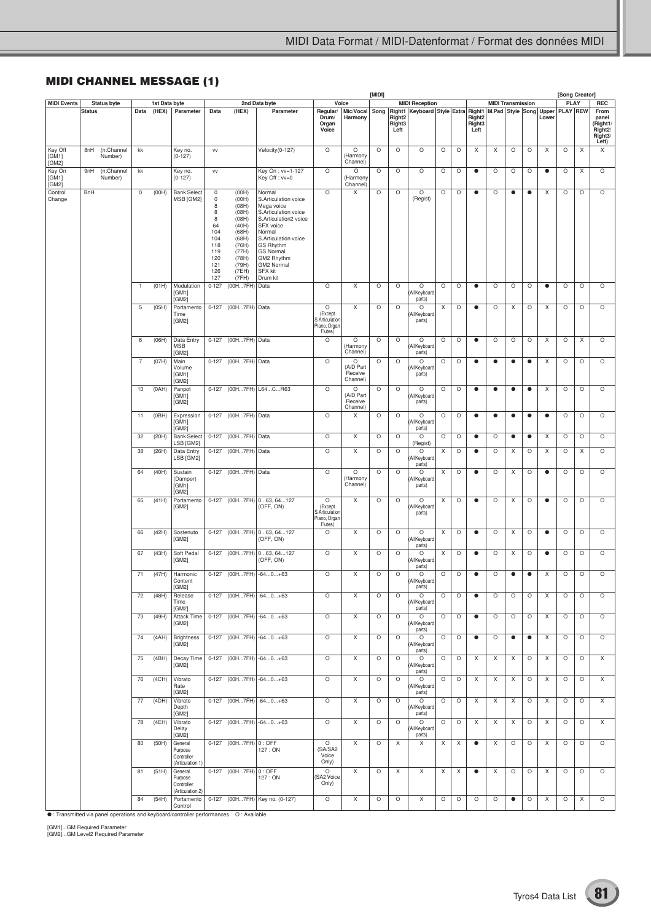# **MIDI CHANNEL MESSAGE (1)**

|                           |               |                       |                |                        |                                                      |                                                                                               |                                                                                                                            |                                                                                                                                                                                                                                  |                                                                                    |                                       | [MIDI]  |                                      |                                                                                  |         |         |                          |           |                          |           |           | [Song Creator]  |         |                                                                            |
|---------------------------|---------------|-----------------------|----------------|------------------------|------------------------------------------------------|-----------------------------------------------------------------------------------------------|----------------------------------------------------------------------------------------------------------------------------|----------------------------------------------------------------------------------------------------------------------------------------------------------------------------------------------------------------------------------|------------------------------------------------------------------------------------|---------------------------------------|---------|--------------------------------------|----------------------------------------------------------------------------------|---------|---------|--------------------------|-----------|--------------------------|-----------|-----------|-----------------|---------|----------------------------------------------------------------------------|
| <b>MIDI Events</b>        |               | Status byte           | Data           | 1st Data byte<br>(HEX) | Parameter                                            |                                                                                               | (HEX)                                                                                                                      | 2nd Data byte<br>Parameter                                                                                                                                                                                                       |                                                                                    | Voice<br>Mic/Vocal                    |         |                                      | <b>MIDI Reception</b>                                                            |         |         |                          |           | <b>MIDI Transmission</b> |           |           | <b>PLAY</b>     |         | <b>REC</b><br>From                                                         |
|                           | <b>Status</b> |                       |                |                        |                                                      | Data                                                                                          |                                                                                                                            |                                                                                                                                                                                                                                  | Regular/<br>Drum/<br>Organ<br>Voice                                                | Harmony                               |         | Right <sub>2</sub><br>Right3<br>Left | Song   Right1   Keyboard   Style   Extra   Right1   M.Pad   Style   Song   Upper |         |         | Right2<br>Right3<br>Left |           |                          |           | Lower     | <b>PLAY REW</b> |         | panel<br>(Right1/<br>Right <sub>2</sub> /<br>Right <sub>3</sub> /<br>Left) |
| Key Off<br>[GM1]<br>[GM2] | 8nH           | (n:Channel<br>Number) | kk             |                        | Key no.<br>$(0-127)$                                 | VV                                                                                            |                                                                                                                            | Velocity (0-127)                                                                                                                                                                                                                 | $\circ$                                                                            | O<br>Harmony<br>Channel)              | O       | $\circ$                              | $\circ$                                                                          | O       | $\circ$ | X                        | X         | O                        | O         | X         | $\circ$         | X       | X                                                                          |
| Key On<br>[GM1]<br>[GM2]  | 9nH           | (n:Channel<br>Number) | kk             |                        | Key no.<br>$(0-127)$                                 | VV                                                                                            |                                                                                                                            | Key On : vv=1-127<br>Key Off: vv=0                                                                                                                                                                                               | $\circ$                                                                            | O<br>(Harmony<br>Channel)             | O       | $\circ$                              | O                                                                                | $\circ$ | $\circ$ | $\bullet$                | O         | O                        | O         | $\bullet$ | $\circ$         | X       | O                                                                          |
| Control<br>Change         | BnH           |                       | $\mathbb O$    | (OOH)                  | <b>Bank Select</b><br>MSB [GM2]                      | 0<br>$\mathbb O$<br>8<br>8<br>8<br>64<br>104<br>104<br>118<br>119<br>120<br>121<br>126<br>127 | (OOH)<br>(00H)<br>(08H)<br>(08H)<br>(08H)<br>(40H)<br>(68H)<br>(68H)<br>(76H)<br>(77H)<br>(78H)<br>(79H)<br>(7EH)<br>(7FH) | Normal<br>S.Articulation voice<br>Mega voice<br>S.Articulation voice<br>S.Articulation2 voice<br>SFX voice<br>Normal<br>S.Articulation voice<br>GS Rhythm<br><b>GS Normal</b><br>GM2 Rhythm<br>GM2 Normal<br>SFX kit<br>Drum kit | $\circ$                                                                            | X                                     | O       | $\circ$                              | O<br>(Regist)                                                                    | O       | $\circ$ | $\bullet$                | $\circ$   | $\bullet$                | $\bullet$ | X         | $\circ$         | $\circ$ | $\circ$                                                                    |
|                           |               |                       | $\overline{1}$ | (01H)                  | Modulation<br>[GM1]<br>[GM2]                         | $0 - 127$                                                                                     | (00H7FH)                                                                                                                   | Data                                                                                                                                                                                                                             | $\circ$                                                                            | X                                     | $\circ$ | $\circ$                              | $\circ$<br>All Keyboard<br>parts)                                                | $\circ$ | $\circ$ | $\bullet$                | O         | O                        | $\circ$   | $\bullet$ | $\circ$         | $\circ$ | $\circ$                                                                    |
|                           |               |                       | 5              | (05H)                  | Portamento<br>Time<br>[GM2]                          |                                                                                               | 0-127 (00H7FH) Data                                                                                                        |                                                                                                                                                                                                                                  | $\circ$<br>(Except<br><b>S.Articulation</b><br><sup>9</sup> iano, Organ<br>Flutes) | X                                     | O       | $\circ$                              | O<br>All Keyboard<br>parts)                                                      | X       | $\circ$ | $\bullet$                | $\circ$   | X                        | O         | X         | $\circ$         | $\circ$ | $\circ$                                                                    |
|                           |               |                       | 6              | (06H)                  | Data Entry<br>MSB<br>[GM2]                           | $0 - 127$                                                                                     | (00H7FH) Data                                                                                                              |                                                                                                                                                                                                                                  | $\circ$                                                                            | O<br>Harmony)<br>Channel)             | O       | $\circ$                              | O<br>All Keyboard<br>parts)                                                      | O       | $\circ$ | $\bullet$                | O         | $\circ$                  | $\circ$   | X         | $\circ$         | X       | O                                                                          |
|                           |               |                       | $\overline{7}$ | (07H)                  | Main<br>Volume<br>[GM1]<br>[GM2]                     |                                                                                               | 0-127 (00H7FH) Data                                                                                                        |                                                                                                                                                                                                                                  | $\circ$                                                                            | O<br>(A/D Part<br>Receive<br>Channel) | O       | O                                    | O<br>All Keyboard<br>parts)                                                      | O       | $\circ$ | $\bullet$                | $\bullet$ | $\bullet$                | $\bullet$ | X         | $\circ$         | $\circ$ | O                                                                          |
|                           |               |                       | 10             | (OAH)                  | Panpot<br>[GM1]<br>[GM2]                             |                                                                                               |                                                                                                                            | 0-127 (00H7FH) L64CR63                                                                                                                                                                                                           | $\circ$                                                                            | O<br>(A/D Part<br>Receive<br>Channel) | O       | $\circ$                              | O<br>All Keyboard<br>parts)                                                      | O       | $\circ$ | $\bullet$                | $\bullet$ | $\bullet$                | $\bullet$ | Χ         | $\circ$         | $\circ$ | $\circ$                                                                    |
|                           |               |                       | 11             | (OBH)                  | Expression<br>[GM1]<br>[GM2]                         |                                                                                               | 0-127 (00H7FH) Data                                                                                                        |                                                                                                                                                                                                                                  | $\circ$                                                                            | X                                     | O       | $\circ$                              | O<br>All Keyboard<br>parts)                                                      | O       | $\circ$ | $\bullet$                | $\bullet$ | $\bullet$                | $\bullet$ | $\bullet$ | $\circ$         | $\circ$ | $\circ$                                                                    |
|                           |               |                       | 32             | (20H)                  | <b>Bank Select</b><br>LSB [GM2]                      | $0 - 127$                                                                                     | (00H7FH) Data                                                                                                              |                                                                                                                                                                                                                                  | $\circ$                                                                            | Χ                                     | O       | $\circ$                              | O<br>(Regist)                                                                    | O       | $\circ$ | $\bullet$                | O         | $\bullet$                | $\bullet$ | X         | $\circ$         | $\circ$ | O                                                                          |
|                           |               |                       | 38             | (26H)                  | Data Entry<br>LSB [GM2]                              | $0 - 127$                                                                                     | (00H7FH) Data                                                                                                              |                                                                                                                                                                                                                                  | $\circ$                                                                            | X                                     | O       | $\circ$                              | O<br>All Keyboard<br>parts)                                                      | X       | $\circ$ | $\bullet$                | O         | X                        | O         | Χ         | $\circ$         | X       | O                                                                          |
|                           |               |                       | 64             | (40H)                  | Sustain<br>(Damper)<br>[GM1]<br>[GM2]                |                                                                                               | 0-127 (00H7FH) Data                                                                                                        |                                                                                                                                                                                                                                  | $\circ$                                                                            | O<br>Harmony<br>Channel)              | O       | $\circ$                              | O<br>All Keyboard<br>parts)                                                      | X       | $\circ$ | $\bullet$                | $\circ$   | X                        | O         | $\bullet$ | O               | O       | $\circ$                                                                    |
|                           |               |                       | 65             | (41H)                  | Portamento<br>[GM2]                                  |                                                                                               |                                                                                                                            | 0-127 (00H7FH) 063, 64127<br>(OFF, ON)                                                                                                                                                                                           | $\circ$<br>(Except<br>S.Articulation<br>Piano, Organ<br>Flutes)                    | X                                     | $\circ$ | $\circ$                              | O<br>All Keyboard<br>parts)                                                      | X       | $\circ$ | $\bullet$                | $\circ$   | X                        | O         | $\bullet$ | $\circ$         | $\circ$ | $\circ$                                                                    |
|                           |               |                       | 66             | (42H)                  | Sostenuto<br>[GM2]                                   |                                                                                               |                                                                                                                            | 0-127 (00H7FH) 063, 64127<br>(OFF, ON)                                                                                                                                                                                           | $\circ$                                                                            | X                                     | O       | $\circ$                              | O<br>(All Keyboard<br>parts)                                                     | X       | $\circ$ | $\bullet$                | $\circ$   | X                        | O         | $\bullet$ | $\circ$         | $\circ$ | $\circ$                                                                    |
|                           |               |                       | 67             | (43H)                  | Soft Pedal<br>[GM2]                                  |                                                                                               |                                                                                                                            | 0-127 (00H7FH) 063, 64127<br>(OFF, ON)                                                                                                                                                                                           | $\circ$                                                                            | X                                     | O       | $\circ$                              | O<br>All Keyboard<br>parts)                                                      | Χ       | $\circ$ | $\bullet$                | O         | X                        | O         | $\bullet$ | $\circ$         | $\circ$ | O                                                                          |
|                           |               |                       | 71             | (47H)                  | Harmonic<br>Content<br>[GM2]                         |                                                                                               |                                                                                                                            | 0-127 (00H7FH) -640+63                                                                                                                                                                                                           | $\circ$                                                                            | X                                     | O       | $\circ$                              | O<br>Keyboan<br>parts)                                                           | O       | $\circ$ | $\bullet$                | O         | $\bullet$                | $\bullet$ | X         | $\circ$         | O       | $\circ$                                                                    |
|                           |               |                       | 72             | (48H)                  | Release<br>Time<br>[GM2]                             |                                                                                               |                                                                                                                            | 0-127 (00H7FH) -640+63                                                                                                                                                                                                           | $\circ$                                                                            | X                                     | $\circ$ | $\circ$                              | $\circ$<br>(All Keyboard<br>parts)                                               | O       | $\circ$ | $\bullet$                | $\circ$   | $\circ$                  | O         | X         | $\circ$         | O       | $\circ$                                                                    |
|                           |               |                       | 73             | (49H)                  | Attack Time<br>[GM2]                                 |                                                                                               |                                                                                                                            | 0-127 (00H7FH) -640+63                                                                                                                                                                                                           | $\circ$                                                                            | X                                     | O       | $\circ$                              | O<br>(All Keyboard<br>parts)                                                     | O       | $\circ$ | $\bullet$                | $\circ$   | O                        | O         | X         | $\circ$         | O       | O                                                                          |
|                           |               |                       | 74             | (AAH)                  | <b>Brightness</b><br>[GM2]                           |                                                                                               |                                                                                                                            | 0-127 (00H7FH) -640+63                                                                                                                                                                                                           | $\circ$                                                                            | X                                     | O       | $\circ$                              | O<br>(All Keyboard<br>parts)                                                     | $\circ$ | $\circ$ | $\bullet$                | O         | $\bullet$                | $\bullet$ | X         | $\circ$         | O       | $\circ$                                                                    |
|                           |               |                       | 75             | (4BH)                  | Decay Time<br>[GM2]                                  |                                                                                               |                                                                                                                            | 0-127 (00H7FH) -640+63                                                                                                                                                                                                           | $\circ$                                                                            | Χ                                     | O       | $\circ$                              | O<br>(All Keyboard<br>parts)                                                     | O       | $\circ$ | Χ                        | $\times$  | X                        | O         | Χ         | $\circ$         | $\circ$ | X                                                                          |
|                           |               |                       | 76             | (4CH)                  | Vibrato<br>Rate<br>[GM2]                             |                                                                                               |                                                                                                                            | 0-127 (00H7FH) -640+63                                                                                                                                                                                                           | $\circ$                                                                            | X                                     | O       | $\circ$                              | O<br>(All Keyboard<br>parts)                                                     | O       | $\circ$ | X                        | X         | X                        | O         | X         | O               | O       | X                                                                          |
|                           |               |                       | 77             | (4DH)                  | Vibrato<br>Depth<br>[GM2]                            |                                                                                               |                                                                                                                            | 0-127 (00H7FH) -640+63                                                                                                                                                                                                           | $\circ$                                                                            | X                                     | $\circ$ | $\circ$                              | $\circ$<br>(All Keyboard<br>parts)                                               | O       | $\circ$ | $\times$                 | X         | X                        | O         | X         | $\circ$         | $\circ$ | X                                                                          |
|                           |               |                       | 78             | (4EH)                  | Vibrato<br>Delay<br>[GM2]                            |                                                                                               |                                                                                                                            | 0-127 (00H7FH) -640+63                                                                                                                                                                                                           | $\circ$                                                                            | X                                     | O       | $\circ$                              | O<br>(All Keyboard<br>parts)                                                     | O       | $\circ$ | X                        | X         | X                        | O         | X         | $\circ$         | O       | X                                                                          |
|                           |               |                       | 80             | (50H)                  | General<br>Purpose<br>Controller<br>(Articulation 1) |                                                                                               | 0-127 (00H7FH) 0: OFF                                                                                                      | 127: ON                                                                                                                                                                                                                          | $\circ$<br>(SA/SA2<br>Voice<br>Only)                                               | X                                     | O       | X                                    | X                                                                                | X       | X       | $\bullet$                | X         | O                        | O         | X         | $\circ$         | O       | $\circ$                                                                    |
|                           |               |                       | 81             | (51H)                  | General<br>Purpose<br>Controller<br>(Articulation 2) |                                                                                               | 0-127 (00H7FH) 0: OFF                                                                                                      | 127: ON                                                                                                                                                                                                                          | $\circ$<br>(SA2 Voice<br>Only)                                                     | X                                     | O       | X                                    | X                                                                                | X       | X       | $\bullet$                | X         | O                        | O         | X         | O               | O       | O                                                                          |
|                           |               |                       | 84             | (54H)                  | Portamento  <br>Control                              |                                                                                               |                                                                                                                            | 0-127 (00H7FH) Key no. (0-127)                                                                                                                                                                                                   | $\circ$                                                                            | X                                     | $\circ$ | $\circ$                              | X                                                                                | $\circ$ | $\circ$ | $\circ$                  | $\circ$   | $\bullet$                | O         | X         | $\circ$         | X       | $\circ$                                                                    |

● : Transmitted via panel operations and keyboard/controller performances. O : Available<br>● : Transmitted via panel operations and keyboard/controller performances. O : Available

[GM1]...GM Required Parameter [GM2]...GM Level2 Required Parameter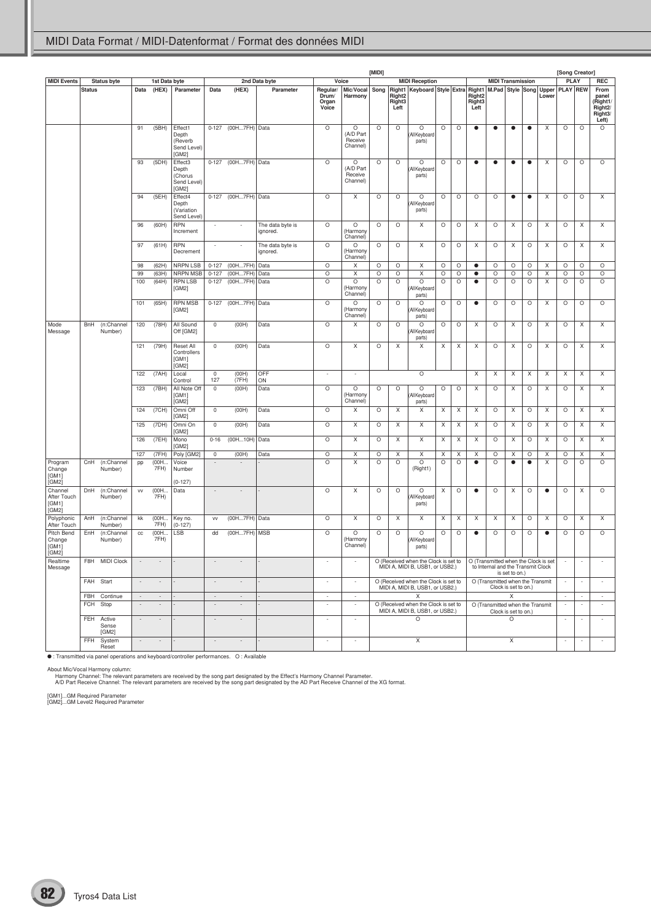|                                                                                          |               |                              |                          |                          |                                                     |                          |                          |                              |                                     |                                       | [MIDI]  |                                      |                                                                                               |         |         |                                      |                                    |                      |           |                                      | [Song Creator]           |                          |                                                                      |
|------------------------------------------------------------------------------------------|---------------|------------------------------|--------------------------|--------------------------|-----------------------------------------------------|--------------------------|--------------------------|------------------------------|-------------------------------------|---------------------------------------|---------|--------------------------------------|-----------------------------------------------------------------------------------------------|---------|---------|--------------------------------------|------------------------------------|----------------------|-----------|--------------------------------------|--------------------------|--------------------------|----------------------------------------------------------------------|
| <b>MIDI Events</b>                                                                       |               | Status byte                  |                          | 1st Data byte            |                                                     |                          |                          | 2nd Data byte                |                                     | Voice                                 |         |                                      | <b>MIDI Reception</b>                                                                         |         |         |                                      | <b>MIDI Transmission</b>           |                      |           |                                      | <b>PLAY</b>              |                          | <b>REC</b>                                                           |
|                                                                                          | <b>Status</b> |                              | Data                     | (HEX)                    | Parameter                                           | Data                     | (HEX)                    | Parameter                    | Regular/<br>Drum/<br>Organ<br>Voice | Mic/Vocal<br>Harmony                  |         | Right <sub>2</sub><br>Right3<br>Left | Song   Right1   Keyboard   Style   Extra   Right1   M.Pad   Style   Song   Upper   PLAY   REW |         |         | Right <sub>2</sub><br>Right3<br>Left |                                    |                      |           | Lower                                |                          |                          | From<br>panel<br>(Right1<br>Right <sub>2</sub> /<br>Right3/<br>Left) |
|                                                                                          |               |                              | 91                       | (5BH)                    | Effect1<br>Depth<br>(Reverb<br>Send Level)<br>[GM2] | $0 - 127$                | (00H7FH) Data            |                              | $\circ$                             | O<br>(A/D Part<br>Receive<br>Channel) | $\circ$ | $\circ$                              | $\circ$<br>All Keyboard<br>parts)                                                             | $\circ$ | $\circ$ | $\bullet$                            | $\bullet$                          | $\bullet$            | $\bullet$ | Χ                                    | O                        | $\circ$                  | $\circ$                                                              |
|                                                                                          |               |                              | 93                       | (5DH)                    | Effect3<br>Depth<br>(Chorus<br>Send Level)<br>[GM2] | $0 - 127$                | (00H7FH) Data            |                              | $\circ$                             | O<br>(A/D Part<br>Receive<br>Channel) | O       | $\circ$                              | O<br>All Keyboard<br>parts)                                                                   | $\circ$ | $\circ$ | $\bullet$                            | $\bullet$                          | $\bullet$            | $\bullet$ | X                                    | O                        | $\circ$                  | $\circ$                                                              |
|                                                                                          |               |                              | 94                       | (5EH)                    | Effect4<br>Depth<br>(Variation<br>Send Level)       |                          | 0-127 (00H7FH) Data      |                              | $\circ$                             | X                                     | O       | $\circ$                              | O<br>All Keyboard<br>parts)                                                                   | $\circ$ | $\circ$ | $\circ$                              | O                                  | $\bullet$            | $\bullet$ | X                                    | O                        | $\circ$                  | X                                                                    |
|                                                                                          |               |                              | 96                       | (60H)                    | <b>RPN</b><br>Increment                             | $\overline{\phantom{a}}$ | $\overline{\phantom{a}}$ | The data byte is<br>ignored. | $\circ$                             | O<br>(Harmony<br>Channel)             | O       | O                                    | X                                                                                             | O       | $\circ$ | Χ                                    | O                                  | X                    | O         | X                                    | O                        | X                        | X                                                                    |
|                                                                                          |               |                              | 97                       | (61H)                    | <b>RPN</b><br>Decrement                             | $\overline{\phantom{a}}$ | $\overline{\phantom{a}}$ | The data byte is<br>ignored. | $\circ$                             | $\circ$<br>(Harmony<br>Channel)       | O       | $\circ$                              | X                                                                                             | $\circ$ | $\circ$ | X                                    | O                                  | X                    | O         | X                                    | $\circ$                  | X                        | X                                                                    |
|                                                                                          |               |                              | 98                       | (62H)                    | <b>NRPN LSB</b>                                     | $0 - 127$                | (00H7FH)                 | Data                         | $\circ$                             | X                                     | $\circ$ | $\circ$                              | X                                                                                             | $\circ$ | O       | $\bullet$                            | $\circ$                            | $\circ$              | $\circ$   | X                                    | $\circ$                  | $\circ$                  | $\circ$                                                              |
|                                                                                          |               |                              | 99                       | (63H)                    | NRPN MSB                                            | $0 - 127$                | (00H7FH)                 | Data                         | $\circ$                             | Χ                                     | O       | O                                    | X                                                                                             | $\circ$ | O       | ٠                                    | $\circ$                            | O                    | O         | X                                    | O                        | O                        | $\circ$                                                              |
|                                                                                          |               |                              | 100                      | (64H)                    | <b>RPN LSB</b><br>[GM2]                             | $0 - 127$                | (00H7FH)                 | Data                         | $\circ$                             | $\circ$<br>(Harmony<br>Channel)       | O       | $\circ$                              | $\circ$<br>All Keyboard<br>parts)                                                             | $\circ$ | $\circ$ | $\bullet$                            | $\circ$                            | O                    | O         | X                                    | O                        | $\circ$                  | $\circ$                                                              |
|                                                                                          |               |                              | 101                      | (65H)                    | <b>RPN MSB</b><br>[GM2]                             | $0 - 127$                | (00H7FH) Data            |                              | $\circ$                             | $\circ$<br>Harmony<br>Channel)        | O       | O                                    | O<br>All Keyboard<br>parts)                                                                   | $\circ$ | $\circ$ | $\bullet$                            | $\circ$                            | $\circ$              | O         | X                                    | O                        | $\circ$                  | $\circ$                                                              |
| Mode<br>Message                                                                          | <b>BnH</b>    | (n:Channel<br>Number)        | 120                      | (78H)                    | All Sound<br>Off [GM2]                              | $\mathbb O$              | (OOH)                    | Data                         | $\circ$                             | X                                     | $\circ$ | $\circ$                              | $\circ$<br>All Keyboard<br>parts)                                                             | $\circ$ | $\circ$ | X                                    | $\circ$                            | $\sf X$              | $\circ$   | X                                    | $\circ$                  | $\mathsf X$              | $\mathsf X$                                                          |
|                                                                                          |               |                              | 121                      | (79H)                    | Reset All<br>Controllers<br>[GM1]<br>[GM2]          | $\mathsf 0$              | (OOH)                    | Data                         | $\circ$                             | X                                     | O       | X                                    | X                                                                                             | X       | X       | X                                    | $\circ$                            | Χ                    | O         | X                                    | $\circ$                  | X                        | X                                                                    |
|                                                                                          |               |                              | 122                      | (7AH)                    | Local<br>Control                                    | $\mathbb O$<br>127       | (00H)<br>(7FH)           | OFF<br>ON                    | $\overline{\phantom{a}}$            | $\overline{\phantom{a}}$              |         |                                      | $\circ$                                                                                       |         |         | $\mathsf X$                          | $\mathsf X$                        | $\sf X$              | X         | X                                    | X                        | $\mathsf X$              | $\mathsf X$                                                          |
|                                                                                          |               |                              | 123                      | (7BH)                    | All Note Off<br>[GM1]<br>[GM2]                      | $\mathbb O$              | (OOH)                    | Data                         | $\circ$                             | $\circ$<br>Harmony<br>Channel)        | O       | $\circ$                              | $\circ$<br>(All Keyboard<br>parts)                                                            | $\circ$ | $\circ$ | X                                    | $\circ$                            | X                    | O         | X                                    | O                        | X                        | X                                                                    |
|                                                                                          |               |                              | 124                      | (7CH)                    | Omni Off<br>[GM2]                                   | $\mathbb O$              | (OOH)                    | Data                         | $\circ$                             | X                                     | $\circ$ | X                                    | X                                                                                             | X       | X       | X                                    | $\circ$                            | $\sf X$              | $\circ$   | X                                    | $\circ$                  | $\mathsf X$              | X                                                                    |
|                                                                                          |               |                              | 125                      | (7DH)                    | Omni On<br>[GM2]                                    | 0                        | (OOH)                    | Data                         | $\circ$                             | X                                     | O       | X                                    | X                                                                                             | X       | Χ       | Χ                                    | O                                  | X                    | O         | X                                    | O                        | X                        | X                                                                    |
|                                                                                          |               |                              | 126                      | (7EH)                    | Mono<br>[GM2]                                       | $0 - 16$                 | (00H10H)                 | Data                         | $\circ$                             | X                                     | $\circ$ | X                                    | X                                                                                             | X       | X       | X                                    | $\circ$                            | X                    | O         | X                                    | O                        | $\mathsf X$              | X                                                                    |
|                                                                                          |               |                              | 127                      | (7FH)                    | Poly [GM2]                                          | 0                        | (OOH)                    | Data                         | O                                   | X                                     | O       | Х                                    | X                                                                                             | X       | X       | Χ                                    | O                                  | X                    | O         | Χ                                    | O                        | X                        | X                                                                    |
| Program<br>Change<br>[GM1]<br>[GM2]                                                      | CnH           | (n:Channel<br>Number)        | pp                       | (00H.<br>7FH)            | Voice<br>Number<br>$(0-127)$                        | $\overline{\phantom{a}}$ | $\overline{\phantom{a}}$ |                              | $\circ$                             | X                                     | $\circ$ | $\circ$                              | $\circ$<br>(Right1)                                                                           | $\circ$ | $\circ$ | $\bullet$                            | $\circ$                            | $\bullet$            | $\bullet$ | X                                    | $\circ$                  | $\circ$                  | $\circ$                                                              |
| Channel<br>After Touch<br>[GM1]<br>[GM2]                                                 | DnH           | (n:Channel<br>Number)        | VV                       | (00H.<br>7FH)            | Data                                                | $\overline{\phantom{a}}$ | $\overline{\phantom{a}}$ |                              | $\circ$                             | X                                     | O       | $\circ$                              | O<br>All Keyboard<br>parts)                                                                   | X       | $\circ$ | $\bullet$                            | $\circ$                            | X                    | $\circ$   | $\bullet$                            | $\circ$                  | X                        | $\circ$                                                              |
| Polyphonic<br>After Touch                                                                | AnH           | (n:Channel<br>Number)        | kk                       | (00H<br>7FH)             | Key no.<br>$(0-127)$                                | VV                       | (00H7FH) Data            |                              | $\circ$                             | $\mathsf X$                           | $\circ$ | $\mathsf X$                          | X                                                                                             | X       | X       | X                                    | X                                  | X                    | O         | X                                    | $\circ$                  | $\mathsf X$              | $\mathsf X$                                                          |
| Pitch Bend<br>Change<br>[GM1]<br>[GM2]                                                   | EnH           | (n:Channel<br>Number)        | cc                       | (00H.<br>7FH)            | LSB                                                 | dd                       | (00H7FH) MSB             |                              | $\circ$                             | O<br>Harmony<br>Channel)              | O       | O                                    | O<br>(All Keyboard<br>parts)                                                                  | O       | $\circ$ | $\bullet$                            | O                                  | O                    | O         | $\bullet$                            | O                        | $\circ$                  | $\circ$                                                              |
| Realtime<br>Message                                                                      |               | F8H MIDI Clock               |                          |                          |                                                     |                          |                          |                              |                                     | $\overline{\phantom{a}}$              |         |                                      | O (Received when the Clock is set to<br>MIDI A, MIDI B, USB1, or USB2.)                       |         |         |                                      | to Internal and the Transmit Clock | is set to on.)       |           | O (Transmitted when the Clock is set | $\overline{\phantom{a}}$ | ÷                        |                                                                      |
|                                                                                          | FAH Start     |                              | $\sim$                   | $\overline{\phantom{a}}$ |                                                     | $\overline{\phantom{a}}$ | $\overline{\phantom{a}}$ |                              | ÷                                   | $\sim$                                |         |                                      | O (Received when the Clock is set to<br>MIDI A. MIDI B. USB1, or USB2.)                       |         |         |                                      | O (Transmitted when the Transmit   | Clock is set to on.) |           |                                      | $\overline{\phantom{a}}$ | $\overline{\phantom{a}}$ | $\overline{\phantom{a}}$                                             |
|                                                                                          |               | FBH Continue                 | $\sim$                   | $\overline{\phantom{a}}$ |                                                     | $\sim$                   | $\sim$                   |                              | $\sim$                              | $\sim$                                |         |                                      | X<br>O (Received when the Clock is set to                                                     |         |         |                                      |                                    | X                    |           |                                      | $\sim$                   | $\sim$                   | $\sim$                                                               |
|                                                                                          | FCH Stop      |                              | $\overline{\phantom{a}}$ |                          |                                                     | $\overline{\phantom{a}}$ |                          |                              |                                     |                                       |         |                                      | MIDI A, MIDI B, USB1, or USB2.)                                                               |         |         |                                      | O (Transmitted when the Transmit   | Clock is set to on.) |           |                                      | $\sim$                   | ÷                        |                                                                      |
|                                                                                          |               | FEH Active<br>Sense<br>[GM2] | $\overline{\phantom{a}}$ |                          |                                                     | $\overline{\phantom{a}}$ |                          |                              | ÷                                   | $\sim$                                |         |                                      | $\circ$                                                                                       |         |         |                                      |                                    | O                    |           |                                      | $\sim$                   | ÷                        | $\overline{\phantom{a}}$                                             |
|                                                                                          |               | FFH System<br>Reset          | $\overline{\phantom{a}}$ | $\overline{\phantom{a}}$ |                                                     | $\overline{\phantom{a}}$ | $\overline{\phantom{a}}$ |                              | $\overline{\phantom{a}}$            | $\sim$                                |         |                                      | X                                                                                             |         |         |                                      |                                    | X                    |           |                                      | $\overline{\phantom{a}}$ | $\overline{\phantom{a}}$ | $\sim$                                                               |
| • : Transmitted via panel operations and keyboard/controller performances. O : Available |               |                              |                          |                          |                                                     |                          |                          |                              |                                     |                                       |         |                                      |                                                                                               |         |         |                                      |                                    |                      |           |                                      |                          |                          |                                                                      |

About Mic/Vocal Harmony column:<br>Harmony Channel: The relevant parameters are received by the song part designated by the Effect's Harmony Channel Parameter.<br>A/D Part Receive Channel: The relevant parameters are received by

[GM1]...GM Required Parameter [GM2]...GM Level2 Required Parameter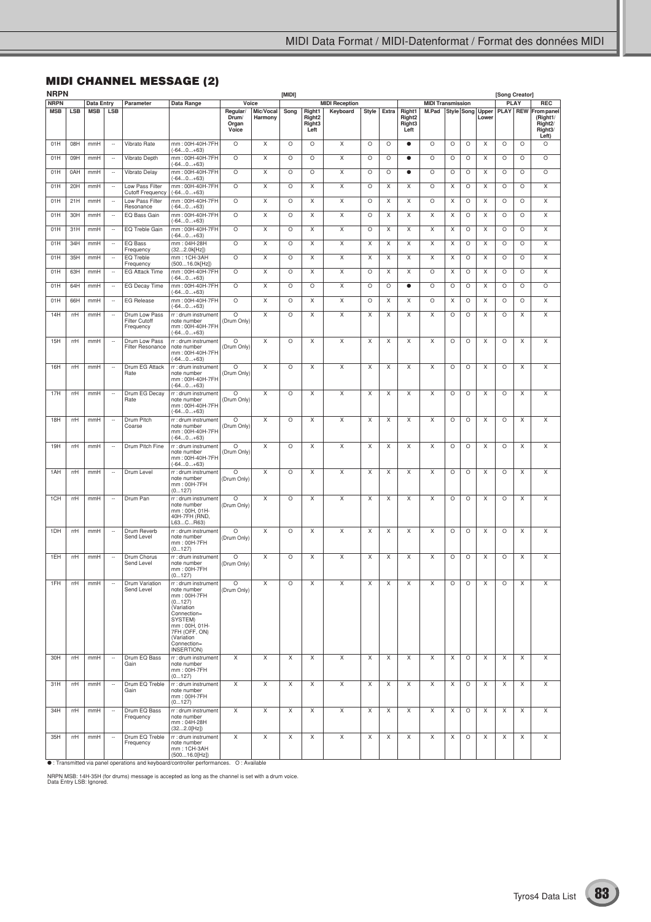# **MIDI CHANNEL MESSAGE (2)**

| <b>NRPN</b> |            |                   |                          |                                                    |                                                                                                                                                                                   |                                     |                      | [MIDI]  |                                                |                       |              |         |                                                |                          |   |         |                           | [Song Creator] |             |                                                                        |
|-------------|------------|-------------------|--------------------------|----------------------------------------------------|-----------------------------------------------------------------------------------------------------------------------------------------------------------------------------------|-------------------------------------|----------------------|---------|------------------------------------------------|-----------------------|--------------|---------|------------------------------------------------|--------------------------|---|---------|---------------------------|----------------|-------------|------------------------------------------------------------------------|
| <b>NRPN</b> |            | <b>Data Entry</b> |                          | Parameter                                          | Data Range                                                                                                                                                                        | Voice                               |                      |         |                                                | <b>MIDI Reception</b> |              |         |                                                | <b>MIDI Transmission</b> |   |         |                           |                | <b>PLAY</b> | <b>REC</b>                                                             |
| <b>MSB</b>  | <b>LSB</b> | <b>MSB</b>        | <b>LSB</b>               |                                                    |                                                                                                                                                                                   | Regular/<br>Drum/<br>Organ<br>Voice | Mic/Vocal<br>Harmony | Song    | Right1<br>Right <sub>2</sub><br>Right3<br>Left | Keyboard              | <b>Style</b> | Extra   | Right1<br>Right <sub>2</sub><br>Right3<br>Left | M.Pad                    |   |         | Style Song Upper<br>Lower | <b>PLAY</b>    |             | REW From panel<br>(Right1/<br>Right <sub>2</sub> /<br>Right3/<br>Left) |
| 01H         | 08H        | mmH               | $\overline{\phantom{a}}$ | Vibrato Rate                                       | mm:00H-40H-7FH<br>(-640+63)                                                                                                                                                       | $\circ$                             | X                    | $\circ$ | O                                              | X                     | $\circ$      | O       | $\bullet$                                      | O                        | O | O       | X                         | O              | O           | $\circ$                                                                |
| 01H         | 09H        | mmH               | $\overline{\phantom{a}}$ | Vibrato Depth                                      | mm: 00H-40H-7FH<br>$(-640+63)$                                                                                                                                                    | $\circ$                             | X                    | $\circ$ | $\circ$                                        | X                     | $\circ$      | O       | $\bullet$                                      | O                        | O | $\circ$ | X                         | O              | $\circ$     | O                                                                      |
| 01H         | 0AH        | mmH               | $\overline{\phantom{a}}$ | Vibrato Delay                                      | mm: 00H-40H-7FH<br>(-640+63)                                                                                                                                                      | $\circ$                             | X                    | $\circ$ | $\circ$                                        | X                     | $\circ$      | O       | $\bullet$                                      | O                        | O | O       | X                         | O              | O           | O                                                                      |
| 01H         | 20H        | mmH               |                          | Low Pass Filter<br><b>Cutoff Frequency</b>         | mm: 00H-40H-7FH<br>$(-640+63)$                                                                                                                                                    | $\circ$                             | X                    | $\circ$ | X                                              | X                     | O            | X       | X                                              | O                        | X | O       | X                         | O              | O           | X                                                                      |
| 01H         | 21H        | mmH               | $\overline{\phantom{a}}$ | Low Pass Filter<br>Resonance                       | mm: 00H-40H-7FH<br>(-640+63)                                                                                                                                                      | $\circ$                             | X                    | $\circ$ | X                                              | Χ                     | $\circ$      | X       | X                                              | O                        | Χ | $\circ$ | X                         | O              | O           | X                                                                      |
| 01H         | 30H        | mmH               | $\overline{\phantom{a}}$ | EQ Bass Gain                                       | mm: 00H-40H-7FH<br>(-640+63)                                                                                                                                                      | O                                   | X                    | $\circ$ | X                                              | X                     | $\circ$      | X       | X                                              | X                        | X | $\circ$ | X                         | O              | $\circ$     | X                                                                      |
| 01H         | 31H        | mmH               | $\overline{\phantom{a}}$ | EQ Treble Gain                                     | mm: 00H-40H-7FH<br>(-64…0…+63)                                                                                                                                                    | O                                   | X                    | $\circ$ | X                                              | X                     | O            | X       | X                                              | X                        | X | $\circ$ | X                         | O              | O           | X                                                                      |
| 01H         | 34H        | mmH               | $\overline{\phantom{a}}$ | EQ Bass<br>Frequency                               | mm: 04H-28H<br>(322.0k[Hz])                                                                                                                                                       | $\circ$                             | X                    | $\circ$ | X                                              | X                     | X            | X       | X                                              | Χ                        | X | $\circ$ | X                         | O              | $\circ$     | Χ                                                                      |
| 01H         | 35H        | mmH               | $\overline{\phantom{a}}$ | EQ Treble<br>Frequency                             | mm: 1CH-3AH<br>(50016.0k[Hz])                                                                                                                                                     | $\circ$                             | X                    | $\circ$ | X                                              | X                     | X            | X       | X                                              | X                        | X | O       | X                         | O              | O           | X                                                                      |
| 01H         | 63H        | mmH               | $\overline{\phantom{a}}$ | <b>EG Attack Time</b>                              | mm: 00H-40H-7FH<br>(-64…0…+63)                                                                                                                                                    | O                                   | X                    | $\circ$ | X                                              | X                     | O            | X       | Χ                                              | O                        | X | $\circ$ | X                         | O              | O           | X                                                                      |
| 01H         | 64H        | mmH               | $\overline{\phantom{a}}$ | EG Decay Time                                      | mm: 00H-40H-7FH<br>(-640+63)                                                                                                                                                      | $\circ$                             | X                    | $\circ$ | $\circ$                                        | Χ                     | $\circ$      | $\circ$ | $\bullet$                                      | O                        | O | $\circ$ | X                         | O              | O           | O                                                                      |
| 01H         | 66H        | mmH               | $\ddot{\phantom{0}}$     | <b>EG Release</b>                                  | mm: 00H-40H-7FH<br>(-640+63)                                                                                                                                                      | O                                   | Χ                    | $\circ$ | X                                              | X                     | $\circ$      | X       | X                                              | O                        | X | O       | X                         | O              | $\circ$     | X                                                                      |
| 14H         | rrH        | mmH               | $\overline{\phantom{a}}$ | Drum Low Pass<br><b>Filter Cutoff</b><br>Frequency | rr : drum instrument<br>note number<br>mm:00H-40H-7FH<br>$(-640+63)$                                                                                                              | O<br>(Drum Only)                    | Χ                    | $\circ$ | X                                              | X                     | Χ            | X       | X                                              | X                        | O | $\circ$ | X                         | O              | Χ           | X                                                                      |
| 15H         | rrH        | mmH               | $\overline{\phantom{a}}$ | Drum Low Pass<br><b>Filter Resonance</b>           | rr : drum instrument<br>note number<br>mm:00H-40H-7FH<br>$(-640+63)$                                                                                                              | O<br>(Drum Only)                    | Χ                    | $\circ$ | Χ                                              | X                     | Χ            | Χ       | Χ                                              | X                        | O | $\circ$ | X                         | O              | Χ           | X                                                                      |
| 16H         | rrH        | mmH               | $\overline{\phantom{a}}$ | Drum EG Attack<br>Rate                             | rr : drum instrument<br>note number<br>mm:00H-40H-7FH<br>$(-640+63)$                                                                                                              | O<br>(Drum Only)                    | Χ                    | $\circ$ | Χ                                              | X                     | Χ            | Χ       | Χ                                              | X                        | O | $\circ$ | X                         | O              | Χ           | X                                                                      |
| 17H         | rrH        | mmH               | $\overline{\phantom{a}}$ | Drum EG Decay<br>Rate                              | rr : drum instrument<br>note number<br>mm: 00H-40H-7FH<br>$(-640+63)$                                                                                                             | O<br>(Drum Only)                    | Χ                    | $\circ$ | Χ                                              | X                     | Χ            | Χ       | Χ                                              | X                        | O | $\circ$ | X                         | O              | Χ           | X                                                                      |
| 18H         | rrH        | mmH               |                          | Drum Pitch<br>Coarse                               | rr : drum instrument<br>note number<br>mm:00H-40H-7FH<br>$(-640+63)$                                                                                                              | O<br>(Drum Only)                    | Χ                    | $\circ$ | X                                              | X                     | Χ            | Χ       | Χ                                              | X                        | O | $\circ$ | X                         | O              | Χ           | X                                                                      |
| 19H         | rrH        | mmH               | $\overline{\phantom{a}}$ | Drum Pitch Fine                                    | rr : drum instrument<br>note number<br>mm: 00H-40H-7FH<br>$(-640+63)$                                                                                                             | O<br>(Drum Only)                    | Χ                    | $\circ$ | X                                              | X                     | X            | Χ       | Χ                                              | X                        | O | $\circ$ | X                         | O              | Χ           | X                                                                      |
| 1AH         | rrH        | mmH               | $\overline{\phantom{a}}$ | Drum Level                                         | rr: drum instrument<br>note number<br>mm: 00H-7FH<br>(0127)                                                                                                                       | O<br>(Drum Only)                    | Χ                    | $\circ$ | X                                              | X                     | X            | Χ       | Χ                                              | X                        | O | $\circ$ | X                         | O              | Χ           | X                                                                      |
| 1CH         | rrH        | mmH               | $\overline{\phantom{a}}$ | Drum Pan                                           | rr : drum instrument<br>note number<br>mm: 00H, 01H-<br>40H-7FH (RND,<br>L63CR63)                                                                                                 | O<br>(Drum Only)                    | X                    | $\circ$ | Χ                                              | X                     | X            | X       | Χ                                              | X                        | O | $\circ$ | X                         | O              | Χ           | X                                                                      |
| 1DH         | mH         | mmH               | $\overline{\phantom{a}}$ | Drum Reverb<br>Send Level                          | rr : drum instrument<br>note number<br>mm: 00H-7FH<br>(0…127)                                                                                                                     | O<br>(Drum Only)                    | X                    | $\circ$ | X                                              | X                     | X            | X       | X                                              | X                        | O | O       | X                         | O              | X           | X                                                                      |
| 1EH         | mH         | mmH               | $\overline{\phantom{a}}$ | Drum Chorus<br>Send Level                          | rr : drum instrument<br>note number<br>mm: 00H-7FH<br>(0127)                                                                                                                      | O<br>(Drum Only)                    | X                    | $\circ$ | X                                              | X                     | X            | X       | X                                              | Χ                        | O | O       | X                         | O              | X           | X                                                                      |
| 1FH         | rrH        | mmH               |                          | Drum Variation<br>Send Level                       | rr : drum instrument<br>note number<br>mm: 00H-7FH<br>(0127)<br>(Variation<br>Connection=<br>SYSTEM)<br>mm: 00H, 01H-<br>7FH (OFF, ON)<br>(Variation<br>Connection=<br>INSERTION) | O<br>(Drum Only)                    | х                    | O       | х                                              |                       | х            | х       | х                                              | х                        | O | O       |                           |                | х           |                                                                        |
| 30H         | rrH        | mmH               | $\overline{\phantom{a}}$ | Drum EQ Bass<br>Gain                               | rr : drum instrument<br>note number<br>mm: 00H-7FH<br>(0127)                                                                                                                      | X                                   | X                    | X       | X                                              | X                     | X            | X       | X                                              | X                        | X | $\circ$ | X                         | X              | X           | X                                                                      |
| 31H         | rrH        | mmH               | $\overline{\phantom{a}}$ | Drum EQ Treble<br>Gain                             | rr : drum instrument<br>note number<br>mm: 00H-7FH<br>(0127)                                                                                                                      | X                                   | X                    | X       | X                                              | X                     | X            | X       | X                                              | X                        | X | $\circ$ | Χ                         | Χ              | Χ           | X                                                                      |
| 34H         | rrH        | mmH               | $\overline{\phantom{a}}$ | Drum EQ Bass<br>Frequency                          | rr : drum instrument<br>note number<br>mm: 04H-28H<br>(322.0[Hz])                                                                                                                 | X                                   | X                    | X       | X                                              | X                     | X            | X       | X                                              | X                        | X | $\circ$ | Χ                         | Χ              | Χ           | Χ                                                                      |
| 35H         | rrH        | mmH               | $\overline{\phantom{a}}$ | Drum EQ Treble<br>Frequency                        | rr : drum instrument<br>note number<br>mm: 1CH-3AH<br>(50016.0[Hz])                                                                                                               | X                                   | X                    | X       | X                                              | X                     | X            | X       | X                                              | X                        | X | $\circ$ | Χ                         | X              | Χ           | X                                                                      |
|             |            |                   |                          |                                                    | • : Transmitted via panel operations and keyboard/controller performances. O: Available                                                                                           |                                     |                      |         |                                                |                       |              |         |                                                |                          |   |         |                           |                |             |                                                                        |

NRPN MSB: 14H-35H (for drums) message is accepted as long as the channel is set with a drum voice. Data Entry LSB: Ignored.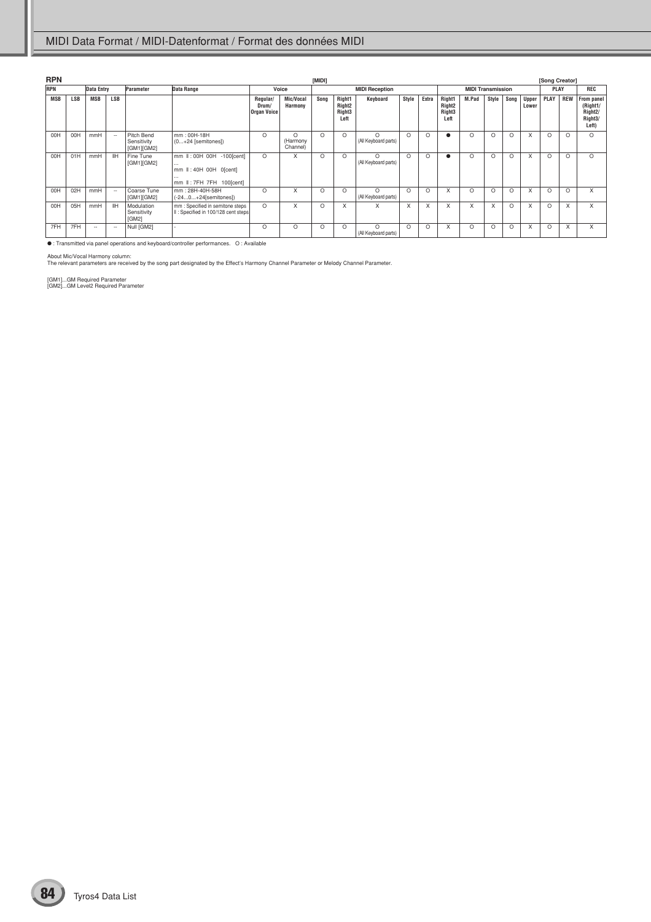| <b>RPN</b> |            |            |            |                                         |                                                                                                 |                                         |                                  | [MIDI]   |                                                            |                                  |          |          |                                                            |                          |          |          |                       | [Song Creator] |            |                                                                                 |
|------------|------------|------------|------------|-----------------------------------------|-------------------------------------------------------------------------------------------------|-----------------------------------------|----------------------------------|----------|------------------------------------------------------------|----------------------------------|----------|----------|------------------------------------------------------------|--------------------------|----------|----------|-----------------------|----------------|------------|---------------------------------------------------------------------------------|
| <b>RPN</b> |            | Data Entry |            | Parameter                               | Data Range                                                                                      |                                         | Voice                            |          |                                                            | <b>MIDI Reception</b>            |          |          |                                                            | <b>MIDI Transmission</b> |          |          |                       | <b>PLAY</b>    |            | <b>REC</b>                                                                      |
| <b>MSB</b> | <b>LSB</b> | <b>MSB</b> | <b>LSB</b> |                                         |                                                                                                 | Regular/<br>Drum/<br><b>Organ Voice</b> | Mic/Vocal<br>Harmony             | Song     | Right1<br>Right <sub>2</sub><br>Right <sub>3</sub><br>Left | Keyboard                         | Style    | Extra    | Right1<br>Right <sub>2</sub><br>Right <sub>3</sub><br>Left | M.Pad                    | Style    | Song     | <b>Upper</b><br>Lower | PLAY           | <b>REW</b> | From panel<br>(Right1/<br>Right <sub>2</sub> /<br>Right <sub>3</sub> /<br>Left) |
| 00H        | 00H        | mmH        | $\sim$     | Pitch Bend<br>Sensitivity<br>[GM1][GM2] | mm: 00H-18H<br>$(0+24$ [semitones])                                                             | $\circ$                                 | $\Omega$<br>(Harmony<br>Channel) | $\Omega$ | O                                                          | $\Omega$<br>(All Keyboard parts) | $\Omega$ | $\Omega$ |                                                            | $\Omega$                 | $\circ$  | O        | X                     | $\circ$        | $\Omega$   | $\Omega$                                                                        |
| 00H        | 01H        | mmH        | <b>IIH</b> | Fine Tune<br>[GM1][GM2]                 | mm II: 00H 00H -100[cent]<br>$\cdots$<br>mm II: 40H 00H 0[cent]<br><br>mm II: 7FH 7FH 100[cent] | $\Omega$                                | X                                | O        | $\Omega$                                                   | $\Omega$<br>(All Keyboard parts) | $\Omega$ | $\Omega$ |                                                            | O                        | $\circ$  | $\Omega$ | X                     | $\circ$        | $\Omega$   | $\Omega$                                                                        |
| 00H        | 02H        | mmH        | $\sim$     | Coarse Tune<br>[GM1][GM2]               | mm: 28H-40H-58H<br>$(-240+24[semitones])$                                                       | $\Omega$                                | X                                | O        | $\Omega$                                                   | $\Omega$<br>(All Keyboard parts) | $\Omega$ | $\Omega$ | X                                                          | $\Omega$                 | $\Omega$ | $\Omega$ | X                     | $\circ$        | $\Omega$   | X                                                                               |
| 00H        | 05H        | mmH        | <b>IIH</b> | Modulation<br>Sensitivity<br>[GM2]      | mm : Specified in semitone steps<br>II: Specified in 100/128 cent steps                         | $\circ$                                 | X                                | O        | X                                                          | X                                | X        | X        | X                                                          | X                        | X        | $\Omega$ | X                     | $\circ$        | X          | X                                                                               |
| 7FH        | 7FH        | $\sim$     | $\sim$     | Null [GM2]                              |                                                                                                 | $\Omega$                                | $\Omega$                         | O        | $\Omega$                                                   | $\Omega$<br>(All Keyboard parts) | $\Omega$ | $\Omega$ | X                                                          | $\Omega$                 | $\Omega$ | $\Omega$ | X                     | $\Omega$       | X          | X                                                                               |

● : Transmitted via panel operations and keyboard/controller performances. O : Available

About Mic/Vocal Harmony column: The relevant parameters are received by the song part designated by the Effect's Harmony Channel Parameter or Melody Channel Parameter.

[GM1]...GM Required Parameter [GM2]...GM Level2 Required Parameter

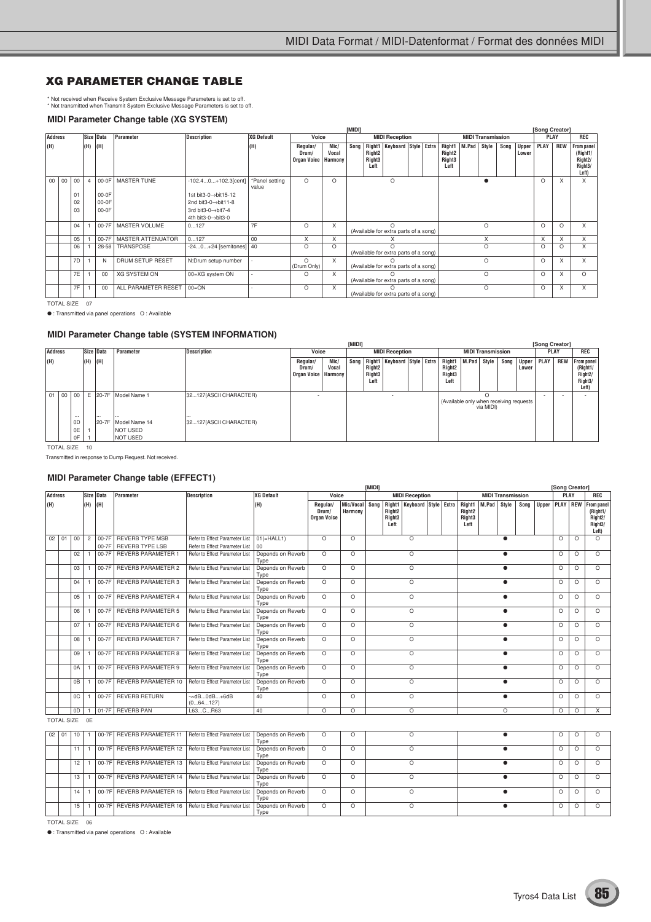#### **XG PARAMETER CHANGE TABLE**

\* Not received when Receive System Exclusive Message Parameters is set to off. \* Not transmitted when Transmit System Exclusive Message Parameters is set to off.

#### **MIDI Parameter Change table (XG SYSTEM)**

|     |                |    |     |           |                          |                                  |                         |                                  |                          | [MIDI]                                |                                                  |                                                   |  |  |                                                                    |  |                          |      |                | [Song Creator] |            |                                                                    |
|-----|----------------|----|-----|-----------|--------------------------|----------------------------------|-------------------------|----------------------------------|--------------------------|---------------------------------------|--------------------------------------------------|---------------------------------------------------|--|--|--------------------------------------------------------------------|--|--------------------------|------|----------------|----------------|------------|--------------------------------------------------------------------|
|     | <b>Address</b> |    |     | Size Data | Parameter                | <b>Description</b>               | <b>XG Default</b>       | Voice                            |                          |                                       |                                                  | <b>MIDI Reception</b>                             |  |  |                                                                    |  | <b>MIDI Transmission</b> |      |                | <b>PLAY</b>    |            | <b>REC</b>                                                         |
| (H) |                |    | (H) | (H)       |                          |                                  | (H)                     | Regular/<br>Drum/<br>Organ Voice | Mic/<br>Vocal<br>Harmony | Song                                  | Right <sub>2</sub><br>Right <sub>3</sub><br>Left | Right1   Keyboard   Style   Extra                 |  |  | Right1   M.Pad<br>Right <sub>2</sub><br>Right <sub>3</sub><br>Left |  | Style                    | Song | Upper<br>Lower | PLAY           | <b>REW</b> | From panel<br>(Right1/<br>Right <sub>2</sub> /<br>Right3/<br>Left) |
|     | 00<br>00       | 00 |     | 00-0F     | <b>MASTER TUNE</b>       | -102.40+102.3[cent]              | *Panel setting<br>value | $\Omega$                         | $\Omega$                 |                                       |                                                  | O                                                 |  |  |                                                                    |  |                          |      |                | $\Omega$       | X          | $\times$                                                           |
|     |                | 01 |     | 00-0F     |                          | 1st bit3-0→bit15-12              |                         |                                  |                          |                                       |                                                  |                                                   |  |  |                                                                    |  |                          |      |                |                |            |                                                                    |
|     |                | 02 |     | 00-0F     |                          | 2nd bit3-0 $\rightarrow$ bit11-8 |                         |                                  |                          |                                       |                                                  |                                                   |  |  |                                                                    |  |                          |      |                |                |            |                                                                    |
|     |                | 03 |     | 00-0F     |                          | 3rd bit3-0→bit7-4                |                         |                                  |                          |                                       |                                                  |                                                   |  |  |                                                                    |  |                          |      |                |                |            |                                                                    |
|     |                |    |     |           |                          | 4th bit3-0->bit3-0               |                         |                                  |                          |                                       |                                                  |                                                   |  |  |                                                                    |  |                          |      |                |                |            |                                                                    |
|     |                | 04 |     | 00-7F     | MASTER VOLUME            | 0127                             | 7F                      | $\Omega$                         | X                        |                                       |                                                  | $\Omega$<br>(Available for extra parts of a song) |  |  |                                                                    |  | $\circ$                  |      |                | $\Omega$       | $\Omega$   | X                                                                  |
|     |                | 05 |     | 00-7F     | <b>MASTER ATTENUATOR</b> | 0127                             | 00                      | X                                | X                        |                                       |                                                  |                                                   |  |  |                                                                    |  | X                        |      |                | X              | X          | X                                                                  |
|     |                | 06 |     | 28-58     | TRANSPOSE                | $-240+24$ [semitones] 40         |                         | O                                | $\Omega$                 | (Available for extra parts of a song) |                                                  |                                                   |  |  |                                                                    |  | $\circ$                  |      |                | $\Omega$       | $\Omega$   | X                                                                  |
|     |                | 7D |     | N         | DRUM SETUP RESET         | N:Drum setup number              |                         | $\Omega$<br>(Drum Only)          | X                        | (Available for extra parts of a song) |                                                  |                                                   |  |  |                                                                    |  | $\circ$                  |      |                | $\Omega$       | X          | X                                                                  |
|     |                | 7E |     | 00        | <b>XG SYSTEM ON</b>      | 00=XG system ON                  |                         | $\circ$                          | X                        | (Available for extra parts of a song) |                                                  |                                                   |  |  |                                                                    |  | $\Omega$                 |      |                | $\Omega$       | X          | $\Omega$                                                           |
|     |                | 7F |     | 00        | ALL PARAMETER RESET      | $00 = ON$                        |                         | O                                | X                        | (Available for extra parts of a song) |                                                  |                                                   |  |  |                                                                    |  | $\circ$                  |      |                | $\circ$        | X          | X                                                                  |

TOTAL SIZE 07

● : Transmitted via panel operations O : Available

#### **MIDI Parameter Change table (SYSTEM INFORMATION)**

|     |                |                |  |             |  |                                                           |                            |                                            | [MIDI]        |  |                                      |                                          |  |                                                                          |                          |      | [Song Creator]      |             |            |                                                                                 |
|-----|----------------|----------------|--|-------------|--|-----------------------------------------------------------|----------------------------|--------------------------------------------|---------------|--|--------------------------------------|------------------------------------------|--|--------------------------------------------------------------------------|--------------------------|------|---------------------|-------------|------------|---------------------------------------------------------------------------------|
|     | <b>Address</b> |                |  | Size Data   |  | Parameter                                                 | <b>Description</b>         | Voice                                      |               |  |                                      | <b>MIDI Reception</b>                    |  |                                                                          | <b>MIDI Transmission</b> |      |                     | <b>PLAY</b> |            | REC                                                                             |
| (H) |                |                |  | $(H)$ $(H)$ |  |                                                           |                            | Regular/<br>Drum/<br>Organ Voice   Harmony | Mic/<br>Vocal |  | Right <sub>2</sub><br>Right3<br>Left | Song   Right1   Keyboard   Style   Extra |  | Right1   M.Pad Style<br>Right <sub>2</sub><br>Right <sub>3</sub><br>Left |                          | Song | Upper PLAY<br>Lower |             | <b>REW</b> | From panel<br>(Right1/<br>Right <sub>2</sub> /<br>Right <sub>3</sub> /<br>Left) |
|     | 01 00 00       | $\cdots$       |  |             |  | E 20-7F Model Name 1                                      | 32127(ASCII CHARACTER)<br> |                                            |               |  |                                      |                                          |  | (Available only when receiving requests                                  | via MIDI)                |      |                     |             |            |                                                                                 |
|     |                | 0D<br>0E<br>0F |  |             |  | 20-7F Model Name 14<br><b>NOT USED</b><br><b>NOT USED</b> | 32127(ASCII CHARACTER)     |                                            |               |  |                                      |                                          |  |                                                                          |                          |      |                     |             |            |                                                                                 |

TOTAL SIZE 10

Transmitted in response to Dump Request. Not received.

#### **MIDI Parameter Change table (EFFECT1)**

|                |               |    | Size Data      |           |                            |                                     |                           |                                         |                      | <b>IMIDII</b> |                                                  |                                   |  |                                                            |       |                          |      | [Song Creator] |          |                                                                                                |
|----------------|---------------|----|----------------|-----------|----------------------------|-------------------------------------|---------------------------|-----------------------------------------|----------------------|---------------|--------------------------------------------------|-----------------------------------|--|------------------------------------------------------------|-------|--------------------------|------|----------------|----------|------------------------------------------------------------------------------------------------|
| <b>Address</b> |               |    |                |           | <b>Parameter</b>           | <b>Description</b>                  | <b>XG Default</b>         | Voice                                   |                      |               |                                                  | <b>MIDI Reception</b>             |  |                                                            |       | <b>MIDI Transmission</b> |      | PLAY           |          | REC                                                                                            |
| (H)            |               |    | (H)            | (H)       |                            |                                     | (H)                       | Regular/<br>Drum/<br><b>Organ Voice</b> | Mic/Vocal<br>Harmony | Sona          | Right <sub>2</sub><br>Right <sub>3</sub><br>Left | Right1   Keyboard   Style   Extra |  | Right1<br>Right <sub>2</sub><br>Right <sub>3</sub><br>Left | M.Pad | Style                    | Sona |                |          | Upper PLAY REW From panel<br>(Right1/<br>Right <sub>2</sub> /<br>Right <sub>3</sub> /<br>Left) |
|                | $02$ 01       | 00 | $\overline{c}$ |           | 00-7F REVERB TYPE MSB      | Refer to Effect Parameter List      | $01(=\text{HALL1})$       | $\Omega$                                | $\Omega$             |               |                                                  | $\circ$                           |  |                                                            |       | ٠                        |      | O              | $\circ$  | $\Omega$                                                                                       |
|                |               |    |                | 00-7F     | <b>REVERB TYPE LSB</b>     | Refer to Effect Parameter List      | $00\,$                    |                                         |                      |               |                                                  |                                   |  |                                                            |       |                          |      |                |          |                                                                                                |
|                |               | 02 |                | 00-7F     | <b>REVERB PARAMETER 1</b>  | Refer to Effect Parameter List      | Depends on Reverb<br>Type | $\Omega$                                | $\circ$              |               |                                                  | $\circ$                           |  |                                                            |       |                          |      | O              | O        | $\circ$                                                                                        |
|                |               | 03 |                | 00-7F     | <b>REVERB PARAMETER 2</b>  | Refer to Effect Parameter List      | Depends on Reverb<br>Type | $\Omega$                                | $\Omega$             |               |                                                  | $\circ$                           |  |                                                            |       | ٠                        |      | $\circ$        | $\circ$  | $\Omega$                                                                                       |
|                |               | 04 |                | 00-7F     | <b>REVERB PARAMETER 3</b>  | Refer to Effect Parameter List      | Depends on Reverb<br>Type | $\Omega$                                | $\circ$              |               |                                                  | $\circ$                           |  |                                                            |       | $\bullet$                |      | O              | $\circ$  | $\circ$                                                                                        |
|                |               | 05 |                | 00-7F     | <b>REVERB PARAMETER 4</b>  | Refer to Effect Parameter List      | Depends on Reverb<br>Type | $\Omega$                                | $\Omega$             |               |                                                  | $\circ$                           |  |                                                            |       |                          |      | O              | $\circ$  | $\circ$                                                                                        |
|                |               | 06 |                | 00-7F     | <b>REVERB PARAMETER 5</b>  | Refer to Effect Parameter List      | Depends on Reverb<br>Type | $\Omega$                                | $\Omega$             |               |                                                  | $\circ$                           |  |                                                            |       | ٠                        |      | O              | $\circ$  | $\Omega$                                                                                       |
|                |               | 07 |                | 00-7F     | <b>REVERB PARAMETER 6</b>  | Refer to Effect Parameter List      | Depends on Reverb<br>Type | $\Omega$                                | $\circ$              |               |                                                  | $\circ$                           |  |                                                            |       |                          |      | $\circ$        | $\circ$  | $\Omega$                                                                                       |
|                |               | 08 |                | 00-7F     | <b>REVERB PARAMETER 7</b>  | Refer to Effect Parameter List      | Depends on Reverb<br>Type | $\Omega$                                | $\Omega$             |               |                                                  | $\circ$                           |  |                                                            |       |                          |      | $\circ$        | $\circ$  | $\Omega$                                                                                       |
|                |               | 09 |                | 00-7F     | <b>REVERB PARAMETER 8</b>  | Refer to Effect Parameter List      | Depends on Reverb<br>Type | $\Omega$                                | $\Omega$             |               |                                                  | $\circ$                           |  |                                                            |       | ٠                        |      | $\circ$        | $\circ$  | $\Omega$                                                                                       |
|                |               | 0A |                | 00-7F     | <b>REVERB PARAMETER 9</b>  | Refer to Effect Parameter List      | Depends on Reverb<br>Type | $\Omega$                                | $\Omega$             |               |                                                  | $\circ$                           |  |                                                            |       |                          |      | O              | $\circ$  | $\Omega$                                                                                       |
|                |               | 0B |                | 00-7F     | <b>REVERB PARAMETER 10</b> | Refer to Effect Parameter List      | Depends on Reverb<br>Type | $\Omega$                                | $\circ$              |               |                                                  | $\circ$                           |  |                                                            |       | ٠                        |      | O              | $\circ$  | $\Omega$                                                                                       |
|                |               | OC |                | $00 - 7F$ | <b>REVERB RETURN</b>       | $ \infty$ dB0dB $+6$ dB<br>(064127) | 40                        | $\Omega$                                | $\Omega$             |               |                                                  | $\circ$                           |  |                                                            |       | ٠                        |      | $\circ$        | $\Omega$ | $\Omega$                                                                                       |
|                |               | 0D |                |           | 01-7F REVERB PAN           | L63CR63                             | 40                        | $\Omega$                                | $\Omega$             |               |                                                  | $\circ$                           |  |                                                            |       | $\Omega$                 |      | O              | $\circ$  | $\overline{X}$                                                                                 |
|                | TOTAL SIZE 0E |    |                |           |                            |                                     |                           |                                         |                      |               |                                                  |                                   |  |                                                            |       |                          |      |                |          |                                                                                                |
|                | 02   01       | 10 |                |           | 00-7F REVERB PARAMETER 11  | Refer to Effect Parameter List      | Depends on Reverb<br>Type | $\Omega$                                | $\circ$              |               |                                                  | $\circ$                           |  |                                                            |       | $\bullet$                |      | O              | $\circ$  | $\Omega$                                                                                       |
|                |               | 11 |                |           | 00-7F REVERB PARAMETER 12  | Refer to Effect Parameter List      | Depends on Reverb<br>Type | $\Omega$                                | $\Omega$             |               |                                                  | $\circ$                           |  |                                                            |       | $\bullet$                |      | O              | $\circ$  | $\Omega$                                                                                       |
|                |               | 12 |                |           | 00-7F REVERB PARAMETER 13  | Refer to Effect Parameter List      | Depends on Reverb<br>Type | $\Omega$                                | $\Omega$             |               |                                                  | $\circ$                           |  |                                                            |       |                          |      | $\circ$        | $\Omega$ | $\Omega$                                                                                       |
|                |               | 13 |                |           | 00-7F REVERB PARAMETER 14  | Refer to Effect Parameter List      | Depends on Reverb<br>Type | $\Omega$                                | $\Omega$             |               |                                                  | $\circ$                           |  |                                                            |       |                          |      | $\circ$        | $\circ$  | $\Omega$                                                                                       |
|                |               | 14 |                |           | 00-7F REVERB PARAMETER 15  | Refer to Effect Parameter List      | Depends on Reverb<br>Type | $\overline{\circ}$                      | $\circ$              |               |                                                  | $\circ$                           |  |                                                            |       |                          |      | $\circ$        | $\circ$  | $\Omega$                                                                                       |
|                |               | 15 |                |           | 00-7F REVERB PARAMETER 16  | Refer to Effect Parameter List      | Depends on Reverb<br>Type | $\Omega$                                | $\circ$              |               |                                                  | $\circ$                           |  |                                                            |       |                          |      | O              | O        | $\circ$                                                                                        |

TOTAL SIZE 06

● : Transmitted via panel operations O : Available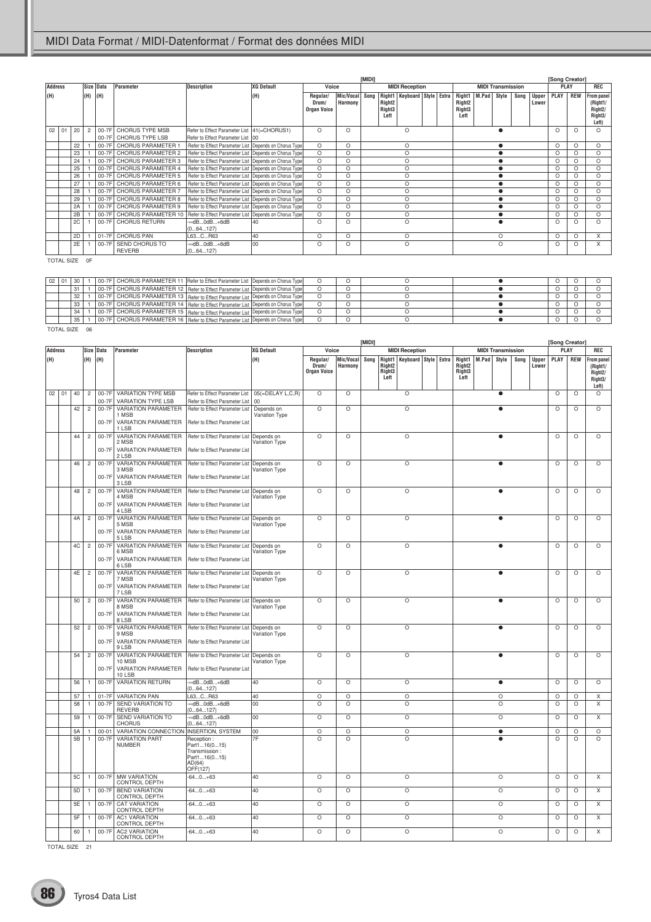|     |                   |          |                   |                    |                                                                                                                                                                                |                                                                                    |                                                  |                                         |                      | [MIDI] |                                                                                       |                          |                                                |                          |      |                       | [Song Creator] |            |                                                                                 |
|-----|-------------------|----------|-------------------|--------------------|--------------------------------------------------------------------------------------------------------------------------------------------------------------------------------|------------------------------------------------------------------------------------|--------------------------------------------------|-----------------------------------------|----------------------|--------|---------------------------------------------------------------------------------------|--------------------------|------------------------------------------------|--------------------------|------|-----------------------|----------------|------------|---------------------------------------------------------------------------------|
|     | <b>Address</b>    |          |                   | Size Data          | Parameter                                                                                                                                                                      | <b>Description</b>                                                                 | <b>XG Default</b>                                | Voice                                   |                      |        | <b>MIDI Reception</b>                                                                 |                          |                                                | <b>MIDI Transmission</b> |      |                       | PLAY           |            | <b>REC</b>                                                                      |
| (H) |                   |          | (H)               | (H)                |                                                                                                                                                                                |                                                                                    | (H)                                              | Regular/<br>Drum/<br><b>Organ Voice</b> | Mic/Vocal<br>Harmony | Song   | Right1   Keyboard   Style   Extra<br>Right <sub>2</sub><br>Right <sub>3</sub><br>Left |                          | Right1<br>Right <sub>2</sub><br>Right3<br>Left | M.Pad<br>Style           | Song | <b>Upper</b><br>Lower | PLAY           | <b>REW</b> | From panel<br>(Right1/<br>Right <sub>2</sub> /<br>Right <sub>3</sub> /<br>Left) |
|     | 02   01           | 20       | $\overline{c}$    |                    | 00-7F CHORUS TYPE MSB                                                                                                                                                          | Refer to Effect Parameter List   41(=CHORUS1)                                      |                                                  | O                                       | $\circ$              |        | $\circ$                                                                               |                          |                                                | $\bullet$                |      |                       | $\circ$        | $\circ$    | $\circ$                                                                         |
|     |                   | 22       | $\mathbf{1}$      | $00-7F$<br>$00-7F$ | CHORUS TYPE LSB<br>CHORUS PARAMETER 1                                                                                                                                          | Refer to Effect Parameter List<br>Refer to Effect Parameter List                   | 00<br>Depends on Chorus Type                     | O                                       | O                    |        | O                                                                                     |                          |                                                | $\bullet$                |      |                       | O              | O          | $\circ$                                                                         |
|     |                   | 23       | $\mathbf{1}$      | 00-7F              | CHORUS PARAMETER 2                                                                                                                                                             | Refer to Effect Parameter List                                                     | Depends on Chorus Type                           | $\circ$                                 | $\circ$              |        | $\circ$                                                                               |                          |                                                | $\bullet$                |      |                       | $\circ$        | O          | O                                                                               |
|     |                   | 24       | $\mathbf{1}$      | 00-7F              | CHORUS PARAMETER 3                                                                                                                                                             | Refer to Effect Parameter List                                                     | Depends on Chorus Type                           | $\circ$                                 | $\circ$              |        | $\circ$                                                                               |                          |                                                | $\bullet$                |      |                       | O              | O          | O                                                                               |
|     |                   | 25<br>26 | 1<br>$\mathbf{1}$ | 00-7F<br>$00-7F$   | CHORUS PARAMETER 4<br>CHORUS PARAMETER 5                                                                                                                                       | Refer to Effect Parameter List<br>Refer to Effect Parameter List                   | Depends on Chorus Type<br>Depends on Chorus Type | O<br>$\circ$                            | O<br>O               |        | O<br>$\circ$                                                                          |                          |                                                | $\bullet$<br>$\bullet$   |      |                       | O<br>O         | O<br>O     | O<br>O                                                                          |
|     |                   | 27       | $\mathbf{1}$      | 00-7F              | CHORUS PARAMETER 6                                                                                                                                                             | Refer to Effect Parameter List                                                     | Depends on Chorus Type                           | O                                       | O                    |        | $\circ$                                                                               |                          |                                                | $\bullet$                |      |                       | $\circ$        | O          | O                                                                               |
|     |                   | 28       | $\mathbf{1}$      | $00-7F$            | CHORUS PARAMETER 7                                                                                                                                                             | Refer to Effect Parameter List                                                     | Depends on Chorus Type                           | O                                       | O                    |        | O                                                                                     |                          |                                                | $\bullet$                |      |                       | O              | O          | O                                                                               |
|     |                   | 29<br>2A | 1<br>$\mathbf{1}$ | $00-7F$<br>00-7F   | CHORUS PARAMETER 8<br>CHORUS PARAMETER 9                                                                                                                                       | Refer to Effect Parameter List<br>Refer to Effect Parameter List                   | Depends on Chorus Type<br>Depends on Chorus Type | $\circ$<br>$\circ$                      | $\circ$<br>$\circ$   |        | $\circ$<br>$\circ$                                                                    |                          |                                                | $\bullet$<br>$\bullet$   |      |                       | O<br>$\circ$   | O<br>O     | O<br>O                                                                          |
|     |                   | 2B       | $\mathbf{1}$      | 00-7F              | CHORUS PARAMETER 10                                                                                                                                                            | Refer to Effect Parameter List                                                     | Depends on Chorus Type                           | $\circ$                                 | $\circ$              |        | $\circ$                                                                               |                          |                                                | $\bullet$                |      |                       | $\circ$        | O          | O                                                                               |
|     |                   | 2C       | $\mathbf{1}$      | $00-7F$            | <b>CHORUS RETURN</b>                                                                                                                                                           | ∞dB0dB+6dB                                                                         | 40                                               | $\circ$                                 | O                    |        | $\circ$                                                                               |                          |                                                | $\bullet$                |      |                       | $\circ$        | O          | O                                                                               |
|     |                   | 2D       | 1                 | $01-7F$            | <b>CHORUS PAN</b>                                                                                                                                                              | (064127)<br>L63CR63                                                                | 40                                               | $\circ$                                 | O                    |        | O                                                                                     |                          |                                                | O                        |      |                       | O              | O          | Χ                                                                               |
|     |                   | 2E       | $\mathbf{1}$      | 00-7F              | SEND CHORUS TO                                                                                                                                                                 | ∞dB0dB+6dB                                                                         | 00                                               | O                                       | $\circ$              |        | $\circ$                                                                               |                          |                                                | $\circ$                  |      |                       | $\circ$        | O          | Χ                                                                               |
|     |                   |          | TOTAL SIZE OF     |                    | <b>REVERB</b>                                                                                                                                                                  | (064127)                                                                           |                                                  |                                         |                      |        |                                                                                       |                          |                                                |                          |      |                       |                |            |                                                                                 |
|     |                   |          |                   |                    |                                                                                                                                                                                |                                                                                    |                                                  |                                         |                      |        |                                                                                       |                          |                                                |                          |      |                       |                |            |                                                                                 |
|     | 02   01           | 30       | 1                 |                    | 00-7F   CHORUS PARAMETER 11   Refer to Effect Parameter List   Depends on Chorus Type                                                                                          |                                                                                    |                                                  | O                                       | O                    |        | O                                                                                     |                          |                                                | $\bullet$                |      |                       | O              | O          | O                                                                               |
|     |                   | 31       | $\mathbf{1}$      | $00-7F$            | CHORUS PARAMETER 12   Refer to Effect Parameter List   Depends on Chorus Type                                                                                                  |                                                                                    |                                                  | $\circ$                                 | $\circ$              |        | $\circ$                                                                               |                          |                                                | $\bullet$                |      |                       | $\circ$        | $\circ$    | $\circ$                                                                         |
|     |                   | 32       | $\overline{1}$    |                    | 00-7F CHORUS PARAMETER 13 Refer to Effect Parameter List Depends on Chorus Type                                                                                                |                                                                                    |                                                  | $\circ$                                 | $\circ$              |        | $\circ$                                                                               |                          |                                                | $\bullet$                |      |                       | O              | O          | O                                                                               |
|     |                   | 33<br>34 | 1<br>$\mathbf{1}$ |                    | 00-7F   CHORUS PARAMETER 14   Refer to Effect Parameter List   Depends on Chorus Type<br>00-7F   CHORUS PARAMETER 15   Refer to Effect Parameter List   Depends on Chorus Type |                                                                                    |                                                  | $\circ$<br>$\circ$                      | O<br>$\circ$         |        | $\circ$<br>$\circ$                                                                    |                          |                                                | $\bullet$<br>$\bullet$   |      |                       | O<br>$\circ$   | O<br>O     | O<br>$\circ$                                                                    |
|     |                   | 35       | $\mathbf{1}$      |                    | 00-7F CHORUS PARAMETER 16 Refer to Effect Parameter List Depends on Chorus Type                                                                                                |                                                                                    |                                                  | O                                       | $\circ$              |        | $\circ$                                                                               |                          |                                                | $\bullet$                |      |                       | $\circ$        | O          | $\circ$                                                                         |
|     | <b>TOTAL SIZE</b> |          | 06                |                    |                                                                                                                                                                                |                                                                                    |                                                  |                                         |                      |        |                                                                                       |                          |                                                |                          |      |                       |                |            |                                                                                 |
|     |                   |          |                   |                    |                                                                                                                                                                                |                                                                                    |                                                  |                                         |                      | [MIDI] |                                                                                       |                          |                                                |                          |      |                       | [Song Creator] |            |                                                                                 |
|     | <b>Address</b>    |          |                   | Size Data          | Parameter                                                                                                                                                                      | Description                                                                        | <b>XG Default</b>                                | Voice                                   |                      |        | <b>MIDI Reception</b>                                                                 |                          |                                                | <b>MIDI Transmission</b> |      |                       | PLAY           |            | REC                                                                             |
| (H) |                   |          | (H)               | (H)                |                                                                                                                                                                                |                                                                                    | (H)                                              | Regular/<br>Drum/<br>Organ Voice        | Mic/Vocal<br>Harmony | Song   | Right1<br>Right <sub>2</sub><br>Right <sub>3</sub><br>Left                            | Keyboard   Style   Extra | Right1<br>Right <sub>2</sub><br>Right3<br>Left | M.Pad<br>Style           | Song | <b>Upper</b><br>Lower | PLAY           | REW        | From panel<br>(Right1/<br>Right <sub>2</sub> /<br>Right3/<br>Left)              |
|     | 02   01           | 40       | $\overline{c}$    |                    | 00-7F VARIATION TYPE MSB                                                                                                                                                       | Refer to Effect Parameter List                                                     | 05(=DELAY L,C,R)                                 | $\circ$                                 | $\circ$              |        | O                                                                                     |                          |                                                | $\bullet$                |      |                       | $\circ$        | O          | O                                                                               |
|     |                   | 42       | $\overline{c}$    | 00-7F<br>$00-7F$   | <b>VARIATION TYPE LSB</b><br><b>VARIATION PARAMETER</b>                                                                                                                        | Refer to Effect Parameter List<br>Refer to Effect Parameter List                   | 00<br>Depends on                                 | $\circ$                                 | O                    |        | $\circ$                                                                               |                          |                                                | $\bullet$                |      |                       | O              | O          | $\circ$                                                                         |
|     |                   |          |                   | 00-7F              | 1 MSB<br>VARIATION PARAMETER                                                                                                                                                   | Refer to Effect Parameter List                                                     | Variation Type                                   |                                         |                      |        |                                                                                       |                          |                                                |                          |      |                       |                |            |                                                                                 |
|     |                   | 44       | $\overline{c}$    | 00-7F              | 1 LSB<br><b>VARIATION PARAMETER</b>                                                                                                                                            | Refer to Effect Parameter List Depends on                                          |                                                  | $\circ$                                 | O                    |        | O                                                                                     |                          |                                                | $\bullet$                |      |                       | O              | O          | O                                                                               |
|     |                   |          |                   |                    | 2 MSB                                                                                                                                                                          |                                                                                    | Variation Type                                   |                                         |                      |        |                                                                                       |                          |                                                |                          |      |                       |                |            |                                                                                 |
|     |                   |          |                   | 00-7F              | VARIATION PARAMETER<br>2 LSB                                                                                                                                                   | Refer to Effect Parameter List                                                     |                                                  |                                         |                      |        |                                                                                       |                          |                                                |                          |      |                       |                |            |                                                                                 |
|     |                   | 46       | $\overline{c}$    | 00-7F              | <b>VARIATION PARAMETER</b><br>3 MSB                                                                                                                                            | Refer to Effect Parameter List   Depends on                                        | Variation Type                                   | O                                       | O                    |        | O                                                                                     |                          |                                                |                          |      |                       | O              | O          | $\circ$                                                                         |
|     |                   |          |                   | 00-7F              | <b>VARIATION PARAMETER</b><br>3 LSB                                                                                                                                            | Refer to Effect Parameter List                                                     |                                                  |                                         |                      |        |                                                                                       |                          |                                                |                          |      |                       |                |            |                                                                                 |
|     |                   | 48       | $\overline{c}$    | 00-7F              | VARIATION PARAMETER                                                                                                                                                            | Refer to Effect Parameter List                                                     | Depends on                                       | $\circ$                                 | $\circ$              |        | $\circ$                                                                               |                          |                                                | ٠                        |      |                       | $\circ$        | O          | $\circ$                                                                         |
|     |                   |          |                   | 00-7F              | 4 MSB<br>VARIATION PARAMETER                                                                                                                                                   | Refer to Effect Parameter List                                                     | Variation Type                                   |                                         |                      |        |                                                                                       |                          |                                                |                          |      |                       |                |            |                                                                                 |
|     |                   | 4A       | $\overline{c}$    | 00-7F              | 4 LSB<br><b>VARIATION PARAMETER</b>                                                                                                                                            | Refer to Effect Parameter List   Depends on                                        |                                                  | O                                       | O                    |        | O                                                                                     |                          |                                                | $\bullet$                |      |                       | $\circ$        | O          | $\circ$                                                                         |
|     |                   |          |                   | 00-7F              | 5 MSB<br><b>VARIATION PARAMETER</b>                                                                                                                                            | Refer to Effect Parameter List                                                     | Variation Type                                   |                                         |                      |        |                                                                                       |                          |                                                |                          |      |                       |                |            |                                                                                 |
|     |                   |          |                   |                    | 5 LSB                                                                                                                                                                          |                                                                                    |                                                  |                                         |                      |        |                                                                                       |                          |                                                |                          |      |                       |                |            |                                                                                 |
|     |                   | 4C       | $\overline{c}$    | 00-7F              | VARIATION PARAMETER<br>6 MSB                                                                                                                                                   | Refer to Effect Parameter List   Depends on                                        | Variation Type                                   | O                                       | O                    |        | $\circ$                                                                               |                          |                                                | $\bullet$                |      |                       | O              | O          | $\circ$                                                                         |
|     |                   |          |                   | $00-7F$            | VARIATION PARAMETER   Refer to Effect Parameter List<br>6 LSB                                                                                                                  |                                                                                    |                                                  |                                         |                      |        |                                                                                       |                          |                                                |                          |      |                       |                |            |                                                                                 |
|     |                   | 4Ε       | $\overline{c}$    | 00-7F              | VARIATION PARAMETER                                                                                                                                                            | Refer to Effect Parameter List                                                     | Depends on                                       | $\circ$                                 | O                    |        | $\circ$                                                                               |                          |                                                |                          |      |                       | $\circ$        | O          | $\circ$                                                                         |
|     |                   |          |                   | 00-7F              | 7 MSB<br>VARIATION PARAMETER                                                                                                                                                   | Refer to Effect Parameter List                                                     | Variation Type                                   |                                         |                      |        |                                                                                       |                          |                                                |                          |      |                       |                |            |                                                                                 |
|     |                   | 50       | $\overline{c}$    | 00-7F              | 7 LSB<br>VARIATION PARAMETER                                                                                                                                                   | Refer to Effect Parameter List Depends on                                          |                                                  | $\circ$                                 | $\circ$              |        | $\circ$                                                                               |                          |                                                | $\bullet$                |      |                       | $\circ$        | O          | $\circ$                                                                         |
|     |                   |          |                   |                    | 8 MSB                                                                                                                                                                          |                                                                                    | Variation Type                                   |                                         |                      |        |                                                                                       |                          |                                                |                          |      |                       |                |            |                                                                                 |
|     |                   |          |                   | 00-7F              | VARIATION PARAMETER<br>8 LSB                                                                                                                                                   | Refer to Effect Parameter List                                                     |                                                  |                                         |                      |        |                                                                                       |                          |                                                |                          |      |                       |                |            |                                                                                 |
|     |                   | 52       | $\overline{c}$    | 00-7F              | VARIATION PARAMETER<br>9 MSB                                                                                                                                                   | Refer to Effect Parameter List Depends on                                          | Variation Type                                   | $\circ$                                 | $\circ$              |        | $\circ$                                                                               |                          |                                                | $\bullet$                |      |                       | $\circ$        | O          | $\circ$                                                                         |
|     |                   |          |                   | 00-7F              | <b>VARIATION PARAMETER</b><br>9 LSB                                                                                                                                            | Refer to Effect Parameter List                                                     |                                                  |                                         |                      |        |                                                                                       |                          |                                                |                          |      |                       |                |            |                                                                                 |
|     |                   | 54       | $\overline{c}$    | $00-7F$            | VARIATION PARAMETER                                                                                                                                                            | Refer to Effect Parameter List                                                     | Depends on                                       | $\circ$                                 | $\circ$              |        | $\circ$                                                                               |                          |                                                | $\bullet$                |      |                       | $\circ$        | $\circ$    | $\circ$                                                                         |
|     |                   |          |                   | 00-7F              | 10 MSB<br>VARIATION PARAMETER                                                                                                                                                  | Refer to Effect Parameter List                                                     | Variation Type                                   |                                         |                      |        |                                                                                       |                          |                                                |                          |      |                       |                |            |                                                                                 |
|     |                   |          |                   |                    | 10 LSB                                                                                                                                                                         |                                                                                    |                                                  |                                         |                      |        |                                                                                       |                          |                                                |                          |      |                       |                |            |                                                                                 |
|     |                   | 56       | $\mathbf{1}$      | $00-7F$            | <b>VARIATION RETURN</b>                                                                                                                                                        | -∞dB0dB+6dB<br>(064127)                                                            | 40                                               | $\circ$                                 | $\circ$              |        | $\circ$                                                                               |                          |                                                | $\bullet$                |      |                       | $\circ$        | O          | $\circ$                                                                         |
|     |                   | 57       | 1                 |                    | 01-7F VARIATION PAN                                                                                                                                                            | L63CR63                                                                            | 40                                               | $\circ$                                 | $\circ$              |        | O                                                                                     |                          |                                                | O                        |      |                       | O              | O          | X                                                                               |
|     |                   | 58       | $\mathbf{1}$      | 00-7F              | SEND VARIATION TO<br><b>REVERB</b>                                                                                                                                             | ∞dB0dB+6dB<br>(064127)                                                             | 00                                               | $\circ$                                 | $\circ$              |        | $\circ$                                                                               |                          |                                                | $\circ$                  |      |                       | O              | O          | Χ                                                                               |
|     |                   | 59       | $\mathbf{1}$      | 00-7F              | SEND VARIATION TO                                                                                                                                                              | ∞dB0dB+6dB                                                                         | 00                                               | $\circ$                                 | $\circ$              |        | $\circ$                                                                               |                          |                                                | $\circ$                  |      |                       | $\circ$        | $\circ$    | X                                                                               |
|     |                   | 5A       | $\mathbf{1}$      | $00 - 01$          | <b>CHORUS</b><br>VARIATION CONNECTION                                                                                                                                          | (064127)<br><b>INSERTION, SYSTEM</b>                                               | 00                                               | O                                       | $\circ$              |        | O                                                                                     |                          |                                                | $\bullet$                |      |                       | $\circ$        | O          | O                                                                               |
|     |                   | 5B       | $\mathbf{1}$      | 00-7F              | <b>VARIATION PART</b><br><b>NUMBER</b>                                                                                                                                         | Reception:<br>Part116(015)<br>Transmission :<br>Part116(015)<br>AD(64)<br>OFF(127) | 7F                                               | $\circ$                                 | $\circ$              |        | $\circ$                                                                               |                          |                                                | $\bullet$                |      |                       | $\circ$        | O          | $\circ$                                                                         |
|     |                   | 5C       | $\mathbf{1}$      | $00-7F$            | <b>MW VARIATION</b>                                                                                                                                                            | $-640+63$                                                                          | 40                                               | $\circ$                                 | $\circ$              |        | $\circ$                                                                               |                          |                                                | $\circ$                  |      |                       | $\circ$        | $\circ$    | X                                                                               |
|     |                   | 5D       | 1                 | 00-7F              | CONTROL DEPTH<br><b>BEND VARIATION</b>                                                                                                                                         | $-640+63$                                                                          | 40                                               | $\circ$                                 | $\circ$              |        | $\circ$                                                                               |                          |                                                | $\circ$                  |      |                       | $\circ$        | O          | X                                                                               |
|     |                   | 5E       | 1                 | 00-7F              | <b>CONTROL DEPTH</b><br><b>CAT VARIATION</b>                                                                                                                                   | $-640+63$                                                                          | 40                                               | $\circ$                                 | $\circ$              |        | $\circ$                                                                               |                          |                                                | $\circ$                  |      |                       | $\circ$        | O          | X                                                                               |
|     |                   | 5F       | $\mathbf{1}$      | 00-7F              | <b>CONTROL DEPTH</b><br><b>AC1 VARIATION</b>                                                                                                                                   |                                                                                    | 40                                               | $\circ$                                 | $\circ$              |        | $\circ$                                                                               |                          |                                                | $\circ$                  |      |                       | $\circ$        | O          | X                                                                               |
|     |                   |          |                   |                    | <b>CONTROL DEPTH</b>                                                                                                                                                           | $-640+63$                                                                          |                                                  |                                         |                      |        |                                                                                       |                          |                                                |                          |      |                       |                |            |                                                                                 |
|     |                   | 60       | $\mathbf{1}$      | $00-7F$            | <b>AC2 VARIATION</b><br>CONTROL DEPTH                                                                                                                                          | $-640+63$                                                                          | 40                                               | $\circ$                                 | $\circ$              |        | O                                                                                     |                          |                                                | O                        |      |                       | O              | O          | Χ                                                                               |

TOTAL SIZE 21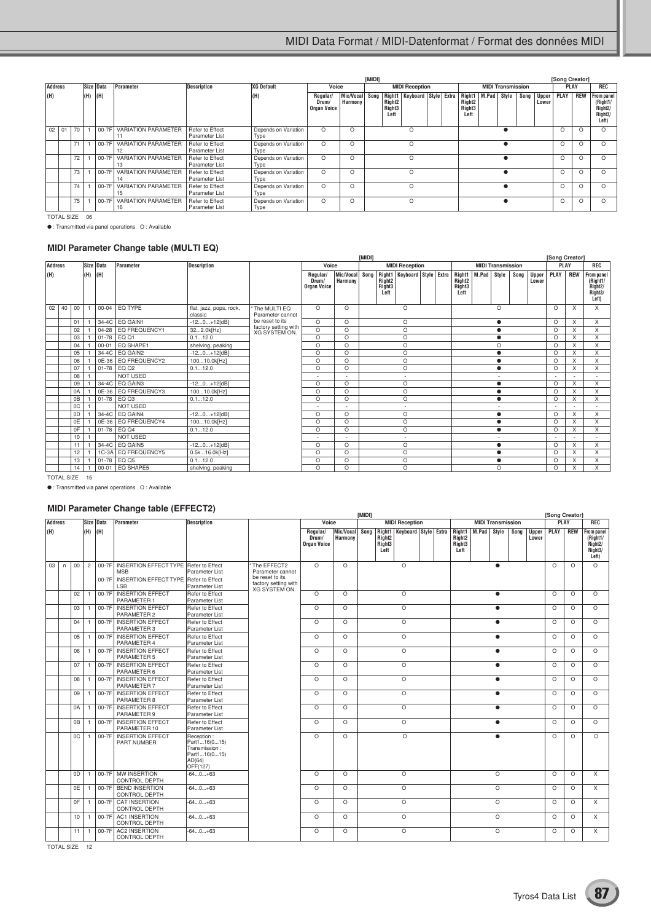|                |                   |    |     |           |                                  |                                   |                                         |                           |         | [MIDI]                                           |                             |                       |                                                |       |       |                          |                       |      | [Song Creator] |                                                                           |          |
|----------------|-------------------|----|-----|-----------|----------------------------------|-----------------------------------|-----------------------------------------|---------------------------|---------|--------------------------------------------------|-----------------------------|-----------------------|------------------------------------------------|-------|-------|--------------------------|-----------------------|------|----------------|---------------------------------------------------------------------------|----------|
| <b>Address</b> |                   |    |     | Size Data | Parameter                        | <b>Description</b>                | <b>XG Default</b>                       | Voice                     |         |                                                  |                             | <b>MIDI Reception</b> |                                                |       |       | <b>MIDI Transmission</b> |                       |      | <b>PLAY</b>    |                                                                           | REC      |
| (H)            |                   |    | (H) | (H)       |                                  | (H)                               | Regular/<br>Drum/<br><b>Organ Voice</b> | Mic/Vocal Song<br>Harmony |         | Right <sub>2</sub><br>Right <sub>3</sub><br>Left | Right1 Keyboard Style Extra |                       | Right1<br>Right <sub>2</sub><br>Right3<br>Left | M.Pad | Style | Song                     | <b>Upper</b><br>Lower | PLAY | <b>REW</b>     | <b>From panel</b><br>(Right1/<br>Right2/<br>Right <sub>3</sub> /<br>Left) |          |
|                | $02$ 01           | 70 |     | $00-7F$   | <b>VARIATION PARAMETER</b>       | Refer to Effect<br>Parameter List | Depends on Variation<br>Type            | $\circ$                   | $\circ$ |                                                  |                             | O                     |                                                |       |       |                          |                       |      | $\Omega$       | $\Omega$                                                                  | $\Omega$ |
|                |                   | 71 |     | 00-7F     | <b>VARIATION PARAMETER</b><br>12 | Refer to Effect<br>Parameter List | Depends on Variation<br>Type            | $\circ$                   | $\circ$ |                                                  |                             | O                     |                                                |       |       |                          |                       |      | $\Omega$       | $\circ$                                                                   | $\Omega$ |
|                |                   | 72 |     | 00-7F     | <b>VARIATION PARAMETER</b><br>13 | Refer to Effect<br>Parameter List | Depends on Variation<br>Type            | $\circ$                   | $\circ$ |                                                  |                             | O                     |                                                |       |       |                          |                       |      |                | O                                                                         | $\Omega$ |
|                |                   | 73 |     | 00-7F     | <b>VARIATION PARAMETER</b><br>14 | Refer to Effect<br>Parameter List | Depends on Variation<br>Type            | $\circ$                   | $\circ$ |                                                  |                             | O                     |                                                |       |       |                          |                       |      | $\Omega$       | $\circ$                                                                   | $\Omega$ |
|                |                   | 74 |     | 00-7F     | <b>VARIATION PARAMETER</b><br>15 | Refer to Effect<br>Parameter List | Depends on Variation<br>Type            | $\circ$                   | $\circ$ |                                                  |                             | O                     |                                                |       |       |                          |                       |      | $\Omega$       | O                                                                         | $\Omega$ |
|                |                   | 75 |     | 00-7F     | <b>VARIATION PARAMETER</b><br>16 | Refer to Effect<br>Parameter List | Depends on Variation<br>Type            | $\circ$                   | $\circ$ |                                                  |                             | O                     |                                                |       |       |                          |                       |      | $\Omega$       | $\circ$                                                                   | $\Omega$ |
|                | <b>TOTAL SIZE</b> |    | 06  |           |                                  |                                   |                                         |                           |         |                                                  |                             |                       |                                                |       |       |                          |                       |      |                |                                                                           |          |

● : Transmitted via panel operations O : Available

## **MIDI Parameter Change table (MULTI EQ)**

|                                                   |                |                 |     |           |                       |                                    |                                              |                                         |                           | [MIDI] |                                                  |                             |  |                                                            |             |                          |      |                       | [Song Creator] |            |                                                                           |
|---------------------------------------------------|----------------|-----------------|-----|-----------|-----------------------|------------------------------------|----------------------------------------------|-----------------------------------------|---------------------------|--------|--------------------------------------------------|-----------------------------|--|------------------------------------------------------------|-------------|--------------------------|------|-----------------------|----------------|------------|---------------------------------------------------------------------------|
|                                                   | <b>Address</b> |                 |     | Size Data | Parameter             | <b>Description</b>                 |                                              | Voice                                   |                           |        |                                                  | <b>MIDI Reception</b>       |  |                                                            |             | <b>MIDI Transmission</b> |      |                       | PLAY           |            | <b>REC</b>                                                                |
| (H)                                               |                |                 | (H) | (H)       |                       |                                    |                                              | Regular/<br>Drum/<br><b>Organ Voice</b> | Mic/Vocal Song<br>Harmony |        | Right <sub>2</sub><br>Right <sub>3</sub><br>Left | Right1 Keyboard Style Extra |  | Right1<br>Right <sub>2</sub><br>Right <sub>3</sub><br>Left | M.Pad Style |                          | Song | <b>Upper</b><br>Lower | <b>PLAY</b>    | <b>REW</b> | <b>From panel</b><br>(Right1/<br>Right <sub>2</sub> /<br>Right3/<br>Left) |
| 02                                                | 40             | 00              |     | $00 - 04$ | EQ TYPE               | flat, jazz, pops, rock,<br>classic | * The MULTI EQ<br>Parameter cannot           | $\Omega$                                | $\Omega$                  |        |                                                  | $\circ$                     |  |                                                            |             | $\circ$                  |      |                       | $\Omega$       | X          | X                                                                         |
|                                                   |                | 01              |     |           | 34-4C EQ GAIN1        | $-120+12[dB]$                      | be reset to its                              | $\circ$                                 | $\circ$                   |        |                                                  | $\circ$                     |  |                                                            |             | $\bullet$                |      |                       | $\circ$        | X          | X                                                                         |
|                                                   |                | 02              |     |           | 04-28   EQ FREQUENCY1 | 322.0k[Hz]                         | factory setting with<br><b>XG SYSTEM ON.</b> | $\circ$                                 | $\Omega$                  |        |                                                  | $\circ$                     |  |                                                            |             |                          |      |                       | $\Omega$       | X          | X                                                                         |
|                                                   |                | 03              |     |           | 01-78 EQ Q1           | 0.112.0                            |                                              | $\circ$                                 | $\circ$                   |        |                                                  | $\circ$                     |  |                                                            |             |                          |      |                       | $\Omega$       | X          | X                                                                         |
|                                                   |                | 04              |     | $00 - 01$ | EQ SHAPE1             | shelving, peaking                  |                                              | O                                       | $\Omega$                  |        |                                                  | O                           |  |                                                            |             | O                        |      |                       | $\Omega$       | X          | X                                                                         |
|                                                   |                | 05              |     |           | 34-4C EQ GAIN2        | $-120+12[dB]$                      |                                              | O                                       | $\circ$                   |        |                                                  | O                           |  |                                                            |             |                          |      |                       | $\circ$        | X          | X                                                                         |
|                                                   |                | 06              |     |           | 0E-36   EQ FREQUENCY2 | 10010.0k[Hz]                       |                                              | $\circ$                                 | $\circ$                   |        |                                                  | $\circ$                     |  |                                                            |             |                          |      |                       | $\Omega$       | X          | X                                                                         |
|                                                   |                | 07              |     |           | 01-78 EQ Q2           | 0.112.0                            |                                              | O                                       | $\circ$                   |        |                                                  | $\circ$                     |  |                                                            |             | $\bullet$                |      |                       | $\circ$        | X          | X                                                                         |
|                                                   |                | 08              |     |           | <b>NOT USED</b>       |                                    |                                              | ۰.                                      | $\overline{\phantom{a}}$  |        |                                                  | $\sim$                      |  |                                                            |             | $\overline{\phantom{a}}$ |      |                       |                |            |                                                                           |
|                                                   |                | 09              |     | $34-4C$   | EQ GAIN3              | $-120+12[dB]$                      |                                              | O                                       | $\circ$                   |        |                                                  | $\circ$                     |  |                                                            |             | $\bullet$                |      |                       | $\circ$        | X          | X                                                                         |
|                                                   |                | 0A              |     |           | 0E-36   EQ FREQUENCY3 | 10010.0k[Hz]                       |                                              | $\circ$                                 | $\circ$                   |        |                                                  | O                           |  |                                                            |             |                          |      |                       | $\Omega$       | X          | X                                                                         |
|                                                   |                | 0B              |     | $01 - 78$ | EQ Q3                 | 0.112.0                            |                                              | $\circ$                                 | $\circ$                   |        |                                                  | $\circ$                     |  |                                                            |             | $\bullet$                |      |                       | $\circ$        | X          | X                                                                         |
|                                                   |                | 0C              |     |           | <b>NOT USED</b>       |                                    |                                              |                                         |                           |        |                                                  | $\overline{\phantom{a}}$    |  |                                                            |             | $\overline{\phantom{a}}$ |      |                       |                |            |                                                                           |
|                                                   |                | 0D              |     |           | 34-4C EQ GAIN4        | $-120+12[dB]$                      |                                              | $\circ$                                 | $\circ$                   |        |                                                  | $\circ$                     |  |                                                            |             | $\bullet$                |      |                       | $\circ$        | X          | X                                                                         |
|                                                   |                | 0E              |     |           | 0E-36   EQ FREQUENCY4 | 10010.0k[Hz]                       |                                              | O                                       | $\circ$                   |        |                                                  | O                           |  |                                                            |             | $\bullet$                |      |                       | $\circ$        | X          | $\times$                                                                  |
|                                                   |                | 0F              |     |           | 01-78 EQ Q4           | 0.112.0                            |                                              | $\circ$                                 | $\Omega$                  |        |                                                  | O                           |  |                                                            |             | $\bullet$                |      |                       | $\Omega$       | X          | X                                                                         |
|                                                   |                | 10              |     |           | <b>NOT USED</b>       |                                    |                                              | ۰.                                      | $\overline{\phantom{a}}$  |        |                                                  | $\sim$                      |  |                                                            |             | $\overline{\phantom{a}}$ |      |                       | $\sim$         |            |                                                                           |
|                                                   |                | 11              |     |           | 34-4C EQ GAIN5        | $-120+12[dB]$                      |                                              | $\circ$                                 | $\Omega$                  |        |                                                  | O                           |  |                                                            |             | $\bullet$                |      |                       | $\Omega$       | X          | X                                                                         |
|                                                   |                | 12 <sup>°</sup> |     |           | 1C-3A EQ FREQUENCY5   | 0.5k16.0k[Hz]                      |                                              | O                                       | $\circ$                   |        |                                                  | $\circ$                     |  |                                                            |             | $\bullet$                |      |                       | $\circ$        | X          | X                                                                         |
| 01-78 EQ Q5<br>0.112.0<br>13                      |                |                 |     |           |                       |                                    |                                              | O                                       | $\circ$                   |        |                                                  | $\circ$                     |  |                                                            |             | $\bullet$                |      |                       | $\circ$        | X          | X                                                                         |
| EQ SHAPE5<br>$00 - 01$<br>14<br>shelving, peaking |                |                 |     |           |                       |                                    |                                              | O                                       | $\circ$                   |        |                                                  | O                           |  |                                                            |             | O                        |      |                       | $\circ$        | X          | $\times$                                                                  |
|                                                   | TOTAL CIZE 15  |                 |     |           |                       |                                    |                                              |                                         |                           |        |                                                  |                             |  |                                                            |             |                          |      |                       |                |            |                                                                           |

TOTAL SIZE 15

● : Transmitted via panel operations O : Available

## **MIDI Parameter Change table (EFFECT2)**

|     |                |    | Size Data      |         |                                                                                                                      |                                                                                   |                                                                                             |                                         |                      | <b>IMIDII</b> |                                      |                                    |  |                                                  |                          |           |      |                       | [Song Creator] |            |                                                                           |
|-----|----------------|----|----------------|---------|----------------------------------------------------------------------------------------------------------------------|-----------------------------------------------------------------------------------|---------------------------------------------------------------------------------------------|-----------------------------------------|----------------------|---------------|--------------------------------------|------------------------------------|--|--------------------------------------------------|--------------------------|-----------|------|-----------------------|----------------|------------|---------------------------------------------------------------------------|
|     | <b>Address</b> |    |                |         | Parameter                                                                                                            | <b>Description</b>                                                                |                                                                                             | Voice                                   |                      |               |                                      | <b>MIDI Reception</b>              |  |                                                  | <b>MIDI Transmission</b> |           |      |                       | <b>PLAY</b>    |            | <b>REC</b>                                                                |
| (H) |                |    | (H)            | (H)     |                                                                                                                      |                                                                                   |                                                                                             | Regular/<br>Drum/<br><b>Organ Voice</b> | Mic/Vocal<br>Harmony | Song          | Right <sub>2</sub><br>Right3<br>Left | Right1 Keyboard Style Extra Right1 |  | Right <sub>2</sub><br>Right <sub>3</sub><br>Left | M.Pad Style              |           | Sona | <b>Upper</b><br>Lower | <b>PLAY</b>    | <b>REW</b> | <b>From panel</b><br>(Right1/<br>Right2/<br>Right <sub>3</sub> /<br>Left) |
| 03  | n.             | 00 | $\overline{c}$ | $00-7F$ | 00-7F   INSERTION EFFECT TYPE   Refer to Effect<br><b>MSB</b><br>INSERTION EFFECT TYPE Refer to Effect<br><b>LSB</b> | Parameter List<br>Parameter List                                                  | The EFFECT2<br>Parameter cannot<br>be reset to its<br>factory setting with<br>XG SÝSTEM ON. | $\Omega$                                | $\Omega$             |               |                                      | $\circ$                            |  |                                                  |                          | $\bullet$ |      |                       | $\Omega$       | $\Omega$   | $\Omega$                                                                  |
|     |                | 02 |                | $00-7F$ | <b>INSERTION EFFECT</b><br>PARAMETER 1                                                                               | Refer to Effect<br>Parameter List                                                 |                                                                                             | $\circ$                                 | $\circ$              |               |                                      | $\circ$                            |  |                                                  |                          | $\bullet$ |      |                       | $\circ$        | $\circ$    | $\circ$                                                                   |
|     |                | 03 |                |         | 00-7F INSERTION EFFECT<br>PARAMETER 2                                                                                | Refer to Effect<br>Parameter List                                                 |                                                                                             | $\circ$                                 | $\Omega$             |               |                                      | $\circ$                            |  |                                                  |                          | $\bullet$ |      |                       | $\circ$        | $\circ$    | $\Omega$                                                                  |
|     |                | 04 |                |         | 00-7F INSERTION EFFECT<br>PARAMETER 3                                                                                | Refer to Effect<br>Parameter List                                                 |                                                                                             | $\circ$                                 | $\Omega$             |               |                                      | $\circ$                            |  |                                                  |                          | $\bullet$ |      |                       | $\circ$        | $\circ$    | $\Omega$                                                                  |
|     |                | 05 |                | $00-7F$ | <b>INSERTION EFFECT</b><br>PARAMETER 4                                                                               | Refer to Effect<br>Parameter List                                                 |                                                                                             | $\circ$                                 | $\Omega$             |               |                                      | $\circ$                            |  |                                                  |                          | $\bullet$ |      |                       | $\Omega$       | $\circ$    | $\circ$                                                                   |
|     |                | 06 | 1              |         | 00-7F INSERTION EFFECT<br>PARAMETER 5                                                                                | Refer to Effect<br>Parameter List                                                 |                                                                                             | $\Omega$                                | $\Omega$             |               |                                      | $\circ$                            |  |                                                  |                          | $\bullet$ |      |                       | $\Omega$       | $\Omega$   | $\Omega$                                                                  |
|     |                | 07 |                |         | 00-7F INSERTION EFFECT<br>PARAMETER 6                                                                                | Refer to Effect<br>Parameter List                                                 |                                                                                             | $\circ$                                 | $\Omega$             |               |                                      | $\circ$                            |  |                                                  |                          | $\bullet$ |      |                       | $\Omega$       | $\circ$    | $\Omega$                                                                  |
|     |                | 08 |                |         | 00-7F INSERTION EFFECT<br>PARAMETER 7                                                                                | Refer to Effect<br>Parameter List                                                 |                                                                                             | $\circ$                                 | $\Omega$             |               |                                      | $\circ$                            |  |                                                  |                          | $\bullet$ |      |                       | $\Omega$       | $\Omega$   | $\Omega$                                                                  |
|     |                | 09 |                |         | 00-7F INSERTION EFFECT<br>PARAMETER 8                                                                                | Refer to Effect<br>Parameter List                                                 |                                                                                             | $\circ$                                 | $\circ$              |               |                                      | $\circ$                            |  |                                                  |                          | $\bullet$ |      |                       | $\circ$        | $\circ$    | $\circ$                                                                   |
|     |                | 0A |                |         | 00-7F INSERTION EFFECT<br>PARAMETER 9                                                                                | Refer to Effect<br>Parameter List                                                 |                                                                                             | $\circ$                                 | $\circ$              |               |                                      | $\circ$                            |  |                                                  |                          | $\bullet$ |      |                       | $\Omega$       | $\circ$    | $\circ$                                                                   |
|     |                | 0B |                |         | 00-7F INSERTION EFFECT<br>PARAMETER 10                                                                               | Refer to Effect<br>Parameter List                                                 |                                                                                             | $\Omega$                                | $\Omega$             |               |                                      | $\circ$                            |  |                                                  |                          | $\bullet$ |      |                       | $\Omega$       | $\Omega$   | $\Omega$                                                                  |
|     |                | 0C | $\mathbf{1}$   | $00-7F$ | <b>INSERTION EFFECT</b><br><b>PART NUMBER</b>                                                                        | Reception:<br>Part116(015)<br>Transmission:<br>Part116(015)<br>AD(64)<br>OFF(127) |                                                                                             | $\Omega$                                | $\Omega$             |               |                                      | $\circ$                            |  |                                                  |                          | ▲         |      |                       | $\Omega$       | $\Omega$   | $\Omega$                                                                  |
|     |                | 0D |                |         | 00-7F MW INSERTION<br><b>CONTROL DEPTH</b>                                                                           | $-640+63$                                                                         |                                                                                             | $\circ$                                 | $\Omega$             |               |                                      | $\circ$                            |  |                                                  |                          | $\circ$   |      |                       | $\circ$        | $\circ$    | $\times$                                                                  |
|     |                | 0E |                |         | 00-7F BEND INSERTION<br><b>CONTROL DEPTH</b>                                                                         | $-640+63$                                                                         |                                                                                             | $\circ$                                 | $\Omega$             |               |                                      | $\circ$                            |  |                                                  |                          | O         |      |                       | $\circ$        | $\circ$    | $\times$                                                                  |
|     |                | 0F |                | $00-7F$ | <b>CAT INSERTION</b><br><b>CONTROL DEPTH</b>                                                                         | $-640+63$                                                                         |                                                                                             | $\Omega$                                | $\Omega$             |               |                                      | $\circ$                            |  |                                                  |                          | $\circ$   |      |                       | $\Omega$       | $\Omega$   | X                                                                         |
|     |                | 10 |                |         | 00-7F AC1 INSERTION<br><b>CONTROL DEPTH</b>                                                                          | $-640+63$                                                                         |                                                                                             | $\circ$                                 | $\Omega$             |               |                                      | $\circ$                            |  |                                                  |                          | $\circ$   |      |                       | $\Omega$       | $\Omega$   | $\times$                                                                  |
|     |                | 11 | $\overline{1}$ | $00-7F$ | <b>AC2 INSERTION</b><br><b>CONTROL DEPTH</b>                                                                         | $-640+63$                                                                         |                                                                                             | $\Omega$                                | $\Omega$             |               |                                      | $\circ$                            |  |                                                  |                          | $\circ$   |      |                       | $\Omega$       | $\Omega$   | X                                                                         |

TOTAL SIZE 12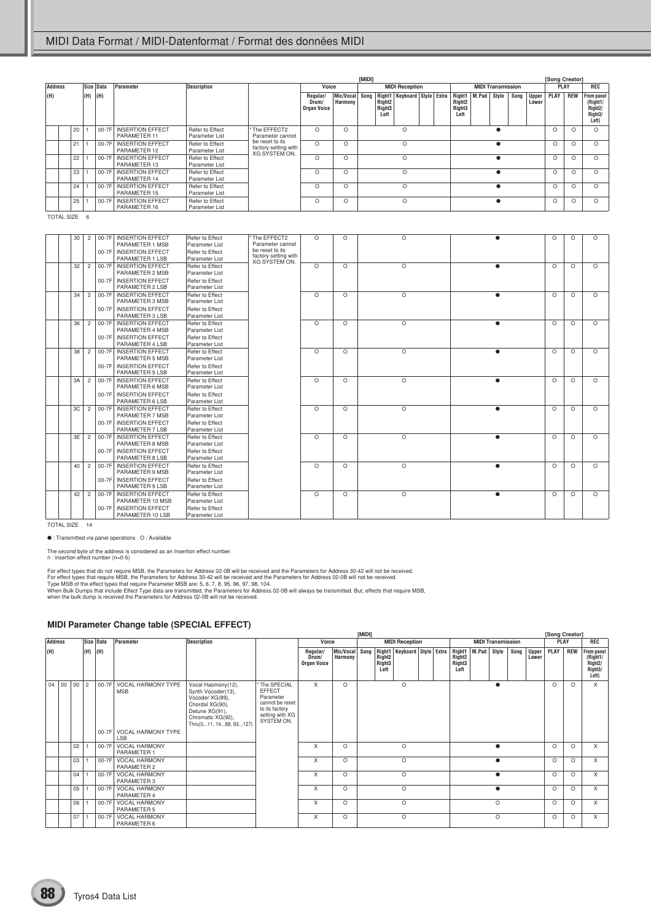|     |                | Size Data |     |     |                                        |                                   |                                                                 |                                         | [MIDI]                    |  |                                                  |                             |  |                                                            |         |                          |          | [Song Creator] |             |            |                                                                    |
|-----|----------------|-----------|-----|-----|----------------------------------------|-----------------------------------|-----------------------------------------------------------------|-----------------------------------------|---------------------------|--|--------------------------------------------------|-----------------------------|--|------------------------------------------------------------|---------|--------------------------|----------|----------------|-------------|------------|--------------------------------------------------------------------|
|     | <b>Address</b> |           |     |     | Parameter                              | <b>Description</b>                |                                                                 | Voice                                   |                           |  |                                                  | <b>MIDI Reception</b>       |  |                                                            |         | <b>MIDI Transmission</b> |          |                | <b>PLAY</b> |            | REC                                                                |
| (H) |                |           | (H) | (H) |                                        |                                   |                                                                 | Regular/<br>Drum/<br><b>Organ Voice</b> | Mic/Vocal Song<br>Harmony |  | Right <sub>2</sub><br>Right <sub>3</sub><br>Left | Right1 Keyboard Style Extra |  | Right1<br>Right <sub>2</sub><br>Right <sub>3</sub><br>Left | M.Pad   | Style                    | Song     | Upper<br>Lower | <b>PLAY</b> | <b>REW</b> | From panel<br>(Right1/<br>Right <sub>2</sub> /<br>Right3/<br>Left) |
|     |                | 20        |     |     | 00-7F INSERTION EFFECT<br>PARAMETER 11 | Refer to Effect<br>Parameter List | * The EFFECT2<br>Parameter cannot                               | $\Omega$                                | O                         |  |                                                  | $\circ$                     |  |                                                            |         |                          |          |                | $\circ$     | $\Omega$   | $\Omega$                                                           |
|     |                | 21        |     |     | 00-7F INSERTION EFFECT<br>PARAMETER 12 | Refer to Effect<br>Parameter List | be reset to its<br>factory setting with<br><b>XG SYSTEM ON.</b> | $\Omega$<br>O<br>$\Omega$               |                           |  |                                                  |                             |  |                                                            |         |                          |          | $\circ$        | $\Omega$    | $\Omega$   |                                                                    |
|     |                | 22        |     |     | 00-7F INSERTION EFFECT<br>PARAMETER 13 | Refer to Effect<br>Parameter List |                                                                 | $\Omega$                                | O                         |  |                                                  | $\Omega$                    |  |                                                            |         |                          |          |                | $\Omega$    | $\Omega$   | O                                                                  |
|     |                | 23        |     |     | 00-7F INSERTION EFFECT<br>PARAMETER 14 | Refer to Effect<br>Parameter List |                                                                 | $\Omega$<br>$\Omega$<br>$\circ$         |                           |  |                                                  |                             |  |                                                            | $\circ$ | O                        | $\Omega$ |                |             |            |                                                                    |
|     |                | 24        |     |     | 00-7F INSERTION EFFECT<br>PARAMETER 15 | Refer to Effect<br>Parameter List |                                                                 | $\Omega$                                | $\Omega$                  |  |                                                  | $\circ$                     |  |                                                            |         |                          |          |                | $\circ$     | $\Omega$   | $\Omega$                                                           |
|     |                | 25        |     |     | 00-7F INSERTION EFFECT<br>PARAMETER 16 | Refer to Effect<br>Parameter List |                                                                 | O                                       | $\Omega$                  |  |                                                  | $\circ$                     |  |                                                            |         |                          |          |                | $\circ$     | O          |                                                                    |

TOTAL SIZE 6

| 30 | $\overline{c}$ | $00-7F$ | <b>INSERTION EFFECT</b>                     | Refer to Effect                   | The EFFECT2                         | $\circ$  | $\Omega$ | O       |   | $\circ$  | $\circ$  | $\Omega$ |
|----|----------------|---------|---------------------------------------------|-----------------------------------|-------------------------------------|----------|----------|---------|---|----------|----------|----------|
|    |                |         | PARAMETER 1 MSB                             | Parameter List                    | Parameter cannot<br>be reset to its |          |          |         |   |          |          |          |
|    |                | $00-7F$ | <b>INSERTION EFFECT</b>                     | Refer to Effect                   | factory setting with                |          |          |         |   |          |          |          |
|    |                |         | PARAMETER 1 LSB                             | Parameter List                    | XG SYSTEM ON.                       |          |          |         |   |          |          |          |
| 32 | $\overline{2}$ |         | 00-7F INSERTION EFFECT                      | Refer to Effect                   |                                     | $\circ$  | $\circ$  | $\circ$ |   | $\Omega$ | $\circ$  | $\Omega$ |
|    |                |         | PARAMETER 2 MSB                             | Parameter List                    |                                     |          |          |         |   |          |          |          |
|    |                |         | 00-7F INSERTION EFFECT                      | Refer to Effect                   |                                     |          |          |         |   |          |          |          |
|    |                |         | PARAMETER 2 LSB                             | Parameter List                    |                                     |          |          |         |   |          |          |          |
| 34 | $\overline{c}$ | 00-7F   | <b>INSERTION EFFECT</b>                     | Refer to Effect                   |                                     | $\circ$  | $\Omega$ | O       |   | $\Omega$ | $\circ$  | $\Omega$ |
|    |                |         | PARAMETER 3 MSB                             | Parameter List                    |                                     |          |          |         |   |          |          |          |
|    |                |         | 00-7F INSERTION EFFECT<br>PARAMETER 3 LSB   | Refer to Effect<br>Parameter List |                                     |          |          |         |   |          |          |          |
| 36 | $\overline{c}$ | $00-7F$ | <b>INSERTION EFFECT</b>                     | Refer to Effect                   |                                     | $\circ$  |          | $\circ$ | ∙ |          | O        |          |
|    |                |         | PARAMETER 4 MSB                             | Parameter List                    |                                     |          | $\circ$  |         |   | $\circ$  |          | $\circ$  |
|    |                |         | 00-7F INSERTION EFFECT                      | Refer to Effect                   |                                     |          |          |         |   |          |          |          |
|    |                |         | PARAMETER 4 LSB                             | Parameter List                    |                                     |          |          |         |   |          |          |          |
| 38 | $\overline{2}$ |         | 00-7F INSERTION EFFECT                      | Refer to Effect                   |                                     | $\circ$  | $\circ$  | $\circ$ |   | $\Omega$ | $\circ$  | $\Omega$ |
|    |                |         | PARAMETER 5 MSB                             | Parameter List                    |                                     |          |          |         |   |          |          |          |
|    |                |         | 00-7F INSERTION EFFECT                      | Refer to Effect                   |                                     |          |          |         |   |          |          |          |
|    |                |         | PARAMETER 5 LSB                             | Parameter List                    |                                     |          |          |         |   |          |          |          |
| 3A | $\overline{2}$ |         | 00-7F INSERTION EFFECT                      | Refer to Effect                   |                                     | $\Omega$ | $\Omega$ | $\circ$ |   | $\Omega$ | $\Omega$ | $\Omega$ |
|    |                |         | PARAMETER 6 MSB                             | Parameter List                    |                                     |          |          |         |   |          |          |          |
|    |                |         | 00-7F INSERTION EFFECT                      | Refer to Effect                   |                                     |          |          |         |   |          |          |          |
|    |                |         | PARAMETER 6 LSB                             | Parameter List                    |                                     |          |          |         |   |          |          |          |
| 3C | $\overline{2}$ | $00-7F$ | <b>INSERTION EFFECT</b>                     | Refer to Effect                   |                                     | $\circ$  | $\Omega$ | $\circ$ |   | $\Omega$ | O        | $\Omega$ |
|    |                |         | PARAMETER 7 MSB                             | Parameter List                    |                                     |          |          |         |   |          |          |          |
|    |                |         | 00-7F INSERTION EFFECT                      | Refer to Effect                   |                                     |          |          |         |   |          |          |          |
|    |                |         | PARAMETER 7 LSB                             | Parameter List                    |                                     |          |          |         |   |          |          |          |
| 3E | $\overline{2}$ |         | 00-7F INSERTION EFFECT                      | Refer to Effect                   |                                     | $\circ$  | $\circ$  | $\circ$ |   | $\circ$  | $\circ$  | $\Omega$ |
|    |                |         | PARAMETER 8 MSB                             | Parameter List                    |                                     |          |          |         |   |          |          |          |
|    |                | 00-7F   | INSERTION EFFECT                            | Refer to Effect                   |                                     |          |          |         |   |          |          |          |
|    |                |         | PARAMETER 8 LSB                             | Parameter List                    |                                     |          |          |         |   |          |          |          |
| 40 | $\overline{2}$ |         | 00-7F   INSERTION EFFECT<br>PARAMETER 9 MSB | Refer to Effect<br>Parameter List |                                     | $\circ$  | $\Omega$ | $\circ$ |   | $\Omega$ | $\circ$  | $\Omega$ |
|    |                |         |                                             |                                   |                                     |          |          |         |   |          |          |          |
|    |                |         | 00-7F INSERTION EFFECT<br>PARAMETER 9 LSB   | Refer to Effect<br>Parameter List |                                     |          |          |         |   |          |          |          |
| 42 | $\overline{c}$ | $00-7F$ | <b>INSERTION EFFECT</b>                     | Refer to Effect                   |                                     | $\circ$  | $\circ$  | O       |   | $\circ$  | $\circ$  | $\Omega$ |
|    |                |         | PARAMETER 10 MSB                            | Parameter List                    |                                     |          |          |         |   |          |          |          |
|    |                |         | 00-7F INSERTION EFFECT                      | Refer to Effect                   |                                     |          |          |         |   |          |          |          |
|    |                |         | PARAMETER 10 LSB                            | Parameter List                    |                                     |          |          |         |   |          |          |          |
|    |                |         |                                             |                                   |                                     |          |          |         |   |          |          |          |

TOTAL SIZE 14

● : Transmitted via panel operations O : Available

The second byte of the address is considered as an Insertion effect number. n : insertion effect number (n=0-5)

For effect types that do not require MSB, the Parameters for Address 02-0B will be received and the Parameters for Address 30-42 will not be received.<br>For effect types that require MSB, the Parameters for Address 30-42 wil

#### **MIDI Parameter Change table (SPECIAL EFFECT)**

|                |    |     |           |                                         |                                                                                                                                                 |                                                                                                                 |                                         |                      | [MIDI]  |                                                  |                                   |  |                                                                    |                          |      |                       | [Song Creator] |            |                                                       |
|----------------|----|-----|-----------|-----------------------------------------|-------------------------------------------------------------------------------------------------------------------------------------------------|-----------------------------------------------------------------------------------------------------------------|-----------------------------------------|----------------------|---------|--------------------------------------------------|-----------------------------------|--|--------------------------------------------------------------------|--------------------------|------|-----------------------|----------------|------------|-------------------------------------------------------|
| <b>Address</b> |    |     | Size Data | Parameter                               | <b>Description</b>                                                                                                                              |                                                                                                                 | Voice                                   |                      |         |                                                  | <b>MIDI Reception</b>             |  |                                                                    | <b>MIDI Transmission</b> |      |                       |                | PLAY       | REC                                                   |
| (H)            |    | (H) | (H)       |                                         |                                                                                                                                                 |                                                                                                                 | Regular/<br>Drum/<br><b>Organ Voice</b> | Mic/Vocal<br>Harmony | Song    | Right <sub>2</sub><br>Right <sub>3</sub><br>Left | Right1   Keyboard   Style   Extra |  | Right1   M.Pad<br>Right <sub>2</sub><br>Right <sub>3</sub><br>Left | Style                    | Song | <b>Upper</b><br>Lower | PLAY           | <b>REW</b> | From panel<br>(Right1/<br>Right2/<br>Right3/<br>Left) |
| $04 \mid 00$   | 00 | l 2 | 00-7F     | <b>VOCAL HARMONY TYPE</b><br><b>MSB</b> | Vocal Haomony(12),<br>Synth Vocoder(13),<br>Vocoder XG(89),<br>Chordal XG(90),<br>Detune XG(91),<br>Chromatic XG(92),<br>Thru(011, 1488, 93127) | The SPECIAL<br><b>EFFECT</b><br>Parameter<br>cannot be reset<br>to its factory<br>setting with XG<br>SYSTEM ON. | X                                       | O                    |         |                                                  | $\circ$                           |  |                                                                    |                          |      |                       | $\Omega$       | $\circ$    | $\overline{X}$                                        |
|                |    |     |           | 00-7F VOCAL HARMONY TYPE<br><b>LSB</b>  |                                                                                                                                                 |                                                                                                                 |                                         |                      |         |                                                  |                                   |  |                                                                    |                          |      |                       |                |            |                                                       |
|                | 02 |     | 00-7F     | <b>VOCAL HARMONY</b><br>PARAMETER 1     |                                                                                                                                                 |                                                                                                                 | X                                       | O                    |         |                                                  | $\circ$                           |  |                                                                    |                          |      |                       | $\Omega$       | $\circ$    | $\times$                                              |
|                | 03 |     | 00-7F     | <b>VOCAL HARMONY</b><br>PARAMETER 2     |                                                                                                                                                 |                                                                                                                 | X                                       | O                    |         |                                                  | $\Omega$                          |  |                                                                    | $\bullet$                |      |                       | $\Omega$       | $\circ$    | $\times$                                              |
|                | 04 |     | 00-7F     | <b>VOCAL HARMONY</b><br>PARAMETER 3     |                                                                                                                                                 |                                                                                                                 | X                                       | O                    | $\circ$ |                                                  |                                   |  | $\bullet$                                                          |                          |      | $\Omega$              | $\circ$        | $\times$   |                                                       |
|                | 05 |     | 00-7F     | VOCAL HARMONY<br>PARAMETER 4            |                                                                                                                                                 |                                                                                                                 | X                                       | $\circ$              |         |                                                  | $\circ$                           |  |                                                                    | $\bullet$                |      |                       | $\Omega$       | $\circ$    | X                                                     |
|                | 06 |     | 00-7F     | <b>VOCAL HARMONY</b><br>PARAMETER 5     |                                                                                                                                                 |                                                                                                                 | X                                       | O                    |         |                                                  | $\circ$                           |  |                                                                    | $\circ$                  |      |                       | $\circ$        | $\circ$    | $\times$                                              |
|                | 07 |     | 00-7F     | <b>VOCAL HARMONY</b><br>PARAMETER 6     |                                                                                                                                                 |                                                                                                                 | X                                       | O                    |         |                                                  | $\circ$                           |  |                                                                    | $\circ$                  |      |                       | $\Omega$       | $\circ$    | $\times$                                              |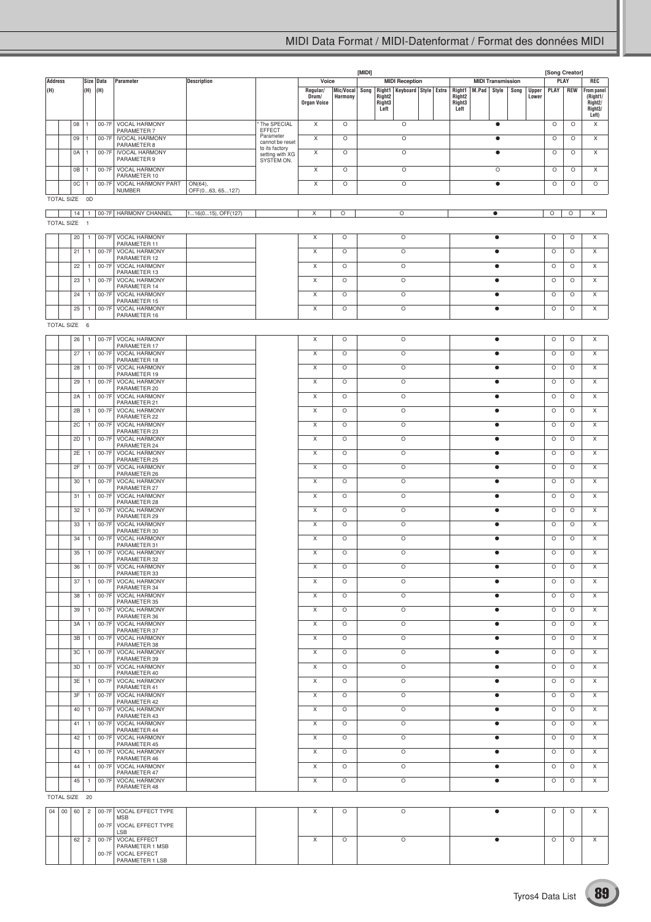|                |                           |    |                |           |                                      |                    |                                   |                    |                      | [MIDI] |                                             |  |                  |                          |           |      |                       | [Song Creator] |            |                                 |
|----------------|---------------------------|----|----------------|-----------|--------------------------------------|--------------------|-----------------------------------|--------------------|----------------------|--------|---------------------------------------------|--|------------------|--------------------------|-----------|------|-----------------------|----------------|------------|---------------------------------|
| <b>Address</b> |                           |    |                | Size Data | Parameter                            | <b>Description</b> |                                   | Voice              |                      |        | <b>MIDI Reception</b>                       |  |                  | <b>MIDI Transmission</b> |           |      |                       | PLAY           |            | REC                             |
| (H)            |                           |    | (H)            | (H)       |                                      |                    |                                   | Regular/<br>Drum/  | Mic/Vocal<br>Harmony | Song   | Right1   Keyboard   Style   Extra<br>Right2 |  | Right1<br>Right2 | M.Pad                    | Style     | Song | <b>Upper</b><br>Lower | PLAY           | <b>REW</b> | From panel<br>(Right1/          |
|                |                           |    |                |           |                                      |                    |                                   | <b>Organ Voice</b> |                      |        | Right <sub>3</sub><br>Left                  |  | Right3<br>Left   |                          |           |      |                       |                |            | Right <sub>2</sub> /<br>Right3/ |
|                |                           |    |                |           |                                      |                    |                                   |                    |                      |        |                                             |  |                  |                          |           |      |                       |                |            | Left)                           |
|                |                           | 08 | $\mathbf{1}$   |           | 00-7F VOCAL HARMONY<br>PARAMETER 7   |                    | The SPECIAL<br><b>EFFECT</b>      | X                  | $\circ$              |        | $\circ$                                     |  |                  |                          | $\bullet$ |      |                       | $\circ$        | $\circ$    | X                               |
|                |                           | 09 | 1              | 00-7F     | <b>IVOCAL HARMONY</b>                |                    | Parameter                         | Χ                  | O                    |        | $\circ$                                     |  |                  |                          | $\bullet$ |      |                       | O              | O          | Χ                               |
|                |                           |    |                |           | PARAMETER 8                          |                    | cannot be reset<br>to its factory |                    |                      |        |                                             |  |                  |                          |           |      |                       |                |            |                                 |
|                |                           | 0A | 1              | 00-7F     | <b>IVOCAL HARMONY</b><br>PARAMETER 9 |                    | setting with XG<br>SYSTEM ON.     | Χ                  | O                    |        | $\circ$                                     |  |                  |                          | $\bullet$ |      |                       | O              | O          | X                               |
|                |                           | 0B | 1              | 00-7F     | <b>VOCAL HARMONY</b>                 |                    |                                   | Χ                  | O                    |        | $\circ$                                     |  |                  |                          | O         |      |                       | O              | O          | Χ                               |
|                |                           | 0C | 1              | 00-7F     | PARAMETER 10<br>VOCAL HARMONY PART   | ON(64),            |                                   | X                  | O                    |        | $\circ$                                     |  |                  |                          | $\bullet$ |      |                       | O              | O          | $\circ$                         |
|                |                           |    |                |           | <b>NUMBER</b>                        | OFF(063, 65127)    |                                   |                    |                      |        |                                             |  |                  |                          |           |      |                       |                |            |                                 |
|                | TOTAL SIZE 0D             |    |                |           |                                      |                    |                                   |                    |                      |        |                                             |  |                  |                          |           |      |                       |                |            |                                 |
|                |                           | 14 | 1              |           | 00-7F   HARMONY CHANNEL              | 116(015), OFF(127) |                                   | Χ                  | $\circ$              |        | $\circ$                                     |  |                  |                          | $\bullet$ |      |                       | $\circ$        | $\circ$    | $\overline{\mathsf{x}}$         |
|                | <b>TOTAL SIZE</b>         |    | $\overline{1}$ |           |                                      |                    |                                   |                    |                      |        |                                             |  |                  |                          |           |      |                       |                |            |                                 |
|                |                           | 20 | $\mathbf{1}$   | 00-7F     | VOCAL HARMONY                        |                    |                                   | X                  | $\circ$              |        | $\circ$                                     |  |                  |                          | $\bullet$ |      |                       | $\circ$        | $\circ$    | X                               |
|                |                           |    |                |           | PARAMETER 11                         |                    |                                   |                    |                      |        |                                             |  |                  |                          |           |      |                       |                |            |                                 |
|                |                           | 21 | $\overline{1}$ | 00-7F     | VOCAL HARMONY<br>PARAMETER 12        |                    |                                   | Χ                  | O                    |        | O                                           |  |                  |                          | $\bullet$ |      |                       | $\circ$        | $\circ$    | $\times$                        |
|                |                           | 22 | $\mathbf{1}$   | 00-7F     | VOCAL HARMONY                        |                    |                                   | X                  | O                    |        | $\circ$                                     |  |                  |                          | $\bullet$ |      |                       | $\circ$        | O          | X                               |
|                |                           | 23 | $\mathbf{1}$   | 00-7F     | PARAMETER 13<br>VOCAL HARMONY        |                    |                                   | X                  | $\circ$              |        | $\circ$                                     |  |                  |                          | $\bullet$ |      |                       | $\circ$        | O          | X                               |
|                |                           |    |                |           | PARAMETER 14                         |                    |                                   |                    |                      |        |                                             |  |                  |                          |           |      |                       |                |            |                                 |
|                |                           | 24 | $\overline{1}$ | 00-7F     | VOCAL HARMONY<br>PARAMETER 15        |                    |                                   | X                  | O                    |        | O                                           |  |                  |                          | $\bullet$ |      |                       | $\circ$        | $\circ$    | X                               |
|                |                           | 25 | $\mathbf{1}$   | 00-7F     | VOCAL HARMONY                        |                    |                                   | X                  | O                    |        | $\circ$                                     |  |                  |                          | $\bullet$ |      |                       | $\circ$        | O          | $\mathsf X$                     |
|                |                           |    |                |           | PARAMETER 16                         |                    |                                   |                    |                      |        |                                             |  |                  |                          |           |      |                       |                |            |                                 |
|                | TOTAL SIZE 6              |    |                |           |                                      |                    |                                   |                    |                      |        |                                             |  |                  |                          |           |      |                       |                |            |                                 |
|                |                           | 26 | $\overline{1}$ | 00-7F     | VOCAL HARMONY                        |                    |                                   | X                  | $\circ$              |        | $\circ$                                     |  |                  |                          | $\bullet$ |      |                       | $\circ$        | $\circ$    | X                               |
|                |                           | 27 | $\overline{1}$ | 00-7F     | PARAMETER 17<br><b>VOCAL HARMONY</b> |                    |                                   | Χ                  | O                    |        | O                                           |  |                  |                          | $\bullet$ |      |                       | $\circ$        | $\circ$    | X                               |
|                |                           |    |                |           | PARAMETER 18                         |                    |                                   |                    |                      |        |                                             |  |                  |                          |           |      |                       |                |            |                                 |
|                |                           | 28 | $\mathbf{1}$   | 00-7F     | <b>VOCAL HARMONY</b><br>PARAMETER 19 |                    |                                   | X                  | O                    |        | $\circ$                                     |  |                  |                          | $\bullet$ |      |                       | O              | $\circ$    | X                               |
|                |                           | 29 | $\overline{1}$ | 00-7F     | VOCAL HARMONY                        |                    |                                   | X                  | $\circ$              |        | $\circ$                                     |  |                  |                          | $\bullet$ |      |                       | O              | $\circ$    | X                               |
|                |                           | 2A | $\overline{1}$ | 00-7F     | PARAMETER 20<br><b>VOCAL HARMONY</b> |                    |                                   | Χ                  | O                    |        | O                                           |  |                  |                          | $\bullet$ |      |                       | $\circ$        | $\circ$    | Χ                               |
|                |                           |    |                |           | PARAMETER 21                         |                    |                                   |                    |                      |        |                                             |  |                  |                          |           |      |                       |                |            |                                 |
|                |                           | 2B | $\overline{1}$ | 00-7F     | VOCAL HARMONY<br>PARAMETER 22        |                    |                                   | X                  | O                    |        | $\circ$                                     |  |                  |                          | $\bullet$ |      |                       | $\circ$        | $\circ$    | X                               |
|                |                           | 2C | $\mathbf{1}$   | 00-7F     | VOCAL HARMONY                        |                    |                                   | X                  | $\circ$              |        | $\circ$                                     |  |                  |                          | $\bullet$ |      |                       | $\circ$        | O          | X                               |
|                |                           | 2D | $\overline{1}$ | 00-7F     | PARAMETER 23<br><b>VOCAL HARMONY</b> |                    |                                   | X                  | O                    |        | O                                           |  |                  |                          | $\bullet$ |      |                       | $\circ$        | $\circ$    | X                               |
|                |                           |    |                |           | PARAMETER 24                         |                    |                                   |                    |                      |        |                                             |  |                  |                          |           |      |                       |                |            |                                 |
|                |                           | 2E | $\mathbf{1}$   | 00-7F     | VOCAL HARMONY<br>PARAMETER 25        |                    |                                   | X                  | O                    |        | $\circ$                                     |  |                  |                          | $\bullet$ |      |                       | $\circ$        | $\circ$    | X                               |
|                |                           | 2F | $\overline{1}$ | 00-7F     | VOCAL HARMONY                        |                    |                                   | X                  | $\circ$              |        | $\circ$                                     |  |                  |                          | $\bullet$ |      |                       | O              | $\circ$    | X                               |
|                |                           | 30 | $\overline{1}$ | 00-7F     | PARAMETER 26<br><b>VOCAL HARMONY</b> |                    |                                   | Χ                  | O                    |        | O                                           |  |                  |                          | $\bullet$ |      |                       | $\circ$        | $\circ$    | Χ                               |
|                |                           |    |                |           | PARAMETER 27                         |                    |                                   |                    |                      |        |                                             |  |                  |                          |           |      |                       |                |            |                                 |
|                |                           | 31 | $\overline{1}$ | 00-7F     | VOCAL HARMONY<br>PARAMETER 28        |                    |                                   | X                  | O                    |        | $\circ$                                     |  |                  |                          | $\bullet$ |      |                       | $\circ$        | $\circ$    | X                               |
|                |                           | 32 | $\overline{1}$ | 00-7F     | VOCAL HARMONY<br>PARAMETER 29        |                    |                                   | X                  | $\circ$              |        | $\circ$                                     |  |                  |                          | $\bullet$ |      |                       | $\circ$        | O          | Χ                               |
|                |                           | 33 | $\overline{1}$ | 00-7F     | VOCAL HARMONY                        |                    |                                   | X                  | O                    |        | O                                           |  |                  |                          | $\bullet$ |      |                       | $\circ$        | $\circ$    | X                               |
|                |                           |    |                |           | PARAMETER 30<br><b>VOCAL HARMONY</b> |                    |                                   |                    |                      |        |                                             |  |                  |                          |           |      |                       | O              |            | X                               |
|                |                           | 34 | $\mathbf{1}$   | 00-7F     | PARAMETER 31                         |                    |                                   | X                  | O                    |        | O                                           |  |                  |                          | $\bullet$ |      |                       |                | $\circ$    |                                 |
|                |                           | 35 | $\mathbf{1}$   | 00-7F     | VOCAL HARMONY                        |                    |                                   | X                  | O                    |        | $\circ$                                     |  |                  |                          | $\bullet$ |      |                       | $\circ$        | $\circ$    | X                               |
|                |                           | 36 | $\overline{1}$ |           | PARAMETER 32<br>00-7F VOCAL HARMONY  |                    |                                   | X                  | O                    |        | O                                           |  |                  |                          | $\bullet$ |      |                       | O              | O          | Χ                               |
|                |                           | 37 | $\overline{1}$ | 00-7F     | PARAMETER 33<br>VOCAL HARMONY        |                    |                                   | X                  | O                    |        | $\circ$                                     |  |                  |                          | $\bullet$ |      |                       | $\circ$        | O          | X                               |
|                |                           |    |                |           | PARAMETER 34                         |                    |                                   |                    |                      |        |                                             |  |                  |                          |           |      |                       |                |            |                                 |
|                |                           | 38 | $\mathbf{1}$   | 00-7F     | VOCAL HARMONY<br>PARAMETER 35        |                    |                                   | X                  | $\circ$              |        | $\circ$                                     |  |                  |                          | $\bullet$ |      |                       | $\circ$        | O          | Χ                               |
|                |                           | 39 | $\overline{1}$ | 00-7F     | <b>VOCAL HARMONY</b>                 |                    |                                   | X                  | O                    |        | O                                           |  |                  |                          | $\bullet$ |      |                       | $\circ$        | $\circ$    | X                               |
|                |                           | 3A | $\overline{1}$ | 00-7F     | PARAMETER 36<br>VOCAL HARMONY        |                    |                                   | X                  | O                    |        | O                                           |  |                  |                          | $\bullet$ |      |                       | $\circ$        | $\circ$    | X                               |
|                |                           |    |                |           | PARAMETER 37                         |                    |                                   |                    |                      |        |                                             |  |                  |                          |           |      |                       |                |            |                                 |
|                |                           | 3B | $\overline{1}$ | 00-7F     | VOCAL HARMONY<br>PARAMETER 38        |                    |                                   | X                  | $\circ$              |        | $\circ$                                     |  |                  |                          | $\bullet$ |      |                       | O              | $\circ$    | X                               |
|                |                           | 3C | $\overline{1}$ |           | 00-7F   VOCAL HARMONY                |                    |                                   | X                  | O                    |        | O                                           |  |                  |                          | $\bullet$ |      |                       | $\circ$        | $\circ$    | X                               |
|                |                           | 3D | $\overline{1}$ | 00-7F     | PARAMETER 39<br>VOCAL HARMONY        |                    |                                   | Χ                  | O                    |        | O                                           |  |                  |                          | $\bullet$ |      |                       | $\circ$        | O          | X                               |
|                |                           |    |                |           | PARAMETER 40                         |                    |                                   |                    |                      |        |                                             |  |                  |                          |           |      |                       |                |            |                                 |
|                |                           | 3E | $\mathbf{1}$   | 00-7F     | VOCAL HARMONY<br>PARAMETER 41        |                    |                                   | X                  | $\circ$              |        | $\circ$                                     |  |                  |                          | $\bullet$ |      |                       | $\circ$        | O          | X                               |
|                |                           | 3F | $\mathbf{1}$   | 00-7F     | <b>VOCAL HARMONY</b>                 |                    |                                   | X                  | $\circ$              |        | $\circ$                                     |  |                  |                          | $\bullet$ |      |                       | $\circ$        | $\circ$    | X                               |
|                |                           | 40 | $\overline{1}$ | 00-7F     | PARAMETER 42<br>VOCAL HARMONY        |                    |                                   | X                  | O                    |        | $\circ$                                     |  |                  |                          | $\bullet$ |      |                       | $\circ$        | $\circ$    | X                               |
|                |                           |    |                |           | PARAMETER 43                         |                    |                                   |                    |                      |        |                                             |  |                  |                          |           |      |                       |                |            |                                 |
|                |                           | 41 | $\overline{1}$ | 00-7F     | VOCAL HARMONY<br>PARAMETER 44        |                    |                                   | X                  | $\circ$              |        | $\circ$                                     |  |                  |                          | $\bullet$ |      |                       | $\circ$        | $\circ$    | X                               |
|                |                           | 42 | $\overline{1}$ | 00-7F     | VOCAL HARMONY                        |                    |                                   | X                  | $\circ$              |        | $\circ$                                     |  |                  |                          | $\bullet$ |      |                       | $\circ$        | $\circ$    | X                               |
|                |                           | 43 | $\overline{1}$ | 00-7F     | PARAMETER 45<br>VOCAL HARMONY        |                    |                                   | Χ                  | O                    |        | O                                           |  |                  |                          | $\bullet$ |      |                       | $\circ$        | $\circ$    | X                               |
|                |                           |    |                |           | PARAMETER 46                         |                    |                                   |                    |                      |        |                                             |  |                  |                          |           |      |                       |                |            |                                 |
|                |                           | 44 | $\mathbf{1}$   | 00-7F     | VOCAL HARMONY<br>PARAMETER 47        |                    |                                   | X                  | $\circ$              |        | $\circ$                                     |  |                  |                          | $\bullet$ |      |                       | O              | O          | Χ                               |
|                |                           | 45 | $\overline{1}$ | 00-7F     | VOCAL HARMONY                        |                    |                                   | Χ                  | O                    |        | O                                           |  |                  |                          | $\bullet$ |      |                       | O              | $\circ$    | X                               |
|                | TOTAL SIZE 20             |    |                |           | PARAMETER 48                         |                    |                                   |                    |                      |        |                                             |  |                  |                          |           |      |                       |                |            |                                 |
|                |                           |    |                |           |                                      |                    |                                   |                    |                      |        |                                             |  |                  |                          |           |      |                       |                |            |                                 |
|                | $04 \mid 00 \mid 60 \mid$ |    | $\overline{2}$ |           | 00-7F VOCAL EFFECT TYPE<br>MSB       |                    |                                   | X                  | O                    |        | $\circ$                                     |  |                  |                          | $\bullet$ |      |                       | O              | $\circ$    | X                               |
|                |                           |    |                | 00-7F     | VOCAL EFFECT TYPE                    |                    |                                   |                    |                      |        |                                             |  |                  |                          |           |      |                       |                |            |                                 |
|                |                           | 62 | $\overline{c}$ | 00-7F     | LSB<br>VOCAL EFFECT                  |                    |                                   | Χ                  | $\circ$              |        | $\circ$                                     |  |                  |                          | $\bullet$ |      |                       | O              | $\circ$    | X                               |
|                |                           |    |                |           | PARAMETER 1 MSB                      |                    |                                   |                    |                      |        |                                             |  |                  |                          |           |      |                       |                |            |                                 |
|                |                           |    |                | 00-7F     | VOCAL EFFECT<br>PARAMETER 1 LSB      |                    |                                   |                    |                      |        |                                             |  |                  |                          |           |      |                       |                |            |                                 |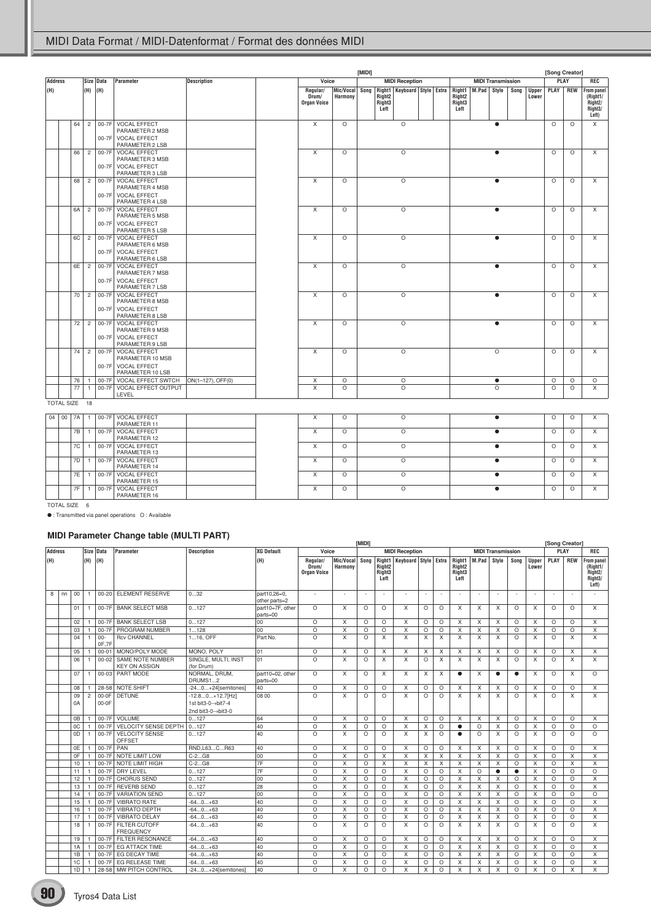|                |               |    |                |                  |                                                                                  |                    |                                                                                                                                                                  |                                    |         |  |         |                          |  | [Song Creator] |       |             |      |                       |          |            |                                                                           |
|----------------|---------------|----|----------------|------------------|----------------------------------------------------------------------------------|--------------------|------------------------------------------------------------------------------------------------------------------------------------------------------------------|------------------------------------|---------|--|---------|--------------------------|--|----------------|-------|-------------|------|-----------------------|----------|------------|---------------------------------------------------------------------------|
| <b>Address</b> |               |    |                | Size Data        | <b>Parameter</b>                                                                 | <b>Description</b> | Voice                                                                                                                                                            | <b>MIDI Reception</b>              |         |  |         | <b>MIDI Transmission</b> |  |                |       | <b>PLAY</b> | REC  |                       |          |            |                                                                           |
| (H)            |               |    | (H)            | (H)              |                                                                                  |                    | Right1   Keyboard   Style   Extra<br>Regular/<br>Mic/Vocal<br>Song<br>Harmony<br>Right <sub>2</sub><br>Drum/<br>Right <sub>3</sub><br><b>Organ Voice</b><br>Left |                                    |         |  |         |                          |  |                | M.Pad | Style       | Song | <b>Upper</b><br>Lower | PLAY     | <b>REW</b> | <b>From panel</b><br>(Right1/<br>Right <sub>2</sub> /<br>Right3/<br>Left) |
|                |               | 64 | $\overline{2}$ | $00-7F$          | 00-7F VOCAL EFFECT<br>PARAMETER 2 MSB<br><b>VOCAL EFFECT</b><br>PARAMETER 2 LSB  |                    | $\overline{X}$                                                                                                                                                   | $\circ$                            |         |  | $\circ$ |                          |  |                |       | $\bullet$   |      |                       | $\circ$  | $\circ$    | X                                                                         |
|                |               | 66 | $\overline{c}$ | 00-7F<br>$00-7F$ | <b>VOCAL EFFECT</b><br>PARAMETER 3 MSB<br><b>VOCAL EFFECT</b><br>PARAMETER 3 LSB |                    | $\times$                                                                                                                                                         | $\circ$                            |         |  | $\circ$ |                          |  |                |       | $\bullet$   |      |                       | $\circ$  | $\circ$    | X                                                                         |
|                |               | 68 | $\overline{c}$ |                  | 00-7F VOCAL EFFECT<br>PARAMETER 4 MSB<br>00-7F VOCAL EFFECT<br>PARAMETER 4 LSB   |                    | X                                                                                                                                                                | $\circ$                            |         |  | $\circ$ |                          |  |                |       | 6           |      |                       | $\circ$  | $\circ$    | X                                                                         |
|                |               | 6A | $\overline{c}$ |                  | 00-7F VOCAL EFFECT<br>PARAMETER 5 MSB<br>00-7F VOCAL EFFECT<br>PARAMETER 5 LSB   |                    | X                                                                                                                                                                | $\circ$                            |         |  | $\circ$ |                          |  |                |       | $\bullet$   |      |                       | $\circ$  | $\circ$    | X                                                                         |
|                |               | 6C | $\overline{2}$ | 00-7F<br>$00-7F$ | <b>VOCAL EFFECT</b><br>PARAMETER 6 MSB<br><b>VOCAL EFFECT</b><br>PARAMETER 6 LSB |                    | X                                                                                                                                                                | $\Omega$                           |         |  | $\circ$ |                          |  |                |       | $\bullet$   |      |                       | $\Omega$ | $\Omega$   | $\times$                                                                  |
|                |               | 6E | $\overline{2}$ | 00-7F<br>00-7F   | <b>VOCAL EFFECT</b><br>PARAMETER 7 MSB<br><b>VOCAL EFFECT</b><br>PARAMETER 7 LSB |                    | X                                                                                                                                                                | $\circ$                            |         |  | $\circ$ |                          |  |                |       | $\bullet$   |      |                       | $\circ$  | $\circ$    | X                                                                         |
|                |               | 70 | $\overline{c}$ | 00-7F<br>$00-7F$ | <b>VOCAL EFFECT</b><br>PARAMETER 8 MSB<br><b>VOCAL EFFECT</b><br>PARAMETER 8 LSB |                    | X                                                                                                                                                                | $\circ$                            |         |  | $\circ$ |                          |  |                |       | $\bullet$   |      |                       | $\circ$  | $\circ$    | X                                                                         |
|                |               | 72 | $\overline{2}$ | 00-7F            | <b>VOCAL EFFECT</b><br>PARAMETER 9 MSB<br>00-7F VOCAL EFFECT<br>PARAMETER 9 LSB  |                    | X                                                                                                                                                                | $\circ$                            |         |  | $\circ$ |                          |  |                |       | $\bullet$   |      |                       | $\circ$  | $\circ$    | $\times$                                                                  |
|                |               | 74 | $\overline{c}$ | 00-7F<br>$00-7F$ | <b>VOCAL EFFECT</b><br>PARAMETER 10 MSB<br>VOCAL EFFECT<br>PARAMETER 10 LSB      |                    | $\overline{\mathsf{x}}$                                                                                                                                          | $\circ$                            |         |  | $\circ$ |                          |  |                |       | $\circ$     |      |                       | $\circ$  | $\circ$    | X                                                                         |
|                |               | 76 | $\mathbf{1}$   | $00-7F$          | VOCAL EFFECT SWTCH                                                               | ON(1-127), OFF(0)  | X                                                                                                                                                                | O                                  |         |  | $\circ$ |                          |  |                |       | $\bullet$   |      |                       | $\circ$  | $\circ$    | $\circ$                                                                   |
|                |               | 77 | $\mathbf{1}$   | $00-7F$          | VOCAL EFFECT OUTPUT<br>LEVEL                                                     |                    | X                                                                                                                                                                | $\Omega$                           |         |  | $\circ$ |                          |  |                |       | $\Omega$    |      |                       | $\circ$  | $\circ$    | X                                                                         |
|                | TOTAL SIZE 18 |    |                |                  |                                                                                  |                    |                                                                                                                                                                  |                                    |         |  |         |                          |  |                |       |             |      |                       |          |            |                                                                           |
|                | 04   00       | 7A | $\mathbf{1}$   |                  | 00-7F VOCAL EFFECT<br>PARAMETER 11                                               |                    | X                                                                                                                                                                | $\circ$                            |         |  | $\circ$ |                          |  |                |       | $\bullet$   |      |                       | $\circ$  | $\circ$    | Χ                                                                         |
|                |               | 7B | $\overline{1}$ | 00-7F            | <b>VOCAL EFFECT</b><br>PARAMETER 12                                              |                    | X<br>$\circ$<br>$\circ$                                                                                                                                          |                                    |         |  |         |                          |  |                |       | $\bullet$   |      |                       | $\circ$  | $\circ$    | $\times$                                                                  |
|                |               | 7C | $\mathbf{1}$   | 00-7F            | <b>VOCAL EFFECT</b><br>PARAMETER 13                                              |                    | X                                                                                                                                                                | $\circ$<br>O<br>$\circ$<br>$\circ$ |         |  |         |                          |  |                |       | $\bullet$   |      |                       | $\circ$  | O          | X                                                                         |
|                |               | 7D | 1              | 00-7F            | <b>VOCAL EFFECT</b><br>PARAMETER 14                                              |                    | X                                                                                                                                                                |                                    | $\circ$ |  |         |                          |  |                |       | $\bullet$   |      |                       | $\circ$  | $\circ$    | X                                                                         |
|                |               | 7E | $\mathbf{1}$   | 00-7F            | <b>VOCAL EFFECT</b><br>PARAMETER 15                                              |                    | X                                                                                                                                                                | $\circ$                            |         |  |         |                          |  |                |       | $\bullet$   |      |                       | $\circ$  | $\circ$    | X                                                                         |
|                |               | 7F | $\mathbf{1}$   | 00-7F            | <b>VOCAL EFFECT</b><br>PARAMETER 16                                              |                    | X                                                                                                                                                                | $\circ$<br>$\circ$                 |         |  |         |                          |  |                |       | $\bullet$   |      |                       | $\circ$  | O          | X                                                                         |
|                | TOTAL SIZE 6  |    |                |                  |                                                                                  |                    |                                                                                                                                                                  |                                    |         |  |         |                          |  |                |       |             |      |                       |          |            |                                                                           |

● : Transmitted via panel operations O : Available

# **MIDI Parameter Change table (MULTI PART)**

|                |    |                |                |                 | - ------ - -                                    |                                                              |                               |                                         |                           | <b>IMIDI1</b> |                                                  |                                   |          |          |                                                            |                           |                          |           |                       | [Song Creator] |            |                                                                                        |
|----------------|----|----------------|----------------|-----------------|-------------------------------------------------|--------------------------------------------------------------|-------------------------------|-----------------------------------------|---------------------------|---------------|--------------------------------------------------|-----------------------------------|----------|----------|------------------------------------------------------------|---------------------------|--------------------------|-----------|-----------------------|----------------|------------|----------------------------------------------------------------------------------------|
| <b>Address</b> |    |                |                | Size Data       | Parameter                                       | <b>Description</b>                                           | XG Default                    | Voice<br><b>MIDI Reception</b>          |                           |               |                                                  |                                   |          |          |                                                            |                           | <b>MIDI Transmission</b> |           |                       | PLAY           |            | REC                                                                                    |
| (H)            |    |                | (H)<br>(H)     |                 |                                                 |                                                              | (H)                           | Regular/<br>Drum/<br><b>Organ Voice</b> | Mic/Vocal<br>Harmony      | Song          | Right <sub>2</sub><br>Right <sub>3</sub><br>Left | Right1   Keyboard   Style   Extra |          |          | Right1<br>Right <sub>2</sub><br>Right <sub>3</sub><br>Left | M.Pad                     | Style                    | Song      | <b>Upper</b><br>Lower | PLAY           | <b>REW</b> | <b>From panel</b><br>(Right1/<br>Right <sub>2</sub> /<br>Right <sub>3</sub> /<br>Left) |
| 8              | nn | 0 <sup>0</sup> |                |                 | 00-20 ELEMENT RESERVE                           | 032                                                          | part10.26=0.<br>other parts=2 |                                         | ٠.                        | $\sim$        |                                                  | ٠                                 | $\sim$   | ÷        | ٠                                                          |                           | ٠                        | ٠         | ٠                     |                |            |                                                                                        |
|                |    | 01             |                | 00-7F           | <b>BANK SELECT MSB</b>                          | 0127                                                         | part10=7F, other<br>parts=00  | $\Omega$                                | X                         | $\Omega$      | $\Omega$                                         | $\times$                          | O        | $\circ$  | X                                                          | X                         | X                        | $\Omega$  | X                     | $\Omega$       | $\Omega$   | X                                                                                      |
|                |    | 02             |                | 00-7F           | <b>BANK SELECT LSB</b>                          | 0127                                                         | 00                            | $\circ$                                 | X                         | $\circ$       | $\circ$                                          | $\mathsf{X}$                      | $\circ$  | $\circ$  | X                                                          | $\mathsf{X}$              | X                        | $\circ$   | X                     | $\circ$        | $\circ$    | $\times$                                                                               |
|                |    | 03             |                | 00-7F           | PROGRAM NUMBER                                  | 1128                                                         | 00                            | $\circ$                                 | $\times$                  | $\circ$       | $\circ$                                          | X                                 | $\circ$  | $\circ$  | X                                                          | $\times$                  | X                        | $\circ$   | X                     | $\circ$        | O          | X                                                                                      |
|                |    | 04             |                | $00 -$<br>OF.7F | <b>Rcv CHANNEL</b>                              | 116, OFF                                                     | Part No.                      | $\Omega$                                | X                         | $\Omega$      | $\times$                                         | $\mathsf{X}$                      | X        | $\times$ | $\times$                                                   | $\boldsymbol{\mathsf{x}}$ | $\times$                 | $\Omega$  | X                     | $\Omega$       | X          | X                                                                                      |
|                |    | 05             |                | $00 - 01$       | MONO/POLY MODE                                  | MONO, POLY                                                   | 101                           | $\circ$                                 | X                         | $\circ$       | $\times$                                         | X                                 | $\times$ | $\times$ | X                                                          | $\times$                  | $\times$                 | $\circ$   | X                     | $\circ$        | X          | X                                                                                      |
|                |    | 06             |                | $00 - 02$       | <b>SAME NOTE NUMBER</b><br><b>KEY ON ASSIGN</b> | SINGLE, MULTI, INST<br>(for Drum)                            | 01                            | $\Omega$                                | X                         | $\Omega$      | $\times$                                         | $\mathsf{X}$                      | $\circ$  | X        | $\times$                                                   | $\times$                  | $\times$                 | $\Omega$  | X                     | $\Omega$       | X          | X                                                                                      |
|                |    | 07             |                | $00 - 03$       | PART MODE                                       | NORMAL, DRUM.<br>DRUMS12                                     | part10=02, other<br>parts=00  | $\circ$                                 | X                         | $\circ$       | $\times$                                         | $\times$                          | $\times$ | $\times$ | $\bullet$                                                  | X                         | $\bullet$                | $\bullet$ | X                     | $\circ$        | X          | $\Omega$                                                                               |
|                |    | 08             |                |                 | 28-58 NOTE SHIFT                                | $-240+24$ [semitones]                                        | 40                            | $\circ$                                 | X                         | $\circ$       | $\circ$                                          | X                                 | $\circ$  | $\circ$  | X                                                          | X                         | X                        | $\circ$   | X                     | $\circ$        | O          | X                                                                                      |
|                |    | 09<br>0A       | $\overline{c}$ | 00-0F<br>00-0F  | DETUNE                                          | $-12.80+12.7$ [Hz]<br>1st bit3-0→bit7-4<br>2nd bit3-0→bit3-0 | 08 00                         | $\Omega$                                | $\boldsymbol{\mathsf{x}}$ | $\Omega$      | $\Omega$                                         | $\mathsf{x}$                      | $\Omega$ | $\Omega$ | $\overline{\mathsf{x}}$                                    | $\mathsf{x}$              | X                        | $\Omega$  | X                     | $\Omega$       | X          | X                                                                                      |
|                |    | 0 <sub>B</sub> |                | 00-7F           | VOLUME                                          | 0127                                                         | 64                            | $\circ$                                 | X                         | $\circ$       | $\circ$                                          | $\times$                          | $\circ$  | $\circ$  | X                                                          | $\times$                  | X                        | $\circ$   | X                     | $\circ$        | O          | X                                                                                      |
|                |    | 0C             |                | $00-7F$         | <b>VELOCITY SENSE DEPTH</b>                     | 0127                                                         | 40                            | $\circ$                                 | X                         | $\circ$       | $\circ$                                          | $\times$                          | X        | $\circ$  | $\bullet$                                                  | $\circ$                   | $\times$                 | $\circ$   | X                     | $\circ$        | $\circ$    | $\circ$                                                                                |
|                |    | 0D             |                | 00-7F           | <b>VELOCITY SENSE</b><br><b>OFFSET</b>          | 0127                                                         | 40                            | $\Omega$                                | X                         | $\Omega$      | $\Omega$                                         | $\times$                          | $\times$ | $\Omega$ | $\bullet$                                                  | $\Omega$                  | $\times$                 | $\Omega$  | X                     | $\Omega$       | $\Omega$   | $\Omega$                                                                               |
|                |    | 0E             |                | 00-7F PAN       |                                                 | RND.L63CR63                                                  | 40                            | $\circ$                                 | X                         | $\circ$       | $\circ$                                          | X                                 | $\circ$  | $\circ$  | X                                                          | $\times$                  | Χ                        | $\circ$   | X                     | $\circ$        | O          | X                                                                                      |
|                |    | 0F             |                |                 | 00-7F NOTE LIMIT LOW                            | $C-2G8$                                                      | 00                            | $\circ$                                 | $\times$                  | $\Omega$      | $\times$                                         | $\mathsf{x}$                      | X        | $\times$ | $\times$                                                   | $\times$                  | $\times$                 | $\circ$   | X                     | $\Omega$       | X          | X                                                                                      |
|                |    | 10             |                |                 | 00-7F NOTE LIMIT HIGH                           | $C-2G8$                                                      | 7F                            | $\Omega$                                | X                         | $\Omega$      | X                                                | X                                 | X        | X        | X                                                          | X                         | X                        | $\Omega$  | X                     | $\Omega$       | X          | X                                                                                      |
|                |    | 11             |                |                 | 00-7F DRY LEVEL                                 | 0127                                                         | 7F                            | $\circ$                                 | X                         | $\Omega$      | $\circ$                                          | $\times$                          | $\circ$  | $\circ$  | X                                                          | $\Omega$                  | $\bullet$                | $\bullet$ | X                     | $\Omega$       | $\circ$    | $\Omega$                                                                               |
|                |    | 12             |                | $00-7F$         | <b>CHORUS SEND</b>                              | 0127                                                         | 00                            | $\Omega$                                | $\times$                  | $\Omega$      | $\Omega$                                         | $\boldsymbol{\mathsf{X}}$         | $\Omega$ | $\circ$  | $\times$                                                   | $\times$                  | X                        | $\Omega$  | X                     | $\Omega$       | $\Omega$   | X                                                                                      |
|                |    | 13             |                | 00-7F           | <b>REVERB SEND</b>                              | 0127                                                         | 28                            | $\circ$                                 | $\times$                  | $\circ$       | $\circ$                                          | X                                 | $\circ$  | $\circ$  | X                                                          | $\times$                  | $\overline{X}$           | $\circ$   | X                     | $\circ$        | O          | X                                                                                      |
|                |    | 14             |                | 00-7F           | <b>VARIATION SEND</b>                           | 0127                                                         | loo                           | $\circ$                                 | $\times$                  | $\circ$       | $\circ$                                          | X                                 | $\circ$  | $\circ$  | X                                                          | $\times$                  | $\times$                 | $\circ$   | X                     | $\circ$        | $\circ$    | $\circ$                                                                                |
|                |    | 15             |                | 00-7F           | <b>VIBRATO RATE</b>                             | $-640+63$                                                    | 40                            | $\circ$                                 | $\times$                  | $\circ$       | $\circ$                                          | $\times$                          | $\circ$  | $\circ$  | X                                                          | $\times$                  | X                        | $\circ$   | X                     | $\circ$        | $\circ$    | X                                                                                      |
|                |    | 16             |                | 00-7F           | <b>VIBRATO DEPTH</b>                            | $-640+63$                                                    | 40                            | $\circ$                                 | X                         | $\Omega$      | $\circ$                                          | X                                 | $\circ$  | $\circ$  | X                                                          | X                         | X                        | $\circ$   | X                     | $\Omega$       | $\circ$    | X                                                                                      |
|                |    | 17             |                | 00-7F           | <b>VIBRATO DELAY</b>                            | $-640+63$                                                    | 40                            | $\circ$                                 | $\times$                  | $\Omega$      | $\circ$                                          | X                                 | $\circ$  | $\circ$  | X                                                          | X                         | X                        | $\Omega$  | X                     | $\Omega$       | O          | X                                                                                      |
|                |    | 18             |                | $00 - 7F$       | <b>FILTER CUTOFF</b><br><b>FREQUENCY</b>        | $-640+63$                                                    | 40                            | $\Omega$                                | X                         | $\Omega$      | $\Omega$                                         | $\times$                          | $\Omega$ | $\Omega$ | X                                                          | X                         | $\times$                 | $\Omega$  | X                     | $\Omega$       | $\Omega$   | X                                                                                      |
|                |    | 19             |                |                 | 00-7F FILTER RESONANCE                          | $-640+63$                                                    | 40                            | $\circ$                                 | X                         | $\Omega$      | $\Omega$                                         | X                                 | $\circ$  | $\circ$  | $\times$                                                   | $\times$                  | X                        | $\Omega$  | X                     | $\Omega$       | $\Omega$   | X                                                                                      |
|                |    | 1A             |                |                 | 00-7F   EG ATTACK TIME                          | $-640+63$                                                    | 40                            | $\circ$                                 | X                         | $\Omega$      | $\circ$                                          | X                                 | $\circ$  | $\circ$  | X                                                          | $\times$                  | X                        | $\Omega$  | X                     | $\Omega$       | $\circ$    | X                                                                                      |
|                |    | 1B             |                | $00-7F$         | EG DECAY TIME                                   | $-640+63$                                                    | 40                            | $\circ$                                 | $\times$                  | $\Omega$      | $\Omega$                                         | $\times$                          | $\circ$  | $\circ$  | X                                                          | $\mathsf{X}$              | $\mathsf X$              | $\Omega$  | X                     | $\Omega$       | $\circ$    | X                                                                                      |
|                |    | 1 <sup>C</sup> |                | 00-7F           | <b>EG RELEASE TIME</b>                          | $-640+63$                                                    | 40                            | $\circ$                                 | X                         | $\circ$       | $\circ$                                          | X                                 | $\circ$  | $\circ$  | X                                                          | $\times$                  | X                        | $\circ$   | X                     | $\circ$        | $\circ$    | X                                                                                      |
|                |    | 1D             | $\mathbf{1}$   |                 | 28-58 MW PITCH CONTROL                          | $-240+24$ [semitones]                                        | 40                            | $\Omega$                                | $\boldsymbol{\mathsf{x}}$ | $\Omega$      | $\Omega$                                         | $\times$                          | X        | $\circ$  | $\mathsf{x}$                                               | $\times$                  | X                        | $\Omega$  | X                     | $\Omega$       | X          | X                                                                                      |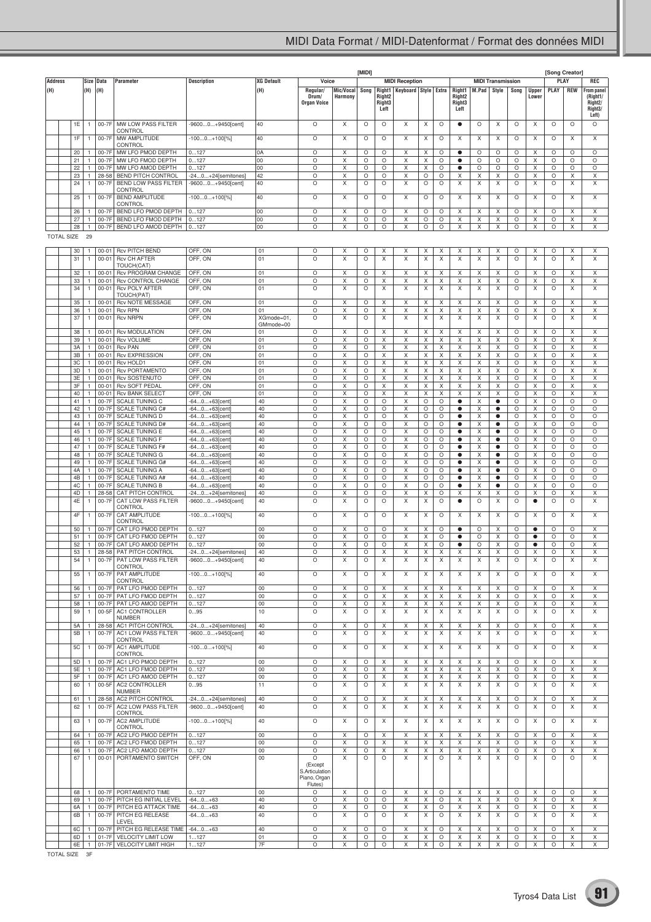|                |                   |          |                              |                        |                                                        |                                            |                   |                                                                |                      | [MIDI]       |                                                |                          |        |              |                                                |        |                          |              |                       | [Song Creator]     |                    |                                                                                 |
|----------------|-------------------|----------|------------------------------|------------------------|--------------------------------------------------------|--------------------------------------------|-------------------|----------------------------------------------------------------|----------------------|--------------|------------------------------------------------|--------------------------|--------|--------------|------------------------------------------------|--------|--------------------------|--------------|-----------------------|--------------------|--------------------|---------------------------------------------------------------------------------|
| <b>Address</b> |                   |          | Size                         | Data                   | Parameter                                              | <b>Description</b>                         | <b>XG Default</b> | Voice                                                          |                      |              |                                                | <b>MIDI Reception</b>    |        |              |                                                |        | <b>MIDI Transmission</b> |              |                       |                    | PLAY               | REC                                                                             |
| (H)            |                   |          | (H)                          | (H)                    |                                                        |                                            | (H)               | Regular/<br>Drum/<br><b>Organ Voice</b>                        | Mic/Vocal<br>Harmony | Song         | Right1<br>Right <sub>2</sub><br>Right3<br>Left | Keyboard   Style   Extra |        |              | Right1<br>Right <sub>2</sub><br>Right3<br>Left | M.Pad  | Style                    | Song         | <b>Upper</b><br>Lower | PLAY               | <b>REW</b>         | From panel<br>(Right1/<br>Right <sub>2</sub> /<br>Right <sub>3</sub> /<br>Left) |
|                |                   | 1E       |                              | 00-7F                  | MW LOW PASS FILTER<br>CONTROL                          | -96000+9450[cent]                          | 40                | O                                                              | X                    | O            | O                                              | X                        | X      | O            | $\bullet$                                      | O      | X                        | $\circ$      | X                     | $\circ$            | $\circ$            | O                                                                               |
|                |                   | 1F       | $\mathbf{1}$                 | 00-7F                  | MW AMPLITUDE<br>CONTROL                                | -1000+100[%]                               | 40                | O                                                              | X                    | O            | O                                              | X                        | Х      | O            | X                                              | X      | X                        | $\circ$      | X                     | $\circ$            | Χ                  | X                                                                               |
|                |                   | 20       |                              | 00-7F                  | MW LFO PMOD DEPTH                                      | 0127                                       | 0A                | O                                                              | X                    | O            | O                                              | х                        | Х      | O            | $\bullet$                                      | O      | O                        | O            | X                     | O                  | O                  | O                                                                               |
|                |                   | 21       |                              | 00-7F                  | MW LFO FMOD DEPTH                                      | 0127                                       | 00                | O                                                              | Χ                    | O            | O                                              | Χ                        | Χ      | O            | $\bullet$                                      | O      | O                        | О            | Χ                     | O                  | O                  | O                                                                               |
|                |                   | 22<br>23 | $\mathbf{1}$                 | 00-7F<br>28-58         | MW LFO AMOD DEPTH<br><b>BEND PITCH CONTROL</b>         | 0127<br>-240+24[semitones]                 | 00<br>42          | O<br>O                                                         | X<br>Χ               | O<br>O       | O<br>O                                         | X<br>X                   | X<br>O | O<br>O       | $\bullet$<br>Χ                                 | O<br>х | O<br>Х                   | O<br>O       | Χ<br>X                | O<br>O             | O<br>X             | O<br>Х                                                                          |
|                |                   | 24       | $\mathbf{1}$                 | 00-7F                  | <b>BEND LOW PASS FILTER</b>                            | -96000+9450[cent]                          | 40                | O                                                              | X                    | O            | O                                              | X                        | O      | O            | X                                              | Χ      | X                        | О            | X                     | $\circ$            | X                  | X                                                                               |
|                |                   | 25       | $\mathbf{1}$                 | 00-7F                  | CONTROL<br><b>BEND AMPLITUDE</b><br>CONTROL            | -1000+100[%]                               | 40                | O                                                              | X                    | O            | O                                              | X                        | O      | O            | X                                              | X      | X                        | $\circ$      | X                     | $\circ$            | X                  | Χ                                                                               |
|                |                   | 26       |                              | 00-7F                  | BEND LFO PMOD DEPTH                                    | 0127                                       | 00                | O<br>O                                                         | Х                    | O            | O                                              | X                        | O      | O            | Х                                              | Χ      | Χ                        | О            | х                     | O                  | X                  | Х                                                                               |
|                |                   | 27<br>28 | $\mathbf{1}$<br>$\mathbf{1}$ | 00-7F<br>00-7F         | BEND LFO FMOD DEPTH<br>BEND LFO AMOD DEPTH             | 0127<br>0127                               | 00<br>00          | O                                                              | Χ<br>X               | O<br>O       | O<br>O                                         | X<br>X                   | O<br>O | O<br>O       | Χ<br>X                                         | Χ<br>Χ | Χ<br>Χ                   | O<br>O       | Χ<br>X                | O<br>O             | X<br>Χ             | X<br>X                                                                          |
|                | <b>TOTAL SIZE</b> |          | 29                           |                        |                                                        |                                            |                   |                                                                |                      |              |                                                |                          |        |              |                                                |        |                          |              |                       |                    |                    |                                                                                 |
|                |                   | 30       |                              | $00 - 01$              | <b>Rcv PITCH BEND</b>                                  | OFF, ON                                    | 01                | O                                                              | X                    | O            | X                                              | х                        | X      | X            | X                                              | X      | Χ                        | O            | X                     | $\circ$            | X                  | X                                                                               |
|                |                   | 31       | 1                            | $00 - 01$              | <b>Rcv CH AFTER</b><br>TOUCH(CAT)                      | OFF, ON                                    | 01                | O                                                              | X                    | $\circ$      | X                                              | X                        | X      | Χ            | X                                              | X      | X                        | $\circ$      | X                     | $\circ$            | X                  | X                                                                               |
|                |                   | 32       |                              | $00 - 01$              | Rcv PROGRAM CHANGE                                     | OFF, ON                                    | 01                | O                                                              | Х                    | O            | X                                              | Χ                        | X      | X            | X                                              | х      | X                        | O            | х                     | O                  | X                  | X                                                                               |
|                |                   | 33       |                              | $00 - 01$              | Rcv CONTROL CHANGE                                     | OFF, ON                                    | 01                | O                                                              | Х                    | O            | X                                              | X                        | Х      | Х            | X                                              | х      | Х                        | O            | X                     | O                  | X                  | X                                                                               |
|                |                   | 34       | 1                            | $00 - 01$              | <b>Rcv POLY AFTER</b><br>TOUCH(PAT)                    | OFF, ON                                    | 01                | O                                                              | X                    | O            | X                                              | X                        | X      | X            | Χ                                              | Χ      | X                        | О            | X                     | O                  | X                  | X                                                                               |
|                |                   | 35       |                              | $00 - 01$              | <b>Rcv NOTE MESSAGE</b>                                | OFF, ON                                    | 01                | O                                                              | X                    | O            | Χ                                              | X                        | X      | X            | Χ                                              | Χ      | X                        | O            | Χ                     | $\circ$            | X                  | X                                                                               |
|                |                   | 36       |                              | $00 - 01$              | <b>Rcv RPN</b>                                         | OFF, ON                                    | 01                | O                                                              | X                    | O            | X                                              | X                        | X      | X            | X                                              | Χ      | X                        | O            | X                     | O                  | X                  | X                                                                               |
|                |                   | 37       | 1                            | $00 - 01$              | <b>Rcv NRPN</b>                                        | OFF, ON                                    | XGmode=01         | O                                                              | X                    | $\circ$      | X                                              | X                        | X      | Χ            | X                                              | Χ      | X                        | $\circ$      | X                     | $\circ$            | X                  | X                                                                               |
|                |                   | 38       |                              | $00 - 01$              | <b>Rcv MODULATION</b>                                  | OFF, ON                                    | GMmode=00<br>01   | O                                                              | Х                    | O            | X                                              | X                        | X      | Х            | X                                              | Χ      | X                        | О            | х                     | O                  | X                  | X                                                                               |
|                |                   | 39       |                              | $00 - 01$              | <b>Rcv VOLUME</b>                                      | OFF, ON                                    | 01                | O                                                              | Х                    | O            | X                                              | X                        | X      | X            | X                                              | Χ      | X                        | O            | X                     | O                  | X                  | X                                                                               |
|                |                   | 3A       |                              | $00 - 01$              | <b>Rcv PAN</b>                                         | OFF, ON                                    | 01                | O                                                              | X                    | O            | X                                              | X                        | Χ      | X            | Χ                                              | Χ      | Χ                        | О            | Χ                     | O                  | X                  | X                                                                               |
|                |                   | 3B       | $\mathbf{1}$                 | $00 - 01$              | <b>Rcv EXPRESSION</b>                                  | OFF, ON                                    | 01                | O                                                              | X                    | O            | X                                              | X                        | X      | X            | Χ                                              | Χ      | X                        | О            | Χ                     | O                  | X                  | X                                                                               |
|                |                   | 3C       |                              | $00 - 01$              | Rcv HOLD1                                              | OFF, ON                                    | 01                | O                                                              | X                    | O            | X                                              | X                        | X      | X            | X                                              | X      | X                        | О            | X                     | O                  | X                  | X                                                                               |
|                |                   | 3D<br>3E | $\mathbf{1}$                 | $00 - 01$<br>$00 - 01$ | <b>Rcv PORTAMENTO</b><br><b>Rcv SOSTENUTO</b>          | OFF, ON<br>OFF, ON                         | 01<br>01          | O<br>O                                                         | X<br>X               | O<br>O       | X<br>X                                         | Χ<br>X                   | Χ<br>X | Χ<br>X       | Χ<br>Χ                                         | Χ<br>Χ | Χ<br>X                   | О<br>O       | Χ<br>X                | O<br>O             | X<br>X             | X<br>X                                                                          |
|                |                   | 3F       |                              | $00 - 01$              | <b>Rcv SOFT PEDAL</b>                                  | OFF, ON                                    | 01                | O                                                              | Х                    | O            | X                                              | X                        | Х      | Х            | X                                              | Χ      | X                        | O            | X                     | O                  | X                  | Х                                                                               |
|                |                   | 40       |                              | $00 - 01$              | <b>Rcv BANK SELECT</b>                                 | OFF, ON                                    | 01                | O                                                              | Χ                    | O            | X                                              | Χ                        | X      | X            | Χ                                              | Χ      | Χ                        | О            | Χ                     | O                  | X                  | X                                                                               |
|                |                   | 41       |                              | 00-7F                  | <b>SCALE TUNING C</b>                                  | -640+63[cent]                              | 40                | O                                                              | X                    | O            | O                                              | X                        | O      | O            | $\bullet$                                      | Χ      | ٠                        | О            | Χ                     | O                  | O                  | O                                                                               |
|                |                   | 42<br>43 |                              | 00-7F<br>00-7F         | <b>SCALE TUNING C#</b><br><b>SCALE TUNING D</b>        | -640+63[cent<br>-640+63[cent               | 40<br>40          | O<br>O                                                         | X<br>Χ               | O<br>O       | O<br>O                                         | X<br>Χ                   | O<br>O | O<br>O       | $\bullet$<br>$\bullet$                         | Χ<br>Χ | ٠<br>$\bullet$           | О<br>O       | X<br>Χ                | O<br>O             | O<br>O             | O<br>O                                                                          |
|                |                   | 44       |                              | 00-7F                  | <b>SCALE TUNING D#</b>                                 | -640+63[cent]                              | 40                | O                                                              | Х                    | O            | O                                              | X                        | O      | O            | $\bullet$                                      | Χ      | $\bullet$                | O            | X                     | O                  | O                  | O                                                                               |
|                |                   | 45       |                              | 00-7F                  | <b>SCALE TUNING E</b>                                  | -640+63[cent                               | 40                | O                                                              | Х                    | O            | O                                              | X                        | O      | O            | $\bullet$                                      | х      | $\bullet$                | O            | X                     | O                  | O                  | O                                                                               |
|                |                   | 46       |                              | 00-7F                  | SCALE TUNING F                                         | -640+63[cent                               | 40                | O                                                              | Χ                    | O            | O                                              | Χ                        | O      | O            | $\bullet$                                      | Χ      | $\bullet$                | О            | Χ                     | O                  | $\circ$            | O                                                                               |
|                |                   | 47<br>48 |                              | 00-7F<br>00-7F         | <b>SCALE TUNING F#</b><br><b>SCALE TUNING G</b>        | -640+63[cent]                              | 40<br>40          | O<br>O                                                         | X<br>X               | O<br>O       | O<br>O                                         | X<br>X                   | O<br>O | O<br>O       | $\bullet$<br>$\bullet$                         | Χ<br>Χ | $\bullet$<br>٠           | О<br>О       | Χ<br>X                | O<br>O             | O<br>O             | O<br>O                                                                          |
|                |                   | 49       |                              | 00-7F                  | <b>SCALE TUNING G#</b>                                 | -640+63[cent]<br>-640+63[cent]             | 40                | O                                                              | X                    | O            | O                                              | Χ                        | O      | O            | $\bullet$                                      | Χ      | $\bullet$                | O            | Χ                     | O                  | O                  | O                                                                               |
|                |                   | 4A       | $\mathbf{1}$                 | 00-7F                  | <b>SCALE TUNING A</b>                                  | -640+63[cent]                              | 40                | O                                                              | X                    | O            | O                                              | X                        | O      | O            | $\bullet$                                      | Χ      | $\bullet$                | O            | X                     | O                  | O                  | O                                                                               |
|                |                   | 4B       |                              | 00-7F                  | <b>SCALE TUNING A#</b>                                 | -640+63[cent                               | 40                | O                                                              | Х                    | O            | O                                              | X                        | O      | O            | $\bullet$                                      | Χ      | $\bullet$                | O            | X                     | O                  | O                  | O                                                                               |
|                |                   | 4C       |                              | 00-7F                  | <b>SCALE TUNING B</b>                                  | -640+63[cent]                              | 40                | O                                                              | X                    | O            | O                                              | Χ                        | O      | O            | $\bullet$                                      | Χ      | $\bullet$                | О            | Χ                     | O                  | $\circ$            | O                                                                               |
|                |                   | 4D<br>4E | 1                            | 28-58<br>00-7F         | CAT PITCH CONTROL<br><b>CAT LOW PASS FILTER</b>        | -240+24[semitones]<br>-96000+9450[cent]    | 40<br>40          | O<br>O                                                         | X<br>X               | O<br>O       | O<br>O                                         | X<br>X                   | Χ<br>X | O<br>O       | Χ<br>٠                                         | Χ<br>O | X<br>X                   | О<br>O       | Χ<br>$\bullet$        | O<br>$\circ$       | X<br>O             | X<br>X                                                                          |
|                |                   | 4F       | $\mathbf{1}$                 | 00-7F                  | CONTROL<br>CAT AMPLITUDE                               | -1000+100[%]                               | 40                | O                                                              | X                    | O            | $\circ$                                        | X                        | Χ      | O            | Χ                                              | Χ      | X                        | $\circ$      | Χ                     | $\circ$            | X                  | X                                                                               |
|                |                   | 50       |                              | 00-7F                  | CONTROL<br>CAT LFO PMOD DEPTH                          | 0127                                       | 00                | O                                                              | Х                    | O            | O                                              | Χ                        | Х      | O            | $\bullet$                                      | O      | X                        | O            | $\bullet$             | O                  | O                  | х                                                                               |
|                |                   | 51       |                              | 00-7F                  | CAT LFO FMOD DEPTH                                     | 0127                                       | 00                | O                                                              | Х                    | O            | O                                              | X                        | X      | O            | $\bullet$                                      | O      | X                        | O            | $\bullet$             | O                  | O                  | X                                                                               |
|                |                   | 52       |                              | 00-7F                  | CAT LFO AMOD DEPTH                                     | 0127                                       | 00                | O                                                              | X                    | О            | O                                              | Χ                        | Χ      | О            | $\bullet$                                      | O      | Χ                        | O            | $\bullet$             | O                  | $\circ$            | X                                                                               |
|                |                   | 53       | $\mathbf{1}$                 | 28-58                  | PAT PITCH CONTROL                                      | -240+24[semitones]                         | 40                | O                                                              | X                    | O            | X                                              | X                        | X      | Χ            | Χ                                              | Χ      | Χ                        | O            | х                     | O                  | X                  | X                                                                               |
|                |                   | 54<br>55 | $\mathbf{1}$                 | 00-7F<br>00-7F         | PAT LOW PASS FILTER<br>CONTROL<br>PAT AMPLITUDE        | -96000+9450[cent]<br>$-1000+100[\%]$       | 40<br>40          | O<br>$\circ$                                                   | Х<br>X               | O<br>O       | Х<br>X                                         | х<br>X                   | х<br>X | х<br>X       | Х<br>X                                         | х<br>X | Х<br>X                   | O<br>$\circ$ | х<br>X                | O<br>$\circ$       | Х<br>X             | X<br>X                                                                          |
|                |                   |          |                              |                        | CONTROL                                                |                                            |                   |                                                                |                      |              |                                                |                          |        |              |                                                |        |                          |              |                       |                    |                    |                                                                                 |
|                |                   | 56<br>57 | $\mathbf{1}$<br>1            |                        | 00-7F   PAT LFO PMOD DEPTH<br>00-7F PAT LFO FMOD DEPTH | 0127<br>0127                               | 00<br>00          | O<br>O                                                         | X<br>X               | O<br>O       | Χ<br>Χ                                         | Χ<br>X                   | X<br>X | X<br>X       | X<br>X                                         | X<br>X | Χ<br>X                   | O<br>O       | X<br>X                | $\circ$<br>O       | Χ<br>Χ             | X<br>X                                                                          |
|                |                   | 58       | $\mathbf{1}$                 |                        | 00-7F PAT LFO AMOD DEPTH                               | 0127                                       | 00                | O                                                              | X                    | O            | X                                              | X                        | X      | Χ            | X                                              | Χ      | X                        | О            | X                     | $\circ$            | X                  | X                                                                               |
|                |                   | 59       | $\mathbf{1}$                 | 00-5F                  | AC1 CONTROLLER                                         | 095                                        | 10                | O                                                              | X                    | O            | X                                              | X                        | X      | X            | X                                              | X      | X                        | $\circ$      | Χ                     | $\circ$            | X                  | X                                                                               |
|                |                   |          |                              |                        | <b>NUMBER</b>                                          |                                            |                   |                                                                |                      |              |                                                |                          |        |              |                                                |        |                          |              |                       |                    |                    |                                                                                 |
|                |                   | 5A<br>5B | 1<br>$\mathbf{1}$            | 00-7F                  | 28-58 AC1 PITCH CONTROL<br>AC1 LOW PASS FILTER         | $-240+24$ [semitones]<br>-96000+9450[cent] | 40<br>40          | O<br>O                                                         | Χ<br>X               | O<br>$\circ$ | Χ<br>X                                         | X<br>X                   | Χ<br>X | Х<br>X       | Χ<br>X                                         | Х<br>X | Х<br>X                   | O<br>$\circ$ | Χ<br>X                | O<br>$\circ$       | X<br>X             | X<br>X                                                                          |
|                |                   | 5C       | 1                            | 00-7F                  | CONTROL<br>AC1 AMPLITUDE                               | $-1000+100[\%]$                            | 40                | O                                                              | Χ                    | $\circ$      | X                                              | X                        | X      | X            | X                                              | X      | X                        | $\circ$      | X                     | $\circ$            | Χ                  | Χ                                                                               |
|                |                   | 5D       | $\mathbf{1}$                 |                        | CONTROL<br>00-7F AC1 LFO PMOD DEPTH                    | 0127                                       | 00                | O                                                              | X                    | O            | Χ                                              | Χ                        | Χ      | X            | X                                              | Χ      | Χ                        | O            | Χ                     | $\circ$            | Χ                  | Χ                                                                               |
|                |                   | 5E       | $\mathbf{1}$                 | 00-7F                  | AC1 LFO FMOD DEPTH                                     | 0127                                       | 00                | O                                                              | X                    | O            | X                                              | X                        | X      | Χ            | X                                              | Χ      | Χ                        | O            | X                     | $\circ$            | X                  | X                                                                               |
|                |                   | 5F       | 1                            | $00-7F$                | AC1 LFO AMOD DEPTH                                     | 0127                                       | 00                | O                                                              | X                    | O            | Χ                                              | X                        | X      | X            | Χ                                              | X      | X                        | O            | Χ                     | $\circ$            | Χ                  | X                                                                               |
|                |                   | 60       | 1                            | $00-5F$                | <b>AC2 CONTROLLER</b><br><b>NUMBER</b>                 | 095                                        | 11                | O                                                              | X                    | O            | X                                              | X                        | X      | X            | X                                              | X      | X                        | $\circ$      | X                     | $\circ$            | X                  | X                                                                               |
|                |                   | 61       | $\mathbf{1}$                 | 28-58                  | AC2 PITCH CONTROL                                      | $-240+24$ [semitones]                      | 40                | O                                                              | X                    | O            | X                                              | X                        | X      | Χ            | X                                              | Χ      | Χ                        | О            | X                     | O                  | X                  | X                                                                               |
|                |                   | 62<br>63 | $\mathbf{1}$<br>1            | 00-7F<br>00-7F         | AC2 LOW PASS FILTER<br>CONTROL<br>AC2 AMPLITUDE        | -96000+9450[cent]<br>$-1000+100[\%]$       | 40<br>40          | $\circ$<br>O                                                   | X<br>Χ               | O<br>O       | X<br>X                                         | X<br>X                   | X<br>Χ | Χ<br>Х       | X<br>X                                         | X<br>Х | X<br>X                   | O<br>$\circ$ | X<br>Χ                | $\circ$<br>$\circ$ | X<br>X             | X<br>X                                                                          |
|                |                   |          |                              |                        | CONTROL                                                |                                            |                   |                                                                |                      |              |                                                |                          |        |              |                                                |        |                          |              |                       |                    |                    |                                                                                 |
|                |                   | 64<br>65 | $\mathbf{1}$                 | 00-7F<br>$00-7F$       | AC2 LFO PMOD DEPTH<br>AC2 LFO FMOD DEPTH               | 0127<br>0127                               | 00<br>00          | O<br>O                                                         | X<br>X               | $\circ$<br>O | X<br>X                                         | X<br>X                   | X<br>X | X<br>X       | X<br>X                                         | X<br>X | X<br>X                   | $\circ$<br>O | X<br>X                | $\circ$<br>$\circ$ | X<br>X             | X<br>X                                                                          |
|                |                   | 66       | 1                            | $00-7F$                | AC2 LFO AMOD DEPTH                                     | 0127                                       | 00                | O                                                              | X                    | O            | X                                              | X                        | X      | X            | X                                              | X      | X                        | O            | X                     | $\circ$            | X                  | X                                                                               |
|                |                   | 67<br>68 | $\mathbf{1}$<br>$\mathbf{1}$ |                        | 00-01 PORTAMENTO SWITCH<br>00-7F PORTAMENTO TIME       | OFF, ON<br>0127                            | 00<br>00          | O<br>(Except<br>S.Articulation<br>Piano, Organ<br>Flutes)<br>O | X<br>X               | O<br>$\circ$ | $\circ$<br>$\circ$                             | X<br>X                   | X<br>X | O<br>$\circ$ | X<br>X                                         | Χ<br>X | X<br>X                   | О<br>$\circ$ | X<br>X                | $\circ$<br>$\circ$ | $\circ$<br>$\circ$ | X<br>X                                                                          |
|                |                   | 69       | 1                            |                        | 00-7F   PITCH EG INITIAL LEVEL                         | $-640+63$                                  | 40                | O                                                              | X                    | O            | O                                              | X                        | Χ      | O            | X                                              | X      | X                        | О            | Χ                     | O                  | Χ                  | X                                                                               |
|                |                   | 6A       | $\mathbf{1}$                 |                        | 00-7F PITCH EG ATTACK TIME                             | $-640+63$                                  | 40                | O                                                              | X                    | O            | $\circ$                                        | X                        | X      | O            | X                                              | Χ      | Χ                        | О            | X                     | $\circ$            | X                  | X                                                                               |
|                |                   | 6B       | $\mathbf{1}$                 | $00-7F$                | PITCH EG RELEASE<br>LEVEL                              | $-640+63$                                  | 40                | O                                                              | X                    | O            | O                                              | X                        | X      | O            | X                                              | X      | X                        | O            | X                     | $\circ$            | X                  | X                                                                               |
|                |                   | 6C       | $\mathbf{1}$                 | 00-7F                  | PITCH EG RELEASE TIME                                  | $-640+63$                                  | 40                | O                                                              | Χ                    | O            | O                                              | X                        | Χ      | O            | X                                              | Х      | Х                        | O            | Χ                     | O                  | X                  | X                                                                               |
|                |                   | 6D       | $\mathbf{1}$                 | $01-7F$                | VELOCITY LIMIT LOW                                     | 1127                                       | 01                | O                                                              | X                    | O            | $\circ$                                        | X                        | X      | O            | Χ                                              | Χ      | Χ                        | О            | Χ                     | $\circ$            | X                  | X                                                                               |
|                |                   | 6E       | $\mathbf{1}$                 |                        | 01-7F VELOCITY LIMIT HIGH                              | 1127                                       | 7F                | O                                                              | X                    | O            | $\circ$                                        | X                        | X      | $\circ$      | X                                              | X      | X                        | О            | X                     | $\circ$            | X                  | X                                                                               |

TOTAL SIZE 3F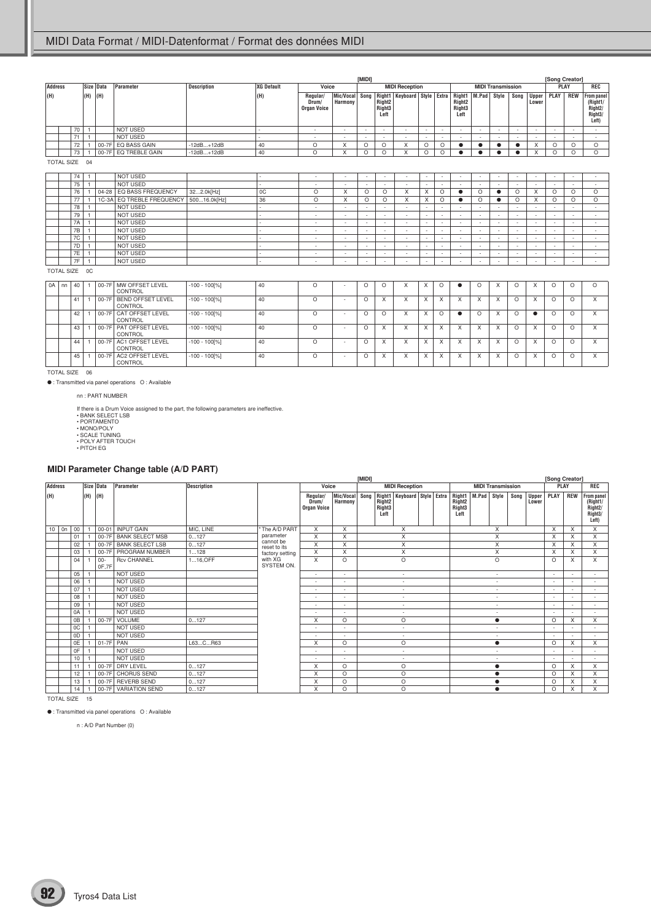|                |                   |           |         |           |                     |                    |                          |                                  |                          | [MIDI]                   |                                                  |                                            |                          |                          |                                                  |                          |                          |                          |                          |                          | [Song Creator]           |                                                              |
|----------------|-------------------|-----------|---------|-----------|---------------------|--------------------|--------------------------|----------------------------------|--------------------------|--------------------------|--------------------------------------------------|--------------------------------------------|--------------------------|--------------------------|--------------------------------------------------|--------------------------|--------------------------|--------------------------|--------------------------|--------------------------|--------------------------|--------------------------------------------------------------|
| <b>Address</b> |                   |           |         | Size Data | Parameter           | <b>Description</b> | XG Default               | Voice                            |                          |                          |                                                  | <b>MIDI Reception</b>                      |                          |                          |                                                  |                          | <b>MIDI Transmission</b> |                          |                          |                          | PLAY                     | <b>REC</b>                                                   |
| (H)            |                   |           | (H)     | (H)       |                     |                    | (H)                      | Regular/<br>Drum/<br>Organ Voice | Mic/Vocal<br>Harmony     | Song                     | Right <sub>2</sub><br>Right <sub>3</sub><br>Left | Right1   Keyboard   Style   Extra   Right1 |                          |                          | Right <sub>2</sub><br>Right <sub>3</sub><br>Left | M.Pad                    | Style                    | Song                     | Upper<br>Lower           | <b>PLAY</b>              | <b>REW</b>               | <b>From panel</b><br>(Right1/<br>Right2/<br>Right3/<br>Left) |
|                |                   | 70        |         |           | NOT USED            |                    | ÷                        | $\sim$                           | ٠                        | $\sim$                   | $\sim$                                           | $\sim$                                     | $\overline{\phantom{a}}$ | ۰                        | $\sim$                                           | ٠                        | $\sim$                   | $\overline{\phantom{a}}$ | $\sim$                   | $\sim$                   | $\sim$                   | $\sim$                                                       |
|                |                   | 71        |         |           | NOT USED            |                    |                          | $\overline{\phantom{a}}$         |                          | $\overline{\phantom{a}}$ | $\overline{\phantom{a}}$                         |                                            | $\overline{\phantom{a}}$ |                          |                                                  |                          | $\overline{\phantom{a}}$ | $\overline{\phantom{a}}$ | $\overline{\phantom{0}}$ |                          |                          | $\sim$                                                       |
|                |                   | 72        |         | $00-7F$   | EQ BASS GAIN        | $-12dB+12dB$       | 40                       | $\circ$                          | X                        | $\circ$                  | O                                                | X                                          | $\circ$                  | O                        | $\bullet$                                        |                          | $\bullet$                | ٠                        | X                        | $\circ$                  | $\circ$                  | O                                                            |
|                |                   | 73        |         | $00-7F$   | EQ TREBLE GAIN      | $-12dB+12dB$       | 40                       | $\circ$                          | $\times$                 | $\circ$                  | O                                                | X                                          | $\circ$                  | $\circ$                  | ٠                                                |                          | $\bullet$                | ٠                        | X                        | $\circ$                  | $\circ$                  | O                                                            |
|                | <b>TOTAL SIZE</b> |           | 04      |           |                     |                    |                          |                                  |                          |                          |                                                  |                                            |                          |                          |                                                  |                          |                          |                          |                          |                          |                          |                                                              |
|                |                   | 74        |         |           | <b>NOT USED</b>     |                    |                          | $\sim$                           | $\sim$                   | $\sim$                   | $\sim$                                           | $\sim$                                     | $\sim$                   | $\overline{\phantom{a}}$ | $\sim$                                           | $\overline{\phantom{0}}$ | $\sim$                   | $\overline{\phantom{0}}$ | $\sim$                   | $\overline{\phantom{a}}$ | $\overline{\phantom{a}}$ | $\sim$                                                       |
|                |                   | 75        |         |           | <b>NOT USED</b>     |                    |                          | $\sim$                           | $\sim$                   | ٠                        | $\sim$                                           | $\sim$                                     |                          | ٠                        | $\sim$                                           | $\overline{\phantom{a}}$ | $\sim$                   | $\overline{\phantom{a}}$ | $\sim$                   | $\overline{\phantom{a}}$ | $\sim$                   | $\sim$                                                       |
|                |                   | 76        |         | $04 - 28$ | EQ BASS FREQUENCY   | 322.0k[Hz]         | 0C                       | $\circ$                          | X                        | $\circ$                  | $\circ$                                          | $\times$                                   | $\times$                 | $\circ$                  | ٠                                                | $\circ$                  | ٠                        | O                        | X                        | $\circ$                  | $\circ$                  | O                                                            |
|                |                   | 77        |         | $1C-3A$   | EQ TREBLE FREQUENCY | 50016.0k[Hz]       | 36                       | $\circ$                          | X                        | $\circ$                  | O                                                | X                                          | $\times$                 | $\circ$                  | ٠                                                | $\circ$                  | ٠                        | $\circ$                  | X                        | $\circ$                  | O                        | O                                                            |
|                |                   | 78        |         |           | <b>NOT USED</b>     |                    |                          | $\sim$                           | $\overline{\phantom{a}}$ |                          | $\overline{\phantom{a}}$                         | $\overline{a}$                             |                          |                          | $\overline{\phantom{a}}$                         | $\overline{a}$           | $\overline{\phantom{a}}$ |                          | $\overline{\phantom{a}}$ |                          | $\overline{\phantom{a}}$ | $\sim$                                                       |
|                |                   | 79        |         |           | <b>NOT USED</b>     |                    |                          | $\sim$                           | $\sim$                   |                          | $\overline{\phantom{a}}$                         | $\overline{\phantom{a}}$                   | $\overline{\phantom{a}}$ |                          | $\sim$                                           | $\overline{a}$           | ٠                        |                          | $\sim$                   |                          | $\overline{\phantom{0}}$ | $\sim$                                                       |
|                |                   | <b>7A</b> |         |           | NOT USED            |                    |                          | $\sim$                           | $\overline{\phantom{a}}$ |                          | $\sim$                                           | $\overline{\phantom{a}}$                   | $\overline{\phantom{a}}$ |                          | $\sim$                                           | $\overline{\phantom{a}}$ | $\sim$                   |                          | $\sim$                   |                          | $\sim$                   | ۰.                                                           |
|                |                   | 7B        |         |           | <b>NOT USED</b>     |                    |                          | $\sim$                           | $\overline{\phantom{a}}$ |                          | $\overline{\phantom{a}}$                         | $\overline{\phantom{0}}$                   |                          |                          | $\overline{\phantom{a}}$                         |                          | $\sim$                   |                          | $\sim$                   | $\overline{\phantom{a}}$ | $\overline{\phantom{0}}$ | $\sim$                                                       |
|                |                   | 7C        |         |           | <b>NOT USED</b>     |                    |                          | $\overline{\phantom{a}}$         | $\sim$                   |                          | $\overline{\phantom{a}}$                         | $\overline{\phantom{a}}$                   |                          |                          | $\sim$                                           | $\overline{\phantom{a}}$ | $\overline{\phantom{a}}$ |                          | $\sim$                   |                          | $\overline{\phantom{a}}$ | ٠                                                            |
|                |                   | 7D        |         |           | <b>NOT USED</b>     |                    |                          | $\overline{\phantom{a}}$         | $\overline{\phantom{a}}$ |                          | $\overline{\phantom{a}}$                         | $\overline{\phantom{a}}$                   |                          |                          | $\sim$                                           | $\overline{\phantom{a}}$ | $\sim$                   |                          | $\sim$                   |                          | $\overline{\phantom{0}}$ | $\overline{\phantom{a}}$                                     |
|                |                   | 7E        |         |           | <b>NOT USED</b>     |                    |                          | $\overline{\phantom{a}}$         | $\overline{\phantom{a}}$ |                          | $\overline{\phantom{a}}$                         | $\overline{\phantom{a}}$                   | $\overline{\phantom{a}}$ |                          | $\overline{\phantom{a}}$                         | $\overline{a}$           | $\sim$                   |                          | $\overline{\phantom{a}}$ | $\overline{\phantom{a}}$ | $\overline{\phantom{a}}$ | $\sim$                                                       |
|                |                   | 7F        |         |           | NOT USED            |                    | $\overline{\phantom{a}}$ | $\sim$                           |                          |                          |                                                  | $\overline{a}$                             |                          |                          |                                                  | $\overline{\phantom{0}}$ | $\overline{\phantom{a}}$ |                          |                          |                          |                          | $\sim$                                                       |
|                | <b>TOTAL SIZE</b> |           | $_{0C}$ |           |                     |                    |                          |                                  |                          |                          |                                                  |                                            |                          |                          |                                                  |                          |                          |                          |                          |                          |                          |                                                              |

| 0A Inn I | 40 |  | 00-7F MW OFFSET LEVEL<br>CONTROL   | $-100 - 100$ [%] | 40 | $\Omega$ |                          | $\Omega$ |              | X |              |           |                           | $\checkmark$<br>$\lambda$ | $\Omega$ | $\lambda$  |          |          |  |
|----------|----|--|------------------------------------|------------------|----|----------|--------------------------|----------|--------------|---|--------------|-----------|---------------------------|---------------------------|----------|------------|----------|----------|--|
|          | 41 |  | 00-7F BEND OFFSET LEVEL<br>CONTROL | $-100 - 100$ [%] | 40 | $\Omega$ | <b>Contract Contract</b> | $\Omega$ |              | X | $\checkmark$ |           | $\lambda$                 | $\checkmark$<br>$\lambda$ | $\Omega$ | $\lambda$  | $\Omega$ | $\Omega$ |  |
|          | 42 |  | 00-7F CAT OFFSET LEVEL<br>CONTROL  | $-100 - 100$ [%] | 40 | $\Omega$ |                          | $\circ$  | $\checkmark$ | X |              |           |                           | X                         |          |            |          | O        |  |
|          | 43 |  | 00-7F PAT OFFSET LEVEL<br>CONTROL  | $-100 - 100$ [%] | 40 | $\Omega$ |                          | $\circ$  | X            | X | $\times$     | $\lambda$ | $\boldsymbol{\mathsf{x}}$ | X                         | $\Omega$ | $\sqrt{ }$ | $\Omega$ | $\Omega$ |  |
|          | 44 |  | 00-7F AC1 OFFSET LEVEL<br>CONTROL  | $-100 - 100$ [%] | 40 | $\Omega$ | . .                      | $\Omega$ | $\checkmark$ | X | $\checkmark$ | $\lambda$ | $\checkmark$              | X                         | $\Omega$ | $\lambda$  | $\Omega$ | $\Omega$ |  |
|          | 45 |  | 00-7F AC2 OFFSET LEVEL<br>CONTROL  | $-100 - 100$ [%] | 40 | $\Omega$ | . .                      | $\circ$  |              | X | $\checkmark$ | $\lambda$ | $\checkmark$              | X                         | $\Omega$ | $\lambda$  | $\Omega$ | $\Omega$ |  |

TOTAL SIZE 06

● : Transmitted via panel operations O : Available

nn : PART NUMBER

If there is a Drum Voice assigned to the part, the following parameters are ineffective.<br>• BANK SELECT LSB<br>• PORTAMENTO<br>• MONO/POLY<br>• POLY AFTER TOUCH<br>• POLY AFTER TOUCH<br>• PICY AFTER TOUCH

#### **MIDI Parameter Change table (A/D PART)**

|                |         |    |             |                 |                         |                    |                           |                                         |                           | [MIDI]                   |                          |                                    |  |  |                          |             |                          |      | [Song Creator]        |                          |                          |                                                              |
|----------------|---------|----|-------------|-----------------|-------------------------|--------------------|---------------------------|-----------------------------------------|---------------------------|--------------------------|--------------------------|------------------------------------|--|--|--------------------------|-------------|--------------------------|------|-----------------------|--------------------------|--------------------------|--------------------------------------------------------------|
| <b>Address</b> |         |    |             | Size Data       | Parameter               | <b>Description</b> |                           | Voice                                   |                           |                          |                          | <b>MIDI Reception</b>              |  |  |                          |             | <b>MIDI Transmission</b> |      |                       |                          | PLAY                     | <b>REC</b>                                                   |
| (H)            |         |    | $(H)$ $(H)$ |                 |                         |                    |                           | Regular/<br>Drum/<br><b>Organ Voice</b> | Mic/Vocal Song<br>Harmony |                          | Right2<br>Right3<br>Left | Right1 Keyboard Style Extra Right1 |  |  | Right2<br>Right3<br>Left | M.Pad Style |                          | Song | <b>Upper</b><br>Lower | <b>PLAY</b>              | <b>REW</b>               | <b>From panel</b><br>(Right1/<br>Right2/<br>Right3/<br>Left) |
|                | $10$ 0n | 00 |             | $00 - 01$       | <b>INPUT GAIN</b>       | MIC. LINE          | * The A/D PART            | X                                       | X                         |                          |                          | X                                  |  |  |                          |             | X                        |      |                       | X                        | $\times$                 | X                                                            |
|                |         | 01 |             |                 | 00-7F   BANK SELECT MSB | 0127               | parameter                 | X                                       | X                         |                          |                          | X                                  |  |  |                          |             | X                        |      |                       | X                        | $\times$                 | X                                                            |
|                |         | 02 |             | $00-7F$         | <b>BANK SELECT LSB</b>  | 0127               | cannot be<br>reset to its | X                                       | X                         |                          |                          | X                                  |  |  |                          |             | X                        |      |                       | X                        | X                        | X                                                            |
|                |         | 03 |             | 00-7F           | <b>PROGRAM NUMBER</b>   | 1128               | factory setting           | $\overline{X}$                          | X                         | Χ<br>$\Omega$            |                          |                                    |  |  |                          |             | X                        |      |                       | X                        | X                        | X                                                            |
|                |         | 04 |             | $00 -$<br>OF.7F | <b>Rcv CHANNEL</b>      | 116, OFF           | with XG<br>SYSTEM ON.     | X                                       | $\Omega$                  | $\overline{\phantom{0}}$ |                          |                                    |  |  |                          |             | $\circ$                  |      |                       | $\Omega$                 | $\times$                 | X                                                            |
|                |         | 05 |             |                 | <b>NOT USED</b>         |                    |                           | $\sim$                                  | $\sim$                    | $\overline{\phantom{a}}$ |                          |                                    |  |  |                          |             | ÷                        |      |                       | ٠                        | $\overline{\phantom{a}}$ | $\sim$                                                       |
|                |         | 06 |             |                 | <b>NOT USED</b>         |                    |                           | $\sim$                                  | $\sim$                    |                          |                          |                                    |  |  |                          |             | $\sim$                   |      |                       | ٠                        |                          | ٠                                                            |
|                |         | 07 |             |                 | <b>NOT USED</b>         |                    |                           | ٠                                       | $\overline{\phantom{a}}$  | $\overline{\phantom{0}}$ |                          |                                    |  |  |                          |             | $\overline{\phantom{a}}$ |      |                       | ٠                        | $\overline{\phantom{a}}$ | $\overline{\phantom{0}}$                                     |
|                |         | 08 |             |                 | <b>NOT USED</b>         |                    |                           | $\sim$                                  | $\sim$                    |                          |                          | $\overline{\phantom{a}}$           |  |  |                          |             | ٠                        |      |                       | ٠                        | $\overline{\phantom{a}}$ |                                                              |
|                |         | 09 |             |                 | <b>NOT USED</b>         |                    |                           | ٠                                       |                           |                          |                          | $\overline{\phantom{a}}$           |  |  |                          |             | ٠                        |      |                       |                          |                          |                                                              |
|                |         | 0A |             |                 | <b>NOT USED</b>         |                    |                           | ٠                                       | $\overline{\phantom{a}}$  |                          |                          | $\overline{\phantom{0}}$           |  |  |                          |             | ٠                        |      |                       |                          |                          |                                                              |
|                |         | 0B |             | 00-7F           | <b>VOLUME</b>           | 0127               |                           | X                                       | $\circ$                   |                          |                          | $\circ$                            |  |  |                          |             | $\bullet$                |      |                       | $\circ$                  | X                        | X                                                            |
|                |         | OC |             |                 | <b>NOT USED</b>         |                    |                           | ٠                                       | $\overline{\phantom{a}}$  |                          |                          | $\sim$                             |  |  |                          |             | ٠                        |      |                       |                          | $\overline{a}$           |                                                              |
|                |         | 0D |             |                 | <b>NOT USED</b>         |                    |                           | $\sim$                                  | $\overline{\phantom{a}}$  |                          |                          | $\overline{\phantom{a}}$           |  |  |                          |             | ٠                        |      |                       | ٠                        | $\overline{\phantom{a}}$ |                                                              |
|                |         | 0E |             | $01-7F$         | PAN                     | L63CR63            |                           | X                                       | $\circ$                   |                          |                          | $\circ$                            |  |  |                          |             | $\bullet$                |      |                       | $\circ$                  | X                        | X                                                            |
|                |         | 0F |             |                 | <b>NOT USED</b>         |                    |                           | ٠                                       | $\overline{\phantom{a}}$  | $\sim$                   |                          |                                    |  |  |                          |             | ٠                        |      |                       |                          |                          |                                                              |
|                |         | 10 |             |                 | <b>NOT USED</b>         |                    |                           | $\sim$                                  | $\sim$                    | $\overline{\phantom{a}}$ |                          |                                    |  |  |                          |             | $\sim$                   |      |                       | $\overline{\phantom{a}}$ | $\sim$                   | ۰.                                                           |
|                |         | 11 |             |                 | 00-7F DRY LEVEL         | 0127               |                           | X                                       | $\circ$                   | $\circ$                  |                          |                                    |  |  |                          |             | ٠                        |      |                       | $\circ$                  | X                        | X                                                            |
|                |         | 12 |             |                 | 00-7F CHORUS SEND       | 0127               |                           | X                                       | $\circ$                   | $\circ$                  |                          |                                    |  |  |                          |             | $\bullet$                |      |                       | $\circ$                  | $\times$                 | X                                                            |
|                |         | 13 |             | 00-7F           | <b>REVERB SEND</b>      | 0127               |                           | X                                       | $\circ$                   | $\circ$                  |                          |                                    |  |  |                          |             | ٠                        |      |                       | $\circ$                  | X                        | X                                                            |
|                |         | 14 |             | 00-7F           | <b>VARIATION SEND</b>   | 0127               |                           | X                                       | $\Omega$                  | O                        |                          |                                    |  |  |                          |             | $\bullet$                |      |                       | $\circ$                  | X                        | X                                                            |

TOTAL SIZE 15

● : Transmitted via panel operations O : Available

n : A/D Part Number (0)

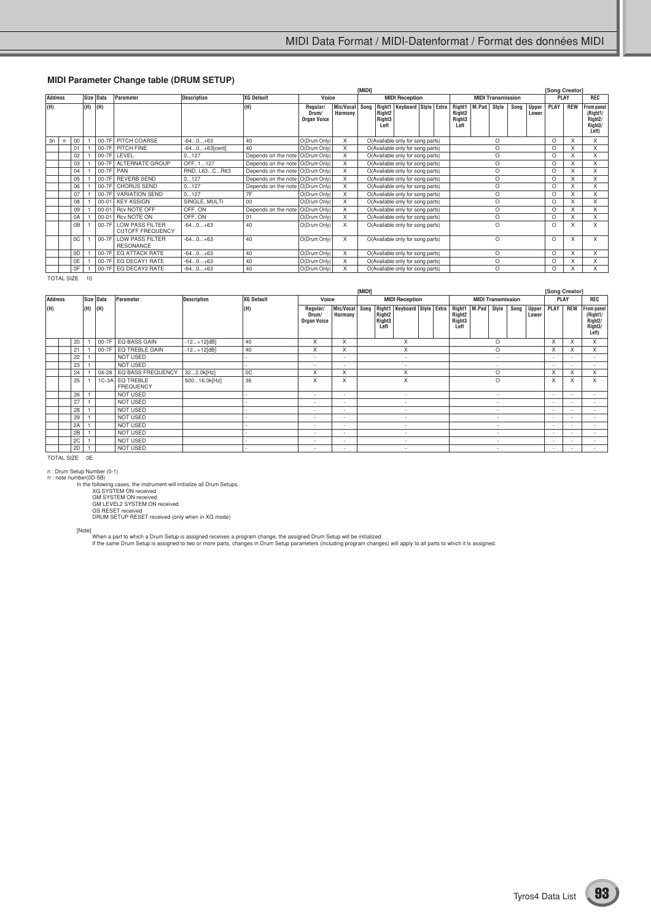#### **MIDI Parameter Change table (DRUM SETUP)**

|     |                |        |     |             |                                                   |                    |                                    |                                         |                             | [MIDI]<br><b>MIDI Reception</b>                                      |                                                  |                                   |  |  |                                                            |       |                          |      |                       | [Song Creator] |             |                                                                                 |
|-----|----------------|--------|-----|-------------|---------------------------------------------------|--------------------|------------------------------------|-----------------------------------------|-----------------------------|----------------------------------------------------------------------|--------------------------------------------------|-----------------------------------|--|--|------------------------------------------------------------|-------|--------------------------|------|-----------------------|----------------|-------------|---------------------------------------------------------------------------------|
|     | <b>Address</b> |        |     | Size Data   | Parameter                                         | <b>Description</b> | <b>XG Default</b>                  | Voice                                   |                             |                                                                      |                                                  |                                   |  |  |                                                            |       | <b>MIDI Transmission</b> |      |                       |                | <b>PLAY</b> | <b>REC</b>                                                                      |
| (H) |                |        | (H) | (H)         |                                                   |                    | (H)                                | Regular/<br>Drum/<br><b>Organ Voice</b> | Mic/Vocal   Sono<br>Harmony |                                                                      | Right <sub>2</sub><br>Right <sub>3</sub><br>Left | Right1   Keyboard   Style   Extra |  |  | Right1<br>Right <sub>2</sub><br>Right <sub>3</sub><br>Left | M.Pad | Style                    | Song | <b>Upper</b><br>Lower | PLAY           | <b>REW</b>  | From panel<br>(Right1/<br>Right <sub>2</sub> /<br>Right <sub>3</sub> /<br>Left) |
| 3n  | rr             | $00\,$ |     |             | 00-7F PITCH COARSE                                | $-640+63$          | 40                                 | O(Drum Only)                            | X                           |                                                                      |                                                  | O(Available only for song parts)  |  |  |                                                            |       | $\Omega$                 |      |                       | $\Omega$       | X           | x                                                                               |
|     |                | 01     |     |             | 00-7F PITCH FINE                                  | -640+63[cent]      | 40                                 | O(Drum Only)                            | X                           | O(Available only for song parts)<br>O(Available only for song parts) |                                                  |                                   |  |  |                                                            |       | O                        |      |                       | $\circ$        | X           | X                                                                               |
|     |                | 02     |     |             | 00-7F LEVEL                                       | 0127               | Depends on the note O(Drum Only)   |                                         | X                           | O(Available only for song parts)                                     |                                                  |                                   |  |  |                                                            |       | O                        |      |                       | $\circ$        | X           | X                                                                               |
|     |                | 03     |     | $00-7F$     | <b>ALTERNATE GROUP</b>                            | OFF, 1127          | Depends on the note   O(Drum Only) |                                         | X                           |                                                                      |                                                  |                                   |  |  |                                                            | O     |                          |      | $\Omega$              | X              | X           |                                                                                 |
|     |                | 04     |     | $00-7F$ PAN |                                                   | RND, L63CR63       | Depends on the note O(Drum Only)   |                                         | X                           | O(Available only for song parts)                                     |                                                  |                                   |  |  |                                                            |       | $\circ$                  |      |                       | $\Omega$       | X           | X                                                                               |
|     |                | 05     |     |             | 00-7F REVERB SEND                                 | 0127               | Depends on the note O(Drum Only)   |                                         | X                           |                                                                      |                                                  | O(Available only for song parts)  |  |  |                                                            |       | O                        |      |                       | $\Omega$       | X           |                                                                                 |
|     |                | 06     |     |             | 00-7F CHORUS SEND                                 | 0127               | Depends on the note   O(Drum Only) |                                         | X                           |                                                                      |                                                  | O(Available only for song parts)  |  |  |                                                            |       | O                        |      |                       | $\Omega$       | X           |                                                                                 |
|     |                | 07     |     | $00-7F$     | <b>VARIATION SEND</b>                             | 0127               | 7F                                 | O(Drum Only)                            | X                           |                                                                      |                                                  | O(Available only for song parts)  |  |  |                                                            |       | O                        |      |                       | $\Omega$       | X           |                                                                                 |
|     |                | 08     |     | $00 - 01$   | <b>KEY ASSIGN</b>                                 | SINGLE, MULTI      | 00                                 | O(Drum Only)                            | X                           |                                                                      |                                                  | O(Available only for song parts)  |  |  |                                                            |       | O                        |      |                       | $\Omega$       | X           | X                                                                               |
|     |                | 09     |     | $00 - 01$   | Rcv NOTE OFF                                      | OFF, ON            | Depends on the note                | O(Drum Only)                            | X                           |                                                                      |                                                  | O(Available only for song parts)  |  |  |                                                            |       | O                        |      |                       | $\Omega$       | X           | X                                                                               |
|     |                | 0A     |     | $00 - 01$   | Rcv NOTE ON                                       | OFF, ON            | 01                                 | O(Drum Only)                            | X                           |                                                                      |                                                  |                                   |  |  |                                                            |       | $\circ$                  |      |                       | $\Omega$       | X           | X                                                                               |
|     |                | 0B     |     | $00-7F$     | <b>LOW PASS FILTER</b><br><b>CUTOFF FREQUENCY</b> | $-640+63$          | 40                                 | O(Drum Only)                            | X                           | O(Available only for song parts)<br>O(Available only for song parts) |                                                  |                                   |  |  |                                                            |       | $\circ$                  |      |                       | $\Omega$       | X           | X                                                                               |
|     |                | 0C     |     |             | 00-7F LOW PASS FILTER<br><b>RESONANCE</b>         | $-640+63$          | 40                                 | O(Drum Only)                            | X                           | O(Available only for song parts)                                     |                                                  |                                   |  |  |                                                            |       | O                        |      |                       | $\Omega$       | X           | X                                                                               |
|     |                | 0D     |     | 00-7F       | <b>EG ATTACK RATE</b>                             | $-640+63$          | 40                                 | O(Drum Only)                            | X                           | O(Available only for song parts)                                     |                                                  |                                   |  |  |                                                            |       | O                        |      |                       | $\Omega$       | X           |                                                                                 |
|     |                | 0E     |     | 00-7F       | EG DECAY1 RATE                                    | $-640+63$          | 40                                 | O(Drum Only)                            | X                           | O(Available only for song parts)                                     |                                                  |                                   |  |  |                                                            |       | $\circ$                  |      |                       | $\Omega$       | X           | X                                                                               |
|     |                | 0F     |     | $00-7F$     | EG DECAY2 RATE                                    | $-640+63$          | 40                                 | O(Drum Only)                            |                             | O(Available only for song parts)                                     |                                                  |                                   |  |  |                                                            |       | O                        |      |                       | $\Omega$       | X           |                                                                                 |

TOTAL SIZE 10

|                |    |     |           |                                     |                    |            | [MIDI]                                  |                          |                          |                                                  |                             |  |  |                                                            |                          |                          |      |                          | [Song Creator]           |                          |                                                                    |
|----------------|----|-----|-----------|-------------------------------------|--------------------|------------|-----------------------------------------|--------------------------|--------------------------|--------------------------------------------------|-----------------------------|--|--|------------------------------------------------------------|--------------------------|--------------------------|------|--------------------------|--------------------------|--------------------------|--------------------------------------------------------------------|
| <b>Address</b> |    |     | Size Data | Parameter                           | <b>Description</b> | XG Default | Voice                                   |                          |                          |                                                  | <b>MIDI Reception</b>       |  |  |                                                            |                          | <b>MIDI Transmission</b> |      |                          | PLAY                     |                          | REC                                                                |
| (H)            |    | (H) | (H)       |                                     |                    | (H)        | Regular/<br>Drum/<br><b>Organ Voice</b> | Mic/Vocal<br>Harmony     | Song                     | Right <sub>2</sub><br>Right <sub>3</sub><br>Left | Right1 Keyboard Style Extra |  |  | Right1<br>Right <sub>2</sub><br>Right <sub>3</sub><br>Left | M.Pad                    | Style                    | Song | <b>Upper</b><br>Lower    | <b>PLAY</b>              | <b>REW</b>               | From panel<br>(Right1/<br>Right <sub>2</sub> /<br>Right3/<br>Left) |
|                | 20 |     | 00-7F     | EQ BASS GAIN                        | $-12+12[dB]$       | 40         | X                                       | X                        | X<br>X                   |                                                  |                             |  |  |                                                            |                          | O                        |      |                          | X                        | X                        | X                                                                  |
|                | 21 |     | 00-7F     | EQ TREBLE GAIN                      | $-12+12[dB]$       | 40         | X                                       | X                        | $\overline{\phantom{a}}$ |                                                  |                             |  |  |                                                            |                          | O                        |      |                          | X                        | X                        | X                                                                  |
|                | 22 |     |           | <b>NOT USED</b>                     |                    |            | $\sim$                                  | $\overline{a}$           |                          |                                                  |                             |  |  |                                                            |                          | $\overline{\phantom{0}}$ |      |                          | $\overline{\phantom{a}}$ |                          |                                                                    |
|                | 23 |     |           | <b>NOT USED</b>                     |                    |            |                                         | $\overline{\phantom{0}}$ |                          |                                                  |                             |  |  |                                                            |                          | $\overline{\phantom{a}}$ |      |                          | $\overline{\phantom{a}}$ | $\overline{\phantom{a}}$ |                                                                    |
|                | 24 |     | $04 - 28$ | EQ BASS FREQUENCY                   | 322.0k[Hz]         | 0C         | X                                       | X                        | X                        |                                                  |                             |  |  |                                                            |                          | O                        |      |                          | $\times$                 | X                        | X                                                                  |
|                | 25 |     |           | 1C-3A EQ TREBLE<br><b>FREQUENCY</b> | 50016.0k[Hz]       | 36         | X                                       | X                        |                          |                                                  | X                           |  |  |                                                            |                          | $\circ$                  |      |                          | X                        | X                        | X                                                                  |
|                | 26 |     |           | NOT USED                            |                    |            |                                         | $\overline{\phantom{0}}$ |                          |                                                  |                             |  |  |                                                            |                          | $\overline{\phantom{a}}$ |      |                          | $\overline{\phantom{0}}$ |                          | $\overline{\phantom{a}}$                                           |
|                | 27 |     |           | <b>NOT USED</b>                     |                    |            |                                         | $\overline{\phantom{a}}$ |                          |                                                  |                             |  |  |                                                            |                          | $\overline{\phantom{0}}$ |      |                          | $\overline{\phantom{0}}$ | $\sim$                   | $\overline{\phantom{a}}$                                           |
|                | 28 |     |           | NOT USED                            |                    |            |                                         | $\overline{\phantom{0}}$ |                          |                                                  | $\overline{\phantom{a}}$    |  |  |                                                            |                          | $\overline{\phantom{a}}$ |      |                          | $\overline{\phantom{a}}$ | $\overline{\phantom{a}}$ |                                                                    |
|                | 29 |     |           | <b>NOT USED</b>                     |                    |            | $\sim$                                  | $\overline{a}$           | $\overline{\phantom{a}}$ |                                                  |                             |  |  |                                                            |                          | $\overline{\phantom{0}}$ |      |                          | $\overline{\phantom{a}}$ |                          |                                                                    |
|                | 2A |     |           | <b>NOT USED</b>                     |                    |            | ٠                                       | $\overline{\phantom{a}}$ | $\overline{\phantom{a}}$ |                                                  |                             |  |  |                                                            |                          | $\overline{\phantom{a}}$ |      |                          | $\overline{\phantom{a}}$ | $\sim$                   | $\overline{\phantom{a}}$                                           |
|                | 2B |     |           | <b>NOT USED</b>                     |                    |            | $\sim$                                  | $\overline{\phantom{a}}$ |                          |                                                  |                             |  |  |                                                            | $\overline{\phantom{a}}$ |                          |      | $\overline{\phantom{a}}$ | $\overline{\phantom{a}}$ |                          |                                                                    |
|                | 2C |     |           | <b>NOT USED</b>                     |                    |            |                                         | $\overline{a}$           |                          |                                                  |                             |  |  |                                                            |                          | $\overline{\phantom{a}}$ |      |                          | $\overline{\phantom{0}}$ |                          |                                                                    |
|                | 2D |     |           | <b>NOT USED</b>                     |                    |            |                                         | $\overline{\phantom{0}}$ |                          |                                                  |                             |  |  |                                                            |                          |                          |      |                          | $\overline{\phantom{a}}$ |                          |                                                                    |

TOTAL SIZE 0E

n : Drum Setup Number (0-1)<br>
In the function of the statement will initialize all Drum Setups.<br>
In the following cases, the instrument will initialize all Drum Setups.<br>
XG SYSTEM ON received<br>
GM LEVEL2 SYSTEM ON received<br>

[Note]<br>When a part to which a Drum Setup is assigned receives a program change, the assigned Drum Setup will be initialized.<br>If the same Drum Setup is assigned to two or more parts, changes in Drum Setup parameters (includ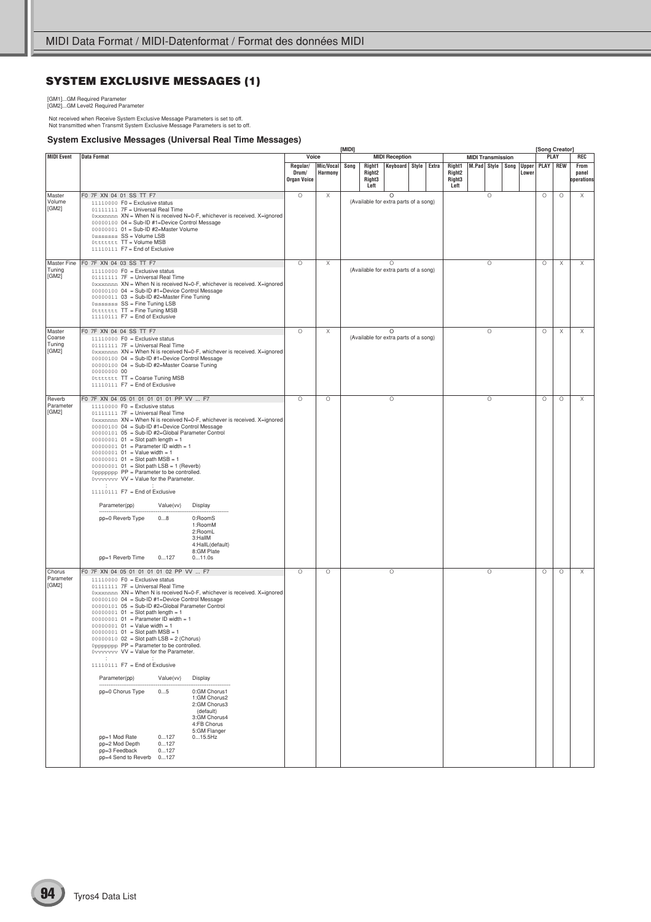# **SYSTEM EXCLUSIVE MESSAGES (1)**

[GM1]...GM Required Parameter [GM2]...GM Level2 Required Parameter

Not received when Receive System Exclusive Message Parameters is set to off. Not transmitted when Transmit System Exclusive Message Parameters is set to off.

#### **System Exclusive Messages (Universal Real Time Messages)**

|                                     |                                                                                                                                                                                                                                                                                                                                                                                                                                                                                                                                                                                                                                                                                                                                                                                                                                                                                                                                               |                                         |                      | [MIDI] |      |                                                |                       |                      |  |                                                |                          |         |                  |                       | [Song Creator] |          |                             |
|-------------------------------------|-----------------------------------------------------------------------------------------------------------------------------------------------------------------------------------------------------------------------------------------------------------------------------------------------------------------------------------------------------------------------------------------------------------------------------------------------------------------------------------------------------------------------------------------------------------------------------------------------------------------------------------------------------------------------------------------------------------------------------------------------------------------------------------------------------------------------------------------------------------------------------------------------------------------------------------------------|-----------------------------------------|----------------------|--------|------|------------------------------------------------|-----------------------|----------------------|--|------------------------------------------------|--------------------------|---------|------------------|-----------------------|----------------|----------|-----------------------------|
| <b>MIDI Event</b>                   | <b>Data Format</b>                                                                                                                                                                                                                                                                                                                                                                                                                                                                                                                                                                                                                                                                                                                                                                                                                                                                                                                            | Voice                                   |                      |        |      |                                                | <b>MIDI Reception</b> |                      |  |                                                | <b>MIDI Transmission</b> |         |                  |                       |                | PLAY     | REC                         |
|                                     |                                                                                                                                                                                                                                                                                                                                                                                                                                                                                                                                                                                                                                                                                                                                                                                                                                                                                                                                               | Regular/<br>Drum/<br><b>Organ Voice</b> | Mic/Vocal<br>Harmony |        | Song | Right1<br>Right <sub>2</sub><br>Right3<br>Left |                       | Keyboard Style Extra |  | Right1<br>Right2<br>Right <sub>3</sub><br>Left |                          |         | M.Pad Style Song | <b>Upper</b><br>Lower |                | PLAY REW | From<br>panel<br>operations |
| Master<br>Volume<br>[GM2]           | F0 7F XN 04 01 SS TT F7<br>$11110000$ F0 = Exclusive status<br>01111111 7F = Universal Real Time<br>0xxxnnnn XN = When N is received N=0-F, whichever is received. X=ignored<br>00000100 04 = Sub-ID #1=Device Control Message<br>00000001 01 = Sub-ID #2=Master Volume<br>Osssssss SS = Volume LSB<br>Ottttttt TT = Volume MSB<br>11110111 F7 = End of Exclusive                                                                                                                                                                                                                                                                                                                                                                                                                                                                                                                                                                             | $\circ$                                 | Χ                    |        |      | (Available for extra parts of a song)          | O                     |                      |  |                                                |                          | O       |                  |                       | $\circ$        | $\circ$  | Χ                           |
| Tuning<br>[GM2]                     | Master Fine F0 7F XN 04 03 SS TT F7<br>$11110000$ F0 = Exclusive status<br>01111111 7F = Universal Real Time<br>0xxxnnnn XN = When N is received N=0-F, whichever is received. X=ignored<br>00000100 04 = Sub-ID #1=Device Control Message<br>00000011 03 = Sub-ID #2=Master Fine Tuning<br>Osssssss SS = Fine Tuning LSB<br>Ottttttt TT = Fine Tuning MSB<br>11110111 F7 = End of Exclusive                                                                                                                                                                                                                                                                                                                                                                                                                                                                                                                                                  | $\circ$                                 | Χ                    |        |      | (Available for extra parts of a song)          | $\circ$               |                      |  |                                                |                          | $\circ$ |                  |                       | О              | Χ        | X                           |
| Master<br>Coarse<br>Tuning<br>[GM2] | F0 7F XN 04 04 SS TT F7<br>$11110000$ F0 = Exclusive status<br>01111111 7F = Universal Real Time<br>0xxxnnnn XN = When N is received N=0-F, whichever is received. X=ignored<br>00000100 04 = Sub-ID #1=Device Control Message<br>00000100 04 = Sub-ID #2=Master Coarse Tuning<br>00000000 00<br>Ottttttt TT = Coarse Tuning MSB<br>11110111 F7 = End of Exclusive                                                                                                                                                                                                                                                                                                                                                                                                                                                                                                                                                                            | O                                       | Χ                    |        |      | (Available for extra parts of a song)          | $\circ$               |                      |  |                                                |                          | $\circ$ |                  |                       | $\circ$        | Χ        | Χ                           |
| Reverb<br>Parameter<br>[GM2]        | F0 7F XN 04 05 01 01 01 01 01 PP VV  F7<br>$11110000$ F0 = Exclusive status<br>01111111 7F = Universal Real Time<br>0xxxnnnn XN = When N is received N=0-F, whichever is received. X=ignored<br>00000100 04 = Sub-ID #1=Device Control Message<br>00000101 05 = Sub-ID #2=Global Parameter Control<br>$00000001$ 01 = Slot path length = 1<br>$00000001$ $01$ = Parameter ID width = 1<br>$00000001$ $01$ = Value width = 1<br>$00000001$ 01 = Slot path MSB = 1<br>$00000001$ 01 = Slot path LSB = 1 (Reverb)<br>0ppppppp PP = Parameter to be controlled.<br>0vvvvvvv VV = Value for the Parameter.<br>11110111 F7 = End of Exclusive<br>Parameter(pp)<br>Value(vv)<br>Display<br>pp=0 Reverb Type<br>08<br>0:RoomS<br>1:RoomM<br>2:RoomL<br>3:HallM<br>4:HallL(default)<br>8:GM Plate<br>pp=1 Reverb Time<br>0127<br>011.0s                                                                                                                | $\circ$                                 | $\circ$              |        |      |                                                | $\circ$               |                      |  |                                                |                          | $\circ$ |                  |                       | $\circ$        | $\circ$  | X                           |
| Chorus<br>Parameter<br>[GM2]        | F0 7F XN 04 05 01 01 01 01 02 PP VV  F7<br>$11110000$ F0 = Exclusive status<br>01111111 7F = Universal Real Time<br>0xxxnnnn XN = When N is received N=0-F, whichever is received. X=ignored<br>00000100 04 = Sub-ID #1=Device Control Message<br>00000101 05 = Sub-ID #2=Global Parameter Control<br>$00000001$ 01 = Slot path length = 1<br>$00000001$ $01$ = Parameter ID width = 1<br>$00000001$ $01 =$ Value width = 1<br>$00000001$ $01 =$ Slot path MSB = 1<br>$00000010$ $02 =$ Slot path LSB = 2 (Chorus)<br>Oppppppp PP = Parameter to be controlled.<br>0vvvvvvv VV = Value for the Parameter.<br>11110111 F7 = End of Exclusive<br>Parameter(pp)<br>Value(vv)<br>Display<br>pp=0 Chorus Type<br>0:GM Chorus1<br>05<br>1:GM Chorus2<br>2:GM Chorus3<br>(default)<br>3:GM Chorus4<br>4:FB Chorus<br>5:GM Flanger<br>pp=1 Mod Rate<br>0127<br>015.5Hz<br>pp=2 Mod Depth<br>0127<br>pp=3 Feedback<br>0127<br>pp=4 Send to Reverb 0127 | $\circ$                                 | $\circ$              |        |      |                                                | $\circ$               |                      |  |                                                |                          | $\circ$ |                  |                       | $\circ$        | $\circ$  | X                           |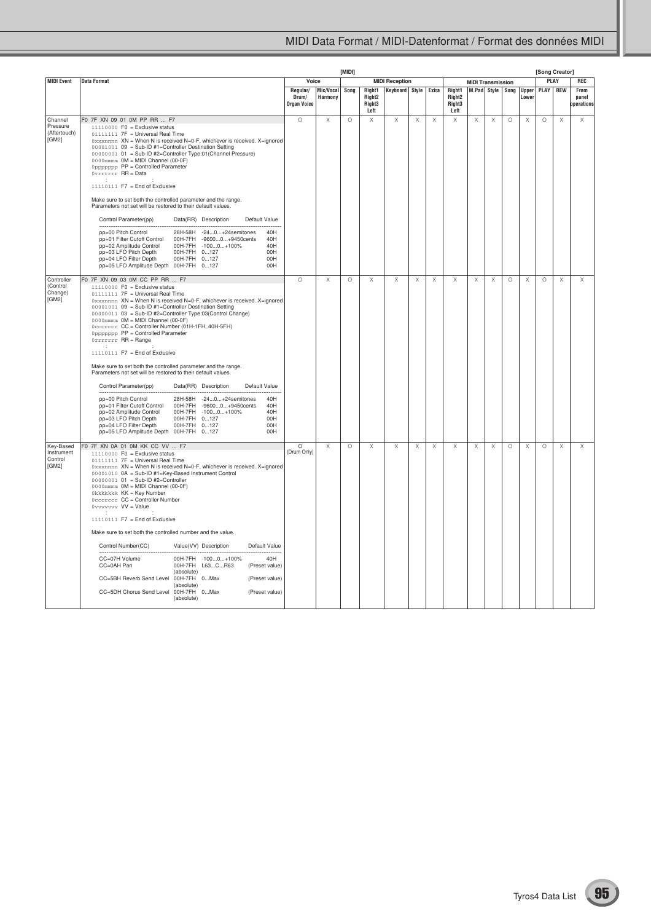|                                              |                                                                                                                                                                                                                                                                                                                                                                                                                                                                                                                                                                                                                                                                                                                                                                                                                                                                                                                                                                                                                                                 |                                  |                           | <b>[MIDI]</b> |                                                            |                       |             |             |                                                |                          |   |         |                              |         | [Song Creator]        |                             |
|----------------------------------------------|-------------------------------------------------------------------------------------------------------------------------------------------------------------------------------------------------------------------------------------------------------------------------------------------------------------------------------------------------------------------------------------------------------------------------------------------------------------------------------------------------------------------------------------------------------------------------------------------------------------------------------------------------------------------------------------------------------------------------------------------------------------------------------------------------------------------------------------------------------------------------------------------------------------------------------------------------------------------------------------------------------------------------------------------------|----------------------------------|---------------------------|---------------|------------------------------------------------------------|-----------------------|-------------|-------------|------------------------------------------------|--------------------------|---|---------|------------------------------|---------|-----------------------|-----------------------------|
| MIDI Event                                   | <b>Data Format</b>                                                                                                                                                                                                                                                                                                                                                                                                                                                                                                                                                                                                                                                                                                                                                                                                                                                                                                                                                                                                                              | Voice                            |                           |               |                                                            | <b>MIDI Reception</b> |             |             |                                                | <b>MIDI Transmission</b> |   |         |                              |         | <b>PLAY</b>           | <b>REC</b>                  |
|                                              |                                                                                                                                                                                                                                                                                                                                                                                                                                                                                                                                                                                                                                                                                                                                                                                                                                                                                                                                                                                                                                                 | Regular/<br>Drum/<br>Organ Voice | Mic/Vocal Song<br>Harmony |               | Right1<br>Right <sub>2</sub><br>Right <sub>3</sub><br>Left | <b>Keyboard Style</b> |             | Extra       | Right1<br>Right <sub>2</sub><br>Right3<br>Left | M.Pad Style              |   |         | Song   Upper   PLAY<br>Lower |         | <b>REW</b>            | From<br>panel<br>operations |
| Channel<br>Pressure<br>(Aftertouch)<br>[GM2] | F0 7F XN 09 01 0M PP RR  F7<br>$11110000$ F0 = Exclusive status<br>01111111 7F = Universal Real Time<br>0xxxnnnn XN = When N is received N=0-F, whichever is received. X=ignored<br>00001001 09 = Sub-ID #1=Controller Destination Setting<br>00000001 01 = Sub-ID #2=Controller Type:01 (Channel Pressure)<br>0000mmm 0M = MIDI Channel (00-0F)<br>Oppppppp PP = Controlled Parameter<br>Orrrrrrr RR = Data<br>11110111 F7 = End of Exclusive<br>Make sure to set both the controlled parameter and the range.<br>Parameters not set will be restored to their default values.<br>Control Parameter(pp)<br>Data(RR) Description<br>Default Value<br>pp=00 Pitch Control<br>28H-58H -240+24semitones<br>40H<br>pp=01 Filter Cutoff Control<br>00H-7FH<br>-96000+9450cents<br>40H<br>pp=02 Amplitude Control<br>00H-7FH -1000+100%<br>40H<br>pp=03 LFO Pitch Depth<br>00H-7FH 0127<br>00H<br>pp=04 LFO Filter Depth<br>00H-7FH 0127<br>00H<br>pp=05 LFO Amplitude Depth 00H-7FH 0127<br>00H                                                      | $\circ$                          | X                         | $\circ$       | $\boldsymbol{\times}$                                      | $\mathsf X$           | $\mathsf X$ | $\mathsf X$ | $\mathsf X$                                    | $\boldsymbol{\times}$    | X | $\circ$ | Х                            | $\circ$ | $\boldsymbol{\times}$ | Χ                           |
| Controller<br>(Control<br>Change)<br>[GM2]   | F0 7F XN 09 03 0M CC PP RR  F7<br>$11110000$ F0 = Exclusive status<br>01111111 7F = Universal Real Time<br>0xxxnnnn XN = When N is received N=0-F, whichever is received. X=ignored<br>00001001 09 = Sub-ID #1=Controller Destination Setting<br>00000011 03 = Sub-ID #2=Controller Type:03(Control Change)<br>0000mmmm OM = MIDI Channel (00-0F)<br>0ccccccc CC = Controller Number (01H-1FH, 40H-5FH)<br>Oppppppp PP = Controlled Parameter<br>Orrrrrrr RR = Range<br>11110111 F7 = End of Exclusive<br>Make sure to set both the controlled parameter and the range.<br>Parameters not set will be restored to their default values.<br>Control Parameter(pp)<br>Data(RR) Description<br>Default Value<br>28H-58H -240+24semitones<br>pp=00 Pitch Control<br>40H<br>pp=01 Filter Cutoff Control<br>00H-7FH -96000+9450cents<br>40H<br>pp=02 Amplitude Control<br>00H-7FH -1000+100%<br>40H<br>pp=03 LFO Pitch Depth<br>00H-7FH 0127<br>00H<br>pp=04 LFO Filter Depth<br>00H-7FH 0127<br>00H<br>pp=05 LFO Amplitude Depth 00H-7FH 0127<br>00H | $\circ$                          | X                         | $\circ$       | Χ                                                          | Χ                     | Χ           | Χ           | Χ                                              | Х                        | Χ | O       | Χ                            | $\circ$ | Χ                     | Χ                           |
| Key-Based<br>Instrument<br>Control<br>[GM2]  | F0 7F XN 0A 01 0M KK CC VV  F7<br>$11110000$ F0 = Exclusive status<br>01111111 7F = Universal Real Time<br>0xxxnnnn XN = When N is received N=0-F, whichever is received. X=ignored<br>00001010 0A = Sub-ID #1=Key-Based Instrument Control<br>00000001 01 = Sub-ID #2=Controller<br>0000mmmm OM = MIDI Channel (00-0F)<br>Okkkkkkk KK = Key Number<br>Occccccc CC = Controller Number<br>0vvvvvvv VV = Value<br>11110111 F7 = End of Exclusive<br>Make sure to set both the controlled number and the value.<br>Control Number(CC)<br>Value(VV) Description<br>Default Value<br>CC=07H Volume<br>40H<br>00H-7FH -1000+100%<br>CC=0AH Pan<br>00H-7FH L63CR63<br>(Preset value)<br>(absolute)<br>CC=5BH Reverb Send Level<br>00H-7FH 0Max<br>(Preset value)<br>(absolute)<br>CC=5DH Chorus Send Level<br>00H-7FH 0Max<br>(Preset value)<br>(absolute)                                                                                                                                                                                            | O<br>(Drum Only)                 | Х                         | $\circ$       | Χ                                                          | Х                     | Χ           | Χ           | Χ                                              | Χ                        | Χ | $\circ$ | Χ                            | O       | Χ                     | Χ                           |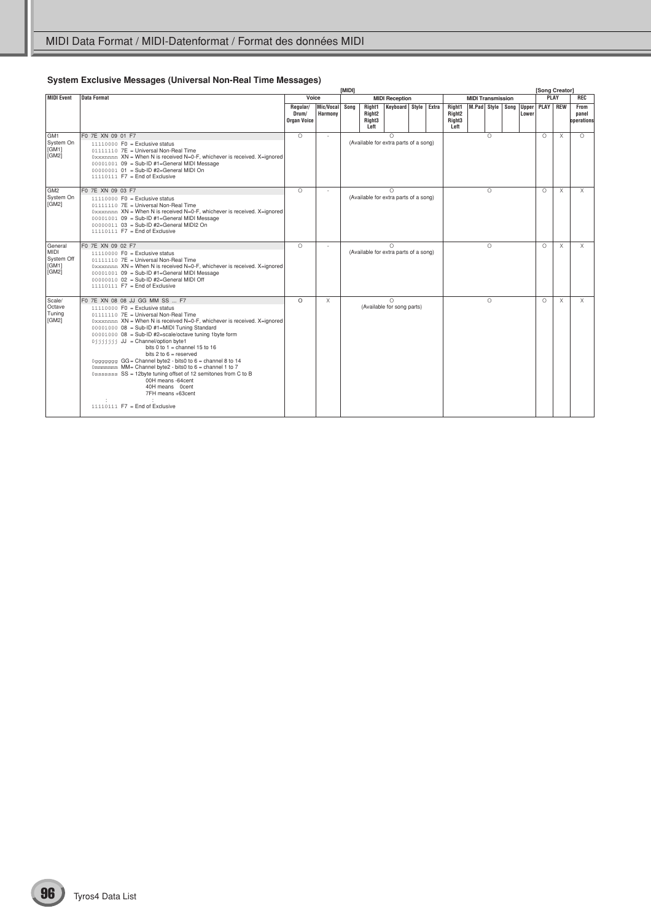## **System Exclusive Messages (Universal Non-Real Time Messages)**

|                                                        |                                                                                                                                                                                                                                                                                                                                                                                                                                                                                                                                                                                                                                                                                                        |                                  |                             | <b>IMIDII</b> |                                                            |                                                   |  |          |                                                            |                          |          |                     | [Song Creator] |            |                             |
|--------------------------------------------------------|--------------------------------------------------------------------------------------------------------------------------------------------------------------------------------------------------------------------------------------------------------------------------------------------------------------------------------------------------------------------------------------------------------------------------------------------------------------------------------------------------------------------------------------------------------------------------------------------------------------------------------------------------------------------------------------------------------|----------------------------------|-----------------------------|---------------|------------------------------------------------------------|---------------------------------------------------|--|----------|------------------------------------------------------------|--------------------------|----------|---------------------|----------------|------------|-----------------------------|
| <b>MIDI Event</b>                                      | <b>Data Format</b>                                                                                                                                                                                                                                                                                                                                                                                                                                                                                                                                                                                                                                                                                     | Voice                            |                             |               |                                                            | <b>MIDI Reception</b>                             |  |          |                                                            | <b>MIDI Transmission</b> |          |                     |                | PLAY       | REC                         |
|                                                        |                                                                                                                                                                                                                                                                                                                                                                                                                                                                                                                                                                                                                                                                                                        | Regular/<br>Drum/<br>Organ Voice | Mic/Vocal<br><b>Harmony</b> | Sona          | Right1<br>Right <sub>2</sub><br>Right <sub>3</sub><br>Left | Keyboard Style Extra                              |  |          | Right1<br>Right <sub>2</sub><br>Right <sub>3</sub><br>Left | M.Pad Style Song         |          | Upper PLAY<br>Lower |                | <b>REW</b> | From<br>panel<br>operations |
| GM <sub>1</sub><br>System On<br>[GM1]<br>[GM2]         | F0 7E XN 09 01 F7<br>$11110000$ F0 = Exclusive status<br>01111110 7E = Universal Non-Real Time<br>0xxxnnnn XN = When N is received N=0-F, whichever is received. X=ignored<br>$00001001$ 09 = Sub-ID #1=General MIDI Message<br>00000001 01 = Sub-ID #2=General MIDI On<br>$11110111$ F7 = End of Exclusive                                                                                                                                                                                                                                                                                                                                                                                            | $\bigcirc$                       | ÷.                          |               |                                                            | $\Omega$<br>(Available for extra parts of a song) |  |          |                                                            | $\bigcirc$               |          | $\bigcirc$          | $\times$       | $\Omega$   |                             |
| GM <sub>2</sub><br>System On<br>[GM2]                  | F0 7E XN 09 03 F7<br>$11110000$ F0 = Exclusive status<br>01111110 7E = Universal Non-Real Time<br>0xxxnnnn XN = When N is received N=0-F, whichever is received. X=ignored<br>$00001001$ 09 = Sub-ID #1=General MIDI Message<br>00000011 03 = Sub-ID #2=General MIDI2 On<br>$11110111$ F7 = End of Exclusive                                                                                                                                                                                                                                                                                                                                                                                           | $\bigcirc$                       |                             |               | (Available for extra parts of a song)                      |                                                   |  | $\Omega$ |                                                            | $\Omega$                 | $\times$ | X                   |                |            |                             |
| General<br><b>MIDI</b><br>System Off<br>[GM1]<br>[GM2] | F0 7E XN 09 02 F7<br>$11110000$ F0 = Exclusive status<br>01111110 7E = Universal Non-Real Time<br>0xxxnnnn XN = When N is received N=0-F, whichever is received. X=ignored<br>$00001001$ $09 = Sub-ID #1 = General MIDI Message$<br>00000010 02 = Sub-ID #2=General MIDI Off<br>11110111 F7 = End of Exclusive                                                                                                                                                                                                                                                                                                                                                                                         | $\bigcirc$                       | ÷.                          |               | (Available for extra parts of a song)                      |                                                   |  | $\Omega$ |                                                            | $\Omega$                 | $\times$ | X                   |                |            |                             |
| Scale/<br>Octave<br>Tuning<br>[GM2]                    | FO 7E XN 08 08 JJ GG MM SS  F7<br>$11110000$ F0 = Exclusive status<br>01111110 7E = Universal Non-Real Time<br>0xxxnnnn XN = When N is received N=0-F, whichever is received. X=ignored<br>00001000 08 = Sub-ID #1=MIDI Tuning Standard<br>$00001000$ 08 = Sub-ID #2=scale/octave tuning 1byte form<br>Oiiiiiii JJ = Channel/option byte1<br>bits 0 to 1 = channel 15 to 16<br>bits 2 to $6 =$ reserved<br>Ogggggggg $GG =$ Channel byte2 - bits0 to $6 =$ channel 8 to 14<br>0mmmmmm MM= Channel byte2 - bits0 to 6 = channel 1 to 7<br>0sssssss SS = 12byte tuning offset of 12 semitones from C to B<br>00H means -64cent<br>40H means 0cent<br>7FH means +63cent<br>11110111 F7 = End of Exclusive | $\Omega$                         | $\times$                    |               |                                                            | $\Omega$<br>(Available for song parts)            |  |          |                                                            |                          | $\Omega$ |                     | $\bigcirc$     | $\times$   | X                           |

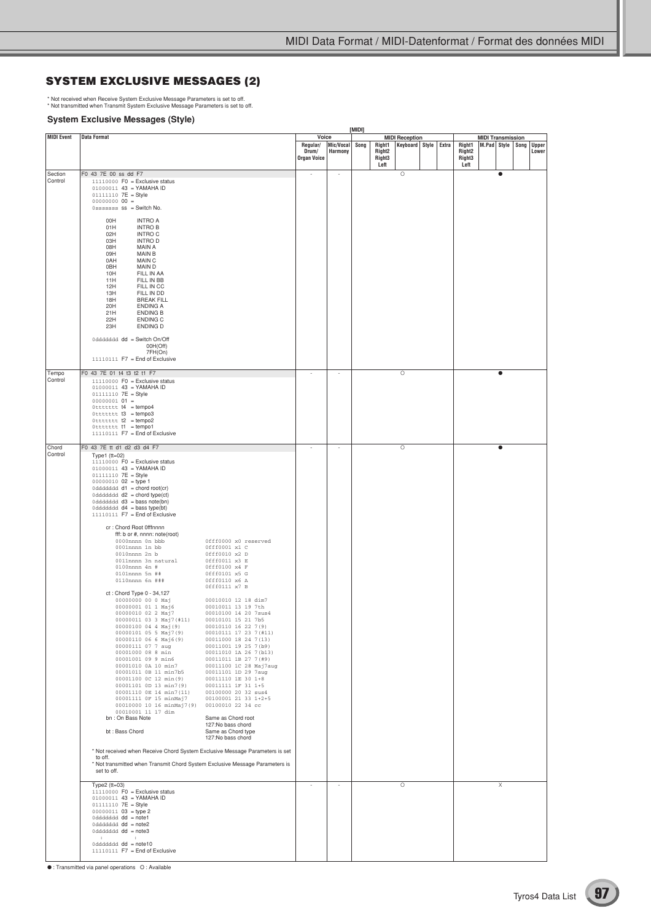## **SYSTEM EXCLUSIVE MESSAGES (2)**

\* Not received when Receive System Exclusive Message Parameters is set to off. \* Not transmitted when Transmit System Exclusive Message Parameters is set to off.

#### **System Exclusive Messages (Style)**

| <b>Data Format</b>                                                                                                                                                                                                                                                                                                                                                                                                                                                                                                                                                                                                                                                                                                                                                                                                                                                                                                                                                                                                                                                                                                                                                                                                                                                                                                               |                                                                                                                                                                                                                                                                                                                                                                                                                                                                                                                                                       |                                                                                                                                                                                                                                                          |              |      |                                        |                       |                |                            |                          |                |                  |
|----------------------------------------------------------------------------------------------------------------------------------------------------------------------------------------------------------------------------------------------------------------------------------------------------------------------------------------------------------------------------------------------------------------------------------------------------------------------------------------------------------------------------------------------------------------------------------------------------------------------------------------------------------------------------------------------------------------------------------------------------------------------------------------------------------------------------------------------------------------------------------------------------------------------------------------------------------------------------------------------------------------------------------------------------------------------------------------------------------------------------------------------------------------------------------------------------------------------------------------------------------------------------------------------------------------------------------|-------------------------------------------------------------------------------------------------------------------------------------------------------------------------------------------------------------------------------------------------------------------------------------------------------------------------------------------------------------------------------------------------------------------------------------------------------------------------------------------------------------------------------------------------------|----------------------------------------------------------------------------------------------------------------------------------------------------------------------------------------------------------------------------------------------------------|--------------|------|----------------------------------------|-----------------------|----------------|----------------------------|--------------------------|----------------|------------------|
|                                                                                                                                                                                                                                                                                                                                                                                                                                                                                                                                                                                                                                                                                                                                                                                                                                                                                                                                                                                                                                                                                                                                                                                                                                                                                                                                  |                                                                                                                                                                                                                                                                                                                                                                                                                                                                                                                                                       | Voice<br>Regular/<br>Drum/<br><b>Organ Voice</b>                                                                                                                                                                                                         | Harmony      | Song | Right1<br>Right2<br>Right <sub>3</sub> | <b>MIDI Reception</b> | Extra          | Right1<br>Right2<br>Right3 | <b>MIDI Transmission</b> |                | Upper<br>Lower   |
| F0 43 7E 00 ss dd F7<br>$11110000$ F0 = Exclusive status<br>$01000011$ 43 = YAMAHA ID<br>01111110 7E = Style<br>$00000000000 =$<br>$0$ sssssss $ss =$ Switch No.<br>00H<br><b>INTRO A</b><br><b>INTRO B</b><br>01H<br>02H<br><b>INTRO C</b><br>03H<br><b>INTROD</b><br>08H<br><b>MAIN A</b><br>MAIN B<br>09H<br>MAIN C<br>0AH<br>0BH<br>MAIN D<br>10H<br>FILL IN AA<br>FILL IN BB<br>11H<br>FILL IN CC<br>12H<br>FILL IN DD<br>13H<br><b>BREAK FILL</b><br>18H<br>20H<br><b>ENDING A</b><br><b>ENDING B</b><br>21H<br>22H<br><b>ENDING C</b><br>23H<br><b>ENDING D</b><br>0dddddd dd = Switch On/Off<br>00H(Off)<br>7FH(On)<br>11110111 F7 = End of Exclusive                                                                                                                                                                                                                                                                                                                                                                                                                                                                                                                                                                                                                                                                    |                                                                                                                                                                                                                                                                                                                                                                                                                                                                                                                                                       |                                                                                                                                                                                                                                                          |              |      |                                        | O                     |                |                            |                          | $\bullet$      |                  |
| F0 43 7E 01 t4 t3 t2 t1 F7<br>$11110000$ F0 = Exclusive status<br>$01000011$ 43 = YAMAHA ID<br>01111110 7E = Style<br>$00000001$ 01 =<br>$0$ ttttttt $t4 = tempo4$<br>$0$ ttttttt $t3 = tempo3$<br>$0$ ttttttt $t2 = tempo2$<br>Ottttttt t1 = tempo1<br>11110111 F7 = End of Exclusive                                                                                                                                                                                                                                                                                                                                                                                                                                                                                                                                                                                                                                                                                                                                                                                                                                                                                                                                                                                                                                           |                                                                                                                                                                                                                                                                                                                                                                                                                                                                                                                                                       |                                                                                                                                                                                                                                                          | ÷,           |      |                                        | $\circ$               |                |                            |                          |                |                  |
| F0 43 7E tt d1 d2 d3 d4 F7<br>Type1 $(tt=02)$<br>$11110000$ F0 = Exclusive status<br>01000011 43 = YAMAHA ID<br>01111110 7E = Style<br>$00000010$ 02 = type 1<br>0dddddd d1 = chord root(cr)<br>$0$ dddddd $d2$ = chord type(ct)<br>$0$ dddddd $d3 =$ bass note(bn)<br>$0$ dddddd $d4 =$ bass type(bt)<br>11110111 F7 = End of Exclusive<br>cr: Chord Root 0fffnnnn<br>fff: b or #, nnnn: note(root)<br>0000nnnn 0n bbb<br>0001nnnn 1n bb<br>$0010$ nnnn $2n$ b<br>0011nnnn 3n natural<br>0100nnnn 4n #<br>0101nnnn 5n ##<br>0110nnnn 6n ###<br>ct: Chord Type 0 - 34,127<br>00000000 00 0 Maj<br>00000001 01 1 Maj6<br>00000010 02 2 Maj7<br>00000011 03 3 Maj7 (#11)<br>00000100 04 4 Maj(9)<br>00000101 05 5 Maj7(9)<br>00000101 05 5 Maj7(9)<br>00000110 06 6 Maj6(9)<br>00000111 07 7 run<br>00000111 07 7 aug<br>00001011 0B 11 min7b5<br>00001100 0C 12 min(9)<br>00001101 0D 13 min7(9)<br>00001110 OE 14 min7(11)<br>00001111 OF 15 minMaj7<br>00010000 10 16 minMaj7(9)<br>00010001 11 17 dim<br>bn: On Bass Note<br>bt: Bass Chord<br>to off.<br>set to off.<br>Type2 $(tt=03)$<br>$11110000$ F0 = Exclusive status<br>01000011 43 = YAMAHA ID<br>01111110 7E = Style<br>$00000011$ 03 = type 2<br>0dddddd dd = note1<br>0dddddd dd = note2<br>0dddddd dd = note3<br>$\mathbf{H}$<br>$\cdot$ :<br>0dddddd dd = note10 | Offf0000 x0 reserved<br>0fff0001 x1 C<br>0fff0010 x2 D<br>0fff0011 x3 E<br>0fff0100 x4 F<br>0fff0101 x5 G<br>0fff0110 x6 A<br>0fff0111 x7 B<br>00010010 12 18 dim7<br>00010011 13 19 7th<br>00010100 14 20 7sus4<br>00010101 15 21 7b5<br>00010110 16 22 7 (9)<br>00010111 17 23 7 (#11)<br>00011000 18 24 7 (13)<br>00011001 19 25 7(b9)<br>00011010 1A 26 7(b13)<br>00011011 1B 27 7(#9)<br>00011111 1F 31 1+5<br>00100000 20 32 sus4<br>00100001 21 33 1+2+5<br>Same as Chord root<br>127:No bass chord<br>Same as Chord type<br>127:No bass chord | ÷,<br>$\sim$                                                                                                                                                                                                                                             | J.<br>$\sim$ |      |                                        | O<br>$\circ$          |                |                            |                          | $\bullet$<br>Χ |                  |
|                                                                                                                                                                                                                                                                                                                                                                                                                                                                                                                                                                                                                                                                                                                                                                                                                                                                                                                                                                                                                                                                                                                                                                                                                                                                                                                                  | 11110111 F7 = End of Exclusive                                                                                                                                                                                                                                                                                                                                                                                                                                                                                                                        | 00011100 1C 28 Maj7aug<br>00011101 1D 29 7aug<br>00011110 1E 30 1+8<br>00100010 22 34 cc<br>* Not received when Receive Chord System Exclusive Message Parameters is set<br>* Not transmitted when Transmit Chord System Exclusive Message Parameters is |              |      | Mic/Vocal                              | Left                  | Keyboard Style |                            | Left                     |                | M.Pad Style Song |

● : Transmitted via panel operations O : Available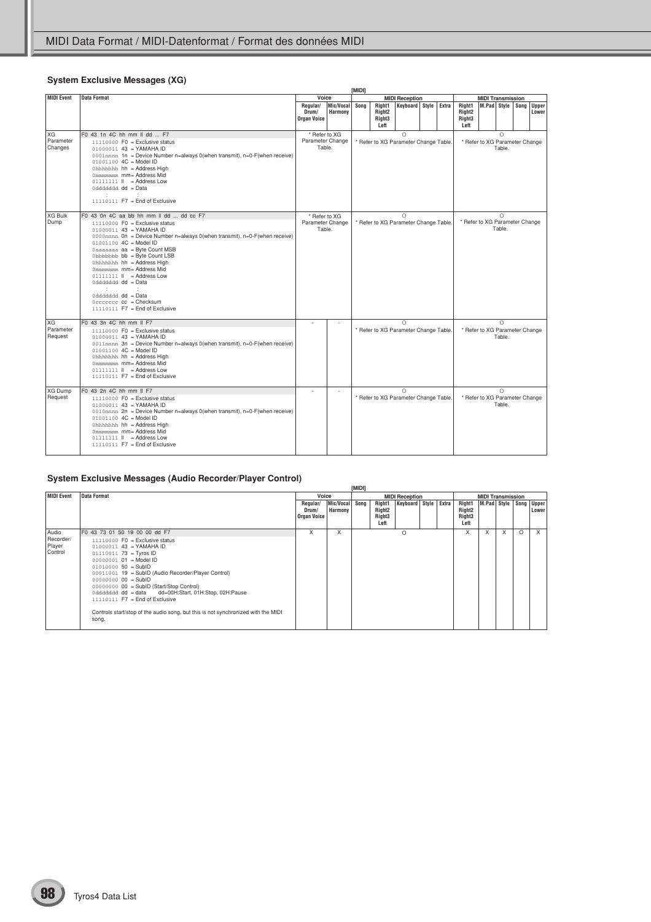## **System Exclusive Messages (XG)**

|                            |                                                                                                                                                                                                                                                                                                                                                                                                                                                                                                                      |                                             |                      | [MIDI] |                                                            |                                                     |       |                                                            |                                |                      |                |
|----------------------------|----------------------------------------------------------------------------------------------------------------------------------------------------------------------------------------------------------------------------------------------------------------------------------------------------------------------------------------------------------------------------------------------------------------------------------------------------------------------------------------------------------------------|---------------------------------------------|----------------------|--------|------------------------------------------------------------|-----------------------------------------------------|-------|------------------------------------------------------------|--------------------------------|----------------------|----------------|
| <b>MIDI Event</b>          | <b>Data Format</b>                                                                                                                                                                                                                                                                                                                                                                                                                                                                                                   | Voice                                       |                      |        |                                                            | <b>MIDI Reception</b>                               |       |                                                            | <b>MIDI Transmission</b>       |                      |                |
|                            |                                                                                                                                                                                                                                                                                                                                                                                                                                                                                                                      | Regular/<br>Drum/<br><b>Organ Voice</b>     | Mic/Vocal<br>Harmony | Sona   | Right1<br>Right <sub>2</sub><br>Right <sub>3</sub><br>Left | Keyboard Style                                      | Extra | Right1<br>Right <sub>2</sub><br>Right <sub>3</sub><br>Left | M.Pad Style Song               |                      | Upper<br>Lower |
| XG<br>Parameter<br>Changes | F0 43 1n 4C hh mm II dd  F7<br>$11110000$ F0 = Exclusive status<br>$01000011$ 43 = YAMAHA ID<br>0001nnnn 1n = Device Number n=always 0(when transmit), n=0-F(when receive)<br>$01001100$ $4C = Model ID$<br>Ohhhhhhh hh = Address High<br>0mmmmmmmmmmmmm=Address Mid<br>$01111111$ $\parallel$ = Address Low<br>0ddddddd dd = Data<br>$\mathcal{L}$<br><b>Contract</b><br>11110111 F7 = End of Exclusive                                                                                                             | * Refer to XG<br>Parameter Change<br>Table. |                      |        |                                                            | $\bigcirc$<br>* Refer to XG Parameter Change Table. |       |                                                            | * Refer to XG Parameter Change | $\circ$<br>Table.    |                |
| <b>XG Bulk</b><br>Dump     | F0 43 On 4C aa bb hh mm II dd  dd cc F7<br>$11110000$ F0 = Exclusive status<br>$01000011$ 43 = YAMAHA ID<br>0000nnnn On = Device Number n=always 0(when transmit), n=0-F(when receive)<br>$01001100$ $4C = Model ID$<br>0aaaaaaa aa = Byte Count MSB<br>Obbbbbbb bb = Byte Count LSB<br>Ohhhhhhh hh = Address High<br>0mmmmmmmmmmmmm=Address Mid<br>01111111    = Address Low<br>0ddddddd dd = Data<br>$\ddot{\phantom{a}}$<br>$\mathcal{L}_{\mathcal{L}}$<br>0ddddddd dd = Data<br>$11110111$ F7 = End of Exclusive | * Refer to XG<br>Parameter Change<br>Table. |                      |        |                                                            | $\bigcirc$<br>* Refer to XG Parameter Change Table. |       |                                                            | * Refer to XG Parameter Change | $\bigcirc$<br>Table. |                |
| XG<br>Parameter<br>Request | F0 43 3n 4C hh mm II F7<br>$11110000$ F0 = Exclusive status<br>$01000011$ 43 = YAMAHA ID<br>0011nnnn 3n = Device Number n=always 0(when transmit), n=0-F(when receive)<br>01001100 4C = Model ID<br>Ohhhhhhh hh = Address High<br>0mmmmmm mm= Address Mid<br>$01111111$ $\parallel$ = Address Low<br>$11110111$ F7 = End of Exclusive                                                                                                                                                                                |                                             |                      |        |                                                            | $\bigcap$<br>* Refer to XG Parameter Change Table.  |       |                                                            | * Refer to XG Parameter Change | $\Omega$<br>Table.   |                |
| XG Dump<br>Request         | F0 43 2n 4C hh mm II F7<br>$11110000$ F0 = Exclusive status<br>$01000011$ 43 = YAMAHA ID<br>0010nnnn 2n = Device Number n=always 0(when transmit), $n=0$ -F(when receive)<br>$01001100$ $4C = Model ID$<br>Ohhhhhhh hh = Address High<br>0mmmmmmm mm= Address Mid<br>$01111111$ $\parallel$ = Address Low<br>$11110111$ F7 = End of Exclusive                                                                                                                                                                        |                                             | ٠                    |        |                                                            | $\bigcirc$<br>* Refer to XG Parameter Change Table. |       |                                                            | * Refer to XG Parameter Change | $\bigcirc$<br>Table. |                |

# **System Exclusive Messages (Audio Recorder/Player Control)**

|                                         |                                                                                                                                                                                                                                                                                                                                                                                                                                                                                                         |                                  |                                  | [MIDI] |                                                            |                       |       |                                                |                  |                           |          |                       |
|-----------------------------------------|---------------------------------------------------------------------------------------------------------------------------------------------------------------------------------------------------------------------------------------------------------------------------------------------------------------------------------------------------------------------------------------------------------------------------------------------------------------------------------------------------------|----------------------------------|----------------------------------|--------|------------------------------------------------------------|-----------------------|-------|------------------------------------------------|------------------|---------------------------|----------|-----------------------|
| MIDI Event                              | <b>Data Format</b>                                                                                                                                                                                                                                                                                                                                                                                                                                                                                      | Voice                            |                                  |        |                                                            | <b>MIDI Reception</b> |       | <b>MIDI Transmission</b>                       |                  |                           |          |                       |
|                                         |                                                                                                                                                                                                                                                                                                                                                                                                                                                                                                         | Regular/<br>Drum/<br>Organ Voice | Mic/Vocal Song<br><b>Harmony</b> |        | Right1<br>Right <sub>2</sub><br>Right <sub>3</sub><br>Left | Keyboard Style        | Extra | Right1<br>Right2<br>Right <sub>3</sub><br>Left | M.Pad Style Song |                           |          | <b>Upper</b><br>Lower |
| Audio<br>Recorder/<br>Player<br>Control | F0 43 73 01 50 19 00 00 dd F7<br>$11110000$ F0 = Exclusive status<br>$01000011$ 43 = YAMAHA ID<br>$01110011$ 73 = Tyros ID<br>$00000001$ $01$ = Model ID<br>$0101000050 = SubID$<br>00011001 19 = SubID (Audio Recorder/Player Control)<br>$00000000000 = SubID$<br>$0000000000 = SubID (Start/Stop Control)$<br>0ddddddd dd = data dd=00H:Start, 01H:Stop, 02H:Pause<br>$11110111$ F7 = End of Exclusive<br>Controls start/stop of the audio song, but this is not synchronized with the MIDI<br>song. | X                                | X                                |        |                                                            | O                     |       | X                                              | X                | $\boldsymbol{\mathsf{x}}$ | $\Omega$ | $\times$              |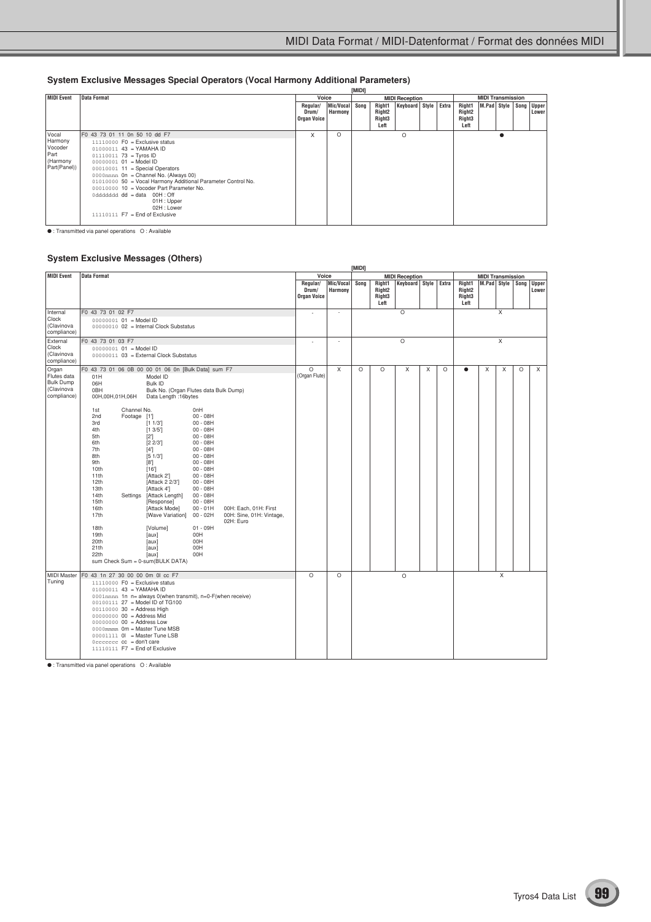# **System Exclusive Messages Special Operators (Vocal Harmony Additional Parameters)**

|                                                                 |                                                                                                                                                                                                                                                                                                                                                                                                                                                    |                                         |                           | [MIDI] |                                                            |                |       |                                                            |                        |  |       |
|-----------------------------------------------------------------|----------------------------------------------------------------------------------------------------------------------------------------------------------------------------------------------------------------------------------------------------------------------------------------------------------------------------------------------------------------------------------------------------------------------------------------------------|-----------------------------------------|---------------------------|--------|------------------------------------------------------------|----------------|-------|------------------------------------------------------------|------------------------|--|-------|
| MIDI Event                                                      | <b>Data Format</b>                                                                                                                                                                                                                                                                                                                                                                                                                                 | Voice                                   |                           |        | <b>MIDI Reception</b>                                      |                |       | <b>MIDI Transmission</b>                                   |                        |  |       |
|                                                                 |                                                                                                                                                                                                                                                                                                                                                                                                                                                    | Regular/<br>Drum/<br><b>Organ Voice</b> | Mic/Vocal Song<br>Harmony |        | Right1<br>Right <sub>2</sub><br>Right <sub>3</sub><br>Left | Keyboard Style | Extra | Right1<br>Right <sub>2</sub><br>Right <sub>3</sub><br>Left | M.Pad Style Song Upper |  | Lower |
| Vocal<br>Harmony<br>Vocoder<br>Part<br>(Harmony<br>Part(Panel)) | F0 43 73 01 11 0n 50 10 dd F7<br>$11110000$ F0 = Exclusive status<br>$01000011$ 43 = YAMAHA ID<br>$01110011$ 73 = Tyros ID<br>$00000001$ $01$ = Model ID<br>$00010001$ 11 = Special Operators<br>0000mmn On = Channel No. (Always 00)<br>01010000 50 = Vocal Harmony Additional Parameter Control No.<br>00010000 10 = Vocoder Part Parameter No.<br>0ddddddd dd = data 00H : Off<br>01H: Upper<br>02H : Lower<br>$11110111$ F7 = End of Exclusive | X                                       | $\circ$                   |        |                                                            | $\Omega$       |       |                                                            |                        |  |       |

● : Transmitted via panel operations O : Available

#### **System Exclusive Messages (Others)**

|                                    |                                                                      |                                                                |                                                                |                                         |                      | [MIDI]  |                                                            |                          |   |         |                                                            |                          |          |   |                       |
|------------------------------------|----------------------------------------------------------------------|----------------------------------------------------------------|----------------------------------------------------------------|-----------------------------------------|----------------------|---------|------------------------------------------------------------|--------------------------|---|---------|------------------------------------------------------------|--------------------------|----------|---|-----------------------|
| <b>MIDI Event</b>                  | <b>Data Format</b>                                                   |                                                                |                                                                | Voice                                   |                      |         |                                                            | <b>MIDI Reception</b>    |   |         |                                                            | <b>MIDI Transmission</b> |          |   |                       |
|                                    |                                                                      |                                                                |                                                                | Regular/<br>Drum/<br><b>Organ Voice</b> | Mic/Vocal<br>Harmony | Song    | Right1<br>Right <sub>2</sub><br>Right <sub>3</sub><br>Left | Keyboard   Style   Extra |   |         | Right1<br>Right <sub>2</sub><br>Right <sub>3</sub><br>Left | M.Pad Style   Song       |          |   | <b>Upper</b><br>Lower |
| Internal                           | F0 43 73 01 02 F7                                                    |                                                                |                                                                | ÷                                       | ÷.                   |         |                                                            | $\circ$                  |   |         |                                                            |                          | X        |   |                       |
| Clock<br>(Clavinova<br>compliance) | 00000001 01 = Model ID<br>00000010 02 = Internal Clock Substatus     |                                                                |                                                                |                                         |                      |         |                                                            |                          |   |         |                                                            |                          |          |   |                       |
| External                           | F0 43 73 01 03 F7                                                    |                                                                |                                                                |                                         |                      |         |                                                            | $\circ$                  |   |         |                                                            |                          | $\times$ |   |                       |
| Clock<br>(Clavinova<br>compliance) | $00000001$ $01$ = Model ID<br>00000011 03 = External Clock Substatus |                                                                |                                                                |                                         |                      |         |                                                            |                          |   |         |                                                            |                          |          |   |                       |
| Organ                              | F0 43 73 01 06 0B 00 00 01 06 0n [Bulk Data] sum F7                  |                                                                |                                                                | $\circ$                                 | X                    | $\circ$ | $\circ$                                                    | X                        | X | $\circ$ | ٠                                                          | X                        | X        | O | X                     |
| Flutes data                        | 01H                                                                  | Model ID                                                       |                                                                | (Organ Flute)                           |                      |         |                                                            |                          |   |         |                                                            |                          |          |   |                       |
| <b>Bulk Dump</b>                   | 06H                                                                  | Bulk ID                                                        |                                                                |                                         |                      |         |                                                            |                          |   |         |                                                            |                          |          |   |                       |
| (Clavinova<br>compliance)          | 0BH<br>00H,00H,01H,06H                                               | Bulk No. (Organ Flutes data Bulk Dump)<br>Data Length: 16bytes |                                                                |                                         |                      |         |                                                            |                          |   |         |                                                            |                          |          |   |                       |
|                                    | Channel No.<br>1st                                                   | 0 <sub>nH</sub>                                                |                                                                |                                         |                      |         |                                                            |                          |   |         |                                                            |                          |          |   |                       |
|                                    | 2nd<br>Footage [1']                                                  | $00 - 08H$                                                     |                                                                |                                         |                      |         |                                                            |                          |   |         |                                                            |                          |          |   |                       |
|                                    | 3rd                                                                  | [1 1/3]<br>$00 - 08H$                                          |                                                                |                                         |                      |         |                                                            |                          |   |         |                                                            |                          |          |   |                       |
|                                    | 4th<br>5th                                                           | [1 3/5]<br>$00 - 08H$<br>$[2^{\prime}]$<br>$00 - 08H$          |                                                                |                                         |                      |         |                                                            |                          |   |         |                                                            |                          |          |   |                       |
|                                    | 6th                                                                  | [2 2/3]<br>$00 - 08H$                                          |                                                                |                                         |                      |         |                                                            |                          |   |         |                                                            |                          |          |   |                       |
|                                    | 7th                                                                  | [4']<br>$00 - 08H$                                             |                                                                |                                         |                      |         |                                                            |                          |   |         |                                                            |                          |          |   |                       |
|                                    | 8th                                                                  | $[5 \ 1/3]$<br>$00 - 08H$                                      |                                                                |                                         |                      |         |                                                            |                          |   |         |                                                            |                          |          |   |                       |
|                                    | 9th                                                                  | [8]<br>$00 - 08H$                                              |                                                                |                                         |                      |         |                                                            |                          |   |         |                                                            |                          |          |   |                       |
|                                    | 10th<br>11th                                                         | $00 - 08H$<br>[16]<br>$00 - 08H$<br>[Attack 2]                 |                                                                |                                         |                      |         |                                                            |                          |   |         |                                                            |                          |          |   |                       |
|                                    | 12th                                                                 | $00 - 08H$<br>[Attack 2 2/3']                                  |                                                                |                                         |                      |         |                                                            |                          |   |         |                                                            |                          |          |   |                       |
|                                    | 13th                                                                 | $00 - 08H$<br>[Attack 4]                                       |                                                                |                                         |                      |         |                                                            |                          |   |         |                                                            |                          |          |   |                       |
|                                    | 14th<br>Settings                                                     | [Attack Length]<br>$00 - 08H$                                  |                                                                |                                         |                      |         |                                                            |                          |   |         |                                                            |                          |          |   |                       |
|                                    | 15th                                                                 | [Response]<br>$00 - 08H$                                       |                                                                |                                         |                      |         |                                                            |                          |   |         |                                                            |                          |          |   |                       |
|                                    | 16th<br>17th                                                         | [Attack Mode]<br>$00 - 01H$<br>[Wave Variation]<br>$00 - 02H$  | 00H: Each, 01H: First<br>00H: Sine, 01H: Vintage,<br>02H: Euro |                                         |                      |         |                                                            |                          |   |         |                                                            |                          |          |   |                       |
|                                    | 18th                                                                 | $01 - 09H$<br>[Volume]                                         |                                                                |                                         |                      |         |                                                            |                          |   |         |                                                            |                          |          |   |                       |
|                                    | 19th                                                                 | 00H<br>[aux]                                                   |                                                                |                                         |                      |         |                                                            |                          |   |         |                                                            |                          |          |   |                       |
|                                    | 20th<br>21th                                                         | 00H<br>[aux]<br>00H<br>[aux]                                   |                                                                |                                         |                      |         |                                                            |                          |   |         |                                                            |                          |          |   |                       |
|                                    | 22th                                                                 | [aux]<br>00H                                                   |                                                                |                                         |                      |         |                                                            |                          |   |         |                                                            |                          |          |   |                       |
|                                    | sum Check Sum = 0-sum(BULK DATA)                                     |                                                                |                                                                |                                         |                      |         |                                                            |                          |   |         |                                                            |                          |          |   |                       |
| <b>MIDI Master</b>                 | F0 43 1n 27 30 00 00 0m 0l cc F7                                     |                                                                |                                                                | $\overline{O}$                          | $\Omega$             |         |                                                            | $\circ$                  |   |         |                                                            |                          | X        |   |                       |
| Tuning                             | $11110000$ F0 = Exclusive status                                     |                                                                |                                                                |                                         |                      |         |                                                            |                          |   |         |                                                            |                          |          |   |                       |
|                                    | $01000011$ 43 = YAMAHA ID                                            |                                                                |                                                                |                                         |                      |         |                                                            |                          |   |         |                                                            |                          |          |   |                       |
|                                    |                                                                      | 0001nnnn 1n n= always 0(when transmit), n=0-F(when receive)    |                                                                |                                         |                      |         |                                                            |                          |   |         |                                                            |                          |          |   |                       |
|                                    | 00100111 27 = Model ID of TG100<br>00110000 30 = Address High        |                                                                |                                                                |                                         |                      |         |                                                            |                          |   |         |                                                            |                          |          |   |                       |
|                                    | $00000000000 = Address Mid$                                          |                                                                |                                                                |                                         |                      |         |                                                            |                          |   |         |                                                            |                          |          |   |                       |
|                                    | 00000000 00 = Address Low                                            |                                                                |                                                                |                                         |                      |         |                                                            |                          |   |         |                                                            |                          |          |   |                       |
|                                    | 0000mmm 0m = Master Tune MSB                                         |                                                                |                                                                |                                         |                      |         |                                                            |                          |   |         |                                                            |                          |          |   |                       |
|                                    | $00001111$ $0!$ = Master Tune LSB                                    |                                                                |                                                                |                                         |                      |         |                                                            |                          |   |         |                                                            |                          |          |   |                       |
|                                    | $0$ ccccccc $cc =$ don't care<br>11110111 F7 = End of Exclusive      |                                                                |                                                                |                                         |                      |         |                                                            |                          |   |         |                                                            |                          |          |   |                       |
|                                    |                                                                      |                                                                |                                                                |                                         |                      |         |                                                            |                          |   |         |                                                            |                          |          |   |                       |

● : Transmitted via panel operations O : Available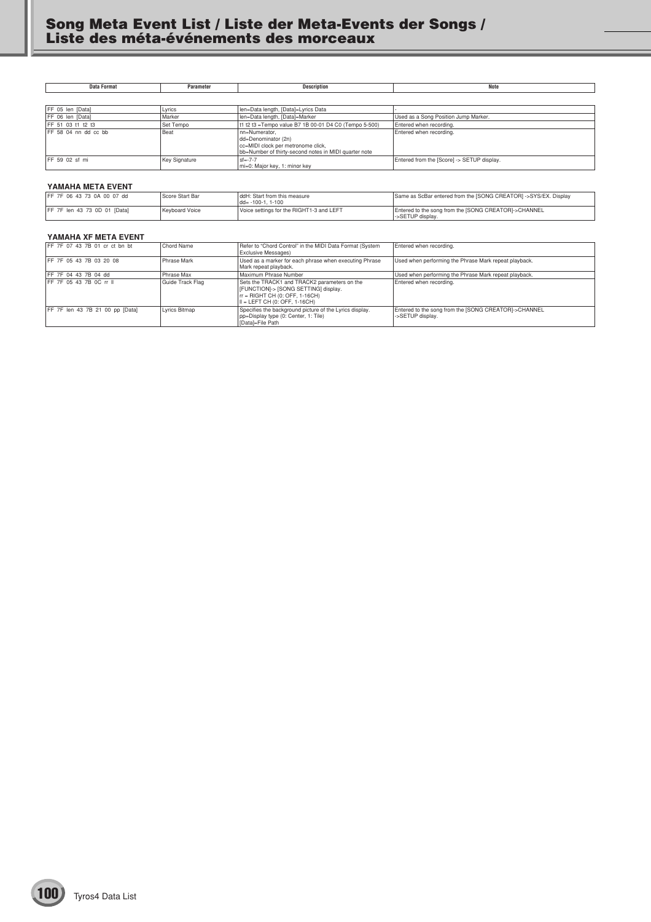**Data Format Parameter Description Note**

| FF 05 len [Data]      | Lyrics               | len=Data length, [Data]=Lyrics Data                                                                                                  |                                            |
|-----------------------|----------------------|--------------------------------------------------------------------------------------------------------------------------------------|--------------------------------------------|
| FF 06 len [Data]      | Marker               | len=Data length, [Data]=Marker                                                                                                       | Used as a Song Position Jump Marker.       |
| IFF 51 03 t1 t2 t3    | Set Tempo            | t1 t2 t3 = Tempo value B7 1B 00-01 D4 C0 (Tempo 5-500)                                                                               | Entered when recording.                    |
| IFF 58 04 nn dd cc bb | Beat                 | Inn=Numerator.<br>dd=Denominator (2n)<br>cc=MIDI clock per metronome click,<br>bb=Number of thirty-second notes in MIDI quarter note | Entered when recording.                    |
| IFF 59 02 sf mi       | <b>Key Signature</b> | $sf = -7 - 7$<br>mi=0: Major key, 1: minor key                                                                                       | Entered from the [Score] -> SETUP display. |

#### **YAMAHA META EVENT**

| IFF 7F 06 43 73 0A 00 07 dd   | Score Start Bar | ddH: Start from this measure<br>$dd = -100 - 1.1 - 100$ | Same as ScBar entered from the [SONG CREATOR] ->SYS/EX. Display          |
|-------------------------------|-----------------|---------------------------------------------------------|--------------------------------------------------------------------------|
| IFF 7F len 43 73 0D 01 [Data] | Keyboard Voice  | Voice settings for the RIGHT1-3 and LEFT                | Entered to the song from the [SONG CREATOR]->CHANNEL<br>->SETUP display. |

#### **YAMAHA XF META EVENT**

| FF 7F 07 43 7B 01 cr ct bn bt   | Chord Name         | Refer to "Chord Control" in the MIDI Data Format (System<br><b>Exclusive Messages)</b>                                                                   | Entered when recording.                                                  |
|---------------------------------|--------------------|----------------------------------------------------------------------------------------------------------------------------------------------------------|--------------------------------------------------------------------------|
| IFF 7F 05 43 7B 03 20 08        | <b>Phrase Mark</b> | Used as a marker for each phrase when executing Phrase<br>Mark repeat playback.                                                                          | Used when performing the Phrase Mark repeat playback.                    |
| IFF 7F 04 43 7B 04 dd           | Phrase Max         | Maximum Phrase Number                                                                                                                                    | Used when performing the Phrase Mark repeat playback.                    |
| IFF 7F 05 43 7B 0C rr II        | Guide Track Flag   | Sets the TRACK1 and TRACK2 parameters on the<br>[FUNCTION]-> [SONG SETTING] display.<br>rr = RIGHT CH (0: OFF, 1-16CH)<br>III = LEFT CH (0: OFF. 1-16CH) | Entered when recording.                                                  |
| FF 7F len 43 7B 21 00 pp [Data] | Lyrics Bitmap      | Specifies the background picture of the Lyrics display.<br>pp=Display type (0: Center, 1: Tile)<br>[Datal=File Path]                                     | Entered to the song from the [SONG CREATOR]->CHANNEL<br>->SETUP display. |

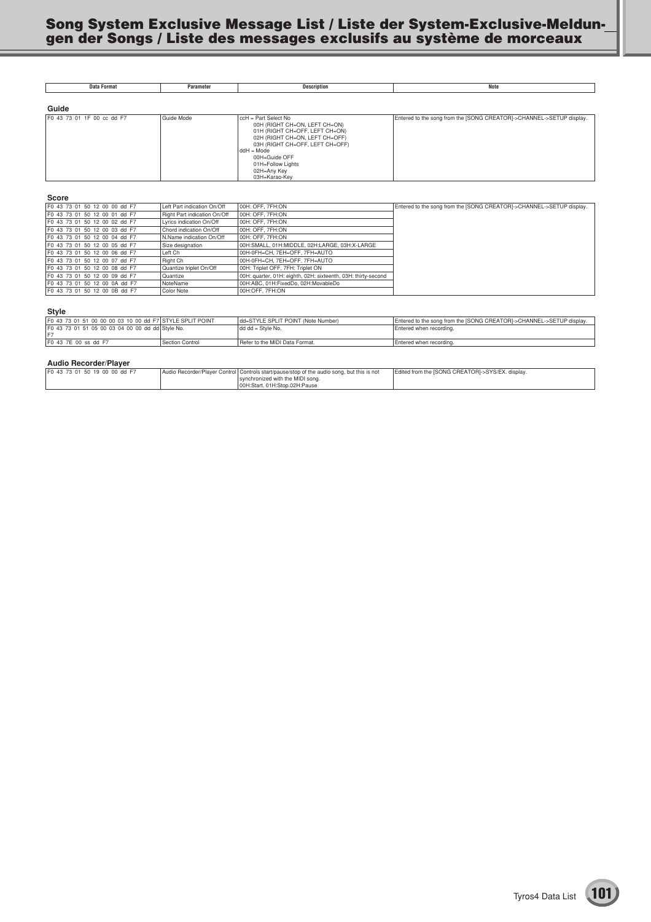| <b>Data Format</b>         | Parameter  | <b>Description</b>                                                                                                                                                                                                                                 | Note                                                                 |
|----------------------------|------------|----------------------------------------------------------------------------------------------------------------------------------------------------------------------------------------------------------------------------------------------------|----------------------------------------------------------------------|
| Guide                      |            |                                                                                                                                                                                                                                                    |                                                                      |
|                            |            |                                                                                                                                                                                                                                                    |                                                                      |
| F0 43 73 01 1F 00 cc dd F7 | Guide Mode | ccH = Part Select No<br>00H (RIGHT CH=ON, LEFT CH=ON)<br>01H (RIGHT CH=OFF, LEFT CH=ON)<br>02H (RIGHT CH=ON, LEFT CH=OFF)<br>03H (RIGHT CH=OFF, LEFT CH=OFF)<br>$ddH = Mode$<br>00H=Guide OFF<br>01H=Follow Lights<br>02H=Any Key<br>03H=Karao-Key | Entered to the song from the [SONG CREATOR]->CHANNEL->SETUP display. |

#### **Score**

| F0 43 73 01 50 12 00 00 dd F7  | Left Part indication On/Off  | 00H: OFF, 7FH:ON                                              | Entered to the song from the [SONG CREATOR]->CHANNEL->SETUP display. |
|--------------------------------|------------------------------|---------------------------------------------------------------|----------------------------------------------------------------------|
|                                |                              |                                                               |                                                                      |
| F0 43 73 01 50 12 00 01 dd F7  | Right Part indication On/Off | 00H: OFF, 7FH:ON                                              |                                                                      |
| F0 43 73 01 50 12 00 02 dd F7  | Lyrics indication On/Off     | 00H: OFF, 7FH:ON                                              |                                                                      |
| F0 43 73 01 50 12 00 03 dd F7  | Chord indication On/Off      | 00H: OFF, 7FH:ON                                              |                                                                      |
| F0 43 73 01 50 12 00 04 dd F7  | N.Name indication On/Off     | 00H: OFF, 7FH:ON                                              |                                                                      |
| F0 43 73 01 50 12 00 05 dd F7  | Size designation             | 00H:SMALL, 01H:MIDDLE, 02H:LARGE, 03H:X-LARGE                 |                                                                      |
| F0 43 73 01 50 12 00 06 dd F7  | Left Ch                      | 00H-0FH=CH, 7EH=OFF, 7FH=AUTO                                 |                                                                      |
| F0 43 73 01 50 12 00 07 dd F7  | Right Ch                     | 00H-0FH=CH, 7EH=OFF, 7FH=AUTO                                 |                                                                      |
| F0 43 73 01 50 12 00 08 dd F7  | Quantize triplet On/Off      | 00H: Triplet OFF, 7FH: Triplet ON                             |                                                                      |
| F0 43 73 01 50 12 00 09 dd F7  | Quantize                     | 00H: quarter, 01H: eighth, 02H: sixteenth, 03H: thirty-second |                                                                      |
| F0 43 73 01 50 12 00 0A dd F7  | NoteName                     | 00H:ABC, 01H:FixedDo, 02H:MovableDo                           |                                                                      |
| IF0 43 73 01 50 12 00 0B dd F7 | Color Note                   | 00H:OFF, 7FH:ON                                               |                                                                      |

#### **Style**

| _ _ _ _ _                                                |                              |                                     |                                                                      |
|----------------------------------------------------------|------------------------------|-------------------------------------|----------------------------------------------------------------------|
| F0 43 73 01 51 00 00 00 03 10 00 dd F7 STYLE SPLIT POINT |                              | Idd=STYLE SPLIT POINT (Note Number) | Entered to the song from the [SONG CREATOR]->CHANNEL->SETUP display. |
| F0 43 73 01 51 05 00 03 04 00 00 dd dd Style No.         |                              | $dd dd = Style No.$                 | Entered when recording.                                              |
|                                                          |                              |                                     |                                                                      |
| IF0 43 7E 00 ss dd F7                                    | <sup>1</sup> Section Control | Refer to the MIDI Data Format.      | Entered when recording.                                              |

#### **Audio Recorder/Player**

| .                              |                                                                                                                                                                 |                                                  |
|--------------------------------|-----------------------------------------------------------------------------------------------------------------------------------------------------------------|--------------------------------------------------|
| IF0 43 73 01 50 19 00 00 dd F7 | Audio Recorder/Player Control Controls start/pause/stop of the audio song, but this is not<br>synchronized with the MIDI song.<br>00H:Start, 01H:Stop.02H:Pause | Edited from the ISONG CREATORI->SYS/EX, display, |
|                                |                                                                                                                                                                 |                                                  |